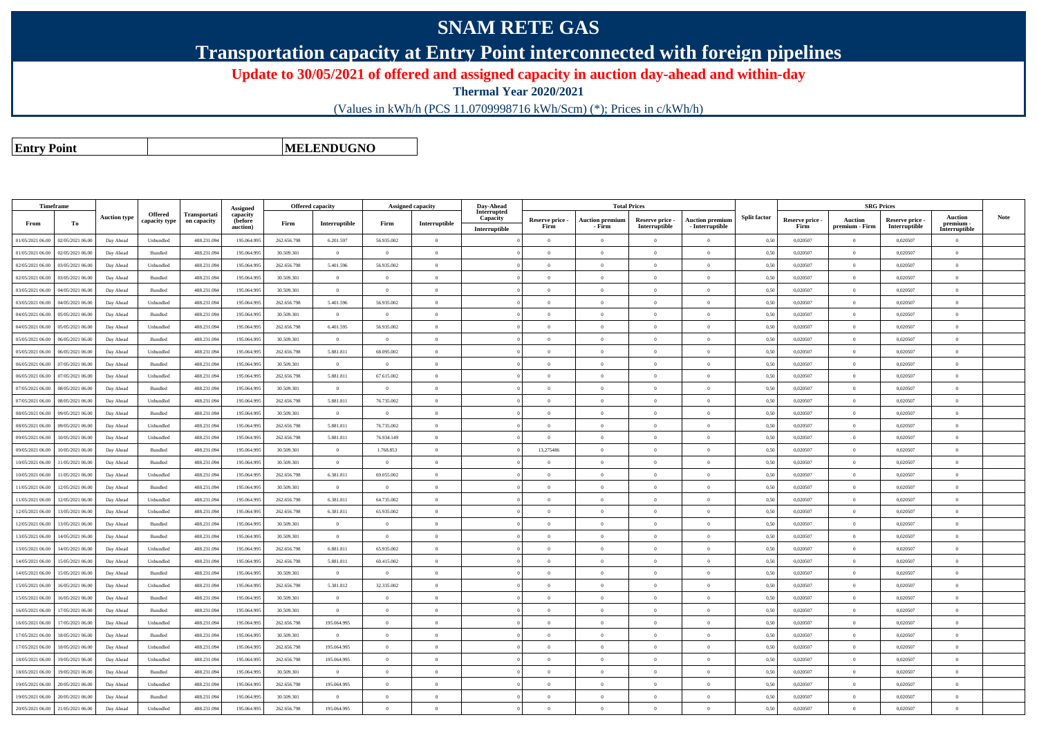## **SNAM RETE GAS**

**Transportation capacity at Entry Point interconnected with foreign pipelines**

**Update to 30/05/2021 of offered and assigned capacity in auction day-ahead and within-day**

**Thermal Year 2020/2021**

(Values in kWh/h (PCS 11.0709998716 kWh/Scm) (\*); Prices in c/kWh/h)

**Entry Point**

**MELENDUGNO**

|                  | <b>Timeframe</b> |                     |                |                                    |                                 | <b>Offered capacity</b> |                |                | <b>Assigned capacity</b> | Day-Ahead               |                 | <b>Total Prices</b>    |                 |                        |                     |                 |                | <b>SRG Prices</b> |                            |             |
|------------------|------------------|---------------------|----------------|------------------------------------|---------------------------------|-------------------------|----------------|----------------|--------------------------|-------------------------|-----------------|------------------------|-----------------|------------------------|---------------------|-----------------|----------------|-------------------|----------------------------|-------------|
|                  |                  | <b>Auction type</b> | Offered        | <b>Transportati</b><br>on capacity | Assigned<br>capacity<br>(before |                         |                |                |                          | Interrupted<br>Capacity | Reserve price - | <b>Auction premium</b> | Reserve price - | <b>Auction premium</b> | <b>Split factor</b> | Reserve price - | <b>Auction</b> | Reserve price -   | <b>Auction</b>             | <b>Note</b> |
| From             | To               |                     | capacity type  |                                    | auction)                        | Firm                    | Interruptible  | Firm           | Interruptible            | Interruptible           | Firm            | - Firm                 | Interruptible   | - Interruptible        |                     | Firm            | premium - Firm | Interruptible     | premium -<br>Interruptible |             |
| 01/05/2021 06:00 | 02/05/2021 06.00 | Day Ahead           | Unbundled      | 488.231.09                         | 195.064.995                     | 262.656.798             | 6.201.597      | 56,935,002     | $\overline{0}$           |                         | $\overline{0}$  | $\overline{0}$         | $\overline{0}$  | $\overline{0}$         | 0,50                | 0,020507        | $\theta$       | 0.020507          | $\theta$                   |             |
| 01/05/2021 06:00 | 02/05/2021 06.00 | Day Ahead           | Bundled        | 488.231.09                         | 195.064.995                     | 30.509.301              | $\overline{0}$ | $\overline{0}$ | $\overline{0}$           |                         | $\Omega$        | $\theta$               | $\overline{0}$  | $\theta$               | 0,50                | 0,020507        | $\overline{0}$ | 0,020507          | $\theta$                   |             |
| 02/05/2021 06:00 | 03/05/2021 06.00 | Day Ahead           | Unbundled      | 488.231.09                         | 195.064.995                     | 262.656.798             | 5.401.596      | 56.935.002     | $\overline{0}$           |                         | $\overline{0}$  | $\theta$               | $\overline{0}$  | $\theta$               | 0,50                | 0,020507        | $\overline{0}$ | 0,020507          | $\mathbf{0}$               |             |
| 02/05/2021 06:00 | 03/05/2021 06.00 | Day Ahead           | Bundled        | 488.231.09                         | 195.064.995                     | 30.509.301              | $\overline{0}$ | $\theta$       | $\Omega$                 |                         | $\Omega$        | $\theta$               | $\Omega$        | $\theta$               | 0,50                | 0,020507        | $\overline{0}$ | 0,020507          | $\theta$                   |             |
| 03/05/2021 06:00 | 04/05/2021 06.00 | Day Ahead           | Bundled        | 488.231.09                         | 195.064.995                     | 30.509.301              | $\overline{0}$ | $\theta$       | $\Omega$                 |                         | $\Omega$        |                        | $\theta$        | $\theta$               | 0,50                | 0,020507        | $\theta$       | 0,020507          | $\theta$                   |             |
| 03/05/2021 06:00 | 04/05/2021 06:00 | Day Ahead           | Unbundled      | 488.231.094                        | 195,064,995                     | 262.656.798             | 5.401.596      | 56.935.002     | $\Omega$                 |                         | $\Omega$        | $\theta$               | $\Omega$        | $\bf{0}$               | 0,50                | 0,020507        | $\overline{0}$ | 0,020507          | $\theta$                   |             |
| 04/05/2021 06:00 | 05/05/2021 06.00 | Day Ahead           | Bundled        | 488.231.09                         | 195.064.995                     | 30.509.301              | $\overline{0}$ | $\overline{0}$ | $\overline{0}$           |                         | $\overline{0}$  | $\theta$               | $\overline{0}$  | $\theta$               | 0,50                | 0,020507        | $\overline{0}$ | 0,020507          | $\theta$                   |             |
| 04/05/2021 06:00 | 05/05/2021 06:00 | Day Ahead           | Unbundled      | 488.231.094                        | 195,064,995                     | 262.656.798             | 6.401.595      | 56,935,002     | $\overline{0}$           |                         | $\Omega$        | $\Omega$               | $\theta$        | $\theta$               | 0,50                | 0.020507        | $\overline{0}$ | 0.020507          | $\theta$                   |             |
| 05/05/2021 06:00 | 06/05/2021 06:00 | Day Ahead           | <b>Bundled</b> | 488.231.094                        | 195,064,995                     | 30.509.301              | $\overline{0}$ | $\Omega$       | $\Omega$                 |                         | $\Omega$        | $\theta$               | $\theta$        | $\theta$               | 0.50                | 0.020507        | $\Omega$       | 0.020507          | $\theta$                   |             |
| 05/05/2021 06:00 | 06/05/2021 06:00 | Day Ahead           | Unbundled      | 488.231.094                        | 195,064,995                     | 262.656.798             | 5.881.811      | 68.095.002     | $\overline{0}$           |                         | $\Omega$        | $\theta$               | $\Omega$        | $\bf{0}$               | 0,50                | 0.020507        | $\overline{0}$ | 0.020507          | $\theta$                   |             |
| 06/05/2021 06:00 | 07/05/2021 06:00 | Day Ahead           | <b>Bundled</b> | 488.231.094                        | 195,064,995                     | 30.509.301              | $\overline{0}$ | $\Omega$       | $\Omega$                 |                         | $\Omega$        | $\theta$               | $\Omega$        | $\theta$               | 0.50                | 0.020507        | $\overline{0}$ | 0.020507          | $\Omega$                   |             |
| 06/05/2021 06:00 | 07/05/2021 06.00 | Day Ahead           | Unbundled      | 488.231.09                         | 195.064.995                     | 262.656.798             | 5.881.811      | 67.615.002     | $\Omega$                 |                         | $\Omega$        | $\theta$               | $\Omega$        | $\overline{0}$         | 0.50                | 0,020507        | $\overline{0}$ | 0,020507          | $\theta$                   |             |
| 07/05/2021 06.00 | 08/05/2021 06:00 | Day Ahead           | Bundled        | 488.231.094                        | 195.064.995                     | 30.509.301              | $\theta$       | $\Omega$       | $\Omega$                 |                         | $\Omega$        | $\Omega$               | $\Omega$        | $\Omega$               | 0,50                | 0,020507        | $\theta$       | 0.020507          | $\Omega$                   |             |
| 07/05/2021 06:00 | 08/05/2021 06:00 | Day Ahead           | Unbundled      | 488.231.09                         | 195.064.995                     | 262.656.798             | 5.881.811      | 76.735.002     | $\overline{0}$           |                         | $\overline{0}$  | $\theta$               | $\overline{0}$  | $\overline{0}$         | 0,50                | 0,020507        | $\overline{0}$ | 0,020507          | $\mathbf{0}$               |             |
| 08/05/2021 06:00 | 09/05/2021 06.00 | Day Ahead           | <b>Bundled</b> | 488.231.094                        | 195.064.995                     | 30 509 301              | $\overline{0}$ | $\overline{0}$ | $\overline{0}$           |                         | $\overline{0}$  | $\theta$               | $\overline{0}$  | $\overline{0}$         | 0.50                | 0.020507        | $\overline{0}$ | 0.020507          | $\overline{0}$             |             |
| 08/05/2021 06:00 | 09/05/2021 06.0  | Day Ahead           | Unbundled      | 488.231.09                         | 195.064.995                     | 262.656.798             | 5.881.811      | 76.735.002     | $\overline{0}$           |                         | $\overline{0}$  | $\theta$               | $\overline{0}$  | $\,$ 0 $\,$            | 0,50                | 0,020507        | $\bf{0}$       | 0,020507          | $\theta$                   |             |
| 09/05/2021 06:00 | 10/05/2021 06:00 | Day Ahead           | Unbundled      | 488.231.09                         | 195.064.995                     | 262 656 798             | 5.881.811      | 76934149       | $\Omega$                 |                         | $\Omega$        | $\theta$               | $\Omega$        | $\Omega$               | 0.50                | 0,020507        | $\theta$       | 0.020507          | $\Omega$                   |             |
| 09/05/2021 06:00 | 10/05/2021 06.0  | Day Ahead           | Bundled        | 488.231.09                         | 195.064.995                     | 30.509.301              | $\overline{0}$ | 1.768.853      | $\overline{0}$           |                         | 13,275486       |                        | $\overline{0}$  | $\overline{0}$         | 0,50                | 0,020507        | $\theta$       | 0,020507          | $\theta$                   |             |
| 10/05/2021 06:00 | 11/05/2021 06.00 | Day Ahead           | Bundled        | 488.231.09                         | 195.064.995                     | 30.509.301              | $\overline{0}$ | $\overline{0}$ | $\overline{0}$           |                         | $\overline{0}$  | $\overline{0}$         | $\overline{0}$  | $\overline{0}$         | 0,50                | 0,020507        | $\overline{0}$ | 0,020507          | $\overline{0}$             |             |
| 10/05/2021 06:00 | 1/05/2021 06.0   | Day Ahead           | Unbundled      | 488.231.09                         | 195,064.99                      | 262.656.798             | 6.381.811      | 69.055.002     | $\overline{0}$           |                         | $\Omega$        | $\theta$               | $\Omega$        | $\theta$               | 0,50                | 0.020507        | $\overline{0}$ | 0.020507          | $\Omega$                   |             |
| 11/05/2021 06:00 | 12/05/2021 06:00 | Day Ahead           | Bundled        | 488.231.09                         | 195.064.995                     | 30.509.301              | $\overline{0}$ | $\Omega$       | $\Omega$                 |                         | $\Omega$        | $\theta$               | $\Omega$        | $\Omega$               | 0,50                | 0,020507        | $\theta$       | 0,020507          | $\Omega$                   |             |
| 11/05/2021 06:00 | 12/05/2021 06.0  | Day Ahead           | Unbundled      | 488.231.09                         | 195.064.995                     | 262.656.798             | 6.381.811      | 64.735.002     | $\overline{0}$           |                         | $\Omega$        |                        | $\overline{0}$  | $\overline{0}$         | 0,50                | 0,020507        | $\overline{0}$ | 0,020507          | $\theta$                   |             |
| 12/05/2021 06.00 | 13/05/2021 06.00 | Day Ahead           | Unbundled      | 488.231.09                         | 195.064.995                     | 262.656.798             | 6.381.811      | 65.935.002     | $\overline{0}$           |                         | $\overline{0}$  | $\overline{0}$         | $\overline{0}$  | $\overline{0}$         | 0,50                | 0,020507        | $\overline{0}$ | 0,020507          | $\overline{0}$             |             |
| 12/05/2021 06.0  | 3/05/2021 06.0   | Day Ahead           | Bundled        | 488.231.09                         | 195.064.995                     | 30.509.301              | $\overline{0}$ | $\overline{0}$ | $\overline{0}$           |                         | $\overline{0}$  | $\Omega$               | $\overline{0}$  | $\overline{0}$         | 0,50                | 0,020507        | $\overline{0}$ | 0,020507          | $\mathbf{0}$               |             |
| 13/05/2021 06:00 | 14/05/2021 06:00 | Day Ahead           | Bundled        | 488.231.09                         | 195.064.995                     | 30.509.301              | $\overline{0}$ | $\overline{0}$ | $\overline{0}$           |                         | $\overline{0}$  | $\overline{0}$         | $\overline{0}$  | $\theta$               | 0,50                | 0,020507        | $\overline{0}$ | 0,020507          | $\mathbf{0}$               |             |
| 13/05/2021 06:00 | 14/05/2021 06.0  | Day Ahead           | Unbundled      | 488.231.09                         | 195.064.995                     | 262.656.798             | 6.881.811      | 65.935.002     | $\overline{0}$           |                         | $\Omega$        | $\theta$               | $\overline{0}$  | $\theta$               | 0,50                | 0,020507        | $\overline{0}$ | 0,020507          | $\theta$                   |             |
| 14/05/2021 06.00 | 15/05/2021 06.0  | Day Ahead           | Unbundled      | 488.231.09                         | 195.064.995                     | 262.656.798             | 5.881.811      | 60.415.002     | $\overline{0}$           |                         | $\overline{0}$  | $\overline{0}$         | $\overline{0}$  | $\overline{0}$         | 0,50                | 0,020507        | $\overline{0}$ | 0,020507          | $\mathbf{0}$               |             |
| 14/05/2021 06:00 | 15/05/2021 06.00 | Day Ahead           | Bundled        | 488.231.09                         | 195.064.995                     | 30.509.301              | $\overline{0}$ | $\theta$       | $\Omega$                 |                         | $\Omega$        |                        | $\overline{0}$  | $\theta$               | 0,50                | 0,020507        | $\Omega$       | 0,020507          | $\theta$                   |             |
| 15/05/2021 06:00 | 16/05/2021 06:00 | Day Ahead           | Unbundled      | 488.231.09                         | 195.064.995                     | 262.656.798             | 5.381.812      | 32.335.002     | $\overline{0}$           |                         | $\overline{0}$  | $\theta$               | $\overline{0}$  | $\theta$               | 0,50                | 0,020507        | $\overline{0}$ | 0,020507          | $\mathbf{0}$               |             |
| 15/05/2021 06:00 | 16/05/2021 06:00 | Day Ahead           | Bundled        | 488.231.09                         | 195.064.995                     | 30.509.301              | $\theta$       | $\Omega$       | $\Omega$                 |                         | $\Omega$        |                        | $\Omega$        | $\theta$               | 0,50                | 0,020507        | $\Omega$       | 0,020507          | $\theta$                   |             |
| 16/05/2021 06:00 | 17/05/2021 06.00 | Day Ahead           | Bundled        | 488.231.094                        | 195.064.995                     | 30.509.301              | $\theta$       | $\overline{0}$ | $\overline{0}$           |                         | $\theta$        | $\theta$               | $\overline{0}$  | $\overline{0}$         | 0,50                | 0,020507        | $\overline{0}$ | 0,020507          | $\theta$                   |             |
| 16/05/2021 06:00 | 17/05/2021 06.0  | Day Ahead           | Unbundled      | 488.231.09                         | 195.064.995                     | 262.656.798             | 195.064.995    | $\theta$       | $\Omega$                 |                         | $\theta$        |                        | $\theta$        | $\theta$               | 0,50                | 0,020507        | $\theta$       | 0,020507          | $\theta$                   |             |
| 17/05/2021 06:00 | 18/05/2021 06:00 | Day Ahead           | Bundled        | 488.231.09                         | 195.064.995                     | 30.509.301              | $\Omega$       | $\Omega$       | $\theta$                 |                         | $\Omega$        | $\theta$               | $\overline{0}$  | $\theta$               | 0,50                | 0,020507        | $\overline{0}$ | 0,020507          | $\theta$                   |             |
| 17/05/2021 06:00 | 18/05/2021 06:00 | Day Ahead           | Unbundled      | 488.231.09                         | 195,064,995                     | 262.656.798             | 195,064,995    | $\overline{0}$ | $\theta$                 |                         | $\overline{0}$  | $\theta$               | $\overline{0}$  | $\theta$               | 0.50                | 0.020507        | $\overline{0}$ | 0.020507          | $\theta$                   |             |
| 18/05/2021 06:00 | 19/05/2021 06.00 | Day Ahead           | Unbundled      | 488.231.09                         | 195.064.995                     | 262.656.798             | 195.064.995    | $\overline{0}$ | $\overline{0}$           |                         | $\Omega$        | $\theta$               | $\overline{0}$  | $\overline{0}$         | 0,50                | 0,020507        | $\overline{0}$ | 0,020507          | $\theta$                   |             |
| 18/05/2021 06:00 | 19/05/2021 06:00 | Day Ahead           | Bundled        | 488.231.09                         | 195.064.995                     | 30.509.301              | $\overline{0}$ | $\overline{0}$ | $\overline{0}$           |                         | $\overline{0}$  | $\theta$               | $\overline{0}$  | $\theta$               | 0,50                | 0,020507        | $\overline{0}$ | 0,020507          | $\mathbf{0}$               |             |
| 19/05/2021 06:00 | 20/05/2021 06:00 | Day Ahead           | Unbundled      | 488.231.09                         | 195,064,995                     | 262.656.798             | 195,064,995    | $\Omega$       | $\Omega$                 |                         | $\theta$        | $\theta$               | $\Omega$        | $\theta$               | 0.50                | 0.020507        | $\overline{0}$ | 0.020507          | $\Omega$                   |             |
| 19/05/2021 06:00 | 20/05/2021 06:00 | Day Ahead           | Bundled        | 488.231.09                         | 195.064.995                     | 30.509.301              | $\overline{0}$ | $\overline{0}$ | $\Omega$                 |                         | $\Omega$        |                        | $\overline{0}$  | $\theta$               | 0,50                | 0,020507        | $\overline{0}$ | 0,020507          | $\theta$                   |             |
| 20/05/2021 06:00 | 21/05/2021 06:00 | Day Ahead           | Unbundled      | 488.231.094                        | 195,064,995                     | 262.656.798             | 195,064,995    | $\overline{0}$ | $\overline{0}$           |                         | $\Omega$        |                        | $\Omega$        | $\theta$               | 0,50                | 0.020507        | $\overline{0}$ | 0.020507          | $\theta$                   |             |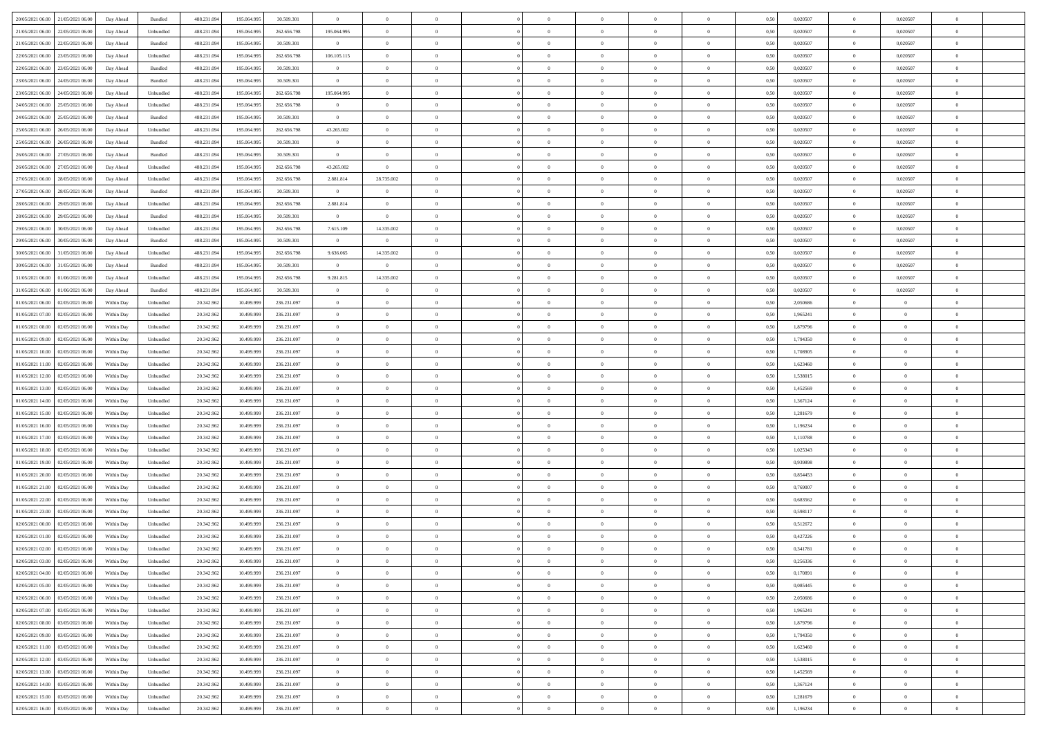| 20/05/2021 06:00 21/05/2021 06:00            | Day Ahead  | Bundled   | 488.231.094 | 195.064.995 | 30.509.301  | $\overline{0}$ | $\theta$       |                | $\overline{0}$ | $\bf{0}$       | $\overline{0}$ | $\theta$       | 0,50 | 0,020507 | $\overline{0}$ | 0,020507       | $\bf{0}$       |  |
|----------------------------------------------|------------|-----------|-------------|-------------|-------------|----------------|----------------|----------------|----------------|----------------|----------------|----------------|------|----------|----------------|----------------|----------------|--|
|                                              |            |           |             |             |             |                |                |                |                |                |                |                |      |          |                |                |                |  |
| 21/05/2021 06:00<br>22/05/2021 06:00         | Day Ahead  | Unbundled | 488.231.09  | 195.064.99  | 262.656.798 | 195.064.995    | $\overline{0}$ | $\overline{0}$ | $\overline{0}$ | $\,$ 0         | $\overline{0}$ | $\bf{0}$       | 0,50 | 0,020507 | $\bf{0}$       | 0,020507       | $\bf{0}$       |  |
| 21/05/2021 06:00<br>22/05/2021 06:00         | Day Ahead  | Bundled   | 488.231.094 | 195,064.99  | 30.509.301  | $\overline{0}$ | $\overline{0}$ | $\overline{0}$ | $\overline{0}$ | $\bf{0}$       | $\overline{0}$ | $\overline{0}$ | 0.50 | 0.020507 | $\overline{0}$ | 0.020507       | $\bf{0}$       |  |
| 22/05/2021 06:00<br>23/05/2021 06:00         | Day Ahead  | Unbundled | 488.231.09  | 195.064.995 | 262.656.798 | 106.105.115    | $\overline{0}$ | $\overline{0}$ | $\overline{0}$ | $\bf{0}$       | $\overline{0}$ | $\theta$       | 0,50 | 0,020507 | $\,$ 0 $\,$    | 0,020507       | $\overline{0}$ |  |
| 22/05/2021 06:00<br>23/05/2021 06.00         | Day Ahead  | Bundled   | 488.231.09  | 195.064.99  | 30.509.301  | $\overline{0}$ | $\theta$       | $\overline{0}$ |                | $\bf{0}$       | $\overline{0}$ | $\bf{0}$       | 0,50 | 0,020507 | $\bf{0}$       | 0,020507       | $\bf{0}$       |  |
| 23/05/2021 06:00<br>24/05/2021 06:00         | Day Ahead  | Bundled   | 488.231.09  | 195,064.99  | 30.509.301  | $\overline{0}$ | $\overline{0}$ | $\overline{0}$ | $\overline{0}$ | $\bf{0}$       | $\overline{0}$ | $\overline{0}$ | 0.50 | 0.020507 | $\bf{0}$       | 0.020507       | $\bf{0}$       |  |
| 23/05/2021 06:00<br>24/05/2021 06:00         | Day Ahead  | Unbundled | 488.231.09  | 195.064.995 | 262.656.798 | 195.064.995    | $\overline{0}$ | $\overline{0}$ | $\overline{0}$ | $\bf{0}$       | $\overline{0}$ | $\overline{0}$ | 0,50 | 0,020507 | $\,$ 0 $\,$    | 0,020507       | $\overline{0}$ |  |
| 24/05/2021 06:00<br>25/05/2021 06.00         | Day Ahead  | Unbundled | 488.231.09  | 195.064.99  | 262.656.798 | $\overline{0}$ | $\overline{0}$ | $\overline{0}$ | $\overline{0}$ | $\,$ 0         | $\overline{0}$ | $\bf{0}$       | 0,50 | 0,020507 | $\bf{0}$       | 0,020507       | $\bf{0}$       |  |
|                                              |            |           |             |             |             |                |                |                |                |                |                |                |      |          |                |                |                |  |
| 24/05/2021 06:00<br>25/05/2021 06:00         | Day Ahead  | Bundled   | 488.231.09  | 195,064.99  | 30.509.301  | $\overline{0}$ | $\overline{0}$ | $\overline{0}$ | $\overline{0}$ | $\bf{0}$       | $\overline{0}$ | $\overline{0}$ | 0.50 | 0.020507 | $\overline{0}$ | 0.020507       | $\bf{0}$       |  |
| 25/05/2021 06:00<br>26/05/2021 06:00         | Day Ahead  | Unbundled | 488.231.094 | 195.064.995 | 262.656.798 | 43.265.002     | $\overline{0}$ | $\overline{0}$ | $\overline{0}$ | $\bf{0}$       | $\overline{0}$ | $\overline{0}$ | 0,50 | 0,020507 | $\overline{0}$ | 0,020507       | $\overline{0}$ |  |
| 25/05/2021 06:00<br>26/05/2021 06.00         | Day Ahead  | Bundled   | 488.231.09  | 195.064.99  | 30.509.301  | $\bf{0}$       | $\theta$       | $\overline{0}$ | $\overline{0}$ | $\,$ 0         | $\overline{0}$ | $\bf{0}$       | 0,50 | 0,020507 | $\bf{0}$       | 0,020507       | $\bf{0}$       |  |
| 26/05/2021 06:00<br>27/05/2021 06:00         | Day Ahead  | Bundled   | 488.231.094 | 195,064,995 | 30.509.301  | $\overline{0}$ | $\bf{0}$       | $\overline{0}$ | $\overline{0}$ | $\,$ 0 $\,$    | $\overline{0}$ | $\overline{0}$ | 0.50 | 0.020507 | $\,$ 0 $\,$    | 0.020507       | $\bf{0}$       |  |
| 26/05/2021 06:00<br>27/05/2021 06:00         | Day Ahead  | Unbundled | 488.231.09  | 195.064.995 | 262.656.798 | 43.265.002     | $\overline{0}$ | $\overline{0}$ | $\overline{0}$ | $\bf{0}$       | $\overline{0}$ | $\theta$       | 0,50 | 0,020507 | $\,$ 0 $\,$    | 0,020507       | $\overline{0}$ |  |
| 27/05/2021 06:00<br>28/05/2021 06:00         | Day Ahead  | Unbundled | 488.231.09  | 195.064.99  | 262.656.798 | 2.881.814      | 28.735.002     | $\overline{0}$ |                | $\,$ 0         | $\overline{0}$ | $\bf{0}$       | 0,50 | 0,020507 | $\bf{0}$       | 0,020507       | $\bf{0}$       |  |
| 27/05/2021 06:00<br>28/05/2021 06:00         | Day Ahead  | Bundled   | 488.231.09  | 195,064.99  | 30.509.301  | $\mathbf{0}$   | $\overline{0}$ | $\overline{0}$ | $\overline{0}$ | $\bf{0}$       | $\overline{0}$ | $\overline{0}$ | 0.50 | 0.020507 | $\bf{0}$       | 0.020507       | $\bf{0}$       |  |
|                                              |            |           |             |             |             |                | $\overline{0}$ | $\overline{0}$ | $\overline{0}$ |                | $\overline{0}$ | $\overline{0}$ |      |          | $\,$ 0 $\,$    |                | $\overline{0}$ |  |
| 28/05/2021 06:00<br>29/05/2021 06:00         | Day Ahead  | Unbundled | 488.231.094 | 195.064.995 | 262.656.798 | 2.881.814      |                |                |                | $\bf{0}$       |                |                | 0,50 | 0,020507 |                | 0,020507       |                |  |
| 28/05/2021 06:00<br>29/05/2021 06.00         | Day Ahead  | Bundled   | 488.231.09  | 195.064.99  | 30.509.301  | $\bf{0}$       | $\overline{0}$ | $\overline{0}$ |                | $\,$ 0         | $\overline{0}$ | $\bf{0}$       | 0,50 | 0,020507 | $\bf{0}$       | 0,020507       | $\overline{0}$ |  |
| 29/05/2021 06:00<br>30/05/2021 06:00         | Day Ahead  | Unbundled | 488.231.09  | 195,064.99  | 262.656.798 | 7.615.109      | 14.335.002     | $\overline{0}$ | $\overline{0}$ | $\bf{0}$       | $\overline{0}$ | $\overline{0}$ | 0.50 | 0.020507 | $\overline{0}$ | 0.020507       | $\bf{0}$       |  |
| 29/05/2021 06:00<br>30/05/2021 06:00         | Day Ahead  | Bundled   | 488.231.094 | 195.064.995 | 30.509.301  | $\overline{0}$ | $\overline{0}$ | $\overline{0}$ | $\overline{0}$ | $\bf{0}$       | $\overline{0}$ | $\overline{0}$ | 0,50 | 0,020507 | $\,$ 0 $\,$    | 0,020507       | $\overline{0}$ |  |
| 30/05/2021 06:00<br>31/05/2021 06.00         | Day Ahead  | Unbundled | 488.231.09  | 195.064.99  | 262.656.798 | 9.636.065      | 14.335.002     | $\overline{0}$ | $\overline{0}$ | $\,$ 0         | $\overline{0}$ | $\bf{0}$       | 0,50 | 0,020507 | $\bf{0}$       | 0,020507       | $\bf{0}$       |  |
| 30/05/2021 06:00<br>31/05/2021 06:00         | Day Ahead  | Bundled   | 488.231.094 | 195,064,995 | 30.509.301  | $\overline{0}$ | $\overline{0}$ | $\overline{0}$ | $\overline{0}$ | $\,$ 0 $\,$    | $\overline{0}$ | $\overline{0}$ | 0.50 | 0.020507 | $\overline{0}$ | 0.020507       | $\bf{0}$       |  |
| 31/05/2021 06:00<br>01/06/2021 06:00         | Day Ahead  | Unbundled | 488.231.09  | 195.064.995 | 262.656.798 | 9.281.815      | 14.335.002     | $\overline{0}$ | $\overline{0}$ | $\,$ 0         | $\overline{0}$ | $\overline{0}$ | 0,50 | 0,020507 | $\,$ 0 $\,$    | 0,020507       | $\overline{0}$ |  |
|                                              |            |           |             |             |             |                |                |                |                |                |                |                |      |          |                |                |                |  |
| 31/05/2021 06:00<br>01/06/2021 06.00         | Day Ahead  | Bundled   | 488.231.09  | 195.064.99  | 30.509.301  | $\overline{0}$ | $\theta$       | $\overline{0}$ | $\overline{0}$ | $\,$ 0         | $\overline{0}$ | $\bf{0}$       | 0,50 | 0,020507 | $\bf{0}$       | 0,020507       | $\bf{0}$       |  |
| 01/05/2021 06:00<br>02/05/2021 06:00         | Within Day | Unbundled | 20.342.96   | 10.499.999  | 236.231.097 | $\overline{0}$ | $\overline{0}$ | $\overline{0}$ | $\overline{0}$ | $\bf{0}$       | $\overline{0}$ | $\overline{0}$ | 0.50 | 2.050686 | $\bf{0}$       | $\overline{0}$ | $\bf{0}$       |  |
| 01/05/2021 07:00<br>02/05/2021 06:00         | Within Day | Unbundled | 20.342.962  | 10.499.999  | 236.231.097 | $\overline{0}$ | $\overline{0}$ | $\overline{0}$ | $\overline{0}$ | $\bf{0}$       | $\overline{0}$ | $\overline{0}$ | 0,50 | 1,965241 | $\,$ 0 $\,$    | $\overline{0}$ | $\overline{0}$ |  |
| 01/05/2021 08:00<br>02/05/2021 06.00         | Within Day | Unbundled | 20.342.96   | 10.499.999  | 236.231.097 | $\overline{0}$ | $\theta$       | $\overline{0}$ |                | $\,$ 0         | $\overline{0}$ | $\bf{0}$       | 0,50 | 1,879796 | $\bf{0}$       | $\overline{0}$ | $\,$ 0         |  |
| 01/05/2021 09:00<br>02/05/2021 06:00         | Within Day | Unbundled | 20.342.96   | 10.499.999  | 236.231.097 | $\overline{0}$ | $\overline{0}$ | $\overline{0}$ | $\overline{0}$ | $\bf{0}$       | $\overline{0}$ | $\overline{0}$ | 0.50 | 1.794350 | $\bf{0}$       | $\overline{0}$ | $\bf{0}$       |  |
| 01/05/2021 10:00<br>02/05/2021 06:00         | Within Day | Unbundled | 20.342.962  | 10.499.999  | 236.231.097 | $\overline{0}$ | $\overline{0}$ | $\overline{0}$ | $\overline{0}$ | $\bf{0}$       | $\overline{0}$ | $\overline{0}$ | 0,50 | 1,708905 | $\,$ 0 $\,$    | $\overline{0}$ | $\overline{0}$ |  |
| 01/05/2021 11:00<br>02/05/2021 06.00         | Within Day | Unbundled | 20.342.96   | 10.499.999  | 236.231.097 | $\bf{0}$       | $\overline{0}$ | $\overline{0}$ | $\overline{0}$ | $\bf{0}$       | $\overline{0}$ | $\bf{0}$       | 0,50 | 1,623460 | $\bf{0}$       | $\overline{0}$ | $\bf{0}$       |  |
| 02/05/2021 06:00                             |            |           |             | 10.499.999  |             |                | $\overline{0}$ |                |                |                |                | $\overline{0}$ | 0.50 | 1.538015 |                |                |                |  |
| 01/05/2021 12:00                             | Within Day | Unbundled | 20.342.962  |             | 236.231.097 | $\overline{0}$ |                | $\overline{0}$ | $\overline{0}$ | $\,$ 0 $\,$    | $\overline{0}$ |                |      |          | $\,$ 0 $\,$    | $\bf{0}$       | $\bf{0}$       |  |
| 01/05/2021 13:00<br>02/05/2021 06:00         | Within Day | Unbundled | 20.342.96   | 10.499.999  | 236.231.097 | $\overline{0}$ | $\overline{0}$ | $\overline{0}$ | $\Omega$       | $\mathbf{0}$   | $\overline{0}$ | $\overline{0}$ | 0.50 | 1,452569 | $\mathbf{0}$   | $\overline{0}$ | $\overline{0}$ |  |
| 01/05/2021 14:00<br>02/05/2021 06.00         | Within Day | Unbundled | 20.342.96   | 10.499.999  | 236.231.097 | $\bf{0}$       | $\theta$       | $\overline{0}$ |                | $\,$ 0         | $\overline{0}$ | $\bf{0}$       | 0,50 | 1,367124 | $\bf{0}$       | $\overline{0}$ | $\bf{0}$       |  |
| 01/05/2021 15:00<br>02/05/2021 06:00         | Within Day | Unbundled | 20.342.962  | 10.499.999  | 236.231.097 | $\overline{0}$ | $\overline{0}$ | $\overline{0}$ | $\overline{0}$ | $\bf{0}$       | $\overline{0}$ | $\overline{0}$ | 0.50 | 1.281679 | $\bf{0}$       | $\overline{0}$ | $\bf{0}$       |  |
| 01/05/2021 16:00<br>02/05/2021 06:00         | Within Day | Unbundled | 20.342.962  | 10.499.999  | 236.231.097 | $\overline{0}$ | $\overline{0}$ | $\Omega$       | $\Omega$       | $\mathbf{0}$   | $\overline{0}$ | $\overline{0}$ | 0.50 | 1,196234 | $\mathbf{0}$   | $\overline{0}$ | $\overline{0}$ |  |
| 01/05/2021 17:00<br>02/05/2021 06.00         | Within Day | Unbundled | 20.342.96   | 10.499.999  | 236.231.097 | $\overline{0}$ | $\theta$       | $\overline{0}$ |                | $\,$ 0         | $\overline{0}$ | $\bf{0}$       | 0,50 | 1,110788 | $\bf{0}$       | $\overline{0}$ | $\bf{0}$       |  |
| 01/05/2021 18:00<br>02/05/2021 06:00         | Within Day | Unbundled | 20.342.96   | 10.499.999  | 236.231.097 | $\overline{0}$ | $\overline{0}$ | $\overline{0}$ | $\overline{0}$ | $\bf{0}$       | $\overline{0}$ | $\overline{0}$ | 0.50 | 1.025343 | $\bf{0}$       | $\overline{0}$ | $\bf{0}$       |  |
| 01/05/2021 19:00<br>02/05/2021 06:00         | Within Day | Unbundled | 20.342.96   | 10.499.999  | 236.231.097 | $\overline{0}$ | $\overline{0}$ | $\overline{0}$ | $\Omega$       | $\overline{0}$ | $\overline{0}$ | $\overline{0}$ | 0.50 | 0,939898 | $\mathbf{0}$   | $\overline{0}$ | $\overline{0}$ |  |
| 02/05/2021 06.00                             | Within Day | Unbundled | 20.342.96   | 10.499.999  | 236.231.097 | $\bf{0}$       | $\overline{0}$ | $\overline{0}$ | $\overline{0}$ | $\bf{0}$       | $\overline{0}$ | $\bf{0}$       | 0,50 | 0,854453 | $\bf{0}$       | $\overline{0}$ | $\bf{0}$       |  |
| 01/05/2021 20:00                             |            |           |             |             |             |                |                |                |                |                |                |                |      |          |                |                |                |  |
| 01/05/2021 21:00<br>02/05/2021 06:00         | Within Day | Unbundled | 20.342.962  | 10.499.999  | 236.231.097 | $\overline{0}$ | $\overline{0}$ | $\overline{0}$ | $\overline{0}$ | $\,$ 0 $\,$    | $\overline{0}$ | $\overline{0}$ | 0.50 | 0.769007 | $\overline{0}$ | $\overline{0}$ | $\bf{0}$       |  |
| 01/05/2021 22:00<br>02/05/2021 06:00         | Within Day | Unbundled | 20.342.962  | 10.499.999  | 236.231.097 | $\overline{0}$ | $\overline{0}$ | $\Omega$       | $\Omega$       | $\mathbf{0}$   | $\overline{0}$ | $\overline{0}$ | 0.50 | 0,683562 | $\mathbf{0}$   | $\overline{0}$ | $\overline{0}$ |  |
| 01/05/2021 23:00<br>02/05/2021 06.00         | Within Day | Unbundled | 20.342.96   | 10.499.999  | 236.231.097 | $\bf{0}$       | $\overline{0}$ | $\overline{0}$ | $\overline{0}$ | $\,$ 0         | $\overline{0}$ | $\bf{0}$       | 0,50 | 0,598117 | $\bf{0}$       | $\overline{0}$ | $\bf{0}$       |  |
| 02/05/2021 00:00<br>02/05/2021 06:00         | Within Day | Unbundled | 20.342.962  | 10.499.999  | 236.231.097 | $\overline{0}$ | $\overline{0}$ | $\overline{0}$ | $\overline{0}$ | $\bf{0}$       | $\overline{0}$ | $\overline{0}$ | 0.50 | 0,512672 | $\bf{0}$       | $\overline{0}$ | $\bf{0}$       |  |
| 02/05/2021 01:00<br>02/05/2021 06:00         | Within Day | Unbundled | 20.342.96   | 10.499.999  | 236.231.097 | $\overline{0}$ | $\Omega$       | $\Omega$       | $\Omega$       | $\bf{0}$       | $\overline{0}$ | $\theta$       | 0.50 | 0,427226 | $\mathbf{0}$   | $\overline{0}$ | $\overline{0}$ |  |
| 02/05/2021 02:00<br>02/05/2021 06:00         | Within Day | Unbundled | 20.342.96   | 10.499.999  | 236.231.097 | $\bf{0}$       | $\overline{0}$ | $\overline{0}$ | $\bf{0}$       | $\,$ 0         | $\overline{0}$ | $\bf{0}$       | 0,50 | 0,341781 | $\bf{0}$       | $\overline{0}$ | $\bf{0}$       |  |
| $02/05/2021\ 03.00 \qquad 02/05/2021\ 06.00$ | Within Day | Unbundled | 20.342.962  | 10.499.999  | 236.231.097 | $\bf{0}$       | $\theta$       |                |                |                |                |                | 0,50 | 0,256336 | $\theta$       | $\Omega$       |                |  |
| 02/05/2021 04:00 02/05/2021 06:00            | Within Day | Unbundled | 20.342.962  | 10.499.999  | 236.231.097 | $\theta$       | $\overline{0}$ | $\theta$       | $\Omega$       | $\mathbf{0}$   | $\overline{0}$ | $\overline{0}$ | 0,50 | 0,170891 | $\theta$       | $\overline{0}$ | $\bf{0}$       |  |
|                                              |            |           |             |             |             |                |                |                |                |                |                |                |      |          |                |                |                |  |
| 02/05/2021 05:00<br>02/05/2021 06:00         | Within Day | Unbundled | 20.342.96   | 10.499.999  | 236.231.097 | $\bf{0}$       | $\overline{0}$ | $\overline{0}$ | $\bf{0}$       | $\overline{0}$ | $\overline{0}$ | $\mathbf{0}$   | 0,50 | 0,085445 | $\overline{0}$ | $\overline{0}$ | $\bf{0}$       |  |
| 02/05/2021 06:00 03/05/2021 06:00            | Within Day | Unbundled | 20.342.962  | 10.499.999  | 236.231.097 | $\overline{0}$ | $\overline{0}$ | $\overline{0}$ | $\overline{0}$ | $\,$ 0 $\,$    | $\overline{0}$ | $\mathbf{0}$   | 0.50 | 2.050686 | $\overline{0}$ | $\,$ 0 $\,$    | $\bf{0}$       |  |
| 02/05/2021 07:00 03/05/2021 06:00            | Within Day | Unbundled | 20.342.962  | 10.499.999  | 236.231.097 | $\overline{0}$ | $\overline{0}$ | $\overline{0}$ | $\overline{0}$ | $\mathbf{0}$   | $\overline{0}$ | $\overline{0}$ | 0,50 | 1,965241 | $\theta$       | $\overline{0}$ | $\bf{0}$       |  |
| 02/05/2021 08:00<br>03/05/2021 06:00         | Within Day | Unbundled | 20.342.962  | 10.499.999  | 236.231.097 | $\bf{0}$       | $\overline{0}$ | $\overline{0}$ | $\overline{0}$ | $\bf{0}$       | $\overline{0}$ | $\bf{0}$       | 0,50 | 1,879796 | $\,0\,$        | $\bf{0}$       | $\bf{0}$       |  |
| 02/05/2021 09:00 03/05/2021 06:00            | Within Day | Unbundled | 20.342.962  | 10.499.999  | 236.231.097 | $\overline{0}$ | $\overline{0}$ | $\overline{0}$ | $\overline{0}$ | $\,$ 0 $\,$    | $\overline{0}$ | $\overline{0}$ | 0.50 | 1.794350 | $\overline{0}$ | $\overline{0}$ | $\bf{0}$       |  |
| 02/05/2021 11:00<br>03/05/2021 06:00         | Within Dav | Unbundled | 20.342.962  | 10.499.999  | 236.231.097 | $\overline{0}$ | $\overline{0}$ | $\overline{0}$ | $\overline{0}$ | $\overline{0}$ | $\overline{0}$ | $\overline{0}$ | 0,50 | 1,623460 | $\overline{0}$ | $\overline{0}$ | $\bf{0}$       |  |
| 02/05/2021 12:00<br>03/05/2021 06:00         | Within Day | Unbundled | 20.342.96   | 10.499.999  | 236.231.097 | $\bf{0}$       | $\,$ 0         | $\overline{0}$ | $\overline{0}$ | $\,$ 0 $\,$    | $\overline{0}$ | $\bf{0}$       | 0,50 | 1,538015 | $\overline{0}$ | $\,$ 0 $\,$    | $\bf{0}$       |  |
|                                              |            |           |             |             |             |                |                |                |                |                |                |                |      |          |                |                |                |  |
| 02/05/2021 13:00 03/05/2021 06:00            | Within Day | Unbundled | 20.342.962  | 10.499.999  | 236.231.097 | $\overline{0}$ | $\overline{0}$ | $\overline{0}$ | $\overline{0}$ | $\,$ 0 $\,$    | $\overline{0}$ | $\overline{0}$ | 0.50 | 1.452569 | $\overline{0}$ | $\bf{0}$       | $\bf{0}$       |  |
| 02/05/2021 14:00 03/05/2021 06:00            | Within Dav | Unbundled | 20.342.962  | 10.499.999  | 236.231.097 | $\overline{0}$ | $\overline{0}$ | $\overline{0}$ | $\overline{0}$ | $\overline{0}$ | $\overline{0}$ | $\overline{0}$ | 0,50 | 1,367124 | $\overline{0}$ | $\overline{0}$ | $\bf{0}$       |  |
| 02/05/2021 15:00<br>03/05/2021 06:00         | Within Day | Unbundled | 20.342.96   | 10.499.999  | 236.231.097 | $\bf{0}$       | $\overline{0}$ | $\overline{0}$ | $\overline{0}$ | $\bf{0}$       | $\overline{0}$ | $\bf{0}$       | 0,50 | 1,281679 | $\overline{0}$ | $\bf{0}$       | $\bf{0}$       |  |
| 02/05/2021 16:00 03/05/2021 06:00            | Within Day | Unbundled | 20.342.962  | 10.499.999  | 236.231.097 | $\overline{0}$ | $\bf{0}$       | $\overline{0}$ | $\overline{0}$ | $\,$ 0 $\,$    | $\overline{0}$ | $\overline{0}$ | 0,50 | 1,196234 | $\,$ 0 $\,$    | $\,$ 0 $\,$    | $\bf{0}$       |  |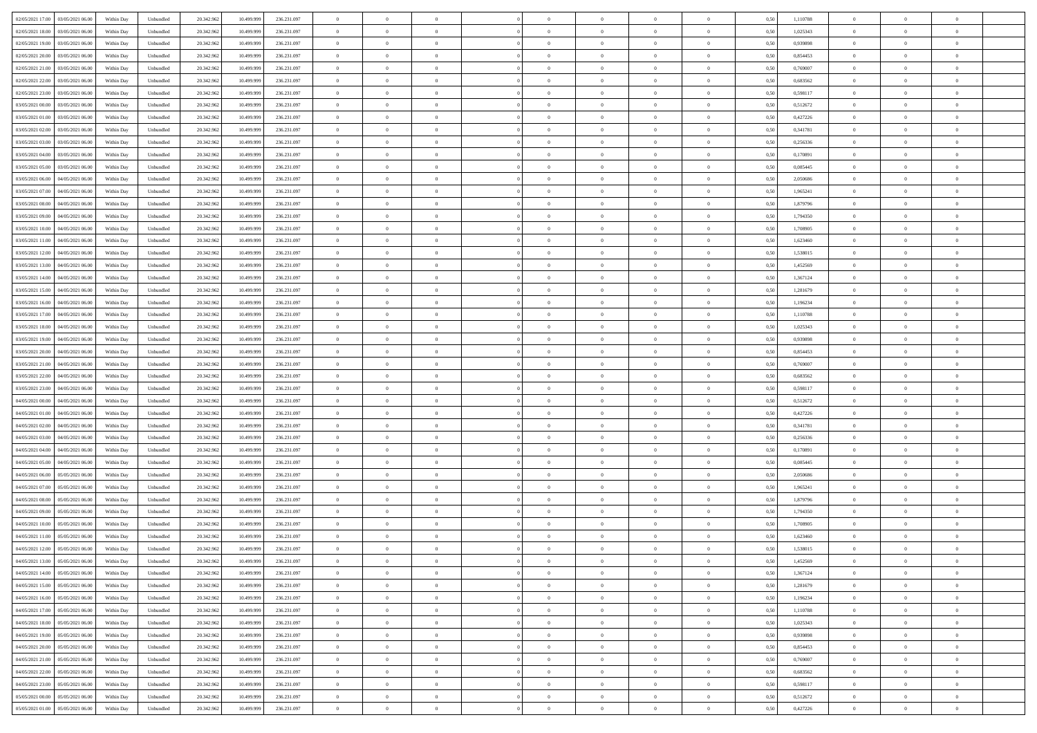| 02/05/2021 17:00<br>03/05/2021 06:00 | Within Day | Unbundled | 20.342.962 | 10.499.999 | 236.231.097 | $\overline{0}$ | $\overline{0}$ | $\overline{0}$ | $\theta$       | $\theta$       |                | $\overline{0}$ | 0,50 | 1,110788 | $\theta$       | $\theta$       | $\overline{0}$ |  |
|--------------------------------------|------------|-----------|------------|------------|-------------|----------------|----------------|----------------|----------------|----------------|----------------|----------------|------|----------|----------------|----------------|----------------|--|
|                                      |            |           |            |            |             |                |                |                |                |                |                |                |      |          |                |                |                |  |
| 02/05/2021 18:00<br>03/05/2021 06.0  | Within Day | Unbundled | 20.342.96  | 10.499.99  | 236.231.097 | $\overline{0}$ | $\overline{0}$ | $\overline{0}$ | $\,$ 0 $\,$    | $\bf{0}$       | $\overline{0}$ | $\bf{0}$       | 0,50 | 1,025343 | $\,$ 0 $\,$    | $\bf{0}$       | $\overline{0}$ |  |
| 02/05/2021 19:00<br>03/05/2021 06:00 | Within Day | Unbundled | 20.342.962 | 10.499.999 | 236.231.097 | $\overline{0}$ | $\overline{0}$ | $\overline{0}$ | $\bf{0}$       | $\bf{0}$       | $\overline{0}$ | $\mathbf{0}$   | 0.50 | 0.939898 | $\bf{0}$       | $\overline{0}$ | $\overline{0}$ |  |
| 02/05/2021 20.00<br>03/05/2021 06:00 | Within Day | Unbundled | 20.342.962 | 10.499.999 | 236.231.097 | $\overline{0}$ | $\overline{0}$ | $\overline{0}$ | $\overline{0}$ | $\overline{0}$ | $\overline{0}$ | $\bf{0}$       | 0,50 | 0,854453 | $\theta$       | $\theta$       | $\overline{0}$ |  |
| 02/05/2021 21:00<br>03/05/2021 06.0  | Within Day | Unbundled | 20.342.96  | 10.499.999 | 236.231.097 | $\overline{0}$ | $\overline{0}$ | $\bf{0}$       | $\bf{0}$       | $\overline{0}$ | $\overline{0}$ | $\bf{0}$       | 0,50 | 0,769007 | $\,$ 0 $\,$    | $\theta$       | $\overline{0}$ |  |
|                                      |            |           |            |            |             |                |                |                |                |                |                |                |      |          |                |                |                |  |
| 02/05/2021 22:00<br>03/05/2021 06:00 | Within Day | Unbundled | 20.342.962 | 10.499.999 | 236.231.097 | $\overline{0}$ | $\overline{0}$ | $\overline{0}$ | $\bf{0}$       | $\overline{0}$ | $\overline{0}$ | $\mathbf{0}$   | 0.50 | 0.683562 | $\bf{0}$       | $\theta$       | $\overline{0}$ |  |
| 02/05/2021 23:00<br>03/05/2021 06:00 | Within Day | Unbundled | 20.342.962 | 10.499.999 | 236.231.097 | $\overline{0}$ | $\overline{0}$ | $\overline{0}$ | $\overline{0}$ | $\overline{0}$ | $\overline{0}$ | $\bf{0}$       | 0,50 | 0,598117 | $\theta$       | $\theta$       | $\overline{0}$ |  |
| 03/05/2021 00.00<br>03/05/2021 06.00 | Within Day | Unbundled | 20.342.96  | 10.499.999 | 236.231.097 | $\overline{0}$ | $\overline{0}$ | $\overline{0}$ | $\bf{0}$       | $\bf{0}$       | $\overline{0}$ | $\bf{0}$       | 0,50 | 0,512672 | $\,$ 0 $\,$    | $\bf{0}$       | $\overline{0}$ |  |
| 03/05/2021 01:00<br>03/05/2021 06:00 | Within Day | Unbundled | 20.342.962 | 10.499.999 | 236.231.097 | $\overline{0}$ | $\overline{0}$ | $\overline{0}$ | $\bf{0}$       | $\overline{0}$ | $\overline{0}$ | $\mathbf{0}$   | 0.50 | 0.427226 | $\,$ 0 $\,$    | $\theta$       | $\overline{0}$ |  |
| 03/05/2021 02.00<br>03/05/2021 06:00 | Within Day | Unbundled | 20.342.962 | 10.499.999 | 236.231.097 | $\overline{0}$ | $\overline{0}$ | $\overline{0}$ | $\bf{0}$       | $\overline{0}$ | $\overline{0}$ | $\bf{0}$       | 0,50 | 0,341781 | $\,$ 0 $\,$    | $\theta$       | $\overline{0}$ |  |
|                                      |            |           |            |            |             |                | $\overline{0}$ |                |                | $\bf{0}$       | $\overline{0}$ | $\bf{0}$       |      |          | $\,$ 0 $\,$    | $\bf{0}$       | $\overline{0}$ |  |
| 03/05/2021 03.00<br>03/05/2021 06.0  | Within Day | Unbundled | 20.342.96  | 10.499.999 | 236.231.097 | $\overline{0}$ |                | $\overline{0}$ | $\bf{0}$       |                |                |                | 0,50 | 0,256336 |                |                |                |  |
| 03/05/2021 04:00<br>03/05/2021 06:00 | Within Day | Unbundled | 20.342.962 | 10.499.999 | 236.231.097 | $\overline{0}$ | $\overline{0}$ | $\overline{0}$ | $\bf{0}$       | $\bf{0}$       | $\overline{0}$ | $\,$ 0 $\,$    | 0.50 | 0.170891 | $\bf{0}$       | $\overline{0}$ | $\bf{0}$       |  |
| 03/05/2021 05:00<br>03/05/2021 06:00 | Within Day | Unbundled | 20.342.962 | 10.499.999 | 236.231.097 | $\overline{0}$ | $\overline{0}$ | $\overline{0}$ | $\overline{0}$ | $\overline{0}$ | $\overline{0}$ | $\bf{0}$       | 0,50 | 0,085445 | $\theta$       | $\theta$       | $\overline{0}$ |  |
| 03/05/2021 06.00<br>04/05/2021 06.0  | Within Day | Unbundled | 20.342.96  | 10.499.999 | 236.231.097 | $\overline{0}$ | $\overline{0}$ | $\overline{0}$ | $\bf{0}$       | $\bf{0}$       | $\overline{0}$ | $\bf{0}$       | 0,50 | 2,050686 | $\,$ 0 $\,$    | $\bf{0}$       | $\overline{0}$ |  |
| 03/05/2021 07:00<br>04/05/2021 06:00 | Within Day | Unbundled | 20.342.962 | 10.499.999 | 236.231.097 | $\overline{0}$ | $\overline{0}$ | $\overline{0}$ | $\overline{0}$ | $\overline{0}$ | $\overline{0}$ | $\mathbf{0}$   | 0.50 | 1.965241 | $\theta$       | $\theta$       | $\overline{0}$ |  |
| 03/05/2021 08:00<br>04/05/2021 06:00 | Within Day | Unbundled | 20.342.962 | 10.499.999 | 236.231.097 | $\overline{0}$ | $\overline{0}$ | $\overline{0}$ | $\overline{0}$ | $\overline{0}$ | $\overline{0}$ | $\bf{0}$       | 0,50 | 1,879796 | $\theta$       | $\theta$       | $\overline{0}$ |  |
|                                      |            |           |            |            |             |                |                |                |                |                |                |                |      |          |                |                |                |  |
| 03/05/2021 09:00<br>04/05/2021 06.0  | Within Day | Unbundled | 20.342.96  | 10.499.999 | 236.231.097 | $\overline{0}$ | $\overline{0}$ | $\overline{0}$ | $\bf{0}$       | $\overline{0}$ | $\overline{0}$ | $\bf{0}$       | 0,50 | 1,794350 | $\,$ 0 $\,$    | $\theta$       | $\overline{0}$ |  |
| 03/05/2021 10:00<br>04/05/2021 06:00 | Within Day | Unbundled | 20.342.962 | 10.499.999 | 236.231.097 | $\overline{0}$ | $\overline{0}$ | $\overline{0}$ | $\bf{0}$       | $\bf{0}$       | $\overline{0}$ | $\mathbf{0}$   | 0.50 | 1,708905 | $\,$ 0 $\,$    | $\overline{0}$ | $\overline{0}$ |  |
| 03/05/2021 11:00<br>04/05/2021 06:00 | Within Day | Unbundled | 20.342.962 | 10.499.999 | 236.231.097 | $\overline{0}$ | $\overline{0}$ | $\overline{0}$ | $\overline{0}$ | $\overline{0}$ | $\overline{0}$ | $\bf{0}$       | 0,50 | 1,623460 | $\,$ 0 $\,$    | $\theta$       | $\overline{0}$ |  |
| 03/05/2021 12:00<br>04/05/2021 06.0  | Within Day | Unbundled | 20.342.96  | 10.499.999 | 236.231.097 | $\overline{0}$ | $\overline{0}$ | $\overline{0}$ | $\bf{0}$       | $\bf{0}$       | $\overline{0}$ | $\bf{0}$       | 0,50 | 1,538015 | $\,$ 0 $\,$    | $\bf{0}$       | $\overline{0}$ |  |
| 03/05/2021 13:00<br>04/05/2021 06:00 | Within Day | Unbundled | 20.342.962 | 10.499.999 | 236.231.097 | $\overline{0}$ | $\overline{0}$ | $\overline{0}$ | $\bf{0}$       | $\bf{0}$       | $\overline{0}$ | $\,$ 0 $\,$    | 0.50 | 1.452569 | $\bf{0}$       | $\overline{0}$ | $\,$ 0         |  |
| 03/05/2021 14:00<br>04/05/2021 06:00 | Within Day | Unbundled | 20.342.962 | 10.499.999 | 236.231.097 | $\overline{0}$ | $\overline{0}$ | $\overline{0}$ | $\overline{0}$ | $\overline{0}$ | $\overline{0}$ | $\,$ 0 $\,$    | 0,50 | 1,367124 | $\theta$       | $\theta$       | $\overline{0}$ |  |
|                                      |            |           |            |            |             |                |                |                |                |                |                |                |      |          |                |                |                |  |
| 03/05/2021 15.00<br>04/05/2021 06.0  | Within Day | Unbundled | 20.342.96  | 10.499.999 | 236.231.097 | $\overline{0}$ | $\overline{0}$ | $\overline{0}$ | $\bf{0}$       | $\overline{0}$ | $\overline{0}$ | $\bf{0}$       | 0,50 | 1,281679 | $\,$ 0 $\,$    | $\bf{0}$       | $\overline{0}$ |  |
| 03/05/2021 16:00<br>04/05/2021 06:00 | Within Day | Unbundled | 20.342.962 | 10.499.999 | 236.231.097 | $\overline{0}$ | $\overline{0}$ | $\overline{0}$ | $\overline{0}$ | $\overline{0}$ | $\overline{0}$ | $\mathbf{0}$   | 0.50 | 1.196234 | $\,$ 0 $\,$    | $\theta$       | $\overline{0}$ |  |
| 03/05/2021 17:00<br>04/05/2021 06:00 | Within Day | Unbundled | 20.342.962 | 10.499.999 | 236.231.097 | $\overline{0}$ | $\overline{0}$ | $\overline{0}$ | $\overline{0}$ | $\overline{0}$ | $\overline{0}$ | $\bf{0}$       | 0,50 | 1,110788 | $\theta$       | $\theta$       | $\overline{0}$ |  |
| 03/05/2021 18.00<br>04/05/2021 06.0  | Within Day | Unbundled | 20.342.96  | 10.499.999 | 236.231.097 | $\overline{0}$ | $\overline{0}$ | $\overline{0}$ | $\bf{0}$       | $\overline{0}$ | $\overline{0}$ | $\bf{0}$       | 0,50 | 1,025343 | $\,$ 0 $\,$    | $\bf{0}$       | $\overline{0}$ |  |
| 03/05/2021 19:00<br>04/05/2021 06:00 | Within Day | Unbundled | 20.342.962 | 10.499.999 | 236.231.097 | $\overline{0}$ | $\overline{0}$ | $\overline{0}$ | $\bf{0}$       | $\overline{0}$ | $\overline{0}$ | $\mathbf{0}$   | 0.50 | 0.939898 | $\,$ 0 $\,$    | $\theta$       | $\overline{0}$ |  |
| 03/05/2021 20:00<br>04/05/2021 06:00 | Within Day | Unbundled | 20.342.962 | 10.499.999 | 236.231.097 | $\overline{0}$ | $\overline{0}$ | $\overline{0}$ | $\overline{0}$ | $\overline{0}$ | $\overline{0}$ | $\bf{0}$       | 0,50 | 0,854453 | $\theta$       | $\theta$       | $\overline{0}$ |  |
|                                      |            |           |            |            |             |                |                |                |                |                |                |                |      |          |                |                |                |  |
| 03/05/2021 21:00<br>04/05/2021 06.0  | Within Day | Unbundled | 20.342.96  | 10.499.999 | 236.231.097 | $\overline{0}$ | $\overline{0}$ | $\overline{0}$ | $\overline{0}$ | $\bf{0}$       | $\overline{0}$ | $\bf{0}$       | 0,50 | 0,769007 | $\,$ 0 $\,$    | $\bf{0}$       | $\overline{0}$ |  |
| 03/05/2021 22.00<br>04/05/2021 06:00 | Within Day | Unbundled | 20.342.962 | 10.499.999 | 236.231.097 | $\overline{0}$ | $\overline{0}$ | $\overline{0}$ | $\bf{0}$       | $\bf{0}$       | $\overline{0}$ | $\,$ 0 $\,$    | 0.50 | 0.683562 | $\bf{0}$       | $\overline{0}$ | $\overline{0}$ |  |
| 03/05/2021 23:00<br>04/05/2021 06:00 | Within Day | Unbundled | 20.342.962 | 10.499.999 | 236.231.097 | $\overline{0}$ | $\overline{0}$ | $\overline{0}$ | $\overline{0}$ | $\overline{0}$ | $\overline{0}$ | $\overline{0}$ | 0.50 | 0,598117 | $\theta$       | $\theta$       | $\overline{0}$ |  |
| 04/05/2021 00.00<br>04/05/2021 06.0  | Within Day | Unbundled | 20.342.962 | 10.499.999 | 236.231.097 | $\overline{0}$ | $\overline{0}$ | $\overline{0}$ | $\bf{0}$       | $\overline{0}$ | $\overline{0}$ | $\bf{0}$       | 0,50 | 0,512672 | $\,$ 0 $\,$    | $\bf{0}$       | $\overline{0}$ |  |
| 04/05/2021 01:00<br>04/05/2021 06:00 | Within Day | Unbundled | 20.342.962 | 10.499.999 | 236.231.097 | $\overline{0}$ | $\overline{0}$ | $\overline{0}$ | $\overline{0}$ | $\overline{0}$ | $\overline{0}$ | $\mathbf{0}$   | 0.50 | 0.427226 | $\,$ 0 $\,$    | $\theta$       | $\overline{0}$ |  |
| 04/05/2021 02:00<br>04/05/2021 06:00 | Within Day | Unbundled | 20.342.962 | 10.499.999 | 236.231.097 | $\overline{0}$ | $\overline{0}$ | $\overline{0}$ | $\overline{0}$ | $\overline{0}$ | $\overline{0}$ | $\overline{0}$ | 0.50 | 0,341781 | $\theta$       | $\theta$       | $\overline{0}$ |  |
|                                      |            |           |            |            |             |                |                |                |                |                | $\overline{0}$ |                |      |          |                |                |                |  |
| 04/05/2021 03:00<br>04/05/2021 06.0  | Within Day | Unbundled | 20.342.96  | 10.499.999 | 236.231.097 | $\overline{0}$ | $\overline{0}$ | $\overline{0}$ | $\bf{0}$       | $\overline{0}$ |                | $\bf{0}$       | 0,50 | 0,256336 | $\,$ 0 $\,$    | $\bf{0}$       | $\overline{0}$ |  |
| 04/05/2021 04:00<br>04/05/2021 06:00 | Within Day | Unbundled | 20.342.962 | 10.499.999 | 236.231.097 | $\overline{0}$ | $\overline{0}$ | $\overline{0}$ | $\overline{0}$ | $\bf{0}$       | $\overline{0}$ | $\mathbf{0}$   | 0.50 | 0.170891 | $\,$ 0 $\,$    | $\theta$       | $\overline{0}$ |  |
| 04/05/2021 05:00<br>04/05/2021 06:00 | Within Day | Unbundled | 20.342.962 | 10.499.999 | 236.231.097 | $\overline{0}$ | $\overline{0}$ | $\overline{0}$ | $\overline{0}$ | $\overline{0}$ | $\overline{0}$ | $\overline{0}$ | 0.50 | 0,085445 | $\theta$       | $\theta$       | $\overline{0}$ |  |
| 04/05/2021 06.00<br>05/05/2021 06.0  | Within Day | Unbundled | 20.342.96  | 10.499.999 | 236.231.097 | $\overline{0}$ | $\overline{0}$ | $\overline{0}$ | $\,$ 0 $\,$    | $\bf{0}$       | $\overline{0}$ | $\bf{0}$       | 0,50 | 2,050686 | $\,$ 0 $\,$    | $\bf{0}$       | $\overline{0}$ |  |
| 04/05/2021 07:00<br>05/05/2021 06:00 | Within Day | Unbundled | 20.342.962 | 10.499.999 | 236.231.097 | $\overline{0}$ | $\overline{0}$ | $\overline{0}$ | $\bf{0}$       | $\bf{0}$       | $\overline{0}$ | $\mathbf{0}$   | 0.50 | 1,965241 | $\bf{0}$       | $\overline{0}$ | $\,$ 0         |  |
| 04/05/2021 08:00<br>05/05/2021 06:00 | Within Day | Unbundled | 20.342.962 | 10.499.999 | 236.231.097 | $\overline{0}$ | $\overline{0}$ | $\overline{0}$ | $\overline{0}$ | $\overline{0}$ | $\overline{0}$ | $\overline{0}$ | 0.50 | 1,879796 | $\theta$       | $\theta$       | $\overline{0}$ |  |
|                                      |            |           |            |            |             |                | $\overline{0}$ |                | $\bf{0}$       | $\bf{0}$       | $\overline{0}$ | $\bf{0}$       |      |          | $\,$ 0 $\,$    | $\bf{0}$       | $\overline{0}$ |  |
| 04/05/2021 09.00<br>05/05/2021 06.0  | Within Day | Unbundled | 20.342.962 | 10.499.999 | 236.231.097 | $\overline{0}$ |                | $\overline{0}$ |                |                |                |                | 0,50 | 1,794350 |                |                |                |  |
| 04/05/2021 10:00<br>05/05/2021 06.00 | Within Day | Unbundled | 20.342.962 | 10.499.999 | 236.231.097 | $\overline{0}$ | $\overline{0}$ | $\overline{0}$ | $\overline{0}$ | $\overline{0}$ | $\overline{0}$ | $\mathbf{0}$   | 0.50 | 1,708905 | $\,$ 0 $\,$    | $\theta$       | $\overline{0}$ |  |
| 04/05/2021 11:00<br>05/05/2021 06:00 | Within Day | Unbundled | 20.342.962 | 10,499.999 | 236.231.097 | $\overline{0}$ | $\overline{0}$ | $\overline{0}$ | $\overline{0}$ | $\overline{0}$ | $\Omega$       | $\overline{0}$ | 0.50 | 1,623460 | $\theta$       | $\theta$       | $\overline{0}$ |  |
| 04/05/2021 12:00<br>05/05/2021 06.00 | Within Day | Unbundled | 20.342.962 | 10.499.999 | 236.231.097 | $\overline{0}$ | $\overline{0}$ | $\bf{0}$       | $\overline{0}$ | $\bf{0}$       | $\overline{0}$ | $\bf{0}$       | 0,50 | 1,538015 | $\,$ 0 $\,$    | $\bf{0}$       | $\overline{0}$ |  |
| 04/05/2021 13:00 05/05/2021 06:00    | Within Day | Unbundled | 20.342.962 | 10.499.999 | 236.231.097 | $\bf{0}$       | $\,$ 0 $\,$    |                | $\bf{0}$       |                |                | $\Omega$       | 0,50 | 1,452569 | $\theta$       | $\overline{0}$ |                |  |
| 04/05/2021 14:00  05/05/2021 06:00   | Within Dav | Unbundled | 20.342.962 | 10.499.999 | 236.231.097 | $\overline{0}$ | $\overline{0}$ | $\overline{0}$ | $\overline{0}$ | $\overline{0}$ | $\overline{0}$ | $\overline{0}$ | 0,50 | 1,367124 | $\theta$       | $\theta$       | $\overline{0}$ |  |
| 04/05/2021 15:00<br>05/05/2021 06.00 | Within Day | Unbundled | 20.342.962 | 10.499.999 | 236.231.097 | $\overline{0}$ | $\overline{0}$ | $\overline{0}$ | $\bf{0}$       | $\overline{0}$ | $\overline{0}$ | $\mathbf{0}$   | 0,50 | 1,281679 | $\overline{0}$ | $\overline{0}$ | $\bf{0}$       |  |
|                                      |            |           |            |            |             |                |                |                |                |                |                |                |      |          |                |                |                |  |
| 04/05/2021 16:00<br>05/05/2021 06:00 | Within Day | Unbundled | 20.342.962 | 10.499.999 | 236.231.097 | $\overline{0}$ | $\overline{0}$ | $\overline{0}$ | $\bf{0}$       | $\bf{0}$       | $\overline{0}$ | $\mathbf{0}$   | 0.50 | 1.196234 | $\,$ 0 $\,$    | $\bf{0}$       | $\,$ 0 $\,$    |  |
| 04/05/2021 17:00<br>05/05/2021 06:00 | Within Dav | Unbundled | 20.342.962 | 10.499.999 | 236.231.097 | $\overline{0}$ | $\overline{0}$ | $\overline{0}$ | $\overline{0}$ | $\overline{0}$ | $\overline{0}$ | $\mathbf{0}$   | 0,50 | 1,110788 | $\overline{0}$ | $\theta$       | $\overline{0}$ |  |
| 04/05/2021 18.00<br>05/05/2021 06.00 | Within Day | Unbundled | 20.342.962 | 10.499.999 | 236.231.097 | $\overline{0}$ | $\overline{0}$ | $\overline{0}$ | $\bf{0}$       | $\bf{0}$       | $\overline{0}$ | $\mathbf{0}$   | 0,50 | 1,025343 | $\overline{0}$ | $\bf{0}$       | $\overline{0}$ |  |
| 05/05/2021 06:00<br>04/05/2021 19.00 | Within Day | Unbundled | 20.342.962 | 10.499.999 | 236.231.097 | $\overline{0}$ | $\overline{0}$ | $\overline{0}$ | $\bf{0}$       | $\overline{0}$ | $\overline{0}$ | $\mathbf{0}$   | 0.50 | 0.939898 | $\,$ 0 $\,$    | $\theta$       | $\,$ 0         |  |
| 04/05/2021 20:00<br>05/05/2021 06:00 | Within Day | Unbundled | 20.342.962 | 10.499.999 | 236.231.097 | $\overline{0}$ | $\overline{0}$ | $\overline{0}$ | $\overline{0}$ | $\overline{0}$ | $\overline{0}$ | $\mathbf{0}$   | 0,50 | 0,854453 | $\overline{0}$ | $\theta$       | $\overline{0}$ |  |
| 04/05/2021 21.00<br>05/05/2021 06:00 | Within Day | Unbundled | 20.342.962 | 10.499.999 | 236.231.097 | $\overline{0}$ | $\overline{0}$ | $\overline{0}$ | $\bf{0}$       | $\bf{0}$       | $\overline{0}$ | $\,$ 0 $\,$    | 0,50 | 0,769007 | $\bf{0}$       | $\bf{0}$       | $\overline{0}$ |  |
|                                      |            |           |            |            |             |                |                |                |                |                |                |                |      |          |                |                |                |  |
| 04/05/2021 22.00<br>05/05/2021 06:00 | Within Day | Unbundled | 20.342.962 | 10.499.999 | 236.231.097 | $\overline{0}$ | $\overline{0}$ | $\overline{0}$ | $\bf{0}$       | $\bf{0}$       | $\overline{0}$ | $\,$ 0 $\,$    | 0.50 | 0.683562 | $\overline{0}$ | $\overline{0}$ | $\,$ 0         |  |
| 04/05/2021 23:00<br>05/05/2021 06:00 | Within Dav | Unbundled | 20.342.962 | 10.499.999 | 236.231.097 | $\overline{0}$ | $\overline{0}$ | $\overline{0}$ | $\overline{0}$ | $\overline{0}$ | $\overline{0}$ | $\mathbf{0}$   | 0,50 | 0,598117 | $\overline{0}$ | $\theta$       | $\overline{0}$ |  |
| 05/05/2021 00:00<br>05/05/2021 06.0  | Within Day | Unbundled | 20.342.962 | 10.499.999 | 236.231.097 | $\overline{0}$ | $\overline{0}$ | $\overline{0}$ | $\overline{0}$ | $\bf{0}$       | $\overline{0}$ | $\mathbf{0}$   | 0,50 | 0,512672 | $\bf{0}$       | $\bf{0}$       | $\overline{0}$ |  |
| 05/05/2021 01:00 05/05/2021 06:00    | Within Day | Unbundled | 20.342.962 | 10.499.999 | 236.231.097 | $\overline{0}$ | $\overline{0}$ | $\overline{0}$ | $\bf{0}$       | $\,$ 0         | $\overline{0}$ | $\,0\,$        | 0,50 | 0,427226 | $\overline{0}$ | $\,$ 0 $\,$    | $\,$ 0 $\,$    |  |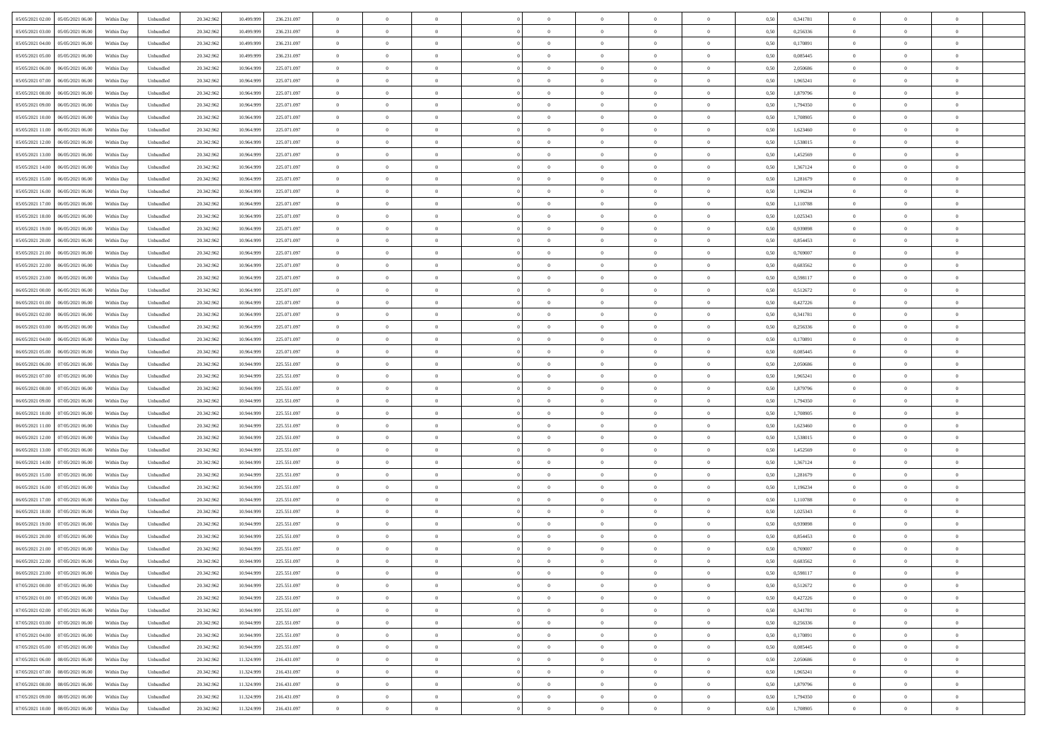| 05/05/2021 02:00<br>05/05/2021 06:00 | Within Day | Unbundled | 20.342.962 | 10.499.999 | 236.231.097 | $\overline{0}$ | $\overline{0}$ | $\overline{0}$ | $\theta$       | $\theta$       |                | $\overline{0}$ | 0,50 | 0,341781 | $\theta$       | $\theta$       | $\overline{0}$ |  |
|--------------------------------------|------------|-----------|------------|------------|-------------|----------------|----------------|----------------|----------------|----------------|----------------|----------------|------|----------|----------------|----------------|----------------|--|
|                                      |            |           |            |            |             |                |                |                |                |                |                |                |      |          |                |                |                |  |
| 05/05/2021 03:00<br>05/05/2021 06.0  | Within Day | Unbundled | 20.342.96  | 10.499.99  | 236.231.097 | $\overline{0}$ | $\overline{0}$ | $\overline{0}$ | $\,$ 0 $\,$    | $\bf{0}$       | $\overline{0}$ | $\bf{0}$       | 0,50 | 0,256336 | $\,$ 0 $\,$    | $\theta$       | $\overline{0}$ |  |
| 05/05/2021 04:00<br>05/05/2021 06:00 | Within Day | Unbundled | 20.342.962 | 10.499.999 | 236.231.097 | $\overline{0}$ | $\overline{0}$ | $\overline{0}$ | $\bf{0}$       | $\bf{0}$       | $\overline{0}$ | $\mathbf{0}$   | 0.50 | 0.170891 | $\bf{0}$       | $\overline{0}$ | $\overline{0}$ |  |
| 05/05/2021 05:00<br>05/05/2021 06:00 | Within Day | Unbundled | 20.342.962 | 10.499.999 | 236.231.097 | $\overline{0}$ | $\overline{0}$ | $\overline{0}$ | $\overline{0}$ | $\overline{0}$ | $\overline{0}$ | $\bf{0}$       | 0,50 | 0,085445 | $\theta$       | $\theta$       | $\overline{0}$ |  |
| 05/05/2021 06.00<br>06/05/2021 06.0  | Within Day | Unbundled | 20.342.96  | 10.964.999 | 225.071.097 | $\overline{0}$ | $\overline{0}$ | $\bf{0}$       | $\bf{0}$       | $\overline{0}$ | $\overline{0}$ | $\bf{0}$       | 0,50 | 2,050686 | $\,$ 0 $\,$    | $\theta$       | $\overline{0}$ |  |
|                                      |            |           |            |            |             |                |                |                |                |                |                |                |      |          |                |                |                |  |
| 05/05/2021 07:00<br>06/05/2021 06:00 | Within Day | Unbundled | 20.342.962 | 10.964.999 | 225.071.097 | $\overline{0}$ | $\overline{0}$ | $\overline{0}$ | $\bf{0}$       | $\overline{0}$ | $\overline{0}$ | $\mathbf{0}$   | 0.50 | 1.965241 | $\,$ 0 $\,$    | $\theta$       | $\overline{0}$ |  |
| 05/05/2021 08:00<br>06/05/2021 06.00 | Within Day | Unbundled | 20.342.962 | 10.964.999 | 225.071.097 | $\overline{0}$ | $\overline{0}$ | $\overline{0}$ | $\overline{0}$ | $\overline{0}$ | $\overline{0}$ | $\bf{0}$       | 0,50 | 1,879796 | $\theta$       | $\theta$       | $\overline{0}$ |  |
| 05/05/2021 09:00<br>06/05/2021 06.00 | Within Day | Unbundled | 20.342.96  | 10.964.999 | 225.071.097 | $\overline{0}$ | $\overline{0}$ | $\overline{0}$ | $\overline{0}$ | $\bf{0}$       | $\overline{0}$ | $\bf{0}$       | 0,50 | 1,794350 | $\,$ 0 $\,$    | $\bf{0}$       | $\overline{0}$ |  |
| 05/05/2021 10:00<br>06/05/2021 06:00 | Within Day | Unbundled | 20.342.962 | 10.964.999 | 225.071.097 | $\overline{0}$ | $\overline{0}$ | $\overline{0}$ | $\bf{0}$       | $\overline{0}$ | $\overline{0}$ | $\mathbf{0}$   | 0.50 | 1,708905 | $\theta$       | $\theta$       | $\overline{0}$ |  |
| 05/05/2021 11:00<br>06/05/2021 06:00 | Within Day | Unbundled | 20.342.962 | 10.964.999 | 225.071.097 | $\overline{0}$ | $\overline{0}$ | $\overline{0}$ | $\bf{0}$       | $\overline{0}$ | $\overline{0}$ | $\bf{0}$       | 0,50 | 1,623460 | $\,$ 0 $\,$    | $\theta$       | $\overline{0}$ |  |
|                                      |            |           |            |            |             |                | $\overline{0}$ |                |                | $\overline{0}$ | $\overline{0}$ | $\bf{0}$       |      |          | $\,$ 0 $\,$    | $\theta$       | $\overline{0}$ |  |
| 05/05/2021 12:00<br>06/05/2021 06.0  | Within Day | Unbundled | 20.342.96  | 10.964.999 | 225.071.097 | $\overline{0}$ |                | $\overline{0}$ | $\bf{0}$       |                |                |                | 0,50 | 1,538015 |                |                |                |  |
| 05/05/2021 13:00<br>06/05/2021 06:00 | Within Day | Unbundled | 20.342.962 | 10.964.999 | 225.071.097 | $\overline{0}$ | $\overline{0}$ | $\overline{0}$ | $\bf{0}$       | $\bf{0}$       | $\overline{0}$ | $\mathbf{0}$   | 0.50 | 1.452569 | $\bf{0}$       | $\overline{0}$ | $\bf{0}$       |  |
| 05/05/2021 14:00<br>06/05/2021 06:00 | Within Day | Unbundled | 20.342.962 | 10.964.999 | 225.071.097 | $\overline{0}$ | $\overline{0}$ | $\overline{0}$ | $\overline{0}$ | $\overline{0}$ | $\overline{0}$ | $\bf{0}$       | 0,50 | 1,367124 | $\theta$       | $\theta$       | $\overline{0}$ |  |
| 05/05/2021 15:00<br>06/05/2021 06.0  | Within Day | Unbundled | 20.342.96  | 10.964.999 | 225.071.097 | $\overline{0}$ | $\overline{0}$ | $\overline{0}$ | $\bf{0}$       | $\overline{0}$ | $\overline{0}$ | $\bf{0}$       | 0,50 | 1,281679 | $\,$ 0 $\,$    | $\bf{0}$       | $\overline{0}$ |  |
| 05/05/2021 16:00<br>06/05/2021 06:00 | Within Day | Unbundled | 20.342.962 | 10.964.999 | 225.071.097 | $\overline{0}$ | $\overline{0}$ | $\overline{0}$ | $\overline{0}$ | $\overline{0}$ | $\overline{0}$ | $\mathbf{0}$   | 0.50 | 1.196234 | $\theta$       | $\theta$       | $\overline{0}$ |  |
| 05/05/2021 17:00<br>06/05/2021 06:00 | Within Day | Unbundled | 20.342.962 | 10.964.999 | 225.071.097 | $\overline{0}$ | $\overline{0}$ | $\overline{0}$ | $\overline{0}$ | $\overline{0}$ | $\overline{0}$ | $\bf{0}$       | 0,50 | 1,110788 | $\theta$       | $\theta$       | $\overline{0}$ |  |
|                                      |            |           |            |            |             |                |                |                |                |                |                |                |      |          |                |                |                |  |
| 05/05/2021 18:00<br>06/05/2021 06.0  | Within Day | Unbundled | 20.342.96  | 10.964.999 | 225.071.097 | $\overline{0}$ | $\overline{0}$ | $\overline{0}$ | $\bf{0}$       | $\overline{0}$ | $\overline{0}$ | $\bf{0}$       | 0,50 | 1,025343 | $\,$ 0 $\,$    | $\theta$       | $\overline{0}$ |  |
| 05/05/2021 19:00<br>06/05/2021 06:00 | Within Day | Unbundled | 20.342.962 | 10.964.999 | 225.071.097 | $\overline{0}$ | $\overline{0}$ | $\overline{0}$ | $\overline{0}$ | $\bf{0}$       | $\overline{0}$ | $\mathbf{0}$   | 0.50 | 0.939898 | $\,$ 0 $\,$    | $\overline{0}$ | $\overline{0}$ |  |
| 05/05/2021 20:00<br>06/05/2021 06.00 | Within Day | Unbundled | 20.342.962 | 10.964.999 | 225.071.097 | $\overline{0}$ | $\overline{0}$ | $\overline{0}$ | $\overline{0}$ | $\overline{0}$ | $\overline{0}$ | $\bf{0}$       | 0,50 | 0,854453 | $\theta$       | $\theta$       | $\overline{0}$ |  |
| 05/05/2021 21.00<br>06/05/2021 06.0  | Within Day | Unbundled | 20.342.96  | 10.964.999 | 225.071.097 | $\overline{0}$ | $\overline{0}$ | $\overline{0}$ | $\bf{0}$       | $\bf{0}$       | $\overline{0}$ | $\bf{0}$       | 0,50 | 0,769007 | $\,$ 0 $\,$    | $\bf{0}$       | $\overline{0}$ |  |
| 05/05/2021 22.00<br>06/05/2021 06:00 | Within Day | Unbundled | 20.342.962 | 10.964.999 | 225.071.097 | $\overline{0}$ | $\overline{0}$ | $\overline{0}$ | $\bf{0}$       | $\bf{0}$       | $\overline{0}$ | $\mathbf{0}$   | 0.50 | 0.683562 | $\bf{0}$       | $\overline{0}$ | $\,$ 0         |  |
| 05/05/2021 23:00<br>06/05/2021 06:00 | Within Day | Unbundled | 20.342.962 | 10.964.999 | 225.071.097 | $\overline{0}$ | $\overline{0}$ | $\overline{0}$ | $\overline{0}$ | $\overline{0}$ | $\overline{0}$ | $\,$ 0 $\,$    | 0,50 | 0,598117 | $\theta$       | $\theta$       | $\overline{0}$ |  |
|                                      |            |           |            |            |             |                |                |                |                |                |                |                |      |          |                |                |                |  |
| 06/05/2021 00:00<br>06/05/2021 06.0  | Within Day | Unbundled | 20.342.96  | 10.964.999 | 225.071.097 | $\overline{0}$ | $\overline{0}$ | $\overline{0}$ | $\bf{0}$       | $\overline{0}$ | $\overline{0}$ | $\bf{0}$       | 0,50 | 0,512672 | $\,$ 0 $\,$    | $\bf{0}$       | $\overline{0}$ |  |
| 06/05/2021 01:00<br>06/05/2021 06:00 | Within Day | Unbundled | 20.342.962 | 10.964.999 | 225.071.097 | $\overline{0}$ | $\overline{0}$ | $\overline{0}$ | $\overline{0}$ | $\overline{0}$ | $\overline{0}$ | $\mathbf{0}$   | 0.50 | 0.427226 | $\bf{0}$       | $\theta$       | $\overline{0}$ |  |
| 06/05/2021 02:00<br>06/05/2021 06.00 | Within Day | Unbundled | 20.342.962 | 10.964.999 | 225.071.097 | $\overline{0}$ | $\overline{0}$ | $\overline{0}$ | $\overline{0}$ | $\overline{0}$ | $\overline{0}$ | $\bf{0}$       | 0,50 | 0,341781 | $\theta$       | $\theta$       | $\overline{0}$ |  |
| 06/05/2021 03:00<br>06/05/2021 06.0  | Within Day | Unbundled | 20.342.96  | 10.964.999 | 225.071.097 | $\overline{0}$ | $\overline{0}$ | $\overline{0}$ | $\bf{0}$       | $\overline{0}$ | $\overline{0}$ | $\bf{0}$       | 0,50 | 0,256336 | $\,$ 0 $\,$    | $\theta$       | $\overline{0}$ |  |
| 06/05/2021 04:00<br>06/05/2021 06:00 | Within Day | Unbundled | 20.342.962 | 10.964.999 | 225.071.097 | $\overline{0}$ | $\overline{0}$ | $\overline{0}$ | $\overline{0}$ | $\overline{0}$ | $\overline{0}$ | $\mathbf{0}$   | 0.50 | 0.170891 | $\,$ 0 $\,$    | $\theta$       | $\overline{0}$ |  |
| 06/05/2021 05:00<br>06/05/2021 06:00 | Within Day | Unbundled | 20.342.962 | 10.964.999 | 225.071.097 | $\overline{0}$ | $\overline{0}$ | $\overline{0}$ | $\overline{0}$ | $\overline{0}$ | $\overline{0}$ | $\bf{0}$       | 0,50 | 0,085445 | $\theta$       | $\theta$       | $\overline{0}$ |  |
|                                      |            |           |            |            |             |                |                |                |                |                |                |                |      |          |                |                |                |  |
| 06/05/2021 06:00<br>07/05/2021 06.0  | Within Day | Unbundled | 20.342.96  | 10.944.999 | 225.551.097 | $\overline{0}$ | $\overline{0}$ | $\overline{0}$ | $\overline{0}$ | $\bf{0}$       | $\overline{0}$ | $\bf{0}$       | 0,50 | 2,050686 | $\,$ 0 $\,$    | $\bf{0}$       | $\overline{0}$ |  |
| 06/05/2021 07:00<br>07/05/2021 06:00 | Within Day | Unbundled | 20.342.962 | 10.944.999 | 225.551.097 | $\overline{0}$ | $\overline{0}$ | $\overline{0}$ | $\bf{0}$       | $\bf{0}$       | $\overline{0}$ | $\mathbf{0}$   | 0.50 | 1.965241 | $\bf{0}$       | $\overline{0}$ | $\bf{0}$       |  |
| 06/05/2021 08:00<br>07/05/2021 06:00 | Within Day | Unbundled | 20.342.962 | 10.944.999 | 225.551.097 | $\overline{0}$ | $\overline{0}$ | $\overline{0}$ | $\overline{0}$ | $\overline{0}$ | $\overline{0}$ | $\overline{0}$ | 0.50 | 1,879796 | $\theta$       | $\theta$       | $\overline{0}$ |  |
| 06/05/2021 09:00<br>07/05/2021 06.00 | Within Day | Unbundled | 20.342.962 | 10.944.999 | 225.551.097 | $\overline{0}$ | $\overline{0}$ | $\overline{0}$ | $\bf{0}$       | $\overline{0}$ | $\overline{0}$ | $\bf{0}$       | 0,50 | 1,794350 | $\,$ 0 $\,$    | $\bf{0}$       | $\overline{0}$ |  |
| 06/05/2021 10:00<br>07/05/2021 06:00 | Within Day | Unbundled | 20.342.962 | 10.944.999 | 225.551.097 | $\overline{0}$ | $\overline{0}$ | $\overline{0}$ | $\overline{0}$ | $\overline{0}$ | $\overline{0}$ | $\mathbf{0}$   | 0.50 | 1,708905 | $\,$ 0 $\,$    | $\theta$       | $\overline{0}$ |  |
| 06/05/2021 11:00<br>07/05/2021 06:00 | Within Day | Unbundled | 20.342.962 | 10.944.999 | 225.551.097 | $\overline{0}$ | $\overline{0}$ | $\overline{0}$ | $\overline{0}$ | $\overline{0}$ | $\overline{0}$ | $\overline{0}$ | 0.50 | 1,623460 | $\theta$       | $\theta$       | $\overline{0}$ |  |
|                                      |            |           |            |            |             |                | $\overline{0}$ |                | $\bf{0}$       | $\overline{0}$ | $\overline{0}$ | $\bf{0}$       |      |          | $\,$ 0 $\,$    | $\theta$       | $\overline{0}$ |  |
| 06/05/2021 12:00<br>07/05/2021 06.0  | Within Day | Unbundled | 20.342.96  | 10.944.999 | 225.551.097 | $\overline{0}$ |                | $\overline{0}$ |                |                |                |                | 0,50 | 1,538015 |                |                |                |  |
| 06/05/2021 13:00<br>07/05/2021 06:00 | Within Day | Unbundled | 20.342.962 | 10.944.999 | 225.551.097 | $\overline{0}$ | $\overline{0}$ | $\overline{0}$ | $\overline{0}$ | $\bf{0}$       | $\overline{0}$ | $\mathbf{0}$   | 0.50 | 1.452569 | $\,$ 0 $\,$    | $\theta$       | $\overline{0}$ |  |
| 06/05/2021 14:00<br>07/05/2021 06:00 | Within Day | Unbundled | 20.342.962 | 10.944.999 | 225.551.097 | $\overline{0}$ | $\overline{0}$ | $\overline{0}$ | $\overline{0}$ | $\overline{0}$ | $\overline{0}$ | $\overline{0}$ | 0.50 | 1,367124 | $\theta$       | $\theta$       | $\overline{0}$ |  |
| 06/05/2021 15:00<br>07/05/2021 06.0  | Within Day | Unbundled | 20.342.96  | 10.944.999 | 225.551.097 | $\overline{0}$ | $\overline{0}$ | $\overline{0}$ | $\,$ 0 $\,$    | $\bf{0}$       | $\overline{0}$ | $\bf{0}$       | 0,50 | 1,281679 | $\,$ 0 $\,$    | $\bf{0}$       | $\overline{0}$ |  |
| 06/05/2021 16:00<br>07/05/2021 06:00 | Within Day | Unbundled | 20.342.962 | 10.944.999 | 225.551.097 | $\overline{0}$ | $\overline{0}$ | $\overline{0}$ | $\bf{0}$       | $\bf{0}$       | $\overline{0}$ | $\mathbf{0}$   | 0.50 | 1.196234 | $\bf{0}$       | $\overline{0}$ | $\,$ 0         |  |
| 06/05/2021 17:00<br>07/05/2021 06:00 | Within Day | Unbundled | 20.342.962 | 10.944.999 | 225.551.097 | $\overline{0}$ | $\overline{0}$ | $\overline{0}$ | $\overline{0}$ | $\overline{0}$ | $\overline{0}$ | $\overline{0}$ | 0.50 | 1,110788 | $\theta$       | $\theta$       | $\overline{0}$ |  |
| 06/05/2021 18:00<br>07/05/2021 06.0  | Within Day | Unbundled | 20.342.962 | 10.944.999 | 225.551.097 | $\overline{0}$ | $\overline{0}$ | $\overline{0}$ | $\bf{0}$       | $\bf{0}$       | $\overline{0}$ | $\bf{0}$       | 0,50 | 1,025343 | $\,$ 0 $\,$    | $\bf{0}$       | $\overline{0}$ |  |
|                                      |            |           |            |            |             |                |                |                |                |                |                |                |      |          |                |                |                |  |
| 06/05/2021 19:00<br>07/05/2021 06.00 | Within Day | Unbundled | 20.342.962 | 10.944.999 | 225.551.097 | $\overline{0}$ | $\overline{0}$ | $\overline{0}$ | $\overline{0}$ | $\overline{0}$ | $\Omega$       | $\overline{0}$ | 0.50 | 0.939898 | $\,$ 0 $\,$    | $\theta$       | $\overline{0}$ |  |
| 06/05/2021 20:00<br>07/05/2021 06:00 | Within Day | Unbundled | 20.342.962 | 10.944.999 | 225.551.097 | $\overline{0}$ | $\overline{0}$ | $\overline{0}$ | $\overline{0}$ | $\overline{0}$ | $\Omega$       | $\overline{0}$ | 0.5( | 0,854453 | $\theta$       | $\theta$       | $\overline{0}$ |  |
| 06/05/2021 21:00<br>07/05/2021 06.00 | Within Day | Unbundled | 20.342.962 | 10.944.999 | 225.551.097 | $\overline{0}$ | $\overline{0}$ | $\bf{0}$       | $\overline{0}$ | $\bf{0}$       | $\overline{0}$ | $\bf{0}$       | 0,50 | 0,769007 | $\,$ 0 $\,$    | $\bf{0}$       | $\overline{0}$ |  |
| 06/05/2021 22:00 07/05/2021 06:00    | Within Day | Unbundled | 20.342.962 | 10.944.999 | 225 551 097 | $\bf{0}$       | $\,$ 0 $\,$    |                | $\bf{0}$       |                |                |                | 0,50 | 0,683562 | $\theta$       | $\overline{0}$ |                |  |
| 06/05/2021 23:00 07/05/2021 06:00    | Within Dav | Unbundled | 20.342.962 | 10.944.999 | 225.551.097 | $\overline{0}$ | $\overline{0}$ | $\overline{0}$ | $\overline{0}$ | $\overline{0}$ | $\overline{0}$ | $\overline{0}$ | 0,50 | 0,598117 | $\theta$       | $\theta$       | $\overline{0}$ |  |
| 07/05/2021 00:00<br>07/05/2021 06.00 | Within Day | Unbundled | 20.342.962 | 10.944.999 | 225.551.097 | $\overline{0}$ | $\overline{0}$ | $\overline{0}$ | $\bf{0}$       | $\overline{0}$ | $\overline{0}$ | $\mathbf{0}$   | 0,50 | 0,512672 | $\overline{0}$ | $\overline{0}$ | $\bf{0}$       |  |
|                                      |            |           |            |            |             |                |                |                |                |                |                |                |      |          |                |                |                |  |
| 07/05/2021 01:00<br>07/05/2021 06:00 | Within Day | Unbundled | 20.342.962 | 10.944.999 | 225.551.097 | $\overline{0}$ | $\overline{0}$ | $\overline{0}$ | $\bf{0}$       | $\bf{0}$       | $\overline{0}$ | $\mathbf{0}$   | 0.50 | 0,427226 | $\,$ 0 $\,$    | $\bf{0}$       | $\,$ 0 $\,$    |  |
| 07/05/2021 02:00<br>07/05/2021 06:00 | Within Dav | Unbundled | 20.342.962 | 10.944.999 | 225.551.097 | $\overline{0}$ | $\overline{0}$ | $\overline{0}$ | $\overline{0}$ | $\overline{0}$ | $\overline{0}$ | $\mathbf{0}$   | 0,50 | 0,341781 | $\overline{0}$ | $\theta$       | $\overline{0}$ |  |
| 07/05/2021 03:00<br>07/05/2021 06.00 | Within Day | Unbundled | 20.342.962 | 10.944.999 | 225.551.097 | $\overline{0}$ | $\overline{0}$ | $\overline{0}$ | $\bf{0}$       | $\bf{0}$       | $\overline{0}$ | $\mathbf{0}$   | 0,50 | 0,256336 | $\overline{0}$ | $\bf{0}$       | $\overline{0}$ |  |
| 07/05/2021 04:00<br>07/05/2021 06:00 | Within Day | Unbundled | 20.342.962 | 10.944.999 | 225.551.097 | $\overline{0}$ | $\overline{0}$ | $\overline{0}$ | $\bf{0}$       | $\overline{0}$ | $\overline{0}$ | $\mathbf{0}$   | 0.50 | 0.170891 | $\,$ 0 $\,$    | $\theta$       | $\,$ 0         |  |
| 07/05/2021 05:00<br>07/05/2021 06:00 | Within Day | Unbundled | 20.342.962 | 10.944.999 | 225.551.097 | $\overline{0}$ | $\overline{0}$ | $\overline{0}$ | $\overline{0}$ | $\overline{0}$ | $\overline{0}$ | $\mathbf{0}$   | 0,50 | 0,085445 | $\overline{0}$ | $\theta$       | $\overline{0}$ |  |
| 07/05/2021 06:00<br>08/05/2021 06:00 | Within Day | Unbundled | 20.342.962 | 11.324.999 | 216.431.097 | $\overline{0}$ | $\overline{0}$ | $\overline{0}$ | $\bf{0}$       | $\bf{0}$       | $\overline{0}$ | $\,$ 0 $\,$    | 0,50 | 2,050686 | $\bf{0}$       | $\bf{0}$       | $\overline{0}$ |  |
|                                      |            |           |            |            |             |                |                |                |                |                |                |                |      |          |                |                |                |  |
| 07/05/2021 07:00<br>08/05/2021 06:00 | Within Day | Unbundled | 20.342.962 | 11.324.999 | 216.431.097 | $\overline{0}$ | $\overline{0}$ | $\overline{0}$ | $\bf{0}$       | $\bf{0}$       | $\overline{0}$ | $\,$ 0 $\,$    | 0.50 | 1.965241 | $\overline{0}$ | $\bf{0}$       | $\,$ 0         |  |
| 07/05/2021 08:00<br>08/05/2021 06:00 | Within Dav | Unbundled | 20.342.962 | 11.324.999 | 216.431.097 | $\overline{0}$ | $\overline{0}$ | $\overline{0}$ | $\overline{0}$ | $\overline{0}$ | $\overline{0}$ | $\mathbf{0}$   | 0,50 | 1,879796 | $\overline{0}$ | $\theta$       | $\overline{0}$ |  |
| 07/05/2021 09:00<br>08/05/2021 06.00 | Within Day | Unbundled | 20.342.962 | 11.324.999 | 216.431.097 | $\overline{0}$ | $\overline{0}$ | $\overline{0}$ | $\overline{0}$ | $\bf{0}$       | $\overline{0}$ | $\mathbf{0}$   | 0,50 | 1,794350 | $\bf{0}$       | $\bf{0}$       | $\overline{0}$ |  |
| 07/05/2021 10:00 08/05/2021 06:00    | Within Day | Unbundled | 20.342.962 | 11.324.999 | 216.431.097 | $\overline{0}$ | $\overline{0}$ | $\overline{0}$ | $\bf{0}$       | $\,$ 0         | $\overline{0}$ | $\,0\,$        | 0,50 | 1,708905 | $\overline{0}$ | $\,$ 0 $\,$    | $\,$ 0 $\,$    |  |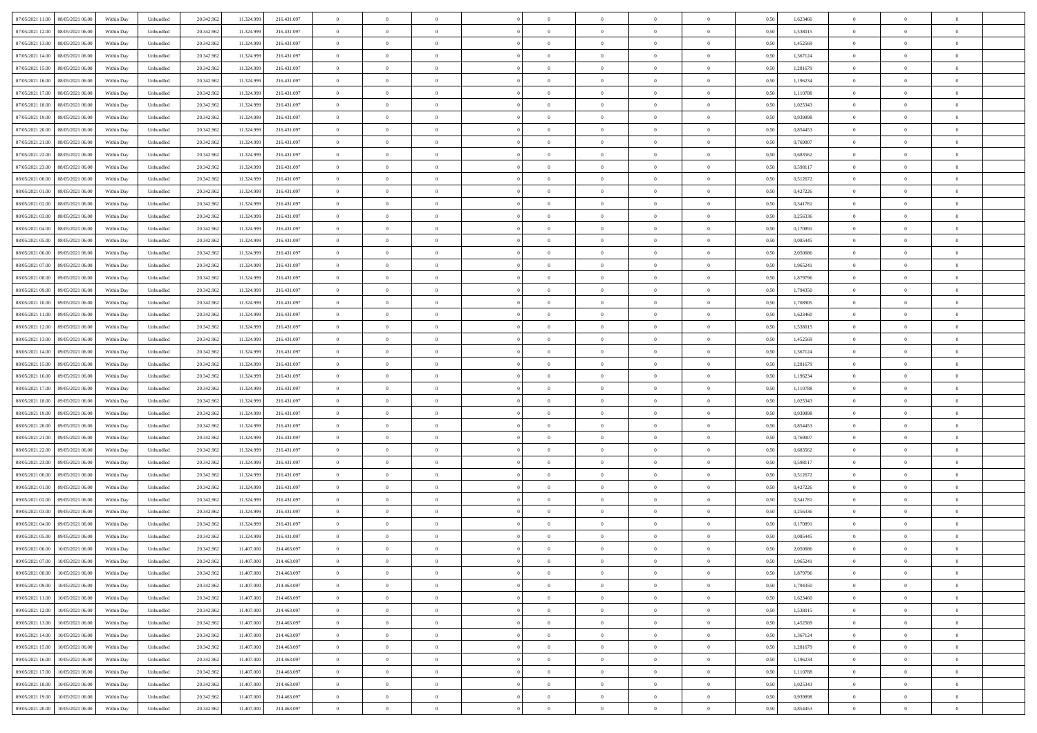| 07/05/2021 11:00<br>08/05/2021 06:00 | Within Day | Unbundled | 20.342.962 | 11.324.999 | 216.431.097 | $\overline{0}$ | $\overline{0}$ | $\overline{0}$ | $\theta$       | $\theta$       |                | $\overline{0}$ | 0,50 | 1,623460 | $\theta$       | $\theta$       | $\theta$       |  |
|--------------------------------------|------------|-----------|------------|------------|-------------|----------------|----------------|----------------|----------------|----------------|----------------|----------------|------|----------|----------------|----------------|----------------|--|
|                                      |            |           |            |            |             |                |                |                |                |                |                |                |      |          |                |                |                |  |
| 07/05/2021 12:00<br>08/05/2021 06.00 | Within Day | Unbundled | 20.342.96  | 11.324.999 | 216.431.097 | $\overline{0}$ | $\overline{0}$ | $\overline{0}$ | $\,$ 0 $\,$    | $\bf{0}$       | $\overline{0}$ | $\bf{0}$       | 0,50 | 1,538015 | $\,$ 0 $\,$    | $\bf{0}$       | $\overline{0}$ |  |
| 07/05/2021 13:00<br>08/05/2021 06:00 | Within Day | Unbundled | 20.342.962 | 11.324.999 | 216.431.097 | $\overline{0}$ | $\overline{0}$ | $\overline{0}$ | $\bf{0}$       | $\bf{0}$       | $\overline{0}$ | $\mathbf{0}$   | 0.50 | 1.452569 | $\bf{0}$       | $\overline{0}$ | $\overline{0}$ |  |
| 07/05/2021 14:00<br>08/05/2021 06:00 | Within Day | Unbundled | 20.342.962 | 11.324.999 | 216.431.097 | $\overline{0}$ | $\overline{0}$ | $\overline{0}$ | $\overline{0}$ | $\overline{0}$ | $\overline{0}$ | $\,$ 0 $\,$    | 0,50 | 1,367124 | $\theta$       | $\theta$       | $\overline{0}$ |  |
| 07/05/2021 15.00<br>08/05/2021 06.00 | Within Day | Unbundled | 20.342.96  | 11.324.999 | 216.431.097 | $\overline{0}$ | $\overline{0}$ | $\bf{0}$       | $\bf{0}$       | $\overline{0}$ | $\overline{0}$ | $\bf{0}$       | 0,50 | 1,281679 | $\,$ 0 $\,$    | $\theta$       | $\overline{0}$ |  |
| 07/05/2021 16:00<br>08/05/2021 06:00 | Within Day | Unbundled | 20.342.962 | 11.324.999 | 216.431.097 | $\overline{0}$ | $\overline{0}$ | $\overline{0}$ | $\bf{0}$       | $\overline{0}$ | $\overline{0}$ | $\mathbf{0}$   | 0.50 | 1.196234 | $\bf{0}$       | $\theta$       | $\overline{0}$ |  |
| 07/05/2021 17:00<br>08/05/2021 06.00 | Within Day | Unbundled | 20.342.962 | 11.324.999 | 216.431.097 | $\overline{0}$ | $\overline{0}$ | $\overline{0}$ | $\overline{0}$ | $\overline{0}$ | $\overline{0}$ | $\bf{0}$       | 0,50 | 1,110788 | $\theta$       | $\theta$       | $\overline{0}$ |  |
| 07/05/2021 18:00<br>08/05/2021 06.00 | Within Day | Unbundled | 20.342.96  | 11.324.999 | 216.431.097 | $\overline{0}$ | $\overline{0}$ | $\overline{0}$ | $\bf{0}$       | $\bf{0}$       | $\overline{0}$ | $\bf{0}$       | 0,50 | 1,025343 | $\,$ 0 $\,$    | $\bf{0}$       | $\overline{0}$ |  |
|                                      |            |           |            |            |             |                |                |                |                |                |                |                |      |          |                |                |                |  |
| 07/05/2021 19:00<br>08/05/2021 06:00 | Within Day | Unbundled | 20.342.962 | 11.324.999 | 216.431.097 | $\overline{0}$ | $\overline{0}$ | $\overline{0}$ | $\bf{0}$       | $\overline{0}$ | $\overline{0}$ | $\mathbf{0}$   | 0.50 | 0.939898 | $\theta$       | $\theta$       | $\overline{0}$ |  |
| 07/05/2021 20.00<br>08/05/2021 06:00 | Within Day | Unbundled | 20.342.962 | 11.324.999 | 216.431.097 | $\overline{0}$ | $\overline{0}$ | $\overline{0}$ | $\bf{0}$       | $\overline{0}$ | $\overline{0}$ | $\bf{0}$       | 0,50 | 0,854453 | $\,$ 0 $\,$    | $\theta$       | $\overline{0}$ |  |
| 07/05/2021 21:00<br>08/05/2021 06.00 | Within Day | Unbundled | 20.342.96  | 11.324.999 | 216.431.097 | $\overline{0}$ | $\overline{0}$ | $\bf{0}$       | $\bf{0}$       | $\bf{0}$       | $\overline{0}$ | $\bf{0}$       | 0,50 | 0,769007 | $\,$ 0 $\,$    | $\theta$       | $\overline{0}$ |  |
| 07/05/2021 22.00<br>08/05/2021 06:00 | Within Day | Unbundled | 20.342.962 | 11.324.999 | 216.431.097 | $\overline{0}$ | $\overline{0}$ | $\overline{0}$ | $\bf{0}$       | $\bf{0}$       | $\overline{0}$ | $\,$ 0 $\,$    | 0.50 | 0.683562 | $\bf{0}$       | $\overline{0}$ | $\overline{0}$ |  |
| 07/05/2021 23.00<br>08/05/2021 06:00 | Within Day | Unbundled | 20.342.962 | 11.324.999 | 216.431.097 | $\overline{0}$ | $\overline{0}$ | $\overline{0}$ | $\overline{0}$ | $\overline{0}$ | $\overline{0}$ | $\,$ 0 $\,$    | 0,50 | 0,598117 | $\theta$       | $\theta$       | $\overline{0}$ |  |
| 08/05/2021 00:00<br>08/05/2021 06.00 | Within Day | Unbundled | 20.342.96  | 11.324.999 | 216.431.097 | $\overline{0}$ | $\overline{0}$ | $\overline{0}$ | $\bf{0}$       | $\bf{0}$       | $\overline{0}$ | $\bf{0}$       | 0,50 | 0,512672 | $\,$ 0 $\,$    | $\bf{0}$       | $\overline{0}$ |  |
| 08/05/2021 01:00<br>08/05/2021 06:00 | Within Day | Unbundled | 20.342.962 | 11.324.999 | 216.431.097 | $\overline{0}$ | $\overline{0}$ | $\overline{0}$ | $\bf{0}$       | $\overline{0}$ | $\overline{0}$ | $\mathbf{0}$   | 0.50 | 0.427226 | $\theta$       | $\theta$       | $\overline{0}$ |  |
|                                      |            |           |            |            |             |                |                |                |                |                |                |                |      |          |                |                |                |  |
| 08/05/2021 02:00<br>08/05/2021 06:00 | Within Day | Unbundled | 20.342.962 | 11.324.999 | 216.431.097 | $\overline{0}$ | $\overline{0}$ | $\overline{0}$ | $\overline{0}$ | $\overline{0}$ | $\overline{0}$ | $\bf{0}$       | 0,50 | 0,341781 | $\theta$       | $\theta$       | $\overline{0}$ |  |
| 08/05/2021 03:00<br>08/05/2021 06.00 | Within Day | Unbundled | 20.342.96  | 11.324.999 | 216.431.097 | $\overline{0}$ | $\overline{0}$ | $\overline{0}$ | $\bf{0}$       | $\overline{0}$ | $\overline{0}$ | $\bf{0}$       | 0,50 | 0,256336 | $\,$ 0 $\,$    | $\theta$       | $\overline{0}$ |  |
| 08/05/2021 04:00<br>08/05/2021 06:00 | Within Day | Unbundled | 20.342.962 | 11.324.999 | 216.431.097 | $\overline{0}$ | $\overline{0}$ | $\overline{0}$ | $\bf{0}$       | $\bf{0}$       | $\overline{0}$ | $\mathbf{0}$   | 0.50 | 0.170891 | $\,$ 0 $\,$    | $\overline{0}$ | $\overline{0}$ |  |
| 08/05/2021 05:00<br>08/05/2021 06.00 | Within Day | Unbundled | 20.342.962 | 11.324.999 | 216.431.097 | $\overline{0}$ | $\overline{0}$ | $\overline{0}$ | $\overline{0}$ | $\overline{0}$ | $\overline{0}$ | $\bf{0}$       | 0,50 | 0,085445 | $\,$ 0 $\,$    | $\theta$       | $\overline{0}$ |  |
| 08/05/2021 06:00<br>09/05/2021 06.0  | Within Day | Unbundled | 20.342.96  | 11.324.999 | 216.431.097 | $\overline{0}$ | $\overline{0}$ | $\overline{0}$ | $\bf{0}$       | $\bf{0}$       | $\overline{0}$ | $\bf{0}$       | 0,50 | 2,050686 | $\,$ 0 $\,$    | $\bf{0}$       | $\overline{0}$ |  |
| 08/05/2021 07:00<br>09/05/2021 06:00 | Within Day | Unbundled | 20.342.962 | 11.324.999 | 216.431.097 | $\overline{0}$ | $\overline{0}$ | $\overline{0}$ | $\bf{0}$       | $\bf{0}$       | $\overline{0}$ | $\,$ 0 $\,$    | 0.50 | 1,965241 | $\bf{0}$       | $\theta$       | $\overline{0}$ |  |
| 08/05/2021 08:00<br>09/05/2021 06:00 | Within Day | Unbundled | 20.342.962 | 11.324.999 | 216.431.097 | $\overline{0}$ | $\overline{0}$ | $\overline{0}$ | $\overline{0}$ | $\overline{0}$ | $\overline{0}$ | $\,$ 0 $\,$    | 0,50 | 1,879796 | $\theta$       | $\theta$       | $\overline{0}$ |  |
|                                      |            |           |            |            |             |                |                |                |                |                |                |                |      |          |                |                |                |  |
| 08/05/2021 09:00<br>09/05/2021 06.0  | Within Day | Unbundled | 20.342.96  | 11.324.999 | 216.431.097 | $\overline{0}$ | $\overline{0}$ | $\bf{0}$       | $\,$ 0 $\,$    | $\overline{0}$ | $\overline{0}$ | $\bf{0}$       | 0,50 | 1,794350 | $\,$ 0 $\,$    | $\bf{0}$       | $\overline{0}$ |  |
| 08/05/2021 10:00<br>09/05/2021 06:00 | Within Day | Unbundled | 20.342.962 | 11.324.999 | 216.431.097 | $\overline{0}$ | $\overline{0}$ | $\overline{0}$ | $\overline{0}$ | $\overline{0}$ | $\overline{0}$ | $\mathbf{0}$   | 0.50 | 1,708905 | $\bf{0}$       | $\theta$       | $\overline{0}$ |  |
| 08/05/2021 11:00<br>09/05/2021 06:00 | Within Day | Unbundled | 20.342.962 | 11.324.999 | 216.431.097 | $\overline{0}$ | $\overline{0}$ | $\overline{0}$ | $\overline{0}$ | $\overline{0}$ | $\overline{0}$ | $\bf{0}$       | 0,50 | 1,623460 | $\theta$       | $\theta$       | $\overline{0}$ |  |
| 08/05/2021 12:00<br>09/05/2021 06.0  | Within Day | Unbundled | 20.342.96  | 11.324.999 | 216.431.097 | $\overline{0}$ | $\overline{0}$ | $\overline{0}$ | $\bf{0}$       | $\overline{0}$ | $\overline{0}$ | $\bf{0}$       | 0,50 | 1,538015 | $\,$ 0 $\,$    | $\theta$       | $\overline{0}$ |  |
| 08/05/2021 13:00<br>09/05/2021 06:00 | Within Day | Unbundled | 20.342.962 | 11.324.999 | 216.431.097 | $\overline{0}$ | $\overline{0}$ | $\overline{0}$ | $\bf{0}$       | $\bf{0}$       | $\overline{0}$ | $\mathbf{0}$   | 0.50 | 1.452569 | $\,$ 0 $\,$    | $\theta$       | $\overline{0}$ |  |
| 08/05/2021 14:00<br>09/05/2021 06:00 | Within Day | Unbundled | 20.342.962 | 11.324.999 | 216.431.097 | $\overline{0}$ | $\overline{0}$ | $\overline{0}$ | $\overline{0}$ | $\overline{0}$ | $\overline{0}$ | $\bf{0}$       | 0,50 | 1,367124 | $\theta$       | $\theta$       | $\overline{0}$ |  |
|                                      |            |           |            |            |             |                | $\overline{0}$ |                | $\overline{0}$ | $\bf{0}$       | $\overline{0}$ | $\bf{0}$       |      |          | $\,$ 0 $\,$    | $\bf{0}$       | $\overline{0}$ |  |
| 08/05/2021 15:00<br>09/05/2021 06.0  | Within Day | Unbundled | 20.342.96  | 11.324.999 | 216.431.097 | $\overline{0}$ |                | $\overline{0}$ |                |                |                |                | 0,50 | 1,281679 |                |                |                |  |
| 08/05/2021 16:00<br>09/05/2021 06:00 | Within Day | Unbundled | 20.342.962 | 11.324.999 | 216.431.097 | $\overline{0}$ | $\overline{0}$ | $\overline{0}$ | $\bf{0}$       | $\bf{0}$       | $\overline{0}$ | $\,$ 0 $\,$    | 0.50 | 1.196234 | $\bf{0}$       | $\overline{0}$ | $\overline{0}$ |  |
| 08/05/2021 17:00<br>09/05/2021 06:00 | Within Day | Unbundled | 20.342.962 | 11.324.999 | 216.431.097 | $\overline{0}$ | $\overline{0}$ | $\overline{0}$ | $\overline{0}$ | $\overline{0}$ | $\overline{0}$ | $\overline{0}$ | 0.50 | 1,110788 | $\theta$       | $\theta$       | $\overline{0}$ |  |
| 08/05/2021 18.00<br>09/05/2021 06.0  | Within Day | Unbundled | 20.342.96  | 11.324.999 | 216.431.097 | $\overline{0}$ | $\overline{0}$ | $\overline{0}$ | $\bf{0}$       | $\overline{0}$ | $\overline{0}$ | $\bf{0}$       | 0,50 | 1,025343 | $\,$ 0 $\,$    | $\bf{0}$       | $\overline{0}$ |  |
| 08/05/2021 19:00<br>09/05/2021 06:00 | Within Day | Unbundled | 20.342.962 | 11.324.999 | 216.431.097 | $\overline{0}$ | $\overline{0}$ | $\overline{0}$ | $\overline{0}$ | $\overline{0}$ | $\overline{0}$ | $\mathbf{0}$   | 0.50 | 0.939898 | $\,$ 0 $\,$    | $\theta$       | $\overline{0}$ |  |
| 08/05/2021 20:00<br>09/05/2021 06:00 | Within Day | Unbundled | 20.342.962 | 11.324.999 | 216.431.097 | $\overline{0}$ | $\overline{0}$ | $\overline{0}$ | $\overline{0}$ | $\overline{0}$ | $\overline{0}$ | $\overline{0}$ | 0.50 | 0,854453 | $\theta$       | $\theta$       | $\overline{0}$ |  |
| 08/05/2021 21:00<br>09/05/2021 06.0  | Within Day | Unbundled | 20.342.96  | 11.324.999 | 216.431.097 | $\overline{0}$ | $\overline{0}$ | $\overline{0}$ | $\bf{0}$       | $\overline{0}$ | $\overline{0}$ | $\bf{0}$       | 0,50 | 0,769007 | $\,$ 0 $\,$    | $\bf{0}$       | $\overline{0}$ |  |
| 08/05/2021 22:00<br>09/05/2021 06:00 | Within Day | Unbundled | 20.342.962 | 11.324.999 | 216.431.097 | $\overline{0}$ | $\overline{0}$ | $\overline{0}$ | $\bf{0}$       | $\bf{0}$       | $\overline{0}$ | $\mathbf{0}$   | 0.50 | 0.683562 | $\,$ 0 $\,$    | $\theta$       | $\overline{0}$ |  |
| 08/05/2021 23:00<br>09/05/2021 06:00 | Within Day | Unbundled | 20.342.962 | 11.324.999 | 216.431.097 | $\overline{0}$ | $\overline{0}$ | $\overline{0}$ | $\overline{0}$ | $\overline{0}$ | $\overline{0}$ | $\overline{0}$ | 0.50 | 0,598117 | $\theta$       | $\theta$       | $\overline{0}$ |  |
|                                      |            |           |            |            |             |                |                |                |                |                |                |                |      |          |                |                |                |  |
| 09/05/2021 00.00<br>09/05/2021 06.0  | Within Day | Unbundled | 20.342.96  | 11.324.999 | 216.431.097 | $\overline{0}$ | $\overline{0}$ | $\overline{0}$ | $\overline{0}$ | $\bf{0}$       | $\overline{0}$ | $\bf{0}$       | 0,50 | 0,512672 | $\,$ 0 $\,$    | $\bf{0}$       | $\overline{0}$ |  |
| 09/05/2021 01:00<br>09/05/2021 06:00 | Within Day | Unbundled | 20.342.962 | 11.324.999 | 216.431.097 | $\overline{0}$ | $\overline{0}$ | $\overline{0}$ | $\bf{0}$       | $\bf{0}$       | $\overline{0}$ | $\,$ 0 $\,$    | 0.50 | 0,427226 | $\bf{0}$       | $\overline{0}$ | $\overline{0}$ |  |
| 09/05/2021 02:00<br>09/05/2021 06:00 | Within Day | Unbundled | 20.342.962 | 11.324.999 | 216.431.097 | $\overline{0}$ | $\overline{0}$ | $\overline{0}$ | $\overline{0}$ | $\overline{0}$ | $\overline{0}$ | $\overline{0}$ | 0.50 | 0,341781 | $\theta$       | $\theta$       | $\overline{0}$ |  |
| 09/05/2021 03.00<br>09/05/2021 06.0  | Within Day | Unbundled | 20.342.962 | 11.324.999 | 216.431.097 | $\overline{0}$ | $\overline{0}$ | $\overline{0}$ | $\bf{0}$       | $\bf{0}$       | $\overline{0}$ | $\bf{0}$       | 0,50 | 0,256336 | $\,$ 0 $\,$    | $\bf{0}$       | $\overline{0}$ |  |
| 09/05/2021 04:00<br>09/05/2021 06:00 | Within Day | Unbundled | 20.342.962 | 11.324.999 | 216.431.097 | $\overline{0}$ | $\overline{0}$ | $\overline{0}$ | $\overline{0}$ | $\overline{0}$ | $\overline{0}$ | $\mathbf{0}$   | 0.50 | 0,170891 | $\,$ 0 $\,$    | $\theta$       | $\overline{0}$ |  |
| 09/05/2021 05:00<br>09/05/2021 06:00 | Within Day | Unbundled | 20.342.962 | 11.324.999 | 216.431.097 | $\overline{0}$ | $\overline{0}$ | $\overline{0}$ | $\overline{0}$ | $\overline{0}$ | $\Omega$       | $\overline{0}$ | 0.5( | 0,085445 | $\theta$       | $\theta$       | $\overline{0}$ |  |
| 09/05/2021 06:00<br>10/05/2021 06:00 | Within Day | Unbundled | 20.342.962 | 11.407.000 | 214.463.097 | $\overline{0}$ | $\overline{0}$ | $\bf{0}$       | $\overline{0}$ | $\bf{0}$       | $\overline{0}$ | $\bf{0}$       | 0,50 | 2,050686 | $\,$ 0 $\,$    | $\bf{0}$       | $\overline{0}$ |  |
|                                      |            |           |            | 11.407.000 | 214 463 097 |                |                |                |                |                |                | $\Omega$       |      | 1,965241 |                |                |                |  |
| 09/05/2021 07:00 10/05/2021 06:00    | Within Day | Unbundled | 20.342.962 |            |             | $\bf{0}$       | $\,$ 0 $\,$    |                | $\bf{0}$       |                |                |                | 0,50 |          | $\theta$       | $\bf{0}$       |                |  |
| 09/05/2021 08:00<br>10/05/2021 06:00 | Within Dav | Unbundled | 20.342.962 | 11.407.000 | 214.463.097 | $\overline{0}$ | $\overline{0}$ | $\overline{0}$ | $\overline{0}$ | $\overline{0}$ | $\overline{0}$ | $\overline{0}$ | 0,50 | 1,879796 | $\theta$       | $\theta$       | $\overline{0}$ |  |
| 09/05/2021 09:00<br>10/05/2021 06:00 | Within Day | Unbundled | 20.342.962 | 11.407.000 | 214.463.097 | $\overline{0}$ | $\overline{0}$ | $\overline{0}$ | $\bf{0}$       | $\overline{0}$ | $\overline{0}$ | $\mathbf{0}$   | 0,50 | 1,794350 | $\overline{0}$ | $\overline{0}$ | $\bf{0}$       |  |
| 09/05/2021 11:00<br>10/05/2021 06:00 | Within Day | Unbundled | 20.342.962 | 11.407.000 | 214.463.097 | $\overline{0}$ | $\overline{0}$ | $\overline{0}$ | $\bf{0}$       | $\bf{0}$       | $\overline{0}$ | $\mathbf{0}$   | 0.50 | 1.623460 | $\,$ 0 $\,$    | $\bf{0}$       | $\,$ 0 $\,$    |  |
| 09/05/2021 12:00<br>10/05/2021 06:00 | Within Dav | Unbundled | 20.342.962 | 11.407.000 | 214.463.097 | $\overline{0}$ | $\overline{0}$ | $\overline{0}$ | $\overline{0}$ | $\overline{0}$ | $\overline{0}$ | $\mathbf{0}$   | 0,50 | 1,538015 | $\overline{0}$ | $\theta$       | $\overline{0}$ |  |
| 09/05/2021 13:00<br>10/05/2021 06:00 | Within Day | Unbundled | 20.342.962 | 11.407.000 | 214.463.097 | $\overline{0}$ | $\overline{0}$ | $\overline{0}$ | $\overline{0}$ | $\bf{0}$       | $\overline{0}$ | $\mathbf{0}$   | 0,50 | 1,452569 | $\overline{0}$ | $\bf{0}$       | $\overline{0}$ |  |
| 10/05/2021 06:00<br>09/05/2021 14:00 | Within Day | Unbundled | 20.342.962 | 11.407.000 | 214.463.097 | $\overline{0}$ | $\overline{0}$ | $\overline{0}$ | $\bf{0}$       | $\overline{0}$ | $\overline{0}$ | $\mathbf{0}$   | 0.50 | 1.367124 | $\,$ 0 $\,$    | $\theta$       | $\bf{0}$       |  |
|                                      |            |           |            |            |             |                |                |                |                |                |                |                |      |          |                |                |                |  |
| 09/05/2021 15:00<br>10/05/2021 06:00 | Within Day | Unbundled | 20.342.962 | 11.407.000 | 214.463.097 | $\overline{0}$ | $\overline{0}$ | $\overline{0}$ | $\overline{0}$ | $\overline{0}$ | $\overline{0}$ | $\mathbf{0}$   | 0,50 | 1,281679 | $\overline{0}$ | $\theta$       | $\overline{0}$ |  |
| 09/05/2021 16:00<br>10/05/2021 06:00 | Within Day | Unbundled | 20.342.962 | 11.407.000 | 214.463.097 | $\overline{0}$ | $\overline{0}$ | $\overline{0}$ | $\bf{0}$       | $\bf{0}$       | $\overline{0}$ | $\,$ 0 $\,$    | 0,50 | 1,196234 | $\bf{0}$       | $\bf{0}$       | $\overline{0}$ |  |
| 09/05/2021 17:00<br>10/05/2021 06:00 | Within Day | Unbundled | 20.342.962 | 11,407,000 | 214.463.097 | $\overline{0}$ | $\overline{0}$ | $\overline{0}$ | $\bf{0}$       | $\bf{0}$       | $\overline{0}$ | $\,$ 0 $\,$    | 0.50 | 1.110788 | $\overline{0}$ | $\overline{0}$ | $\,$ 0         |  |
| 09/05/2021 18:00<br>10/05/2021 06:00 | Within Dav | Unbundled | 20.342.962 | 11.407.000 | 214.463.097 | $\overline{0}$ | $\overline{0}$ | $\overline{0}$ | $\overline{0}$ | $\overline{0}$ | $\overline{0}$ | $\mathbf{0}$   | 0,50 | 1,025343 | $\overline{0}$ | $\theta$       | $\overline{0}$ |  |
| 09/05/2021 19:00<br>10/05/2021 06:00 | Within Day | Unbundled | 20.342.962 | 11.407.000 | 214.463.097 | $\overline{0}$ | $\overline{0}$ | $\overline{0}$ | $\overline{0}$ | $\bf{0}$       | $\overline{0}$ | $\mathbf{0}$   | 0,50 | 0,939898 | $\bf{0}$       | $\bf{0}$       | $\overline{0}$ |  |
| 09/05/2021 20:00 10/05/2021 06:00    | Within Day | Unbundled | 20.342.962 | 11.407.000 | 214.463.097 | $\overline{0}$ | $\overline{0}$ | $\overline{0}$ | $\bf{0}$       | $\,$ 0         | $\overline{0}$ | $\,0\,$        | 0,50 | 0,854453 | $\overline{0}$ | $\,$ 0 $\,$    | $\,$ 0 $\,$    |  |
|                                      |            |           |            |            |             |                |                |                |                |                |                |                |      |          |                |                |                |  |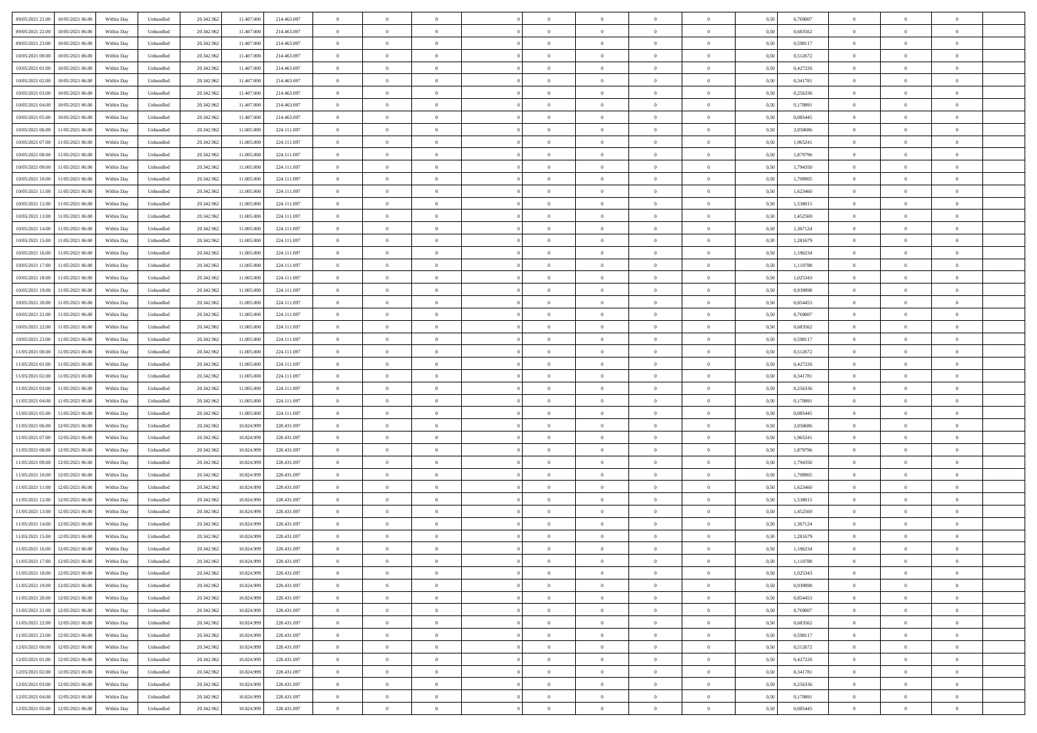| 09/05/2021 21:00<br>10/05/2021 06:00         | Within Day | Unbundled                   | 20.342.962 | 11.407.000 | 214.463.097 | $\overline{0}$ | $\overline{0}$ |                | $\overline{0}$ | $\theta$       |                | $\theta$       | 0,50 | 0,769007 | $\theta$       | $\theta$       | $\overline{0}$ |  |
|----------------------------------------------|------------|-----------------------------|------------|------------|-------------|----------------|----------------|----------------|----------------|----------------|----------------|----------------|------|----------|----------------|----------------|----------------|--|
| 09/05/2021 22.00<br>10/05/2021 06:00         | Within Day | Unbundled                   | 20.342.96  | 11.407.00  | 214.463.097 | $\bf{0}$       | $\bf{0}$       | $\bf{0}$       | $\overline{0}$ | $\bf{0}$       | $\overline{0}$ | $\bf{0}$       | 0,50 | 0,683562 | $\,$ 0 $\,$    | $\bf{0}$       | $\overline{0}$ |  |
| 09/05/2021 23:00<br>10/05/2021 06:00         | Within Day | Unbundled                   | 20.342.962 | 11.407.000 | 214.463.097 | $\overline{0}$ | $\bf{0}$       | $\overline{0}$ | $\bf{0}$       | $\bf{0}$       | $\overline{0}$ | $\bf{0}$       | 0.50 | 0.598117 | $\bf{0}$       | $\overline{0}$ | $\overline{0}$ |  |
| 10/05/2021 00:00<br>10/05/2021 06:00         | Within Day | Unbundled                   | 20.342.96  | 11.407.000 | 214.463.097 | $\overline{0}$ | $\overline{0}$ | $\overline{0}$ | $\theta$       | $\theta$       | $\overline{0}$ | $\bf{0}$       | 0,50 | 0,512672 | $\theta$       | $\theta$       | $\overline{0}$ |  |
| 10/05/2021 01:00<br>10/05/2021 06:00         | Within Day | Unbundled                   | 20.342.96  | 11.407.000 | 214.463.097 | $\bf{0}$       | $\theta$       | $\bf{0}$       | $\overline{0}$ | $\theta$       | $\overline{0}$ | $\bf{0}$       | 0,50 | 0,427226 | $\,$ 0 $\,$    | $\bf{0}$       | $\overline{0}$ |  |
|                                              |            |                             |            |            |             |                |                |                |                |                | $\theta$       |                |      |          |                |                |                |  |
| 10/05/2021 02:00<br>10/05/2021 06:00         | Within Day | Unbundled                   | 20.342.962 | 11.407.000 | 214.463.097 | $\overline{0}$ | $\overline{0}$ | $\overline{0}$ | $\bf{0}$       | $\overline{0}$ |                | $\bf{0}$       | 0.50 | 0.341781 | $\,$ 0 $\,$    | $\theta$       | $\overline{0}$ |  |
| 10/05/2021 03:00<br>10/05/2021 06:00         | Within Day | Unbundled                   | 20.342.96  | 11.407.000 | 214.463.097 | $\overline{0}$ | $\overline{0}$ | $\overline{0}$ | $\overline{0}$ | $\overline{0}$ | $\overline{0}$ | $\bf{0}$       | 0,50 | 0,256336 | $\,$ 0 $\,$    | $\theta$       | $\overline{0}$ |  |
| 10/05/2021 04:00<br>10/05/2021 06:00         | Within Day | Unbundled                   | 20.342.96  | 11.407.000 | 214.463.097 | $\bf{0}$       | $\overline{0}$ | $\bf{0}$       | $\overline{0}$ | $\overline{0}$ | $\overline{0}$ | $\bf{0}$       | 0,50 | 0,170891 | $\,$ 0 $\,$    | $\bf{0}$       | $\overline{0}$ |  |
| 10/05/2021 05:00<br>10/05/2021 06:00         | Within Day | Unbundled                   | 20,342.96  | 11.407.000 | 214.463.097 | $\overline{0}$ | $\bf{0}$       | $\overline{0}$ | $\bf{0}$       | $\overline{0}$ | $\overline{0}$ | $\bf{0}$       | 0.50 | 0.085445 | $\bf{0}$       | $\bf{0}$       | $\overline{0}$ |  |
| 10/05/2021 06:00<br>11/05/2021 06:00         | Within Day | Unbundled                   | 20.342.962 | 11.005.000 | 224.111.097 | $\bf{0}$       | $\bf{0}$       | $\overline{0}$ | $\overline{0}$ | $\overline{0}$ | $\overline{0}$ | $\bf{0}$       | 0,50 | 2,050686 | $\,$ 0 $\,$    | $\bf{0}$       | $\overline{0}$ |  |
| 10/05/2021 07:00<br>11/05/2021 06:00         | Within Day | Unbundled                   | 20.342.96  | 11.005.00  | 224.111.097 | $\bf{0}$       | $\overline{0}$ | $\bf{0}$       | $\bf{0}$       | $\bf{0}$       | $\overline{0}$ | $\bf{0}$       | 0,50 | 1,965241 | $\,$ 0 $\,$    | $\bf{0}$       | $\overline{0}$ |  |
| 10/05/2021 08:00<br>11/05/2021 06:00         | Within Day | Unbundled                   | 20.342.962 | 11,005,000 | 224.111.097 | $\overline{0}$ | $\bf{0}$       | $\overline{0}$ | $\overline{0}$ | $\bf{0}$       | $\overline{0}$ | $\bf{0}$       | 0.50 | 1.879796 | $\bf{0}$       | $\overline{0}$ | $\bf{0}$       |  |
| 10/05/2021 09:00<br>11/05/2021 06:00         | Within Day | Unbundled                   | 20.342.96  | 11.005.000 | 224.111.097 | $\overline{0}$ | $\overline{0}$ | $\overline{0}$ | $\overline{0}$ | $\theta$       | $\overline{0}$ | $\bf{0}$       | 0,50 | 1,794350 | $\,$ 0 $\,$    | $\theta$       | $\overline{0}$ |  |
|                                              |            |                             |            |            |             |                |                |                |                |                |                |                |      |          |                |                |                |  |
| 10/05/2021 10:00<br>11/05/2021 06:00         | Within Day | Unbundled                   | 20.342.96  | 11.005.00  | 224.111.097 | $\bf{0}$       | $\overline{0}$ | $\bf{0}$       | $\overline{0}$ | $\bf{0}$       | $\overline{0}$ | $\bf{0}$       | 0,50 | 1,708905 | $\,$ 0 $\,$    | $\bf{0}$       | $\overline{0}$ |  |
| 10/05/2021 11:00<br>11/05/2021 06:00         | Within Day | Unbundled                   | 20.342.962 | 11,005,000 | 224.111.097 | $\overline{0}$ | $\overline{0}$ | $\overline{0}$ | $\bf{0}$       | $\bf{0}$       | $\theta$       | $\bf{0}$       | 0.50 | 1.623460 | $\,$ 0 $\,$    | $\theta$       | $\overline{0}$ |  |
| 10/05/2021 12:00<br>11/05/2021 06:00         | Within Day | Unbundled                   | 20.342.962 | 11.005.000 | 224.111.097 | $\overline{0}$ | $\overline{0}$ | $\overline{0}$ | $\overline{0}$ | $\overline{0}$ | $\overline{0}$ | $\bf{0}$       | 0,50 | 1,538015 | $\theta$       | $\theta$       | $\overline{0}$ |  |
| 10/05/2021 13:00<br>11/05/2021 06:00         | Within Day | Unbundled                   | 20.342.96  | 11.005.00  | 224.111.097 | $\bf{0}$       | $\overline{0}$ | $\overline{0}$ | $\overline{0}$ | $\bf{0}$       | $\overline{0}$ | $\bf{0}$       | 0,50 | 1,452569 | $\,$ 0 $\,$    | $\bf{0}$       | $\overline{0}$ |  |
| 10/05/2021 14:00<br>11/05/2021 06:00         | Within Day | Unbundled                   | 20,342.96  | 11,005,000 | 224.111.097 | $\overline{0}$ | $\bf{0}$       | $\overline{0}$ | $\bf{0}$       | $\overline{0}$ | $\overline{0}$ | $\bf{0}$       | 0.50 | 1.367124 | $\bf{0}$       | $\overline{0}$ | $\overline{0}$ |  |
| 10/05/2021 15:00<br>11/05/2021 06:00         | Within Day | Unbundled                   | 20.342.962 | 11.005.000 | 224.111.097 | $\bf{0}$       | $\overline{0}$ | $\overline{0}$ | $\overline{0}$ | $\overline{0}$ | $\overline{0}$ | $\bf{0}$       | 0,50 | 1,281679 | $\,$ 0 $\,$    | $\bf{0}$       | $\overline{0}$ |  |
| 10/05/2021 16:00<br>11/05/2021 06:00         | Within Day | Unbundled                   | 20.342.96  | 11.005.00  | 224.111.097 | $\bf{0}$       | $\bf{0}$       | $\bf{0}$       | $\bf{0}$       | $\overline{0}$ | $\overline{0}$ | $\bf{0}$       | 0,50 | 1,196234 | $\,$ 0 $\,$    | $\bf{0}$       | $\overline{0}$ |  |
|                                              |            |                             |            |            |             |                |                |                |                |                |                |                |      |          |                |                |                |  |
| 10/05/2021 17:00<br>11/05/2021 06:00         | Within Day | Unbundled                   | 20.342.962 | 11,005,000 | 224.111.097 | $\overline{0}$ | $\bf{0}$       | $\overline{0}$ | $\overline{0}$ | $\bf{0}$       | $\overline{0}$ | $\bf{0}$       | 0.50 | 1,110788 | $\bf{0}$       | $\overline{0}$ | $\overline{0}$ |  |
| 10/05/2021 18:00<br>11/05/2021 06:00         | Within Day | Unbundled                   | 20.342.96  | 11.005.000 | 224.111.097 | $\overline{0}$ | $\overline{0}$ | $\overline{0}$ | $\theta$       | $\theta$       | $\overline{0}$ | $\bf{0}$       | 0,50 | 1,025343 | $\theta$       | $\theta$       | $\overline{0}$ |  |
| 10/05/2021 19:00<br>11/05/2021 06:00         | Within Day | Unbundled                   | 20.342.96  | 11.005.00  | 224.111.097 | $\bf{0}$       | $\overline{0}$ | $\bf{0}$       | $\bf{0}$       | $\overline{0}$ | $\overline{0}$ | $\bf{0}$       | 0,50 | 0,939898 | $\,$ 0 $\,$    | $\bf{0}$       | $\overline{0}$ |  |
| 10/05/2021 20:00<br>11/05/2021 06:00         | Within Day | Unbundled                   | 20.342.962 | 11,005,000 | 224.111.097 | $\overline{0}$ | $\overline{0}$ | $\overline{0}$ | $\bf{0}$       | $\overline{0}$ | $\theta$       | $\bf{0}$       | 0.50 | 0.854453 | $\,$ 0 $\,$    | $\theta$       | $\overline{0}$ |  |
| 10/05/2021 21:00<br>11/05/2021 06:00         | Within Day | Unbundled                   | 20.342.962 | 11.005.000 | 224.111.097 | $\overline{0}$ | $\overline{0}$ | $\overline{0}$ | $\overline{0}$ | $\overline{0}$ | $\overline{0}$ | $\bf{0}$       | 0,50 | 0,769007 | $\theta$       | $\theta$       | $\overline{0}$ |  |
| 10/05/2021 22:00<br>11/05/2021 06:00         | Within Day | Unbundled                   | 20.342.96  | 11.005.00  | 224.111.097 | $\bf{0}$       | $\overline{0}$ | $\bf{0}$       | $\overline{0}$ | $\bf{0}$       | $\overline{0}$ | $\bf{0}$       | 0,50 | 0,683562 | $\,$ 0 $\,$    | $\bf{0}$       | $\overline{0}$ |  |
| 10/05/2021 23:00<br>11/05/2021 06:00         | Within Day | Unbundled                   | 20.342.96  | 11,005,000 | 224.111.097 | $\overline{0}$ | $\bf{0}$       | $\overline{0}$ | $\bf{0}$       | $\overline{0}$ | $\overline{0}$ | $\bf{0}$       | 0.50 | 0.598117 | $\bf{0}$       | $\overline{0}$ | $\overline{0}$ |  |
| 11/05/2021 00:00<br>11/05/2021 06:00         | Within Day | Unbundled                   | 20.342.962 | 11.005.000 | 224.111.097 | $\overline{0}$ | $\overline{0}$ | $\overline{0}$ | $\overline{0}$ | $\overline{0}$ | $\overline{0}$ | $\bf{0}$       | 0,50 | 0,512672 | $\theta$       | $\theta$       | $\overline{0}$ |  |
|                                              |            |                             |            |            |             |                |                |                |                |                |                |                |      |          |                |                |                |  |
| 11/05/2021 01:00<br>11/05/2021 06:00         | Within Day | Unbundled                   | 20.342.96  | 11.005.00  | 224.111.097 | $\bf{0}$       | $\bf{0}$       | $\bf{0}$       | $\bf{0}$       | $\overline{0}$ | $\overline{0}$ | $\bf{0}$       | 0,50 | 0,427226 | $\,$ 0 $\,$    | $\bf{0}$       | $\overline{0}$ |  |
| 11/05/2021 02:00<br>11/05/2021 06:00         | Within Day | Unbundled                   | 20.342.962 | 11,005,000 | 224.111.097 | $\overline{0}$ | $\bf{0}$       | $\overline{0}$ | $\bf{0}$       | $\bf{0}$       | $\overline{0}$ | $\bf{0}$       | 0.50 | 0.341781 | $\bf{0}$       | $\overline{0}$ | $\overline{0}$ |  |
| 11/05/2021 03:00<br>11/05/2021 06:00         | Within Day | Unbundled                   | 20.342.96  | 11,005,000 | 224.111.097 | $\overline{0}$ | $\overline{0}$ | $\overline{0}$ | $\overline{0}$ | $\overline{0}$ | $\overline{0}$ | $\bf{0}$       | 0.5( | 0,256336 | $\theta$       | $\theta$       | $\overline{0}$ |  |
| 11/05/2021 04:00<br>11/05/2021 06:00         | Within Day | Unbundled                   | 20.342.96  | 11.005.00  | 224.111.097 | $\bf{0}$       | $\overline{0}$ | $\bf{0}$       | $\bf{0}$       | $\overline{0}$ | $\overline{0}$ | $\bf{0}$       | 0,50 | 0,170891 | $\,$ 0 $\,$    | $\bf{0}$       | $\overline{0}$ |  |
| 11/05/2021 05:00<br>11/05/2021 06:00         | Within Day | Unbundled                   | 20.342.962 | 11,005,000 | 224.111.097 | $\overline{0}$ | $\overline{0}$ | $\overline{0}$ | $\bf{0}$       | $\bf{0}$       | $\overline{0}$ | $\bf{0}$       | 0.50 | 0.085445 | $\,$ 0 $\,$    | $\theta$       | $\overline{0}$ |  |
| 11/05/2021 06:00<br>12/05/2021 06:00         | Within Dav | Unbundled                   | 20.342.96  | 10.824.999 | 228.431.097 | $\overline{0}$ | $\overline{0}$ | $\overline{0}$ | $\overline{0}$ | $\overline{0}$ | $\overline{0}$ | $\bf{0}$       | 0.5( | 2.050686 | $\theta$       | $\theta$       | $\overline{0}$ |  |
| 11/05/2021 07:00<br>12/05/2021 06:00         | Within Day | Unbundled                   | 20.342.96  | 10.824.99  | 228.431.097 | $\bf{0}$       | $\overline{0}$ | $\bf{0}$       | $\bf{0}$       | $\bf{0}$       | $\overline{0}$ | $\bf{0}$       | 0,50 | 1,965241 | $\,$ 0 $\,$    | $\bf{0}$       | $\overline{0}$ |  |
| 11/05/2021 08:00<br>12/05/2021 06:00         | Within Day | Unbundled                   | 20,342.96  | 10.824.999 | 228.431.097 | $\overline{0}$ | $\bf{0}$       | $\overline{0}$ | $\bf{0}$       | $\overline{0}$ | $\overline{0}$ | $\bf{0}$       | 0.50 | 1.879796 | $\bf{0}$       | $\overline{0}$ | $\overline{0}$ |  |
|                                              |            |                             |            |            |             |                |                |                |                |                |                |                |      |          |                |                |                |  |
| 11/05/2021 09:00<br>12/05/2021 06:00         | Within Dav | Unbundled                   | 20.342.96  | 10.824.999 | 228.431.097 | $\overline{0}$ | $\overline{0}$ | $\overline{0}$ | $\overline{0}$ | $\overline{0}$ | $\overline{0}$ | $\bf{0}$       | 0.50 | 1,794350 | $\theta$       | $\theta$       | $\overline{0}$ |  |
| 11/05/2021 10:00<br>12/05/2021 06:00         | Within Day | Unbundled                   | 20.342.96  | 10.824.99  | 228.431.097 | $\bf{0}$       | $\bf{0}$       | $\bf{0}$       | $\bf{0}$       | $\overline{0}$ | $\overline{0}$ | $\bf{0}$       | 0,50 | 1,708905 | $\,$ 0 $\,$    | $\bf{0}$       | $\overline{0}$ |  |
| 11/05/2021 11:00<br>12/05/2021 06:00         | Within Day | Unbundled                   | 20.342.962 | 10.824.999 | 228.431.097 | $\overline{0}$ | $\bf{0}$       | $\overline{0}$ | $\bf{0}$       | $\bf{0}$       | $\overline{0}$ | $\bf{0}$       | 0.50 | 1,623460 | $\bf{0}$       | $\overline{0}$ | $\overline{0}$ |  |
| 11/05/2021 12:00<br>12/05/2021 06:00         | Within Dav | Unbundled                   | 20.342.962 | 10.824.999 | 228.431.097 | $\overline{0}$ | $\overline{0}$ | $\overline{0}$ | $\overline{0}$ | $\overline{0}$ | $\overline{0}$ | $\bf{0}$       | 0.5( | 1,538015 | $\theta$       | $\theta$       | $\overline{0}$ |  |
| 11/05/2021 13:00<br>12/05/2021 06:00         | Within Day | Unbundled                   | 20.342.96  | 10.824.99  | 228.431.097 | $\bf{0}$       | $\overline{0}$ | $\bf{0}$       | $\bf{0}$       | $\overline{0}$ | $\overline{0}$ | $\bf{0}$       | 0,50 | 1,452569 | $\,$ 0 $\,$    | $\bf{0}$       | $\overline{0}$ |  |
| 11/05/2021 14:00<br>12/05/2021 06:00         | Within Day | Unbundled                   | 20.342.962 | 10.824.999 | 228.431.097 | $\overline{0}$ | $\overline{0}$ | $\Omega$       | $\bf{0}$       | $\overline{0}$ | $\Omega$       | $\bf{0}$       | 0.50 | 1.367124 | $\bf{0}$       | $\theta$       | $\overline{0}$ |  |
| 11/05/2021 15:00<br>12/05/2021 06:00         | Within Dav | Unbundled                   | 20.342.96  | 10.824.999 | 228.431.097 | $\overline{0}$ | $\overline{0}$ | $\Omega$       | $\overline{0}$ | $\theta$       | $\overline{0}$ | $\overline{0}$ | 0.5( | 1,281679 | $\theta$       | $\theta$       | $\overline{0}$ |  |
| 11/05/2021 16:00<br>12/05/2021 06:00         | Within Day | Unbundled                   | 20.342.96  | 10.824.99  | 228.431.097 | $\bf{0}$       | $\bf{0}$       | $\bf{0}$       | $\bf{0}$       | $\bf{0}$       | $\overline{0}$ | $\bf{0}$       | 0,50 | 1,196234 | $\,$ 0 $\,$    | $\bf{0}$       | $\overline{0}$ |  |
| $11/05/2021\ 17.00 \qquad 12/05/2021\ 06.00$ | Within Day | $\ensuremath{\mathsf{Unb}}$ | 20.342.962 | 10.824.999 | 228.431.097 | $\overline{0}$ | $\Omega$       |                | $\overline{0}$ |                |                |                | 0,50 | 1,110788 | $\bf{0}$       | $\bf{0}$       |                |  |
|                                              |            |                             |            |            |             |                |                |                |                |                |                |                |      |          |                |                |                |  |
| 11/05/2021 18:00 12/05/2021 06:00            | Within Day | Unbundled                   | 20.342.962 | 10.824.999 | 228.431.097 | $\overline{0}$ | $\theta$       | $\Omega$       | $\overline{0}$ | $\theta$       | $\overline{0}$ | $\bf{0}$       | 0,50 | 1,025343 | $\theta$       | $\theta$       | $\overline{0}$ |  |
| 11/05/2021 19:00<br>12/05/2021 06:00         | Within Day | Unbundled                   | 20.342.96  | 10.824.999 | 228.431.097 | $\overline{0}$ | $\bf{0}$       | $\overline{0}$ | $\overline{0}$ | $\bf{0}$       | $\overline{0}$ | $\bf{0}$       | 0,50 | 0,939898 | $\bf{0}$       | $\overline{0}$ | $\bf{0}$       |  |
| 11/05/2021 20:00 12/05/2021 06:00            | Within Day | Unbundled                   | 20.342.962 | 10.824.999 | 228.431.097 | $\overline{0}$ | $\bf{0}$       | $\overline{0}$ | $\overline{0}$ | $\overline{0}$ | $\overline{0}$ | $\,$ 0 $\,$    | 0.50 | 0.854453 | $\overline{0}$ | $\bf{0}$       | $\,$ 0 $\,$    |  |
| 11/05/2021 21:00 12/05/2021 06:00            | Within Day | Unbundled                   | 20.342.962 | 10.824.999 | 228.431.097 | $\overline{0}$ | $\overline{0}$ | $\overline{0}$ | $\overline{0}$ | $\overline{0}$ | $\overline{0}$ | $\bf{0}$       | 0,50 | 0,769007 | $\theta$       | $\theta$       | $\overline{0}$ |  |
| 11/05/2021 22:00<br>12/05/2021 06:00         | Within Day | Unbundled                   | 20.342.962 | 10.824.999 | 228.431.097 | $\overline{0}$ | $\bf{0}$       | $\overline{0}$ | $\bf{0}$       | $\overline{0}$ | $\bf{0}$       | $\bf{0}$       | 0,50 | 0,683562 | $\bf{0}$       | $\bf{0}$       | $\overline{0}$ |  |
| 11/05/2021 23:00<br>12/05/2021 06:00         | Within Day | Unbundled                   | 20.342.962 | 10.824.999 | 228.431.097 | $\overline{0}$ | $\bf{0}$       | $\overline{0}$ | $\overline{0}$ | $\overline{0}$ | $\overline{0}$ | $\bf{0}$       | 0.50 | 0.598117 | $\,$ 0 $\,$    | $\theta$       | $\overline{0}$ |  |
| 12/05/2021 00:00<br>12/05/2021 06:00         | Within Dav | Unbundled                   | 20.342.962 | 10.824.999 | 228.431.097 | $\overline{0}$ | $\overline{0}$ | $\overline{0}$ | $\overline{0}$ | $\overline{0}$ | $\overline{0}$ | $\bf{0}$       | 0.50 | 0,512672 | $\overline{0}$ | $\theta$       | $\overline{0}$ |  |
|                                              |            |                             |            |            |             |                |                |                |                |                |                |                |      |          |                |                |                |  |
| 12/05/2021 01:00<br>12/05/2021 06:00         | Within Day | Unbundled                   | 20.342.96  | 10.824.999 | 228.431.097 | $\overline{0}$ | $\overline{0}$ | $\overline{0}$ | $\overline{0}$ | $\overline{0}$ | $\overline{0}$ | $\bf{0}$       | 0,50 | 0,427226 | $\bf{0}$       | $\bf{0}$       | $\overline{0}$ |  |
| 12/05/2021 02:00<br>12/05/2021 06:00         | Within Day | Unbundled                   | 20.342.96  | 10.824.999 | 228.431.097 | $\overline{0}$ | $\overline{0}$ | $\overline{0}$ | $\overline{0}$ | $\bf{0}$       | $\overline{0}$ | $\bf{0}$       | 0.50 | 0.341781 | $\overline{0}$ | $\,$ 0 $\,$    | $\,$ 0         |  |
| 12/05/2021 03:00 12/05/2021 06:00            | Within Dav | Unbundled                   | 20.342.962 | 10.824.999 | 228.431.097 | $\overline{0}$ | $\overline{0}$ | $\overline{0}$ | $\overline{0}$ | $\overline{0}$ | $\overline{0}$ | $\bf{0}$       | 0,50 | 0,256336 | $\overline{0}$ | $\theta$       | $\overline{0}$ |  |
| 12/05/2021 04:00<br>12/05/2021 06:00         | Within Day | Unbundled                   | 20.342.96  | 10.824.999 | 228.431.097 | $\overline{0}$ | $\bf{0}$       | $\overline{0}$ | $\bf{0}$       | $\overline{0}$ | $\bf{0}$       | $\bf{0}$       | 0,50 | 0,170891 | $\bf{0}$       | $\bf{0}$       | $\overline{0}$ |  |
| 12/05/2021 05:00 12/05/2021 06:00            | Within Day | Unbundled                   | 20.342.962 | 10.824.999 | 228.431.097 | $\overline{0}$ | $\bf{0}$       | $\overline{0}$ | $\overline{0}$ | $\,$ 0 $\,$    | $\overline{0}$ | $\bf{0}$       | 0,50 | 0,085445 | $\overline{0}$ | $\,$ 0 $\,$    | $\,$ 0 $\,$    |  |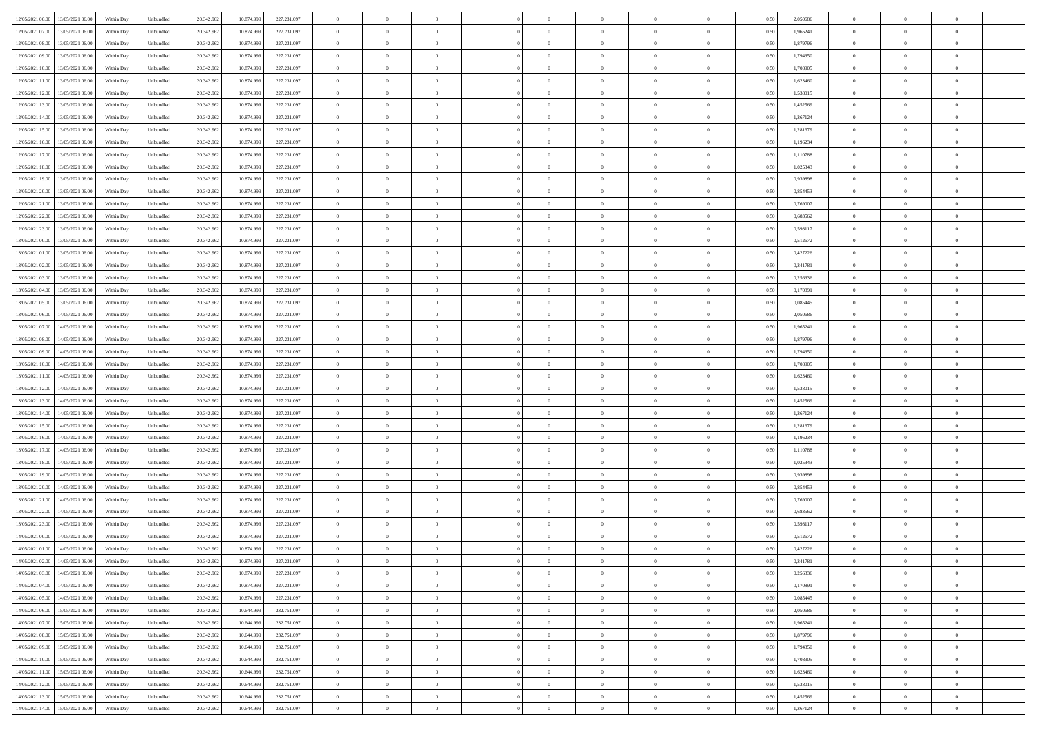| 12/05/2021 06:00<br>13/05/2021 06:00           | Within Day | Unbundled | 20.342.962 | 10.874.999 | 227.231.097 | $\overline{0}$ | $\overline{0}$ |                | $\overline{0}$ | $\theta$       |                | $\theta$       | 0,50 | 2,050686 | $\theta$       | $\theta$       | $\overline{0}$ |  |
|------------------------------------------------|------------|-----------|------------|------------|-------------|----------------|----------------|----------------|----------------|----------------|----------------|----------------|------|----------|----------------|----------------|----------------|--|
| 12/05/2021 07:00<br>13/05/2021 06:00           | Within Day | Unbundled | 20.342.96  | 10.874.99  | 227.231.097 | $\bf{0}$       | $\bf{0}$       | $\bf{0}$       | $\overline{0}$ | $\overline{0}$ | $\overline{0}$ | $\bf{0}$       | 0,50 | 1,965241 | $\,$ 0 $\,$    | $\bf{0}$       | $\overline{0}$ |  |
| 12/05/2021 08:00<br>13/05/2021 06:00           | Within Day | Unbundled | 20.342.962 | 10.874.999 | 227.231.097 | $\overline{0}$ | $\bf{0}$       | $\overline{0}$ | $\bf{0}$       | $\bf{0}$       | $\overline{0}$ | $\bf{0}$       | 0.50 | 1.879796 | $\bf{0}$       | $\overline{0}$ | $\overline{0}$ |  |
| 12/05/2021 09:00<br>13/05/2021 06:00           |            |           |            |            |             | $\overline{0}$ | $\overline{0}$ | $\overline{0}$ | $\theta$       | $\theta$       | $\overline{0}$ |                |      | 1,794350 | $\theta$       | $\theta$       | $\overline{0}$ |  |
|                                                | Within Day | Unbundled | 20.342.96  | 10.874.999 | 227.231.097 |                |                |                |                |                |                | $\bf{0}$       | 0,50 |          |                |                |                |  |
| 12/05/2021 10:00<br>13/05/2021 06:00           | Within Day | Unbundled | 20.342.96  | 10.874.99  | 227.231.097 | $\bf{0}$       | $\overline{0}$ | $\bf{0}$       | $\overline{0}$ | $\theta$       | $\overline{0}$ | $\bf{0}$       | 0,50 | 1,708905 | $\,$ 0 $\,$    | $\bf{0}$       | $\overline{0}$ |  |
| 12/05/2021 11:00<br>13/05/2021 06:00           | Within Day | Unbundled | 20.342.962 | 10.874.999 | 227.231.097 | $\overline{0}$ | $\overline{0}$ | $\overline{0}$ | $\bf{0}$       | $\overline{0}$ | $\theta$       | $\bf{0}$       | 0.50 | 1.623460 | $\,$ 0 $\,$    | $\theta$       | $\overline{0}$ |  |
| 12/05/2021 12:00<br>13/05/2021 06:00           | Within Day | Unbundled | 20.342.96  | 10.874.999 | 227.231.097 | $\overline{0}$ | $\overline{0}$ | $\overline{0}$ | $\overline{0}$ | $\overline{0}$ | $\overline{0}$ | $\bf{0}$       | 0,50 | 1,538015 | $\,$ 0 $\,$    | $\theta$       | $\overline{0}$ |  |
|                                                |            |           |            |            |             |                |                |                |                |                |                |                |      |          |                |                |                |  |
| 12/05/2021 13:00<br>13/05/2021 06:00           | Within Day | Unbundled | 20.342.96  | 10.874.99  | 227.231.097 | $\bf{0}$       | $\overline{0}$ | $\bf{0}$       | $\overline{0}$ | $\overline{0}$ | $\overline{0}$ | $\bf{0}$       | 0,50 | 1,452569 | $\,$ 0 $\,$    | $\bf{0}$       | $\overline{0}$ |  |
| 12/05/2021 14:00<br>13/05/2021 06:00           | Within Day | Unbundled | 20.342.96  | 10.874.999 | 227.231.097 | $\overline{0}$ | $\bf{0}$       | $\overline{0}$ | $\bf{0}$       | $\overline{0}$ | $\overline{0}$ | $\bf{0}$       | 0.50 | 1.367124 | $\bf{0}$       | $\overline{0}$ | $\overline{0}$ |  |
| 12/05/2021 15:00<br>13/05/2021 06:00           | Within Day | Unbundled | 20.342.962 | 10.874.999 | 227.231.097 | $\bf{0}$       | $\bf{0}$       | $\overline{0}$ | $\overline{0}$ | $\overline{0}$ | $\overline{0}$ | $\bf{0}$       | 0,50 | 1,281679 | $\,$ 0 $\,$    | $\bf{0}$       | $\overline{0}$ |  |
| 12/05/2021 16:00<br>13/05/2021 06:00           | Within Day | Unbundled | 20.342.96  | 10.874.999 | 227.231.097 | $\bf{0}$       | $\overline{0}$ | $\bf{0}$       | $\bf{0}$       | $\bf{0}$       | $\overline{0}$ | $\bf{0}$       | 0,50 | 1,196234 | $\,$ 0 $\,$    | $\bf{0}$       | $\overline{0}$ |  |
|                                                |            |           |            |            |             |                |                |                |                |                |                |                |      |          |                |                |                |  |
| 12/05/2021 17:00<br>13/05/2021 06:00           | Within Day | Unbundled | 20.342.962 | 10.874.999 | 227.231.097 | $\overline{0}$ | $\bf{0}$       | $\overline{0}$ | $\overline{0}$ | $\bf{0}$       | $\overline{0}$ | $\bf{0}$       | 0.50 | 1,110788 | $\bf{0}$       | $\overline{0}$ | $\bf{0}$       |  |
| 12/05/2021 18:00<br>13/05/2021 06:00           | Within Day | Unbundled | 20.342.96  | 10.874.999 | 227.231.097 | $\overline{0}$ | $\overline{0}$ | $\overline{0}$ | $\theta$       | $\theta$       | $\overline{0}$ | $\bf{0}$       | 0,50 | 1,025343 | $\,$ 0 $\,$    | $\theta$       | $\overline{0}$ |  |
| 12/05/2021 19:00<br>13/05/2021 06:00           | Within Day | Unbundled | 20.342.96  | 10.874.99  | 227.231.097 | $\bf{0}$       | $\overline{0}$ | $\bf{0}$       | $\overline{0}$ | $\theta$       | $\overline{0}$ | $\bf{0}$       | 0,50 | 0,939898 | $\,$ 0 $\,$    | $\bf{0}$       | $\overline{0}$ |  |
|                                                |            |           |            |            |             |                |                |                |                |                |                |                |      |          |                |                |                |  |
| 12/05/2021 20:00<br>13/05/2021 06:00           | Within Day | Unbundled | 20.342.962 | 10.874.999 | 227.231.097 | $\overline{0}$ | $\overline{0}$ | $\overline{0}$ | $\bf{0}$       | $\bf{0}$       | $\Omega$       | $\bf{0}$       | 0.50 | 0.854453 | $\,$ 0 $\,$    | $\theta$       | $\overline{0}$ |  |
| 12/05/2021 21:00<br>13/05/2021 06:00           | Within Day | Unbundled | 20.342.962 | 10.874.999 | 227.231.097 | $\overline{0}$ | $\overline{0}$ | $\overline{0}$ | $\overline{0}$ | $\overline{0}$ | $\overline{0}$ | $\bf{0}$       | 0,50 | 0,769007 | $\theta$       | $\theta$       | $\overline{0}$ |  |
| 12/05/2021 22:00<br>13/05/2021 06:00           | Within Day | Unbundled | 20.342.96  | 10.874.99  | 227.231.097 | $\bf{0}$       | $\overline{0}$ | $\bf{0}$       | $\overline{0}$ | $\bf{0}$       | $\overline{0}$ | $\bf{0}$       | 0,50 | 0,683562 | $\,$ 0 $\,$    | $\bf{0}$       | $\overline{0}$ |  |
| 12/05/2021 23:00<br>13/05/2021 06:00           | Within Day | Unbundled | 20,342.96  | 10.874.999 | 227.231.097 | $\overline{0}$ | $\bf{0}$       | $\overline{0}$ | $\bf{0}$       | $\overline{0}$ | $\overline{0}$ | $\bf{0}$       | 0.50 | 0.598117 | $\bf{0}$       | $\overline{0}$ | $\overline{0}$ |  |
|                                                |            |           |            |            |             |                | $\overline{0}$ | $\overline{0}$ | $\overline{0}$ | $\overline{0}$ | $\overline{0}$ |                |      |          | $\,$ 0 $\,$    |                |                |  |
| 13/05/2021 00:00<br>13/05/2021 06:00           | Within Day | Unbundled | 20.342.962 | 10.874.999 | 227.231.097 | $\bf{0}$       |                |                |                |                |                | $\bf{0}$       | 0,50 | 0,512672 |                | $\bf{0}$       | $\overline{0}$ |  |
| 13/05/2021 01:00<br>13/05/2021 06:00           | Within Day | Unbundled | 20.342.96  | 10.874.99  | 227.231.097 | $\bf{0}$       | $\bf{0}$       | $\bf{0}$       | $\bf{0}$       | $\overline{0}$ | $\overline{0}$ | $\bf{0}$       | 0,50 | 0,427226 | $\,$ 0 $\,$    | $\bf{0}$       | $\overline{0}$ |  |
| 13/05/2021 02:00<br>13/05/2021 06:00           | Within Day | Unbundled | 20.342.962 | 10.874.999 | 227.231.097 | $\overline{0}$ | $\bf{0}$       | $\overline{0}$ | $\overline{0}$ | $\bf{0}$       | $\overline{0}$ | $\bf{0}$       | 0.50 | 0.341781 | $\bf{0}$       | $\overline{0}$ | $\overline{0}$ |  |
| 13/05/2021 03:00<br>13/05/2021 06:00           | Within Day | Unbundled | 20.342.96  | 10.874.999 | 227.231.097 | $\overline{0}$ | $\overline{0}$ | $\overline{0}$ | $\theta$       | $\theta$       | $\overline{0}$ | $\bf{0}$       | 0,50 | 0,256336 | $\theta$       | $\theta$       | $\overline{0}$ |  |
|                                                |            |           |            |            |             |                | $\overline{0}$ |                |                | $\,$ 0 $\,$    | $\overline{0}$ |                |      |          | $\,$ 0 $\,$    | $\bf{0}$       | $\overline{0}$ |  |
| 13/05/2021 04:00<br>13/05/2021 06:00           | Within Day | Unbundled | 20.342.96  | 10.874.99  | 227.231.097 | $\bf{0}$       |                | $\bf{0}$       | $\bf{0}$       |                |                | $\bf{0}$       | 0,50 | 0,170891 |                |                |                |  |
| 13/05/2021 05:00<br>13/05/2021 06:00           | Within Day | Unbundled | 20.342.962 | 10.874.999 | 227.231.097 | $\overline{0}$ | $\overline{0}$ | $\overline{0}$ | $\bf{0}$       | $\overline{0}$ | $\theta$       | $\bf{0}$       | 0.50 | 0.085445 | $\,$ 0 $\,$    | $\theta$       | $\overline{0}$ |  |
| 13/05/2021 06:00<br>14/05/2021 06:00           | Within Day | Unbundled | 20.342.962 | 10.874.999 | 227.231.097 | $\overline{0}$ | $\overline{0}$ | $\overline{0}$ | $\overline{0}$ | $\theta$       | $\overline{0}$ | $\bf{0}$       | 0,50 | 2,050686 | $\theta$       | $\theta$       | $\overline{0}$ |  |
| 13/05/2021 07:00<br>14/05/2021 06.00           | Within Day | Unbundled | 20.342.96  | 10.874.99  | 227.231.097 | $\bf{0}$       | $\overline{0}$ | $\bf{0}$       | $\overline{0}$ | $\bf{0}$       | $\overline{0}$ | $\bf{0}$       | 0,50 | 1,965241 | $\,$ 0 $\,$    | $\bf{0}$       | $\overline{0}$ |  |
| 13/05/2021 08:00<br>14/05/2021 06:00           | Within Day | Unbundled | 20.342.96  | 10.874.999 | 227.231.097 | $\overline{0}$ | $\bf{0}$       | $\overline{0}$ | $\bf{0}$       | $\overline{0}$ | $\overline{0}$ | $\bf{0}$       | 0.50 | 1.879796 | $\bf{0}$       | $\overline{0}$ | $\overline{0}$ |  |
|                                                |            |           |            |            |             |                |                |                |                |                |                |                |      |          |                |                |                |  |
| 13/05/2021 09:00<br>14/05/2021 06:00           | Within Day | Unbundled | 20.342.962 | 10.874.999 | 227.231.097 | $\overline{0}$ | $\overline{0}$ | $\overline{0}$ | $\overline{0}$ | $\overline{0}$ | $\overline{0}$ | $\bf{0}$       | 0,50 | 1,794350 | $\theta$       | $\theta$       | $\overline{0}$ |  |
| 13/05/2021 10:00<br>14/05/2021 06:00           | Within Day | Unbundled | 20.342.96  | 10.874.999 | 227.231.097 | $\bf{0}$       | $\bf{0}$       | $\bf{0}$       | $\bf{0}$       | $\overline{0}$ | $\overline{0}$ | $\bf{0}$       | 0,50 | 1,708905 | $\,$ 0 $\,$    | $\bf{0}$       | $\overline{0}$ |  |
| 13/05/2021 11:00<br>14/05/2021 06:00           | Within Day | Unbundled | 20.342.962 | 10.874.999 | 227.231.097 | $\overline{0}$ | $\bf{0}$       | $\overline{0}$ | $\bf{0}$       | $\bf{0}$       | $\overline{0}$ | $\bf{0}$       | 0.50 | 1.623460 | $\bf{0}$       | $\overline{0}$ | $\overline{0}$ |  |
| 13/05/2021 12:00<br>14/05/2021 06:00           | Within Day | Unbundled | 20.342.96  | 10.874.999 | 227.231.097 | $\overline{0}$ | $\overline{0}$ | $\overline{0}$ | $\overline{0}$ | $\overline{0}$ | $\overline{0}$ | $\bf{0}$       | 0.5( | 1,538015 | $\theta$       | $\theta$       | $\overline{0}$ |  |
|                                                |            |           |            |            |             |                |                |                |                |                |                |                |      |          |                |                |                |  |
| 13/05/2021 13:00<br>14/05/2021 06.00           | Within Day | Unbundled | 20.342.96  | 10.874.99  | 227.231.097 | $\bf{0}$       | $\overline{0}$ | $\bf{0}$       | $\bf{0}$       | $\,$ 0 $\,$    | $\overline{0}$ | $\bf{0}$       | 0,50 | 1,452569 | $\,$ 0 $\,$    | $\bf{0}$       | $\overline{0}$ |  |
| 13/05/2021 14:00<br>14/05/2021 06:00           | Within Day | Unbundled | 20.342.962 | 10.874.999 | 227.231.097 | $\overline{0}$ | $\bf{0}$       | $\overline{0}$ | $\bf{0}$       | $\bf{0}$       | $\Omega$       | $\bf{0}$       | 0.50 | 1.367124 | $\,$ 0 $\,$    | $\theta$       | $\overline{0}$ |  |
| 13/05/2021 15:00<br>14/05/2021 06:00           | Within Dav | Unbundled | 20.342.96  | 10.874.999 | 227.231.097 | $\overline{0}$ | $\overline{0}$ | $\overline{0}$ | $\overline{0}$ | $\theta$       | $\overline{0}$ | $\bf{0}$       | 0.5( | 1,281679 | $\theta$       | $\theta$       | $\overline{0}$ |  |
| 13/05/2021 16:00<br>14/05/2021 06.00           | Within Day | Unbundled | 20.342.96  | 10.874.999 | 227.231.097 | $\bf{0}$       | $\bf{0}$       | $\bf{0}$       | $\bf{0}$       | $\bf{0}$       | $\overline{0}$ | $\bf{0}$       | 0,50 | 1,196234 | $\,$ 0 $\,$    | $\bf{0}$       | $\overline{0}$ |  |
| 13/05/2021 17:00<br>14/05/2021 06:00           | Within Day | Unbundled | 20.342.96  | 10.874.999 | 227.231.097 | $\overline{0}$ | $\bf{0}$       | $\overline{0}$ | $\bf{0}$       | $\overline{0}$ | $\overline{0}$ | $\bf{0}$       | 0.50 | 1.110788 | $\bf{0}$       | $\overline{0}$ | $\overline{0}$ |  |
|                                                |            |           |            |            |             |                |                |                |                |                |                |                |      |          |                |                |                |  |
| 13/05/2021 18:00<br>14/05/2021 06:00           | Within Dav | Unbundled | 20.342.96  | 10.874.999 | 227.231.097 | $\overline{0}$ | $\overline{0}$ | $\overline{0}$ | $\overline{0}$ | $\overline{0}$ | $\overline{0}$ | $\bf{0}$       | 0.50 | 1,025343 | $\theta$       | $\theta$       | $\overline{0}$ |  |
| 13/05/2021 19:00<br>14/05/2021 06.00           | Within Day | Unbundled | 20.342.96  | 10.874.999 | 227.231.097 | $\bf{0}$       | $\bf{0}$       | $\bf{0}$       | $\bf{0}$       | $\overline{0}$ | $\overline{0}$ | $\bf{0}$       | 0,50 | 0,939898 | $\,$ 0 $\,$    | $\bf{0}$       | $\overline{0}$ |  |
| 13/05/2021 20:00<br>14/05/2021 06:00           | Within Day | Unbundled | 20.342.962 | 10.874.999 | 227.231.097 | $\overline{0}$ | $\bf{0}$       | $\overline{0}$ | $\overline{0}$ | $\bf{0}$       | $\overline{0}$ | $\bf{0}$       | 0.50 | 0.854453 | $\bf{0}$       | $\overline{0}$ | $\overline{0}$ |  |
| 13/05/2021 21:00<br>14/05/2021 06:00           | Within Dav | Unbundled | 20.342.96  | 10.874.999 | 227.231.097 | $\overline{0}$ | $\overline{0}$ | $\overline{0}$ | $\overline{0}$ | $\theta$       | $\overline{0}$ | $\bf{0}$       | 0.50 | 0.769007 | $\theta$       | $\theta$       | $\overline{0}$ |  |
|                                                |            |           |            |            |             |                |                |                |                |                |                |                |      |          |                |                |                |  |
| 13/05/2021 22:00<br>14/05/2021 06.00           | Within Day | Unbundled | 20.342.96  | 10.874.999 | 227.231.097 | $\bf{0}$       | $\bf{0}$       | $\bf{0}$       | $\bf{0}$       | $\overline{0}$ | $\overline{0}$ | $\bf{0}$       | 0,50 | 0,683562 | $\,$ 0 $\,$    | $\bf{0}$       | $\overline{0}$ |  |
| 13/05/2021 23:00<br>14/05/2021 06:00           | Within Day | Unbundled | 20.342.962 | 10.874.999 | 227.231.097 | $\overline{0}$ | $\overline{0}$ | $\overline{0}$ | $\bf{0}$       | $\overline{0}$ | $\Omega$       | $\bf{0}$       | 0.50 | 0.598117 | $\bf{0}$       | $\theta$       | $\overline{0}$ |  |
| 14/05/2021 00:00<br>14/05/2021 06:00           | Within Dav | Unbundled | 20.342.96  | 10.874.999 | 227.231.097 | $\overline{0}$ | $\overline{0}$ | $\Omega$       | $\overline{0}$ | $\theta$       | $\overline{0}$ | $\overline{0}$ | 0.5( | 0,512672 | $\theta$       | $\theta$       | $\overline{0}$ |  |
| 14/05/2021 01:00<br>14/05/2021 06:00           | Within Day | Unbundled | 20.342.96  | 10.874.999 | 227.231.097 | $\bf{0}$       | $\bf{0}$       | $\bf{0}$       | $\overline{0}$ | $\bf{0}$       | $\overline{0}$ | $\bf{0}$       | 0,50 | 0,427226 | $\,$ 0 $\,$    | $\bf{0}$       | $\overline{0}$ |  |
| $14/05/2021\; 02.00 \qquad 14/05/2021\; 06.00$ |            | Unbundled |            | 10.874.999 |             |                | $\Omega$       |                | $\Omega$       |                |                |                | 0,50 | 0,341781 |                |                |                |  |
|                                                | Within Day |           | 20.342.962 |            | 227.231.097 | $\overline{0}$ |                |                |                |                |                |                |      |          | $\theta$       | $\overline{0}$ |                |  |
| 14/05/2021 03:00 14/05/2021 06:00              | Within Day | Unbundled | 20.342.962 | 10.874.999 | 227.231.097 | $\overline{0}$ | $\theta$       | $\Omega$       | $\theta$       | $\overline{0}$ | $\overline{0}$ | $\bf{0}$       | 0,50 | 0,256336 | $\theta$       | $\theta$       | $\overline{0}$ |  |
| 14/05/2021 04:00<br>14/05/2021 06:00           | Within Day | Unbundled | 20.342.96  | 10.874.999 | 227.231.097 | $\overline{0}$ | $\bf{0}$       | $\overline{0}$ | $\overline{0}$ | $\bf{0}$       | $\overline{0}$ | $\bf{0}$       | 0,50 | 0,170891 | $\bf{0}$       | $\overline{0}$ | $\bf{0}$       |  |
| 14/05/2021 05:00 14/05/2021 06:00              | Within Day | Unbundled | 20.342.962 | 10.874.999 | 227.231.097 | $\overline{0}$ | $\bf{0}$       | $\overline{0}$ | $\overline{0}$ | $\overline{0}$ | $\overline{0}$ | $\,$ 0 $\,$    | 0.50 | 0.085445 | $\overline{0}$ | $\bf{0}$       | $\,$ 0 $\,$    |  |
|                                                |            |           |            |            |             |                | $\overline{0}$ |                |                | $\overline{0}$ |                |                |      |          | $\theta$       | $\theta$       | $\overline{0}$ |  |
| 14/05/2021 06:00 15/05/2021 06:00              | Within Day | Unbundled | 20.342.962 | 10.644.999 | 232.751.097 | $\overline{0}$ |                | $\overline{0}$ | $\overline{0}$ |                | $\overline{0}$ | $\bf{0}$       | 0,50 | 2,050686 |                |                |                |  |
| 14/05/2021 07:00<br>15/05/2021 06:00           | Within Day | Unbundled | 20.342.962 | 10.644.999 | 232.751.097 | $\overline{0}$ | $\bf{0}$       | $\overline{0}$ | $\bf{0}$       | $\overline{0}$ | $\bf{0}$       | $\bf{0}$       | 0,50 | 1,965241 | $\bf{0}$       | $\bf{0}$       | $\overline{0}$ |  |
| 14/05/2021 08:00<br>15/05/2021 06:00           | Within Day | Unbundled | 20.342.962 | 10.644.999 | 232.751.097 | $\overline{0}$ | $\bf{0}$       | $\overline{0}$ | $\overline{0}$ | $\overline{0}$ | $\overline{0}$ | $\bf{0}$       | 0.50 | 1.879796 | $\,$ 0 $\,$    | $\theta$       | $\overline{0}$ |  |
| 14/05/2021 09:00<br>15/05/2021 06:00           | Within Dav | Unbundled | 20.342.962 | 10.644.999 | 232.751.097 | $\overline{0}$ | $\overline{0}$ | $\overline{0}$ | $\overline{0}$ | $\overline{0}$ | $\overline{0}$ | $\bf{0}$       | 0.50 | 1,794350 | $\overline{0}$ | $\theta$       | $\overline{0}$ |  |
|                                                |            |           |            |            |             |                | $\overline{0}$ |                |                | $\overline{0}$ |                |                |      |          | $\bf{0}$       |                | $\overline{0}$ |  |
| 14/05/2021 10:00<br>15/05/2021 06:00           | Within Day | Unbundled | 20.342.96  | 10.644.999 | 232.751.097 | $\overline{0}$ |                | $\overline{0}$ | $\overline{0}$ |                | $\overline{0}$ | $\bf{0}$       | 0,50 | 1,708905 |                | $\bf{0}$       |                |  |
| 14/05/2021 11:00 15/05/2021 06:00              | Within Day | Unbundled | 20.342.96  | 10.644.999 | 232.751.097 | $\overline{0}$ | $\overline{0}$ | $\overline{0}$ | $\overline{0}$ | $\bf{0}$       | $\overline{0}$ | $\bf{0}$       | 0.50 | 1.623460 | $\overline{0}$ | $\,$ 0 $\,$    | $\,$ 0         |  |
| 14/05/2021 12:00<br>15/05/2021 06:00           | Within Dav | Unbundled | 20.342.962 | 10.644.999 | 232.751.097 | $\overline{0}$ | $\overline{0}$ | $\overline{0}$ | $\overline{0}$ | $\overline{0}$ | $\overline{0}$ | $\bf{0}$       | 0,50 | 1,538015 | $\overline{0}$ | $\theta$       | $\overline{0}$ |  |
| 14/05/2021 13:00<br>15/05/2021 06:00           | Within Day | Unbundled | 20.342.96  | 10.644.999 | 232.751.097 | $\overline{0}$ | $\bf{0}$       | $\overline{0}$ | $\bf{0}$       | $\overline{0}$ | $\bf{0}$       | $\bf{0}$       | 0,50 | 1,452569 | $\bf{0}$       | $\bf{0}$       | $\overline{0}$ |  |
|                                                |            |           |            |            |             |                |                |                |                |                |                |                |      |          |                |                |                |  |
| 14/05/2021 14:00 15/05/2021 06:00              | Within Day | Unbundled | 20.342.962 | 10.644.999 | 232.751.097 | $\overline{0}$ | $\bf{0}$       | $\overline{0}$ | $\overline{0}$ | $\,$ 0 $\,$    | $\overline{0}$ | $\bf{0}$       | 0,50 | 1,367124 | $\overline{0}$ | $\,$ 0 $\,$    | $\,$ 0 $\,$    |  |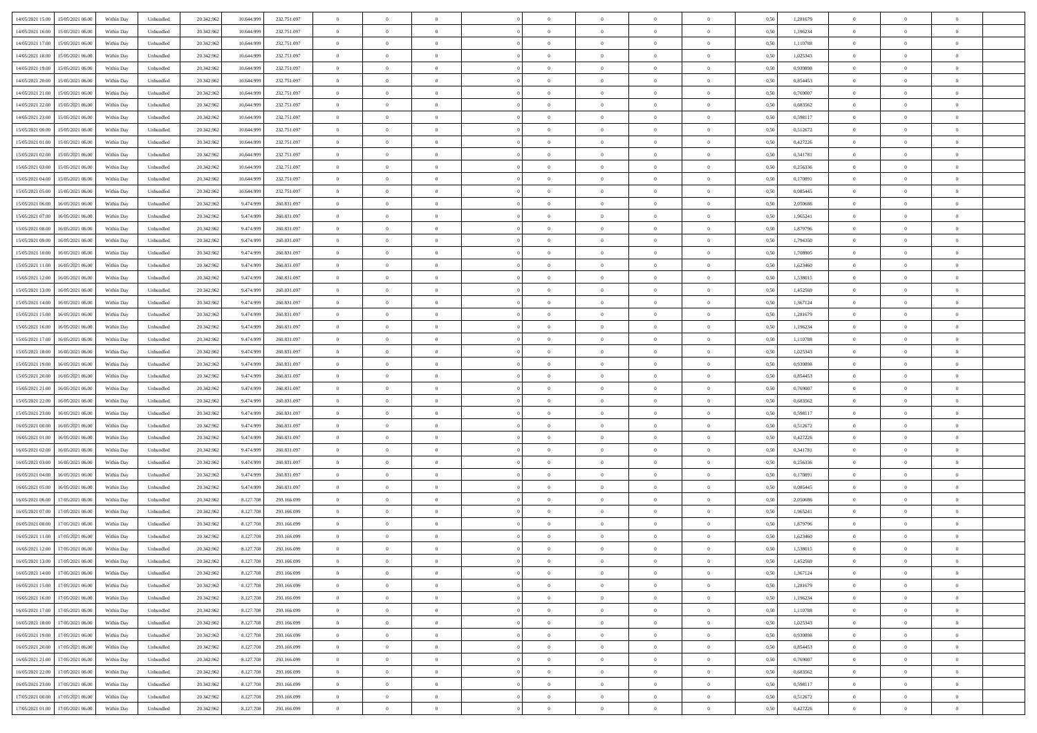| 14/05/2021 15:00 15/05/2021 06:00            | Within Day | Unbundled | 20.342.962 | 10.644.999 | 232.751.097 | $\overline{0}$ | $\overline{0}$ |                | $\overline{0}$ | $\theta$       |                | $\theta$       | 0,50 | 1,281679 | $\theta$       | $\theta$       | $\overline{0}$ |  |
|----------------------------------------------|------------|-----------|------------|------------|-------------|----------------|----------------|----------------|----------------|----------------|----------------|----------------|------|----------|----------------|----------------|----------------|--|
|                                              |            |           |            |            |             |                |                |                |                |                |                |                |      |          |                |                |                |  |
| 14/05/2021 16:00<br>15/05/2021 06:00         | Within Day | Unbundled | 20.342.96  | 10.644.99  | 232.751.097 | $\bf{0}$       | $\overline{0}$ | $\bf{0}$       | $\overline{0}$ | $\bf{0}$       | $\overline{0}$ | $\bf{0}$       | 0,50 | 1,196234 | $\,$ 0 $\,$    | $\bf{0}$       | $\overline{0}$ |  |
| 14/05/2021 17:00<br>15/05/2021 06:00         | Within Day | Unbundled | 20.342.962 | 10.644.999 | 232.751.097 | $\overline{0}$ | $\bf{0}$       | $\overline{0}$ | $\bf{0}$       | $\bf{0}$       | $\overline{0}$ | $\bf{0}$       | 0.50 | 1,110788 | $\bf{0}$       | $\overline{0}$ | $\overline{0}$ |  |
| 14/05/2021 18:00<br>15/05/2021 06:00         | Within Day | Unbundled | 20.342.96  | 10.644.999 | 232.751.097 | $\overline{0}$ | $\overline{0}$ | $\overline{0}$ | $\theta$       | $\theta$       | $\overline{0}$ | $\bf{0}$       | 0,50 | 1,025343 | $\theta$       | $\theta$       | $\overline{0}$ |  |
| 14/05/2021 19:00<br>15/05/2021 06:00         | Within Day | Unbundled | 20.342.96  | 10.644.99  | 232.751.097 | $\bf{0}$       | $\overline{0}$ | $\bf{0}$       | $\overline{0}$ | $\theta$       | $\overline{0}$ | $\bf{0}$       | 0,50 | 0,939898 | $\,$ 0 $\,$    | $\bf{0}$       | $\overline{0}$ |  |
| 14/05/2021 20:00<br>15/05/2021 06:00         | Within Day | Unbundled | 20.342.962 | 10.644.999 | 232.751.097 | $\overline{0}$ | $\overline{0}$ | $\overline{0}$ | $\bf{0}$       | $\overline{0}$ | $\theta$       | $\bf{0}$       | 0.50 | 0.854453 | $\,$ 0 $\,$    | $\theta$       | $\overline{0}$ |  |
|                                              |            |           |            |            |             | $\overline{0}$ | $\overline{0}$ | $\overline{0}$ | $\overline{0}$ | $\theta$       | $\overline{0}$ |                |      |          | $\theta$       | $\theta$       | $\overline{0}$ |  |
| 14/05/2021 21:00<br>15/05/2021 06:00         | Within Day | Unbundled | 20.342.96  | 10.644.999 | 232.751.097 |                |                |                |                |                |                | $\bf{0}$       | 0,50 | 0,769007 |                |                |                |  |
| 14/05/2021 22:00<br>15/05/2021 06:00         | Within Day | Unbundled | 20.342.96  | 10.644.99  | 232.751.097 | $\bf{0}$       | $\overline{0}$ | $\overline{0}$ | $\overline{0}$ | $\theta$       | $\overline{0}$ | $\bf{0}$       | 0,50 | 0,683562 | $\,$ 0 $\,$    | $\bf{0}$       | $\overline{0}$ |  |
| 14/05/2021 23:00<br>15/05/2021 06:00         | Within Day | Unbundled | 20.342.96  | 10.644.999 | 232.751.097 | $\overline{0}$ | $\bf{0}$       | $\overline{0}$ | $\bf{0}$       | $\overline{0}$ | $\overline{0}$ | $\bf{0}$       | 0.50 | 0.598117 | $\bf{0}$       | $\theta$       | $\overline{0}$ |  |
| 15/05/2021 00:00<br>15/05/2021 06:00         | Within Day | Unbundled | 20.342.962 | 10.644.999 | 232.751.097 | $\overline{0}$ | $\bf{0}$       | $\overline{0}$ | $\overline{0}$ | $\overline{0}$ | $\overline{0}$ | $\bf{0}$       | 0,50 | 0,512672 | $\,$ 0 $\,$    | $\theta$       | $\overline{0}$ |  |
| 15/05/2021 01:00<br>15/05/2021 06:00         | Within Day | Unbundled | 20.342.96  | 10.644.999 | 232.751.097 | $\bf{0}$       | $\overline{0}$ | $\bf{0}$       | $\overline{0}$ | $\bf{0}$       | $\overline{0}$ | $\bf{0}$       | 0,50 | 0,427226 | $\,$ 0 $\,$    | $\bf{0}$       | $\overline{0}$ |  |
| 15/05/2021 02:00<br>15/05/2021 06:00         | Within Day | Unbundled | 20.342.962 | 10.644.999 | 232.751.097 | $\overline{0}$ | $\bf{0}$       | $\overline{0}$ | $\bf{0}$       | $\bf{0}$       | $\overline{0}$ | $\bf{0}$       | 0.50 | 0.341781 | $\bf{0}$       | $\overline{0}$ | $\overline{0}$ |  |
| 15/05/2021 03:00<br>15/05/2021 06:00         | Within Day | Unbundled | 20.342.96  | 10.644.999 | 232.751.097 | $\overline{0}$ | $\overline{0}$ | $\overline{0}$ | $\overline{0}$ | $\theta$       | $\overline{0}$ | $\overline{0}$ | 0,50 | 0,256336 | $\,$ 0 $\,$    | $\theta$       | $\overline{0}$ |  |
|                                              |            |           |            |            |             |                | $\theta$       |                | $\overline{0}$ | $\theta$       | $\overline{0}$ |                |      |          | $\,$ 0 $\,$    | $\bf{0}$       | $\overline{0}$ |  |
| 15/05/2021 04:00<br>15/05/2021 06:00         | Within Day | Unbundled | 20.342.96  | 10.644.99  | 232.751.097 | $\bf{0}$       |                | $\bf{0}$       |                |                |                | $\bf{0}$       | 0,50 | 0,170891 |                |                |                |  |
| 15/05/2021 05:00<br>15/05/2021 06:00         | Within Day | Unbundled | 20.342.962 | 10.644.999 | 232.751.097 | $\overline{0}$ | $\overline{0}$ | $\overline{0}$ | $\bf{0}$       | $\theta$       | $\Omega$       | $\bf{0}$       | 0.50 | 0.085445 | $\theta$       | $\theta$       | $\overline{0}$ |  |
| 15/05/2021 06:00<br>16/05/2021 06:00         | Within Day | Unbundled | 20.342.962 | 9.474.999  | 260.831.097 | $\overline{0}$ | $\overline{0}$ | $\overline{0}$ | $\overline{0}$ | $\overline{0}$ | $\overline{0}$ | $\bf{0}$       | 0,50 | 2,050686 | $\theta$       | $\theta$       | $\overline{0}$ |  |
| 15/05/2021 07:00<br>16/05/2021 06:00         | Within Day | Unbundled | 20.342.96  | 9.474.999  | 260.831.097 | $\bf{0}$       | $\overline{0}$ | $\overline{0}$ | $\overline{0}$ | $\bf{0}$       | $\overline{0}$ | $\bf{0}$       | 0,50 | 1,965241 | $\,$ 0 $\,$    | $\bf{0}$       | $\overline{0}$ |  |
| 15/05/2021 08:00<br>16/05/2021 06:00         | Within Day | Unbundled | 20.342.96  | 9.474.999  | 260.831.097 | $\overline{0}$ | $\bf{0}$       | $\overline{0}$ | $\bf{0}$       | $\overline{0}$ | $\overline{0}$ | $\bf{0}$       | 0.50 | 1.879796 | $\bf{0}$       | $\overline{0}$ | $\overline{0}$ |  |
| 15/05/2021 09:00<br>16/05/2021 06:00         | Within Day | Unbundled | 20.342.962 | 9.474.999  | 260.831.097 | $\overline{0}$ | $\overline{0}$ | $\overline{0}$ | $\overline{0}$ | $\overline{0}$ | $\overline{0}$ | $\bf{0}$       | 0,50 | 1,794350 | $\,$ 0 $\,$    | $\theta$       | $\overline{0}$ |  |
| 15/05/2021 10:00<br>16/05/2021 06:00         | Within Day | Unbundled | 20.342.96  | 9.474.999  | 260.831.097 | $\bf{0}$       | $\overline{0}$ | $\bf{0}$       | $\bf{0}$       | $\overline{0}$ | $\overline{0}$ | $\bf{0}$       | 0,50 | 1,708905 | $\,$ 0 $\,$    | $\bf{0}$       | $\overline{0}$ |  |
| 15/05/2021 11:00<br>16/05/2021 06:00         | Within Day | Unbundled | 20.342.962 | 9.474.999  | 260.831.097 | $\overline{0}$ | $\bf{0}$       | $\overline{0}$ | $\bf{0}$       | $\bf{0}$       | $\overline{0}$ | $\bf{0}$       | 0.50 | 1,623460 | $\bf{0}$       | $\overline{0}$ | $\overline{0}$ |  |
|                                              |            |           |            |            |             | $\overline{0}$ | $\overline{0}$ | $\overline{0}$ | $\theta$       | $\theta$       | $\overline{0}$ |                |      |          | $\theta$       | $\theta$       | $\overline{0}$ |  |
| 15/05/2021 12:00<br>16/05/2021 06:00         | Within Day | Unbundled | 20.342.962 | 9.474.999  | 260.831.097 |                |                |                |                |                |                | $\bf{0}$       | 0,50 | 1,538015 |                |                |                |  |
| 15/05/2021 13:00<br>16/05/2021 06:00         | Within Day | Unbundled | 20.342.96  | 9.474.999  | 260.831.097 | $\bf{0}$       | $\overline{0}$ | $\bf{0}$       | $\bf{0}$       | $\bf{0}$       | $\overline{0}$ | $\bf{0}$       | 0,50 | 1,452569 | $\,$ 0 $\,$    | $\bf{0}$       | $\overline{0}$ |  |
| 15/05/2021 14:00<br>16/05/2021 06:00         | Within Day | Unbundled | 20.342.962 | 9.474.999  | 260.831.097 | $\overline{0}$ | $\overline{0}$ | $\overline{0}$ | $\overline{0}$ | $\overline{0}$ | $\Omega$       | $\bf{0}$       | 0.50 | 1.367124 | $\,$ 0 $\,$    | $\theta$       | $\overline{0}$ |  |
| 15/05/2021 15:00<br>16/05/2021 06:00         | Within Day | Unbundled | 20.342.962 | 9.474.999  | 260.831.097 | $\overline{0}$ | $\overline{0}$ | $\overline{0}$ | $\overline{0}$ | $\theta$       | $\overline{0}$ | $\bf{0}$       | 0,50 | 1,281679 | $\,$ 0 $\,$    | $\theta$       | $\overline{0}$ |  |
| 15/05/2021 16:00<br>16/05/2021 06:00         | Within Day | Unbundled | 20.342.96  | 9.474.999  | 260.831.097 | $\bf{0}$       | $\overline{0}$ | $\bf{0}$       | $\overline{0}$ | $\theta$       | $\overline{0}$ | $\bf{0}$       | 0,50 | 1,196234 | $\,$ 0 $\,$    | $\bf{0}$       | $\overline{0}$ |  |
| 15/05/2021 17:00<br>16/05/2021 06:00         | Within Day | Unbundled | 20.342.96  | 9.474.999  | 260.831.097 | $\overline{0}$ | $\bf{0}$       | $\overline{0}$ | $\bf{0}$       | $\overline{0}$ | $\overline{0}$ | $\bf{0}$       | 0.50 | 1.110788 | $\bf{0}$       | $\overline{0}$ | $\overline{0}$ |  |
| 15/05/2021 18:00<br>16/05/2021 06:00         | Within Day | Unbundled | 20.342.962 | 9.474.999  | 260.831.097 | $\overline{0}$ | $\overline{0}$ | $\overline{0}$ | $\overline{0}$ | $\overline{0}$ | $\overline{0}$ | $\bf{0}$       | 0,50 | 1,025343 | $\theta$       | $\theta$       | $\overline{0}$ |  |
| 15/05/2021 19:00<br>16/05/2021 06:00         | Within Day | Unbundled | 20.342.96  | 9.474.999  | 260.831.097 | $\bf{0}$       | $\bf{0}$       | $\bf{0}$       | $\bf{0}$       | $\overline{0}$ | $\overline{0}$ | $\bf{0}$       | 0,50 | 0,939898 | $\,$ 0 $\,$    | $\bf{0}$       | $\overline{0}$ |  |
|                                              |            |           |            |            |             |                |                |                |                |                |                |                |      |          |                |                |                |  |
| 15/05/2021 20:00<br>16/05/2021 06:00         | Within Day | Unbundled | 20.342.962 | 9.474.999  | 260.831.097 | $\overline{0}$ | $\bf{0}$       | $\overline{0}$ | $\bf{0}$       | $\bf{0}$       | $\overline{0}$ | $\bf{0}$       | 0.50 | 0.854453 | $\bf{0}$       | $\overline{0}$ | $\overline{0}$ |  |
| 15/05/2021 21:00<br>16/05/2021 06:00         | Within Day | Unbundled | 20.342.962 | 9.474.999  | 260,831,097 | $\overline{0}$ | $\overline{0}$ | $\overline{0}$ | $\overline{0}$ | $\overline{0}$ | $\overline{0}$ | $\bf{0}$       | 0.5( | 0.769007 | $\theta$       | $\theta$       | $\overline{0}$ |  |
| 15/05/2021 22:00<br>16/05/2021 06:00         | Within Day | Unbundled | 20.342.96  | 9.474.99   | 260.831.097 | $\bf{0}$       | $\overline{0}$ | $\bf{0}$       | $\overline{0}$ | $\overline{0}$ | $\overline{0}$ | $\bf{0}$       | 0,50 | 0,683562 | $\,$ 0 $\,$    | $\bf{0}$       | $\overline{0}$ |  |
| 15/05/2021 23:00<br>16/05/2021 06:00         | Within Day | Unbundled | 20.342.962 | 9.474.999  | 260.831.097 | $\overline{0}$ | $\overline{0}$ | $\overline{0}$ | $\bf{0}$       | $\bf{0}$       | $\Omega$       | $\bf{0}$       | 0.50 | 0.598117 | $\,$ 0 $\,$    | $\theta$       | $\overline{0}$ |  |
| 16/05/2021 00:00<br>16/05/2021 06:00         | Within Dav | Unbundled | 20.342.962 | 9.474.999  | 260.831.097 | $\overline{0}$ | $\overline{0}$ | $\overline{0}$ | $\overline{0}$ | $\overline{0}$ | $\overline{0}$ | $\overline{0}$ | 0.5( | 0,512672 | $\theta$       | $\theta$       | $\overline{0}$ |  |
| 16/05/2021 01:00<br>16/05/2021 06:00         | Within Day | Unbundled | 20.342.96  | 9.474.999  | 260.831.097 | $\bf{0}$       | $\overline{0}$ | $\bf{0}$       | $\overline{0}$ | $\bf{0}$       | $\overline{0}$ | $\bf{0}$       | 0,50 | 0,427226 | $\,$ 0 $\,$    | $\bf{0}$       | $\overline{0}$ |  |
| 16/05/2021 02:00<br>16/05/2021 06:00         | Within Day | Unbundled | 20.342.96  | 9.474.999  | 260.831.097 | $\overline{0}$ | $\bf{0}$       | $\overline{0}$ | $\bf{0}$       | $\overline{0}$ | $\overline{0}$ | $\bf{0}$       | 0.50 | 0.341781 | $\bf{0}$       | $\overline{0}$ | $\overline{0}$ |  |
| 16/05/2021 03:00<br>16/05/2021 06:00         | Within Dav | Unbundled | 20.342.962 | 9.474.999  | 260,831,097 | $\overline{0}$ | $\overline{0}$ | $\overline{0}$ | $\overline{0}$ | $\overline{0}$ | $\overline{0}$ | $\overline{0}$ | 0.50 | 0,256336 | $\theta$       | $\theta$       | $\overline{0}$ |  |
| 16/05/2021 06:00                             | Within Day | Unbundled | 20.342.96  | 9.474.999  | 260.831.097 | $\bf{0}$       | $\bf{0}$       | $\bf{0}$       | $\bf{0}$       | $\overline{0}$ | $\overline{0}$ | $\bf{0}$       | 0,50 | 0,170891 | $\,$ 0 $\,$    | $\bf{0}$       | $\overline{0}$ |  |
| 16/05/2021 04:00                             |            |           |            |            |             |                |                |                |                |                |                |                |      |          |                |                |                |  |
| 16/05/2021 05:00<br>16/05/2021 06:00         | Within Day | Unbundled | 20.342.962 | 9.474.999  | 260.831.097 | $\overline{0}$ | $\bf{0}$       | $\overline{0}$ | $\bf{0}$       | $\bf{0}$       | $\overline{0}$ | $\bf{0}$       | 0.50 | 0.085445 | $\bf{0}$       | $\overline{0}$ | $\overline{0}$ |  |
| 16/05/2021 06:00<br>17/05/2021 06:00         | Within Dav | Unbundled | 20.342.962 | 8.127.708  | 293.166.099 | $\overline{0}$ | $\overline{0}$ | $\overline{0}$ | $\overline{0}$ | $\theta$       | $\overline{0}$ | $\bf{0}$       | 0.50 | 2.050686 | $\theta$       | $\theta$       | $\overline{0}$ |  |
| 16/05/2021 07:00<br>17/05/2021 06:00         | Within Day | Unbundled | 20.342.96  | 8.127.708  | 293.166.099 | $\bf{0}$       | $\overline{0}$ | $\bf{0}$       | $\bf{0}$       | $\overline{0}$ | $\overline{0}$ | $\bf{0}$       | 0,50 | 1,965241 | $\,$ 0 $\,$    | $\bf{0}$       | $\overline{0}$ |  |
| 16/05/2021 08:00<br>17/05/2021 06.00         | Within Day | Unbundled | 20.342.962 | 8.127.708  | 293.166.099 | $\overline{0}$ | $\overline{0}$ | $\Omega$       | $\overline{0}$ | $\bf{0}$       | $\theta$       | $\bf{0}$       | 0.50 | 1.879796 | $\bf{0}$       | $\theta$       | $\overline{0}$ |  |
| 16/05/2021 11:00<br>17/05/2021 06:00         | Within Dav | Unbundled | 20.342.962 | 8.127.708  | 293.166.099 | $\overline{0}$ | $\overline{0}$ | $\Omega$       | $\overline{0}$ | $\theta$       | $\Omega$       | $\overline{0}$ | 0.5( | 1,623460 | $\theta$       | $\theta$       | $\overline{0}$ |  |
| 16/05/2021 12:00<br>17/05/2021 06:00         | Within Day | Unbundled | 20.342.96  | 8.127.708  | 293.166.099 | $\bf{0}$       | $\bf{0}$       | $\bf{0}$       | $\bf{0}$       | $\bf{0}$       | $\overline{0}$ | $\bf{0}$       | 0,50 | 1,538015 | $\,$ 0 $\,$    | $\bf{0}$       | $\overline{0}$ |  |
| $16/05/2021\ 13.00 \qquad 17/05/2021\ 06.00$ | Within Day | Unbundled | 20.342.962 | 8.127.708  | 293.166.099 | $\overline{0}$ | $\Omega$       |                | $\overline{0}$ |                |                |                | 0,50 | 1,452569 | $\theta$       | $\overline{0}$ |                |  |
| 16/05/2021 14:00 17/05/2021 06:00            | Within Day | Unbundled | 20.342.962 | 8.127.708  | 293.166.099 | $\overline{0}$ | $\theta$       | $\overline{0}$ | $\overline{0}$ | $\overline{0}$ | $\overline{0}$ | $\bf{0}$       | 0,50 | 1,367124 | $\theta$       | $\theta$       | $\overline{0}$ |  |
|                                              |            |           |            |            |             |                |                |                |                |                |                |                |      |          |                |                |                |  |
| 16/05/2021 15:00<br>17/05/2021 06:00         | Within Day | Unbundled | 20.342.96  | 8.127.708  | 293.166.099 | $\overline{0}$ | $\bf{0}$       | $\overline{0}$ | $\overline{0}$ | $\bf{0}$       | $\overline{0}$ | $\bf{0}$       | 0,50 | 1,281679 | $\bf{0}$       | $\overline{0}$ | $\bf{0}$       |  |
| 16/05/2021 16:00 17/05/2021 06:00            | Within Day | Unbundled | 20.342.962 | 8.127.708  | 293.166.099 | $\overline{0}$ | $\bf{0}$       | $\overline{0}$ | $\overline{0}$ | $\overline{0}$ | $\overline{0}$ | $\,$ 0 $\,$    | 0.50 | 1.196234 | $\overline{0}$ | $\bf{0}$       | $\,$ 0 $\,$    |  |
| 16/05/2021 17:00 17/05/2021 06:00            | Within Day | Unbundled | 20.342.962 | 8.127.708  | 293.166.099 | $\overline{0}$ | $\overline{0}$ | $\overline{0}$ | $\overline{0}$ | $\overline{0}$ | $\overline{0}$ | $\bf{0}$       | 0,50 | 1,110788 | $\theta$       | $\theta$       | $\overline{0}$ |  |
| 16/05/2021 18:00<br>17/05/2021 06:00         | Within Day | Unbundled | 20.342.962 | 8.127.708  | 293.166.099 | $\overline{0}$ | $\bf{0}$       | $\overline{0}$ | $\bf{0}$       | $\overline{0}$ | $\bf{0}$       | $\bf{0}$       | 0,50 | 1,025343 | $\bf{0}$       | $\bf{0}$       | $\overline{0}$ |  |
| 16/05/2021 19:00<br>17/05/2021 06:00         | Within Day | Unbundled | 20.342.962 | 8.127.708  | 293.166.099 | $\overline{0}$ | $\bf{0}$       | $\overline{0}$ | $\overline{0}$ | $\overline{0}$ | $\overline{0}$ | $\bf{0}$       | 0.50 | 0.939898 | $\,$ 0 $\,$    | $\theta$       | $\,$ 0         |  |
| 16/05/2021 20:00<br>17/05/2021 06:00         | Within Dav | Unbundled | 20.342.962 | 8.127.708  | 293.166.099 | $\overline{0}$ | $\overline{0}$ | $\overline{0}$ | $\overline{0}$ | $\overline{0}$ | $\overline{0}$ | $\bf{0}$       | 0.50 | 0,854453 | $\overline{0}$ | $\theta$       | $\overline{0}$ |  |
| 16/05/2021 21:00<br>17/05/2021 06:00         | Within Day | Unbundled | 20.342.96  | 8.127.708  | 293.166.099 | $\overline{0}$ | $\overline{0}$ | $\overline{0}$ | $\overline{0}$ | $\overline{0}$ | $\overline{0}$ | $\bf{0}$       | 0,50 | 0,769007 | $\bf{0}$       | $\,$ 0 $\,$    | $\overline{0}$ |  |
| 16/05/2021 22:00<br>17/05/2021 06:00         |            | Unbundled | 20.342.962 | 8.127.708  | 293.166.099 | $\overline{0}$ | $\overline{0}$ | $\overline{0}$ |                | $\bf{0}$       | $\overline{0}$ |                | 0.50 | 0.683562 | $\overline{0}$ | $\,$ 0 $\,$    | $\,$ 0         |  |
|                                              | Within Day |           |            |            |             |                |                |                | $\overline{0}$ |                |                | $\bf{0}$       |      |          |                |                |                |  |
| 16/05/2021 23:00<br>17/05/2021 06:00         | Within Dav | Unbundled | 20.342.962 | 8.127.708  | 293.166.099 | $\overline{0}$ | $\overline{0}$ | $\overline{0}$ | $\overline{0}$ | $\overline{0}$ | $\overline{0}$ | $\bf{0}$       | 0,50 | 0,598117 | $\overline{0}$ | $\theta$       | $\overline{0}$ |  |
| 17/05/2021 00:00<br>17/05/2021 06:00         | Within Day | Unbundled | 20.342.96  | 8.127.708  | 293.166.099 | $\overline{0}$ | $\bf{0}$       | $\overline{0}$ | $\bf{0}$       | $\overline{0}$ | $\bf{0}$       | $\bf{0}$       | 0,50 | 0,512672 | $\bf{0}$       | $\bf{0}$       | $\bf{0}$       |  |
| 17/05/2021 01:00 17/05/2021 06:00            | Within Day | Unbundled | 20.342.962 | 8.127.708  | 293.166.099 | $\overline{0}$ | $\bf{0}$       | $\overline{0}$ | $\overline{0}$ | $\,$ 0 $\,$    | $\overline{0}$ | $\bf{0}$       | 0,50 | 0,427226 | $\overline{0}$ | $\,$ 0 $\,$    | $\,$ 0 $\,$    |  |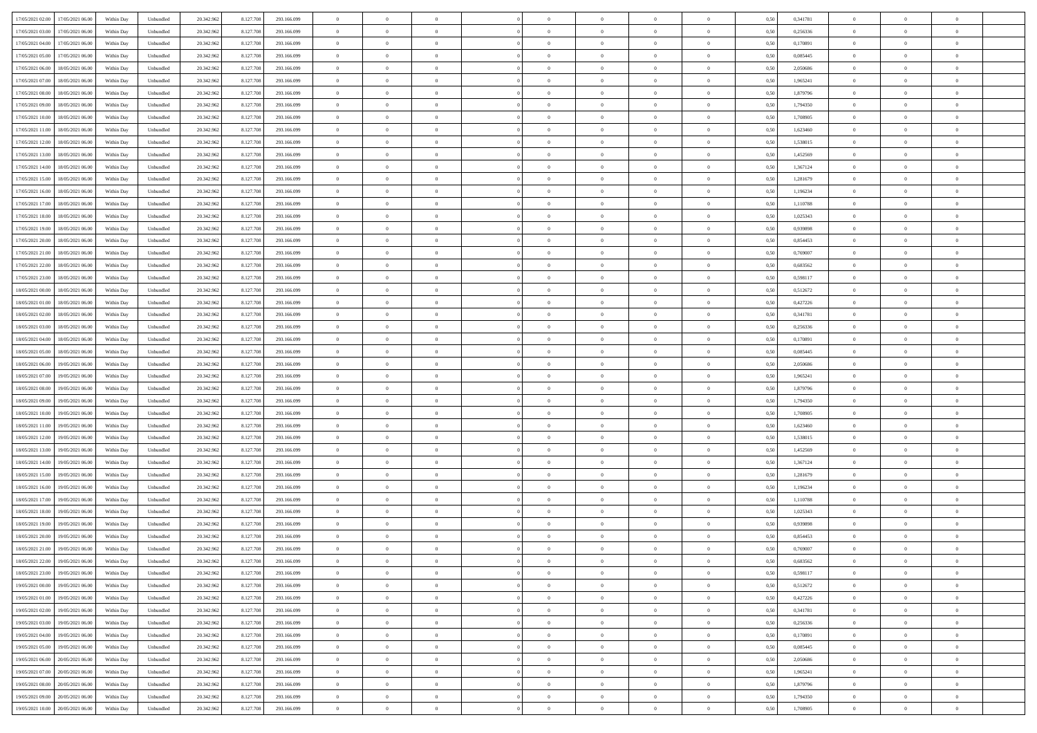| 17/05/2021 02:00 17/05/2021 06:00            | Within Day | Unbundled | 20.342.962 | 8.127.708 | 293.166.099 | $\overline{0}$ | $\overline{0}$ |                | $\overline{0}$ | $\theta$       |                | $\theta$       | 0,50 | 0,341781 | $\theta$       | $\theta$       | $\overline{0}$ |  |
|----------------------------------------------|------------|-----------|------------|-----------|-------------|----------------|----------------|----------------|----------------|----------------|----------------|----------------|------|----------|----------------|----------------|----------------|--|
|                                              |            |           |            |           |             |                |                |                |                |                |                |                |      |          |                |                |                |  |
| 17/05/2021 03:00<br>17/05/2021 06:00         | Within Day | Unbundled | 20.342.96  | 8.127.708 | 293.166.099 | $\bf{0}$       | $\overline{0}$ | $\bf{0}$       | $\overline{0}$ | $\bf{0}$       | $\overline{0}$ | $\bf{0}$       | 0,50 | 0,256336 | $\,$ 0 $\,$    | $\bf{0}$       | $\overline{0}$ |  |
| 17/05/2021 04:00<br>17/05/2021 06:00         | Within Day | Unbundled | 20.342.962 | 8.127.708 | 293.166.099 | $\overline{0}$ | $\overline{0}$ | $\overline{0}$ | $\bf{0}$       | $\bf{0}$       | $\overline{0}$ | $\bf{0}$       | 0.50 | 0,170891 | $\bf{0}$       | $\overline{0}$ | $\overline{0}$ |  |
| 17/05/2021 05:00<br>17/05/2021 06:00         | Within Day | Unbundled | 20.342.962 | 8.127.708 | 293.166.099 | $\overline{0}$ | $\overline{0}$ | $\overline{0}$ | $\theta$       | $\theta$       | $\overline{0}$ | $\bf{0}$       | 0,50 | 0,085445 | $\theta$       | $\theta$       | $\overline{0}$ |  |
| 17/05/2021 06:00<br>18/05/2021 06:00         | Within Day | Unbundled | 20.342.96  | 8.127.708 | 293.166.099 | $\bf{0}$       | $\theta$       | $\overline{0}$ | $\overline{0}$ | $\theta$       | $\overline{0}$ | $\bf{0}$       | 0,50 | 2,050686 | $\,$ 0 $\,$    | $\bf{0}$       | $\overline{0}$ |  |
| 17/05/2021 07:00<br>18/05/2021 06:00         |            | Unbundled | 20.342.962 | 8.127.708 | 293.166.099 | $\overline{0}$ | $\overline{0}$ | $\overline{0}$ | $\overline{0}$ | $\overline{0}$ | $\theta$       | $\bf{0}$       | 0.50 | 1.965241 | $\,$ 0 $\,$    | $\theta$       | $\overline{0}$ |  |
|                                              | Within Day |           |            |           |             |                |                |                |                |                |                |                |      |          |                |                |                |  |
| 17/05/2021 08:00<br>18/05/2021 06:00         | Within Day | Unbundled | 20.342.962 | 8.127.708 | 293.166.099 | $\overline{0}$ | $\overline{0}$ | $\overline{0}$ | $\overline{0}$ | $\theta$       | $\overline{0}$ | $\bf{0}$       | 0,50 | 1,879796 | $\theta$       | $\theta$       | $\overline{0}$ |  |
| 17/05/2021 09:00<br>18/05/2021 06:00         | Within Day | Unbundled | 20.342.96  | 8.127.708 | 293.166.099 | $\bf{0}$       | $\overline{0}$ | $\overline{0}$ | $\overline{0}$ | $\theta$       | $\overline{0}$ | $\bf{0}$       | 0,50 | 1,794350 | $\,$ 0 $\,$    | $\bf{0}$       | $\overline{0}$ |  |
| 17/05/2021 10:00<br>18/05/2021 06:00         | Within Day | Unbundled | 20.342.96  | 8.127.708 | 293.166.099 | $\overline{0}$ | $\overline{0}$ | $\overline{0}$ | $\bf{0}$       | $\overline{0}$ | $\overline{0}$ | $\bf{0}$       | 0.50 | 1,708905 | $\bf{0}$       | $\theta$       | $\overline{0}$ |  |
| 17/05/2021 11:00<br>18/05/2021 06:00         | Within Day | Unbundled | 20.342.962 | 8.127.708 | 293.166.099 | $\bf{0}$       | $\bf{0}$       | $\overline{0}$ | $\overline{0}$ | $\overline{0}$ | $\overline{0}$ | $\bf{0}$       | 0,50 | 1,623460 | $\,$ 0 $\,$    | $\theta$       | $\overline{0}$ |  |
| 17/05/2021 12:00<br>18/05/2021 06:00         | Within Day | Unbundled | 20.342.96  | 8.127.708 | 293.166.099 | $\bf{0}$       | $\overline{0}$ | $\bf{0}$       | $\overline{0}$ | $\bf{0}$       | $\overline{0}$ | $\bf{0}$       | 0,50 | 1,538015 | $\,$ 0 $\,$    | $\bf{0}$       | $\overline{0}$ |  |
| 17/05/2021 13:00<br>18/05/2021 06:00         | Within Day | Unbundled | 20.342.962 | 8.127.708 | 293.166.099 | $\overline{0}$ | $\overline{0}$ | $\overline{0}$ | $\bf{0}$       | $\bf{0}$       | $\overline{0}$ | $\bf{0}$       | 0.50 | 1.452569 | $\bf{0}$       | $\overline{0}$ | $\bf{0}$       |  |
| 17/05/2021 14:00<br>18/05/2021 06:00         | Within Day | Unbundled | 20.342.96  | 8.127.708 | 293.166.099 | $\overline{0}$ | $\overline{0}$ | $\overline{0}$ | $\overline{0}$ | $\theta$       | $\overline{0}$ | $\overline{0}$ | 0,50 | 1,367124 | $\,$ 0 $\,$    | $\theta$       | $\overline{0}$ |  |
|                                              |            |           |            |           |             |                |                |                |                |                |                |                |      |          |                |                |                |  |
| 17/05/2021 15:00<br>18/05/2021 06:00         | Within Day | Unbundled | 20.342.96  | 8.127.708 | 293.166.099 | $\bf{0}$       | $\theta$       | $\bf{0}$       | $\overline{0}$ | $\theta$       | $\overline{0}$ | $\bf{0}$       | 0,50 | 1,281679 | $\bf{0}$       | $\bf{0}$       | $\overline{0}$ |  |
| 17/05/2021 16:00<br>18/05/2021 06:00         | Within Day | Unbundled | 20.342.962 | 8.127.708 | 293.166.099 | $\overline{0}$ | $\overline{0}$ | $\overline{0}$ | $\bf{0}$       | $\theta$       | $\Omega$       | $\bf{0}$       | 0.50 | 1,196234 | $\theta$       | $\overline{0}$ | $\overline{0}$ |  |
| 17/05/2021 17:00<br>18/05/2021 06:00         | Within Day | Unbundled | 20.342.962 | 8.127.708 | 293.166.099 | $\overline{0}$ | $\overline{0}$ | $\overline{0}$ | $\overline{0}$ | $\overline{0}$ | $\overline{0}$ | $\bf{0}$       | 0,50 | 1,110788 | $\theta$       | $\theta$       | $\overline{0}$ |  |
| 17/05/2021 18:00<br>18/05/2021 06:00         | Within Day | Unbundled | 20.342.96  | 8.127.708 | 293.166.099 | $\bf{0}$       | $\overline{0}$ | $\overline{0}$ | $\overline{0}$ | $\theta$       | $\overline{0}$ | $\bf{0}$       | 0,50 | 1,025343 | $\,$ 0 $\,$    | $\bf{0}$       | $\overline{0}$ |  |
| 17/05/2021 19:00<br>18/05/2021 06:00         | Within Day | Unbundled | 20.342.96  | 8.127.708 | 293.166.099 | $\overline{0}$ | $\overline{0}$ | $\overline{0}$ | $\bf{0}$       | $\overline{0}$ | $\overline{0}$ | $\bf{0}$       | 0.50 | 0.939898 | $\bf{0}$       | $\overline{0}$ | $\overline{0}$ |  |
| 17/05/2021 20:00<br>18/05/2021 06:00         | Within Day | Unbundled | 20.342.962 | 8.127.708 | 293.166.099 | $\overline{0}$ | $\overline{0}$ | $\overline{0}$ | $\overline{0}$ | $\overline{0}$ | $\overline{0}$ | $\bf{0}$       | 0,50 | 0,854453 | $\,$ 0 $\,$    | $\theta$       | $\overline{0}$ |  |
| 17/05/2021 21:00<br>18/05/2021 06:00         | Within Day | Unbundled | 20.342.96  | 8.127.708 | 293.166.099 | $\bf{0}$       | $\bf{0}$       | $\bf{0}$       | $\bf{0}$       | $\overline{0}$ | $\overline{0}$ | $\bf{0}$       | 0,50 | 0,769007 | $\,$ 0 $\,$    | $\bf{0}$       | $\overline{0}$ |  |
| 17/05/2021 22:00<br>18/05/2021 06:00         | Within Day | Unbundled | 20.342.962 | 8.127.708 | 293.166.099 | $\overline{0}$ | $\overline{0}$ | $\overline{0}$ | $\bf{0}$       | $\bf{0}$       | $\overline{0}$ | $\bf{0}$       | 0.50 | 0.683562 | $\bf{0}$       | $\overline{0}$ | $\overline{0}$ |  |
|                                              |            |           |            |           |             |                |                |                |                |                |                |                |      |          |                |                |                |  |
| 17/05/2021 23:00<br>18/05/2021 06:00         | Within Day | Unbundled | 20.342.962 | 8.127.708 | 293.166.099 | $\overline{0}$ | $\overline{0}$ | $\overline{0}$ | $\theta$       | $\theta$       | $\overline{0}$ | $\bf{0}$       | 0,50 | 0,598117 | $\theta$       | $\theta$       | $\overline{0}$ |  |
| 18/05/2021 00:00<br>18/05/2021 06:00         | Within Day | Unbundled | 20.342.96  | 8.127.708 | 293.166.099 | $\bf{0}$       | $\overline{0}$ | $\bf{0}$       | $\bf{0}$       | $\bf{0}$       | $\overline{0}$ | $\bf{0}$       | 0,50 | 0,512672 | $\,$ 0 $\,$    | $\bf{0}$       | $\overline{0}$ |  |
| 18/05/2021 01:00<br>18/05/2021 06:00         | Within Day | Unbundled | 20.342.962 | 8.127.708 | 293.166.099 | $\overline{0}$ | $\overline{0}$ | $\overline{0}$ | $\overline{0}$ | $\overline{0}$ | $\Omega$       | $\bf{0}$       | 0.50 | 0,427226 | $\,$ 0 $\,$    | $\theta$       | $\overline{0}$ |  |
| 18/05/2021 02:00<br>18/05/2021 06:00         | Within Day | Unbundled | 20.342.962 | 8.127.708 | 293.166.099 | $\overline{0}$ | $\overline{0}$ | $\overline{0}$ | $\overline{0}$ | $\overline{0}$ | $\overline{0}$ | $\bf{0}$       | 0,50 | 0,341781 | $\theta$       | $\theta$       | $\overline{0}$ |  |
| 18/05/2021 03:00<br>18/05/2021 06:00         | Within Day | Unbundled | 20.342.96  | 8.127.708 | 293.166.099 | $\bf{0}$       | $\theta$       | $\bf{0}$       | $\overline{0}$ | $\theta$       | $\overline{0}$ | $\bf{0}$       | 0,50 | 0,256336 | $\,$ 0 $\,$    | $\bf{0}$       | $\overline{0}$ |  |
| 18/05/2021 04:00<br>18/05/2021 06:00         | Within Day | Unbundled | 20.342.96  | 8.127.708 | 293.166.099 | $\overline{0}$ | $\overline{0}$ | $\overline{0}$ | $\bf{0}$       | $\overline{0}$ | $\overline{0}$ | $\bf{0}$       | 0.50 | 0.170891 | $\bf{0}$       | $\theta$       | $\overline{0}$ |  |
| 18/05/2021 05:00<br>18/05/2021 06:00         | Within Day | Unbundled | 20.342.962 | 8.127.708 | 293.166.099 | $\overline{0}$ | $\overline{0}$ | $\overline{0}$ | $\overline{0}$ | $\overline{0}$ | $\overline{0}$ | $\bf{0}$       | 0,50 | 0,085445 | $\theta$       | $\theta$       | $\overline{0}$ |  |
|                                              |            |           |            |           |             |                |                |                |                |                |                |                |      |          |                |                |                |  |
| 18/05/2021 06:00<br>19/05/2021 06:00         | Within Day | Unbundled | 20.342.96  | 8.127.708 | 293.166.099 | $\bf{0}$       | $\bf{0}$       | $\bf{0}$       | $\bf{0}$       | $\overline{0}$ | $\overline{0}$ | $\bf{0}$       | 0,50 | 2,050686 | $\,$ 0 $\,$    | $\bf{0}$       | $\overline{0}$ |  |
| 18/05/2021 07:00<br>19/05/2021 06:00         | Within Day | Unbundled | 20.342.962 | 8.127.708 | 293.166.099 | $\overline{0}$ | $\bf{0}$       | $\overline{0}$ | $\bf{0}$       | $\bf{0}$       | $\overline{0}$ | $\bf{0}$       | 0.50 | 1,965241 | $\bf{0}$       | $\overline{0}$ | $\overline{0}$ |  |
| 18/05/2021 08:00<br>19/05/2021 06:00         | Within Day | Unbundled | 20.342.962 | 8.127.708 | 293.166.099 | $\overline{0}$ | $\overline{0}$ | $\overline{0}$ | $\overline{0}$ | $\overline{0}$ | $\overline{0}$ | $\bf{0}$       | 0.5( | 1,879796 | $\theta$       | $\theta$       | $\overline{0}$ |  |
| 18/05/2021 09:00<br>19/05/2021 06:00         | Within Day | Unbundled | 20.342.96  | 8.127.708 | 293.166.099 | $\bf{0}$       | $\overline{0}$ | $\bf{0}$       | $\overline{0}$ | $\overline{0}$ | $\overline{0}$ | $\bf{0}$       | 0,50 | 1,794350 | $\,$ 0 $\,$    | $\bf{0}$       | $\overline{0}$ |  |
| 18/05/2021 10:00<br>19/05/2021 06:00         | Within Day | Unbundled | 20.342.962 | 8.127.708 | 293.166.099 | $\overline{0}$ | $\overline{0}$ | $\overline{0}$ | $\bf{0}$       | $\bf{0}$       | $\Omega$       | $\bf{0}$       | 0.50 | 1.708905 | $\,$ 0 $\,$    | $\overline{0}$ | $\overline{0}$ |  |
| 18/05/2021 11:00<br>19/05/2021 06:00         | Within Dav | Unbundled | 20.342.962 | 8.127.708 | 293.166.099 | $\overline{0}$ | $\overline{0}$ | $\overline{0}$ | $\overline{0}$ | $\overline{0}$ | $\overline{0}$ | $\overline{0}$ | 0.5( | 1,623460 | $\theta$       | $\theta$       | $\overline{0}$ |  |
| 18/05/2021 12:00<br>19/05/2021 06:00         | Within Day | Unbundled | 20.342.96  | 8.127.708 | 293.166.099 | $\bf{0}$       | $\overline{0}$ | $\bf{0}$       | $\overline{0}$ | $\bf{0}$       | $\overline{0}$ | $\bf{0}$       | 0,50 | 1,538015 | $\,$ 0 $\,$    | $\bf{0}$       | $\overline{0}$ |  |
| 18/05/2021 13:00<br>19/05/2021 06:00         | Within Day | Unbundled | 20.342.96  | 8.127.708 | 293.166.099 | $\overline{0}$ | $\overline{0}$ | $\overline{0}$ | $\bf{0}$       | $\overline{0}$ | $\overline{0}$ | $\bf{0}$       | 0.50 | 1.452569 | $\bf{0}$       | $\overline{0}$ | $\overline{0}$ |  |
| 18/05/2021 14:00<br>19/05/2021 06:00         | Within Dav | Unbundled | 20.342.962 | 8.127.708 | 293.166.099 | $\overline{0}$ | $\overline{0}$ | $\overline{0}$ | $\overline{0}$ | $\overline{0}$ | $\overline{0}$ | $\overline{0}$ | 0.50 | 1,367124 | $\theta$       | $\theta$       | $\overline{0}$ |  |
|                                              |            |           |            |           |             |                |                |                |                |                |                |                |      |          |                |                |                |  |
| 18/05/2021 15:00<br>19/05/2021 06:00         | Within Day | Unbundled | 20.342.96  | 8.127.708 | 293.166.099 | $\bf{0}$       | $\bf{0}$       | $\bf{0}$       | $\bf{0}$       | $\overline{0}$ | $\overline{0}$ | $\bf{0}$       | 0,50 | 1,281679 | $\,$ 0 $\,$    | $\bf{0}$       | $\overline{0}$ |  |
| 18/05/2021 16:00<br>19/05/2021 06:00         | Within Day | Unbundled | 20.342.962 | 8.127.708 | 293.166.099 | $\overline{0}$ | $\bf{0}$       | $\overline{0}$ | $\bf{0}$       | $\bf{0}$       | $\overline{0}$ | $\bf{0}$       | 0.50 | 1,196234 | $\bf{0}$       | $\overline{0}$ | $\overline{0}$ |  |
| 18/05/2021 17:00<br>19/05/2021 06:00         | Within Dav | Unbundled | 20.342.962 | 8.127.708 | 293.166.099 | $\overline{0}$ | $\overline{0}$ | $\overline{0}$ | $\overline{0}$ | $\overline{0}$ | $\overline{0}$ | $\bf{0}$       | 0.5( | 1,110788 | $\theta$       | $\theta$       | $\overline{0}$ |  |
| 18/05/2021 18:00<br>19/05/2021 06:00         | Within Day | Unbundled | 20.342.96  | 8.127.708 | 293.166.099 | $\bf{0}$       | $\overline{0}$ | $\bf{0}$       | $\bf{0}$       | $\,$ 0 $\,$    | $\overline{0}$ | $\bf{0}$       | 0,50 | 1,025343 | $\,$ 0 $\,$    | $\bf{0}$       | $\overline{0}$ |  |
| 18/05/2021 19:00<br>19/05/2021 06:00         | Within Day | Unbundled | 20.342.962 | 8.127.708 | 293.166.099 | $\overline{0}$ | $\overline{0}$ | $\Omega$       | $\overline{0}$ | $\overline{0}$ | $\theta$       | $\bf{0}$       | 0.50 | 0.939898 | $\,$ 0 $\,$    | $\overline{0}$ | $\overline{0}$ |  |
| 18/05/2021 20:00<br>19/05/2021 06:00         | Within Dav | Unbundled | 20.342.962 | 8.127.708 | 293.166.099 | $\overline{0}$ | $\overline{0}$ | $\Omega$       | $\overline{0}$ | $\theta$       | $\Omega$       | $\overline{0}$ | 0.5( | 0,854453 | $\theta$       | $\theta$       | $\overline{0}$ |  |
| 18/05/2021 21:00<br>19/05/2021 06:00         | Within Day | Unbundled | 20.342.96  | 8.127.708 | 293.166.099 | $\bf{0}$       | $\bf{0}$       | $\bf{0}$       | $\bf{0}$       | $\bf{0}$       | $\overline{0}$ | $\bf{0}$       | 0,50 | 0,769007 | $\,$ 0 $\,$    | $\bf{0}$       | $\overline{0}$ |  |
| $18/05/2021\ 22.00 \qquad 19/05/2021\ 06.00$ | Within Day | Unbundled | 20.342.962 | 8.127.708 | 293.166.099 | $\overline{0}$ | $\Omega$       |                | $\Omega$       |                |                |                | 0,50 | 0,683562 | $\theta$       | $\overline{0}$ |                |  |
| 18/05/2021 23:00 19/05/2021 06:00            |            |           |            |           |             | $\overline{0}$ | $\theta$       |                | $\theta$       | $\overline{0}$ |                |                |      |          | $\theta$       | $\theta$       | $\overline{0}$ |  |
|                                              | Within Day | Unbundled | 20.342.962 | 8.127.708 | 293.166.099 |                |                | $\overline{0}$ |                |                | $\overline{0}$ | $\bf{0}$       | 0,50 | 0,598117 |                |                |                |  |
| 19/05/2021 00:00<br>19/05/2021 06:00         | Within Day | Unbundled | 20.342.96  | 8.127.708 | 293.166.099 | $\overline{0}$ | $\bf{0}$       | $\overline{0}$ | $\overline{0}$ | $\bf{0}$       | $\overline{0}$ | $\bf{0}$       | 0,50 | 0,512672 | $\bf{0}$       | $\overline{0}$ | $\bf{0}$       |  |
| 19/05/2021 01:00 19/05/2021 06:00            | Within Day | Unbundled | 20.342.962 | 8.127.708 | 293.166.099 | $\overline{0}$ | $\bf{0}$       | $\overline{0}$ | $\overline{0}$ | $\mathbf{0}$   | $\overline{0}$ | $\,$ 0 $\,$    | 0.50 | 0,427226 | $\overline{0}$ | $\bf{0}$       | $\,$ 0 $\,$    |  |
| 19/05/2021 02:00 19/05/2021 06:00            | Within Day | Unbundled | 20.342.962 | 8.127.708 | 293.166.099 | $\overline{0}$ | $\overline{0}$ | $\overline{0}$ | $\overline{0}$ | $\overline{0}$ | $\overline{0}$ | $\bf{0}$       | 0,50 | 0,341781 | $\overline{0}$ | $\theta$       | $\overline{0}$ |  |
| 19/05/2021 03:00<br>19/05/2021 06:00         | Within Day | Unbundled | 20.342.962 | 8.127.708 | 293.166.099 | $\overline{0}$ | $\bf{0}$       | $\overline{0}$ | $\bf{0}$       | $\overline{0}$ | $\bf{0}$       | $\bf{0}$       | 0,50 | 0,256336 | $\bf{0}$       | $\bf{0}$       | $\overline{0}$ |  |
| 19/05/2021 04:00<br>19/05/2021 06:00         | Within Day | Unbundled | 20.342.962 | 8.127.708 | 293.166.099 | $\overline{0}$ | $\bf{0}$       | $\overline{0}$ | $\overline{0}$ | $\overline{0}$ | $\overline{0}$ | $\bf{0}$       | 0.50 | 0,170891 | $\,$ 0 $\,$    | $\theta$       | $\,$ 0         |  |
| 19/05/2021 05:00<br>19/05/2021 06:00         | Within Dav | Unbundled | 20.342.962 | 8.127.708 | 293.166.099 | $\overline{0}$ | $\overline{0}$ | $\overline{0}$ | $\overline{0}$ | $\overline{0}$ | $\overline{0}$ | $\bf{0}$       | 0.50 | 0,085445 | $\overline{0}$ | $\theta$       | $\overline{0}$ |  |
| 19/05/2021 06:00<br>20/05/2021 06:00         | Within Day | Unbundled | 20.342.96  | 8.127.708 | 293.166.099 | $\overline{0}$ | $\overline{0}$ | $\overline{0}$ | $\overline{0}$ | $\overline{0}$ | $\overline{0}$ | $\bf{0}$       | 0,50 | 2,050686 | $\bf{0}$       | $\overline{0}$ | $\overline{0}$ |  |
|                                              |            |           |            |           |             |                |                |                |                |                |                |                |      |          |                |                |                |  |
| 19/05/2021 07:00 20/05/2021 06:00            | Within Day | Unbundled | 20.342.962 | 8.127.708 | 293.166.099 | $\overline{0}$ | $\overline{0}$ | $\overline{0}$ | $\overline{0}$ | $\bf{0}$       | $\overline{0}$ | $\bf{0}$       | 0.50 | 1.965241 | $\overline{0}$ | $\bf{0}$       | $\,$ 0         |  |
| 19/05/2021 08:00 20/05/2021 06:00            | Within Dav | Unbundled | 20.342.962 | 8.127.708 | 293.166.099 | $\overline{0}$ | $\overline{0}$ | $\overline{0}$ | $\overline{0}$ | $\overline{0}$ | $\overline{0}$ | $\bf{0}$       | 0,50 | 1,879796 | $\overline{0}$ | $\theta$       | $\overline{0}$ |  |
| 19/05/2021 09:00<br>20/05/2021 06:00         | Within Day | Unbundled | 20.342.96  | 8.127.708 | 293.166.099 | $\overline{0}$ | $\bf{0}$       | $\overline{0}$ | $\bf{0}$       | $\overline{0}$ | $\bf{0}$       | $\bf{0}$       | 0,50 | 1,794350 | $\bf{0}$       | $\bf{0}$       | $\bf{0}$       |  |
| 19/05/2021 10:00 20/05/2021 06:00            | Within Day | Unbundled | 20.342.962 | 8.127.708 | 293.166.099 | $\overline{0}$ | $\bf{0}$       | $\overline{0}$ | $\overline{0}$ | $\,$ 0 $\,$    | $\overline{0}$ | $\bf{0}$       | 0,50 | 1,708905 | $\overline{0}$ | $\,$ 0 $\,$    | $\,$ 0 $\,$    |  |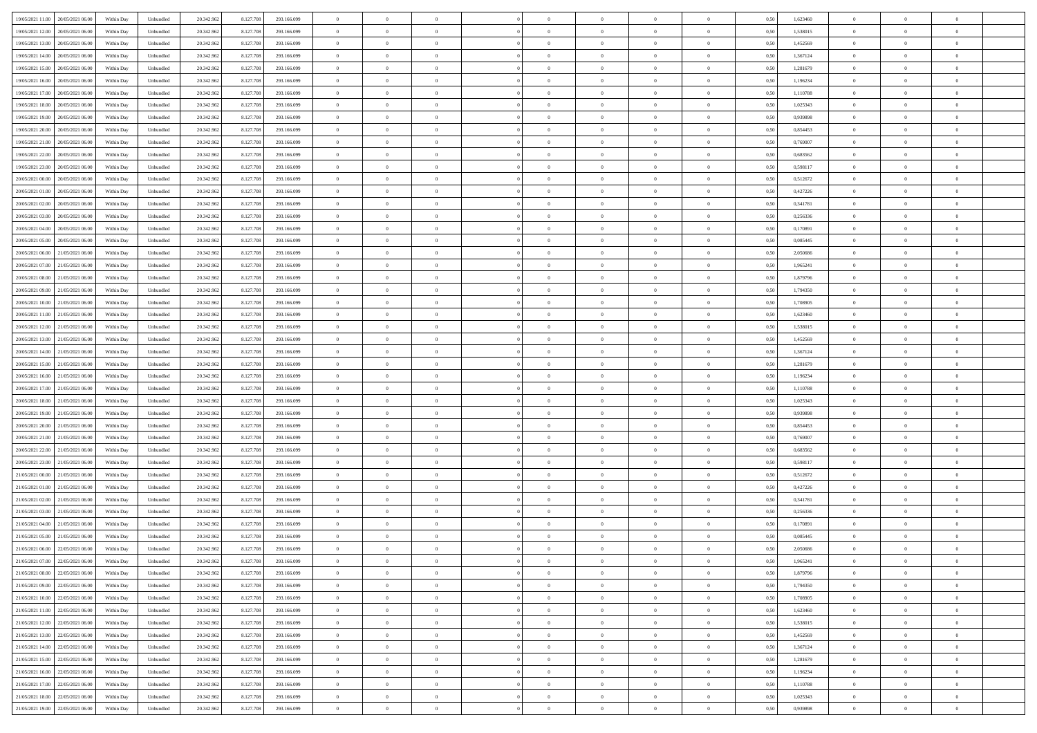| 19/05/2021 11:00<br>20/05/2021 06:00 | Within Day | Unbundled | 20.342.962 | 8.127.708 | 293.166.099 | $\overline{0}$ | $\overline{0}$ | $\overline{0}$ | $\theta$       | $\theta$       |                | $\overline{0}$ | 0,50 | 1,623460 | $\theta$       | $\theta$       | $\overline{0}$ |  |
|--------------------------------------|------------|-----------|------------|-----------|-------------|----------------|----------------|----------------|----------------|----------------|----------------|----------------|------|----------|----------------|----------------|----------------|--|
|                                      |            |           |            |           |             |                |                |                |                |                |                |                |      |          |                |                |                |  |
| 19/05/2021 12:00<br>20/05/2021 06.0  | Within Day | Unbundled | 20.342.96  | 8.127.708 | 293.166.099 | $\overline{0}$ | $\overline{0}$ | $\overline{0}$ | $\bf{0}$       | $\bf{0}$       | $\overline{0}$ | $\bf{0}$       | 0,50 | 1,538015 | $\,$ 0 $\,$    | $\theta$       | $\overline{0}$ |  |
| 19/05/2021 13:00<br>20/05/2021 06:00 | Within Day | Unbundled | 20.342.962 | 8.127.708 | 293.166.099 | $\overline{0}$ | $\overline{0}$ | $\overline{0}$ | $\bf{0}$       | $\bf{0}$       | $\overline{0}$ | $\mathbf{0}$   | 0.50 | 1.452569 | $\bf{0}$       | $\overline{0}$ | $\overline{0}$ |  |
| 19/05/2021 14:00<br>20/05/2021 06:00 | Within Day | Unbundled | 20.342.962 | 8.127.708 | 293.166.099 | $\overline{0}$ | $\overline{0}$ | $\overline{0}$ | $\overline{0}$ | $\overline{0}$ | $\overline{0}$ | $\bf{0}$       | 0,50 | 1,367124 | $\theta$       | $\theta$       | $\overline{0}$ |  |
| 19/05/2021 15:00<br>20/05/2021 06.0  | Within Day | Unbundled | 20.342.962 | 8.127.708 | 293.166.099 | $\overline{0}$ | $\overline{0}$ | $\bf{0}$       | $\overline{0}$ | $\overline{0}$ | $\overline{0}$ | $\bf{0}$       | 0,50 | 1,281679 | $\,$ 0 $\,$    | $\theta$       | $\overline{0}$ |  |
| 19/05/2021 16:00<br>20/05/2021 06:00 | Within Day | Unbundled | 20.342.962 | 8.127.708 | 293.166.099 | $\overline{0}$ | $\overline{0}$ | $\overline{0}$ | $\overline{0}$ | $\overline{0}$ | $\overline{0}$ | $\mathbf{0}$   | 0.50 | 1.196234 | $\theta$       | $\theta$       | $\overline{0}$ |  |
| 19/05/2021 17:00<br>20/05/2021 06:00 | Within Day | Unbundled | 20.342.962 | 8.127.708 | 293.166.099 | $\overline{0}$ | $\overline{0}$ | $\overline{0}$ | $\overline{0}$ | $\overline{0}$ | $\overline{0}$ | $\bf{0}$       | 0,50 | 1,110788 | $\theta$       | $\theta$       | $\overline{0}$ |  |
| 19/05/2021 18:00<br>20/05/2021 06.0  | Within Day | Unbundled | 20.342.962 | 8.127.708 | 293.166.099 | $\overline{0}$ | $\overline{0}$ | $\overline{0}$ | $\bf{0}$       | $\overline{0}$ | $\overline{0}$ | $\bf{0}$       | 0,50 | 1,025343 | $\,$ 0 $\,$    | $\bf{0}$       | $\overline{0}$ |  |
|                                      |            |           |            |           |             |                |                |                |                |                |                |                |      |          |                |                |                |  |
| 19/05/2021 19:00<br>20/05/2021 06:00 | Within Day | Unbundled | 20.342.962 | 8.127.708 | 293.166.099 | $\overline{0}$ | $\overline{0}$ | $\overline{0}$ | $\overline{0}$ | $\overline{0}$ | $\overline{0}$ | $\mathbf{0}$   | 0.50 | 0.939898 | $\,$ 0 $\,$    | $\theta$       | $\overline{0}$ |  |
| 19/05/2021 20:00<br>20/05/2021 06:00 | Within Day | Unbundled | 20.342.962 | 8.127.708 | 293.166.099 | $\overline{0}$ | $\overline{0}$ | $\overline{0}$ | $\bf{0}$       | $\overline{0}$ | $\overline{0}$ | $\bf{0}$       | 0,50 | 0,854453 | $\theta$       | $\theta$       | $\overline{0}$ |  |
| 19/05/2021 21.00<br>20/05/2021 06.0  | Within Day | Unbundled | 20.342.962 | 8.127.708 | 293.166.099 | $\overline{0}$ | $\overline{0}$ | $\bf{0}$       | $\bf{0}$       | $\bf{0}$       | $\overline{0}$ | $\bf{0}$       | 0,50 | 0,769007 | $\,$ 0 $\,$    | $\theta$       | $\overline{0}$ |  |
| 19/05/2021 22.00<br>20/05/2021 06:00 | Within Day | Unbundled | 20.342.962 | 8.127.708 | 293.166.099 | $\overline{0}$ | $\overline{0}$ | $\overline{0}$ | $\bf{0}$       | $\bf{0}$       | $\overline{0}$ | $\mathbf{0}$   | 0.50 | 0.683562 | $\bf{0}$       | $\overline{0}$ | $\bf{0}$       |  |
| 19/05/2021 23:00<br>20/05/2021 06:00 | Within Day | Unbundled | 20.342.962 | 8.127.708 | 293.166.099 | $\overline{0}$ | $\overline{0}$ | $\overline{0}$ | $\overline{0}$ | $\overline{0}$ | $\overline{0}$ | $\bf{0}$       | 0,50 | 0,598117 | $\theta$       | $\theta$       | $\overline{0}$ |  |
| 20/05/2021 00:00<br>20/05/2021 06.0  | Within Day | Unbundled | 20.342.962 | 8.127.708 | 293.166.099 | $\overline{0}$ | $\overline{0}$ | $\bf{0}$       | $\bf{0}$       | $\overline{0}$ | $\overline{0}$ | $\bf{0}$       | 0,50 | 0,512672 | $\,$ 0 $\,$    | $\bf{0}$       | $\overline{0}$ |  |
| 20/05/2021 01:00<br>20/05/2021 06:00 | Within Day | Unbundled | 20.342.962 | 8.127.708 | 293.166.099 | $\overline{0}$ | $\overline{0}$ | $\overline{0}$ | $\overline{0}$ | $\overline{0}$ | $\Omega$       | $\mathbf{0}$   | 0.50 | 0.427226 | $\theta$       | $\overline{0}$ | $\overline{0}$ |  |
|                                      |            |           |            |           |             |                |                |                |                |                |                |                |      |          |                |                |                |  |
| 20/05/2021 02:00<br>20/05/2021 06:00 | Within Day | Unbundled | 20.342.962 | 8.127.708 | 293.166.099 | $\overline{0}$ | $\overline{0}$ | $\overline{0}$ | $\overline{0}$ | $\overline{0}$ | $\overline{0}$ | $\bf{0}$       | 0,50 | 0,341781 | $\theta$       | $\theta$       | $\overline{0}$ |  |
| 20/05/2021 03:00<br>20/05/2021 06.0  | Within Day | Unbundled | 20.342.962 | 8.127.708 | 293.166.099 | $\overline{0}$ | $\overline{0}$ | $\overline{0}$ | $\overline{0}$ | $\overline{0}$ | $\overline{0}$ | $\bf{0}$       | 0,50 | 0,256336 | $\,$ 0 $\,$    | $\theta$       | $\overline{0}$ |  |
| 20/05/2021 04:00<br>20/05/2021 06:00 | Within Day | Unbundled | 20.342.962 | 8.127.708 | 293.166.099 | $\overline{0}$ | $\overline{0}$ | $\overline{0}$ | $\overline{0}$ | $\overline{0}$ | $\overline{0}$ | $\mathbf{0}$   | 0.50 | 0.170891 | $\,$ 0 $\,$    | $\theta$       | $\overline{0}$ |  |
| 20/05/2021 05:00<br>20/05/2021 06:00 | Within Day | Unbundled | 20.342.962 | 8.127.708 | 293.166.099 | $\overline{0}$ | $\overline{0}$ | $\overline{0}$ | $\overline{0}$ | $\overline{0}$ | $\overline{0}$ | $\bf{0}$       | 0,50 | 0,085445 | $\theta$       | $\theta$       | $\overline{0}$ |  |
| 20/05/2021 06:00<br>21/05/2021 06.00 | Within Day | Unbundled | 20.342.962 | 8.127.708 | 293.166.099 | $\overline{0}$ | $\overline{0}$ | $\overline{0}$ | $\bf{0}$       | $\bf{0}$       | $\overline{0}$ | $\bf{0}$       | 0,50 | 2,050686 | $\,$ 0 $\,$    | $\bf{0}$       | $\overline{0}$ |  |
| 20/05/2021 07:00<br>21/05/2021 06:00 | Within Day | Unbundled | 20.342.962 | 8.127.708 | 293.166.099 | $\overline{0}$ | $\overline{0}$ | $\overline{0}$ | $\bf{0}$       | $\bf{0}$       | $\overline{0}$ | $\mathbf{0}$   | 0.50 | 1,965241 | $\bf{0}$       | $\overline{0}$ | $\overline{0}$ |  |
| 20/05/2021 08:00<br>21/05/2021 06:00 | Within Day | Unbundled | 20.342.962 | 8.127.708 | 293.166.099 | $\overline{0}$ | $\overline{0}$ | $\overline{0}$ | $\overline{0}$ | $\overline{0}$ | $\overline{0}$ | $\bf{0}$       | 0,50 | 1,879796 | $\theta$       | $\theta$       | $\overline{0}$ |  |
|                                      |            |           |            |           |             |                |                |                |                |                |                |                |      |          |                |                |                |  |
| 20/05/2021 09:00<br>21/05/2021 06.00 | Within Day | Unbundled | 20.342.962 | 8.127.708 | 293.166.099 | $\overline{0}$ | $\overline{0}$ | $\bf{0}$       | $\bf{0}$       | $\overline{0}$ | $\overline{0}$ | $\bf{0}$       | 0,50 | 1,794350 | $\,$ 0 $\,$    | $\theta$       | $\overline{0}$ |  |
| 20/05/2021 10:00<br>21/05/2021 06:00 | Within Day | Unbundled | 20.342.962 | 8.127.708 | 293.166.099 | $\overline{0}$ | $\overline{0}$ | $\overline{0}$ | $\overline{0}$ | $\overline{0}$ | $\Omega$       | $\mathbf{0}$   | 0.50 | 1,708905 | $\theta$       | $\theta$       | $\overline{0}$ |  |
| 20/05/2021 11:00<br>21/05/2021 06:00 | Within Day | Unbundled | 20.342.962 | 8.127.708 | 293.166.099 | $\overline{0}$ | $\overline{0}$ | $\overline{0}$ | $\overline{0}$ | $\overline{0}$ | $\overline{0}$ | $\bf{0}$       | 0,50 | 1,623460 | $\theta$       | $\theta$       | $\overline{0}$ |  |
| 20/05/2021 12:00<br>21/05/2021 06.00 | Within Day | Unbundled | 20.342.962 | 8.127.708 | 293.166.099 | $\overline{0}$ | $\overline{0}$ | $\overline{0}$ | $\overline{0}$ | $\overline{0}$ | $\overline{0}$ | $\bf{0}$       | 0,50 | 1,538015 | $\,$ 0 $\,$    | $\theta$       | $\overline{0}$ |  |
| 20/05/2021 13:00<br>21/05/2021 06:00 | Within Day | Unbundled | 20.342.962 | 8.127.708 | 293.166.099 | $\overline{0}$ | $\overline{0}$ | $\overline{0}$ | $\overline{0}$ | $\overline{0}$ | $\overline{0}$ | $\mathbf{0}$   | 0.50 | 1.452569 | $\,$ 0 $\,$    | $\theta$       | $\overline{0}$ |  |
| 20/05/2021 14:00<br>21/05/2021 06:00 | Within Day | Unbundled | 20.342.962 | 8.127.708 | 293.166.099 | $\overline{0}$ | $\overline{0}$ | $\overline{0}$ | $\overline{0}$ | $\overline{0}$ | $\overline{0}$ | $\bf{0}$       | 0,50 | 1,367124 | $\theta$       | $\theta$       | $\overline{0}$ |  |
|                                      |            |           |            |           |             |                | $\overline{0}$ |                | $\overline{0}$ | $\bf{0}$       | $\overline{0}$ | $\bf{0}$       |      |          | $\,$ 0 $\,$    | $\bf{0}$       | $\overline{0}$ |  |
| 20/05/2021 15:00<br>21/05/2021 06.00 | Within Day | Unbundled | 20.342.962 | 8.127.708 | 293.166.099 | $\overline{0}$ |                | $\overline{0}$ |                |                |                |                | 0,50 | 1,281679 |                |                |                |  |
| 20/05/2021 16:00<br>21/05/2021 06:00 | Within Day | Unbundled | 20.342.962 | 8.127.708 | 293.166.099 | $\overline{0}$ | $\overline{0}$ | $\overline{0}$ | $\bf{0}$       | $\bf{0}$       | $\overline{0}$ | $\mathbf{0}$   | 0.50 | 1.196234 | $\bf{0}$       | $\overline{0}$ | $\bf{0}$       |  |
| 20/05/2021 17:00<br>21/05/2021 06:00 | Within Day | Unbundled | 20.342.962 | 8.127.708 | 293.166.099 | $\overline{0}$ | $\overline{0}$ | $\overline{0}$ | $\overline{0}$ | $\overline{0}$ | $\overline{0}$ | $\overline{0}$ | 0.50 | 1,110788 | $\theta$       | $\theta$       | $\overline{0}$ |  |
| 20/05/2021 18:00<br>21/05/2021 06.00 | Within Day | Unbundled | 20.342.962 | 8.127.708 | 293.166.099 | $\overline{0}$ | $\overline{0}$ | $\overline{0}$ | $\bf{0}$       | $\overline{0}$ | $\overline{0}$ | $\bf{0}$       | 0,50 | 1,025343 | $\,$ 0 $\,$    | $\bf{0}$       | $\overline{0}$ |  |
| 20/05/2021 19:00<br>21/05/2021 06:00 | Within Day | Unbundled | 20.342.962 | 8.127.708 | 293.166.099 | $\overline{0}$ | $\overline{0}$ | $\overline{0}$ | $\overline{0}$ | $\overline{0}$ | $\overline{0}$ | $\mathbf{0}$   | 0.50 | 0.939898 | $\theta$       | $\overline{0}$ | $\overline{0}$ |  |
| 20/05/2021 20:00<br>21/05/2021 06:00 | Within Day | Unbundled | 20.342.962 | 8.127.708 | 293.166.099 | $\overline{0}$ | $\overline{0}$ | $\overline{0}$ | $\overline{0}$ | $\overline{0}$ | $\Omega$       | $\overline{0}$ | 0.50 | 0,854453 | $\theta$       | $\theta$       | $\overline{0}$ |  |
| 20/05/2021 21:00<br>21/05/2021 06.00 | Within Day | Unbundled | 20.342.962 | 8.127.708 | 293.166.099 | $\overline{0}$ | $\overline{0}$ | $\overline{0}$ | $\bf{0}$       | $\overline{0}$ | $\overline{0}$ | $\bf{0}$       | 0,50 | 0,769007 | $\,$ 0 $\,$    | $\theta$       | $\overline{0}$ |  |
| 20/05/2021 22:00<br>21/05/2021 06:00 | Within Day | Unbundled | 20.342.962 | 8.127.708 | 293.166.099 | $\overline{0}$ | $\overline{0}$ | $\overline{0}$ | $\overline{0}$ | $\bf{0}$       | $\overline{0}$ | $\mathbf{0}$   | 0.50 | 0.683562 | $\,$ 0 $\,$    | $\theta$       | $\overline{0}$ |  |
| 20/05/2021 23:00<br>21/05/2021 06:00 | Within Day | Unbundled | 20.342.962 | 8.127.708 | 293.166.099 | $\overline{0}$ | $\overline{0}$ | $\overline{0}$ | $\overline{0}$ | $\overline{0}$ | $\overline{0}$ | $\overline{0}$ | 0.50 | 0,598117 | $\theta$       | $\theta$       | $\overline{0}$ |  |
|                                      |            |           |            |           |             |                |                |                |                |                |                |                |      |          |                |                |                |  |
| 21/05/2021 00:00<br>21/05/2021 06.00 | Within Day | Unbundled | 20.342.962 | 8.127.708 | 293.166.099 | $\overline{0}$ | $\overline{0}$ | $\overline{0}$ | $\,$ 0 $\,$    | $\bf{0}$       | $\overline{0}$ | $\bf{0}$       | 0,50 | 0,512672 | $\,$ 0 $\,$    | $\bf{0}$       | $\overline{0}$ |  |
| 21/05/2021 01:00<br>21/05/2021 06:00 | Within Day | Unbundled | 20.342.962 | 8.127.708 | 293.166.099 | $\overline{0}$ | $\overline{0}$ | $\overline{0}$ | $\bf{0}$       | $\bf{0}$       | $\overline{0}$ | $\mathbf{0}$   | 0.50 | 0,427226 | $\bf{0}$       | $\overline{0}$ | $\overline{0}$ |  |
| 21/05/2021 02:00<br>21/05/2021 06:00 | Within Day | Unbundled | 20.342.962 | 8.127.708 | 293.166.099 | $\overline{0}$ | $\overline{0}$ | $\overline{0}$ | $\overline{0}$ | $\overline{0}$ | $\overline{0}$ | $\overline{0}$ | 0.50 | 0,341781 | $\theta$       | $\theta$       | $\overline{0}$ |  |
| 21/05/2021 03:00<br>21/05/2021 06.00 | Within Day | Unbundled | 20.342.962 | 8.127.708 | 293.166.099 | $\overline{0}$ | $\overline{0}$ | $\overline{0}$ | $\bf{0}$       | $\overline{0}$ | $\overline{0}$ | $\bf{0}$       | 0,50 | 0,256336 | $\,$ 0 $\,$    | $\bf{0}$       | $\overline{0}$ |  |
| 21/05/2021 04:00<br>21/05/2021 06.00 | Within Day | Unbundled | 20.342.962 | 8.127.708 | 293.166.099 | $\overline{0}$ | $\overline{0}$ | $\overline{0}$ | $\overline{0}$ | $\overline{0}$ | $\Omega$       | $\overline{0}$ | 0.50 | 0,170891 | $\bf{0}$       | $\overline{0}$ | $\overline{0}$ |  |
| 21/05/2021 05:00<br>21/05/2021 06:00 | Within Day | Unbundled | 20.342.962 | 8.127.708 | 293.166.099 | $\overline{0}$ | $\overline{0}$ | $\overline{0}$ | $\overline{0}$ | $\overline{0}$ | $\theta$       | $\overline{0}$ | 0.5( | 0,085445 | $\theta$       | $\theta$       | $\overline{0}$ |  |
| 21/05/2021 06:00<br>22/05/2021 06:00 | Within Day | Unbundled | 20.342.962 | 8.127.708 | 293.166.099 | $\overline{0}$ | $\overline{0}$ | $\bf{0}$       | $\overline{0}$ | $\bf{0}$       | $\overline{0}$ | $\bf{0}$       | 0,50 | 2,050686 | $\,$ 0 $\,$    | $\bf{0}$       | $\overline{0}$ |  |
| 21/05/2021 07:00 22/05/2021 06:00    | Within Day | Unbundled | 20.342.962 | 8.127.708 | 293.166.099 | $\bf{0}$       | $\,0\,$        |                | $\bf{0}$       |                |                | $\Omega$       | 0,50 | 1,965241 | $\theta$       | $\overline{0}$ |                |  |
|                                      |            |           |            |           |             |                |                |                |                |                |                |                |      |          |                |                |                |  |
| 21/05/2021 08:00 22/05/2021 06:00    | Within Dav | Unbundled | 20.342.962 | 8.127.708 | 293.166.099 | $\overline{0}$ | $\overline{0}$ | $\overline{0}$ | $\overline{0}$ | $\overline{0}$ | $\overline{0}$ | $\overline{0}$ | 0,50 | 1,879796 | $\theta$       | $\theta$       | $\overline{0}$ |  |
| 21/05/2021 09:00<br>22/05/2021 06.00 | Within Day | Unbundled | 20.342.962 | 8.127.708 | 293.166.099 | $\overline{0}$ | $\overline{0}$ | $\overline{0}$ | $\bf{0}$       | $\overline{0}$ | $\overline{0}$ | $\mathbf{0}$   | 0,50 | 1,794350 | $\overline{0}$ | $\overline{0}$ | $\bf{0}$       |  |
| 21/05/2021 10:00<br>22/05/2021 06:00 | Within Day | Unbundled | 20.342.962 | 8.127.708 | 293.166.099 | $\overline{0}$ | $\overline{0}$ | $\overline{0}$ | $\,$ 0 $\,$    | $\bf{0}$       | $\overline{0}$ | $\mathbf{0}$   | 0.50 | 1,708905 | $\overline{0}$ | $\bf{0}$       | $\bf{0}$       |  |
| 21/05/2021 11:00<br>22/05/2021 06:00 | Within Dav | Unbundled | 20.342.962 | 8.127.708 | 293.166.099 | $\overline{0}$ | $\overline{0}$ | $\overline{0}$ | $\overline{0}$ | $\overline{0}$ | $\overline{0}$ | $\mathbf{0}$   | 0,50 | 1,623460 | $\overline{0}$ | $\theta$       | $\overline{0}$ |  |
| 21/05/2021 12:00<br>22/05/2021 06:00 | Within Day | Unbundled | 20.342.962 | 8.127.708 | 293.166.099 | $\overline{0}$ | $\overline{0}$ | $\overline{0}$ | $\bf{0}$       | $\bf{0}$       | $\overline{0}$ | $\mathbf{0}$   | 0,50 | 1,538015 | $\overline{0}$ | $\bf{0}$       | $\overline{0}$ |  |
| 22/05/2021 06:00<br>21/05/2021 13.00 | Within Day | Unbundled | 20.342.962 | 8.127.708 | 293.166.099 | $\overline{0}$ | $\overline{0}$ | $\overline{0}$ | $\bf{0}$       | $\overline{0}$ | $\overline{0}$ | $\mathbf{0}$   | 0.50 | 1.452569 | $\,$ 0 $\,$    | $\theta$       | $\,$ 0         |  |
| 21/05/2021 14:00<br>22/05/2021 06:00 | Within Day | Unbundled | 20.342.962 | 8.127.708 | 293.166.099 | $\overline{0}$ | $\overline{0}$ | $\overline{0}$ | $\overline{0}$ | $\overline{0}$ | $\overline{0}$ | $\mathbf{0}$   | 0,50 | 1,367124 | $\overline{0}$ | $\theta$       | $\overline{0}$ |  |
|                                      |            |           |            |           |             |                |                |                |                |                |                |                |      |          |                |                |                |  |
| 22/05/2021 06:00<br>21/05/2021 15:00 | Within Day | Unbundled | 20.342.962 | 8.127.708 | 293.166.099 | $\overline{0}$ | $\overline{0}$ | $\overline{0}$ | $\bf{0}$       | $\bf{0}$       | $\overline{0}$ | $\,$ 0 $\,$    | 0,50 | 1,281679 | $\bf{0}$       | $\bf{0}$       | $\,$ 0         |  |
| 21/05/2021 16:00<br>22/05/2021 06:00 | Within Day | Unbundled | 20.342.962 | 8.127.708 | 293.166.099 | $\overline{0}$ | $\overline{0}$ | $\overline{0}$ | $\bf{0}$       | $\overline{0}$ | $\overline{0}$ | $\,$ 0 $\,$    | 0.50 | 1.196234 | $\overline{0}$ | $\bf{0}$       | $\,$ 0         |  |
| 21/05/2021 17:00<br>22/05/2021 06:00 | Within Dav | Unbundled | 20.342.962 | 8.127.708 | 293.166.099 | $\overline{0}$ | $\overline{0}$ | $\overline{0}$ | $\overline{0}$ | $\overline{0}$ | $\overline{0}$ | $\mathbf{0}$   | 0,50 | 1,110788 | $\overline{0}$ | $\theta$       | $\overline{0}$ |  |
| 21/05/2021 18:00<br>22/05/2021 06.00 | Within Day | Unbundled | 20.342.962 | 8.127.708 | 293.166.099 | $\overline{0}$ | $\overline{0}$ | $\overline{0}$ | $\overline{0}$ | $\bf{0}$       | $\overline{0}$ | $\mathbf{0}$   | 0,50 | 1,025343 | $\bf{0}$       | $\bf{0}$       | $\bf{0}$       |  |
| 21/05/2021 19:00 22/05/2021 06:00    | Within Day | Unbundled | 20.342.962 | 8.127.708 | 293.166.099 | $\overline{0}$ | $\overline{0}$ | $\overline{0}$ | $\bf{0}$       | $\,$ 0         | $\overline{0}$ | $\,0\,$        | 0,50 | 0.939898 | $\overline{0}$ | $\,$ 0 $\,$    | $\,$ 0 $\,$    |  |
|                                      |            |           |            |           |             |                |                |                |                |                |                |                |      |          |                |                |                |  |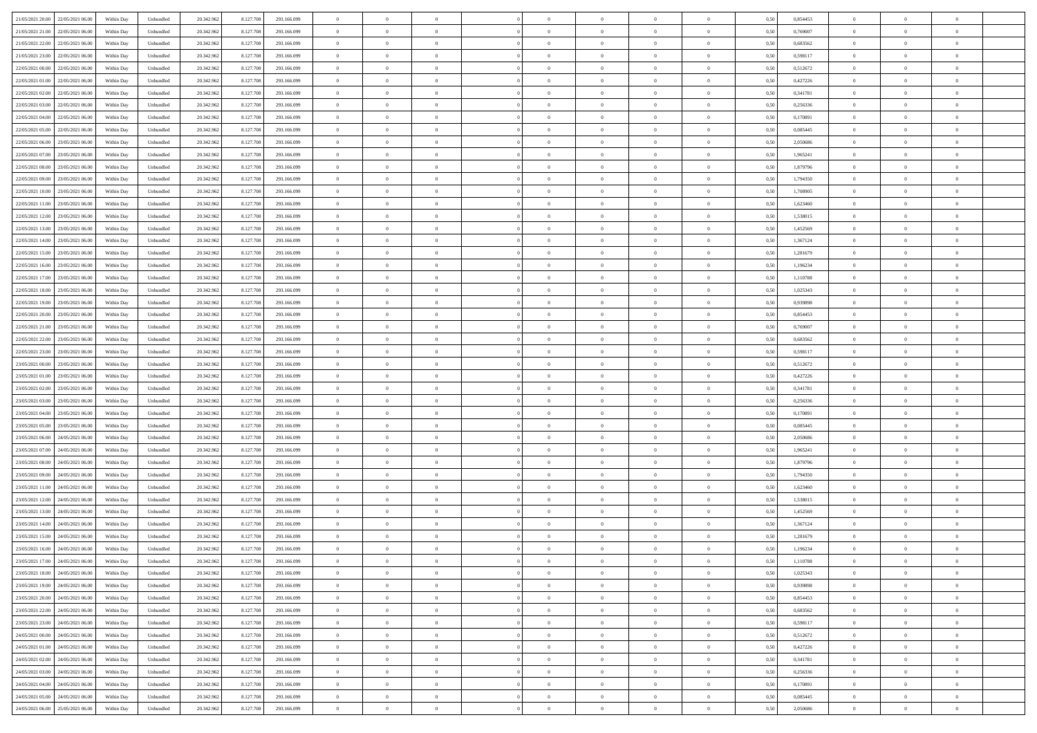| 21/05/2021 20:00 22/05/2021 06:00            | Within Day | Unbundled                   | 20.342.962 | 8.127.708 | 293.166.099 | $\overline{0}$ | $\theta$       |                | $\overline{0}$ | $\theta$       |                | $\theta$       | 0,50 | 0,854453 | $\theta$       | $\theta$       | $\overline{0}$ |  |
|----------------------------------------------|------------|-----------------------------|------------|-----------|-------------|----------------|----------------|----------------|----------------|----------------|----------------|----------------|------|----------|----------------|----------------|----------------|--|
|                                              |            |                             |            |           |             |                |                |                |                |                |                |                |      |          |                |                |                |  |
| 21/05/2021 21:00<br>22/05/2021 06.00         | Within Day | Unbundled                   | 20.342.96  | 8.127.708 | 293.166.099 | $\bf{0}$       | $\overline{0}$ | $\bf{0}$       | $\overline{0}$ | $\bf{0}$       | $\overline{0}$ | $\bf{0}$       | 0,50 | 0,769007 | $\,$ 0 $\,$    | $\bf{0}$       | $\overline{0}$ |  |
| 21/05/2021 22:00<br>22/05/2021 06:00         | Within Day | Unbundled                   | 20.342.962 | 8.127.708 | 293.166.099 | $\overline{0}$ | $\bf{0}$       | $\overline{0}$ | $\bf{0}$       | $\bf{0}$       | $\overline{0}$ | $\bf{0}$       | 0.50 | 0.683562 | $\bf{0}$       | $\overline{0}$ | $\bf{0}$       |  |
| 21/05/2021 23:00<br>22/05/2021 06:00         | Within Day | Unbundled                   | 20.342.962 | 8.127.708 | 293.166.099 | $\overline{0}$ | $\overline{0}$ | $\overline{0}$ | $\theta$       | $\theta$       | $\overline{0}$ | $\bf{0}$       | 0,50 | 0,598117 | $\theta$       | $\theta$       | $\overline{0}$ |  |
| 22/05/2021 00:00<br>22/05/2021 06.00         | Within Day | Unbundled                   | 20.342.96  | 8.127.708 | 293.166.099 | $\bf{0}$       | $\overline{0}$ | $\bf{0}$       | $\overline{0}$ | $\theta$       | $\overline{0}$ | $\bf{0}$       | 0,50 | 0,512672 | $\,$ 0 $\,$    | $\bf{0}$       | $\overline{0}$ |  |
| 22/05/2021 01:00<br>22/05/2021 06:00         | Within Day | Unbundled                   | 20.342.962 | 8.127.708 | 293.166.099 | $\overline{0}$ | $\overline{0}$ | $\overline{0}$ | $\bf{0}$       | $\overline{0}$ | $\theta$       | $\bf{0}$       | 0.50 | 0,427226 | $\,$ 0 $\,$    | $\theta$       | $\overline{0}$ |  |
| 22/05/2021 02:00                             |            |                             |            |           |             | $\overline{0}$ | $\overline{0}$ | $\overline{0}$ | $\overline{0}$ | $\overline{0}$ | $\overline{0}$ |                |      |          | $\theta$       | $\theta$       | $\overline{0}$ |  |
| 22/05/2021 06:00                             | Within Day | Unbundled                   | 20.342.962 | 8.127.708 | 293.166.099 |                |                |                |                |                |                | $\bf{0}$       | 0,50 | 0,341781 |                |                |                |  |
| 22/05/2021 03:00<br>22/05/2021 06.00         | Within Day | Unbundled                   | 20.342.96  | 8.127.708 | 293.166.099 | $\bf{0}$       | $\overline{0}$ | $\bf{0}$       | $\overline{0}$ | $\overline{0}$ | $\overline{0}$ | $\bf{0}$       | 0,50 | 0,256336 | $\,$ 0 $\,$    | $\bf{0}$       | $\overline{0}$ |  |
| 22/05/2021 04:00<br>22/05/2021 06:00         | Within Day | Unbundled                   | 20.342.96  | 8.127.708 | 293.166.099 | $\overline{0}$ | $\bf{0}$       | $\overline{0}$ | $\bf{0}$       | $\overline{0}$ | $\overline{0}$ | $\bf{0}$       | 0.50 | 0.170891 | $\bf{0}$       | $\overline{0}$ | $\overline{0}$ |  |
| 22/05/2021 05:00<br>22/05/2021 06:00         | Within Day | Unbundled                   | 20.342.962 | 8.127.708 | 293.166.099 | $\bf{0}$       | $\bf{0}$       | $\overline{0}$ | $\overline{0}$ | $\overline{0}$ | $\overline{0}$ | $\bf{0}$       | 0,50 | 0,085445 | $\,$ 0 $\,$    | $\theta$       | $\overline{0}$ |  |
| 22/05/2021 06:00<br>23/05/2021 06.00         | Within Day | Unbundled                   | 20.342.96  | 8.127.708 | 293.166.099 | $\bf{0}$       | $\overline{0}$ | $\bf{0}$       | $\bf{0}$       | $\bf{0}$       | $\overline{0}$ | $\bf{0}$       | 0,50 | 2,050686 | $\,$ 0 $\,$    | $\bf{0}$       | $\overline{0}$ |  |
| 22/05/2021 07:00<br>23/05/2021 06:00         | Within Day | Unbundled                   | 20.342.962 | 8.127.708 | 293.166.099 | $\overline{0}$ | $\bf{0}$       | $\overline{0}$ | $\bf{0}$       | $\bf{0}$       | $\overline{0}$ | $\bf{0}$       | 0.50 | 1,965241 | $\bf{0}$       | $\overline{0}$ | $\bf{0}$       |  |
| 22/05/2021 08:00<br>23/05/2021 06:00         | Within Day | Unbundled                   | 20.342.962 | 8.127.708 | 293.166.099 | $\overline{0}$ | $\overline{0}$ | $\overline{0}$ | $\overline{0}$ | $\theta$       | $\overline{0}$ | $\bf{0}$       | 0,50 | 1,879796 | $\,$ 0 $\,$    | $\theta$       | $\overline{0}$ |  |
|                                              |            |                             |            |           |             |                | $\overline{0}$ |                |                | $\theta$       | $\overline{0}$ |                |      |          | $\,$ 0 $\,$    | $\bf{0}$       | $\overline{0}$ |  |
| 22/05/2021 09:00<br>23/05/2021 06.00         | Within Day | Unbundled                   | 20.342.96  | 8.127.708 | 293.166.099 | $\bf{0}$       |                | $\bf{0}$       | $\bf{0}$       |                |                | $\bf{0}$       | 0,50 | 1,794350 |                |                |                |  |
| 22/05/2021 10:00<br>23/05/2021 06:00         | Within Day | Unbundled                   | 20.342.962 | 8.127.708 | 293.166.099 | $\overline{0}$ | $\overline{0}$ | $\overline{0}$ | $\bf{0}$       | $\overline{0}$ | $\Omega$       | $\bf{0}$       | 0.50 | 1.708905 | $\,$ 0 $\,$    | $\theta$       | $\overline{0}$ |  |
| 22/05/2021 11:00<br>23/05/2021 06:00         | Within Day | Unbundled                   | 20.342.962 | 8.127.708 | 293.166.099 | $\overline{0}$ | $\overline{0}$ | $\overline{0}$ | $\overline{0}$ | $\overline{0}$ | $\overline{0}$ | $\bf{0}$       | 0,50 | 1,623460 | $\theta$       | $\theta$       | $\overline{0}$ |  |
| 22/05/2021 12:00<br>23/05/2021 06.00         | Within Day | Unbundled                   | 20.342.96  | 8.127.708 | 293.166.099 | $\bf{0}$       | $\overline{0}$ | $\overline{0}$ | $\overline{0}$ | $\bf{0}$       | $\overline{0}$ | $\bf{0}$       | 0,50 | 1,538015 | $\,$ 0 $\,$    | $\bf{0}$       | $\overline{0}$ |  |
| 22/05/2021 13:00<br>23/05/2021 06:00         | Within Day | Unbundled                   | 20.342.96  | 8.127.708 | 293.166.099 | $\overline{0}$ | $\bf{0}$       | $\overline{0}$ | $\bf{0}$       | $\overline{0}$ | $\overline{0}$ | $\bf{0}$       | 0.50 | 1.452569 | $\bf{0}$       | $\overline{0}$ | $\overline{0}$ |  |
| 22/05/2021 14:00<br>23/05/2021 06:00         | Within Day | Unbundled                   | 20.342.962 | 8.127.708 | 293.166.099 | $\overline{0}$ | $\overline{0}$ | $\overline{0}$ | $\overline{0}$ | $\overline{0}$ | $\overline{0}$ | $\bf{0}$       | 0,50 | 1,367124 | $\,$ 0 $\,$    | $\theta$       | $\overline{0}$ |  |
| 22/05/2021 15:00<br>23/05/2021 06.00         | Within Day | Unbundled                   | 20.342.96  | 8.127.708 | 293.166.099 | $\bf{0}$       | $\bf{0}$       | $\bf{0}$       | $\bf{0}$       | $\overline{0}$ | $\overline{0}$ | $\bf{0}$       | 0,50 | 1,281679 | $\,$ 0 $\,$    | $\bf{0}$       | $\overline{0}$ |  |
| 22/05/2021 16:00                             |            | Unbundled                   |            |           | 293.166.099 |                | $\bf{0}$       | $\overline{0}$ |                | $\bf{0}$       | $\overline{0}$ |                | 0.50 | 1,196234 | $\bf{0}$       | $\overline{0}$ | $\bf{0}$       |  |
| 23/05/2021 06:00                             | Within Day |                             | 20.342.962 | 8.127.708 |             | $\overline{0}$ |                |                | $\bf{0}$       |                |                | $\bf{0}$       |      |          | $\theta$       | $\theta$       |                |  |
| 22/05/2021 17:00<br>23/05/2021 06:00         | Within Day | Unbundled                   | 20.342.962 | 8.127.708 | 293.166.099 | $\overline{0}$ | $\overline{0}$ | $\overline{0}$ | $\theta$       | $\theta$       | $\overline{0}$ | $\bf{0}$       | 0,50 | 1,110788 |                |                | $\overline{0}$ |  |
| 22/05/2021 18:00<br>23/05/2021 06.00         | Within Day | Unbundled                   | 20.342.96  | 8.127.708 | 293.166.099 | $\bf{0}$       | $\overline{0}$ | $\bf{0}$       | $\bf{0}$       | $\overline{0}$ | $\overline{0}$ | $\bf{0}$       | 0,50 | 1,025343 | $\,$ 0 $\,$    | $\bf{0}$       | $\overline{0}$ |  |
| 22/05/2021 19:00<br>23/05/2021 06:00         | Within Day | Unbundled                   | 20.342.962 | 8.127.708 | 293.166.099 | $\overline{0}$ | $\overline{0}$ | $\overline{0}$ | $\overline{0}$ | $\overline{0}$ | $\Omega$       | $\bf{0}$       | 0.50 | 0.939898 | $\,$ 0 $\,$    | $\theta$       | $\overline{0}$ |  |
| 22/05/2021 20:00<br>23/05/2021 06:00         | Within Day | Unbundled                   | 20.342.962 | 8.127.708 | 293.166.099 | $\overline{0}$ | $\overline{0}$ | $\overline{0}$ | $\overline{0}$ | $\overline{0}$ | $\overline{0}$ | $\bf{0}$       | 0,50 | 0,854453 | $\theta$       | $\theta$       | $\overline{0}$ |  |
| 22/05/2021 21:00<br>23/05/2021 06.00         | Within Day | Unbundled                   | 20.342.96  | 8.127.708 | 293.166.099 | $\bf{0}$       | $\theta$       | $\bf{0}$       | $\overline{0}$ | $\bf{0}$       | $\overline{0}$ | $\bf{0}$       | 0,50 | 0,769007 | $\,$ 0 $\,$    | $\bf{0}$       | $\overline{0}$ |  |
| 22/05/2021 22:00<br>23/05/2021 06:00         | Within Day | Unbundled                   | 20.342.96  | 8.127.708 | 293.166.099 | $\overline{0}$ | $\bf{0}$       | $\overline{0}$ | $\bf{0}$       | $\overline{0}$ | $\overline{0}$ | $\bf{0}$       | 0.50 | 0.683562 | $\bf{0}$       | $\overline{0}$ | $\overline{0}$ |  |
| 22/05/2021 23:00<br>23/05/2021 06:00         | Within Day | Unbundled                   | 20.342.962 | 8.127.708 | 293.166.099 | $\overline{0}$ | $\overline{0}$ | $\overline{0}$ | $\theta$       | $\overline{0}$ | $\overline{0}$ | $\bf{0}$       | 0,50 | 0,598117 | $\theta$       | $\theta$       | $\overline{0}$ |  |
| 23/05/2021 00:00<br>23/05/2021 06.00         | Within Day | Unbundled                   | 20.342.96  | 8.127.708 | 293.166.099 | $\bf{0}$       | $\bf{0}$       | $\bf{0}$       | $\bf{0}$       | $\overline{0}$ | $\overline{0}$ | $\bf{0}$       | 0,50 | 0,512672 | $\,$ 0 $\,$    | $\bf{0}$       | $\overline{0}$ |  |
|                                              |            |                             |            |           |             |                |                |                |                |                |                |                |      |          |                |                |                |  |
| 23/05/2021 01:00<br>23/05/2021 06:00         | Within Day | Unbundled                   | 20.342.962 | 8.127.708 | 293.166.099 | $\overline{0}$ | $\bf{0}$       | $\overline{0}$ | $\bf{0}$       | $\bf{0}$       | $\overline{0}$ | $\bf{0}$       | 0.50 | 0,427226 | $\bf{0}$       | $\overline{0}$ | $\bf{0}$       |  |
| 23/05/2021 02:00<br>23/05/2021 06:00         | Within Day | Unbundled                   | 20.342.962 | 8.127.708 | 293.166.099 | $\overline{0}$ | $\overline{0}$ | $\overline{0}$ | $\overline{0}$ | $\overline{0}$ | $\overline{0}$ | $\bf{0}$       | 0.5( | 0,341781 | $\theta$       | $\theta$       | $\overline{0}$ |  |
| 23/05/2021 03:00<br>23/05/2021 06.00         | Within Day | Unbundled                   | 20.342.96  | 8.127.708 | 293.166.099 | $\bf{0}$       | $\overline{0}$ | $\bf{0}$       | $\bf{0}$       | $\,$ 0 $\,$    | $\overline{0}$ | $\bf{0}$       | 0,50 | 0,256336 | $\,$ 0 $\,$    | $\bf{0}$       | $\overline{0}$ |  |
| 23/05/2021 04:00<br>23/05/2021 06:00         | Within Day | Unbundled                   | 20.342.962 | 8.127.708 | 293.166.099 | $\overline{0}$ | $\overline{0}$ | $\overline{0}$ | $\bf{0}$       | $\overline{0}$ | $\overline{0}$ | $\bf{0}$       | 0.50 | 0,170891 | $\,$ 0 $\,$    | $\theta$       | $\overline{0}$ |  |
| 23/05/2021 05:00<br>23/05/2021 06:00         | Within Dav | Unbundled                   | 20.342.962 | 8.127.708 | 293.166.099 | $\overline{0}$ | $\overline{0}$ | $\overline{0}$ | $\overline{0}$ | $\overline{0}$ | $\overline{0}$ | $\overline{0}$ | 0.50 | 0.085445 | $\theta$       | $\theta$       | $\overline{0}$ |  |
| 23/05/2021 06:00<br>24/05/2021 06.00         | Within Day | Unbundled                   | 20.342.96  | 8.127.708 | 293.166.099 | $\bf{0}$       | $\overline{0}$ | $\bf{0}$       | $\bf{0}$       | $\bf{0}$       | $\overline{0}$ | $\bf{0}$       | 0,50 | 2,050686 | $\,$ 0 $\,$    | $\bf{0}$       | $\overline{0}$ |  |
| 23/05/2021 07:00<br>24/05/2021 06:00         | Within Day | Unbundled                   | 20.342.96  | 8.127.708 | 293.166.099 | $\overline{0}$ | $\bf{0}$       | $\overline{0}$ | $\bf{0}$       | $\overline{0}$ | $\overline{0}$ | $\bf{0}$       | 0.50 | 1.965241 | $\bf{0}$       | $\overline{0}$ | $\overline{0}$ |  |
| 23/05/2021 08:00<br>24/05/2021 06:00         | Within Dav | Unbundled                   | 20.342.962 | 8.127.708 | 293.166.099 | $\overline{0}$ | $\overline{0}$ | $\overline{0}$ | $\overline{0}$ | $\overline{0}$ | $\overline{0}$ | $\overline{0}$ | 0.50 | 1,879796 | $\theta$       | $\theta$       | $\overline{0}$ |  |
| 24/05/2021 06.00                             | Within Day | Unbundled                   | 20.342.96  | 8.127.708 | 293.166.099 | $\bf{0}$       | $\bf{0}$       | $\bf{0}$       | $\bf{0}$       | $\overline{0}$ | $\overline{0}$ | $\bf{0}$       | 0,50 | 1,794350 | $\,$ 0 $\,$    | $\bf{0}$       | $\overline{0}$ |  |
| 23/05/2021 09:00                             |            |                             |            |           |             |                |                |                |                |                |                |                |      |          |                |                |                |  |
| 23/05/2021 11:00<br>24/05/2021 06:00         | Within Day | Unbundled                   | 20.342.962 | 8.127.708 | 293.166.099 | $\overline{0}$ | $\bf{0}$       | $\overline{0}$ | $\bf{0}$       | $\bf{0}$       | $\overline{0}$ | $\bf{0}$       | 0.50 | 1,623460 | $\bf{0}$       | $\overline{0}$ | $\bf{0}$       |  |
| 23/05/2021 12:00<br>24/05/2021 06:00         | Within Day | Unbundled                   | 20.342.962 | 8.127.708 | 293.166.099 | $\overline{0}$ | $\overline{0}$ | $\overline{0}$ | $\overline{0}$ | $\overline{0}$ | $\overline{0}$ | $\bf{0}$       | 0.50 | 1,538015 | $\theta$       | $\theta$       | $\overline{0}$ |  |
| 23/05/2021 13:00<br>24/05/2021 06.00         | Within Day | Unbundled                   | 20.342.96  | 8.127.708 | 293.166.099 | $\bf{0}$       | $\overline{0}$ | $\bf{0}$       | $\bf{0}$       | $\overline{0}$ | $\overline{0}$ | $\bf{0}$       | 0,50 | 1,452569 | $\,$ 0 $\,$    | $\bf{0}$       | $\overline{0}$ |  |
| 23/05/2021 14:00<br>24/05/2021 06.00         | Within Day | Unbundled                   | 20.342.962 | 8.127.708 | 293.166.099 | $\overline{0}$ | $\overline{0}$ | $\Omega$       | $\overline{0}$ | $\overline{0}$ | $\Omega$       | $\bf{0}$       | 0.50 | 1.367124 | $\bf{0}$       | $\theta$       | $\overline{0}$ |  |
| 23/05/2021 15:00<br>24/05/2021 06:00         | Within Dav | Unbundled                   | 20.342.962 | 8.127.708 | 293.166.099 | $\overline{0}$ | $\overline{0}$ | $\Omega$       | $\overline{0}$ | $\theta$       | $\Omega$       | $\overline{0}$ | 0.5( | 1,281679 | $\theta$       | $\theta$       | $\overline{0}$ |  |
| 23/05/2021 16:00<br>24/05/2021 06:00         | Within Day | Unbundled                   | 20.342.96  | 8.127.708 | 293.166.099 | $\bf{0}$       | $\bf{0}$       | $\bf{0}$       | $\bf{0}$       | $\bf{0}$       | $\overline{0}$ | $\bf{0}$       | 0,50 | 1,196234 | $\,$ 0 $\,$    | $\bf{0}$       | $\overline{0}$ |  |
| $23/05/2021\ 17.00 \qquad 24/05/2021\ 06.00$ | Within Day | $\ensuremath{\mathsf{Unb}}$ | 20.342.962 | 8.127.708 | 293.166.099 | $\bf{0}$       | $\theta$       |                | $\overline{0}$ |                |                |                | 0,50 | 1.110788 | $\bf{0}$       | $\bf{0}$       |                |  |
| 23/05/2021 18:00 24/05/2021 06:00            | Within Day | Unbundled                   | 20.342.962 | 8.127.708 | 293.166.099 | $\overline{0}$ | $\theta$       | $\Omega$       | $\theta$       | $\overline{0}$ | $\overline{0}$ | $\bf{0}$       | 0,50 | 1,025343 | $\theta$       | $\theta$       | $\overline{0}$ |  |
|                                              |            |                             |            |           |             |                |                |                |                |                |                |                |      |          |                |                |                |  |
| 23/05/2021 19:00<br>24/05/2021 06:00         | Within Day | Unbundled                   | 20.342.96  | 8.127.708 | 293.166.099 | $\overline{0}$ | $\bf{0}$       | $\overline{0}$ | $\overline{0}$ | $\bf{0}$       | $\overline{0}$ | $\bf{0}$       | 0,50 | 0,939898 | $\bf{0}$       | $\overline{0}$ | $\bf{0}$       |  |
| 23/05/2021 20:00 24/05/2021 06:00            | Within Day | Unbundled                   | 20.342.962 | 8.127.708 | 293.166.099 | $\overline{0}$ | $\bf{0}$       | $\overline{0}$ | $\overline{0}$ | $\overline{0}$ | $\overline{0}$ | $\,$ 0 $\,$    | 0.50 | 0.854453 | $\overline{0}$ | $\bf{0}$       | $\,$ 0 $\,$    |  |
| 23/05/2021 22:00 24/05/2021 06:00            | Within Day | Unbundled                   | 20.342.962 | 8.127.708 | 293.166.099 | $\overline{0}$ | $\overline{0}$ | $\overline{0}$ | $\overline{0}$ | $\overline{0}$ | $\overline{0}$ | $\bf{0}$       | 0,50 | 0,683562 | $\overline{0}$ | $\theta$       | $\overline{0}$ |  |
| 23/05/2021 23:00<br>24/05/2021 06:00         | Within Day | Unbundled                   | 20.342.962 | 8.127.708 | 293.166.099 | $\overline{0}$ | $\bf{0}$       | $\overline{0}$ | $\bf{0}$       | $\overline{0}$ | $\overline{0}$ | $\bf{0}$       | 0,50 | 0,598117 | $\bf{0}$       | $\bf{0}$       | $\overline{0}$ |  |
| 24/05/2021 00:00<br>24/05/2021 06:00         | Within Day | Unbundled                   | 20.342.962 | 8.127.708 | 293.166.099 | $\overline{0}$ | $\bf{0}$       | $\overline{0}$ | $\overline{0}$ | $\overline{0}$ | $\overline{0}$ | $\bf{0}$       | 0.50 | 0,512672 | $\,$ 0 $\,$    | $\theta$       | $\,$ 0         |  |
| 24/05/2021 01:00<br>24/05/2021 06:00         | Within Dav | Unbundled                   | 20.342.962 | 8.127.708 | 293.166.099 | $\overline{0}$ | $\overline{0}$ | $\overline{0}$ | $\overline{0}$ | $\overline{0}$ | $\overline{0}$ | $\bf{0}$       | 0,50 | 0,427226 | $\overline{0}$ | $\theta$       | $\overline{0}$ |  |
| 24/05/2021 02:00<br>24/05/2021 06:00         | Within Day | Unbundled                   | 20.342.96  | 8.127.708 | 293.166.099 | $\overline{0}$ | $\overline{0}$ | $\overline{0}$ | $\overline{0}$ | $\overline{0}$ | $\overline{0}$ | $\bf{0}$       | 0,50 | 0,341781 | $\bf{0}$       | $\,$ 0 $\,$    | $\overline{0}$ |  |
|                                              |            | Unbundled                   | 20.342.962 | 8.127.708 | 293.166.099 |                | $\overline{0}$ | $\overline{0}$ |                |                | $\overline{0}$ |                | 0.50 | 0.256336 |                | $\,$ 0 $\,$    | $\,$ 0         |  |
| 24/05/2021 03:00 24/05/2021 06:00            | Within Day |                             |            |           |             | $\overline{0}$ |                |                | $\overline{0}$ | $\bf{0}$       |                | $\bf{0}$       |      |          | $\overline{0}$ |                |                |  |
| 24/05/2021 04:00 24/05/2021 06:00            | Within Dav | Unbundled                   | 20.342.962 | 8.127.708 | 293.166.099 | $\overline{0}$ | $\overline{0}$ | $\overline{0}$ | $\overline{0}$ | $\overline{0}$ | $\overline{0}$ | $\bf{0}$       | 0,50 | 0,170891 | $\overline{0}$ | $\theta$       | $\overline{0}$ |  |
| 24/05/2021 05:00<br>24/05/2021 06.00         | Within Day | Unbundled                   | 20.342.96  | 8.127.708 | 293.166.099 | $\overline{0}$ | $\bf{0}$       | $\overline{0}$ | $\bf{0}$       | $\overline{0}$ | $\bf{0}$       | $\bf{0}$       | 0,50 | 0,085445 | $\bf{0}$       | $\bf{0}$       | $\overline{0}$ |  |
| 24/05/2021 06:00 25/05/2021 06:00            | Within Day | Unbundled                   | 20.342.962 | 8.127.708 | 293.166.099 | $\overline{0}$ | $\bf{0}$       | $\overline{0}$ | $\overline{0}$ | $\,$ 0 $\,$    | $\overline{0}$ | $\bf{0}$       | 0,50 | 2,050686 | $\overline{0}$ | $\,$ 0 $\,$    | $\,$ 0 $\,$    |  |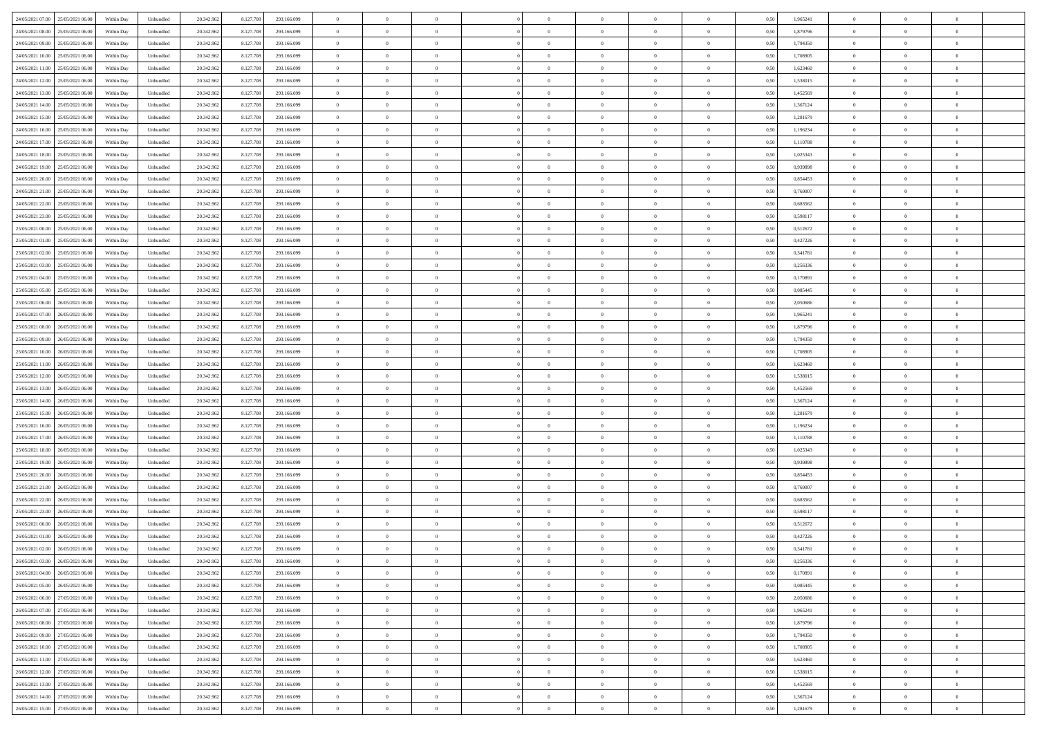|                                              |            |                             |            |           |             | $\overline{0}$ | $\theta$       |                | $\overline{0}$ | $\theta$       |                | $\theta$       |      |          | $\theta$       | $\theta$       | $\overline{0}$ |  |
|----------------------------------------------|------------|-----------------------------|------------|-----------|-------------|----------------|----------------|----------------|----------------|----------------|----------------|----------------|------|----------|----------------|----------------|----------------|--|
| 24/05/2021 07:00 25/05/2021 06:00            | Within Day | Unbundled                   | 20.342.962 | 8.127.708 | 293.166.099 |                |                |                |                |                |                |                | 0,50 | 1,965241 |                |                |                |  |
| 24/05/2021 08:00<br>25/05/2021 06.00         | Within Day | Unbundled                   | 20.342.96  | 8.127.708 | 293.166.099 | $\bf{0}$       | $\overline{0}$ | $\bf{0}$       | $\overline{0}$ | $\theta$       | $\overline{0}$ | $\bf{0}$       | 0,50 | 1,879796 | $\,$ 0 $\,$    | $\bf{0}$       | $\overline{0}$ |  |
| 24/05/2021 09:00<br>25/05/2021 06:00         | Within Day | Unbundled                   | 20.342.962 | 8.127.708 | 293.166.099 | $\overline{0}$ | $\overline{0}$ | $\overline{0}$ | $\bf{0}$       | $\bf{0}$       | $\overline{0}$ | $\bf{0}$       | 0.50 | 1,794350 | $\bf{0}$       | $\overline{0}$ | $\overline{0}$ |  |
| 24/05/2021 10:00<br>25/05/2021 06:00         | Within Day | Unbundled                   | 20.342.962 | 8.127.708 | 293.166.099 | $\overline{0}$ | $\overline{0}$ | $\overline{0}$ | $\theta$       | $\theta$       | $\overline{0}$ | $\bf{0}$       | 0,50 | 1,708905 | $\theta$       | $\theta$       | $\overline{0}$ |  |
| 24/05/2021 11:00<br>25/05/2021 06.00         | Within Day | Unbundled                   | 20.342.96  | 8.127.708 | 293.166.099 | $\overline{0}$ | $\theta$       | $\overline{0}$ | $\overline{0}$ | $\theta$       | $\overline{0}$ | $\bf{0}$       | 0,50 | 1,623460 | $\,$ 0 $\,$    | $\theta$       | $\overline{0}$ |  |
|                                              |            |                             |            |           |             |                |                |                |                |                |                |                |      |          |                |                |                |  |
| 24/05/2021 12:00<br>25/05/2021 06:00         | Within Day | Unbundled                   | 20.342.962 | 8.127.708 | 293.166.099 | $\overline{0}$ | $\overline{0}$ | $\overline{0}$ | $\overline{0}$ | $\overline{0}$ | $\Omega$       | $\bf{0}$       | 0.50 | 1.538015 | $\,$ 0 $\,$    | $\theta$       | $\overline{0}$ |  |
| 24/05/2021 13:00<br>25/05/2021 06:00         | Within Day | Unbundled                   | 20.342.962 | 8.127.708 | 293.166.099 | $\overline{0}$ | $\overline{0}$ | $\overline{0}$ | $\overline{0}$ | $\overline{0}$ | $\overline{0}$ | $\bf{0}$       | 0,50 | 1,452569 | $\theta$       | $\theta$       | $\overline{0}$ |  |
| 24/05/2021 14:00<br>25/05/2021 06.00         | Within Day | Unbundled                   | 20.342.96  | 8.127.708 | 293.166.099 | $\bf{0}$       | $\overline{0}$ | $\overline{0}$ | $\overline{0}$ | $\theta$       | $\overline{0}$ | $\bf{0}$       | 0,50 | 1,367124 | $\,$ 0 $\,$    | $\bf{0}$       | $\overline{0}$ |  |
| 24/05/2021 15:00<br>25/05/2021 06:00         | Within Day | Unbundled                   | 20.342.96  | 8.127.708 | 293.166.099 | $\overline{0}$ | $\overline{0}$ | $\overline{0}$ | $\bf{0}$       | $\overline{0}$ | $\overline{0}$ | $\bf{0}$       | 0.50 | 1.281679 | $\bf{0}$       | $\theta$       | $\overline{0}$ |  |
| 24/05/2021 16:00<br>25/05/2021 06:00         | Within Day | Unbundled                   | 20.342.962 | 8.127.708 | 293.166.099 | $\overline{0}$ | $\bf{0}$       | $\overline{0}$ | $\overline{0}$ | $\theta$       | $\overline{0}$ | $\bf{0}$       | 0,50 | 1,196234 | $\,$ 0 $\,$    | $\theta$       | $\overline{0}$ |  |
| 24/05/2021 17:00<br>25/05/2021 06.00         | Within Day | Unbundled                   | 20.342.96  | 8.127.708 | 293.166.099 | $\bf{0}$       | $\overline{0}$ | $\bf{0}$       | $\overline{0}$ | $\bf{0}$       | $\overline{0}$ | $\bf{0}$       | 0,50 | 1,110788 | $\,$ 0 $\,$    | $\bf{0}$       | $\overline{0}$ |  |
| 24/05/2021 18:00<br>25/05/2021 06:00         | Within Day | Unbundled                   | 20.342.962 | 8.127.708 | 293.166.099 | $\overline{0}$ | $\overline{0}$ | $\overline{0}$ | $\bf{0}$       | $\bf{0}$       | $\overline{0}$ | $\bf{0}$       | 0.50 | 1.025343 | $\bf{0}$       | $\overline{0}$ | $\overline{0}$ |  |
|                                              |            |                             |            |           |             | $\overline{0}$ | $\overline{0}$ | $\overline{0}$ | $\overline{0}$ | $\theta$       | $\overline{0}$ | $\overline{0}$ |      |          | $\theta$       | $\theta$       | $\overline{0}$ |  |
| 24/05/2021 19:00<br>25/05/2021 06:00         | Within Day | Unbundled                   | 20.342.96  | 8.127.708 | 293.166.099 |                |                |                |                |                |                |                | 0,50 | 0,939898 |                |                |                |  |
| 24/05/2021 20:00<br>25/05/2021 06.00         | Within Day | Unbundled                   | 20.342.96  | 8.127.708 | 293.166.099 | $\bf{0}$       | $\theta$       | $\bf{0}$       | $\overline{0}$ | $\theta$       | $\overline{0}$ | $\bf{0}$       | 0,50 | 0,854453 | $\,$ 0 $\,$    | $\bf{0}$       | $\overline{0}$ |  |
| 24/05/2021 21:00<br>25/05/2021 06:00         | Within Day | Unbundled                   | 20.342.962 | 8.127.708 | 293.166.099 | $\overline{0}$ | $\overline{0}$ | $\overline{0}$ | $\bf{0}$       | $\theta$       | $\Omega$       | $\bf{0}$       | 0.50 | 0.769007 | $\theta$       | $\overline{0}$ | $\overline{0}$ |  |
| 24/05/2021 22:00<br>25/05/2021 06:00         | Within Day | Unbundled                   | 20.342.962 | 8.127.708 | 293.166.099 | $\overline{0}$ | $\overline{0}$ | $\overline{0}$ | $\overline{0}$ | $\overline{0}$ | $\overline{0}$ | $\bf{0}$       | 0,50 | 0,683562 | $\theta$       | $\theta$       | $\overline{0}$ |  |
| 24/05/2021 23:00<br>25/05/2021 06.00         | Within Day | Unbundled                   | 20.342.96  | 8.127.708 | 293.166.099 | $\bf{0}$       | $\overline{0}$ | $\overline{0}$ | $\overline{0}$ | $\theta$       | $\overline{0}$ | $\bf{0}$       | 0,50 | 0,598117 | $\,$ 0 $\,$    | $\theta$       | $\overline{0}$ |  |
| 25/05/2021 00:00<br>25/05/2021 06:00         | Within Day | Unbundled                   | 20.342.96  | 8.127.708 | 293.166.099 | $\overline{0}$ | $\overline{0}$ | $\overline{0}$ | $\bf{0}$       | $\overline{0}$ | $\overline{0}$ | $\bf{0}$       | 0.50 | 0,512672 | $\bf{0}$       | $\overline{0}$ | $\overline{0}$ |  |
| 25/05/2021 01:00<br>25/05/2021 06:00         | Within Day | Unbundled                   | 20.342.962 | 8.127.708 | 293.166.099 | $\overline{0}$ | $\overline{0}$ | $\overline{0}$ | $\overline{0}$ | $\overline{0}$ | $\overline{0}$ | $\bf{0}$       | 0,50 | 0,427226 | $\,$ 0 $\,$    | $\theta$       | $\overline{0}$ |  |
| 25/05/2021 02:00<br>25/05/2021 06.00         | Within Day | Unbundled                   | 20.342.96  | 8.127.708 | 293.166.099 | $\bf{0}$       | $\overline{0}$ | $\bf{0}$       | $\bf{0}$       | $\overline{0}$ | $\overline{0}$ | $\bf{0}$       | 0,50 | 0,341781 | $\,$ 0 $\,$    | $\bf{0}$       | $\overline{0}$ |  |
|                                              |            |                             |            |           |             |                |                |                |                |                |                |                |      |          |                |                |                |  |
| 25/05/2021 03:00<br>25/05/2021 06:00         | Within Day | Unbundled                   | 20.342.962 | 8.127.708 | 293.166.099 | $\overline{0}$ | $\overline{0}$ | $\overline{0}$ | $\bf{0}$       | $\bf{0}$       | $\overline{0}$ | $\bf{0}$       | 0.50 | 0,256336 | $\bf{0}$       | $\overline{0}$ | $\overline{0}$ |  |
| 25/05/2021 04:00<br>25/05/2021 06:00         | Within Day | Unbundled                   | 20.342.962 | 8.127.708 | 293.166.099 | $\overline{0}$ | $\overline{0}$ | $\overline{0}$ | $\theta$       | $\theta$       | $\overline{0}$ | $\bf{0}$       | 0,50 | 0,170891 | $\theta$       | $\theta$       | $\overline{0}$ |  |
| 25/05/2021 05:00<br>25/05/2021 06.00         | Within Day | Unbundled                   | 20.342.96  | 8.127.708 | 293.166.099 | $\bf{0}$       | $\overline{0}$ | $\bf{0}$       | $\bf{0}$       | $\theta$       | $\overline{0}$ | $\bf{0}$       | 0,50 | 0,085445 | $\,$ 0 $\,$    | $\bf{0}$       | $\overline{0}$ |  |
| 25/05/2021 06:00<br>26/05/2021 06:00         | Within Day | Unbundled                   | 20.342.962 | 8.127.708 | 293.166.099 | $\overline{0}$ | $\overline{0}$ | $\overline{0}$ | $\overline{0}$ | $\overline{0}$ | $\Omega$       | $\bf{0}$       | 0.50 | 2.050686 | $\bf{0}$       | $\theta$       | $\overline{0}$ |  |
| 25/05/2021 07:00<br>26/05/2021 06:00         | Within Day | Unbundled                   | 20.342.962 | 8.127.708 | 293.166.099 | $\overline{0}$ | $\overline{0}$ | $\overline{0}$ | $\overline{0}$ | $\overline{0}$ | $\overline{0}$ | $\bf{0}$       | 0,50 | 1,965241 | $\theta$       | $\theta$       | $\overline{0}$ |  |
| 25/05/2021 08:00<br>26/05/2021 06.00         | Within Day | Unbundled                   | 20.342.96  | 8.127.708 | 293.166.099 | $\bf{0}$       | $\theta$       | $\overline{0}$ | $\overline{0}$ | $\theta$       | $\overline{0}$ | $\bf{0}$       | 0,50 | 1,879796 | $\,$ 0 $\,$    | $\theta$       | $\overline{0}$ |  |
| 25/05/2021 09:00<br>26/05/2021 06:00         | Within Day | Unbundled                   | 20.342.96  | 8.127.708 | 293.166.099 | $\overline{0}$ | $\overline{0}$ | $\overline{0}$ | $\bf{0}$       | $\overline{0}$ | $\overline{0}$ | $\bf{0}$       | 0.50 | 1,794350 | $\bf{0}$       | $\theta$       | $\overline{0}$ |  |
| 25/05/2021 10:00<br>26/05/2021 06:00         | Within Day | Unbundled                   | 20.342.962 | 8.127.708 | 293.166.099 | $\overline{0}$ | $\overline{0}$ | $\overline{0}$ | $\overline{0}$ | $\overline{0}$ | $\overline{0}$ | $\bf{0}$       | 0,50 | 1,708905 | $\theta$       | $\theta$       | $\overline{0}$ |  |
| 26/05/2021 06.00                             | Within Day | Unbundled                   | 20.342.96  | 8.127.708 | 293.166.099 | $\bf{0}$       | $\bf{0}$       | $\bf{0}$       | $\bf{0}$       | $\overline{0}$ | $\overline{0}$ | $\bf{0}$       | 0,50 | 1,623460 | $\,$ 0 $\,$    | $\bf{0}$       | $\overline{0}$ |  |
| 25/05/2021 11:00                             |            |                             |            |           |             |                |                |                |                |                |                |                |      |          |                |                |                |  |
| 25/05/2021 12:00<br>26/05/2021 06:00         | Within Day | Unbundled                   | 20.342.962 | 8.127.708 | 293.166.099 | $\overline{0}$ | $\overline{0}$ | $\overline{0}$ | $\bf{0}$       | $\bf{0}$       | $\overline{0}$ | $\bf{0}$       | 0.50 | 1.538015 | $\bf{0}$       | $\overline{0}$ | $\overline{0}$ |  |
| 25/05/2021 13:00<br>26/05/2021 06:00         | Within Day | Unbundled                   | 20.342.962 | 8.127.708 | 293.166.099 | $\overline{0}$ | $\overline{0}$ | $\overline{0}$ | $\overline{0}$ | $\overline{0}$ | $\overline{0}$ | $\bf{0}$       | 0.5( | 1,452569 | $\theta$       | $\theta$       | $\overline{0}$ |  |
| 25/05/2021 14:00<br>26/05/2021 06.00         | Within Day | Unbundled                   | 20.342.96  | 8.127.708 | 293.166.099 | $\bf{0}$       | $\overline{0}$ | $\bf{0}$       | $\overline{0}$ | $\overline{0}$ | $\overline{0}$ | $\bf{0}$       | 0,50 | 1,367124 | $\,$ 0 $\,$    | $\bf{0}$       | $\overline{0}$ |  |
| 25/05/2021 15:00<br>26/05/2021 06:00         | Within Day | Unbundled                   | 20.342.962 | 8.127.708 | 293.166.099 | $\overline{0}$ | $\overline{0}$ | $\overline{0}$ | $\bf{0}$       | $\theta$       | $\Omega$       | $\bf{0}$       | 0.50 | 1.281679 | $\,$ 0 $\,$    | $\overline{0}$ | $\overline{0}$ |  |
| 25/05/2021 16:00<br>26/05/2021 06:00         | Within Dav | Unbundled                   | 20.342.962 | 8.127.708 | 293.166.099 | $\overline{0}$ | $\theta$       | $\Omega$       | $\overline{0}$ | $\overline{0}$ | $\overline{0}$ | $\overline{0}$ | 0.5( | 1,196234 | $\theta$       | $\theta$       | $\overline{0}$ |  |
| 25/05/2021 17:00<br>26/05/2021 06.00         | Within Day | Unbundled                   | 20.342.96  | 8.127.708 | 293.166.099 | $\bf{0}$       | $\overline{0}$ | $\overline{0}$ | $\bf{0}$       | $\bf{0}$       | $\overline{0}$ | $\bf{0}$       | 0,50 | 1,110788 | $\,$ 0 $\,$    | $\bf{0}$       | $\overline{0}$ |  |
| 25/05/2021 18:00<br>26/05/2021 06:00         | Within Day | Unbundled                   | 20.342.96  | 8.127.708 | 293.166.099 | $\overline{0}$ | $\overline{0}$ | $\overline{0}$ | $\bf{0}$       | $\overline{0}$ | $\overline{0}$ | $\bf{0}$       | 0.50 | 1.025343 | $\bf{0}$       | $\theta$       | $\overline{0}$ |  |
| 25/05/2021 19:00<br>26/05/2021 06:00         | Within Dav | Unbundled                   | 20.342.962 | 8.127.708 | 293.166.099 | $\overline{0}$ | $\overline{0}$ | $\overline{0}$ | $\overline{0}$ | $\overline{0}$ | $\overline{0}$ | $\overline{0}$ | 0.50 | 0.939898 | $\theta$       | $\theta$       | $\overline{0}$ |  |
|                                              |            |                             |            |           |             |                |                |                |                |                |                |                |      |          |                |                |                |  |
| 25/05/2021 20:00<br>26/05/2021 06.00         | Within Day | Unbundled                   | 20.342.96  | 8.127.708 | 293.166.099 | $\bf{0}$       | $\bf{0}$       | $\bf{0}$       | $\bf{0}$       | $\overline{0}$ | $\overline{0}$ | $\bf{0}$       | 0,50 | 0,854453 | $\,$ 0 $\,$    | $\bf{0}$       | $\overline{0}$ |  |
| 25/05/2021 21:00<br>26/05/2021 06:00         | Within Day | Unbundled                   | 20.342.962 | 8.127.708 | 293.166.099 | $\overline{0}$ | $\bf{0}$       | $\overline{0}$ | $\bf{0}$       | $\bf{0}$       | $\overline{0}$ | $\bf{0}$       | 0.50 | 0.769007 | $\bf{0}$       | $\overline{0}$ | $\overline{0}$ |  |
| 25/05/2021 22:00<br>26/05/2021 06:00         | Within Dav | Unbundled                   | 20.342.962 | 8.127.708 | 293.166.099 | $\overline{0}$ | $\overline{0}$ | $\Omega$       | $\overline{0}$ | $\overline{0}$ | $\overline{0}$ | $\bf{0}$       | 0.5( | 0,683562 | $\theta$       | $\theta$       | $\overline{0}$ |  |
| 25/05/2021 23:00<br>26/05/2021 06.00         | Within Day | Unbundled                   | 20.342.96  | 8.127.708 | 293.166.099 | $\bf{0}$       | $\overline{0}$ | $\bf{0}$       | $\overline{0}$ | $\,$ 0 $\,$    | $\overline{0}$ | $\bf{0}$       | 0,50 | 0,598117 | $\,$ 0 $\,$    | $\bf{0}$       | $\overline{0}$ |  |
| 26/05/2021 00:00<br>26/05/2021 06.00         | Within Day | Unbundled                   | 20.342.962 | 8.127.708 | 293.166.099 | $\overline{0}$ | $\overline{0}$ | $\Omega$       | $\overline{0}$ | $\overline{0}$ | $\theta$       | $\bf{0}$       | 0.50 | 0,512672 | $\bf{0}$       | $\overline{0}$ | $\overline{0}$ |  |
| 26/05/2021 01:00<br>26/05/2021 06:00         | Within Dav | Unbundled                   | 20.342.962 | 8.127.708 | 293.166.099 | $\overline{0}$ | $\overline{0}$ | $\Omega$       | $\overline{0}$ | $\theta$       | $\Omega$       | $\overline{0}$ | 0.5( | 0,427226 | $\theta$       | $\theta$       | $\overline{0}$ |  |
| 26/05/2021 02:00<br>26/05/2021 06.00         | Within Day | Unbundled                   | 20.342.96  | 8.127.708 | 293.166.099 | $\bf{0}$       | $\bf{0}$       | $\bf{0}$       | $\bf{0}$       | $\bf{0}$       | $\overline{0}$ | $\bf{0}$       | 0,50 | 0,341781 | $\,$ 0 $\,$    | $\bf{0}$       | $\overline{0}$ |  |
| $26/05/2021\ 03.00 \qquad 26/05/2021\ 06.00$ | Within Day | $\ensuremath{\mathsf{Unb}}$ | 20.342.962 | 8.127.708 | 293.166.099 | $\overline{0}$ | $\Omega$       |                | $\overline{0}$ |                |                |                | 0,50 | 0,256336 | $\theta$       | $\overline{0}$ |                |  |
| 26/05/2021 04:00 26/05/2021 06:00            | Within Day | Unbundled                   | 20.342.962 | 8.127.708 | 293.166.099 | $\overline{0}$ | $\theta$       | $\overline{0}$ | $\theta$       | $\overline{0}$ | $\overline{0}$ | $\bf{0}$       | 0,50 | 0,170891 | $\theta$       | $\theta$       | $\overline{0}$ |  |
|                                              |            |                             |            |           |             |                |                |                |                |                |                |                |      |          |                |                |                |  |
| 26/05/2021 05:00<br>26/05/2021 06:00         | Within Day | Unbundled                   | 20.342.96  | 8.127.708 | 293.166.099 | $\overline{0}$ | $\bf{0}$       | $\overline{0}$ | $\overline{0}$ | $\bf{0}$       | $\overline{0}$ | $\bf{0}$       | 0,50 | 0,085445 | $\bf{0}$       | $\overline{0}$ | $\bf{0}$       |  |
| 26/05/2021 06:00 27/05/2021 06:00            | Within Day | Unbundled                   | 20.342.962 | 8.127.708 | 293.166.099 | $\overline{0}$ | $\bf{0}$       | $\overline{0}$ | $\overline{0}$ | $\mathbf{0}$   | $\overline{0}$ | $\,$ 0 $\,$    | 0.50 | 2.050686 | $\overline{0}$ | $\bf{0}$       | $\,$ 0 $\,$    |  |
| 26/05/2021 07:00 27/05/2021 06:00            | Within Day | Unbundled                   | 20.342.962 | 8.127.708 | 293.166.099 | $\overline{0}$ | $\overline{0}$ | $\overline{0}$ | $\overline{0}$ | $\overline{0}$ | $\overline{0}$ | $\bf{0}$       | 0,50 | 1,965241 | $\overline{0}$ | $\theta$       | $\overline{0}$ |  |
| 26/05/2021 08:00<br>27/05/2021 06:00         | Within Day | Unbundled                   | 20.342.962 | 8.127.708 | 293.166.099 | $\overline{0}$ | $\bf{0}$       | $\overline{0}$ | $\bf{0}$       | $\overline{0}$ | $\bf{0}$       | $\bf{0}$       | 0,50 | 1,879796 | $\bf{0}$       | $\bf{0}$       | $\overline{0}$ |  |
| 27/05/2021 06:00<br>26/05/2021 09:00         | Within Day | Unbundled                   | 20.342.962 | 8.127.708 | 293.166.099 | $\overline{0}$ | $\bf{0}$       | $\overline{0}$ | $\overline{0}$ | $\overline{0}$ | $\overline{0}$ | $\bf{0}$       | 0.50 | 1,794350 | $\,$ 0 $\,$    | $\theta$       | $\,$ 0         |  |
| 26/05/2021 10:00<br>27/05/2021 06:00         | Within Dav | Unbundled                   | 20.342.962 | 8.127.708 | 293.166.099 | $\overline{0}$ | $\overline{0}$ | $\overline{0}$ | $\overline{0}$ | $\overline{0}$ | $\overline{0}$ | $\bf{0}$       | 0,50 | 1,708905 | $\overline{0}$ | $\theta$       | $\overline{0}$ |  |
| 26/05/2021 11:00<br>27/05/2021 06:00         | Within Day | Unbundled                   | 20.342.96  | 8.127.708 | 293.166.099 | $\overline{0}$ | $\overline{0}$ | $\overline{0}$ | $\overline{0}$ | $\overline{0}$ | $\overline{0}$ | $\bf{0}$       | 0,50 | 1,623460 | $\bf{0}$       | $\overline{0}$ | $\overline{0}$ |  |
|                                              |            |                             |            |           |             |                |                |                |                |                |                |                |      |          |                |                |                |  |
| 26/05/2021 12:00 27/05/2021 06:00            | Within Day | Unbundled                   | 20.342.962 | 8.127.708 | 293.166.099 | $\overline{0}$ | $\overline{0}$ | $\overline{0}$ | $\overline{0}$ | $\bf{0}$       | $\overline{0}$ | $\bf{0}$       | 0.50 | 1.538015 | $\overline{0}$ | $\bf{0}$       | $\,$ 0         |  |
| 26/05/2021 13:00 27/05/2021 06:00            | Within Dav | Unbundled                   | 20.342.962 | 8.127.708 | 293.166.099 | $\overline{0}$ | $\overline{0}$ | $\overline{0}$ | $\overline{0}$ | $\overline{0}$ | $\overline{0}$ | $\bf{0}$       | 0,50 | 1,452569 | $\overline{0}$ | $\theta$       | $\overline{0}$ |  |
| 26/05/2021 14:00<br>27/05/2021 06:00         | Within Day | Unbundled                   | 20.342.96  | 8.127.708 | 293.166.099 | $\overline{0}$ | $\bf{0}$       | $\overline{0}$ | $\bf{0}$       | $\overline{0}$ | $\bf{0}$       | $\bf{0}$       | 0,50 | 1,367124 | $\bf{0}$       | $\bf{0}$       | $\overline{0}$ |  |
| 26/05/2021 15:00 27/05/2021 06:00            | Within Day | Unbundled                   | 20.342.962 | 8.127.708 | 293.166.099 | $\overline{0}$ | $\bf{0}$       | $\overline{0}$ | $\overline{0}$ | $\,$ 0 $\,$    | $\overline{0}$ | $\bf{0}$       | 0,50 | 1,281679 | $\overline{0}$ | $\,$ 0 $\,$    | $\,$ 0 $\,$    |  |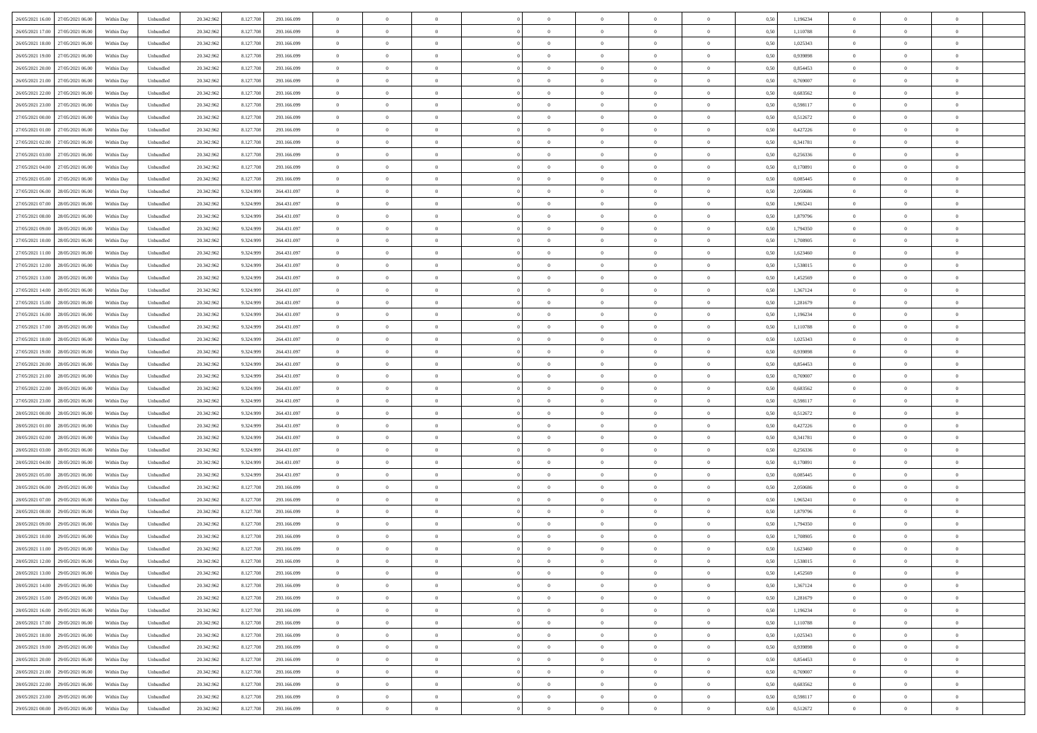| 26/05/2021 16:00 27/05/2021 06:00    |            |                             | 20.342.962 |           |             | $\overline{0}$ | $\theta$       |                | $\overline{0}$ | $\theta$       |                | $\theta$       | 0,50 | 1,196234 | $\theta$       | $\theta$       | $\overline{0}$ |  |
|--------------------------------------|------------|-----------------------------|------------|-----------|-------------|----------------|----------------|----------------|----------------|----------------|----------------|----------------|------|----------|----------------|----------------|----------------|--|
|                                      | Within Day | Unbundled                   |            | 8.127.708 | 293.166.099 |                |                |                |                |                |                |                |      |          |                |                |                |  |
| 26/05/2021 17:00<br>27/05/2021 06.00 | Within Day | Unbundled                   | 20.342.96  | 8.127.708 | 293.166.099 | $\bf{0}$       | $\overline{0}$ | $\bf{0}$       | $\overline{0}$ | $\bf{0}$       | $\overline{0}$ | $\bf{0}$       | 0,50 | 1,110788 | $\,$ 0 $\,$    | $\bf{0}$       | $\overline{0}$ |  |
| 26/05/2021 18:00<br>27/05/2021 06:00 | Within Day | Unbundled                   | 20.342.962 | 8.127.708 | 293.166.099 | $\overline{0}$ | $\bf{0}$       | $\overline{0}$ | $\bf{0}$       | $\bf{0}$       | $\overline{0}$ | $\bf{0}$       | 0.50 | 1,025343 | $\bf{0}$       | $\overline{0}$ | $\overline{0}$ |  |
| 26/05/2021 19:00<br>27/05/2021 06:00 | Within Day | Unbundled                   | 20.342.962 | 8.127.708 | 293.166.099 | $\overline{0}$ | $\overline{0}$ | $\overline{0}$ | $\theta$       | $\theta$       | $\overline{0}$ | $\bf{0}$       | 0,50 | 0,939898 | $\theta$       | $\theta$       | $\overline{0}$ |  |
| 26/05/2021 20:00<br>27/05/2021 06.00 | Within Day | Unbundled                   | 20.342.96  | 8.127.708 | 293.166.099 | $\bf{0}$       | $\theta$       | $\bf{0}$       | $\overline{0}$ | $\theta$       | $\overline{0}$ | $\bf{0}$       | 0,50 | 0,854453 | $\,$ 0 $\,$    | $\bf{0}$       | $\overline{0}$ |  |
| 26/05/2021 21:00<br>27/05/2021 06:00 |            | Unbundled                   | 20.342.962 | 8.127.708 | 293.166.099 | $\overline{0}$ | $\overline{0}$ | $\overline{0}$ | $\bf{0}$       | $\overline{0}$ | $\theta$       | $\bf{0}$       | 0.50 | 0.769007 | $\bf{0}$       | $\theta$       | $\overline{0}$ |  |
|                                      | Within Day |                             |            |           |             |                |                |                |                |                |                |                |      |          |                |                |                |  |
| 26/05/2021 22:00<br>27/05/2021 06:00 | Within Day | Unbundled                   | 20.342.962 | 8.127.708 | 293.166.099 | $\overline{0}$ | $\overline{0}$ | $\overline{0}$ | $\overline{0}$ | $\overline{0}$ | $\overline{0}$ | $\bf{0}$       | 0,50 | 0,683562 | $\theta$       | $\theta$       | $\overline{0}$ |  |
| 26/05/2021 23:00<br>27/05/2021 06.00 | Within Day | Unbundled                   | 20.342.96  | 8.127.708 | 293.166.099 | $\bf{0}$       | $\overline{0}$ | $\overline{0}$ | $\overline{0}$ | $\bf{0}$       | $\overline{0}$ | $\bf{0}$       | 0,50 | 0,598117 | $\,$ 0 $\,$    | $\bf{0}$       | $\overline{0}$ |  |
| 27/05/2021 00:00<br>27/05/2021 06:00 | Within Day | Unbundled                   | 20.342.96  | 8.127.708 | 293.166.099 | $\overline{0}$ | $\bf{0}$       | $\overline{0}$ | $\bf{0}$       | $\overline{0}$ | $\overline{0}$ | $\bf{0}$       | 0.50 | 0,512672 | $\bf{0}$       | $\theta$       | $\overline{0}$ |  |
| 27/05/2021 01:00<br>27/05/2021 06:00 | Within Day | Unbundled                   | 20.342.962 | 8.127.708 | 293.166.099 | $\bf{0}$       | $\bf{0}$       | $\overline{0}$ | $\overline{0}$ | $\overline{0}$ | $\overline{0}$ | $\bf{0}$       | 0,50 | 0,427226 | $\,$ 0 $\,$    | $\theta$       | $\overline{0}$ |  |
| 27/05/2021 02:00<br>27/05/2021 06.00 | Within Day | Unbundled                   | 20.342.96  | 8.127.708 | 293.166.099 | $\bf{0}$       | $\overline{0}$ | $\bf{0}$       | $\bf{0}$       | $\bf{0}$       | $\overline{0}$ | $\bf{0}$       | 0,50 | 0,341781 | $\,$ 0 $\,$    | $\bf{0}$       | $\overline{0}$ |  |
| 27/05/2021 03:00<br>27/05/2021 06:00 | Within Day | Unbundled                   | 20.342.962 | 8.127.708 | 293.166.099 | $\overline{0}$ | $\bf{0}$       | $\overline{0}$ | $\bf{0}$       | $\bf{0}$       | $\overline{0}$ | $\bf{0}$       | 0.50 | 0,256336 | $\bf{0}$       | $\overline{0}$ | $\bf{0}$       |  |
| 27/05/2021 04:00<br>27/05/2021 06:00 | Within Day | Unbundled                   | 20.342.962 | 8.127.708 | 293.166.099 | $\overline{0}$ | $\overline{0}$ | $\overline{0}$ | $\overline{0}$ | $\theta$       | $\overline{0}$ | $\bf{0}$       | 0,50 | 0,170891 | $\,$ 0 $\,$    | $\theta$       | $\overline{0}$ |  |
|                                      |            |                             |            |           |             |                |                |                |                |                |                |                |      |          |                |                |                |  |
| 27/05/2021 05:00<br>27/05/2021 06.00 | Within Day | Unbundled                   | 20.342.96  | 8.127.70  | 293.166.099 | $\bf{0}$       | $\theta$       | $\bf{0}$       | $\overline{0}$ | $\theta$       | $\overline{0}$ | $\bf{0}$       | 0,50 | 0,085445 | $\bf{0}$       | $\bf{0}$       | $\overline{0}$ |  |
| 27/05/2021 06:00<br>28/05/2021 06:00 | Within Day | Unbundled                   | 20.342.962 | 9.324.999 | 264.431.097 | $\overline{0}$ | $\overline{0}$ | $\overline{0}$ | $\bf{0}$       | $\bf{0}$       | $\theta$       | $\bf{0}$       | 0.50 | 2.050686 | $\bf{0}$       | $\overline{0}$ | $\overline{0}$ |  |
| 27/05/2021 07:00<br>28/05/2021 06:00 | Within Day | Unbundled                   | 20.342.962 | 9.324.999 | 264.431.097 | $\overline{0}$ | $\overline{0}$ | $\overline{0}$ | $\overline{0}$ | $\overline{0}$ | $\overline{0}$ | $\bf{0}$       | 0,50 | 1,965241 | $\theta$       | $\theta$       | $\overline{0}$ |  |
| 27/05/2021 08:00<br>28/05/2021 06:00 | Within Day | Unbundled                   | 20.342.96  | 9.324.999 | 264.431.097 | $\bf{0}$       | $\overline{0}$ | $\overline{0}$ | $\overline{0}$ | $\bf{0}$       | $\overline{0}$ | $\bf{0}$       | 0,50 | 1,879796 | $\,$ 0 $\,$    | $\bf{0}$       | $\overline{0}$ |  |
| 27/05/2021 09:00<br>28/05/2021 06:00 | Within Day | Unbundled                   | 20.342.96  | 9.324.999 | 264.431.097 | $\overline{0}$ | $\bf{0}$       | $\overline{0}$ | $\bf{0}$       | $\overline{0}$ | $\overline{0}$ | $\bf{0}$       | 0.50 | 1,794350 | $\bf{0}$       | $\overline{0}$ | $\overline{0}$ |  |
| 27/05/2021 10:00<br>28/05/2021 06:00 | Within Day | Unbundled                   | 20.342.962 | 9.324.999 | 264.431.097 | $\bf{0}$       | $\overline{0}$ | $\overline{0}$ | $\overline{0}$ | $\overline{0}$ | $\overline{0}$ | $\bf{0}$       | 0,50 | 1,708905 | $\,$ 0 $\,$    | $\theta$       | $\overline{0}$ |  |
| 27/05/2021 11:00<br>28/05/2021 06:00 | Within Day | Unbundled                   | 20.342.96  | 9.324.99  | 264.431.097 | $\bf{0}$       | $\overline{0}$ | $\bf{0}$       | $\bf{0}$       | $\overline{0}$ | $\overline{0}$ | $\bf{0}$       | 0,50 | 1,623460 | $\,$ 0 $\,$    | $\bf{0}$       | $\overline{0}$ |  |
| 27/05/2021 12:00                     |            | Unbundled                   |            |           | 264.431.097 |                | $\bf{0}$       | $\overline{0}$ |                | $\bf{0}$       | $\overline{0}$ |                | 0.50 | 1.538015 | $\bf{0}$       | $\overline{0}$ | $\overline{0}$ |  |
| 28/05/2021 06:00                     | Within Day |                             | 20.342.962 | 9.324.999 |             | $\overline{0}$ |                |                | $\bf{0}$       |                |                | $\bf{0}$       |      |          |                |                |                |  |
| 27/05/2021 13:00<br>28/05/2021 06:00 | Within Day | Unbundled                   | 20.342.962 | 9.324.999 | 264.431.097 | $\overline{0}$ | $\overline{0}$ | $\overline{0}$ | $\theta$       | $\theta$       | $\overline{0}$ | $\bf{0}$       | 0,50 | 1,452569 | $\theta$       | $\theta$       | $\overline{0}$ |  |
| 27/05/2021 14:00<br>28/05/2021 06:00 | Within Day | Unbundled                   | 20.342.96  | 9.324.999 | 264.431.097 | $\bf{0}$       | $\overline{0}$ | $\bf{0}$       | $\bf{0}$       | $\bf{0}$       | $\overline{0}$ | $\bf{0}$       | 0,50 | 1,367124 | $\,$ 0 $\,$    | $\bf{0}$       | $\overline{0}$ |  |
| 27/05/2021 15:00<br>28/05/2021 06:00 | Within Day | Unbundled                   | 20.342.962 | 9.324.999 | 264.431.097 | $\overline{0}$ | $\overline{0}$ | $\overline{0}$ | $\bf{0}$       | $\overline{0}$ | $\Omega$       | $\bf{0}$       | 0.50 | 1.281679 | $\,$ 0 $\,$    | $\theta$       | $\overline{0}$ |  |
| 27/05/2021 16:00<br>28/05/2021 06:00 | Within Day | Unbundled                   | 20.342.962 | 9.324.999 | 264.431.097 | $\overline{0}$ | $\overline{0}$ | $\overline{0}$ | $\overline{0}$ | $\overline{0}$ | $\overline{0}$ | $\bf{0}$       | 0,50 | 1,196234 | $\theta$       | $\theta$       | $\overline{0}$ |  |
| 27/05/2021 17:00<br>28/05/2021 06:00 | Within Day | Unbundled                   | 20.342.96  | 9.324.999 | 264.431.097 | $\bf{0}$       | $\theta$       | $\bf{0}$       | $\overline{0}$ | $\bf{0}$       | $\overline{0}$ | $\bf{0}$       | 0,50 | 1,110788 | $\,$ 0 $\,$    | $\bf{0}$       | $\overline{0}$ |  |
| 27/05/2021 18:00<br>28/05/2021 06:00 | Within Day | Unbundled                   | 20.342.96  | 9.324.999 | 264.431.097 | $\overline{0}$ | $\bf{0}$       | $\overline{0}$ | $\bf{0}$       | $\overline{0}$ | $\overline{0}$ | $\bf{0}$       | 0.50 | 1.025343 | $\bf{0}$       | $\theta$       | $\overline{0}$ |  |
| 27/05/2021 19:00<br>28/05/2021 06:00 | Within Day | Unbundled                   | 20.342.962 | 9.324.999 | 264.431.097 | $\overline{0}$ | $\overline{0}$ | $\overline{0}$ | $\overline{0}$ | $\overline{0}$ | $\overline{0}$ | $\bf{0}$       | 0,50 | 0,939898 | $\theta$       | $\theta$       | $\overline{0}$ |  |
| 27/05/2021 20:00<br>28/05/2021 06:00 | Within Day | Unbundled                   | 20.342.96  | 9.324.999 | 264.431.097 | $\bf{0}$       | $\bf{0}$       | $\bf{0}$       | $\bf{0}$       | $\overline{0}$ | $\overline{0}$ | $\bf{0}$       | 0,50 | 0,854453 | $\,$ 0 $\,$    | $\bf{0}$       | $\overline{0}$ |  |
|                                      |            |                             |            |           |             |                |                |                |                |                |                |                |      |          |                |                |                |  |
| 27/05/2021 21:00<br>28/05/2021 06:00 | Within Day | Unbundled                   | 20.342.962 | 9.324.999 | 264.431.097 | $\overline{0}$ | $\bf{0}$       | $\overline{0}$ | $\bf{0}$       | $\bf{0}$       | $\overline{0}$ | $\bf{0}$       | 0.50 | 0.769007 | $\bf{0}$       | $\overline{0}$ | $\overline{0}$ |  |
| 27/05/2021 22:00<br>28/05/2021 06:00 | Within Day | Unbundled                   | 20.342.962 | 9.324.999 | 264.431.097 | $\overline{0}$ | $\overline{0}$ | $\overline{0}$ | $\overline{0}$ | $\overline{0}$ | $\overline{0}$ | $\bf{0}$       | 0.5( | 0,683562 | $\theta$       | $\theta$       | $\overline{0}$ |  |
| 27/05/2021 23:00<br>28/05/2021 06:00 | Within Day | Unbundled                   | 20.342.96  | 9.324.99  | 264.431.097 | $\bf{0}$       | $\overline{0}$ | $\bf{0}$       | $\bf{0}$       | $\overline{0}$ | $\overline{0}$ | $\bf{0}$       | 0,50 | 0,598117 | $\,$ 0 $\,$    | $\bf{0}$       | $\overline{0}$ |  |
| 28/05/2021 00:00<br>28/05/2021 06:00 | Within Day | Unbundled                   | 20.342.962 | 9.324.999 | 264.431.097 | $\overline{0}$ | $\overline{0}$ | $\overline{0}$ | $\bf{0}$       | $\bf{0}$       | $\overline{0}$ | $\bf{0}$       | 0.50 | 0,512672 | $\,$ 0 $\,$    | $\theta$       | $\overline{0}$ |  |
| 28/05/2021 01:00<br>28/05/2021 06:00 | Within Dav | Unbundled                   | 20.342.962 | 9.324.999 | 264.431.097 | $\overline{0}$ | $\overline{0}$ | $\overline{0}$ | $\overline{0}$ | $\overline{0}$ | $\overline{0}$ | $\overline{0}$ | 0.5( | 0,427226 | $\theta$       | $\theta$       | $\overline{0}$ |  |
| 28/05/2021 02:00<br>28/05/2021 06:00 | Within Day | Unbundled                   | 20.342.96  | 9.324.999 | 264.431.097 | $\bf{0}$       | $\overline{0}$ | $\bf{0}$       | $\bf{0}$       | $\bf{0}$       | $\overline{0}$ | $\bf{0}$       | 0,50 | 0,341781 | $\,$ 0 $\,$    | $\bf{0}$       | $\overline{0}$ |  |
| 28/05/2021 03:00<br>28/05/2021 06:00 | Within Day | Unbundled                   | 20.342.96  | 9.324.999 | 264.431.097 | $\overline{0}$ | $\bf{0}$       | $\overline{0}$ | $\bf{0}$       | $\overline{0}$ | $\overline{0}$ | $\bf{0}$       | 0.50 | 0.256336 | $\bf{0}$       | $\overline{0}$ | $\overline{0}$ |  |
| 28/05/2021 04:00<br>28/05/2021 06:00 | Within Dav | Unbundled                   | 20.342.962 | 9.324.999 | 264.431.097 | $\overline{0}$ | $\overline{0}$ | $\overline{0}$ | $\overline{0}$ | $\overline{0}$ | $\overline{0}$ | $\overline{0}$ | 0.50 | 0,170891 | $\theta$       | $\theta$       | $\overline{0}$ |  |
| 28/05/2021 05:00<br>28/05/2021 06:00 | Within Day | Unbundled                   | 20.342.96  | 9.324.999 | 264.431.097 | $\bf{0}$       | $\bf{0}$       | $\bf{0}$       | $\bf{0}$       | $\overline{0}$ | $\overline{0}$ | $\bf{0}$       | 0,50 | 0,085445 | $\,$ 0 $\,$    | $\bf{0}$       | $\overline{0}$ |  |
|                                      |            |                             |            |           |             |                |                |                |                |                |                |                |      |          |                |                |                |  |
| 28/05/2021 06:00<br>29/05/2021 06.00 | Within Day | Unbundled                   | 20.342.962 | 8.127.708 | 293.166.099 | $\overline{0}$ | $\bf{0}$       | $\overline{0}$ | $\bf{0}$       | $\bf{0}$       | $\overline{0}$ | $\bf{0}$       | 0.50 | 2.050686 | $\bf{0}$       | $\overline{0}$ | $\overline{0}$ |  |
| 28/05/2021 07:00<br>29/05/2021 06:00 | Within Day | Unbundled                   | 20.342.962 | 8.127.708 | 293.166.099 | $\overline{0}$ | $\overline{0}$ | $\overline{0}$ | $\overline{0}$ | $\overline{0}$ | $\overline{0}$ | $\bf{0}$       | 0.50 | 1,965241 | $\theta$       | $\theta$       | $\overline{0}$ |  |
| 28/05/2021 08:00<br>29/05/2021 06.00 | Within Day | Unbundled                   | 20.342.96  | 8.127.708 | 293.166.099 | $\bf{0}$       | $\overline{0}$ | $\bf{0}$       | $\bf{0}$       | $\overline{0}$ | $\overline{0}$ | $\bf{0}$       | 0,50 | 1,879796 | $\,$ 0 $\,$    | $\bf{0}$       | $\overline{0}$ |  |
| 28/05/2021 09:00<br>29/05/2021 06.00 | Within Day | Unbundled                   | 20.342.962 | 8.127.708 | 293.166.099 | $\overline{0}$ | $\overline{0}$ | $\Omega$       | $\overline{0}$ | $\overline{0}$ | $\Omega$       | $\bf{0}$       | 0.50 | 1,794350 | $\bf{0}$       | $\theta$       | $\overline{0}$ |  |
| 28/05/2021 10:00<br>29/05/2021 06:00 | Within Dav | Unbundled                   | 20.342.962 | 8.127.708 | 293.166.099 | $\overline{0}$ | $\overline{0}$ | $\Omega$       | $\overline{0}$ | $\theta$       | $\Omega$       | $\overline{0}$ | 0.5( | 1,708905 | $\theta$       | $\theta$       | $\overline{0}$ |  |
| 28/05/2021 11:00<br>29/05/2021 06.00 | Within Day | Unbundled                   | 20.342.96  | 8.127.708 | 293.166.099 | $\bf{0}$       | $\bf{0}$       | $\bf{0}$       | $\overline{0}$ | $\bf{0}$       | $\overline{0}$ | $\bf{0}$       | 0,50 | 1,623460 | $\,$ 0 $\,$    | $\bf{0}$       | $\overline{0}$ |  |
| 28/05/2021 12:00 29/05/2021 06:00    | Within Day | $\ensuremath{\mathsf{Unb}}$ | 20.342.962 | 8.127.708 | 293.166.099 | $\overline{0}$ | $\theta$       |                | $\overline{0}$ |                |                |                | 0,50 | 1.538015 | $\theta$       | $\bf{0}$       |                |  |
| 28/05/2021 13:00 29/05/2021 06:00    | Within Day | Unbundled                   | 20.342.962 | 8.127.708 | 293.166.099 | $\overline{0}$ | $\theta$       | $\overline{0}$ | $\theta$       | $\overline{0}$ | $\overline{0}$ | $\bf{0}$       | 0,50 | 1,452569 | $\theta$       | $\theta$       | $\overline{0}$ |  |
|                                      |            |                             |            |           |             |                |                |                |                |                |                |                |      |          |                |                |                |  |
| 28/05/2021 14:00<br>29/05/2021 06.00 | Within Day | Unbundled                   | 20.342.96  | 8.127.708 | 293.166.099 | $\overline{0}$ | $\bf{0}$       | $\overline{0}$ | $\overline{0}$ | $\bf{0}$       | $\overline{0}$ | $\bf{0}$       | 0,50 | 1,367124 | $\bf{0}$       | $\overline{0}$ | $\bf{0}$       |  |
| 28/05/2021 15:00 29/05/2021 06:00    | Within Day | Unbundled                   | 20.342.962 | 8.127.708 | 293.166.099 | $\overline{0}$ | $\bf{0}$       | $\overline{0}$ | $\overline{0}$ | $\mathbf{0}$   | $\overline{0}$ | $\,$ 0 $\,$    | 0.50 | 1.281679 | $\overline{0}$ | $\bf{0}$       | $\,$ 0 $\,$    |  |
| 28/05/2021 16:00 29/05/2021 06:00    | Within Day | Unbundled                   | 20.342.962 | 8.127.708 | 293.166.099 | $\overline{0}$ | $\overline{0}$ | $\overline{0}$ | $\overline{0}$ | $\overline{0}$ | $\overline{0}$ | $\bf{0}$       | 0,50 | 1,196234 | $\overline{0}$ | $\theta$       | $\overline{0}$ |  |
| 28/05/2021 17:00<br>29/05/2021 06.00 | Within Day | Unbundled                   | 20.342.962 | 8.127.708 | 293.166.099 | $\overline{0}$ | $\bf{0}$       | $\overline{0}$ | $\bf{0}$       | $\overline{0}$ | $\bf{0}$       | $\bf{0}$       | 0,50 | 1,110788 | $\bf{0}$       | $\bf{0}$       | $\overline{0}$ |  |
| 28/05/2021 18:00<br>29/05/2021 06:00 | Within Day | Unbundled                   | 20.342.962 | 8.127.708 | 293.166.099 | $\overline{0}$ | $\bf{0}$       | $\overline{0}$ | $\overline{0}$ | $\overline{0}$ | $\overline{0}$ | $\bf{0}$       | 0.50 | 1.025343 | $\,$ 0 $\,$    | $\theta$       | $\,$ 0         |  |
| 28/05/2021 19:00<br>29/05/2021 06:00 | Within Day | Unbundled                   | 20.342.962 | 8.127.708 | 293.166.099 | $\overline{0}$ | $\overline{0}$ | $\overline{0}$ | $\overline{0}$ | $\overline{0}$ | $\overline{0}$ | $\bf{0}$       | 0,50 | 0,939898 | $\overline{0}$ | $\theta$       | $\overline{0}$ |  |
| 28/05/2021 20:00<br>29/05/2021 06.00 | Within Day | Unbundled                   | 20.342.96  | 8.127.708 | 293.166.099 | $\overline{0}$ | $\overline{0}$ | $\overline{0}$ | $\overline{0}$ | $\overline{0}$ | $\overline{0}$ | $\bf{0}$       | 0,50 | 0,854453 | $\bf{0}$       | $\,$ 0 $\,$    | $\overline{0}$ |  |
|                                      |            | Unbundled                   | 20.342.962 | 8.127.708 | 293.166.099 |                | $\overline{0}$ | $\overline{0}$ |                |                | $\overline{0}$ |                | 0.50 | 0.769007 |                | $\,$ 0 $\,$    | $\,$ 0         |  |
| 29/05/2021 06:00<br>28/05/2021 21:00 | Within Day |                             |            |           |             | $\overline{0}$ |                |                | $\overline{0}$ | $\bf{0}$       |                | $\bf{0}$       |      |          | $\overline{0}$ |                |                |  |
| 28/05/2021 22:00 29/05/2021 06:00    | Within Dav | Unbundled                   | 20.342.962 | 8.127.708 | 293.166.099 | $\overline{0}$ | $\overline{0}$ | $\overline{0}$ | $\overline{0}$ | $\overline{0}$ | $\overline{0}$ | $\bf{0}$       | 0,50 | 0,683562 | $\overline{0}$ | $\theta$       | $\overline{0}$ |  |
| 28/05/2021 23:00<br>29/05/2021 06.00 | Within Day | Unbundled                   | 20.342.96  | 8.127.708 | 293.166.099 | $\overline{0}$ | $\bf{0}$       | $\overline{0}$ | $\bf{0}$       | $\overline{0}$ | $\bf{0}$       | $\bf{0}$       | 0,50 | 0,598117 | $\bf{0}$       | $\bf{0}$       | $\overline{0}$ |  |
| 29/05/2021 00:00 29/05/2021 06:00    | Within Day | Unbundled                   | 20.342.962 | 8.127.708 | 293.166.099 | $\overline{0}$ | $\bf{0}$       | $\overline{0}$ | $\overline{0}$ | $\,$ 0 $\,$    | $\overline{0}$ | $\bf{0}$       | 0,50 | 0,512672 | $\overline{0}$ | $\,$ 0 $\,$    | $\,$ 0 $\,$    |  |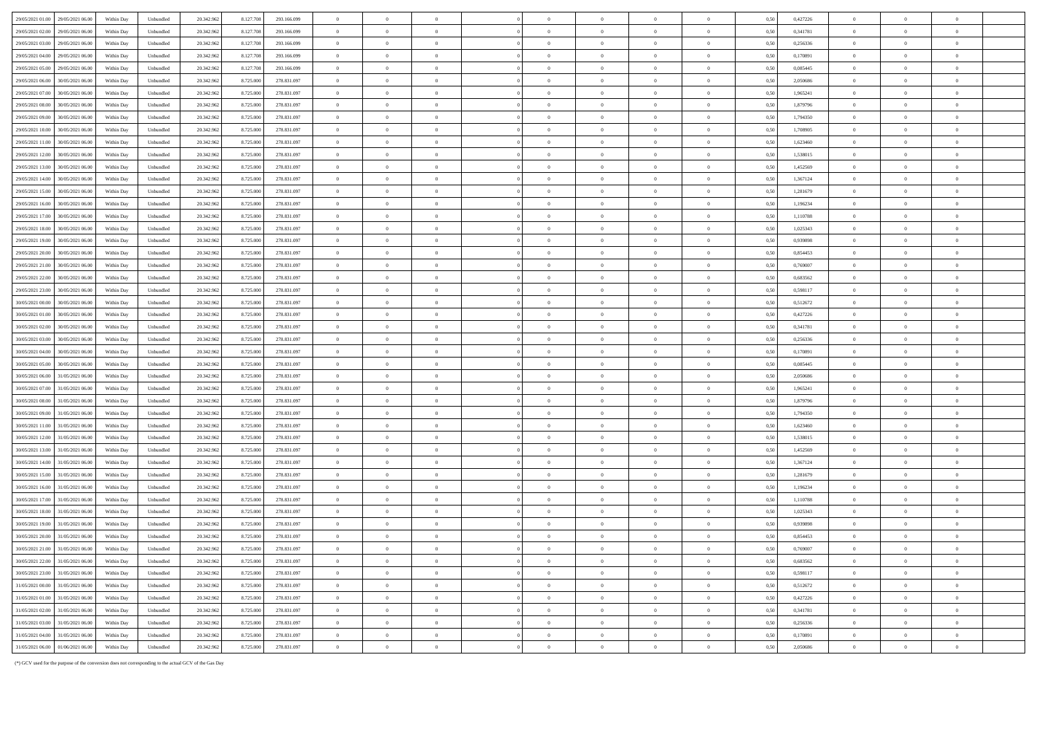| 29/05/2021 01:00<br>29/05/2021 06:00 | Within Day | Unbundled                   | 20.342.962 | 8.127.70  | 293.166.099 | $\bf{0}$       |                |                |                |                |                |                        | 0,51 | 0,427226 | $\Omega$       |                |                |  |
|--------------------------------------|------------|-----------------------------|------------|-----------|-------------|----------------|----------------|----------------|----------------|----------------|----------------|------------------------|------|----------|----------------|----------------|----------------|--|
| 29/05/2021 02:00<br>29/05/2021 06:00 | Within Day | Unbundled                   | 20.342.962 | 8 127 70  | 293 166 099 | $\theta$       | $\overline{0}$ | $\theta$       | $\Omega$       | $\theta$       | $\Omega$       | $\theta$               | 0.50 | 0.341781 | $\theta$       | $\Omega$       | $\theta$       |  |
| 29/05/2021 03:00<br>29/05/2021 06:00 | Within Day | Unbundled                   | 20.342.962 | 8.127.708 | 293.166.099 | $\overline{0}$ | $\theta$       | $\overline{0}$ | $\overline{0}$ | $\overline{0}$ | $\overline{0}$ | $\overline{0}$         | 0.50 | 0.256336 | $\overline{0}$ | $\overline{0}$ | $\overline{0}$ |  |
| 29/05/2021 04:00<br>29/05/2021 06:00 | Within Day | Unbundled                   | 20.342.962 | 8.127.70  | 293.166.099 | $\overline{0}$ | $\overline{0}$ | $\overline{0}$ | $\overline{0}$ | $\overline{0}$ | $\,$ 0 $\,$    | $\overline{0}$         | 0,50 | 0,170891 | $\,$ 0 $\,$    | $\,$ 0 $\,$    | $\theta$       |  |
| 29/05/2021 05:00<br>29/05/2021 06:00 | Within Day | Unbundled                   | 20.342.962 | 8.127.708 | 293.166.099 | $\overline{0}$ | $\overline{0}$ | $\overline{0}$ | $\overline{0}$ | $\,$ 0 $\,$    | $\bf{0}$       | $\overline{0}$         | 0.50 | 0.085445 | $\overline{0}$ | $\overline{0}$ | $\theta$       |  |
| 29/05/2021 06:00<br>30/05/2021 06:00 | Within Day | Unbundled                   | 20.342.962 | 8.725.00  | 278 831 097 | $\overline{0}$ | $\overline{0}$ | $\theta$       | $\theta$       | $\overline{0}$ | $\overline{0}$ | $\theta$               | 0.50 | 2.050686 | $\overline{0}$ | $\Omega$       | $\theta$       |  |
| 29/05/2021 07:00<br>30/05/2021 06:00 | Within Day | Unbundled                   | 20.342.962 | 8.725.000 | 278.831.097 | $\overline{0}$ | $\overline{0}$ | $\overline{0}$ | $\Omega$       | $\overline{0}$ | $\theta$       | $\theta$               | 0.50 | 1,965241 | $\overline{0}$ | $\Omega$       |                |  |
| 29/05/2021 08:00<br>0/05/2021 06.0   | Within Day | Unbundled                   | 20.342.962 | 8.725.000 | 278.831.097 | $\overline{0}$ | $\overline{0}$ | $\overline{0}$ | $\overline{0}$ | $\theta$       | $\theta$       | $\overline{0}$         | 0,50 | 1,879796 | $\overline{0}$ | $\overline{0}$ |                |  |
| 29/05/2021 09:00<br>30/05/2021 06.0  | Within Day | Unbundled                   | 20.342.962 | 8.725.00  | 278.831.097 | $\overline{0}$ | $\overline{0}$ | $\,$ 0 $\,$    | $\overline{0}$ | $\,$ 0         | $\,0\,$        | $\bf{0}$               | 0,50 | 1,794350 | $\,$ 0 $\,$    | $\overline{0}$ |                |  |
| 29/05/2021 10:00<br>30/05/2021 06:00 | Within Day | Unbundled                   | 20.342.962 | 8.725.000 | 278 831 097 | $\overline{0}$ | $\theta$       | $\overline{0}$ | $\theta$       | $\theta$       | $\Omega$       | $\theta$               | 0.50 | 1.708905 | $\theta$       | $\overline{0}$ | $\theta$       |  |
|                                      |            |                             |            |           |             |                |                |                | $\overline{0}$ |                |                | $\theta$               |      |          |                |                |                |  |
| 29/05/2021 11:00<br>30/05/2021 06:00 | Within Day | Unbundled                   | 20.342.962 | 8,725,000 | 278.831.097 | $\overline{0}$ | $\overline{0}$ | $\overline{0}$ |                | $\overline{0}$ | $\theta$       |                        | 0.50 | 1.623460 | $\overline{0}$ | $\theta$       | $\theta$       |  |
| 29/05/2021 12:00<br>30/05/2021 06:00 | Within Day | Unbundled                   | 20.342.962 | 8.725.000 | 278.831.097 | $\,$ 0 $\,$    | $\,$ 0 $\,$    | $\overline{0}$ | $\,$ 0 $\,$    | $\,$ 0 $\,$    | $\overline{0}$ | $\,$ 0 $\,$            | 0,50 | 1,538015 | $\,$ 0 $\,$    | $\overline{0}$ | $\overline{0}$ |  |
| 29/05/2021 13:00<br>30/05/2021 06:00 | Within Dav | Unbundled                   | 20.342.962 | 8,725,000 | 278.831.097 | $\overline{0}$ | $\overline{0}$ | $\theta$       | $\overline{0}$ | $\overline{0}$ | $\theta$       | $\sqrt{2}$             | 0.50 | 1.452569 | $\overline{0}$ | $\Omega$       | $\sqrt{2}$     |  |
| 29/05/2021 14:00<br>30/05/2021 06:00 | Within Day | Unbundled                   | 20.342.962 | 8.725.000 | 278 831 097 | $\overline{0}$ | $\Omega$       | $\theta$       | $\theta$       | $\overline{0}$ | $\Omega$       | $\theta$               | 0.50 | 1.367124 | $\overline{0}$ | $\Omega$       | $\theta$       |  |
| 29/05/2021 15:00<br>30/05/2021 06:00 | Within Day | Unbundled                   | 20.342.962 | 8.725.00  | 278.831.097 | $\overline{0}$ | $\overline{0}$ | $\overline{0}$ | $\overline{0}$ | $\overline{0}$ | $\theta$       | $\bf{0}$               | 0.50 | 1.281679 | $\overline{0}$ | $\Omega$       | $^{\circ}$     |  |
| 29/05/2021 16:00<br>30/05/2021 06.0  | Within Day | $\label{thm:undl} Unbundle$ | 20.342.962 | 8.725.000 | 278.831.097 | $\theta$       | $\overline{0}$ | $\overline{0}$ |                | $\theta$       | $\theta$       | $\overline{0}$         | 0.51 | 1,196234 | $\overline{0}$ |                |                |  |
| 29/05/2021 17:00<br>30/05/2021 06.0  | Within Day | Unbundled                   | 20.342.962 | 8.725.00  | 278.831.097 | $\overline{0}$ | $\,$ 0         | $\overline{0}$ | $\overline{0}$ | $\,$ 0 $\,$    | $\,$ 0 $\,$    | $\overline{0}$         | 0,50 | 1,110788 | $\overline{0}$ | $\overline{0}$ | $\overline{0}$ |  |
| 29/05/2021 18:00<br>30/05/2021 06:00 | Within Day | Unbundled                   | 20.342.962 | 8,725,000 | 278 831 097 | $\theta$       | $\theta$       | $\theta$       | $\overline{0}$ | $\theta$       | $\theta$       | $\theta$               | 0.50 | 1.025343 | $\theta$       | $\Omega$       | $\sim$         |  |
| 29/05/2021 19:00<br>30/05/2021 06:00 | Within Day | Unbundled                   | 20.342.962 | 8.725.000 | 278.831.097 | $\overline{0}$ | $\theta$       | $\overline{0}$ | $\,$ 0 $\,$    | $\,$ 0 $\,$    | $\,$ 0 $\,$    | $\hspace{0.1mm}\bm{0}$ | 0,50 | 0,939898 | $\,$ 0 $\,$    | $\overline{0}$ | $\theta$       |  |
| 29/05/2021 20:00<br>30/05/2021 06.00 | Within Day | Unbundled                   | 20.342.962 | 8.725.000 | 278.831.097 | $\overline{0}$ | $\overline{0}$ | $\overline{0}$ | $\overline{0}$ | $\overline{0}$ | $\theta$       | $\overline{0}$         | 0.5( | 0,854453 | $\overline{0}$ |                |                |  |
| 29/05/2021 21:00<br>30/05/2021 06:00 | Within Day | Unbundled                   | 20.342.962 | 8.725.000 | 278.831.097 | $\overline{0}$ | $\,$ 0 $\,$    | $\overline{0}$ | $\,$ 0 $\,$    | $\,$ 0 $\,$    | $\overline{0}$ | $\,$ 0 $\,$            | 0,50 | 0,769007 | $\,$ 0 $\,$    | $\,$ 0 $\,$    | $\overline{0}$ |  |
| 29/05/2021 22:00<br>30/05/2021 06:00 | Within Day | Unbundled                   | 20.342.962 | 8.725.000 | 278 831 097 | $\overline{0}$ | $\theta$       | $\theta$       | $\theta$       | $\theta$       | $\Omega$       | $\theta$               | 0.50 | 0.683562 | $\theta$       | $\Omega$       | $\mathbf{a}$   |  |
| 29/05/2021 23:00<br>30/05/2021 06:00 | Within Dav | Unbundled                   | 20.342.962 | 8,725,000 | 278.831.097 | $\overline{0}$ | $\overline{0}$ | $\overline{0}$ | $\overline{0}$ | $\overline{0}$ | $\overline{0}$ | $\bf{0}$               | 0.50 | 0.598117 | $\overline{0}$ | $\overline{0}$ | $\theta$       |  |
| 30/05/2021 00:00<br>30/05/2021 06:00 | Within Day | Unbundled                   | 20.342.962 | 8.725.000 | 278.831.097 | $\,$ 0 $\,$    | $\overline{0}$ | $\overline{0}$ | $\overline{0}$ | $\theta$       | $\theta$       | $\overline{0}$         | 0,50 | 0,512672 | $\theta$       | $\overline{0}$ |                |  |
| 30/05/2021 01:00<br>30/05/2021 06:0  | Within Day | $\label{thm:undl} Unbundle$ | 20.342.962 | 8.725.00  | 278.831.097 | $\bf{0}$       | $\overline{0}$ | $\overline{0}$ | $\Omega$       | $\theta$       | $\theta$       | $\overline{0}$         | 0.5( | 0,427226 | $\overline{0}$ | $\Omega$       | $\Omega$       |  |
| 30/05/2021 02:0<br>30/05/2021 06:0   | Within Day | Unbundled                   | 20.342.962 | 8,725,000 | 278 831 097 | $\mathbf{0}$   | $\overline{0}$ | $\overline{0}$ | $\theta$       | $\,$ 0 $\,$    | $\,$ 0 $\,$    | $\theta$               | 0.50 | 0.341781 | $\theta$       | $\overline{0}$ | $\theta$       |  |
| 30/05/2021 03:00<br>30/05/2021 06:00 | Within Day | Unbundled                   | 20.342.962 | 8.725.000 | 278.831.097 | $\overline{0}$ | $\overline{0}$ | $\overline{0}$ | $\overline{0}$ | $\overline{0}$ | $\overline{0}$ | $\overline{0}$         | 0.50 | 0.256336 | $\overline{0}$ | $\overline{0}$ | $\theta$       |  |
| 30/05/2021 04.00<br>30/05/2021 06.00 | Within Day | Unbundled                   | 20.342.962 | 8,725.00  | 278.831.097 | $\overline{0}$ | $\theta$       | $\overline{0}$ | $\overline{0}$ | $\,$ 0 $\,$    | $\overline{0}$ | $\overline{0}$         | 0.5( | 0,170891 | $\,$ 0 $\,$    | $\overline{0}$ | $\overline{0}$ |  |
| 30/05/2021 05:00<br>30/05/2021 06:00 | Within Day | Unbundled                   | 20.342.962 | 8.725.000 | 278.831.097 | $\overline{0}$ | $\,$ 0         | $\overline{0}$ | $\overline{0}$ | $\,$ 0 $\,$    | $\,$ 0 $\,$    | $\overline{0}$         | 0.5( | 0,085445 | $\overline{0}$ | $\overline{0}$ | $\theta$       |  |
| 30/05/2021 06:00<br>31/05/2021 06:00 | Within Day | Unbundled                   | 20.342.962 | 8,725,000 | 278.831.097 | $\overline{0}$ | $\overline{0}$ | $\overline{0}$ | $\overline{0}$ | $\overline{0}$ | $\overline{0}$ | $\theta$               | 0.50 | 2.050686 | $\overline{0}$ | $\Omega$       | $\theta$       |  |
| 30/05/2021 07:00<br>31/05/2021 06:00 | Within Day | Unbundled                   | 20.342.962 | 8.725.000 | 278 831 097 | $\overline{0}$ | $\Omega$       | $\theta$       | $\theta$       | $\theta$       | $\Omega$       | $\theta$               | 0.50 | 1965241  | $\Omega$       | $\Omega$       | $\theta$       |  |
| 30/05/2021 08:00<br>31/05/2021 06.00 | Within Day | Unbundled                   | 20.342.962 | 8.725.000 | 278.831.097 | $\,$ 0 $\,$    | $\overline{0}$ | $\overline{0}$ | $\theta$       | $\theta$       | $\theta$       | $\overline{0}$         | 0,50 | 1,879796 | $\overline{0}$ | $\overline{0}$ |                |  |
| 30/05/2021 09:00<br>31/05/2021 06.0  | Within Day | Unbundled                   | 20.342.962 | 8.725.00  | 278.831.097 | $\overline{0}$ | $\overline{0}$ | $\overline{0}$ | $\overline{0}$ | $\,$ 0 $\,$    | $\,$ 0 $\,$    | $\overline{0}$         | 0,50 | 1,794350 | $\,$ 0 $\,$    | $\,$ 0 $\,$    | $\overline{0}$ |  |
| 30/05/2021 11:00<br>31/05/2021 06:00 | Within Day | Unbundled                   | 20.342.962 | 8.725.00  | 278.831.097 | $\theta$       | $\Omega$       | $\theta$       | $\theta$       | $\Omega$       | $\Omega$       | $\theta$               | 0.50 | 1.623460 | $\Omega$       | $\Omega$       | $\sqrt{2}$     |  |
| 30/05/2021 12:00<br>31/05/2021 06:00 | Within Day | Unbundled                   | 20.342.962 | 8.725.000 | 278.831.097 | $\overline{0}$ | $\overline{0}$ | $\overline{0}$ | $\mathbf{0}$   | $\,$ 0 $\,$    | $\overline{0}$ | $\overline{0}$         | 0.50 | 1.538015 | $\overline{0}$ | $\overline{0}$ | $\overline{0}$ |  |
| 30/05/2021 13:00<br>31/05/2021 06:00 | Within Day | Unbundled                   | 20.342.962 | 8.725.000 | 278.831.097 | $\overline{0}$ | $\overline{0}$ | $\overline{0}$ | $\overline{0}$ | $\,$ 0 $\,$    | $\theta$       | $\overline{0}$         | 0,50 | 1,452569 | $\,$ 0 $\,$    | $\overline{0}$ | $\overline{0}$ |  |
| 30/05/2021 14:00<br>31/05/2021 06.00 | Within Day | Unbundled                   | 20.342.962 | 8.725.000 | 278.831.097 | $\overline{0}$ | $\theta$       | $\overline{0}$ | $\,$ 0 $\,$    | $\,$ 0 $\,$    | $\,$ 0 $\,$    | $\,$ 0 $\,$            | 0,50 | 1,367124 | $\,$ 0 $\,$    | $\,$ 0 $\,$    | $\,$ 0 $\,$    |  |
| 30/05/2021 15:00<br>31/05/2021 06:00 | Within Day | Unbundled                   | 20.342.962 | 8.725.000 | 278 831 097 | $\overline{0}$ | $\overline{0}$ | $\theta$       | $\theta$       | $\overline{0}$ | $\theta$       | $\theta$               | 0.50 | 1.281679 | $\overline{0}$ | $\Omega$       | $\theta$       |  |
| 30/05/2021 16:00<br>31/05/2021 06:00 | Within Dav | Unbundled                   | 20.342.962 | 8.725,000 | 278.831.097 | $\overline{0}$ | $\overline{0}$ | $\overline{0}$ | $\overline{0}$ | $\overline{0}$ | $\theta$       | $\bf{0}$               | 0.50 | 1.196234 | $\overline{0}$ | $\overline{0}$ |                |  |
| 30/05/2021 17:00<br>31/05/2021 06:00 | Within Day | Unbundled                   | 20.342.962 | 8.725.000 | 278.831.097 | $\overline{0}$ | $\overline{0}$ | $\overline{0}$ | $\Omega$       | $\overline{0}$ | $\theta$       | $\theta$               | 0.5( | 1,110788 | $\overline{0}$ | $\Omega$       |                |  |
| 30/05/2021 18:00<br>31/05/2021 06.0  | Within Day | Unbundled                   | 20.342.962 | 8.725.00  | 278.831.097 | $\overline{0}$ | $\overline{0}$ | $\overline{0}$ | $\overline{0}$ | $\,$ 0 $\,$    | $\,$ 0 $\,$    | $\overline{0}$         | 0,50 | 1,025343 | $\bf{0}$       | $\overline{0}$ |                |  |
| 30/05/2021 19:00<br>31/05/2021 06:00 | Within Day | Unbundled                   | 20.342.962 | 8,725,000 | 278.831.097 | $\overline{0}$ | $\theta$       | $\overline{0}$ | $\theta$       | $\overline{0}$ | $\overline{0}$ | $\overline{0}$         | 0.5( | 0.939898 | $\overline{0}$ | $\overline{0}$ | $\sqrt{2}$     |  |
| 30/05/2021 20:00<br>31/05/2021 06:00 | Within Day | Unbundled                   | 20.342.962 | 8.725.000 | 278 831 097 | $\theta$       | $\Omega$       | $\theta$       | $\overline{0}$ | $\theta$       | $\Omega$       | $\theta$               | 0.50 | 0.854453 | $\theta$       | $\Omega$       | $\sqrt{2}$     |  |
| 30/05/2021 21:00<br>31/05/2021 06.00 | Within Day | Unbundled                   | 20.342.962 | 8.725.000 | 278.831.097 | $\,$ 0 $\,$    | $\bf{0}$       | $\overline{0}$ | $\overline{0}$ | $\,$ 0 $\,$    | $\overline{0}$ | $\overline{0}$         | 0,50 | 0,769007 | $\,$ 0 $\,$    | $\overline{0}$ | $\overline{0}$ |  |
| 30/05/2021 22:00<br>31/05/2021 06:00 | Within Day | Unbundled                   | 20.342.962 | 8.725.00  | 278.831.097 | $\overline{0}$ | $\overline{0}$ | $\overline{0}$ | $\overline{0}$ | $\,$ 0 $\,$    | $\,$ 0 $\,$    | $\overline{0}$         | 0,50 | 0,683562 | $\,$ 0 $\,$    | $\overline{0}$ | $\theta$       |  |
| 30/05/2021 23:00<br>31/05/2021 06:00 | Within Day | Unbundled                   | 20.342.962 | 8.725.000 | 278.831.097 | $\overline{0}$ | $\overline{0}$ | $\overline{0}$ | $\overline{0}$ | $\overline{0}$ | $\overline{0}$ | $\overline{0}$         | 0.50 | 0.598117 | $\overline{0}$ | $\Omega$       | $\theta$       |  |
| 31/05/2021 00:00<br>31/05/2021 06:00 | Within Day | Unbundled                   | 20.342.962 | 8.725.000 | 278.831.097 | $\overline{0}$ | $\theta$       | $\overline{0}$ | $\overline{0}$ | $\overline{0}$ | $\theta$       | $\overline{0}$         | 0.50 | 0,512672 | $\overline{0}$ | $\theta$       | $\theta$       |  |
| 31/05/2021 01:00<br>31/05/2021 06:00 | Within Day | Unbundled                   | 20.342.962 | 8.725.000 | 278.831.097 | $\overline{0}$ | $\overline{0}$ | $\overline{0}$ | $\overline{0}$ | $\bf{0}$       | $\,$ 0 $\,$    | $\overline{0}$         | 0,50 | 0,427226 | $\,$ 0 $\,$    | $\overline{0}$ |                |  |
| 31/05/2021 02.00<br>31/05/2021 06.0  | Within Day | Unbundled                   | 20.342.962 | 8.725.000 | 278.831.097 | $\overline{0}$ | $\overline{0}$ | $\overline{0}$ | $\overline{0}$ | $\theta$       | $\theta$       | $\overline{0}$         | 0.5  | 0,341781 | $\theta$       | $\overline{0}$ |                |  |
| 31/05/2021 03:00<br>31/05/2021 06:0  | Within Dav | Unbundled                   | 20.342.962 | 8.725.00  | 278 831 097 | $\theta$       | $\Omega$       | $\Omega$       | $\Omega$       | $\Omega$       | $\Omega$       | $\theta$               | 0.50 | 0.256336 | $\Omega$       | $\theta$       | $\mathbf{a}$   |  |
| 31/05/2021 04:00<br>31/05/2021 06:00 | Within Day | Unbundled                   | 20.342.962 | 8,725,000 | 278.831.097 | $\overline{0}$ | $\theta$       | $\overline{0}$ | $\overline{0}$ | $\overline{0}$ | $\theta$       | $\overline{0}$         | 0.50 | 0.170891 | $\overline{0}$ | $\overline{0}$ | $\overline{0}$ |  |
| 31/05/2021 06:00<br>01/06/2021 06:00 | Within Day | Unbundled                   | 20.342.962 | 8.725.000 | 278.831.097 | $\overline{0}$ | $\theta$       | $\Omega$       | $\overline{0}$ | $\theta$       | $\theta$       |                        | 0,50 | 2,050686 | $\theta$       | $\Omega$       | $\theta$       |  |

(\*) GCV used for the purpose of the conversion does not corresponding to the actual GCV of the Gas Day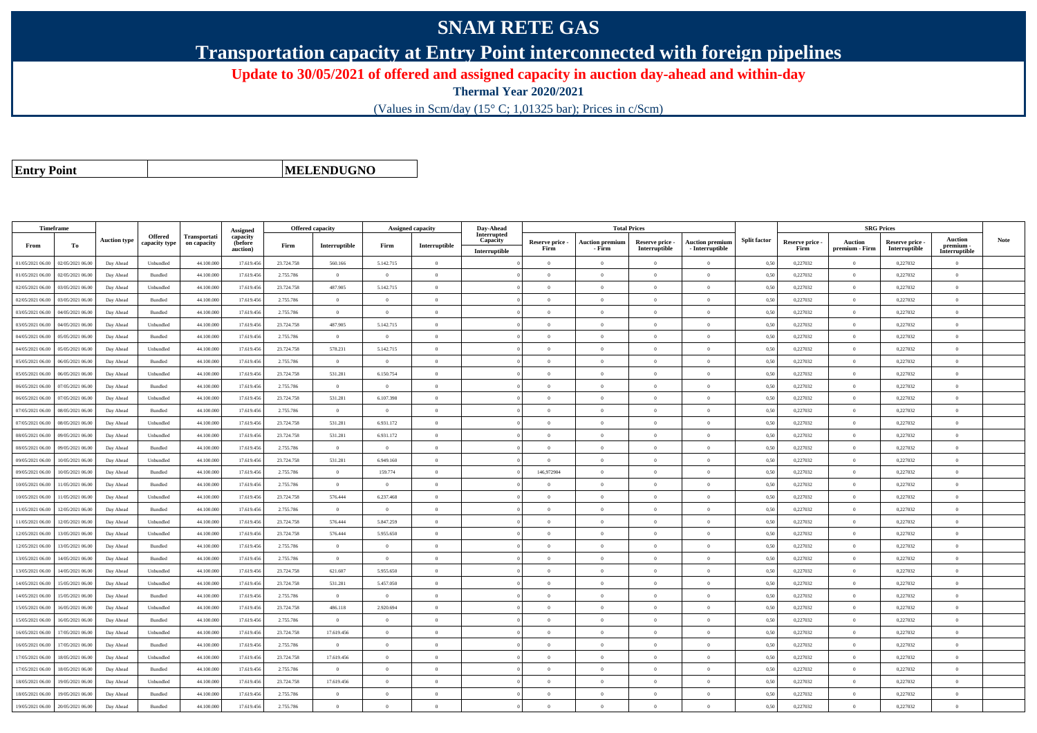## **SNAM RETE GAS**

**Transportation capacity at Entry Point interconnected with foreign pipelines**

**Update to 30/05/2021 of offered and assigned capacity in auction day-ahead and within-day**

**Thermal Year 2020/2021**

(Values in Scm/day (15° C; 1,01325 bar); Prices in c/Scm)

**Entry Point**

**MELENDUGNO**

|                  | Timeframe        |                     |                                 |                             | Assigned                        | <b>Offered capacity</b> |                |                | Assigned capacity | Day-Ahead                                |                         | <b>Total Prices</b>              |                                  |                                           |                     |                         |                           | <b>SRG Prices</b>                |                                              |             |
|------------------|------------------|---------------------|---------------------------------|-----------------------------|---------------------------------|-------------------------|----------------|----------------|-------------------|------------------------------------------|-------------------------|----------------------------------|----------------------------------|-------------------------------------------|---------------------|-------------------------|---------------------------|----------------------------------|----------------------------------------------|-------------|
| From             | To               | <b>Auction type</b> | <b>Offered</b><br>capacity type | Transportati<br>on capacity | capacity<br>(before<br>auction) | Firm                    | Interruptible  | Firm           | Interruptible     | Interrupted<br>Capacity<br>Interruptible | Reserve price -<br>Firm | <b>Auction premium</b><br>- Firm | Reserve price -<br>Interruptible | <b>Auction premium</b><br>- Interruptible | <b>Split factor</b> | Reserve price -<br>Firm | Auction<br>premium - Firm | Reserve price -<br>Interruptible | <b>Auction</b><br>premium -<br>Interruptible | <b>Note</b> |
| 01/05/2021 06:00 | 02/05/2021 06:00 | Day Ahead           | Unbundled                       | 44.100.000                  | 17.619.456                      | 23.724.758              | 560.166        | 5.142.715      | $\Omega$          |                                          | $\Omega$                | $\theta$                         | $\Omega$                         | $\Omega$                                  | 0,50                | 0,227032                | $\Omega$                  | 0,227032                         | $\theta$                                     |             |
| 01/05/2021 06:00 | 02/05/2021 06:00 | Day Ahead           | Bundled                         | 44.100.000                  | 17.619.456                      | 2.755.786               | $\Omega$       | $\Omega$       | $\Omega$          |                                          | $\Omega$                |                                  | $\Omega$                         | $\theta$                                  | 0,50                | 0,227032                | $\Omega$                  | 0,227032                         | $\theta$                                     |             |
| 02/05/2021 06:00 | 03/05/2021 06:00 | Day Ahead           | Unbundled                       | 44,100,000                  | 17.619.456                      | 23.724.758              | 487.905        | 5.142.715      | $\Omega$          |                                          | $\theta$                | $\theta$                         | $\overline{0}$                   | $\overline{0}$                            | 0,50                | 0,227032                | $\mathbf{0}$              | 0,227032                         | $\overline{0}$                               |             |
| 02/05/2021 06:00 | 03/05/2021 06:00 | Day Ahead           | Bundled                         | 44.100.000                  | 17.619.456                      | 2.755.786               | $\overline{0}$ | $\overline{0}$ | $\overline{0}$    |                                          | $\theta$                | $\overline{0}$                   | $\overline{0}$                   | $\overline{0}$                            | 0,50                | 0,227032                | $\,$ 0 $\,$               | 0,227032                         | $\overline{0}$                               |             |
| 03/05/2021 06:00 | 04/05/2021 06:00 | Day Ahead           | Bundled                         | 44.100.000                  | 17.619.456                      | 2.755.786               | $\overline{0}$ | $\Omega$       | $\Omega$          |                                          | $\Omega$                |                                  | $\Omega$                         | $\bf{0}$                                  | 0,50                | 0,227032                | $\mathbf{0}$              | 0,227032                         | $\theta$                                     |             |
| 03/05/2021 06:00 | 04/05/2021 06.00 | Day Ahead           | Unbundled                       | 44.100.000                  | 17.619.45                       | 23.724.758              | 487.905        | 5.142.715      | $\Omega$          |                                          | $\theta$                | $\theta$                         | $\Omega$                         | $\bf{0}$                                  | 0,50                | 0,227032                | $\,$ 0 $\,$               | 0,227032                         | $\theta$                                     |             |
| 04/05/2021 06:00 | 05/05/2021 06:00 | Day Ahead           | Bundled                         | 44.100.000                  | 17.619.456                      | 2.755.786               | $\overline{0}$ | $\Omega$       | $\Omega$          |                                          | $\theta$                | $\theta$                         | $\theta$                         | $\bf{0}$                                  | 0,50                | 0,227032                | $\overline{0}$            | 0,227032                         | $\theta$                                     |             |
| 04/05/2021 06:00 | 05/05/2021 06:00 | Day Ahead           | Unbundled                       | 44,100,000                  | 17.619.456                      | 23,724,758              | 578.231        | 5.142.715      | $\Omega$          |                                          | $\theta$                | $\theta$                         | $\theta$                         | $\theta$                                  | 0.50                | 0.227032                | $\Omega$                  | 0.227032                         | $\theta$                                     |             |
| 05/05/2021 06:00 | 06/05/2021 06.0  | Day Ahead           | Bundled                         | 44.100.000                  | 17.619.456                      | 2.755.786               | $\overline{0}$ | $\overline{0}$ | $\Omega$          |                                          | $\theta$                | $\theta$                         | $\Omega$                         | $\theta$                                  | 0,50                | 0,227032                | $\mathbf{0}$              | 0,227032                         | $\theta$                                     |             |
| 05/05/2021 06:00 | 06/05/2021 06:00 | Day Ahead           | Unbundled                       | 44.100.000                  | 17.619.456                      | 23.724.758              | 531.281        | 6.150.754      | $\overline{0}$    |                                          | $\theta$                | $\theta$                         | $\overline{0}$                   | $\bf{0}$                                  | 0,50                | 0,227032                | $\overline{0}$            | 0,227032                         | $\overline{0}$                               |             |
| 06/05/2021 06:00 | 07/05/2021 06:00 | Day Ahead           | Bundled                         | 44.100,000                  | 17.619.456                      | 2.755.786               | $\overline{0}$ | $\Omega$       | $\Omega$          |                                          | $\theta$                | $\theta$                         | $\Omega$                         | $\overline{0}$                            | 0,50                | 0,227032                | $\mathbf{0}$              | 0,227032                         | $\theta$                                     |             |
| 06/05/2021 06:00 | 07/05/2021 06.0  | Day Ahead           | Unbundled                       | 44.100.000                  | 17.619.45                       | 23.724.758              | 531.281        | 6.107.398      | $\theta$          |                                          | $\theta$                | $\theta$                         | $\overline{0}$                   | $\bf{0}$                                  | 0,50                | 0,227032                | $\theta$                  | 0,227032                         | $\overline{0}$                               |             |
| 07/05/2021 06:00 | 08/05/2021 06:00 | Day Ahead           | Bundled                         | 44.100,000                  | 17.619.456                      | 2.755.786               | $\overline{0}$ | $\Omega$       | $\Omega$          |                                          | $\theta$                | $\theta$                         | $\Omega$                         | $\theta$                                  | 0,50                | 0,227032                | $\mathbf{0}$              | 0,227032                         | $\theta$                                     |             |
| 07/05/2021 06:00 | 08/05/2021 06:00 | Day Ahead           | Unbundled                       | 44.100,000                  | 17.619.456                      | 23,724,758              | 531.281        | 6.931.172      | $\Omega$          |                                          | $\Omega$                | $\theta$                         | $\Omega$                         | $\theta$                                  | 0.50                | 0,227032                | $\mathbf{0}$              | 0.227032                         | $\Omega$                                     |             |
| 08/05/2021 06:00 | 09/05/2021 06:00 | Day Ahead           | Unbundled                       | 44.100.000                  | 17.619.456                      | 23.724.758              | 531.281        | 6.931.172      | $\theta$          |                                          | $\theta$                | $\Omega$                         | $\overline{0}$                   | $\bf{0}$                                  | 0,50                | 0,227032                | $\mathbf{0}$              | 0,227032                         | $\overline{0}$                               |             |
| 08/05/2021 06:00 | 09/05/2021 06:00 | Day Ahead           | Bundled                         | 44.100.000                  | 17.619.456                      | 2.755.786               | $\overline{0}$ | $\overline{0}$ | $\overline{0}$    |                                          | $\theta$                | $\theta$                         | $\Omega$                         | $\overline{0}$                            | 0,50                | 0,227032                | $\,0\,$                   | 0,227032                         | $\theta$                                     |             |
| 09/05/2021 06:00 | 10/05/2021 06:00 | Day Ahead           | Unbundled                       | 44.100.000                  | 17.619.456                      | 23.724.758              | 531.281        | 6.949.160      | $\Omega$          |                                          | $\Omega$                | $\theta$                         | $\overline{0}$                   | $\overline{0}$                            | 0,50                | 0,227032                | $\,0\,$                   | 0,227032                         | $\theta$                                     |             |
| 09/05/2021 06:00 | 10/05/2021 06:00 | Day Ahead           | Bundled                         | 44.100.000                  | 17.619.456                      | 2.755.786               | $\overline{0}$ | 159.774        | $\Omega$          |                                          | 146,972904              | $\Omega$                         | $\overline{0}$                   | $\bf{0}$                                  | 0,50                | 0,227032                | $\mathbf{0}$              | 0,227032                         | $\theta$                                     |             |
| 10/05/2021 06:00 | 11/05/2021 06:00 | Day Ahead           | Bundled                         | 44.100.000                  | 17.619.45                       | 2.755.786               | $\overline{0}$ | $\overline{0}$ | $\overline{0}$    |                                          | $\theta$                | $\theta$                         | $\overline{0}$                   | $\bf{0}$                                  | 0,50                | 0,227032                | $\,$ 0 $\,$               | 0,227032                         | $\overline{0}$                               |             |
| 10/05/2021 06:00 | 11/05/2021 06:00 | Day Ahead           | Unbundled                       | 44.100.000                  | 17.619.456                      | 23.724.758              | 576.444        | 6.237.468      | $\Omega$          |                                          | $\theta$                | $\theta$                         | $\overline{0}$                   | $\bf{0}$                                  | 0,50                | 0,227032                | $\mathbf{0}$              | 0,227032                         | $\theta$                                     |             |
| 11/05/2021 06:00 | 12/05/2021 06:00 | Day Ahead           | Bundled                         | 44.100.000                  | 17.619.456                      | 2.755.786               | $\Omega$       | $\Omega$       | $\Omega$          |                                          | $\Omega$                |                                  | $\Omega$                         | $\Omega$                                  | 0.50                | 0.227032                | $\Omega$                  | 0.227032                         | $\theta$                                     |             |
| 11/05/2021 06:00 | 12/05/2021 06:00 | Day Ahead           | Unbundled                       | 44.100.000                  | 17.619.456                      | 23.724.758              | 576.444        | 5.847.259      | $\Omega$          |                                          | $\theta$                | $\mathbf{a}$                     | $\Omega$                         | $\bf{0}$                                  | 0,50                | 0,227032                | $\mathbf{0}$              | 0,227032                         | $\theta$                                     |             |
| 12/05/2021 06:00 | 13/05/2021 06:00 | Day Ahead           | Unbundled                       | 44.100.000                  | 17.619.456                      | 23.724.758              | 576.444        | 5.955.650      | $\theta$          |                                          | $\theta$                | $\theta$                         | $\overline{0}$                   | $\bf{0}$                                  | 0,50                | 0,227032                | $\overline{0}$            | 0,227032                         | $\overline{0}$                               |             |
| 12/05/2021 06:00 | 13/05/2021 06:00 | Day Ahead           | Bundled                         | 44,100,000                  | 17.619.456                      | 2.755.786               | $\overline{0}$ | $\Omega$       | $\Omega$          |                                          | $\Omega$                | $\theta$                         | $\Omega$                         | $\theta$                                  | 0,50                | 0,227032                | $\overline{0}$            | 0,227032                         | $\theta$                                     |             |
| 13/05/2021 06:00 | 14/05/2021 06.0  | Day Ahead           | Bundled                         | 44.100.000                  | 17.619.45                       | 2.755.786               | $\overline{0}$ | $\overline{0}$ | $\Omega$          |                                          | $\theta$                | $\theta$                         | $\overline{0}$                   | $\bf{0}$                                  | 0,50                | 0,227032                | $\mathbf{0}$              | 0,227032                         | $\overline{0}$                               |             |
| 13/05/2021 06:00 | 14/05/2021 06:00 | Day Ahead           | Unbundled                       | 44.100.000                  | 17.619.456                      | 23.724.758              | 621.607        | 5.955.650      | $\Omega$          |                                          | $\theta$                | $\theta$                         | $\Omega$                         | $\theta$                                  | 0,50                | 0,227032                | $\mathbf{0}$              | 0.227032                         | $\theta$                                     |             |
| 14/05/2021 06:00 | 15/05/2021 06:00 | Day Ahead           | Unbundled                       | 44,100,000                  | 17.619.456                      | 23,724,758              | 531.281        | 5.457.050      | $\Omega$          |                                          | $\theta$                | $\theta$                         | $\theta$                         | $\Omega$                                  | 0,50                | 0,227032                | $\mathbf{0}$              | 0.227032                         | $\theta$                                     |             |
| 14/05/2021 06:00 | 15/05/2021 06.00 | Day Ahead           | Bundled                         | 44.100.000                  | 17.619.45                       | 2.755.786               | $\overline{0}$ | $\overline{0}$ | $\theta$          |                                          | $\theta$                | $\theta$                         | $\overline{0}$                   | $\bf{0}$                                  | 0,50                | 0,227032                | $\theta$                  | 0,227032                         | $\overline{0}$                               |             |
| 15/05/2021 06:00 | 16/05/2021 06:00 | Day Ahead           | Unbundled                       | 44.100.000                  | 17.619.456                      | 23.724.758              | 486.118        | 2.920.694      | $\Omega$          |                                          | $\Omega$                | $\theta$                         | $\overline{0}$                   | $\bf{0}$                                  | 0,50                | 0,227032                | $\mathbf{0}$              | 0,227032                         | $\overline{0}$                               |             |
| 15/05/2021 06:00 | 16/05/2021 06:00 | Day Ahead           | Bundled                         | 44.100.000                  | 17.619.456                      | 2.755.786               | $\overline{0}$ | $\Omega$       | $\overline{0}$    |                                          | $\Omega$                | $\theta$                         | $\overline{0}$                   | $\overline{0}$                            | 0,50                | 0,227032                | $\,$ 0 $\,$               | 0,227032                         | $\theta$                                     |             |
| 16/05/2021 06:00 | 7/05/2021 06.00  | Day Ahead           | Unbundled                       | 44.100.000                  | 17.619.45                       | 23.724.758              | 17.619.456     | $\Omega$       | $\Omega$          |                                          | $\Omega$                | $\Omega$                         | $\Omega$                         | $\theta$                                  | 0,50                | 0,227032                | $\mathbf{0}$              | 0,227032                         | $\theta$                                     |             |
| 16/05/2021 06:00 | 17/05/2021 06:00 | Day Ahead           | Bundled                         | 44.100,000                  | 17.619.456                      | 2.755.786               | $\overline{0}$ | $\overline{0}$ | $\overline{0}$    |                                          | $\theta$                | $\theta$                         | $\overline{0}$                   | $\bf{0}$                                  | 0.50                | 0.227032                | $\overline{0}$            | 0.227032                         | $\overline{0}$                               |             |
| 17/05/2021 06:00 | 18/05/2021 06:00 | Day Ahead           | Unbundled                       | 44.100.000                  | 17.619.456                      | 23.724.758              | 17.619.456     | $\Omega$       | $\Omega$          |                                          | $\theta$                | $\theta$                         | $\overline{0}$                   | $\bf{0}$                                  | 0,50                | 0,227032                | $\overline{0}$            | 0,227032                         | $\theta$                                     |             |
| 17/05/2021 06:00 | 18/05/2021 06:00 | Day Ahead           | Bundled                         | 44.100.000                  | 17.619.456                      | 2.755.786               | $\overline{0}$ | $\Omega$       | $\Omega$          |                                          | $\Omega$                |                                  | $\Omega$                         | $\Omega$                                  | 0,50                | 0,227032                | $\Omega$                  | 0,227032                         | $\theta$                                     |             |
| 18/05/2021 06:00 | 19/05/2021 06:00 | Day Ahead           | Unbundled                       | 44.100.000                  | 17.619.456                      | 23.724.758              | 17.619.456     | $\overline{0}$ | $\overline{0}$    |                                          | $\theta$                | $\theta$                         | $\overline{0}$                   | $\overline{0}$                            | 0,50                | 0,227032                | $\mathbf{0}$              | 0,227032                         | $\theta$                                     |             |
| 18/05/2021 06:00 | 19/05/2021 06:00 | Day Ahead           | Bundled                         | 44.100.000                  | 17.619.456                      | 2.755.786               | $\overline{0}$ | $\overline{0}$ | $\theta$          |                                          | $\theta$                | $\theta$                         | $\overline{0}$                   | $\bf{0}$                                  | 0,50                | 0,227032                | $\mathbf{0}$              | 0,227032                         | $\overline{0}$                               |             |
| 19/05/2021 06:00 | 20/05/2021 06:00 | Day Ahead           | Bundled                         | 44.100.000                  | 17.619.456                      | 2.755.786               | $\Omega$       | $\Omega$       |                   |                                          | $\Omega$                |                                  |                                  | $\Omega$                                  | 0,50                | 0.227032                | $\theta$                  | 0.227032                         | $\Omega$                                     |             |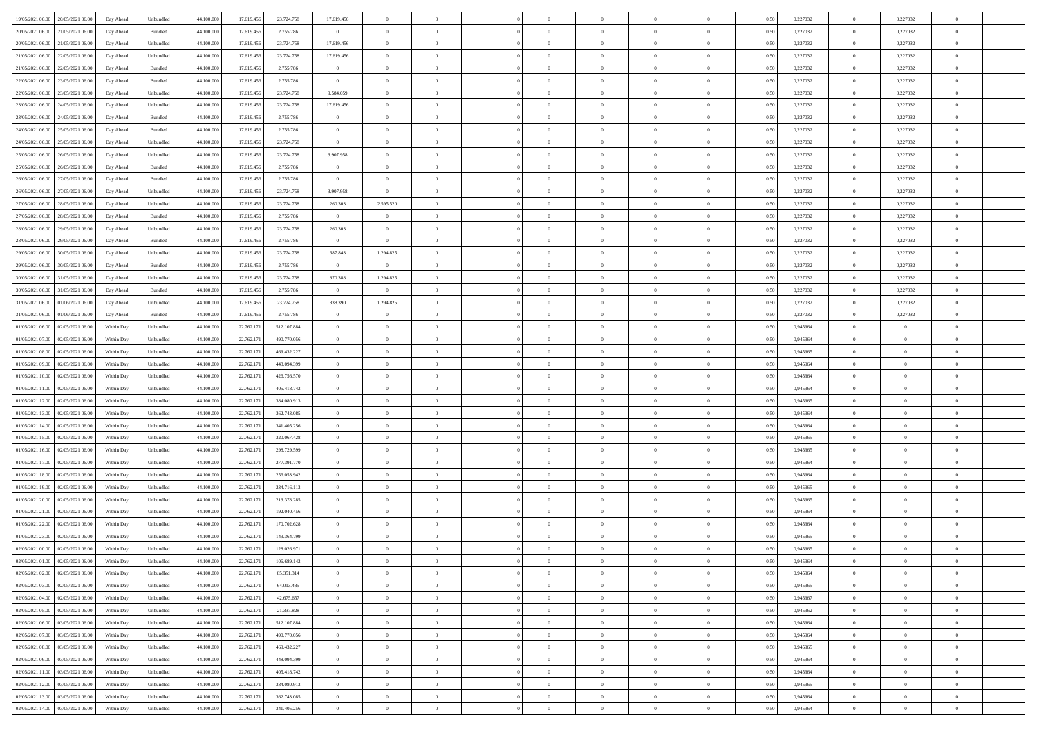| 19/05/2021 06:00 20/05/2021 06:00                                                                                                                                                  | Day Ahead  | Unbundled                   | 44.100.000 | 17.619.456 | 23.724.758  | 17.619.456     | $\theta$       |                | $\overline{0}$ | $\bf{0}$       | $\overline{0}$ | $\theta$       | 0,50 | 0,227032 | $\mathbf{0}$   | 0,227032       | $\bf{0}$       |  |
|------------------------------------------------------------------------------------------------------------------------------------------------------------------------------------|------------|-----------------------------|------------|------------|-------------|----------------|----------------|----------------|----------------|----------------|----------------|----------------|------|----------|----------------|----------------|----------------|--|
|                                                                                                                                                                                    |            |                             |            |            |             |                |                |                |                |                |                |                |      |          |                |                |                |  |
| 20/05/2021 06:00<br>21/05/2021 06:00                                                                                                                                               | Day Ahead  | Bundled                     | 44.100.00  | 17.619.456 | 2.755.786   | $\overline{0}$ | $\theta$       | $\overline{0}$ | $\overline{0}$ | $\,$ 0         | $\overline{0}$ | $\bf{0}$       | 0,50 | 0,227032 | $\bf{0}$       | 0,227032       | $\bf{0}$       |  |
| 20/05/2021 06:00<br>21/05/2021 06:00                                                                                                                                               | Day Ahead  | Unbundled                   | 44,100,000 | 17.619.456 | 23.724.758  | 17.619.456     | $\overline{0}$ | $\overline{0}$ | $\overline{0}$ | $\bf{0}$       | $\overline{0}$ | $\overline{0}$ | 0.50 | 0,227032 | $\overline{0}$ | 0,227032       | $\bf{0}$       |  |
| 21/05/2021 06:00<br>22/05/2021 06:00                                                                                                                                               | Day Ahead  | Unbundled                   | 44.100.000 | 17.619.456 | 23.724.758  | 17.619.456     | $\overline{0}$ | $\overline{0}$ | $\overline{0}$ | $\theta$       | $\overline{0}$ | $\theta$       | 0,50 | 0,227032 | $\overline{0}$ | 0,227032       | $\overline{0}$ |  |
| 21/05/2021 06:00<br>22/05/2021 06.00                                                                                                                                               | Day Ahead  | Bundled                     | 44.100.00  | 17.619.456 | 2.755.786   | $\overline{0}$ | $\theta$       | $\overline{0}$ |                | $\,$ 0         | $\overline{0}$ | $\bf{0}$       | 0,50 | 0,227032 | $\bf{0}$       | 0,227032       | $\bf{0}$       |  |
| 22/05/2021 06:00<br>23/05/2021 06:00                                                                                                                                               | Day Ahead  | Bundled                     | 44,100,000 | 17.619.456 | 2.755.786   | $\overline{0}$ | $\overline{0}$ | $\overline{0}$ | $\overline{0}$ | $\bf{0}$       | $\overline{0}$ | $\overline{0}$ | 0.50 | 0,227032 | $\theta$       | 0,227032       | $\bf{0}$       |  |
|                                                                                                                                                                                    |            |                             |            |            |             |                |                |                |                |                |                |                |      |          |                |                |                |  |
| 22/05/2021 06:00<br>23/05/2021 06:00                                                                                                                                               | Day Ahead  | Unbundled                   | 44.100.000 | 17.619.456 | 23.724.758  | 9.584.059      | $\overline{0}$ | $\overline{0}$ | $\overline{0}$ | $\bf{0}$       | $\overline{0}$ | $\overline{0}$ | 0,50 | 0,227032 | $\overline{0}$ | 0,227032       | $\overline{0}$ |  |
| 23/05/2021 06:00<br>24/05/2021 06.00                                                                                                                                               | Day Ahead  | Unbundled                   | 44.100.00  | 17.619.456 | 23.724.758  | 17.619.456     | $\overline{0}$ | $\overline{0}$ |                | $\,$ 0         | $\overline{0}$ | $\bf{0}$       | 0,50 | 0,227032 | $\bf{0}$       | 0,227032       | $\bf{0}$       |  |
| 23/05/2021 06:00<br>24/05/2021 06:00                                                                                                                                               | Day Ahead  | Bundled                     | 44,100,00  | 17.619.456 | 2.755.786   | $\overline{0}$ | $\overline{0}$ | $\overline{0}$ | $\overline{0}$ | $\bf{0}$       | $\overline{0}$ | $\overline{0}$ | 0.50 | 0,227032 | $\overline{0}$ | 0.227032       | $\bf{0}$       |  |
| 24/05/2021 06:00<br>25/05/2021 06:00                                                                                                                                               | Day Ahead  | Bundled                     | 44.100.000 | 17.619.456 | 2.755.786   | $\overline{0}$ | $\overline{0}$ | $\overline{0}$ | $\overline{0}$ | $\bf{0}$       | $\overline{0}$ | $\overline{0}$ | 0,50 | 0,227032 | $\overline{0}$ | 0,227032       | $\bf{0}$       |  |
| 24/05/2021 06:00<br>25/05/2021 06.00                                                                                                                                               | Day Ahead  | Unbundled                   | 44.100.00  | 17.619.456 | 23.724.758  | $\overline{0}$ | $\theta$       | $\overline{0}$ | $\overline{0}$ | $\,$ 0         | $\overline{0}$ | $\bf{0}$       | 0,50 | 0,227032 | $\bf{0}$       | 0,227032       | $\bf{0}$       |  |
| 25/05/2021 06:00<br>26/05/2021 06:00                                                                                                                                               | Day Ahead  | Unbundled                   | 44,100,000 | 17.619.456 | 23.724.758  | 3.907.958      | $\overline{0}$ | $\overline{0}$ | $\overline{0}$ | $\,$ 0 $\,$    | $\overline{0}$ | $\overline{0}$ | 0.50 | 0,227032 | $\,$ 0 $\,$    | 0,227032       | $\bf{0}$       |  |
| 25/05/2021 06:00<br>26/05/2021 06:00                                                                                                                                               | Day Ahead  | Bundled                     | 44.100.000 | 17.619.456 | 2.755.786   | $\overline{0}$ | $\overline{0}$ | $\overline{0}$ | $\overline{0}$ | $\bf{0}$       | $\overline{0}$ | $\theta$       | 0,50 | 0,227032 | $\,$ 0 $\,$    | 0,227032       | $\bf{0}$       |  |
|                                                                                                                                                                                    |            |                             |            |            |             |                |                |                |                |                |                |                |      |          |                |                |                |  |
| 26/05/2021 06:00<br>27/05/2021 06.00                                                                                                                                               | Day Ahead  | Bundled                     | 44.100.00  | 17.619.456 | 2.755.786   | $\bf{0}$       | $\theta$       | $\overline{0}$ |                | $\,$ 0         | $\overline{0}$ | $\bf{0}$       | 0,50 | 0,227032 | $\bf{0}$       | 0,227032       | $\bf{0}$       |  |
| 26/05/2021 06:00<br>27/05/2021 06.00                                                                                                                                               | Day Ahead  | Unbundled                   | 44,100,000 | 17.619.456 | 23.724.758  | 3.907.958      | $\overline{0}$ | $\overline{0}$ | $\overline{0}$ | $\,$ 0         | $\overline{0}$ | $\overline{0}$ | 0.50 | 0,227032 | $\bf{0}$       | 0,227032       | $\bf{0}$       |  |
| 27/05/2021 06:00<br>28/05/2021 06:00                                                                                                                                               | Day Ahead  | Unbundled                   | 44.100.000 | 17.619.456 | 23.724.758  | 260.303        | 2.595.520      | $\overline{0}$ | $\overline{0}$ | $\theta$       | $\overline{0}$ | $\overline{0}$ | 0,50 | 0,227032 | $\overline{0}$ | 0,227032       | $\overline{0}$ |  |
| 27/05/2021 06:00<br>28/05/2021 06:00                                                                                                                                               | Day Ahead  | Bundled                     | 44.100.00  | 17.619.456 | 2.755.786   | $\bf{0}$       | $\theta$       | $\overline{0}$ |                | $\,$ 0         | $\overline{0}$ | $\bf{0}$       | 0,50 | 0,227032 | $\bf{0}$       | 0,227032       | $\bf{0}$       |  |
| 28/05/2021 06:00<br>29/05/2021 06:00                                                                                                                                               | Day Ahead  | Unbundled                   | 44,100,00  | 17.619.456 | 23.724.758  | 260,303        | $\overline{0}$ | $\overline{0}$ | $\overline{0}$ | $\bf{0}$       | $\overline{0}$ | $\overline{0}$ | 0.50 | 0,227032 | $\overline{0}$ | 0.227032       | $\bf{0}$       |  |
| 28/05/2021 06:00<br>29/05/2021 06:00                                                                                                                                               | Day Ahead  | Bundled                     | 44.100.000 | 17.619.456 | 2.755.786   | $\overline{0}$ | $\overline{0}$ | $\overline{0}$ | $\overline{0}$ | $\,$ 0         | $\overline{0}$ | $\overline{0}$ | 0,50 | 0,227032 | $\,$ 0 $\,$    | 0,227032       | $\bf{0}$       |  |
|                                                                                                                                                                                    |            |                             |            |            |             |                |                |                |                |                |                |                |      |          |                |                |                |  |
| 29/05/2021 06:00<br>30/05/2021 06:00                                                                                                                                               | Day Ahead  | Unbundled                   | 44.100.00  | 17.619.456 | 23.724.758  | 687.843        | 1.294.825      | $\overline{0}$ | $\overline{0}$ | $\,$ 0         | $\overline{0}$ | $\bf{0}$       | 0,50 | 0,227032 | $\bf{0}$       | 0,227032       | $\bf{0}$       |  |
| 29/05/2021 06:00<br>30/05/2021 06:00                                                                                                                                               | Day Ahead  | Bundled                     | 44,100,000 | 17.619.456 | 2.755.786   | $\overline{0}$ | $\overline{0}$ | $\overline{0}$ | $\overline{0}$ | $\,$ 0 $\,$    | $\overline{0}$ | $\overline{0}$ | 0.50 | 0,227032 | $\,$ 0 $\,$    | 0,227032       | $\bf{0}$       |  |
| 30/05/2021 06:00<br>31/05/2021 06:00                                                                                                                                               | Day Ahead  | Unbundled                   | 44.100.000 | 17.619.456 | 23.724.758  | 870.388        | 1.294.825      | $\overline{0}$ | $\overline{0}$ | $\bf{0}$       | $\overline{0}$ | $\overline{0}$ | 0,50 | 0,227032 | $\,$ 0 $\,$    | 0,227032       | $\overline{0}$ |  |
| 30/05/2021 06:00<br>31/05/2021 06.00                                                                                                                                               | Day Ahead  | Bundled                     | 44.100.00  | 17.619.456 | 2.755.786   | $\bf{0}$       | $\overline{0}$ | $\overline{0}$ | $\overline{0}$ | $\,$ 0         | $\overline{0}$ | $\bf{0}$       | 0,50 | 0,227032 | $\bf{0}$       | 0,227032       | $\bf{0}$       |  |
| 31/05/2021 06:00<br>01/06/2021 06:00                                                                                                                                               | Day Ahead  | Unbundled                   | 44,100,000 | 17.619.456 | 23.724.758  | 838,390        | 1.294.825      | $\overline{0}$ | $\overline{0}$ | $\bf{0}$       | $\overline{0}$ | $\overline{0}$ | 0.50 | 0,227032 | $\bf{0}$       | 0,227032       | $\bf{0}$       |  |
| 31/05/2021 06:00<br>01/06/2021 06:00                                                                                                                                               | Day Ahead  | Bundled                     | 44.100.000 | 17.619.456 | 2.755.786   | $\overline{0}$ | $\overline{0}$ | $\overline{0}$ | $\overline{0}$ | $\bf{0}$       | $\overline{0}$ | $\overline{0}$ | 0,50 | 0,227032 | $\,$ 0 $\,$    | 0,227032       | $\overline{0}$ |  |
| 01/05/2021 06:00<br>02/05/2021 06.00                                                                                                                                               | Within Day | Unbundled                   | 44.100.00  | 22.762.17  | 512.107.884 | $\overline{0}$ | $\theta$       | $\overline{0}$ |                | $\,$ 0         | $\overline{0}$ | $\bf{0}$       | 0,50 | 0,945964 | $\bf{0}$       | $\overline{0}$ | $\bf{0}$       |  |
|                                                                                                                                                                                    |            |                             |            |            |             |                |                |                |                |                |                |                |      |          |                |                |                |  |
| 01/05/2021 07:00<br>02/05/2021 06:00                                                                                                                                               | Within Day | Unbundled                   | 44,100,000 | 22.762.171 | 490.770.056 | $\overline{0}$ | $\overline{0}$ | $\overline{0}$ | $\overline{0}$ | $\bf{0}$       | $\overline{0}$ | $\overline{0}$ | 0.50 | 0.945964 | $\bf{0}$       | $\overline{0}$ | $\bf{0}$       |  |
| 01/05/2021 08:00<br>02/05/2021 06:00                                                                                                                                               | Within Day | Unbundled                   | 44.100.000 | 22.762.171 | 469.432.227 | $\overline{0}$ | $\overline{0}$ | $\overline{0}$ | $\overline{0}$ | $\bf{0}$       | $\overline{0}$ | $\overline{0}$ | 0,50 | 0,945965 | $\,$ 0 $\,$    | $\overline{0}$ | $\overline{0}$ |  |
| 01/05/2021 09:00<br>02/05/2021 06.00                                                                                                                                               | Within Day | Unbundled                   | 44.100.00  | 22.762.17  | 448.094.399 | $\bf{0}$       | $\overline{0}$ | $\overline{0}$ | $\overline{0}$ | $\bf{0}$       | $\overline{0}$ | $\bf{0}$       | 0,50 | 0,945964 | $\bf{0}$       | $\overline{0}$ | $\bf{0}$       |  |
| 01/05/2021 10:00<br>02/05/2021 06:00                                                                                                                                               | Within Day | Unbundled                   | 44,100,000 | 22.762.171 | 426,756.570 | $\overline{0}$ | $\overline{0}$ | $\overline{0}$ | $\overline{0}$ | $\,$ 0 $\,$    | $\overline{0}$ | $\overline{0}$ | 0.50 | 0.945964 | $\overline{0}$ | $\overline{0}$ | $\bf{0}$       |  |
| 01/05/2021 11:00<br>02/05/2021 06:00                                                                                                                                               | Within Day | Unbundled                   | 44.100.000 | 22,762.17  | 405.418.742 | $\overline{0}$ | $\overline{0}$ | $\theta$       | $\Omega$       | $\mathbf{0}$   | $\overline{0}$ | $\overline{0}$ | 0.50 | 0.945964 | $\mathbf{0}$   | $\overline{0}$ | $\overline{0}$ |  |
| 01/05/2021 12:00<br>02/05/2021 06.00                                                                                                                                               | Within Day | Unbundled                   | 44.100.00  | 22.762.17  | 384.080.913 | $\overline{0}$ | $\theta$       | $\overline{0}$ |                | $\,$ 0         | $\overline{0}$ | $\bf{0}$       | 0,50 | 0,945965 | $\bf{0}$       | $\overline{0}$ | $\bf{0}$       |  |
| 01/05/2021 13:00<br>02/05/2021 06:00                                                                                                                                               | Within Day | Unbundled                   | 44,100,000 | 22.762.17  | 362.743.085 | $\overline{0}$ | $\overline{0}$ | $\overline{0}$ | $\overline{0}$ | $\bf{0}$       | $\overline{0}$ | $\overline{0}$ | 0.50 | 0.945964 | $\bf{0}$       | $\overline{0}$ | $\bf{0}$       |  |
|                                                                                                                                                                                    |            |                             |            |            |             |                |                |                |                |                |                |                |      |          |                |                |                |  |
| 01/05/2021 14:00<br>02/05/2021 06:00                                                                                                                                               | Within Day | Unbundled                   | 44.100.000 | 22.762.17  | 341.405.256 | $\overline{0}$ | $\overline{0}$ | $\Omega$       | $\Omega$       | $\mathbf{0}$   | $\overline{0}$ | $\overline{0}$ | 0.50 | 0,945964 | $\mathbf{0}$   | $\overline{0}$ | $\overline{0}$ |  |
| 01/05/2021 15:00<br>02/05/2021 06.00                                                                                                                                               | Within Day | Unbundled                   | 44.100.00  | 22.762.17  | 320.067.428 | $\overline{0}$ | $\theta$       | $\overline{0}$ |                | $\,$ 0         | $\overline{0}$ | $\bf{0}$       | 0,50 | 0,945965 | $\bf{0}$       | $\overline{0}$ | $\bf{0}$       |  |
| 01/05/2021 16:00<br>02/05/2021 06:00                                                                                                                                               | Within Day | Unbundled                   | 44,100,00  | 22.762.17  | 298.729.599 | $\overline{0}$ | $\overline{0}$ | $\overline{0}$ | $\overline{0}$ | $\bf{0}$       | $\overline{0}$ | $\overline{0}$ | 0.50 | 0.945965 | $\bf{0}$       | $\overline{0}$ | $\bf{0}$       |  |
| 01/05/2021 17:00<br>02/05/2021 06:00                                                                                                                                               | Within Day | Unbundled                   | 44.100.000 | 22.762.17  | 277.391.770 | $\overline{0}$ | $\overline{0}$ | $\overline{0}$ | $\Omega$       | $\overline{0}$ | $\overline{0}$ | $\overline{0}$ | 0.50 | 0,945964 | $\mathbf{0}$   | $\overline{0}$ | $\overline{0}$ |  |
| 01/05/2021 18:00<br>02/05/2021 06.00                                                                                                                                               | Within Day | Unbundled                   | 44.100.00  | 22.762.17  | 256.053.942 | $\bf{0}$       | $\overline{0}$ | $\overline{0}$ | $\overline{0}$ | $\bf{0}$       | $\overline{0}$ | $\bf{0}$       | 0,50 | 0,945964 | $\bf{0}$       | $\overline{0}$ | $\bf{0}$       |  |
| 01/05/2021 19:00<br>02/05/2021 06:00                                                                                                                                               | Within Day | Unbundled                   | 44,100,000 | 22.762.171 | 234.716.113 | $\overline{0}$ | $\overline{0}$ | $\overline{0}$ | $\overline{0}$ | $\,$ 0 $\,$    | $\overline{0}$ | $\overline{0}$ | 0.50 | 0.945965 | $\overline{0}$ | $\bf{0}$       | $\bf{0}$       |  |
| 01/05/2021 20:00<br>02/05/2021 06:00                                                                                                                                               | Within Day | Unbundled                   | 44.100.000 | 22.762.17  | 213.378.285 | $\overline{0}$ | $\overline{0}$ | $\Omega$       | $\Omega$       | $\mathbf{0}$   | $\overline{0}$ | $\overline{0}$ | 0.50 | 0,945965 | $\mathbf{0}$   | $\overline{0}$ | $\overline{0}$ |  |
|                                                                                                                                                                                    |            |                             |            |            |             | $\overline{0}$ | $\overline{0}$ | $\overline{0}$ |                |                |                |                |      |          |                |                |                |  |
| 01/05/2021 21:00<br>02/05/2021 06.00                                                                                                                                               | Within Day | Unbundled                   | 44.100.00  | 22.762.17  | 192.040.456 |                |                |                | $\overline{0}$ | $\,$ 0         | $\overline{0}$ | $\bf{0}$       | 0,50 | 0,945964 | $\bf{0}$       | $\overline{0}$ | $\bf{0}$       |  |
| 01/05/2021 22.00<br>02/05/2021 06:00                                                                                                                                               | Within Day | Unbundled                   | 44,100,00  | 22.762.171 | 170.702.628 | $\overline{0}$ | $\theta$       | $\overline{0}$ | $\overline{0}$ | $\bf{0}$       | $\overline{0}$ | $\overline{0}$ | 0.50 | 0.945964 | $\bf{0}$       | $\overline{0}$ | $\bf{0}$       |  |
| 01/05/2021 23:00<br>02/05/2021 06:00                                                                                                                                               | Within Day | Unbundled                   | 44.100.000 | 22.762.17  | 149.364.799 | $\overline{0}$ | $\Omega$       | $\Omega$       | $\Omega$       | $\bf{0}$       | $\overline{0}$ | $\Omega$       | 0.50 | 0,945965 | $\mathbf{0}$   | $\overline{0}$ | $\overline{0}$ |  |
| 02/05/2021 00:00<br>02/05/2021 06:00                                                                                                                                               | Within Day | Unbundled                   | 44.100.00  | 22.762.17  | 128.026.971 | $\bf{0}$       | $\,$ 0 $\,$    | $\overline{0}$ |                | $\,$ 0         | $\overline{0}$ | $\bf{0}$       | 0,50 | 0,945965 | $\bf{0}$       | $\overline{0}$ | $\,$ 0         |  |
| ${\color{red} 02} {\color{red} 05} {\color{red} /} {\color{red} 2021\ 01.00} \, \, {\color{red} 02} {\color{red} /} {\color{red} 05} {\color{red} /} {\color{red} 2021\ 06.00} \,$ | Within Day | $\ensuremath{\mathsf{Unb}}$ | 44.100.000 | 22.762.171 | 106.689.142 | $\bf{0}$       | $\theta$       |                |                |                |                |                | 0,50 | 0.945964 | $\theta$       | $\Omega$       |                |  |
| 02/05/2021 02:00 02/05/2021 06:00                                                                                                                                                  | Within Day | Unbundled                   | 44.100.000 | 22.762.171 | 85.351.314  | $\theta$       | $\overline{0}$ | $\theta$       | $\Omega$       | $\mathbf{0}$   | $\overline{0}$ | $\mathbf{0}$   | 0,50 | 0,945964 | $\mathbf{0}$   | $\overline{0}$ | $\bf{0}$       |  |
| 02/05/2021 03:00<br>02/05/2021 06:00                                                                                                                                               | Within Day | Unbundled                   | 44.100.00  | 22.762.17  | 64.013.485  | $\bf{0}$       | $\overline{0}$ | $\overline{0}$ | $\bf{0}$       | $\overline{0}$ | $\overline{0}$ | $\mathbf{0}$   | 0,50 | 0,945965 | $\overline{0}$ | $\bf{0}$       | $\bf{0}$       |  |
| 02/05/2021 04:00 02/05/2021 06:00                                                                                                                                                  | Within Day | Unbundled                   | 44,100,000 | 22.762.171 | 42.675.657  | $\overline{0}$ | $\overline{0}$ | $\overline{0}$ | $\overline{0}$ | $\,$ 0 $\,$    | $\overline{0}$ | $\mathbf{0}$   | 0.50 | 0.945967 | $\overline{0}$ | $\,$ 0 $\,$    | $\bf{0}$       |  |
|                                                                                                                                                                                    |            |                             |            |            |             |                |                |                |                |                |                |                |      |          |                |                |                |  |
| 02/05/2021 05:00 02/05/2021 06:00                                                                                                                                                  | Within Dav | Unbundled                   | 44.100.000 | 22.762.171 | 21.337.828  | $\overline{0}$ | $\overline{0}$ | $\overline{0}$ | $\overline{0}$ | $\mathbf{0}$   | $\overline{0}$ | $\overline{0}$ | 0,50 | 0,945962 | $\theta$       | $\overline{0}$ | $\bf{0}$       |  |
| 02/05/2021 06:00<br>03/05/2021 06:00                                                                                                                                               | Within Day | Unbundled                   | 44.100.000 | 22.762.171 | 512.107.884 | $\bf{0}$       | $\overline{0}$ | $\overline{0}$ | $\overline{0}$ | $\bf{0}$       | $\overline{0}$ | $\bf{0}$       | 0,50 | 0,945964 | $\,0\,$        | $\bf{0}$       | $\bf{0}$       |  |
| 02/05/2021 07:00<br>03/05/2021 06:00                                                                                                                                               | Within Day | Unbundled                   | 44,100,000 | 22.762.171 | 490.770.056 | $\overline{0}$ | $\overline{0}$ | $\overline{0}$ | $\overline{0}$ | $\bf{0}$       | $\overline{0}$ | $\overline{0}$ | 0.50 | 0.945964 | $\theta$       | $\overline{0}$ | $\bf{0}$       |  |
| 02/05/2021 08:00<br>03/05/2021 06:00                                                                                                                                               | Within Dav | Unbundled                   | 44.100.000 | 22.762.171 | 469.432.227 | $\overline{0}$ | $\overline{0}$ | $\overline{0}$ | $\overline{0}$ | $\overline{0}$ | $\overline{0}$ | $\overline{0}$ | 0,50 | 0,945965 | $\theta$       | $\overline{0}$ | $\bf{0}$       |  |
| 02/05/2021 09:00<br>03/05/2021 06:00                                                                                                                                               | Within Day | Unbundled                   | 44.100.00  | 22.762.17  | 448.094.399 | $\bf{0}$       | $\,$ 0         | $\overline{0}$ | $\overline{0}$ | $\,$ 0 $\,$    | $\overline{0}$ | $\bf{0}$       | 0,50 | 0,945964 | $\overline{0}$ | $\,$ 0 $\,$    | $\bf{0}$       |  |
| 02/05/2021 11:00 03/05/2021 06:00                                                                                                                                                  | Within Day | Unbundled                   | 44,100,000 | 22.762.171 | 405.418.742 | $\overline{0}$ | $\overline{0}$ | $\overline{0}$ | $\overline{0}$ | $\,$ 0 $\,$    | $\overline{0}$ | $\overline{0}$ | 0.50 | 0.945964 | $\overline{0}$ | $\bf{0}$       | $\bf{0}$       |  |
|                                                                                                                                                                                    |            |                             |            |            |             |                |                |                |                |                |                |                |      |          |                |                |                |  |
| 02/05/2021 12:00 03/05/2021 06:00                                                                                                                                                  | Within Dav | Unbundled                   | 44.100.000 | 22.762.171 | 384.080.913 | $\overline{0}$ | $\overline{0}$ | $\overline{0}$ | $\overline{0}$ | $\overline{0}$ | $\overline{0}$ | $\overline{0}$ | 0,50 | 0,945965 | $\overline{0}$ | $\overline{0}$ | $\bf{0}$       |  |
| 02/05/2021 13:00<br>03/05/2021 06:00                                                                                                                                               | Within Day | Unbundled                   | 44.100.00  | 22.762.17  | 362.743.085 | $\bf{0}$       | $\overline{0}$ | $\overline{0}$ | $\overline{0}$ | $\bf{0}$       | $\overline{0}$ | $\bf{0}$       | 0,50 | 0,945964 | $\overline{0}$ | $\bf{0}$       | $\bf{0}$       |  |
| 02/05/2021 14:00 03/05/2021 06:00                                                                                                                                                  | Within Day | Unbundled                   | 44.100.000 | 22.762.171 | 341.405.256 | $\overline{0}$ | $\bf{0}$       | $\overline{0}$ | $\overline{0}$ | $\,$ 0 $\,$    | $\overline{0}$ | $\overline{0}$ | 0,50 | 0,945964 | $\,$ 0 $\,$    | $\,$ 0 $\,$    | $\bf{0}$       |  |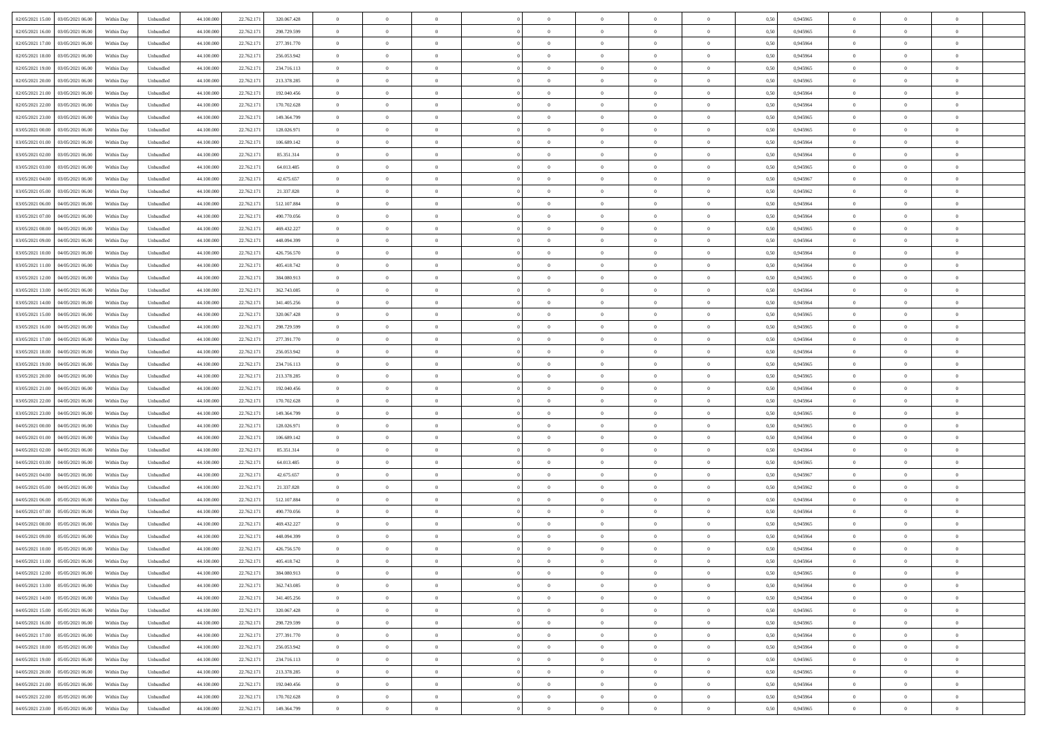| 02/05/2021 15:00<br>03/05/2021 06:00 | Within Day | Unbundled | 44.100.000 | 22.762.171 | 320.067.428 | $\overline{0}$ | $\overline{0}$ | $\overline{0}$ | $\theta$       | $\theta$       |                | $\overline{0}$ | 0,50 | 0,945965 | $\theta$       | $\theta$       | $\theta$       |  |
|--------------------------------------|------------|-----------|------------|------------|-------------|----------------|----------------|----------------|----------------|----------------|----------------|----------------|------|----------|----------------|----------------|----------------|--|
|                                      |            |           |            |            |             |                |                |                |                |                |                |                |      |          |                |                |                |  |
| 02/05/2021 16:00<br>03/05/2021 06.0  | Within Day | Unbundled | 44.100.000 | 22.762.171 | 298.729.599 | $\overline{0}$ | $\overline{0}$ | $\overline{0}$ | $\,$ 0 $\,$    | $\bf{0}$       | $\overline{0}$ | $\bf{0}$       | 0,50 | 0,945965 | $\,$ 0 $\,$    | $\theta$       | $\overline{0}$ |  |
| 02/05/2021 17.00<br>03/05/2021 06:00 | Within Day | Unbundled | 44,100,000 | 22.762.171 | 277.391.770 | $\overline{0}$ | $\overline{0}$ | $\overline{0}$ | $\bf{0}$       | $\bf{0}$       | $\overline{0}$ | $\mathbf{0}$   | 0.50 | 0.945964 | $\bf{0}$       | $\overline{0}$ | $\overline{0}$ |  |
| 02/05/2021 18:00<br>03/05/2021 06:00 | Within Day | Unbundled | 44.100.000 | 22.762.171 | 256.053.942 | $\overline{0}$ | $\overline{0}$ | $\overline{0}$ | $\overline{0}$ | $\overline{0}$ | $\overline{0}$ | $\bf{0}$       | 0,50 | 0,945964 | $\theta$       | $\theta$       | $\overline{0}$ |  |
| 02/05/2021 19:00<br>03/05/2021 06.0  | Within Day | Unbundled | 44.100.000 | 22.762.171 | 234.716.113 | $\overline{0}$ | $\overline{0}$ | $\bf{0}$       | $\overline{0}$ | $\overline{0}$ | $\overline{0}$ | $\bf{0}$       | 0,50 | 0,945965 | $\,$ 0 $\,$    | $\theta$       | $\overline{0}$ |  |
| 02/05/2021 20:00<br>03/05/2021 06:00 | Within Day | Unbundled | 44,100,000 | 22.762.171 | 213.378.285 | $\overline{0}$ | $\overline{0}$ | $\overline{0}$ | $\overline{0}$ | $\overline{0}$ | $\overline{0}$ | $\mathbf{0}$   | 0.50 | 0.945965 | $\theta$       | $\theta$       | $\overline{0}$ |  |
| 02/05/2021 21:00<br>03/05/2021 06:00 | Within Day | Unbundled | 44.100.000 | 22.762.171 | 192.040.456 | $\overline{0}$ | $\overline{0}$ | $\overline{0}$ | $\overline{0}$ | $\overline{0}$ | $\overline{0}$ | $\bf{0}$       | 0,50 | 0,945964 | $\theta$       | $\theta$       | $\overline{0}$ |  |
|                                      |            |           |            |            |             |                |                |                |                |                |                |                |      |          |                |                |                |  |
| 02/05/2021 22.00<br>03/05/2021 06.00 | Within Day | Unbundled | 44.100.000 | 22.762.171 | 170.702.628 | $\overline{0}$ | $\overline{0}$ | $\overline{0}$ | $\overline{0}$ | $\overline{0}$ | $\overline{0}$ | $\bf{0}$       | 0,50 | 0,945964 | $\,$ 0 $\,$    | $\bf{0}$       | $\overline{0}$ |  |
| 02/05/2021 23:00<br>03/05/2021 06:00 | Within Day | Unbundled | 44,100,000 | 22.762.171 | 149.364.799 | $\overline{0}$ | $\overline{0}$ | $\overline{0}$ | $\overline{0}$ | $\overline{0}$ | $\overline{0}$ | $\mathbf{0}$   | 0.50 | 0.945965 | $\theta$       | $\theta$       | $\overline{0}$ |  |
| 03/05/2021 00:00<br>03/05/2021 06:00 | Within Day | Unbundled | 44.100.000 | 22.762.171 | 128.026.971 | $\overline{0}$ | $\overline{0}$ | $\overline{0}$ | $\bf{0}$       | $\overline{0}$ | $\overline{0}$ | $\bf{0}$       | 0,50 | 0,945965 | $\theta$       | $\theta$       | $\overline{0}$ |  |
| 03/05/2021 01.00<br>03/05/2021 06.0  | Within Day | Unbundled | 44.100.000 | 22.762.171 | 106.689.142 | $\overline{0}$ | $\overline{0}$ | $\overline{0}$ | $\bf{0}$       | $\bf{0}$       | $\overline{0}$ | $\bf{0}$       | 0,50 | 0,945964 | $\,$ 0 $\,$    | $\theta$       | $\overline{0}$ |  |
| 03/05/2021 02.00<br>03/05/2021 06:00 | Within Day | Unbundled | 44,100,000 | 22.762.171 | 85.351.314  | $\overline{0}$ | $\overline{0}$ | $\overline{0}$ | $\bf{0}$       | $\bf{0}$       | $\overline{0}$ | $\mathbf{0}$   | 0.50 | 0.945964 | $\bf{0}$       | $\overline{0}$ | $\bf{0}$       |  |
| 03/05/2021 03:00<br>03/05/2021 06:00 | Within Day | Unbundled | 44.100.000 | 22.762.171 | 64.013.485  | $\overline{0}$ | $\overline{0}$ | $\overline{0}$ | $\overline{0}$ | $\overline{0}$ | $\overline{0}$ | $\bf{0}$       | 0,50 | 0,945965 | $\theta$       | $\theta$       | $\overline{0}$ |  |
|                                      |            |           |            |            |             |                |                |                |                |                |                |                |      |          |                |                |                |  |
| 03/05/2021 04.00<br>03/05/2021 06.0  | Within Day | Unbundled | 44.100.000 | 22.762.171 | 42.675.657  | $\overline{0}$ | $\overline{0}$ | $\bf{0}$       | $\bf{0}$       | $\overline{0}$ | $\overline{0}$ | $\bf{0}$       | 0,50 | 0,945967 | $\,$ 0 $\,$    | $\bf{0}$       | $\overline{0}$ |  |
| 03/05/2021 05:00<br>03/05/2021 06:00 | Within Day | Unbundled | 44,100,000 | 22.762.171 | 21.337.828  | $\overline{0}$ | $\overline{0}$ | $\overline{0}$ | $\overline{0}$ | $\overline{0}$ | $\Omega$       | $\overline{0}$ | 0.50 | 0.945962 | $\theta$       | $\theta$       | $\overline{0}$ |  |
| 03/05/2021 06:00<br>04/05/2021 06:00 | Within Day | Unbundled | 44.100.000 | 22.762.171 | 512.107.884 | $\overline{0}$ | $\overline{0}$ | $\overline{0}$ | $\overline{0}$ | $\overline{0}$ | $\overline{0}$ | $\bf{0}$       | 0,50 | 0,945964 | $\theta$       | $\theta$       | $\overline{0}$ |  |
| 03/05/2021 07.00<br>04/05/2021 06.0  | Within Day | Unbundled | 44.100.000 | 22.762.171 | 490.770.056 | $\overline{0}$ | $\overline{0}$ | $\overline{0}$ | $\overline{0}$ | $\overline{0}$ | $\overline{0}$ | $\bf{0}$       | 0,50 | 0,945964 | $\,$ 0 $\,$    | $\theta$       | $\overline{0}$ |  |
| 03/05/2021 08:00<br>04/05/2021 06:00 | Within Day | Unbundled | 44,100,000 | 22.762.171 | 469.432.227 | $\overline{0}$ | $\overline{0}$ | $\overline{0}$ | $\overline{0}$ | $\overline{0}$ | $\overline{0}$ | $\mathbf{0}$   | 0.50 | 0.945965 | $\,$ 0 $\,$    | $\overline{0}$ | $\overline{0}$ |  |
| 03/05/2021 09:00<br>04/05/2021 06.00 | Within Day | Unbundled | 44.100.000 | 22.762.171 | 448.094.399 | $\overline{0}$ | $\overline{0}$ | $\overline{0}$ | $\overline{0}$ | $\overline{0}$ | $\overline{0}$ | $\bf{0}$       | 0,50 | 0,945964 | $\theta$       | $\theta$       | $\overline{0}$ |  |
|                                      |            |           |            |            |             |                |                |                |                |                |                |                |      |          |                |                |                |  |
| 03/05/2021 10.00<br>04/05/2021 06.0  | Within Day | Unbundled | 44.100.000 | 22.762.171 | 426.756.570 | $\overline{0}$ | $\overline{0}$ | $\overline{0}$ | $\bf{0}$       | $\bf{0}$       | $\overline{0}$ | $\bf{0}$       | 0,50 | 0,945964 | $\,$ 0 $\,$    | $\bf{0}$       | $\overline{0}$ |  |
| 03/05/2021 11:00<br>04/05/2021 06:00 | Within Day | Unbundled | 44,100,000 | 22.762.171 | 405.418.742 | $\overline{0}$ | $\overline{0}$ | $\overline{0}$ | $\bf{0}$       | $\bf{0}$       | $\overline{0}$ | $\mathbf{0}$   | 0.50 | 0.945964 | $\theta$       | $\overline{0}$ | $\bf{0}$       |  |
| 03/05/2021 12:00<br>04/05/2021 06:00 | Within Day | Unbundled | 44.100.000 | 22.762.171 | 384.080.913 | $\overline{0}$ | $\overline{0}$ | $\overline{0}$ | $\overline{0}$ | $\overline{0}$ | $\overline{0}$ | $\bf{0}$       | 0,50 | 0,945965 | $\theta$       | $\theta$       | $\overline{0}$ |  |
| 03/05/2021 13.00<br>04/05/2021 06.0  | Within Day | Unbundled | 44.100.000 | 22.762.171 | 362.743.085 | $\overline{0}$ | $\overline{0}$ | $\overline{0}$ | $\bf{0}$       | $\overline{0}$ | $\overline{0}$ | $\bf{0}$       | 0,50 | 0,945964 | $\,$ 0 $\,$    | $\bf{0}$       | $\overline{0}$ |  |
| 03/05/2021 14:00<br>04/05/2021 06:00 | Within Day | Unbundled | 44,100,000 | 22,762.171 | 341.405.256 | $\overline{0}$ | $\overline{0}$ | $\overline{0}$ | $\overline{0}$ | $\overline{0}$ | $\Omega$       | $\mathbf{0}$   | 0.50 | 0.945964 | $\theta$       | $\theta$       | $\overline{0}$ |  |
| 03/05/2021 15:00<br>04/05/2021 06:00 | Within Day | Unbundled | 44.100.000 | 22.762.171 | 320.067.428 | $\overline{0}$ | $\overline{0}$ | $\overline{0}$ | $\overline{0}$ | $\overline{0}$ | $\overline{0}$ | $\bf{0}$       | 0,50 | 0,945965 | $\theta$       | $\theta$       | $\overline{0}$ |  |
|                                      |            |           |            |            |             |                |                |                |                |                |                |                |      |          |                |                |                |  |
| 03/05/2021 16.00<br>04/05/2021 06.0  | Within Day | Unbundled | 44.100.000 | 22.762.171 | 298.729.599 | $\overline{0}$ | $\overline{0}$ | $\overline{0}$ | $\overline{0}$ | $\overline{0}$ | $\overline{0}$ | $\bf{0}$       | 0,50 | 0,945965 | $\,$ 0 $\,$    | $\theta$       | $\overline{0}$ |  |
| 03/05/2021 17:00<br>04/05/2021 06:00 | Within Day | Unbundled | 44,100,000 | 22.762.171 | 277.391.770 | $\overline{0}$ | $\overline{0}$ | $\overline{0}$ | $\overline{0}$ | $\overline{0}$ | $\overline{0}$ | $\mathbf{0}$   | 0.50 | 0.945964 | $\theta$       | $\theta$       | $\overline{0}$ |  |
| 03/05/2021 18:00<br>04/05/2021 06.00 | Within Day | Unbundled | 44.100.000 | 22.762.171 | 256.053.942 | $\overline{0}$ | $\overline{0}$ | $\overline{0}$ | $\overline{0}$ | $\overline{0}$ | $\overline{0}$ | $\bf{0}$       | 0,50 | 0,945964 | $\theta$       | $\theta$       | $\overline{0}$ |  |
| 03/05/2021 19:00<br>04/05/2021 06.0  | Within Day | Unbundled | 44.100.000 | 22.762.171 | 234.716.113 | $\overline{0}$ | $\overline{0}$ | $\overline{0}$ | $\overline{0}$ | $\bf{0}$       | $\overline{0}$ | $\bf{0}$       | 0,50 | 0,945965 | $\,$ 0 $\,$    | $\bf{0}$       | $\overline{0}$ |  |
| 03/05/2021 20:00<br>04/05/2021 06:00 | Within Day | Unbundled | 44,100,000 | 22.762.171 | 213.378.285 | $\overline{0}$ | $\overline{0}$ | $\overline{0}$ | $\bf{0}$       | $\bf{0}$       | $\overline{0}$ | $\mathbf{0}$   | 0.50 | 0.945965 | $\bf{0}$       | $\overline{0}$ | $\bf{0}$       |  |
| 03/05/2021 21:00<br>04/05/2021 06:00 | Within Day | Unbundled | 44.100.000 | 22.762.171 | 192.040.456 | $\overline{0}$ | $\overline{0}$ | $\overline{0}$ | $\overline{0}$ | $\overline{0}$ | $\overline{0}$ | $\overline{0}$ | 0.50 | 0.945964 | $\theta$       | $\theta$       | $\overline{0}$ |  |
| 03/05/2021 22.00<br>04/05/2021 06.0  | Within Day | Unbundled | 44.100.000 | 22.762.171 | 170.702.628 | $\overline{0}$ | $\overline{0}$ | $\overline{0}$ | $\bf{0}$       | $\overline{0}$ | $\overline{0}$ | $\bf{0}$       | 0,50 | 0,945964 | $\,$ 0 $\,$    | $\bf{0}$       | $\overline{0}$ |  |
|                                      |            |           |            |            |             |                |                |                |                |                |                |                |      |          |                |                |                |  |
| 03/05/2021 23.00<br>04/05/2021 06:00 | Within Day | Unbundled | 44,100,000 | 22.762.171 | 149.364.799 | $\overline{0}$ | $\overline{0}$ | $\overline{0}$ | $\overline{0}$ | $\overline{0}$ | $\overline{0}$ | $\overline{0}$ | 0.50 | 0.945965 | $\theta$       | $\theta$       | $\overline{0}$ |  |
| 04/05/2021 00:00<br>04/05/2021 06:00 | Within Day | Unbundled | 44.100.000 | 22.762.171 | 128.026.971 | $\overline{0}$ | $\overline{0}$ | $\overline{0}$ | $\overline{0}$ | $\overline{0}$ | $\Omega$       | $\overline{0}$ | 0.50 | 0,945965 | $\theta$       | $\theta$       | $\overline{0}$ |  |
| 04/05/2021 01:00<br>04/05/2021 06.0  | Within Day | Unbundled | 44.100.000 | 22.762.171 | 106.689.142 | $\overline{0}$ | $\overline{0}$ | $\overline{0}$ | $\bf{0}$       | $\overline{0}$ | $\overline{0}$ | $\bf{0}$       | 0,50 | 0,945964 | $\,$ 0 $\,$    | $\theta$       | $\overline{0}$ |  |
| 04/05/2021 02:00<br>04/05/2021 06:00 | Within Day | Unbundled | 44,100,000 | 22.762.171 | 85.351.314  | $\overline{0}$ | $\overline{0}$ | $\overline{0}$ | $\overline{0}$ | $\bf{0}$       | $\overline{0}$ | $\mathbf{0}$   | 0.50 | 0.945964 | $\,$ 0 $\,$    | $\theta$       | $\overline{0}$ |  |
| 04/05/2021 03:00<br>04/05/2021 06:00 | Within Day | Unbundled | 44.100.000 | 22.762.171 | 64.013.485  | $\overline{0}$ | $\overline{0}$ | $\overline{0}$ | $\overline{0}$ | $\overline{0}$ | $\overline{0}$ | $\overline{0}$ | 0.50 | 0,945965 | $\theta$       | $\theta$       | $\overline{0}$ |  |
| 04/05/2021 04.00<br>04/05/2021 06.0  | Within Day | Unbundled | 44.100.000 | 22.762.171 | 42.675.657  | $\overline{0}$ | $\overline{0}$ | $\overline{0}$ | $\overline{0}$ | $\bf{0}$       | $\overline{0}$ | $\bf{0}$       | 0,50 | 0,945967 | $\,$ 0 $\,$    | $\bf{0}$       | $\overline{0}$ |  |
| 04/05/2021 05:00<br>04/05/2021 06:00 |            | Unbundled | 44,100,000 |            | 21.337.828  |                |                | $\overline{0}$ |                | $\bf{0}$       | $\overline{0}$ |                | 0.50 | 0.945962 | $\bf{0}$       | $\overline{0}$ | $\bf{0}$       |  |
|                                      | Within Day |           |            | 22.762.171 |             | $\overline{0}$ | $\overline{0}$ |                | $\bf{0}$       |                |                | $\mathbf{0}$   |      |          |                |                |                |  |
| 04/05/2021 06:00<br>05/05/2021 06:00 | Within Day | Unbundled | 44.100.000 | 22.762.171 | 512.107.884 | $\overline{0}$ | $\overline{0}$ | $\overline{0}$ | $\overline{0}$ | $\overline{0}$ | $\overline{0}$ | $\overline{0}$ | 0.50 | 0,945964 | $\theta$       | $\theta$       | $\overline{0}$ |  |
| 04/05/2021 07:00<br>05/05/2021 06.0  | Within Day | Unbundled | 44.100.000 | 22.762.171 | 490.770.056 | $\overline{0}$ | $\overline{0}$ | $\overline{0}$ | $\bf{0}$       | $\overline{0}$ | $\overline{0}$ | $\bf{0}$       | 0,50 | 0,945964 | $\,$ 0 $\,$    | $\bf{0}$       | $\overline{0}$ |  |
| 04/05/2021 08:00<br>05/05/2021 06:00 | Within Day | Unbundled | 44,100,000 | 22.762.171 | 469.432.227 | $\overline{0}$ | $\overline{0}$ | $\overline{0}$ | $\overline{0}$ | $\overline{0}$ | $\Omega$       | $\overline{0}$ | 0.50 | 0.945965 | $\bf{0}$       | $\overline{0}$ | $\overline{0}$ |  |
| 04/05/2021 09:00<br>05/05/2021 06:00 | Within Day | Unbundled | 44.100.000 | 22.762.171 | 448.094.399 | $\overline{0}$ | $\overline{0}$ | $\overline{0}$ | $\overline{0}$ | $\overline{0}$ | $\theta$       | $\overline{0}$ | 0.50 | 0,945964 | $\theta$       | $\theta$       | $\overline{0}$ |  |
| 04/05/2021 10:00<br>05/05/2021 06.00 | Within Day | Unbundled | 44.100.000 | 22.762.171 | 426.756.570 | $\overline{0}$ | $\overline{0}$ | $\bf{0}$       | $\overline{0}$ | $\bf{0}$       | $\overline{0}$ | $\bf{0}$       | 0,50 | 0,945964 | $\,$ 0 $\,$    | $\bf{0}$       | $\overline{0}$ |  |
| 04/05/2021 11:00  05/05/2021 06:00   | Within Day | Unbundled | 44.100.000 | 22.762.171 | 405.418.742 | $\bf{0}$       | $\,0\,$        |                | $\bf{0}$       |                |                |                | 0,50 | 0.945964 | $\theta$       | $\overline{0}$ |                |  |
|                                      |            |           |            |            |             |                | $\overline{0}$ |                |                | $\overline{0}$ |                | $\overline{0}$ |      |          | $\theta$       | $\theta$       | $\overline{0}$ |  |
| 04/05/2021 12:00<br>05/05/2021 06:00 | Within Dav | Unbundled | 44.100.000 | 22.762.171 | 384.080.913 | $\overline{0}$ |                | $\overline{0}$ | $\overline{0}$ |                | $\overline{0}$ |                | 0,50 | 0,945965 |                |                |                |  |
| 04/05/2021 13:00<br>05/05/2021 06.00 | Within Day | Unbundled | 44.100.000 | 22.762.171 | 362.743.085 | $\overline{0}$ | $\overline{0}$ | $\overline{0}$ | $\bf{0}$       | $\overline{0}$ | $\overline{0}$ | $\mathbf{0}$   | 0,50 | 0,945964 | $\overline{0}$ | $\overline{0}$ | $\bf{0}$       |  |
| 04/05/2021 14:00<br>05/05/2021 06:00 | Within Day | Unbundled | 44.100.000 | 22.762.171 | 341.405.256 | $\overline{0}$ | $\overline{0}$ | $\overline{0}$ | $\overline{0}$ | $\bf{0}$       | $\overline{0}$ | $\mathbf{0}$   | 0.50 | 0.945964 | $\,$ 0 $\,$    | $\bf{0}$       | $\overline{0}$ |  |
| 04/05/2021 15:00<br>05/05/2021 06:00 | Within Dav | Unbundled | 44.100.000 | 22.762.171 | 320.067.428 | $\overline{0}$ | $\overline{0}$ | $\overline{0}$ | $\overline{0}$ | $\overline{0}$ | $\overline{0}$ | $\mathbf{0}$   | 0,50 | 0,945965 | $\overline{0}$ | $\theta$       | $\overline{0}$ |  |
| 04/05/2021 16.00<br>05/05/2021 06.00 | Within Day | Unbundled | 44.100.000 | 22.762.171 | 298.729.599 | $\overline{0}$ | $\overline{0}$ | $\overline{0}$ | $\bf{0}$       | $\bf{0}$       | $\overline{0}$ | $\mathbf{0}$   | 0,50 | 0,945965 | $\overline{0}$ | $\bf{0}$       | $\overline{0}$ |  |
| 04/05/2021 17.00<br>05/05/2021 06:00 | Within Day | Unbundled | 44.100.000 | 22.762.171 | 277.391.770 | $\overline{0}$ | $\overline{0}$ | $\overline{0}$ | $\bf{0}$       | $\overline{0}$ | $\overline{0}$ | $\mathbf{0}$   | 0.50 | 0.945964 | $\,$ 0 $\,$    | $\theta$       | $\bf{0}$       |  |
|                                      |            |           |            |            |             |                |                |                |                |                |                |                |      |          |                |                |                |  |
| 04/05/2021 18:00<br>05/05/2021 06:00 | Within Dav | Unbundled | 44.100.000 | 22.762.171 | 256.053.942 | $\overline{0}$ | $\overline{0}$ | $\overline{0}$ | $\overline{0}$ | $\overline{0}$ | $\overline{0}$ | $\mathbf{0}$   | 0,50 | 0,945964 | $\overline{0}$ | $\theta$       | $\overline{0}$ |  |
| 04/05/2021 19:00<br>05/05/2021 06:00 | Within Day | Unbundled | 44.100.000 | 22.762.171 | 234.716.113 | $\overline{0}$ | $\overline{0}$ | $\overline{0}$ | $\bf{0}$       | $\bf{0}$       | $\overline{0}$ | $\,$ 0 $\,$    | 0,50 | 0,945965 | $\bf{0}$       | $\bf{0}$       | $\overline{0}$ |  |
| 04/05/2021 20:00<br>05/05/2021 06:00 | Within Day | Unbundled | 44,100,000 | 22.762.171 | 213.378.285 | $\overline{0}$ | $\overline{0}$ | $\overline{0}$ | $\bf{0}$       | $\bf{0}$       | $\overline{0}$ | $\,$ 0 $\,$    | 0.50 | 0.945965 | $\overline{0}$ | $\bf{0}$       | $\,$ 0         |  |
| 04/05/2021 21.00<br>05/05/2021 06:00 | Within Dav | Unbundled | 44.100.000 | 22.762.171 | 192.040.456 | $\overline{0}$ | $\overline{0}$ | $\overline{0}$ | $\overline{0}$ | $\overline{0}$ | $\overline{0}$ | $\mathbf{0}$   | 0,50 | 0,945964 | $\overline{0}$ | $\theta$       | $\overline{0}$ |  |
| 04/05/2021 22.00<br>05/05/2021 06.0  | Within Day | Unbundled | 44.100.000 | 22.762.171 | 170.702.628 | $\overline{0}$ | $\overline{0}$ | $\overline{0}$ | $\overline{0}$ | $\bf{0}$       | $\overline{0}$ | $\mathbf{0}$   | 0,50 | 0,945964 | $\bf{0}$       | $\bf{0}$       | $\overline{0}$ |  |
| 04/05/2021 23.00 05/05/2021 06:00    | Within Day | Unbundled | 44.100.000 | 22.762.171 | 149.364.799 | $\overline{0}$ | $\overline{0}$ | $\overline{0}$ | $\bf{0}$       | $\,$ 0         | $\overline{0}$ | $\,0\,$        | 0,50 | 0,945965 | $\overline{0}$ | $\,$ 0 $\,$    | $\,$ 0 $\,$    |  |
|                                      |            |           |            |            |             |                |                |                |                |                |                |                |      |          |                |                |                |  |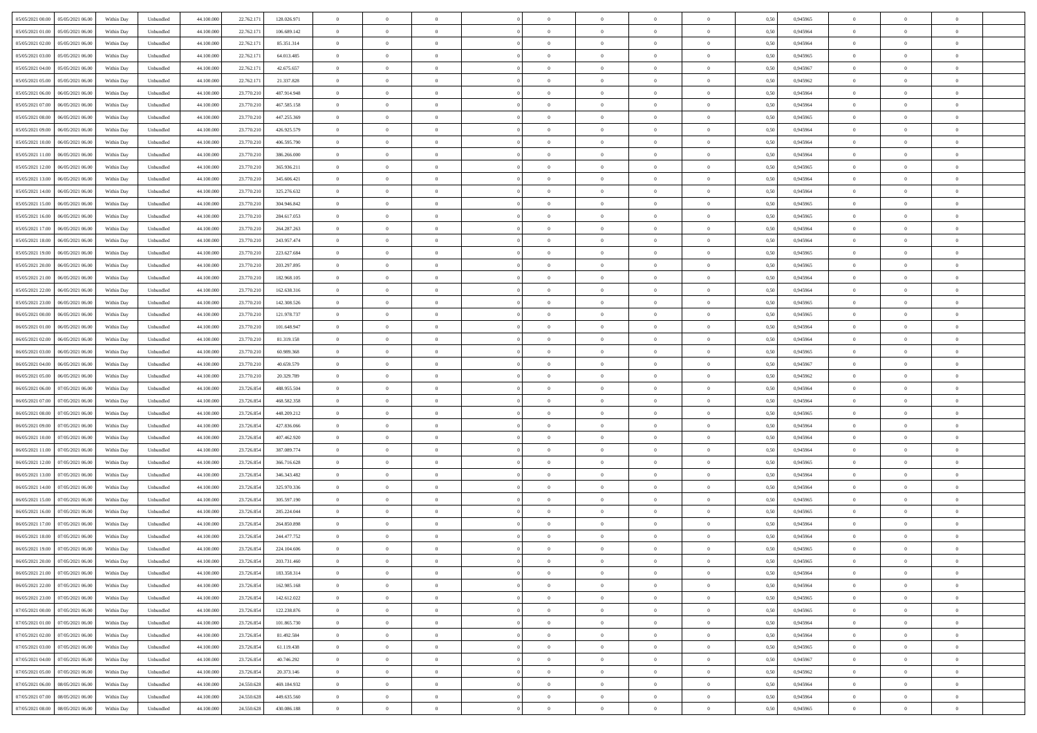| 05/05/2021 00:00<br>05/05/2021 06:00 | Within Day | Unbundled | 44.100.000 | 22.762.171 | 128.026.971 | $\overline{0}$ | $\overline{0}$ | $\overline{0}$ | $\theta$       | $\theta$       |                | $\overline{0}$ | 0,50 | 0,945965 | $\theta$       | $\theta$       | $\theta$       |  |
|--------------------------------------|------------|-----------|------------|------------|-------------|----------------|----------------|----------------|----------------|----------------|----------------|----------------|------|----------|----------------|----------------|----------------|--|
|                                      |            |           |            |            |             |                |                |                |                |                |                |                |      |          |                |                |                |  |
| 05/05/2021 01:00<br>05/05/2021 06.0  | Within Day | Unbundled | 44.100.000 | 22.762.171 | 106.689.142 | $\overline{0}$ | $\overline{0}$ | $\overline{0}$ | $\,$ 0 $\,$    | $\bf{0}$       | $\overline{0}$ | $\bf{0}$       | 0,50 | 0,945964 | $\,$ 0 $\,$    | $\theta$       | $\overline{0}$ |  |
| 05/05/2021 02.00<br>05/05/2021 06:00 | Within Day | Unbundled | 44,100,000 | 22.762.171 | 85.351.314  | $\overline{0}$ | $\overline{0}$ | $\overline{0}$ | $\bf{0}$       | $\bf{0}$       | $\overline{0}$ | $\mathbf{0}$   | 0.50 | 0.945964 | $\bf{0}$       | $\overline{0}$ | $\overline{0}$ |  |
| 05/05/2021 03:00<br>05/05/2021 06:00 | Within Day | Unbundled | 44.100.000 | 22.762.171 | 64.013.485  | $\overline{0}$ | $\overline{0}$ | $\overline{0}$ | $\overline{0}$ | $\overline{0}$ | $\overline{0}$ | $\bf{0}$       | 0,50 | 0,945965 | $\theta$       | $\theta$       | $\overline{0}$ |  |
| 05/05/2021 04:00<br>05/05/2021 06.0  | Within Day | Unbundled | 44.100.000 | 22.762.171 | 42.675.657  | $\overline{0}$ | $\overline{0}$ | $\bf{0}$       | $\overline{0}$ | $\overline{0}$ | $\overline{0}$ | $\bf{0}$       | 0,50 | 0,945967 | $\,$ 0 $\,$    | $\theta$       | $\overline{0}$ |  |
| 05/05/2021 05:00<br>05/05/2021 06:00 | Within Day | Unbundled | 44,100,000 | 22.762.171 | 21.337.828  | $\overline{0}$ | $\overline{0}$ | $\overline{0}$ | $\overline{0}$ | $\overline{0}$ | $\Omega$       | $\mathbf{0}$   | 0.50 | 0.945962 | $\theta$       | $\theta$       | $\overline{0}$ |  |
| 05/05/2021 06:00<br>06/05/2021 06.00 | Within Day | Unbundled | 44.100.000 | 23.770.210 | 487.914.948 | $\overline{0}$ | $\overline{0}$ | $\overline{0}$ | $\overline{0}$ | $\overline{0}$ | $\overline{0}$ | $\bf{0}$       | 0,50 | 0,945964 | $\theta$       | $\theta$       | $\overline{0}$ |  |
|                                      |            |           |            |            |             |                | $\overline{0}$ |                |                |                |                |                |      |          |                |                | $\overline{0}$ |  |
| 05/05/2021 07:00<br>06/05/2021 06.0  | Within Day | Unbundled | 44.100.000 | 23.770.21  | 467.585.158 | $\overline{0}$ |                | $\overline{0}$ | $\overline{0}$ | $\overline{0}$ | $\overline{0}$ | $\bf{0}$       | 0,50 | 0,945964 | $\,$ 0 $\,$    | $\bf{0}$       |                |  |
| 05/05/2021 08:00<br>06/05/2021 06:00 | Within Day | Unbundled | 44,100,000 | 23,770,210 | 447.255.369 | $\overline{0}$ | $\overline{0}$ | $\overline{0}$ | $\overline{0}$ | $\overline{0}$ | $\overline{0}$ | $\mathbf{0}$   | 0.50 | 0.945965 | $\theta$       | $\theta$       | $\overline{0}$ |  |
| 05/05/2021 09:00<br>06/05/2021 06:00 | Within Day | Unbundled | 44.100.000 | 23.770.210 | 426.925.579 | $\overline{0}$ | $\overline{0}$ | $\overline{0}$ | $\bf{0}$       | $\overline{0}$ | $\overline{0}$ | $\bf{0}$       | 0,50 | 0,945964 | $\theta$       | $\theta$       | $\overline{0}$ |  |
| 05/05/2021 10:00<br>06/05/2021 06.0  | Within Day | Unbundled | 44.100.000 | 23.770.210 | 406.595.790 | $\overline{0}$ | $\overline{0}$ | $\bf{0}$       | $\bf{0}$       | $\bf{0}$       | $\overline{0}$ | $\bf{0}$       | 0,50 | 0,945964 | $\,$ 0 $\,$    | $\theta$       | $\overline{0}$ |  |
| 05/05/2021 11:00<br>06/05/2021 06:00 | Within Day | Unbundled | 44,100,000 | 23.770.210 | 386,266,000 | $\overline{0}$ | $\overline{0}$ | $\overline{0}$ | $\bf{0}$       | $\bf{0}$       | $\overline{0}$ | $\mathbf{0}$   | 0.50 | 0.945964 | $\bf{0}$       | $\overline{0}$ | $\bf{0}$       |  |
| 05/05/2021 12:00<br>06/05/2021 06:00 | Within Day | Unbundled | 44.100.000 | 23.770.210 | 365.936.211 | $\overline{0}$ | $\overline{0}$ | $\overline{0}$ | $\overline{0}$ | $\overline{0}$ | $\overline{0}$ | $\bf{0}$       | 0,50 | 0,945965 | $\theta$       | $\theta$       | $\overline{0}$ |  |
|                                      |            |           |            |            |             |                | $\overline{0}$ |                |                | $\overline{0}$ | $\overline{0}$ | $\bf{0}$       |      |          | $\,$ 0 $\,$    | $\bf{0}$       | $\overline{0}$ |  |
| 05/05/2021 13:00<br>06/05/2021 06.0  | Within Day | Unbundled | 44.100.000 | 23.770.21  | 345.606.421 | $\overline{0}$ |                | $\bf{0}$       | $\bf{0}$       |                |                |                | 0,50 | 0,945964 |                |                |                |  |
| 05/05/2021 14:00<br>06/05/2021 06:00 | Within Day | Unbundled | 44,100,000 | 23,770,210 | 325.276.632 | $\overline{0}$ | $\overline{0}$ | $\overline{0}$ | $\overline{0}$ | $\overline{0}$ | $\Omega$       | $\overline{0}$ | 0.50 | 0.945964 | $\theta$       | $\theta$       | $\overline{0}$ |  |
| 05/05/2021 15:00<br>06/05/2021 06:00 | Within Day | Unbundled | 44.100.000 | 23.770.210 | 304.946.842 | $\overline{0}$ | $\overline{0}$ | $\overline{0}$ | $\overline{0}$ | $\overline{0}$ | $\overline{0}$ | $\bf{0}$       | 0,50 | 0,945965 | $\theta$       | $\theta$       | $\overline{0}$ |  |
| 05/05/2021 16:00<br>06/05/2021 06.0  | Within Day | Unbundled | 44.100.000 | 23.770.21  | 284.617.053 | $\overline{0}$ | $\overline{0}$ | $\overline{0}$ | $\overline{0}$ | $\overline{0}$ | $\overline{0}$ | $\bf{0}$       | 0,50 | 0,945965 | $\,$ 0 $\,$    | $\theta$       | $\overline{0}$ |  |
| 05/05/2021 17:00<br>06/05/2021 06:00 | Within Day | Unbundled | 44,100,000 | 23,770.21  | 264.287.263 | $\overline{0}$ | $\overline{0}$ | $\overline{0}$ | $\overline{0}$ | $\overline{0}$ | $\overline{0}$ | $\mathbf{0}$   | 0.50 | 0.945964 | $\,$ 0 $\,$    | $\overline{0}$ | $\overline{0}$ |  |
| 05/05/2021 18:00<br>06/05/2021 06.00 | Within Day | Unbundled | 44.100.000 | 23.770.210 | 243.957.474 | $\overline{0}$ | $\overline{0}$ | $\overline{0}$ | $\overline{0}$ | $\overline{0}$ | $\overline{0}$ | $\bf{0}$       | 0,50 | 0,945964 | $\theta$       | $\theta$       | $\overline{0}$ |  |
| 05/05/2021 19:00<br>06/05/2021 06.0  | Within Day | Unbundled | 44.100.000 | 23.770.210 | 223.627.684 | $\overline{0}$ | $\overline{0}$ | $\overline{0}$ | $\bf{0}$       | $\bf{0}$       | $\overline{0}$ | $\bf{0}$       | 0,50 | 0,945965 | $\,$ 0 $\,$    | $\bf{0}$       | $\overline{0}$ |  |
|                                      |            |           |            |            |             |                |                |                |                |                |                |                |      |          |                |                |                |  |
| 05/05/2021 20.00<br>06/05/2021 06:00 | Within Day | Unbundled | 44,100,000 | 23.770.210 | 203.297.895 | $\overline{0}$ | $\overline{0}$ | $\overline{0}$ | $\bf{0}$       | $\bf{0}$       | $\overline{0}$ | $\mathbf{0}$   | 0.50 | 0.945965 | $\bf{0}$       | $\overline{0}$ | $\overline{0}$ |  |
| 05/05/2021 21:00<br>06/05/2021 06:00 | Within Day | Unbundled | 44.100.000 | 23.770.210 | 182.968.105 | $\overline{0}$ | $\overline{0}$ | $\overline{0}$ | $\overline{0}$ | $\overline{0}$ | $\overline{0}$ | $\,$ 0 $\,$    | 0,50 | 0,945964 | $\theta$       | $\theta$       | $\overline{0}$ |  |
| 05/05/2021 22.00<br>06/05/2021 06.0  | Within Day | Unbundled | 44.100.000 | 23.770.21  | 162.638.316 | $\overline{0}$ | $\overline{0}$ | $\bf{0}$       | $\bf{0}$       | $\overline{0}$ | $\overline{0}$ | $\bf{0}$       | 0,50 | 0,945964 | $\,$ 0 $\,$    | $\bf{0}$       | $\overline{0}$ |  |
| 05/05/2021 23:00<br>06/05/2021 06:00 | Within Day | Unbundled | 44,100,000 | 23,770.21  | 142.308.526 | $\overline{0}$ | $\overline{0}$ | $\overline{0}$ | $\overline{0}$ | $\overline{0}$ | $\Omega$       | $\mathbf{0}$   | 0.50 | 0.945965 | $\theta$       | $\theta$       | $\overline{0}$ |  |
| 06/05/2021 00:00<br>06/05/2021 06.00 | Within Day | Unbundled | 44.100.000 | 23.770.210 | 121.978.737 | $\overline{0}$ | $\overline{0}$ | $\overline{0}$ | $\overline{0}$ | $\overline{0}$ | $\overline{0}$ | $\bf{0}$       | 0,50 | 0,945965 | $\theta$       | $\theta$       | $\overline{0}$ |  |
| 06/05/2021 01:00<br>06/05/2021 06.0  | Within Day | Unbundled | 44.100.000 | 23.770.21  | 101.648.947 | $\overline{0}$ | $\overline{0}$ | $\overline{0}$ | $\overline{0}$ | $\overline{0}$ | $\overline{0}$ | $\bf{0}$       | 0,50 | 0,945964 | $\,$ 0 $\,$    | $\theta$       | $\overline{0}$ |  |
|                                      |            |           |            |            |             |                |                |                |                |                |                |                |      |          |                |                |                |  |
| 06/05/2021 02:00<br>06/05/2021 06:00 | Within Day | Unbundled | 44,100,000 | 23,770,210 | 81.319.158  | $\overline{0}$ | $\overline{0}$ | $\overline{0}$ | $\overline{0}$ | $\overline{0}$ | $\overline{0}$ | $\mathbf{0}$   | 0.50 | 0.945964 | $\theta$       | $\theta$       | $\overline{0}$ |  |
| 06/05/2021 03:00<br>06/05/2021 06:00 | Within Day | Unbundled | 44.100.000 | 23.770.210 | 60.989.368  | $\overline{0}$ | $\overline{0}$ | $\overline{0}$ | $\overline{0}$ | $\overline{0}$ | $\overline{0}$ | $\bf{0}$       | 0,50 | 0,945965 | $\theta$       | $\theta$       | $\overline{0}$ |  |
| 06/05/2021 04:00<br>06/05/2021 06.0  | Within Day | Unbundled | 44.100.000 | 23.770.210 | 40.659.579  | $\overline{0}$ | $\overline{0}$ | $\overline{0}$ | $\overline{0}$ | $\bf{0}$       | $\overline{0}$ | $\bf{0}$       | 0,50 | 0,945967 | $\,$ 0 $\,$    | $\bf{0}$       | $\overline{0}$ |  |
| 06/05/2021 05:00<br>06/05/2021 06:00 | Within Day | Unbundled | 44,100,000 | 23.770.210 | 20.329.789  | $\overline{0}$ | $\overline{0}$ | $\overline{0}$ | $\bf{0}$       | $\bf{0}$       | $\overline{0}$ | $\mathbf{0}$   | 0.50 | 0.945962 | $\bf{0}$       | $\overline{0}$ | $\bf{0}$       |  |
| 06/05/2021 06:00<br>07/05/2021 06:00 | Within Day | Unbundled | 44.100.000 | 23.726.854 | 488.955.504 | $\overline{0}$ | $\overline{0}$ | $\overline{0}$ | $\overline{0}$ | $\overline{0}$ | $\overline{0}$ | $\overline{0}$ | 0.50 | 0.945964 | $\theta$       | $\theta$       | $\overline{0}$ |  |
| 06/05/2021 07.00<br>07/05/2021 06.00 | Within Day | Unbundled | 44.100.000 | 23.726.854 | 468.582.358 | $\overline{0}$ | $\overline{0}$ | $\overline{0}$ | $\bf{0}$       | $\overline{0}$ | $\overline{0}$ | $\bf{0}$       | 0,50 | 0,945964 | $\,$ 0 $\,$    | $\bf{0}$       | $\overline{0}$ |  |
| 06/05/2021 08:00<br>07/05/2021 06:00 | Within Day | Unbundled | 44,100,000 | 23.726.854 | 448.209.212 | $\overline{0}$ | $\overline{0}$ | $\overline{0}$ | $\overline{0}$ | $\overline{0}$ | $\overline{0}$ | $\overline{0}$ | 0.50 | 0.945965 | $\theta$       | $\theta$       | $\overline{0}$ |  |
|                                      |            |           |            |            |             |                |                |                |                |                |                |                |      |          |                |                |                |  |
| 06/05/2021 09:00<br>07/05/2021 06:00 | Within Day | Unbundled | 44.100.000 | 23.726.854 | 427.836.066 | $\overline{0}$ | $\overline{0}$ | $\overline{0}$ | $\overline{0}$ | $\overline{0}$ | $\Omega$       | $\overline{0}$ | 0.50 | 0,945964 | $\theta$       | $\theta$       | $\overline{0}$ |  |
| 06/05/2021 10:00<br>07/05/2021 06.0  | Within Day | Unbundled | 44.100.000 | 23.726.854 | 407.462.920 | $\overline{0}$ | $\overline{0}$ | $\overline{0}$ | $\bf{0}$       | $\overline{0}$ | $\overline{0}$ | $\bf{0}$       | 0,50 | 0,945964 | $\,$ 0 $\,$    | $\theta$       | $\overline{0}$ |  |
| 06/05/2021 11:00<br>07/05/2021 06:00 | Within Day | Unbundled | 44,100,000 | 23.726.854 | 387.089.774 | $\overline{0}$ | $\overline{0}$ | $\overline{0}$ | $\overline{0}$ | $\overline{0}$ | $\overline{0}$ | $\mathbf{0}$   | 0.50 | 0.945964 | $\,$ 0 $\,$    | $\theta$       | $\overline{0}$ |  |
| 06/05/2021 12:00<br>07/05/2021 06:00 | Within Day | Unbundled | 44.100.000 | 23.726.854 | 366.716.628 | $\overline{0}$ | $\overline{0}$ | $\overline{0}$ | $\overline{0}$ | $\overline{0}$ | $\overline{0}$ | $\overline{0}$ | 0.50 | 0,945965 | $\theta$       | $\theta$       | $\overline{0}$ |  |
| 06/05/2021 13:00<br>07/05/2021 06.0  | Within Day | Unbundled | 44.100.000 | 23.726.854 | 346.343.482 | $\overline{0}$ | $\overline{0}$ | $\overline{0}$ | $\,$ 0 $\,$    | $\bf{0}$       | $\overline{0}$ | $\bf{0}$       | 0,50 | 0,945964 | $\,$ 0 $\,$    | $\bf{0}$       | $\overline{0}$ |  |
| 06/05/2021 14:00<br>07/05/2021 06:00 | Within Day | Unbundled | 44,100,000 | 23.726.854 | 325.970.336 | $\overline{0}$ | $\overline{0}$ | $\overline{0}$ | $\bf{0}$       | $\bf{0}$       | $\overline{0}$ | $\mathbf{0}$   | 0.50 | 0.945964 | $\bf{0}$       | $\overline{0}$ | $\overline{0}$ |  |
| 06/05/2021 15:00<br>07/05/2021 06:00 | Within Day | Unbundled | 44.100.000 | 23.726.854 | 305.597.190 | $\overline{0}$ | $\overline{0}$ | $\overline{0}$ | $\overline{0}$ | $\overline{0}$ | $\Omega$       | $\overline{0}$ | 0.50 | 0,945965 | $\theta$       | $\theta$       | $\overline{0}$ |  |
|                                      |            |           |            |            |             |                |                |                |                |                |                |                |      |          |                |                |                |  |
| 06/05/2021 16:00<br>07/05/2021 06.0  | Within Day | Unbundled | 44.100.000 | 23.726.854 | 285.224.044 | $\overline{0}$ | $\overline{0}$ | $\overline{0}$ | $\bf{0}$       | $\overline{0}$ | $\overline{0}$ | $\bf{0}$       | 0,50 | 0,945965 | $\,$ 0 $\,$    | $\bf{0}$       | $\overline{0}$ |  |
| 06/05/2021 17:00<br>07/05/2021 06.00 | Within Day | Unbundled | 44,100,000 | 23.726.854 | 264.850.898 | $\overline{0}$ | $\overline{0}$ | $\overline{0}$ | $\overline{0}$ | $\overline{0}$ | $\theta$       | $\overline{0}$ | 0.50 | 0.945964 | $\bf{0}$       | $\theta$       | $\overline{0}$ |  |
| 06/05/2021 18:00<br>07/05/2021 06:00 | Within Day | Unbundled | 44.100.000 | 23.726.854 | 244.477.752 | $\overline{0}$ | $\overline{0}$ | $\overline{0}$ | $\overline{0}$ | $\overline{0}$ | $\theta$       | $\overline{0}$ | 0.50 | 0,945964 | $\theta$       | $\theta$       | $\overline{0}$ |  |
| 06/05/2021 19:00<br>07/05/2021 06.00 | Within Day | Unbundled | 44.100.000 | 23.726.854 | 224.104.606 | $\overline{0}$ | $\overline{0}$ | $\bf{0}$       | $\overline{0}$ | $\bf{0}$       | $\overline{0}$ | $\bf{0}$       | 0,50 | 0,945965 | $\,$ 0 $\,$    | $\bf{0}$       | $\overline{0}$ |  |
| 06/05/2021 20:00 07/05/2021 06:00    | Within Day | Unbundled | 44.100.000 | 23.726.854 | 203 731 460 | $\bf{0}$       | $\,0\,$        |                | $\bf{0}$       |                |                |                | 0,50 | 0.945965 | $\theta$       | $\overline{0}$ |                |  |
| 06/05/2021 21:00<br>07/05/2021 06:00 | Within Dav | Unbundled | 44.100.000 | 23.726.854 | 183.358.314 | $\overline{0}$ | $\overline{0}$ | $\overline{0}$ | $\overline{0}$ | $\overline{0}$ | $\overline{0}$ | $\overline{0}$ | 0,50 | 0,945964 | $\theta$       | $\theta$       | $\overline{0}$ |  |
|                                      |            |           |            |            |             |                |                |                |                |                |                |                |      |          |                |                |                |  |
| 06/05/2021 22.00<br>07/05/2021 06.0  | Within Day | Unbundled | 44.100.000 | 23.726.854 | 162.985.168 | $\overline{0}$ | $\overline{0}$ | $\overline{0}$ | $\bf{0}$       | $\overline{0}$ | $\overline{0}$ | $\mathbf{0}$   | 0,50 | 0,945964 | $\overline{0}$ | $\overline{0}$ | $\bf{0}$       |  |
| 06/05/2021 23:00<br>07/05/2021 06:00 | Within Day | Unbundled | 44.100.000 | 23.726.854 | 142.612.022 | $\overline{0}$ | $\overline{0}$ | $\overline{0}$ | $\overline{0}$ | $\bf{0}$       | $\overline{0}$ | $\mathbf{0}$   | 0.50 | 0.945965 | $\overline{0}$ | $\bf{0}$       | $\bf{0}$       |  |
| 07/05/2021 00:00<br>07/05/2021 06:00 | Within Dav | Unbundled | 44.100.000 | 23.726.854 | 122.238.876 | $\overline{0}$ | $\overline{0}$ | $\overline{0}$ | $\overline{0}$ | $\overline{0}$ | $\overline{0}$ | $\mathbf{0}$   | 0,50 | 0,945965 | $\theta$       | $\theta$       | $\overline{0}$ |  |
| 07/05/2021 01:00<br>07/05/2021 06.00 | Within Day | Unbundled | 44.100.000 | 23.726.854 | 101.865.730 | $\overline{0}$ | $\overline{0}$ | $\overline{0}$ | $\bf{0}$       | $\bf{0}$       | $\overline{0}$ | $\mathbf{0}$   | 0,50 | 0,945964 | $\overline{0}$ | $\bf{0}$       | $\overline{0}$ |  |
| 07/05/2021 02:00<br>07/05/2021 06:00 | Within Day | Unbundled | 44.100.000 | 23.726.854 | 81.492.584  | $\overline{0}$ | $\overline{0}$ | $\overline{0}$ | $\bf{0}$       | $\overline{0}$ | $\overline{0}$ | $\mathbf{0}$   | 0.50 | 0.945964 | $\,$ 0 $\,$    | $\theta$       | $\overline{0}$ |  |
| 07/05/2021 03:00<br>07/05/2021 06:00 | Within Dav | Unbundled | 44.100.000 | 23.726.854 | 61.119.438  | $\overline{0}$ | $\overline{0}$ | $\overline{0}$ | $\overline{0}$ | $\overline{0}$ | $\overline{0}$ | $\mathbf{0}$   | 0.50 | 0,945965 | $\overline{0}$ | $\theta$       | $\overline{0}$ |  |
| 07/05/2021 04:00<br>07/05/2021 06.00 | Within Day | Unbundled | 44.100.000 | 23.726.854 | 40.746.292  | $\overline{0}$ | $\overline{0}$ | $\overline{0}$ | $\bf{0}$       | $\overline{0}$ | $\overline{0}$ | $\,$ 0 $\,$    | 0,50 | 0,945967 | $\bf{0}$       | $\bf{0}$       | $\overline{0}$ |  |
|                                      |            |           |            |            |             |                |                |                |                |                |                |                |      |          |                |                |                |  |
| 07/05/2021 05:00<br>07/05/2021 06:00 | Within Day | Unbundled | 44,100,000 | 23.726.854 | 20.373.146  | $\overline{0}$ | $\overline{0}$ | $\overline{0}$ | $\bf{0}$       | $\bf{0}$       | $\overline{0}$ | $\,$ 0 $\,$    | 0.50 | 0.945962 | $\overline{0}$ | $\bf{0}$       | $\,$ 0         |  |
| 07/05/2021 06:00<br>08/05/2021 06:00 | Within Dav | Unbundled | 44.100.000 | 24.550.628 | 469.184.932 | $\overline{0}$ | $\overline{0}$ | $\overline{0}$ | $\overline{0}$ | $\overline{0}$ | $\overline{0}$ | $\mathbf{0}$   | 0,50 | 0,945964 | $\overline{0}$ | $\theta$       | $\overline{0}$ |  |
| 07/05/2021 07:00<br>08/05/2021 06.00 | Within Day | Unbundled | 44.100.000 | 24.550.628 | 449.635.560 | $\overline{0}$ | $\overline{0}$ | $\overline{0}$ | $\overline{0}$ | $\bf{0}$       | $\overline{0}$ | $\mathbf{0}$   | 0,50 | 0,945964 | $\bf{0}$       | $\bf{0}$       | $\overline{0}$ |  |
| 07/05/2021 08:00 08/05/2021 06:00    | Within Day | Unbundled | 44.100.000 | 24.550.628 | 430.086.188 | $\overline{0}$ | $\overline{0}$ | $\overline{0}$ | $\bf{0}$       | $\,$ 0         | $\overline{0}$ | $\,0\,$        | 0,50 | 0,945965 | $\overline{0}$ | $\,$ 0 $\,$    | $\,$ 0 $\,$    |  |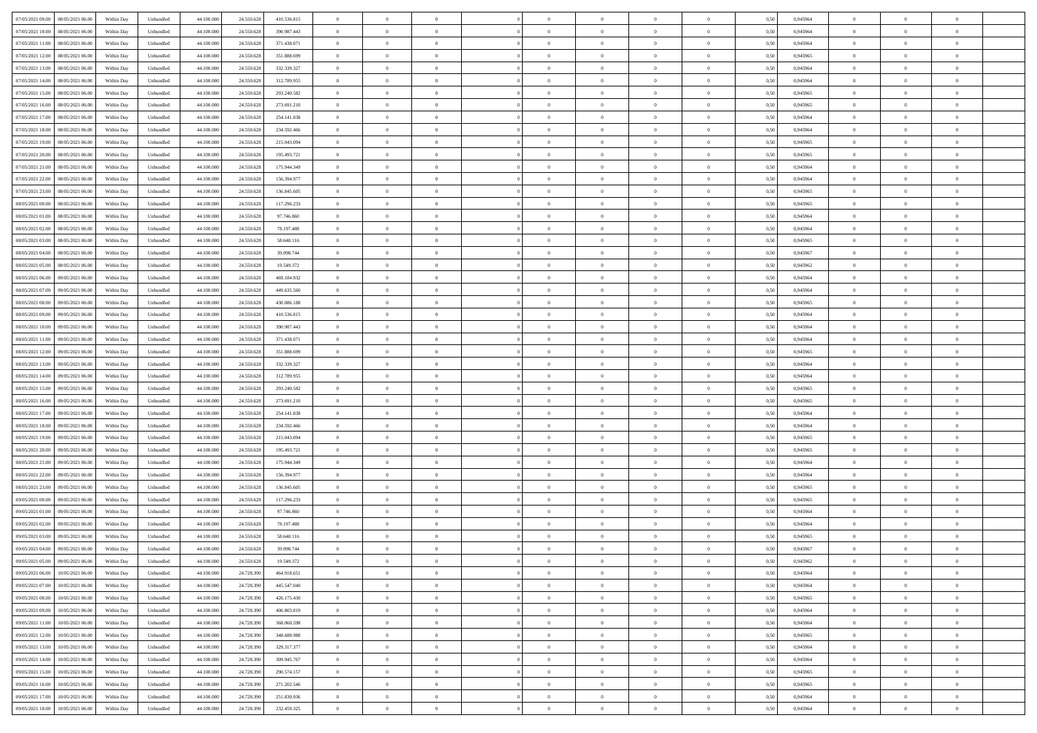| 07/05/2021 09:00   08/05/2021 06:00            | Within Day | Unbundled         | 44.100.000 | 24.550.628 | 410.536.815 | $\overline{0}$ | $\theta$       |                | $\overline{0}$ | $\theta$       |                | $\bf{0}$       | 0,50 | 0,945964 | $\theta$       | $\theta$       | $\overline{0}$ |  |
|------------------------------------------------|------------|-------------------|------------|------------|-------------|----------------|----------------|----------------|----------------|----------------|----------------|----------------|------|----------|----------------|----------------|----------------|--|
| 07/05/2021 10:00<br>08/05/2021 06:00           | Within Day | Unbundled         | 44.100.00  | 24.550.628 | 390.987.443 | $\bf{0}$       | $\overline{0}$ | $\overline{0}$ | $\overline{0}$ | $\theta$       | $\overline{0}$ | $\bf{0}$       | 0,50 | 0,945964 | $\,$ 0 $\,$    | $\bf{0}$       | $\overline{0}$ |  |
| 07/05/2021 11:00<br>08/05/2021 06:00           | Within Day | Unbundled         | 44,100,000 | 24.550.628 | 371.438.071 | $\overline{0}$ | $\bf{0}$       | $\overline{0}$ | $\bf{0}$       | $\bf{0}$       | $\overline{0}$ | $\bf{0}$       | 0.50 | 0.945964 | $\bf{0}$       | $\overline{0}$ | $\overline{0}$ |  |
| 07/05/2021 12:00<br>08/05/2021 06:00           |            |                   | 44.100.000 |            |             | $\overline{0}$ | $\overline{0}$ | $\overline{0}$ | $\theta$       | $\theta$       | $\overline{0}$ | $\overline{0}$ |      |          | $\theta$       | $\theta$       | $\overline{0}$ |  |
|                                                | Within Day | Unbundled         |            | 24.550.628 | 351.888.699 |                |                |                |                |                |                |                | 0,50 | 0,945965 |                |                |                |  |
| 07/05/2021 13:00<br>08/05/2021 06:00           | Within Day | Unbundled         | 44.100.00  | 24.550.628 | 332.339.327 | $\overline{0}$ | $\theta$       | $\overline{0}$ | $\overline{0}$ | $\theta$       | $\overline{0}$ | $\bf{0}$       | 0,50 | 0,945964 | $\,$ 0 $\,$    | $\bf{0}$       | $\overline{0}$ |  |
| 07/05/2021 14:00<br>08/05/2021 06:00           | Within Day | Unbundled         | 44,100,000 | 24.550.628 | 312.789.955 | $\overline{0}$ | $\overline{0}$ | $\overline{0}$ | $\overline{0}$ | $\overline{0}$ | $\Omega$       | $\bf{0}$       | 0.50 | 0.945964 | $\bf{0}$       | $\theta$       | $\overline{0}$ |  |
| 07/05/2021 15:00<br>08/05/2021 06:00           | Within Day | Unbundled         | 44.100.000 | 24.550.628 | 293.240.582 | $\overline{0}$ | $\overline{0}$ | $\overline{0}$ | $\overline{0}$ | $\overline{0}$ | $\overline{0}$ | $\bf{0}$       | 0,50 | 0,945965 | $\theta$       | $\theta$       | $\overline{0}$ |  |
|                                                |            |                   |            |            |             |                |                |                |                |                |                |                |      |          |                |                |                |  |
| 07/05/2021 16:00<br>08/05/2021 06:00           | Within Day | Unbundled         | 44.100.00  | 24.550.628 | 273.691.210 | $\bf{0}$       | $\overline{0}$ | $\overline{0}$ | $\overline{0}$ | $\theta$       | $\overline{0}$ | $\bf{0}$       | 0,50 | 0,945965 | $\,$ 0 $\,$    | $\bf{0}$       | $\overline{0}$ |  |
| 07/05/2021 17:00<br>08/05/2021 06:00           | Within Day | Unbundled         | 44,100,00  | 24.550.628 | 254.141.838 | $\overline{0}$ | $\bf{0}$       | $\overline{0}$ | $\bf{0}$       | $\overline{0}$ | $\overline{0}$ | $\bf{0}$       | 0.50 | 0.945964 | $\bf{0}$       | $\theta$       | $\overline{0}$ |  |
| 07/05/2021 18:00<br>08/05/2021 06:00           | Within Day | Unbundled         | 44.100.000 | 24.550.628 | 234.592.466 | $\overline{0}$ | $\bf{0}$       | $\overline{0}$ | $\overline{0}$ | $\theta$       | $\overline{0}$ | $\bf{0}$       | 0,50 | 0,945964 | $\theta$       | $\theta$       | $\overline{0}$ |  |
| 07/05/2021 19:00<br>08/05/2021 06:00           | Within Day | Unbundled         | 44.100.00  | 24.550.628 | 215.043.094 | $\bf{0}$       | $\overline{0}$ | $\bf{0}$       | $\bf{0}$       | $\bf{0}$       | $\overline{0}$ | $\bf{0}$       | 0,50 | 0,945965 | $\,$ 0 $\,$    | $\bf{0}$       | $\overline{0}$ |  |
|                                                |            |                   |            |            |             |                |                |                |                |                |                |                |      |          |                |                |                |  |
| 07/05/2021 20:00<br>08/05/2021 06:00           | Within Day | Unbundled         | 44,100,000 | 24.550.628 | 195.493.721 | $\overline{0}$ | $\overline{0}$ | $\overline{0}$ | $\bf{0}$       | $\bf{0}$       | $\overline{0}$ | $\bf{0}$       | 0.50 | 0.945965 | $\bf{0}$       | $\overline{0}$ | $\overline{0}$ |  |
| 07/05/2021 21:00<br>08/05/2021 06:00           | Within Day | Unbundled         | 44.100.000 | 24.550.628 | 175.944.349 | $\overline{0}$ | $\overline{0}$ | $\overline{0}$ | $\overline{0}$ | $\theta$       | $\overline{0}$ | $\overline{0}$ | 0,50 | 0,945964 | $\theta$       | $\theta$       | $\overline{0}$ |  |
| 07/05/2021 22.00<br>08/05/2021 06:00           | Within Day | Unbundled         | 44.100.00  | 24.550.628 | 156.394.977 | $\bf{0}$       | $\theta$       | $\bf{0}$       | $\overline{0}$ | $\theta$       | $\overline{0}$ | $\bf{0}$       | 0,50 | 0,945964 | $\bf{0}$       | $\bf{0}$       | $\overline{0}$ |  |
| 07/05/2021 23:00<br>08/05/2021 06:00           | Within Day | Unbundled         | 44,100,00  | 24.550.628 | 136,845,605 | $\overline{0}$ | $\overline{0}$ | $\overline{0}$ | $\bf{0}$       | $\theta$       | $\theta$       | $\bf{0}$       | 0.50 | 0.945965 | $\theta$       | $\theta$       | $\overline{0}$ |  |
| 08/05/2021 00:00<br>08/05/2021 06:00           |            |                   |            |            |             | $\overline{0}$ | $\overline{0}$ | $\overline{0}$ | $\overline{0}$ | $\overline{0}$ | $\overline{0}$ |                |      |          | $\theta$       | $\theta$       | $\overline{0}$ |  |
|                                                | Within Day | Unbundled         | 44.100.000 | 24.550.628 | 117.296.233 |                |                |                |                |                |                | $\bf{0}$       | 0,50 | 0,945965 |                |                |                |  |
| 08/05/2021 01:00<br>08/05/2021 06:00           | Within Day | Unbundled         | 44.100.00  | 24.550.628 | 97.746.860  | $\bf{0}$       | $\overline{0}$ | $\overline{0}$ | $\overline{0}$ | $\theta$       | $\overline{0}$ | $\bf{0}$       | 0,50 | 0,945964 | $\,$ 0 $\,$    | $\bf{0}$       | $\overline{0}$ |  |
| 08/05/2021 02:00<br>08/05/2021 06:00           | Within Day | Unbundled         | 44,100,00  | 24.550.628 | 78.197.488  | $\overline{0}$ | $\overline{0}$ | $\overline{0}$ | $\bf{0}$       | $\overline{0}$ | $\overline{0}$ | $\bf{0}$       | 0.50 | 0.945964 | $\bf{0}$       | $\overline{0}$ | $\overline{0}$ |  |
| 08/05/2021 03:00<br>08/05/2021 06:00           | Within Day | Unbundled         | 44.100.000 | 24.550.628 | 58.648.116  | $\overline{0}$ | $\overline{0}$ | $\overline{0}$ | $\overline{0}$ | $\theta$       | $\overline{0}$ | $\bf{0}$       | 0,50 | 0,945965 | $\,$ 0 $\,$    | $\theta$       | $\overline{0}$ |  |
| 08/05/2021 06:00                               | Within Day | Unbundled         | 44.100.00  | 24.550.628 | 39.098.744  | $\bf{0}$       | $\overline{0}$ | $\bf{0}$       | $\bf{0}$       | $\overline{0}$ | $\overline{0}$ | $\bf{0}$       | 0,50 | 0,945967 | $\,$ 0 $\,$    | $\bf{0}$       | $\overline{0}$ |  |
| 08/05/2021 04:00                               |            |                   |            |            |             |                |                |                |                |                |                |                |      |          |                |                |                |  |
| 08/05/2021 05:00<br>08/05/2021 06:00           | Within Day | Unbundled         | 44,100,000 | 24.550.628 | 19.549.372  | $\overline{0}$ | $\bf{0}$       | $\overline{0}$ | $\bf{0}$       | $\overline{0}$ | $\overline{0}$ | $\bf{0}$       | 0.50 | 0.945962 | $\bf{0}$       | $\overline{0}$ | $\overline{0}$ |  |
| 08/05/2021 06:00<br>09/05/2021 06:00           | Within Day | Unbundled         | 44.100.000 | 24.550.628 | 469.184.932 | $\overline{0}$ | $\overline{0}$ | $\overline{0}$ | $\theta$       | $\theta$       | $\overline{0}$ | $\bf{0}$       | 0,50 | 0,945964 | $\theta$       | $\theta$       | $\overline{0}$ |  |
| 08/05/2021 07:00<br>09/05/2021 06.00           | Within Day | Unbundled         | 44.100.00  | 24.550.628 | 449.635.560 | $\bf{0}$       | $\overline{0}$ | $\bf{0}$       | $\bf{0}$       | $\theta$       | $\overline{0}$ | $\bf{0}$       | 0,50 | 0,945964 | $\,$ 0 $\,$    | $\bf{0}$       | $\overline{0}$ |  |
| 08/05/2021 08:00<br>09/05/2021 06:00           |            | Unbundled         | 44,100,00  | 24.550.628 | 430.086.188 | $\overline{0}$ | $\overline{0}$ | $\overline{0}$ | $\overline{0}$ | $\overline{0}$ | $\Omega$       | $\bf{0}$       | 0.50 | 0.945965 | $\bf{0}$       | $\theta$       | $\overline{0}$ |  |
|                                                | Within Day |                   |            |            |             |                |                |                |                |                |                |                |      |          |                |                |                |  |
| 08/05/2021 09:00<br>09/05/2021 06.00           | Within Day | Unbundled         | 44.100.000 | 24.550.628 | 410.536.815 | $\overline{0}$ | $\overline{0}$ | $\overline{0}$ | $\overline{0}$ | $\overline{0}$ | $\overline{0}$ | $\bf{0}$       | 0,50 | 0,945964 | $\theta$       | $\theta$       | $\overline{0}$ |  |
| 08/05/2021 10:00<br>09/05/2021 06.00           | Within Day | Unbundled         | 44.100.00  | 24.550.628 | 390.987.443 | $\bf{0}$       | $\theta$       | $\overline{0}$ | $\overline{0}$ | $\theta$       | $\overline{0}$ | $\bf{0}$       | 0,50 | 0,945964 | $\,$ 0 $\,$    | $\bf{0}$       | $\overline{0}$ |  |
| 08/05/2021 11:00<br>09/05/2021 06:00           | Within Day | Unbundled         | 44,100,00  | 24.550.628 | 371.438.071 | $\overline{0}$ | $\bf{0}$       | $\overline{0}$ | $\bf{0}$       | $\overline{0}$ | $\overline{0}$ | $\bf{0}$       | 0.50 | 0.945964 | $\bf{0}$       | $\theta$       | $\overline{0}$ |  |
| 08/05/2021 12:00<br>09/05/2021 06:00           | Within Day | Unbundled         | 44.100.000 | 24.550.628 | 351.888.699 | $\overline{0}$ | $\overline{0}$ | $\overline{0}$ | $\overline{0}$ | $\theta$       | $\overline{0}$ | $\bf{0}$       | 0,50 | 0,945965 | $\theta$       | $\theta$       | $\overline{0}$ |  |
|                                                |            |                   |            |            |             |                |                |                |                |                |                |                |      |          |                |                |                |  |
| 08/05/2021 13:00<br>09/05/2021 06.00           | Within Day | Unbundled         | 44.100.00  | 24.550.628 | 332.339.327 | $\bf{0}$       | $\bf{0}$       | $\bf{0}$       | $\bf{0}$       | $\overline{0}$ | $\overline{0}$ | $\bf{0}$       | 0,50 | 0,945964 | $\,$ 0 $\,$    | $\bf{0}$       | $\overline{0}$ |  |
| 08/05/2021 14:00<br>09/05/2021 06:00           | Within Day | Unbundled         | 44,100,000 | 24.550.628 | 312.789.955 | $\overline{0}$ | $\bf{0}$       | $\overline{0}$ | $\bf{0}$       | $\bf{0}$       | $\overline{0}$ | $\bf{0}$       | 0.50 | 0.945964 | $\bf{0}$       | $\overline{0}$ | $\overline{0}$ |  |
| 08/05/2021 15:00<br>09/05/2021 06:00           | Within Day | Unbundled         | 44.100.000 | 24.550.628 | 293.240.582 | $\overline{0}$ | $\overline{0}$ | $\overline{0}$ | $\overline{0}$ | $\overline{0}$ | $\overline{0}$ | $\bf{0}$       | 0.5( | 0.945965 | $\theta$       | $\theta$       | $\overline{0}$ |  |
| 08/05/2021 16:00<br>09/05/2021 06.00           | Within Day | Unbundled         | 44.100.00  | 24.550.628 | 273.691.210 | $\bf{0}$       | $\overline{0}$ | $\bf{0}$       | $\overline{0}$ | $\overline{0}$ | $\overline{0}$ | $\bf{0}$       | 0,50 | 0,945965 | $\,$ 0 $\,$    | $\bf{0}$       | $\overline{0}$ |  |
| 08/05/2021 17:00<br>09/05/2021 06:00           | Within Day | Unbundled         | 44,100,00  | 24.550.628 | 254.141.838 | $\overline{0}$ | $\overline{0}$ | $\overline{0}$ | $\bf{0}$       | $\theta$       | $\Omega$       | $\bf{0}$       | 0.50 | 0.945964 | $\,$ 0 $\,$    | $\theta$       | $\overline{0}$ |  |
|                                                |            |                   |            |            |             |                |                |                |                |                |                |                |      |          |                |                |                |  |
| 08/05/2021 18:00<br>09/05/2021 06:00           | Within Dav | Unbundled         | 44.100.000 | 24.550.628 | 234.592.466 | $\overline{0}$ | $\overline{0}$ | $\Omega$       | $\overline{0}$ | $\overline{0}$ | $\overline{0}$ | $\overline{0}$ | 0.50 | 0,945964 | $\theta$       | $\theta$       | $\overline{0}$ |  |
| 08/05/2021 19:00<br>09/05/2021 06.00           | Within Day | Unbundled         | 44.100.00  | 24.550.628 | 215.043.094 | $\bf{0}$       | $\overline{0}$ | $\bf{0}$       | $\bf{0}$       | $\bf{0}$       | $\overline{0}$ | $\bf{0}$       | 0,50 | 0,945965 | $\,$ 0 $\,$    | $\bf{0}$       | $\overline{0}$ |  |
| 08/05/2021 20:00<br>09/05/2021 06:00           | Within Day | Unbundled         | 44,100,00  | 24.550.628 | 195.493.721 | $\overline{0}$ | $\bf{0}$       | $\overline{0}$ | $\bf{0}$       | $\overline{0}$ | $\overline{0}$ | $\bf{0}$       | 0.50 | 0.945965 | $\bf{0}$       | $\overline{0}$ | $\overline{0}$ |  |
| 08/05/2021 21:00<br>09/05/2021 06:00           | Within Dav | Unbundled         | 44.100.000 | 24.550.628 | 175.944.349 | $\overline{0}$ | $\overline{0}$ | $\overline{0}$ | $\overline{0}$ | $\overline{0}$ | $\overline{0}$ | $\overline{0}$ | 0.50 | 0,945964 | $\theta$       | $\theta$       | $\overline{0}$ |  |
|                                                |            |                   |            |            |             |                |                |                |                |                |                |                |      |          |                |                |                |  |
| 08/05/2021 22:00<br>09/05/2021 06.00           | Within Day | Unbundled         | 44.100.00  | 24.550.628 | 156.394.977 | $\bf{0}$       | $\bf{0}$       | $\bf{0}$       | $\bf{0}$       | $\overline{0}$ | $\overline{0}$ | $\bf{0}$       | 0,50 | 0,945964 | $\,$ 0 $\,$    | $\bf{0}$       | $\overline{0}$ |  |
| 08/05/2021 23:00<br>09/05/2021 06:00           | Within Day | Unbundled         | 44,100,000 | 24.550.628 | 136,845,605 | $\overline{0}$ | $\bf{0}$       | $\overline{0}$ | $\bf{0}$       | $\bf{0}$       | $\overline{0}$ | $\bf{0}$       | 0.50 | 0.945965 | $\bf{0}$       | $\overline{0}$ | $\overline{0}$ |  |
| 09/05/2021 00:00<br>09/05/2021 06:00           | Within Dav | Unbundled         | 44.100.000 | 24.550.628 | 117.296.233 | $\overline{0}$ | $\overline{0}$ | $\Omega$       | $\overline{0}$ | $\overline{0}$ | $\overline{0}$ | $\bf{0}$       | 0.50 | 0.945965 | $\theta$       | $\theta$       | $\overline{0}$ |  |
| 09/05/2021 01:00<br>09/05/2021 06.00           | Within Day | Unbundled         | 44.100.00  | 24.550.628 | 97.746.860  | $\bf{0}$       | $\overline{0}$ | $\bf{0}$       | $\overline{0}$ | $\,$ 0 $\,$    | $\overline{0}$ | $\bf{0}$       | 0,50 | 0,945964 | $\,$ 0 $\,$    | $\bf{0}$       | $\overline{0}$ |  |
| 09/05/2021 02:00<br>09/05/2021 06.00           | Within Day | Unbundled         | 44,100,00  | 24.550.628 | 78.197.488  | $\overline{0}$ | $\overline{0}$ | $\Omega$       | $\overline{0}$ | $\overline{0}$ | $\theta$       | $\bf{0}$       | 0.50 | 0.945964 | $\,$ 0 $\,$    | $\theta$       | $\overline{0}$ |  |
|                                                |            |                   |            |            |             |                |                |                |                |                |                |                |      |          |                |                |                |  |
| 09/05/2021 03:00<br>09/05/2021 06:00           | Within Dav | Unbundled         | 44.100.000 | 24.550.628 | 58,648,116  | $\overline{0}$ | $\overline{0}$ | $\Omega$       | $\overline{0}$ | $\theta$       | $\Omega$       | $\overline{0}$ | 0.5( | 0,945965 | $\theta$       | $\theta$       | $\overline{0}$ |  |
| 09/05/2021 04:00<br>09/05/2021 06:00           | Within Day | Unbundled         | 44.100.000 | 24.550.628 | 39.098.744  | $\bf{0}$       | $\bf{0}$       | $\overline{0}$ | $\bf{0}$       | $\bf{0}$       | $\overline{0}$ | $\bf{0}$       | 0,50 | 0,945967 | $\,$ 0 $\,$    | $\bf{0}$       | $\overline{0}$ |  |
| $09/05/2021\; 05.00 \qquad 09/05/2021\; 06.00$ | Within Day | ${\sf Unbundred}$ | 44.100.000 | 24.550.628 | 19 549 372  | $\overline{0}$ | $\Omega$       |                | $\Omega$       |                |                |                | 0,50 | 0.945962 | $\theta$       | $\overline{0}$ |                |  |
| 09/05/2021 06:00 10/05/2021 06:00              | Within Day | Unbundled         | 44.100.000 | 24.728.390 | 464.918.651 | $\overline{0}$ | $\theta$       | $\Omega$       | $\theta$       | $\overline{0}$ | $\overline{0}$ | $\bf{0}$       | 0,50 | 0,945964 | $\theta$       | $\theta$       | $\overline{0}$ |  |
|                                                |            |                   |            |            |             |                |                |                |                |                |                |                |      |          |                |                |                |  |
| 09/05/2021 07:00<br>10/05/2021 06:00           | Within Day | Unbundled         | 44.100.00  | 24.728.39  | 445.547.040 | $\overline{0}$ | $\bf{0}$       | $\overline{0}$ | $\overline{0}$ | $\bf{0}$       | $\overline{0}$ | $\bf{0}$       | 0,50 | 0,945964 | $\bf{0}$       | $\overline{0}$ | $\bf{0}$       |  |
| 09/05/2021 08:00<br>10/05/2021 06:00           | Within Day | Unbundled         | 44,100,000 | 24.728.390 | 426.175.430 | $\overline{0}$ | $\bf{0}$       | $\overline{0}$ | $\overline{0}$ | $\overline{0}$ | $\overline{0}$ | $\bf{0}$       | 0.50 | 0.945965 | $\mathbf{0}$   | $\bf{0}$       | $\,$ 0 $\,$    |  |
| 09/05/2021 09:00<br>10/05/2021 06:00           | Within Dav | Unbundled         | 44.100.000 | 24.728.390 | 406.803.819 | $\overline{0}$ | $\overline{0}$ | $\overline{0}$ | $\overline{0}$ | $\overline{0}$ | $\overline{0}$ | $\bf{0}$       | 0,50 | 0,945964 | $\theta$       | $\theta$       | $\overline{0}$ |  |
| 09/05/2021 11:00<br>10/05/2021 06:00           | Within Day | Unbundled         | 44.100.000 | 24.728.390 | 368.060.598 | $\overline{0}$ | $\bf{0}$       | $\overline{0}$ | $\bf{0}$       | $\overline{0}$ | $\bf{0}$       | $\bf{0}$       | 0,50 | 0,945964 | $\overline{0}$ | $\bf{0}$       | $\overline{0}$ |  |
| 09/05/2021 12:00<br>10/05/2021 06:00           | Within Day | Unbundled         | 44,100,000 | 24.728.390 | 348,688,988 | $\overline{0}$ | $\bf{0}$       | $\overline{0}$ | $\overline{0}$ | $\overline{0}$ | $\overline{0}$ | $\bf{0}$       | 0.50 | 0.945965 | $\,$ 0 $\,$    | $\theta$       | $\overline{0}$ |  |
|                                                |            |                   |            |            |             |                |                |                |                |                |                |                |      |          |                |                |                |  |
| 09/05/2021 13:00<br>10/05/2021 06:00           | Within Dav | Unbundled         | 44.100.000 | 24.728.390 | 329.317.377 | $\overline{0}$ | $\overline{0}$ | $\overline{0}$ | $\overline{0}$ | $\overline{0}$ | $\overline{0}$ | $\bf{0}$       | 0.50 | 0,945964 | $\overline{0}$ | $\theta$       | $\overline{0}$ |  |
| 09/05/2021 14:00<br>10/05/2021 06:00           | Within Day | Unbundled         | 44.100.00  | 24.728.390 | 309.945.767 | $\overline{0}$ | $\overline{0}$ | $\overline{0}$ | $\overline{0}$ | $\bf{0}$       | $\overline{0}$ | $\bf{0}$       | 0,50 | 0,945964 | $\bf{0}$       | $\overline{0}$ | $\overline{0}$ |  |
| 09/05/2021 15:00<br>10/05/2021 06:00           | Within Day | Unbundled         | 44,100,000 | 24.728.390 | 290.574.157 | $\overline{0}$ | $\overline{0}$ | $\overline{0}$ | $\overline{0}$ | $\bf{0}$       | $\overline{0}$ | $\bf{0}$       | 0.50 | 0.945965 | $\overline{0}$ | $\,$ 0 $\,$    | $\,$ 0         |  |
| 09/05/2021 16:00<br>10/05/2021 06:00           | Within Dav | Unbundled         | 44.100.000 | 24.728.390 | 271.202.546 | $\overline{0}$ | $\overline{0}$ | $\overline{0}$ | $\overline{0}$ | $\overline{0}$ | $\overline{0}$ | $\bf{0}$       | 0,50 | 0,945965 | $\theta$       | $\theta$       | $\overline{0}$ |  |
|                                                |            |                   |            |            |             |                |                |                |                |                |                |                |      |          |                |                |                |  |
| 09/05/2021 17:00<br>10/05/2021 06:00           | Within Day | Unbundled         | 44.100.00  | 24.728.39  | 251.830.936 | $\overline{0}$ | $\bf{0}$       | $\overline{0}$ | $\bf{0}$       | $\overline{0}$ | $\bf{0}$       | $\bf{0}$       | 0,50 | 0,945964 | $\bf{0}$       | $\bf{0}$       | $\overline{0}$ |  |
| 09/05/2021 18:00 10/05/2021 06:00              | Within Day | Unbundled         | 44.100.000 | 24.728.390 | 232.459.325 | $\overline{0}$ | $\bf{0}$       | $\overline{0}$ | $\overline{0}$ | $\,$ 0 $\,$    | $\overline{0}$ | $\bf{0}$       | 0,50 | 0,945964 | $\overline{0}$ | $\,$ 0 $\,$    | $\,$ 0 $\,$    |  |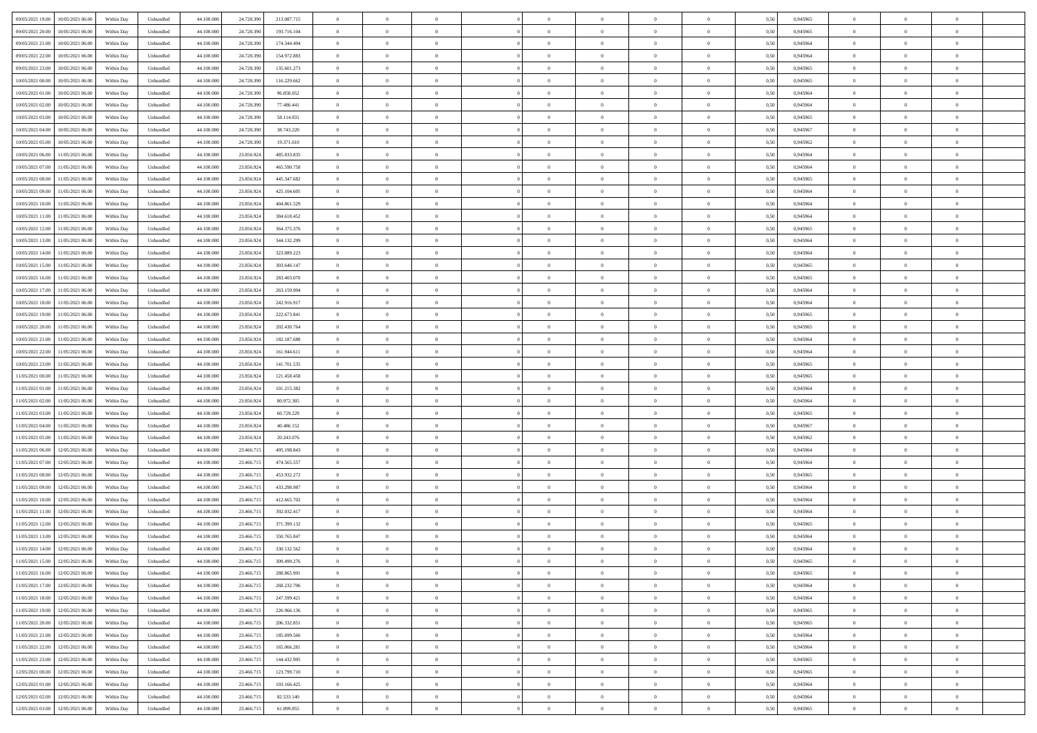| 09/05/2021 19:00<br>10/05/2021 06:00         | Within Day | Unbundled                   | 44.100.000 | 24.728.390 | 213.087.715   | $\overline{0}$ | $\theta$       |                | $\overline{0}$ | $\theta$       |                | $\theta$       | 0,50 | 0,945965 | $\theta$       | $\theta$       | $\overline{0}$ |  |
|----------------------------------------------|------------|-----------------------------|------------|------------|---------------|----------------|----------------|----------------|----------------|----------------|----------------|----------------|------|----------|----------------|----------------|----------------|--|
| 09/05/2021 20:00<br>10/05/2021 06:00         | Within Day | Unbundled                   | 44.100.00  | 24.728.39  | 193.716.104   | $\bf{0}$       | $\bf{0}$       | $\bf{0}$       | $\overline{0}$ | $\overline{0}$ | $\overline{0}$ | $\bf{0}$       | 0,50 | 0,945965 | $\,$ 0 $\,$    | $\bf{0}$       | $\overline{0}$ |  |
| 09/05/2021 21:00<br>10/05/2021 06:00         | Within Day | Unbundled                   | 44,100,000 | 24.728.390 | 174,344,494   | $\overline{0}$ | $\bf{0}$       | $\overline{0}$ | $\bf{0}$       | $\bf{0}$       | $\overline{0}$ | $\bf{0}$       | 0.50 | 0.945964 | $\bf{0}$       | $\overline{0}$ | $\overline{0}$ |  |
| 09/05/2021 22.00<br>10/05/2021 06:00         | Within Day | Unbundled                   | 44.100.000 | 24.728.390 | 154.972.883   | $\overline{0}$ | $\overline{0}$ | $\overline{0}$ | $\theta$       | $\theta$       | $\overline{0}$ | $\bf{0}$       | 0,50 | 0,945964 | $\theta$       | $\theta$       | $\overline{0}$ |  |
| 09/05/2021 23:00<br>10/05/2021 06:00         | Within Day | Unbundled                   | 44.100.00  | 24.728.39  | 135.601.273   | $\bf{0}$       | $\overline{0}$ | $\bf{0}$       | $\overline{0}$ | $\theta$       | $\overline{0}$ | $\bf{0}$       | 0,50 | 0,945965 | $\,$ 0 $\,$    | $\bf{0}$       | $\overline{0}$ |  |
|                                              |            |                             |            |            |               |                |                |                |                |                |                |                |      |          |                |                |                |  |
| 10/05/2021 00:00<br>10/05/2021 06:00         | Within Day | Unbundled                   | 44,100,000 | 24.728.390 | 116.229.662   | $\overline{0}$ | $\overline{0}$ | $\overline{0}$ | $\bf{0}$       | $\overline{0}$ | $\theta$       | $\bf{0}$       | 0.50 | 0.945965 | $\bf{0}$       | $\theta$       | $\overline{0}$ |  |
| 10/05/2021 01:00<br>10/05/2021 06:00         | Within Day | Unbundled                   | 44.100.000 | 24.728.390 | 96.858.052    | $\overline{0}$ | $\overline{0}$ | $\overline{0}$ | $\overline{0}$ | $\overline{0}$ | $\overline{0}$ | $\bf{0}$       | 0,50 | 0,945964 | $\theta$       | $\theta$       | $\overline{0}$ |  |
| 10/05/2021 02:00<br>10/05/2021 06:00         | Within Day | Unbundled                   | 44.100.00  | 24.728.39  | 77.486.441    | $\bf{0}$       | $\overline{0}$ | $\bf{0}$       | $\overline{0}$ | $\overline{0}$ | $\overline{0}$ | $\bf{0}$       | 0,50 | 0,945964 | $\,$ 0 $\,$    | $\bf{0}$       | $\overline{0}$ |  |
| 10/05/2021 03:00<br>10/05/2021 06:00         | Within Day | Unbundled                   | 44,100,00  | 24.728.39  | 58.114.831    | $\overline{0}$ | $\bf{0}$       | $\overline{0}$ | $\bf{0}$       | $\overline{0}$ | $\overline{0}$ | $\bf{0}$       | 0.50 | 0.945965 | $\bf{0}$       | $\overline{0}$ | $\overline{0}$ |  |
| 10/05/2021 04:00<br>10/05/2021 06:00         | Within Day | Unbundled                   | 44.100.000 | 24.728.390 | 38.743.220    | $\bf{0}$       | $\bf{0}$       | $\overline{0}$ | $\overline{0}$ | $\overline{0}$ | $\overline{0}$ | $\bf{0}$       | 0,50 | 0,945967 | $\,$ 0 $\,$    | $\bf{0}$       | $\overline{0}$ |  |
| 10/05/2021 05:00<br>10/05/2021 06:00         | Within Day | Unbundled                   | 44.100.00  | 24.728.39  | 19.371.610    | $\bf{0}$       | $\overline{0}$ | $\bf{0}$       | $\bf{0}$       | $\bf{0}$       | $\overline{0}$ | $\bf{0}$       | 0,50 | 0,945962 | $\,$ 0 $\,$    | $\bf{0}$       | $\overline{0}$ |  |
| 10/05/2021 06:00<br>11/05/2021 06:00         | Within Day | Unbundled                   | 44,100,000 | 23,856,924 | 485.833.835   | $\overline{0}$ | $\bf{0}$       | $\overline{0}$ | $\bf{0}$       | $\bf{0}$       | $\overline{0}$ | $\bf{0}$       | 0.50 | 0.945964 | $\bf{0}$       | $\overline{0}$ | $\bf{0}$       |  |
| 10/05/2021 07:00<br>11/05/2021 06:00         |            |                             | 44.100.000 |            | 465.590.758   | $\overline{0}$ | $\overline{0}$ | $\overline{0}$ | $\theta$       | $\theta$       | $\overline{0}$ | $\bf{0}$       |      |          | $\,$ 0 $\,$    | $\theta$       | $\overline{0}$ |  |
|                                              | Within Day | Unbundled                   |            | 23.856.924 |               |                |                |                |                |                |                |                | 0,50 | 0,945964 |                |                |                |  |
| 10/05/2021 08:00<br>11/05/2021 06:00         | Within Day | Unbundled                   | 44.100.00  | 23.856.92  | 445.347.682   | $\bf{0}$       | $\overline{0}$ | $\bf{0}$       | $\overline{0}$ | $\theta$       | $\overline{0}$ | $\bf{0}$       | 0,50 | 0,945965 | $\,$ 0 $\,$    | $\bf{0}$       | $\overline{0}$ |  |
| 10/05/2021 09:00<br>11/05/2021 06:00         | Within Day | Unbundled                   | 44,100,00  | 23,856,924 | 425.104.605   | $\overline{0}$ | $\overline{0}$ | $\overline{0}$ | $\bf{0}$       | $\overline{0}$ | $\theta$       | $\bf{0}$       | 0.50 | 0.945964 | $\,$ 0 $\,$    | $\theta$       | $\overline{0}$ |  |
| 10/05/2021 10:00<br>11/05/2021 06:00         | Within Day | Unbundled                   | 44.100.000 | 23.856.924 | 404.861.529   | $\overline{0}$ | $\overline{0}$ | $\overline{0}$ | $\overline{0}$ | $\overline{0}$ | $\overline{0}$ | $\bf{0}$       | 0,50 | 0,945964 | $\theta$       | $\theta$       | $\overline{0}$ |  |
| 10/05/2021 11:00<br>11/05/2021 06:00         | Within Day | Unbundled                   | 44.100.00  | 23.856.92  | 384.618.452   | $\bf{0}$       | $\overline{0}$ | $\overline{0}$ | $\overline{0}$ | $\bf{0}$       | $\overline{0}$ | $\bf{0}$       | 0,50 | 0,945964 | $\,$ 0 $\,$    | $\bf{0}$       | $\overline{0}$ |  |
| 10/05/2021 12:00<br>11/05/2021 06:00         | Within Day | Unbundled                   | 44,100,00  | 23.856.92  | 364, 375, 376 | $\overline{0}$ | $\bf{0}$       | $\overline{0}$ | $\bf{0}$       | $\overline{0}$ | $\overline{0}$ | $\bf{0}$       | 0.50 | 0.945965 | $\bf{0}$       | $\overline{0}$ | $\overline{0}$ |  |
| 10/05/2021 13:00<br>11/05/2021 06:00         | Within Day | Unbundled                   | 44.100.000 | 23.856.924 | 344.132.299   | $\overline{0}$ | $\overline{0}$ | $\overline{0}$ | $\overline{0}$ | $\overline{0}$ | $\overline{0}$ | $\bf{0}$       | 0,50 | 0,945964 | $\,$ 0 $\,$    | $\bf{0}$       | $\overline{0}$ |  |
| 10/05/2021 14:00<br>11/05/2021 06:00         | Within Day | Unbundled                   | 44.100.00  | 23.856.924 | 323.889.223   | $\bf{0}$       | $\bf{0}$       | $\bf{0}$       | $\bf{0}$       | $\overline{0}$ | $\overline{0}$ | $\bf{0}$       | 0,50 | 0,945964 | $\,$ 0 $\,$    | $\bf{0}$       | $\overline{0}$ |  |
|                                              |            |                             |            |            |               |                |                |                |                |                |                |                |      |          |                |                |                |  |
| 10/05/2021 15:00<br>11/05/2021 06:00         | Within Day | Unbundled                   | 44,100,000 | 23,856,924 | 303.646.147   | $\overline{0}$ | $\bf{0}$       | $\overline{0}$ | $\bf{0}$       | $\bf{0}$       | $\overline{0}$ | $\bf{0}$       | 0.50 | 0.945965 | $\bf{0}$       | $\overline{0}$ | $\bf{0}$       |  |
| 10/05/2021 16:00<br>11/05/2021 06:00         | Within Day | Unbundled                   | 44.100.000 | 23.856.924 | 283.403.070   | $\overline{0}$ | $\overline{0}$ | $\overline{0}$ | $\theta$       | $\theta$       | $\overline{0}$ | $\bf{0}$       | 0,50 | 0,945965 | $\theta$       | $\theta$       | $\overline{0}$ |  |
| 10/05/2021 17:00<br>11/05/2021 06:00         | Within Day | Unbundled                   | 44.100.00  | 23.856.92  | 263.159.994   | $\bf{0}$       | $\overline{0}$ | $\bf{0}$       | $\bf{0}$       | $\overline{0}$ | $\overline{0}$ | $\bf{0}$       | 0,50 | 0,945964 | $\,$ 0 $\,$    | $\bf{0}$       | $\overline{0}$ |  |
| 10/05/2021 18:00<br>11/05/2021 06:00         | Within Day | Unbundled                   | 44,100,00  | 23.856.92  | 242.916.917   | $\overline{0}$ | $\overline{0}$ | $\overline{0}$ | $\overline{0}$ | $\overline{0}$ | $\theta$       | $\bf{0}$       | 0.50 | 0.945964 | $\,$ 0 $\,$    | $\theta$       | $\overline{0}$ |  |
| 10/05/2021 19:00<br>11/05/2021 06:00         | Within Day | Unbundled                   | 44.100.000 | 23.856.924 | 222.673.841   | $\overline{0}$ | $\overline{0}$ | $\overline{0}$ | $\overline{0}$ | $\overline{0}$ | $\overline{0}$ | $\bf{0}$       | 0,50 | 0,945965 | $\theta$       | $\theta$       | $\overline{0}$ |  |
| 10/05/2021 20:00<br>11/05/2021 06:00         | Within Day | Unbundled                   | 44.100.00  | 23.856.92  | 202.430.764   | $\bf{0}$       | $\overline{0}$ | $\bf{0}$       | $\overline{0}$ | $\bf{0}$       | $\overline{0}$ | $\bf{0}$       | 0,50 | 0,945965 | $\,$ 0 $\,$    | $\bf{0}$       | $\overline{0}$ |  |
| 10/05/2021 21:00<br>11/05/2021 06:00         | Within Day | Unbundled                   | 44,100,00  | 23,856,924 | 182.187.688   | $\overline{0}$ | $\bf{0}$       | $\overline{0}$ | $\bf{0}$       | $\overline{0}$ | $\overline{0}$ | $\bf{0}$       | 0.50 | 0.945964 | $\bf{0}$       | $\overline{0}$ | $\overline{0}$ |  |
| 10/05/2021 22:00<br>11/05/2021 06:00         | Within Day | Unbundled                   | 44.100.000 | 23.856.924 | 161.944.611   | $\overline{0}$ | $\overline{0}$ | $\overline{0}$ | $\theta$       | $\overline{0}$ | $\overline{0}$ | $\bf{0}$       | 0,50 | 0,945964 | $\theta$       | $\theta$       | $\overline{0}$ |  |
|                                              |            |                             |            |            |               |                |                |                |                |                |                |                |      |          |                |                |                |  |
| 10/05/2021 23:00<br>11/05/2021 06:00         | Within Day | Unbundled                   | 44.100.00  | 23.856.924 | 141.701.535   | $\bf{0}$       | $\bf{0}$       | $\bf{0}$       | $\bf{0}$       | $\overline{0}$ | $\overline{0}$ | $\bf{0}$       | 0,50 | 0,945965 | $\,$ 0 $\,$    | $\bf{0}$       | $\overline{0}$ |  |
| 11/05/2021 00:00<br>11/05/2021 06:00         | Within Day | Unbundled                   | 44,100,000 | 23,856,924 | 121.458.458   | $\overline{0}$ | $\bf{0}$       | $\overline{0}$ | $\bf{0}$       | $\bf{0}$       | $\overline{0}$ | $\bf{0}$       | 0.50 | 0.945965 | $\bf{0}$       | $\overline{0}$ | $\bf{0}$       |  |
| 11/05/2021 01:00<br>11/05/2021 06:00         | Within Day | Unbundled                   | 44.100.000 | 23.856.92  | 101.215.382   | $\overline{0}$ | $\overline{0}$ | $\overline{0}$ | $\overline{0}$ | $\overline{0}$ | $\overline{0}$ | $\bf{0}$       | 0.5( | 0.945964 | $\theta$       | $\theta$       | $\overline{0}$ |  |
| 11/05/2021 02:00<br>11/05/2021 06:00         | Within Day | Unbundled                   | 44.100.00  | 23.856.92  | 80.972.305    | $\bf{0}$       | $\overline{0}$ | $\bf{0}$       | $\bf{0}$       | $\,$ 0 $\,$    | $\overline{0}$ | $\bf{0}$       | 0,50 | 0,945964 | $\,$ 0 $\,$    | $\bf{0}$       | $\overline{0}$ |  |
| 11/05/2021 03:00<br>11/05/2021 06:00         | Within Day | Unbundled                   | 44,100,00  | 23,856,924 | 60.729.229    | $\overline{0}$ | $\overline{0}$ | $\overline{0}$ | $\bf{0}$       | $\overline{0}$ | $\Omega$       | $\bf{0}$       | 0.50 | 0.945965 | $\,$ 0 $\,$    | $\theta$       | $\overline{0}$ |  |
| 11/05/2021 04:00<br>11/05/2021 06:00         | Within Dav | Unbundled                   | 44.100.000 | 23.856.924 | 40.486.152    | $\overline{0}$ | $\overline{0}$ | $\overline{0}$ | $\overline{0}$ | $\overline{0}$ | $\overline{0}$ | $\overline{0}$ | 0.50 | 0,945967 | $\theta$       | $\theta$       | $\overline{0}$ |  |
| 11/05/2021 05:00<br>11/05/2021 06:00         | Within Day | Unbundled                   | 44.100.00  | 23.856.92  | 20.243.076    | $\bf{0}$       | $\bf{0}$       | $\bf{0}$       | $\bf{0}$       | $\bf{0}$       | $\overline{0}$ | $\bf{0}$       | 0,50 | 0,945962 | $\,$ 0 $\,$    | $\bf{0}$       | $\overline{0}$ |  |
| 11/05/2021 06:00<br>12/05/2021 06:00         | Within Day | Unbundled                   | 44,100,00  | 23,466.71  | 495.198.843   | $\overline{0}$ | $\bf{0}$       | $\overline{0}$ | $\bf{0}$       | $\overline{0}$ | $\overline{0}$ | $\bf{0}$       | 0.50 | 0.945964 | $\bf{0}$       | $\overline{0}$ | $\overline{0}$ |  |
|                                              |            |                             |            |            |               |                |                |                |                |                |                |                |      |          |                |                |                |  |
| 11/05/2021 07:00<br>12/05/2021 06:00         | Within Dav | Unbundled                   | 44.100.000 | 23,466.71  | 474.565.557   | $\overline{0}$ | $\overline{0}$ | $\overline{0}$ | $\overline{0}$ | $\overline{0}$ | $\overline{0}$ | $\overline{0}$ | 0.50 | 0,945964 | $\theta$       | $\theta$       | $\overline{0}$ |  |
| 11/05/2021 08:00<br>12/05/2021 06:00         | Within Day | Unbundled                   | 44.100.00  | 23.466.71  | 453.932.272   | $\bf{0}$       | $\bf{0}$       | $\bf{0}$       | $\bf{0}$       | $\overline{0}$ | $\overline{0}$ | $\bf{0}$       | 0,50 | 0,945965 | $\,$ 0 $\,$    | $\bf{0}$       | $\overline{0}$ |  |
| 11/05/2021 09:00<br>12/05/2021 06:00         | Within Day | Unbundled                   | 44,100,000 | 23.466.715 | 433.298.987   | $\overline{0}$ | $\bf{0}$       | $\overline{0}$ | $\bf{0}$       | $\bf{0}$       | $\overline{0}$ | $\bf{0}$       | 0.50 | 0.945964 | $\bf{0}$       | $\overline{0}$ | $\overline{0}$ |  |
| 11/05/2021 10:00<br>12/05/2021 06:00         | Within Dav | Unbundled                   | 44.100.000 | 23,466.71  | 412.665.702   | $\overline{0}$ | $\overline{0}$ | $\overline{0}$ | $\overline{0}$ | $\overline{0}$ | $\overline{0}$ | $\bf{0}$       | 0.50 | 0.945964 | $\theta$       | $\theta$       | $\overline{0}$ |  |
| 11/05/2021 11:00<br>12/05/2021 06:00         | Within Day | Unbundled                   | 44.100.00  | 23.466.71  | 392.032.417   | $\bf{0}$       | $\overline{0}$ | $\bf{0}$       | $\bf{0}$       | $\overline{0}$ | $\overline{0}$ | $\bf{0}$       | 0,50 | 0,945964 | $\,$ 0 $\,$    | $\bf{0}$       | $\overline{0}$ |  |
| 11/05/2021 12:00<br>12/05/2021 06:00         | Within Day | Unbundled                   | 44,100,00  | 23.466.71  | 371.399.132   | $\overline{0}$ | $\overline{0}$ | $\overline{0}$ | $\bf{0}$       | $\overline{0}$ | $\Omega$       | $\bf{0}$       | 0.50 | 0.945965 | $\bf{0}$       | $\theta$       | $\overline{0}$ |  |
| 11/05/2021 13:00<br>12/05/2021 06:00         | Within Dav | Unbundled                   | 44.100.000 | 23,466.71  | 350.765.847   | $\overline{0}$ | $\overline{0}$ | $\Omega$       | $\overline{0}$ | $\theta$       | $\overline{0}$ | $\overline{0}$ | 0.5( | 0,945964 | $\theta$       | $\theta$       | $\overline{0}$ |  |
| 11/05/2021 14:00<br>12/05/2021 06:00         | Within Day | Unbundled                   | 44.100.000 | 23.466.71  | 330.132.562   | $\bf{0}$       | $\bf{0}$       | $\bf{0}$       | $\bf{0}$       | $\bf{0}$       | $\overline{0}$ | $\bf{0}$       | 0,50 | 0,945964 | $\,$ 0 $\,$    | $\bf{0}$       | $\overline{0}$ |  |
| $11/05/2021\ 15.00 \qquad 12/05/2021\ 06.00$ | Within Day | $\ensuremath{\mathsf{Unb}}$ | 44.100.000 | 23.466.715 | 309.499.276   | $\bf{0}$       | $\theta$       |                | $\overline{0}$ |                |                |                | 0,50 | 0.945965 | $\theta$       | $\overline{0}$ |                |  |
|                                              |            |                             |            |            |               |                |                |                |                |                |                |                |      |          |                |                |                |  |
| 11/05/2021 16:00 12/05/2021 06:00            | Within Day | Unbundled                   | 44.100.000 | 23.466.715 | 288.865.991   | $\overline{0}$ | $\theta$       | $\Omega$       | $\theta$       | $\overline{0}$ | $\overline{0}$ | $\bf{0}$       | 0,50 | 0,945965 | $\theta$       | $\theta$       | $\overline{0}$ |  |
| 11/05/2021 17:00<br>12/05/2021 06:00         | Within Day | Unbundled                   | 44.100.00  | 23.466.71  | 268.232.706   | $\overline{0}$ | $\bf{0}$       | $\overline{0}$ | $\overline{0}$ | $\bf{0}$       | $\overline{0}$ | $\bf{0}$       | 0,50 | 0,945964 | $\bf{0}$       | $\overline{0}$ | $\bf{0}$       |  |
| 11/05/2021 18:00 12/05/2021 06:00            | Within Day | Unbundled                   | 44,100,000 | 23.466.715 | 247.599.421   | $\overline{0}$ | $\bf{0}$       | $\overline{0}$ | $\overline{0}$ | $\overline{0}$ | $\overline{0}$ | $\,$ 0 $\,$    | 0.50 | 0.945964 | $\overline{0}$ | $\bf{0}$       | $\,$ 0 $\,$    |  |
| 11/05/2021 19:00 12/05/2021 06:00            | Within Day | Unbundled                   | 44.100.000 | 23.466.715 | 226.966.136   | $\overline{0}$ | $\overline{0}$ | $\overline{0}$ | $\overline{0}$ | $\overline{0}$ | $\overline{0}$ | $\bf{0}$       | 0,50 | 0,945965 | $\theta$       | $\theta$       | $\overline{0}$ |  |
| 11/05/2021 20:00<br>12/05/2021 06:00         | Within Day | Unbundled                   | 44.100.000 | 23.466.715 | 206.332.851   | $\overline{0}$ | $\bf{0}$       | $\overline{0}$ | $\bf{0}$       | $\overline{0}$ | $\bf{0}$       | $\bf{0}$       | 0,50 | 0,945965 | $\bf{0}$       | $\bf{0}$       | $\overline{0}$ |  |
| 11/05/2021 21:00<br>12/05/2021 06:00         | Within Day | Unbundled                   | 44,100,000 | 23.466.715 | 185.699.566   | $\overline{0}$ | $\bf{0}$       | $\overline{0}$ | $\overline{0}$ | $\overline{0}$ | $\overline{0}$ | $\bf{0}$       | 0.50 | 0.945964 | $\,$ 0 $\,$    | $\theta$       | $\,$ 0         |  |
| 11/05/2021 22:00<br>12/05/2021 06:00         | Within Dav | Unbundled                   | 44.100.000 | 23.466.715 | 165.066.281   | $\overline{0}$ | $\overline{0}$ | $\overline{0}$ | $\overline{0}$ | $\overline{0}$ | $\overline{0}$ | $\bf{0}$       | 0.50 | 0,945964 | $\overline{0}$ | $\theta$       | $\overline{0}$ |  |
|                                              |            |                             |            |            |               |                |                |                |                |                |                |                |      |          |                |                |                |  |
| 11/05/2021 23:00<br>12/05/2021 06:00         | Within Day | Unbundled                   | 44.100.00  | 23.466.71  | 144.432.995   | $\overline{0}$ | $\overline{0}$ | $\overline{0}$ | $\overline{0}$ | $\overline{0}$ | $\overline{0}$ | $\bf{0}$       | 0,50 | 0,945965 | $\bf{0}$       | $\overline{0}$ | $\overline{0}$ |  |
| 12/05/2021 00:00<br>12/05/2021 06:00         | Within Day | Unbundled                   | 44,100,000 | 23,466,715 | 123,799.710   | $\overline{0}$ | $\overline{0}$ | $\overline{0}$ | $\overline{0}$ | $\bf{0}$       | $\overline{0}$ | $\bf{0}$       | 0.50 | 0.945965 | $\overline{0}$ | $\bf{0}$       | $\,$ 0         |  |
| 12/05/2021 01:00 12/05/2021 06:00            | Within Dav | Unbundled                   | 44.100.000 | 23.466.715 | 103.166.425   | $\overline{0}$ | $\overline{0}$ | $\overline{0}$ | $\overline{0}$ | $\overline{0}$ | $\overline{0}$ | $\bf{0}$       | 0,50 | 0,945964 | $\overline{0}$ | $\theta$       | $\overline{0}$ |  |
| 12/05/2021 02:00<br>12/05/2021 06:00         | Within Day | Unbundled                   | 44.100.00  | 23.466.71  | 82.533.140    | $\overline{0}$ | $\bf{0}$       | $\overline{0}$ | $\bf{0}$       | $\overline{0}$ | $\bf{0}$       | $\bf{0}$       | 0,50 | 0,945964 | $\bf{0}$       | $\bf{0}$       | $\overline{0}$ |  |
| 12/05/2021 03:00 12/05/2021 06:00            | Within Day | Unbundled                   | 44.100.000 | 23.466.715 | 61.899.855    | $\overline{0}$ | $\bf{0}$       | $\overline{0}$ | $\overline{0}$ | $\,$ 0 $\,$    | $\overline{0}$ | $\bf{0}$       | 0,50 | 0,945965 | $\overline{0}$ | $\,$ 0 $\,$    | $\,$ 0 $\,$    |  |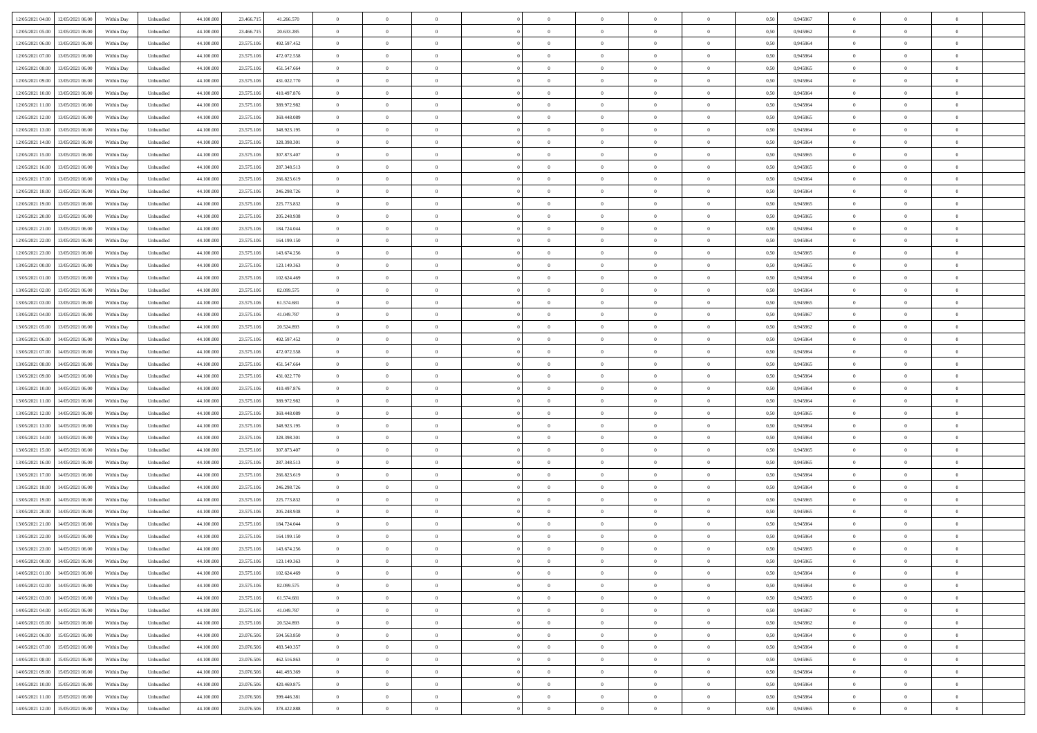| 12/05/2021 04:00 12/05/2021 06:00            | Within Day | Unbundled                   | 44.100.000 | 23.466.715 | 41.266.570  | $\overline{0}$ | $\theta$       |                | $\overline{0}$ | $\theta$       |                | $\theta$       | 0,50 | 0,945967 | $\theta$       | $\theta$       | $\overline{0}$ |  |
|----------------------------------------------|------------|-----------------------------|------------|------------|-------------|----------------|----------------|----------------|----------------|----------------|----------------|----------------|------|----------|----------------|----------------|----------------|--|
| 12/05/2021 05:00<br>12/05/2021 06:00         | Within Day | Unbundled                   | 44.100.00  | 23.466.71  | 20.633.285  | $\bf{0}$       | $\overline{0}$ | $\bf{0}$       | $\overline{0}$ | $\overline{0}$ | $\overline{0}$ | $\bf{0}$       | 0,50 | 0,945962 | $\,$ 0 $\,$    | $\bf{0}$       | $\overline{0}$ |  |
| 12/05/2021 06:00<br>13/05/2021 06:00         | Within Day | Unbundled                   | 44,100,000 | 23.575.106 | 492.597.452 | $\overline{0}$ | $\bf{0}$       | $\overline{0}$ | $\bf{0}$       | $\bf{0}$       | $\overline{0}$ | $\bf{0}$       | 0.50 | 0.945964 | $\bf{0}$       | $\overline{0}$ | $\overline{0}$ |  |
| 12/05/2021 07:00<br>13/05/2021 06:00         |            |                             | 44.100.000 |            |             | $\overline{0}$ | $\overline{0}$ | $\overline{0}$ | $\theta$       | $\theta$       | $\overline{0}$ | $\bf{0}$       |      |          | $\theta$       | $\theta$       | $\overline{0}$ |  |
|                                              | Within Day | Unbundled                   |            | 23.575.106 | 472.072.558 |                |                |                |                |                |                |                | 0,50 | 0,945964 |                |                |                |  |
| 12/05/2021 08:00<br>13/05/2021 06:00         | Within Day | Unbundled                   | 44.100.00  | 23.575.10  | 451.547.664 | $\bf{0}$       | $\overline{0}$ | $\bf{0}$       | $\overline{0}$ | $\theta$       | $\overline{0}$ | $\bf{0}$       | 0,50 | 0,945965 | $\bf{0}$       | $\bf{0}$       | $\overline{0}$ |  |
| 12/05/2021 09:00<br>13/05/2021 06:00         | Within Day | Unbundled                   | 44,100,000 | 23.575.10  | 431.022.770 | $\overline{0}$ | $\overline{0}$ | $\overline{0}$ | $\bf{0}$       | $\overline{0}$ | $\theta$       | $\bf{0}$       | 0.50 | 0.945964 | $\bf{0}$       | $\theta$       | $\overline{0}$ |  |
| 12/05/2021 10:00<br>13/05/2021 06:00         | Within Day | Unbundled                   | 44.100.000 | 23.575.106 | 410.497.876 | $\overline{0}$ | $\overline{0}$ | $\overline{0}$ | $\overline{0}$ | $\theta$       | $\overline{0}$ | $\bf{0}$       | 0,50 | 0,945964 | $\theta$       | $\theta$       | $\overline{0}$ |  |
|                                              |            |                             |            |            |             |                |                |                |                |                |                |                |      |          |                |                |                |  |
| 12/05/2021 11:00<br>13/05/2021 06:00         | Within Day | Unbundled                   | 44.100.00  | 23.575.10  | 389.972.982 | $\bf{0}$       | $\overline{0}$ | $\bf{0}$       | $\overline{0}$ | $\theta$       | $\overline{0}$ | $\bf{0}$       | 0,50 | 0,945964 | $\,$ 0 $\,$    | $\bf{0}$       | $\overline{0}$ |  |
| 12/05/2021 12:00<br>13/05/2021 06:00         | Within Day | Unbundled                   | 44,100,00  | 23.575.10  | 369,448,089 | $\overline{0}$ | $\bf{0}$       | $\overline{0}$ | $\bf{0}$       | $\overline{0}$ | $\overline{0}$ | $\bf{0}$       | 0.50 | 0.945965 | $\bf{0}$       | $\overline{0}$ | $\overline{0}$ |  |
| 12/05/2021 13:00<br>13/05/2021 06:00         | Within Day | Unbundled                   | 44.100.000 | 23.575.106 | 348.923.195 | $\bf{0}$       | $\bf{0}$       | $\overline{0}$ | $\overline{0}$ | $\overline{0}$ | $\overline{0}$ | $\bf{0}$       | 0,50 | 0,945964 | $\,$ 0 $\,$    | $\bf{0}$       | $\overline{0}$ |  |
| 12/05/2021 14:00<br>13/05/2021 06:00         | Within Day | Unbundled                   | 44.100.00  | 23.575.10  | 328.398.301 | $\bf{0}$       | $\overline{0}$ | $\bf{0}$       | $\bf{0}$       | $\bf{0}$       | $\overline{0}$ | $\bf{0}$       | 0,50 | 0,945964 | $\,$ 0 $\,$    | $\bf{0}$       | $\overline{0}$ |  |
|                                              |            |                             |            |            |             |                |                |                |                |                |                |                |      |          |                |                |                |  |
| 12/05/2021 15:00<br>13/05/2021 06:00         | Within Day | Unbundled                   | 44,100,000 | 23,575,10  | 307.873.407 | $\overline{0}$ | $\bf{0}$       | $\overline{0}$ | $\bf{0}$       | $\bf{0}$       | $\overline{0}$ | $\bf{0}$       | 0.50 | 0.945965 | $\bf{0}$       | $\overline{0}$ | $\bf{0}$       |  |
| 12/05/2021 16:00<br>13/05/2021 06:00         | Within Day | Unbundled                   | 44.100.000 | 23.575.106 | 287.348.513 | $\overline{0}$ | $\overline{0}$ | $\overline{0}$ | $\overline{0}$ | $\theta$       | $\overline{0}$ | $\bf{0}$       | 0,50 | 0,945965 | $\,$ 0 $\,$    | $\theta$       | $\overline{0}$ |  |
| 12/05/2021 17:00<br>13/05/2021 06:00         | Within Day | Unbundled                   | 44.100.00  | 23.575.10  | 266.823.619 | $\bf{0}$       | $\overline{0}$ | $\bf{0}$       | $\overline{0}$ | $\theta$       | $\overline{0}$ | $\bf{0}$       | 0,50 | 0,945964 | $\,$ 0 $\,$    | $\bf{0}$       | $\overline{0}$ |  |
|                                              |            |                             |            |            |             |                |                |                |                |                | $\theta$       |                |      |          |                |                |                |  |
| 12/05/2021 18:00<br>13/05/2021 06:00         | Within Day | Unbundled                   | 44,100,00  | 23.575.10  | 246.298.726 | $\overline{0}$ | $\overline{0}$ | $\overline{0}$ | $\bf{0}$       | $\overline{0}$ |                | $\bf{0}$       | 0.50 | 0.945964 | $\theta$       | $\theta$       | $\overline{0}$ |  |
| 12/05/2021 19:00<br>13/05/2021 06:00         | Within Day | Unbundled                   | 44.100.000 | 23.575.106 | 225.773.832 | $\overline{0}$ | $\overline{0}$ | $\overline{0}$ | $\overline{0}$ | $\overline{0}$ | $\overline{0}$ | $\bf{0}$       | 0,50 | 0,945965 | $\theta$       | $\theta$       | $\overline{0}$ |  |
| 12/05/2021 20:00<br>13/05/2021 06:00         | Within Day | Unbundled                   | 44.100.00  | 23.575.10  | 205.248.938 | $\bf{0}$       | $\overline{0}$ | $\overline{0}$ | $\overline{0}$ | $\bf{0}$       | $\overline{0}$ | $\bf{0}$       | 0,50 | 0,945965 | $\,$ 0 $\,$    | $\bf{0}$       | $\overline{0}$ |  |
| 12/05/2021 21:00<br>13/05/2021 06:00         | Within Day | Unbundled                   | 44,100,00  | 23.575.10  | 184.724.044 | $\overline{0}$ | $\bf{0}$       | $\overline{0}$ | $\bf{0}$       | $\overline{0}$ | $\overline{0}$ | $\bf{0}$       | 0.50 | 0.945964 | $\bf{0}$       | $\overline{0}$ | $\overline{0}$ |  |
| 12/05/2021 22:00<br>13/05/2021 06:00         |            |                             |            |            |             | $\overline{0}$ | $\overline{0}$ | $\overline{0}$ | $\overline{0}$ | $\overline{0}$ | $\overline{0}$ |                |      |          | $\,$ 0 $\,$    | $\bf{0}$       | $\overline{0}$ |  |
|                                              | Within Day | Unbundled                   | 44.100.000 | 23.575.106 | 164.199.150 |                |                |                |                |                |                | $\bf{0}$       | 0,50 | 0,945964 |                |                |                |  |
| 12/05/2021 23:00<br>13/05/2021 06:00         | Within Day | Unbundled                   | 44.100.00  | 23.575.10  | 143.674.256 | $\bf{0}$       | $\bf{0}$       | $\bf{0}$       | $\bf{0}$       | $\overline{0}$ | $\overline{0}$ | $\bf{0}$       | 0,50 | 0,945965 | $\,$ 0 $\,$    | $\bf{0}$       | $\overline{0}$ |  |
| 13/05/2021 00:00<br>13/05/2021 06:00         | Within Day | Unbundled                   | 44,100,000 | 23.575.106 | 123.149.363 | $\overline{0}$ | $\bf{0}$       | $\overline{0}$ | $\bf{0}$       | $\bf{0}$       | $\overline{0}$ | $\bf{0}$       | 0.50 | 0.945965 | $\bf{0}$       | $\overline{0}$ | $\bf{0}$       |  |
| 13/05/2021 01:00<br>13/05/2021 06:00         | Within Day | Unbundled                   | 44.100.000 | 23.575.106 | 102.624.469 | $\overline{0}$ | $\overline{0}$ | $\overline{0}$ | $\theta$       | $\theta$       | $\overline{0}$ | $\bf{0}$       | 0,50 | 0,945964 | $\theta$       | $\theta$       | $\overline{0}$ |  |
| 13/05/2021 06:00                             | Within Day | Unbundled                   | 44.100.00  | 23.575.10  | 82.099.575  | $\bf{0}$       | $\overline{0}$ | $\bf{0}$       | $\bf{0}$       | $\bf{0}$       | $\overline{0}$ | $\bf{0}$       | 0,50 | 0,945964 | $\,$ 0 $\,$    | $\bf{0}$       | $\overline{0}$ |  |
| 13/05/2021 02:00                             |            |                             |            |            |             |                |                |                |                |                |                |                |      |          |                |                |                |  |
| 13/05/2021 03:00<br>13/05/2021 06:00         | Within Day | Unbundled                   | 44,100,00  | 23.575.10  | 61.574.681  | $\overline{0}$ | $\overline{0}$ | $\overline{0}$ | $\overline{0}$ | $\overline{0}$ | $\theta$       | $\bf{0}$       | 0.50 | 0.945965 | $\bf{0}$       | $\theta$       | $\overline{0}$ |  |
| 13/05/2021 04:00<br>13/05/2021 06:00         | Within Day | Unbundled                   | 44.100.000 | 23.575.106 | 41.049.787  | $\overline{0}$ | $\overline{0}$ | $\overline{0}$ | $\overline{0}$ | $\overline{0}$ | $\overline{0}$ | $\bf{0}$       | 0,50 | 0,945967 | $\theta$       | $\theta$       | $\overline{0}$ |  |
| 13/05/2021 05:00<br>13/05/2021 06:00         | Within Day | Unbundled                   | 44.100.00  | 23.575.10  | 20.524.893  | $\bf{0}$       | $\theta$       | $\bf{0}$       | $\overline{0}$ | $\theta$       | $\overline{0}$ | $\bf{0}$       | 0,50 | 0,945962 | $\,$ 0 $\,$    | $\bf{0}$       | $\overline{0}$ |  |
| 13/05/2021 06:00<br>14/05/2021 06:00         |            | Unbundled                   | 44,100,00  | 23.575.10  | 492.597.452 | $\overline{0}$ | $\bf{0}$       | $\overline{0}$ |                | $\overline{0}$ | $\overline{0}$ |                | 0.50 | 0.945964 | $\bf{0}$       | $\overline{0}$ | $\overline{0}$ |  |
|                                              | Within Day |                             |            |            |             |                |                |                | $\bf{0}$       |                |                | $\bf{0}$       |      |          |                |                |                |  |
| 13/05/2021 07:00<br>14/05/2021 06:00         | Within Day | Unbundled                   | 44.100.000 | 23.575.106 | 472.072.558 | $\overline{0}$ | $\overline{0}$ | $\overline{0}$ | $\overline{0}$ | $\overline{0}$ | $\overline{0}$ | $\bf{0}$       | 0,50 | 0,945964 | $\theta$       | $\theta$       | $\overline{0}$ |  |
| 13/05/2021 08:00<br>14/05/2021 06.00         | Within Day | Unbundled                   | 44.100.00  | 23.575.10  | 451.547.664 | $\bf{0}$       | $\bf{0}$       | $\bf{0}$       | $\bf{0}$       | $\overline{0}$ | $\overline{0}$ | $\bf{0}$       | 0,50 | 0,945965 | $\,$ 0 $\,$    | $\bf{0}$       | $\overline{0}$ |  |
| 13/05/2021 09:00<br>14/05/2021 06:00         | Within Day | Unbundled                   | 44,100,000 | 23.575.10  | 431.022.770 | $\overline{0}$ | $\bf{0}$       | $\overline{0}$ | $\bf{0}$       | $\bf{0}$       | $\overline{0}$ | $\bf{0}$       | 0.50 | 0.945964 | $\bf{0}$       | $\overline{0}$ | $\bf{0}$       |  |
| 13/05/2021 10:00<br>14/05/2021 06:00         | Within Day | Unbundled                   | 44.100.000 | 23.575.106 | 410.497.876 | $\overline{0}$ | $\overline{0}$ | $\overline{0}$ | $\overline{0}$ | $\overline{0}$ | $\overline{0}$ | $\bf{0}$       | 0.5( | 0.945964 | $\theta$       | $\theta$       | $\overline{0}$ |  |
|                                              |            |                             |            |            |             |                |                |                |                |                |                |                |      |          |                |                |                |  |
| 13/05/2021 11:00<br>14/05/2021 06.00         | Within Day | Unbundled                   | 44.100.00  | 23.575.10  | 389.972.982 | $\bf{0}$       | $\overline{0}$ | $\bf{0}$       | $\bf{0}$       | $\overline{0}$ | $\overline{0}$ | $\bf{0}$       | 0,50 | 0,945964 | $\,$ 0 $\,$    | $\bf{0}$       | $\overline{0}$ |  |
| 13/05/2021 12:00<br>14/05/2021 06:00         | Within Day | Unbundled                   | 44,100,00  | 23.575.10  | 369,448,089 | $\overline{0}$ | $\overline{0}$ | $\overline{0}$ | $\bf{0}$       | $\overline{0}$ | $\Omega$       | $\bf{0}$       | 0.50 | 0.945965 | $\,$ 0 $\,$    | $\theta$       | $\overline{0}$ |  |
| 13/05/2021 13:00<br>14/05/2021 06:00         | Within Dav | Unbundled                   | 44.100.000 | 23.575.106 | 348.923.195 | $\overline{0}$ | $\overline{0}$ | $\overline{0}$ | $\overline{0}$ | $\overline{0}$ | $\overline{0}$ | $\overline{0}$ | 0.50 | 0,945964 | $\theta$       | $\theta$       | $\overline{0}$ |  |
| 13/05/2021 14:00<br>14/05/2021 06.00         | Within Day | Unbundled                   | 44.100.00  | 23.575.10  | 328.398.301 | $\bf{0}$       | $\overline{0}$ | $\bf{0}$       | $\overline{0}$ | $\bf{0}$       | $\overline{0}$ | $\bf{0}$       | 0,50 | 0,945964 | $\,$ 0 $\,$    | $\bf{0}$       | $\overline{0}$ |  |
|                                              |            |                             |            |            |             |                |                |                |                |                |                |                |      |          |                |                |                |  |
| 13/05/2021 15:00<br>14/05/2021 06:00         | Within Day | Unbundled                   | 44,100,00  | 23.575.10  | 307.873.407 | $\overline{0}$ | $\bf{0}$       | $\overline{0}$ | $\bf{0}$       | $\overline{0}$ | $\overline{0}$ | $\bf{0}$       | 0.50 | 0.945965 | $\bf{0}$       | $\overline{0}$ | $\overline{0}$ |  |
| 13/05/2021 16:00<br>14/05/2021 06:00         | Within Dav | Unbundled                   | 44.100.000 | 23.575.106 | 287.348.513 | $\overline{0}$ | $\overline{0}$ | $\overline{0}$ | $\overline{0}$ | $\overline{0}$ | $\overline{0}$ | $\overline{0}$ | 0.50 | 0,945965 | $\theta$       | $\theta$       | $\overline{0}$ |  |
| 13/05/2021 17:00<br>14/05/2021 06.00         | Within Day | Unbundled                   | 44.100.00  | 23.575.10  | 266.823.619 | $\bf{0}$       | $\bf{0}$       | $\bf{0}$       | $\bf{0}$       | $\overline{0}$ | $\overline{0}$ | $\bf{0}$       | 0,50 | 0,945964 | $\,$ 0 $\,$    | $\bf{0}$       | $\overline{0}$ |  |
| 13/05/2021 18:00<br>14/05/2021 06:00         | Within Day | Unbundled                   | 44,100,000 | 23.575.106 | 246.298.726 | $\overline{0}$ | $\bf{0}$       | $\overline{0}$ | $\bf{0}$       | $\bf{0}$       | $\overline{0}$ | $\bf{0}$       | 0.50 | 0.945964 | $\bf{0}$       | $\overline{0}$ | $\overline{0}$ |  |
|                                              |            |                             |            |            |             |                |                |                |                |                |                |                |      |          |                |                |                |  |
| 13/05/2021 19:00<br>14/05/2021 06:00         | Within Dav | Unbundled                   | 44.100.000 | 23.575.106 | 225.773.832 | $\overline{0}$ | $\overline{0}$ | $\overline{0}$ | $\overline{0}$ | $\theta$       | $\overline{0}$ | $\bf{0}$       | 0.50 | 0.945965 | $\theta$       | $\theta$       | $\overline{0}$ |  |
| 13/05/2021 20:00<br>14/05/2021 06.00         | Within Day | Unbundled                   | 44.100.00  | 23.575.10  | 205.248.938 | $\bf{0}$       | $\overline{0}$ | $\bf{0}$       | $\bf{0}$       | $\overline{0}$ | $\overline{0}$ | $\bf{0}$       | 0,50 | 0,945965 | $\,$ 0 $\,$    | $\bf{0}$       | $\overline{0}$ |  |
| 13/05/2021 21:00<br>14/05/2021 06:00         | Within Day | Unbundled                   | 44,100,00  | 23.575.10  | 184.724.044 | $\overline{0}$ | $\overline{0}$ | $\overline{0}$ | $\bf{0}$       | $\overline{0}$ | $\Omega$       | $\bf{0}$       | 0.50 | 0.945964 | $\,$ 0 $\,$    | $\theta$       | $\overline{0}$ |  |
| 13/05/2021 22:00<br>14/05/2021 06:00         | Within Dav | Unbundled                   | 44.100.000 | 23.575.106 | 164.199.150 | $\overline{0}$ | $\overline{0}$ | $\Omega$       | $\overline{0}$ | $\theta$       | $\overline{0}$ | $\overline{0}$ | 0.5( | 0,945964 | $\theta$       | $\theta$       | $\overline{0}$ |  |
| 13/05/2021 23:00<br>14/05/2021 06:00         | Within Day | Unbundled                   | 44.100.000 | 23.575.10  | 143.674.256 | $\bf{0}$       | $\bf{0}$       | $\bf{0}$       | $\bf{0}$       | $\bf{0}$       | $\overline{0}$ | $\bf{0}$       | 0,50 | 0,945965 | $\,$ 0 $\,$    | $\bf{0}$       | $\overline{0}$ |  |
|                                              |            |                             |            |            |             |                |                |                |                |                |                |                |      |          |                |                |                |  |
| $14/05/2021\ 00.00 \qquad 14/05/2021\ 06.00$ | Within Day | $\ensuremath{\mathsf{Unb}}$ | 44.100.000 | 23.575.106 | 123.149.363 | $\overline{0}$ | $\theta$       |                | $\Omega$       |                |                |                | 0,50 | 0.945965 | $\theta$       | $\overline{0}$ |                |  |
| 14/05/2021 01:00 14/05/2021 06:00            | Within Day | Unbundled                   | 44.100.000 | 23.575.106 | 102.624.469 | $\overline{0}$ | $\theta$       | $\Omega$       | $\theta$       | $\overline{0}$ | $\overline{0}$ | $\bf{0}$       | 0,50 | 0,945964 | $\theta$       | $\theta$       | $\overline{0}$ |  |
| 14/05/2021 02:00<br>14/05/2021 06:00         | Within Day | Unbundled                   | 44.100.00  | 23.575.10  | 82.099.575  | $\overline{0}$ | $\bf{0}$       | $\overline{0}$ | $\overline{0}$ | $\bf{0}$       | $\overline{0}$ | $\bf{0}$       | 0,50 | 0,945964 | $\bf{0}$       | $\overline{0}$ | $\bf{0}$       |  |
|                                              |            |                             | 44,100,000 |            | 61.574.681  |                |                |                |                |                | $\overline{0}$ |                | 0.50 | 0.945965 |                |                |                |  |
| 14/05/2021 03:00 14/05/2021 06:00            | Within Day | Unbundled                   |            | 23.575.106 |             | $\overline{0}$ | $\bf{0}$       | $\overline{0}$ | $\overline{0}$ | $\overline{0}$ |                | $\bf{0}$       |      |          | $\mathbf{0}$   | $\bf{0}$       | $\,$ 0 $\,$    |  |
| 14/05/2021 04:00 14/05/2021 06:00            | Within Dav | Unbundled                   | 44.100.000 | 23.575.106 | 41.049.787  | $\overline{0}$ | $\overline{0}$ | $\overline{0}$ | $\overline{0}$ | $\overline{0}$ | $\overline{0}$ | $\bf{0}$       | 0,50 | 0,945967 | $\theta$       | $\theta$       | $\overline{0}$ |  |
| 14/05/2021 05:00<br>14/05/2021 06:00         | Within Day | Unbundled                   | 44.100.000 | 23.575.106 | 20.524.893  | $\overline{0}$ | $\bf{0}$       | $\overline{0}$ | $\bf{0}$       | $\overline{0}$ | $\overline{0}$ | $\bf{0}$       | 0,50 | 0,945962 | $\overline{0}$ | $\bf{0}$       | $\overline{0}$ |  |
| 14/05/2021 06:00<br>15/05/2021 06:00         | Within Day | Unbundled                   | 44,100,000 | 23,076,506 | 504.563.850 | $\overline{0}$ | $\bf{0}$       | $\overline{0}$ | $\overline{0}$ | $\overline{0}$ | $\overline{0}$ | $\bf{0}$       | 0.50 | 0.945964 | $\,$ 0 $\,$    | $\theta$       | $\overline{0}$ |  |
| 14/05/2021 07:00<br>15/05/2021 06:00         | Within Dav | Unbundled                   | 44.100.000 | 23.076.506 | 483.540.357 | $\overline{0}$ | $\overline{0}$ | $\overline{0}$ | $\overline{0}$ | $\overline{0}$ | $\overline{0}$ | $\bf{0}$       | 0.50 | 0,945964 | $\overline{0}$ | $\theta$       | $\overline{0}$ |  |
|                                              |            |                             |            |            |             |                |                |                |                |                |                |                |      |          |                |                |                |  |
| 14/05/2021 08:00<br>15/05/2021 06:00         | Within Day | Unbundled                   | 44.100.00  | 23.076.506 | 462.516.863 | $\overline{0}$ | $\overline{0}$ | $\overline{0}$ | $\overline{0}$ | $\bf{0}$       | $\overline{0}$ | $\bf{0}$       | 0,50 | 0,945965 | $\bf{0}$       | $\overline{0}$ | $\overline{0}$ |  |
| 15/05/2021 06:00<br>14/05/2021 09:00         | Within Day | Unbundled                   | 44,100,000 | 23,076,506 | 441.493.369 | $\overline{0}$ | $\overline{0}$ | $\overline{0}$ | $\overline{0}$ | $\bf{0}$       | $\overline{0}$ | $\bf{0}$       | 0.50 | 0.945964 | $\overline{0}$ | $\,$ 0 $\,$    | $\,$ 0         |  |
| 14/05/2021 10:00<br>15/05/2021 06:00         | Within Dav | Unbundled                   | 44.100.000 | 23.076.506 | 420.469.875 | $\overline{0}$ | $\overline{0}$ | $\overline{0}$ | $\overline{0}$ | $\overline{0}$ | $\overline{0}$ | $\bf{0}$       | 0,50 | 0,945964 | $\overline{0}$ | $\theta$       | $\overline{0}$ |  |
|                                              |            |                             |            |            |             |                |                |                |                |                |                |                |      |          |                |                |                |  |
| 14/05/2021 11:00<br>15/05/2021 06:00         | Within Day | Unbundled                   | 44.100.00  | 23.076.506 | 399.446.381 | $\overline{0}$ | $\bf{0}$       | $\overline{0}$ | $\bf{0}$       | $\overline{0}$ | $\bf{0}$       | $\bf{0}$       | 0,50 | 0,945964 | $\bf{0}$       | $\bf{0}$       | $\overline{0}$ |  |
| 14/05/2021 12:00 15/05/2021 06:00            | Within Day | Unbundled                   | 44.100.000 | 23.076.506 | 378.422.888 | $\overline{0}$ | $\bf{0}$       | $\overline{0}$ | $\overline{0}$ | $\,$ 0 $\,$    | $\overline{0}$ | $\bf{0}$       | 0,50 | 0,945965 | $\overline{0}$ | $\,$ 0 $\,$    | $\,$ 0 $\,$    |  |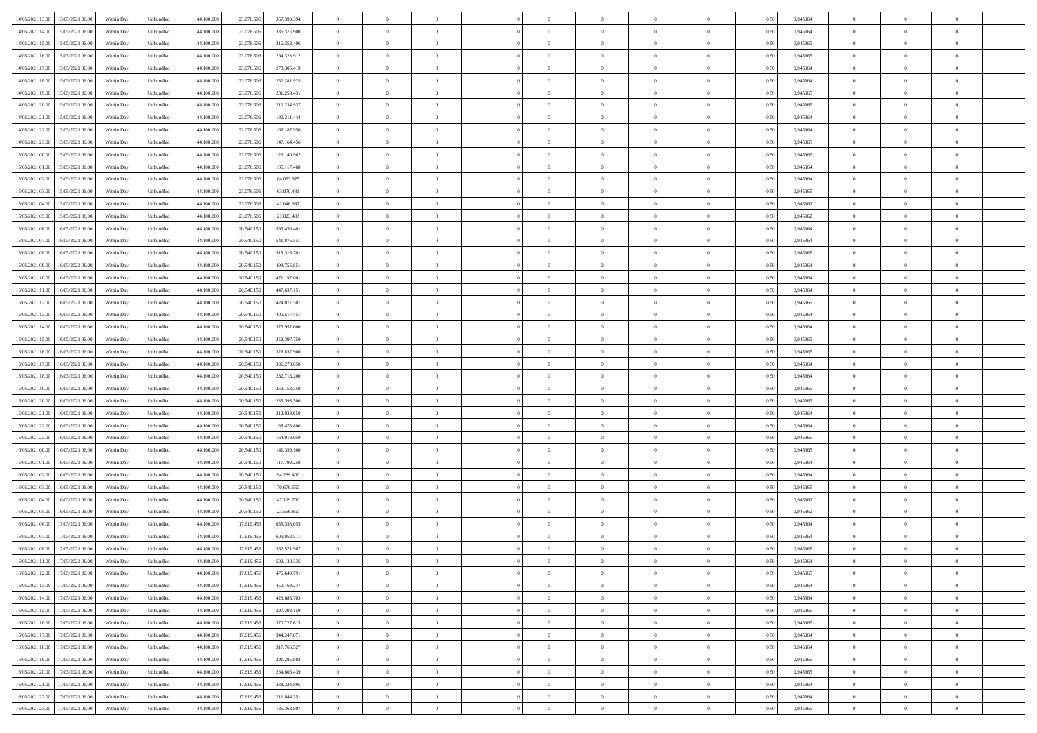| 14/05/2021 13:00 15/05/2021 06:00<br>44.100.000<br>357.399.394<br>0,945964<br>Within Day<br>Unbundled<br>23.076.506<br>$\overline{0}$<br>$\overline{0}$<br>$\overline{0}$<br>$\theta$<br>$\theta$<br>0,50<br>$\theta$<br>14/05/2021 14:00<br>15/05/2021 06:00<br>Within Day<br>Unbundled<br>44.100.00<br>23.076.50<br>336.375.900<br>$\overline{0}$<br>$\bf{0}$<br>$\overline{0}$<br>$\bf{0}$<br>0,50<br>0,945964<br>$\,$ 0 $\,$<br>$\bf{0}$<br>$\bf{0}$<br>$\overline{0}$<br>14/05/2021 15:00<br>15/05/2021 06:00<br>Unbundled<br>44,100,000<br>23.076.506<br>315.352.406<br>$\overline{0}$<br>$\bf{0}$<br>$\bf{0}$<br>$\overline{0}$<br>$\bf{0}$<br>0.945965<br>$\bf{0}$<br>Within Day<br>$\overline{0}$<br>$\bf{0}$<br>0.50<br>14/05/2021 16:00<br>15/05/2021 06:00<br>44.100.000<br>$\overline{0}$<br>$\theta$<br>Within Day<br>Unbundled<br>23.076.506<br>294.328.912<br>$\overline{0}$<br>$\overline{0}$<br>$\theta$<br>$\theta$<br>$\overline{0}$<br>$\bf{0}$<br>0,50<br>0,945965<br>14/05/2021 17:00<br>15/05/2021 06:00<br>Within Day<br>Unbundled<br>44.100.00<br>23.076.50<br>273.305.419<br>$\bf{0}$<br>0,50<br>0,945964<br>$\bf{0}$<br>$\overline{0}$<br>$\bf{0}$<br>$\overline{0}$<br>$\theta$<br>$\overline{0}$<br>$\bf{0}$<br>14/05/2021 18:00<br>15/05/2021 06:00<br>44,100,000<br>23,076,50<br>252.281.925<br>$\overline{0}$<br>$\theta$<br>$\bf{0}$<br>Within Day<br>Unbundled<br>$\overline{0}$<br>$\overline{0}$<br>$\overline{0}$<br>$\bf{0}$<br>0.50<br>0.945964<br>$\bf{0}$<br>14/05/2021 19:00<br>15/05/2021 06:00<br>Within Day<br>Unbundled<br>44.100.000<br>23.076.506<br>231.258.431<br>$\overline{0}$<br>$\overline{0}$<br>$\overline{0}$<br>$\overline{0}$<br>$\theta$<br>$\overline{0}$<br>$\bf{0}$<br>0,50<br>0,945965<br>$\theta$<br>14/05/2021 20:00<br>15/05/2021 06:00<br>Within Day<br>Unbundled<br>44.100.00<br>23.076.50<br>210.234.937<br>$\overline{0}$<br>$\theta$<br>$\overline{0}$<br>$\bf{0}$<br>0,50<br>0,945965<br>$\,$ 0 $\,$<br>$\bf{0}$<br>$\overline{0}$<br>$\overline{0}$<br>14/05/2021 21:00<br>15/05/2021 06:00<br>Unbundled<br>44,100,00<br>23.076.50<br>189.211.444<br>$\overline{0}$<br>$\bf{0}$<br>$\overline{0}$<br>$\overline{0}$<br>$\bf{0}$<br>$\bf{0}$<br>Within Day<br>$\overline{0}$<br>$\bf{0}$<br>0.50<br>0.945964<br>14/05/2021 22:00<br>15/05/2021 06:00<br>Within Day<br>Unbundled<br>44.100.000<br>23.076.506<br>168.187.950<br>$\overline{0}$<br>$\bf{0}$<br>$\overline{0}$<br>$\overline{0}$<br>$\theta$<br>$\overline{0}$<br>$\bf{0}$<br>0,50<br>0,945964<br>$\,$ 0 $\,$ | $\theta$<br>$\bf{0}$<br>$\overline{0}$<br>$\theta$<br>$\bf{0}$<br>$\theta$<br>$\theta$<br>$\bf{0}$ | $\overline{0}$<br>$\overline{0}$<br>$\overline{0}$<br>$\overline{0}$<br>$\overline{0}$ |  |
|-----------------------------------------------------------------------------------------------------------------------------------------------------------------------------------------------------------------------------------------------------------------------------------------------------------------------------------------------------------------------------------------------------------------------------------------------------------------------------------------------------------------------------------------------------------------------------------------------------------------------------------------------------------------------------------------------------------------------------------------------------------------------------------------------------------------------------------------------------------------------------------------------------------------------------------------------------------------------------------------------------------------------------------------------------------------------------------------------------------------------------------------------------------------------------------------------------------------------------------------------------------------------------------------------------------------------------------------------------------------------------------------------------------------------------------------------------------------------------------------------------------------------------------------------------------------------------------------------------------------------------------------------------------------------------------------------------------------------------------------------------------------------------------------------------------------------------------------------------------------------------------------------------------------------------------------------------------------------------------------------------------------------------------------------------------------------------------------------------------------------------------------------------------------------------------------------------------------------------------------------------------------------------------------------------------------------------------------------------------------------------------------------------------------------------------------------------------------------------------------------------------------------------------------------------|----------------------------------------------------------------------------------------------------|----------------------------------------------------------------------------------------|--|
|                                                                                                                                                                                                                                                                                                                                                                                                                                                                                                                                                                                                                                                                                                                                                                                                                                                                                                                                                                                                                                                                                                                                                                                                                                                                                                                                                                                                                                                                                                                                                                                                                                                                                                                                                                                                                                                                                                                                                                                                                                                                                                                                                                                                                                                                                                                                                                                                                                                                                                                                                     |                                                                                                    |                                                                                        |  |
|                                                                                                                                                                                                                                                                                                                                                                                                                                                                                                                                                                                                                                                                                                                                                                                                                                                                                                                                                                                                                                                                                                                                                                                                                                                                                                                                                                                                                                                                                                                                                                                                                                                                                                                                                                                                                                                                                                                                                                                                                                                                                                                                                                                                                                                                                                                                                                                                                                                                                                                                                     |                                                                                                    |                                                                                        |  |
|                                                                                                                                                                                                                                                                                                                                                                                                                                                                                                                                                                                                                                                                                                                                                                                                                                                                                                                                                                                                                                                                                                                                                                                                                                                                                                                                                                                                                                                                                                                                                                                                                                                                                                                                                                                                                                                                                                                                                                                                                                                                                                                                                                                                                                                                                                                                                                                                                                                                                                                                                     |                                                                                                    |                                                                                        |  |
|                                                                                                                                                                                                                                                                                                                                                                                                                                                                                                                                                                                                                                                                                                                                                                                                                                                                                                                                                                                                                                                                                                                                                                                                                                                                                                                                                                                                                                                                                                                                                                                                                                                                                                                                                                                                                                                                                                                                                                                                                                                                                                                                                                                                                                                                                                                                                                                                                                                                                                                                                     |                                                                                                    |                                                                                        |  |
|                                                                                                                                                                                                                                                                                                                                                                                                                                                                                                                                                                                                                                                                                                                                                                                                                                                                                                                                                                                                                                                                                                                                                                                                                                                                                                                                                                                                                                                                                                                                                                                                                                                                                                                                                                                                                                                                                                                                                                                                                                                                                                                                                                                                                                                                                                                                                                                                                                                                                                                                                     |                                                                                                    |                                                                                        |  |
|                                                                                                                                                                                                                                                                                                                                                                                                                                                                                                                                                                                                                                                                                                                                                                                                                                                                                                                                                                                                                                                                                                                                                                                                                                                                                                                                                                                                                                                                                                                                                                                                                                                                                                                                                                                                                                                                                                                                                                                                                                                                                                                                                                                                                                                                                                                                                                                                                                                                                                                                                     |                                                                                                    |                                                                                        |  |
|                                                                                                                                                                                                                                                                                                                                                                                                                                                                                                                                                                                                                                                                                                                                                                                                                                                                                                                                                                                                                                                                                                                                                                                                                                                                                                                                                                                                                                                                                                                                                                                                                                                                                                                                                                                                                                                                                                                                                                                                                                                                                                                                                                                                                                                                                                                                                                                                                                                                                                                                                     |                                                                                                    | $\overline{0}$                                                                         |  |
|                                                                                                                                                                                                                                                                                                                                                                                                                                                                                                                                                                                                                                                                                                                                                                                                                                                                                                                                                                                                                                                                                                                                                                                                                                                                                                                                                                                                                                                                                                                                                                                                                                                                                                                                                                                                                                                                                                                                                                                                                                                                                                                                                                                                                                                                                                                                                                                                                                                                                                                                                     |                                                                                                    | $\overline{0}$                                                                         |  |
|                                                                                                                                                                                                                                                                                                                                                                                                                                                                                                                                                                                                                                                                                                                                                                                                                                                                                                                                                                                                                                                                                                                                                                                                                                                                                                                                                                                                                                                                                                                                                                                                                                                                                                                                                                                                                                                                                                                                                                                                                                                                                                                                                                                                                                                                                                                                                                                                                                                                                                                                                     |                                                                                                    |                                                                                        |  |
|                                                                                                                                                                                                                                                                                                                                                                                                                                                                                                                                                                                                                                                                                                                                                                                                                                                                                                                                                                                                                                                                                                                                                                                                                                                                                                                                                                                                                                                                                                                                                                                                                                                                                                                                                                                                                                                                                                                                                                                                                                                                                                                                                                                                                                                                                                                                                                                                                                                                                                                                                     |                                                                                                    | $\overline{0}$                                                                         |  |
|                                                                                                                                                                                                                                                                                                                                                                                                                                                                                                                                                                                                                                                                                                                                                                                                                                                                                                                                                                                                                                                                                                                                                                                                                                                                                                                                                                                                                                                                                                                                                                                                                                                                                                                                                                                                                                                                                                                                                                                                                                                                                                                                                                                                                                                                                                                                                                                                                                                                                                                                                     | $\theta$                                                                                           | $\overline{0}$                                                                         |  |
|                                                                                                                                                                                                                                                                                                                                                                                                                                                                                                                                                                                                                                                                                                                                                                                                                                                                                                                                                                                                                                                                                                                                                                                                                                                                                                                                                                                                                                                                                                                                                                                                                                                                                                                                                                                                                                                                                                                                                                                                                                                                                                                                                                                                                                                                                                                                                                                                                                                                                                                                                     | $\theta$                                                                                           | $\overline{0}$                                                                         |  |
| 14/05/2021 23:00<br>15/05/2021 06:00<br>Within Day<br>Unbundled<br>44.100.00<br>23.076.506<br>147.164.456<br>$\overline{0}$<br>$\bf{0}$<br>$\bf{0}$<br>0,50<br>0,945965<br>$\,$ 0 $\,$<br>$\bf{0}$<br>$\bf{0}$<br>$\bf{0}$<br>$\overline{0}$                                                                                                                                                                                                                                                                                                                                                                                                                                                                                                                                                                                                                                                                                                                                                                                                                                                                                                                                                                                                                                                                                                                                                                                                                                                                                                                                                                                                                                                                                                                                                                                                                                                                                                                                                                                                                                                                                                                                                                                                                                                                                                                                                                                                                                                                                                        | $\bf{0}$                                                                                           | $\overline{0}$                                                                         |  |
| 44,100,000<br>23,076,506<br>126.140.962<br>$\overline{0}$<br>0.945965                                                                                                                                                                                                                                                                                                                                                                                                                                                                                                                                                                                                                                                                                                                                                                                                                                                                                                                                                                                                                                                                                                                                                                                                                                                                                                                                                                                                                                                                                                                                                                                                                                                                                                                                                                                                                                                                                                                                                                                                                                                                                                                                                                                                                                                                                                                                                                                                                                                                               |                                                                                                    |                                                                                        |  |
| 15/05/2021 00:00<br>15/05/2021 06:00<br>Unbundled<br>$\overline{0}$<br>$\bf{0}$<br>$\bf{0}$<br>$\bf{0}$<br>$\bf{0}$<br>Within Day<br>$\overline{0}$<br>$\bf{0}$<br>0.50                                                                                                                                                                                                                                                                                                                                                                                                                                                                                                                                                                                                                                                                                                                                                                                                                                                                                                                                                                                                                                                                                                                                                                                                                                                                                                                                                                                                                                                                                                                                                                                                                                                                                                                                                                                                                                                                                                                                                                                                                                                                                                                                                                                                                                                                                                                                                                             | $\overline{0}$                                                                                     | $\overline{0}$                                                                         |  |
| 15/05/2021 01:00<br>15/05/2021 06:00<br>44.100.000<br>$\,$ 0 $\,$<br>Within Day<br>Unbundled<br>23.076.506<br>105.117.468<br>$\overline{0}$<br>$\overline{0}$<br>$\overline{0}$<br>$\overline{0}$<br>$\theta$<br>$\overline{0}$<br>$\overline{0}$<br>0,50<br>0,945964                                                                                                                                                                                                                                                                                                                                                                                                                                                                                                                                                                                                                                                                                                                                                                                                                                                                                                                                                                                                                                                                                                                                                                                                                                                                                                                                                                                                                                                                                                                                                                                                                                                                                                                                                                                                                                                                                                                                                                                                                                                                                                                                                                                                                                                                               | $\theta$                                                                                           | $\overline{0}$                                                                         |  |
| 15/05/2021 02:00<br>15/05/2021 06:00<br>Within Day<br>Unbundled<br>44.100.00<br>23.076.50<br>84.093.975<br>$\bf{0}$<br>0,50<br>0,945964<br>$\bf{0}$<br>$\theta$<br>$\bf{0}$<br>$\overline{0}$<br>$\theta$<br>$\overline{0}$<br>$\bf{0}$                                                                                                                                                                                                                                                                                                                                                                                                                                                                                                                                                                                                                                                                                                                                                                                                                                                                                                                                                                                                                                                                                                                                                                                                                                                                                                                                                                                                                                                                                                                                                                                                                                                                                                                                                                                                                                                                                                                                                                                                                                                                                                                                                                                                                                                                                                             | $\bf{0}$                                                                                           | $\overline{0}$                                                                         |  |
| 15/05/2021 03:00<br>15/05/2021 06:00<br>44,100,00<br>23,076,506<br>63.070.481<br>$\theta$<br>$\bf{0}$<br>Within Day<br>Unbundled<br>$\overline{0}$<br>$\overline{0}$<br>$\overline{0}$<br>$\bf{0}$<br>$\Omega$<br>0.50<br>0.945965<br>$\theta$                                                                                                                                                                                                                                                                                                                                                                                                                                                                                                                                                                                                                                                                                                                                                                                                                                                                                                                                                                                                                                                                                                                                                                                                                                                                                                                                                                                                                                                                                                                                                                                                                                                                                                                                                                                                                                                                                                                                                                                                                                                                                                                                                                                                                                                                                                      | $\theta$                                                                                           | $\overline{0}$                                                                         |  |
| 15/05/2021 04:00<br>15/05/2021 06:00<br>Within Day<br>Unbundled<br>44.100.000<br>23.076.506<br>42.046.987<br>$\overline{0}$<br>$\overline{0}$<br>$\overline{0}$<br>$\overline{0}$<br>$\overline{0}$<br>$\overline{0}$<br>$\bf{0}$<br>0,50<br>0,945967<br>$\theta$                                                                                                                                                                                                                                                                                                                                                                                                                                                                                                                                                                                                                                                                                                                                                                                                                                                                                                                                                                                                                                                                                                                                                                                                                                                                                                                                                                                                                                                                                                                                                                                                                                                                                                                                                                                                                                                                                                                                                                                                                                                                                                                                                                                                                                                                                   | $\theta$                                                                                           | $\overline{0}$                                                                         |  |
|                                                                                                                                                                                                                                                                                                                                                                                                                                                                                                                                                                                                                                                                                                                                                                                                                                                                                                                                                                                                                                                                                                                                                                                                                                                                                                                                                                                                                                                                                                                                                                                                                                                                                                                                                                                                                                                                                                                                                                                                                                                                                                                                                                                                                                                                                                                                                                                                                                                                                                                                                     |                                                                                                    |                                                                                        |  |
| 15/05/2021 05:00<br>15/05/2021 06:00<br>Within Day<br>Unbundled<br>44.100.00<br>23.076.50<br>21.023.493<br>$\overline{0}$<br>$\bf{0}$<br>$\overline{0}$<br>$\bf{0}$<br>0,50<br>0,945962<br>$\,$ 0 $\,$<br>$\bf{0}$<br>$\overline{0}$<br>$\overline{0}$                                                                                                                                                                                                                                                                                                                                                                                                                                                                                                                                                                                                                                                                                                                                                                                                                                                                                                                                                                                                                                                                                                                                                                                                                                                                                                                                                                                                                                                                                                                                                                                                                                                                                                                                                                                                                                                                                                                                                                                                                                                                                                                                                                                                                                                                                              | $\bf{0}$                                                                                           | $\overline{0}$                                                                         |  |
| 15/05/2021 06:00<br>16/05/2021 06:00<br>Unbundled<br>44,100,00<br>$\overline{0}$<br>$\bf{0}$<br>$\overline{0}$<br>$\overline{0}$<br>$\bf{0}$<br>$\bf{0}$<br>Within Day<br>20.540.15<br>565.436.401<br>$\overline{0}$<br>$\bf{0}$<br>0.50<br>0.945964                                                                                                                                                                                                                                                                                                                                                                                                                                                                                                                                                                                                                                                                                                                                                                                                                                                                                                                                                                                                                                                                                                                                                                                                                                                                                                                                                                                                                                                                                                                                                                                                                                                                                                                                                                                                                                                                                                                                                                                                                                                                                                                                                                                                                                                                                                | $\overline{0}$                                                                                     | $\overline{0}$                                                                         |  |
| 15/05/2021 07:00<br>16/05/2021 06:00<br>Within Day<br>Unbundled<br>44.100.000<br>20.540.150<br>541.876.551<br>$\overline{0}$<br>$\overline{0}$<br>$\overline{0}$<br>$\overline{0}$<br>$\overline{0}$<br>$\overline{0}$<br>$\bf{0}$<br>0,50<br>0,945964<br>$\,$ 0 $\,$                                                                                                                                                                                                                                                                                                                                                                                                                                                                                                                                                                                                                                                                                                                                                                                                                                                                                                                                                                                                                                                                                                                                                                                                                                                                                                                                                                                                                                                                                                                                                                                                                                                                                                                                                                                                                                                                                                                                                                                                                                                                                                                                                                                                                                                                               | $\bf{0}$                                                                                           | $\overline{0}$                                                                         |  |
| 15/05/2021 08:00<br>16/05/2021 06:00<br>Within Day<br>Unbundled<br>44.100.00<br>20.540.15<br>518.316.701<br>$\bf{0}$<br>$\overline{0}$<br>$\bf{0}$<br>$\overline{0}$<br>$\overline{0}$<br>$\bf{0}$<br>0,50<br>0,945965<br>$\,$ 0 $\,$<br>$\bf{0}$                                                                                                                                                                                                                                                                                                                                                                                                                                                                                                                                                                                                                                                                                                                                                                                                                                                                                                                                                                                                                                                                                                                                                                                                                                                                                                                                                                                                                                                                                                                                                                                                                                                                                                                                                                                                                                                                                                                                                                                                                                                                                                                                                                                                                                                                                                   | $\bf{0}$                                                                                           | $\overline{0}$                                                                         |  |
| 44,100,000<br>20.540.15<br>494,756,851<br>$\overline{0}$<br>0.945964                                                                                                                                                                                                                                                                                                                                                                                                                                                                                                                                                                                                                                                                                                                                                                                                                                                                                                                                                                                                                                                                                                                                                                                                                                                                                                                                                                                                                                                                                                                                                                                                                                                                                                                                                                                                                                                                                                                                                                                                                                                                                                                                                                                                                                                                                                                                                                                                                                                                                |                                                                                                    |                                                                                        |  |
| 15/05/2021 09:00<br>16/05/2021 06:00<br>Unbundled<br>$\overline{0}$<br>$\bf{0}$<br>$\bf{0}$<br>$\bf{0}$<br>$\bf{0}$<br>Within Day<br>$\overline{0}$<br>$\bf{0}$<br>0.50                                                                                                                                                                                                                                                                                                                                                                                                                                                                                                                                                                                                                                                                                                                                                                                                                                                                                                                                                                                                                                                                                                                                                                                                                                                                                                                                                                                                                                                                                                                                                                                                                                                                                                                                                                                                                                                                                                                                                                                                                                                                                                                                                                                                                                                                                                                                                                             | $\overline{0}$                                                                                     | $\overline{0}$                                                                         |  |
| 15/05/2021 10:00<br>16/05/2021 06:00<br>44.100.000<br>471.197.001<br>$\overline{0}$<br>$\theta$<br>Within Day<br>Unbundled<br>20.540.150<br>$\overline{0}$<br>$\overline{0}$<br>$\theta$<br>$\theta$<br>$\overline{0}$<br>$\bf{0}$<br>0,50<br>0,945964                                                                                                                                                                                                                                                                                                                                                                                                                                                                                                                                                                                                                                                                                                                                                                                                                                                                                                                                                                                                                                                                                                                                                                                                                                                                                                                                                                                                                                                                                                                                                                                                                                                                                                                                                                                                                                                                                                                                                                                                                                                                                                                                                                                                                                                                                              | $\theta$                                                                                           | $\overline{0}$                                                                         |  |
| 15/05/2021 11:00<br>16/05/2021 06:00<br>Within Day<br>Unbundled<br>44.100.00<br>20.540.15<br>447.637.151<br>$\overline{0}$<br>$\bf{0}$<br>$\bf{0}$<br>0,50<br>0,945964<br>$\,$ 0 $\,$<br>$\bf{0}$<br>$\bf{0}$<br>$\bf{0}$<br>$\overline{0}$                                                                                                                                                                                                                                                                                                                                                                                                                                                                                                                                                                                                                                                                                                                                                                                                                                                                                                                                                                                                                                                                                                                                                                                                                                                                                                                                                                                                                                                                                                                                                                                                                                                                                                                                                                                                                                                                                                                                                                                                                                                                                                                                                                                                                                                                                                         | $\bf{0}$                                                                                           | $\overline{0}$                                                                         |  |
| 15/05/2021 12:00<br>16/05/2021 06:00<br>44,100,00<br>424.077.301<br>$\overline{0}$<br>$\bf{0}$<br>Within Day<br>Unbundled<br>20.540.15<br>$\overline{0}$<br>$\overline{0}$<br>$\overline{0}$<br>$\overline{0}$<br>$\Omega$<br>0.50<br>0.945965<br>$\bf{0}$                                                                                                                                                                                                                                                                                                                                                                                                                                                                                                                                                                                                                                                                                                                                                                                                                                                                                                                                                                                                                                                                                                                                                                                                                                                                                                                                                                                                                                                                                                                                                                                                                                                                                                                                                                                                                                                                                                                                                                                                                                                                                                                                                                                                                                                                                          | $\theta$                                                                                           | $\overline{0}$                                                                         |  |
| 15/05/2021 13:00<br>16/05/2021 06:00<br>Within Day<br>Unbundled<br>44.100.000<br>20.540.150<br>400.517.451<br>$\overline{0}$<br>$\overline{0}$<br>$\overline{0}$<br>$\overline{0}$<br>$\overline{0}$<br>$\overline{0}$<br>$\bf{0}$<br>0,50<br>0,945964<br>$\theta$                                                                                                                                                                                                                                                                                                                                                                                                                                                                                                                                                                                                                                                                                                                                                                                                                                                                                                                                                                                                                                                                                                                                                                                                                                                                                                                                                                                                                                                                                                                                                                                                                                                                                                                                                                                                                                                                                                                                                                                                                                                                                                                                                                                                                                                                                  | $\theta$                                                                                           | $\overline{0}$                                                                         |  |
|                                                                                                                                                                                                                                                                                                                                                                                                                                                                                                                                                                                                                                                                                                                                                                                                                                                                                                                                                                                                                                                                                                                                                                                                                                                                                                                                                                                                                                                                                                                                                                                                                                                                                                                                                                                                                                                                                                                                                                                                                                                                                                                                                                                                                                                                                                                                                                                                                                                                                                                                                     |                                                                                                    |                                                                                        |  |
| 15/05/2021 14:00<br>16/05/2021 06:00<br>Within Day<br>Unbundled<br>44.100.00<br>20.540.15<br>376.957.600<br>$\theta$<br>$\bf{0}$<br>$\theta$<br>$\overline{0}$<br>$\bf{0}$<br>0,50<br>0,945964<br>$\,$ 0 $\,$<br>$\bf{0}$<br>$\overline{0}$                                                                                                                                                                                                                                                                                                                                                                                                                                                                                                                                                                                                                                                                                                                                                                                                                                                                                                                                                                                                                                                                                                                                                                                                                                                                                                                                                                                                                                                                                                                                                                                                                                                                                                                                                                                                                                                                                                                                                                                                                                                                                                                                                                                                                                                                                                         | $\bf{0}$                                                                                           | $\overline{0}$                                                                         |  |
| 15/05/2021 15:00<br>16/05/2021 06:00<br>Unbundled<br>44,100,00<br>353,397,750<br>$\overline{0}$<br>$\bf{0}$<br>$\overline{0}$<br>$\overline{0}$<br>$\bf{0}$<br>$\bf{0}$<br>Within Day<br>20.540.15<br>$\overline{0}$<br>$\bf{0}$<br>0.50<br>0.945965                                                                                                                                                                                                                                                                                                                                                                                                                                                                                                                                                                                                                                                                                                                                                                                                                                                                                                                                                                                                                                                                                                                                                                                                                                                                                                                                                                                                                                                                                                                                                                                                                                                                                                                                                                                                                                                                                                                                                                                                                                                                                                                                                                                                                                                                                                | $\overline{0}$                                                                                     | $\overline{0}$                                                                         |  |
| 15/05/2021 16:00<br>16/05/2021 06:00<br>44.100.000<br>Within Day<br>Unbundled<br>20.540.150<br>329.837.900<br>$\overline{0}$<br>$\overline{0}$<br>$\overline{0}$<br>$\overline{0}$<br>$\overline{0}$<br>$\overline{0}$<br>$\bf{0}$<br>0,50<br>0,945965<br>$\theta$                                                                                                                                                                                                                                                                                                                                                                                                                                                                                                                                                                                                                                                                                                                                                                                                                                                                                                                                                                                                                                                                                                                                                                                                                                                                                                                                                                                                                                                                                                                                                                                                                                                                                                                                                                                                                                                                                                                                                                                                                                                                                                                                                                                                                                                                                  | $\theta$                                                                                           | $\overline{0}$                                                                         |  |
| 15/05/2021 17:00<br>16/05/2021 06:00<br>Within Day<br>Unbundled<br>44.100.00<br>20.540.15<br>306.278.050<br>$\bf{0}$<br>$\bf{0}$<br>$\overline{0}$<br>$\overline{0}$<br>$\bf{0}$<br>0,50<br>0,945964<br>$\,$ 0 $\,$<br>$\bf{0}$<br>$\bf{0}$                                                                                                                                                                                                                                                                                                                                                                                                                                                                                                                                                                                                                                                                                                                                                                                                                                                                                                                                                                                                                                                                                                                                                                                                                                                                                                                                                                                                                                                                                                                                                                                                                                                                                                                                                                                                                                                                                                                                                                                                                                                                                                                                                                                                                                                                                                         | $\bf{0}$                                                                                           | $\overline{0}$                                                                         |  |
| 15/05/2021 18:00<br>16/05/2021 06:00<br>Unbundled<br>44,100,000<br>20.540.15<br>282.718.200<br>$\overline{0}$<br>$\bf{0}$<br>$\bf{0}$<br>$\overline{0}$<br>$\bf{0}$<br>0.945964<br>$\bf{0}$<br>Within Day<br>$\overline{0}$<br>$\bf{0}$<br>0.50                                                                                                                                                                                                                                                                                                                                                                                                                                                                                                                                                                                                                                                                                                                                                                                                                                                                                                                                                                                                                                                                                                                                                                                                                                                                                                                                                                                                                                                                                                                                                                                                                                                                                                                                                                                                                                                                                                                                                                                                                                                                                                                                                                                                                                                                                                     | $\overline{0}$                                                                                     | $\overline{0}$                                                                         |  |
|                                                                                                                                                                                                                                                                                                                                                                                                                                                                                                                                                                                                                                                                                                                                                                                                                                                                                                                                                                                                                                                                                                                                                                                                                                                                                                                                                                                                                                                                                                                                                                                                                                                                                                                                                                                                                                                                                                                                                                                                                                                                                                                                                                                                                                                                                                                                                                                                                                                                                                                                                     |                                                                                                    |                                                                                        |  |
| 15/05/2021 19:00<br>16/05/2021 06:00<br>44.100.000<br>$\overline{0}$<br>$\overline{0}$<br>$\overline{0}$<br>$\bf{0}$<br>$\theta$<br>Within Day<br>Unbundled<br>20.540.15<br>259.158.350<br>$\overline{0}$<br>$\overline{0}$<br>$\overline{0}$<br>0.5(<br>0.945965                                                                                                                                                                                                                                                                                                                                                                                                                                                                                                                                                                                                                                                                                                                                                                                                                                                                                                                                                                                                                                                                                                                                                                                                                                                                                                                                                                                                                                                                                                                                                                                                                                                                                                                                                                                                                                                                                                                                                                                                                                                                                                                                                                                                                                                                                   | $\theta$                                                                                           | $\overline{0}$                                                                         |  |
| 15/05/2021 20:00<br>16/05/2021 06:00<br>Within Day<br>Unbundled<br>44.100.00<br>20.540.15<br>235.598.500<br>$\overline{0}$<br>$\overline{0}$<br>$\overline{0}$<br>$\bf{0}$<br>0,50<br>0,945965<br>$\,$ 0 $\,$<br>$\bf{0}$<br>$\bf{0}$<br>$\overline{0}$                                                                                                                                                                                                                                                                                                                                                                                                                                                                                                                                                                                                                                                                                                                                                                                                                                                                                                                                                                                                                                                                                                                                                                                                                                                                                                                                                                                                                                                                                                                                                                                                                                                                                                                                                                                                                                                                                                                                                                                                                                                                                                                                                                                                                                                                                             | $\bf{0}$                                                                                           |                                                                                        |  |
|                                                                                                                                                                                                                                                                                                                                                                                                                                                                                                                                                                                                                                                                                                                                                                                                                                                                                                                                                                                                                                                                                                                                                                                                                                                                                                                                                                                                                                                                                                                                                                                                                                                                                                                                                                                                                                                                                                                                                                                                                                                                                                                                                                                                                                                                                                                                                                                                                                                                                                                                                     |                                                                                                    | $\overline{0}$                                                                         |  |
| 15/05/2021 21:00<br>16/05/2021 06:00<br>44,100,000<br>212.038.650<br>$\bf{0}$<br>$\,$ 0 $\,$<br>Within Day<br>Unbundled<br>20.540.15<br>$\overline{0}$<br>$\overline{0}$<br>$\overline{0}$<br>$\bf{0}$<br>$\Omega$<br>$\bf{0}$<br>0.50<br>0.945964                                                                                                                                                                                                                                                                                                                                                                                                                                                                                                                                                                                                                                                                                                                                                                                                                                                                                                                                                                                                                                                                                                                                                                                                                                                                                                                                                                                                                                                                                                                                                                                                                                                                                                                                                                                                                                                                                                                                                                                                                                                                                                                                                                                                                                                                                                  | $\theta$                                                                                           | $\overline{0}$                                                                         |  |
| 15/05/2021 22:00<br>16/05/2021 06:00<br>44.100.000<br>20.540.150<br>188.478.800<br>$\overline{0}$<br>$\overline{0}$<br>0,945964<br>$\theta$<br>Within Dav<br>Unbundled<br>$\overline{0}$<br>$\overline{0}$<br>$\overline{0}$<br>$\overline{0}$<br>$\overline{0}$<br>0.50                                                                                                                                                                                                                                                                                                                                                                                                                                                                                                                                                                                                                                                                                                                                                                                                                                                                                                                                                                                                                                                                                                                                                                                                                                                                                                                                                                                                                                                                                                                                                                                                                                                                                                                                                                                                                                                                                                                                                                                                                                                                                                                                                                                                                                                                            | $\theta$                                                                                           | $\overline{0}$                                                                         |  |
|                                                                                                                                                                                                                                                                                                                                                                                                                                                                                                                                                                                                                                                                                                                                                                                                                                                                                                                                                                                                                                                                                                                                                                                                                                                                                                                                                                                                                                                                                                                                                                                                                                                                                                                                                                                                                                                                                                                                                                                                                                                                                                                                                                                                                                                                                                                                                                                                                                                                                                                                                     |                                                                                                    |                                                                                        |  |
| 15/05/2021 23:00<br>16/05/2021 06:00<br>Within Day<br>Unbundled<br>44.100.00<br>20.540.15<br>164.918.950<br>$\bf{0}$<br>$\overline{0}$<br>$\bf{0}$<br>$\bf{0}$<br>$\overline{0}$<br>$\bf{0}$<br>0,50<br>0,945965<br>$\,$ 0 $\,$<br>$\overline{0}$                                                                                                                                                                                                                                                                                                                                                                                                                                                                                                                                                                                                                                                                                                                                                                                                                                                                                                                                                                                                                                                                                                                                                                                                                                                                                                                                                                                                                                                                                                                                                                                                                                                                                                                                                                                                                                                                                                                                                                                                                                                                                                                                                                                                                                                                                                   | $\bf{0}$                                                                                           | $\overline{0}$                                                                         |  |
| 16/05/2021 00:00<br>16/05/2021 06:00<br>Unbundled<br>44,100,00<br>141.359.100<br>$\overline{0}$<br>$\bf{0}$<br>$\overline{0}$<br>$\overline{0}$<br>$\bf{0}$<br>$\bf{0}$<br>Within Day<br>20.540.15<br>$\overline{0}$<br>$\bf{0}$<br>0.50<br>0.945965                                                                                                                                                                                                                                                                                                                                                                                                                                                                                                                                                                                                                                                                                                                                                                                                                                                                                                                                                                                                                                                                                                                                                                                                                                                                                                                                                                                                                                                                                                                                                                                                                                                                                                                                                                                                                                                                                                                                                                                                                                                                                                                                                                                                                                                                                                | $\overline{0}$                                                                                     | $\overline{0}$                                                                         |  |
| 16/05/2021 01:00<br>16/05/2021 06:00<br>44.100.000<br>$\overline{0}$<br>0,945964<br>$\theta$<br>Within Dav<br>Unbundled<br>20.540.15<br>117.799.250<br>$\overline{0}$<br>$\overline{0}$<br>$\overline{0}$<br>$\overline{0}$<br>$\overline{0}$<br>$\overline{0}$<br>0.50                                                                                                                                                                                                                                                                                                                                                                                                                                                                                                                                                                                                                                                                                                                                                                                                                                                                                                                                                                                                                                                                                                                                                                                                                                                                                                                                                                                                                                                                                                                                                                                                                                                                                                                                                                                                                                                                                                                                                                                                                                                                                                                                                                                                                                                                             | $\theta$                                                                                           | $\overline{0}$                                                                         |  |
| 16/05/2021 02:00<br>16/05/2021 06:00<br>Within Day<br>Unbundled<br>44.100.00<br>20.540.15<br>94.239.400<br>$\bf{0}$<br>$\bf{0}$<br>$\bf{0}$<br>$\overline{0}$<br>$\overline{0}$<br>$\bf{0}$<br>0,50<br>0,945964<br>$\,$ 0 $\,$<br>$\bf{0}$                                                                                                                                                                                                                                                                                                                                                                                                                                                                                                                                                                                                                                                                                                                                                                                                                                                                                                                                                                                                                                                                                                                                                                                                                                                                                                                                                                                                                                                                                                                                                                                                                                                                                                                                                                                                                                                                                                                                                                                                                                                                                                                                                                                                                                                                                                          | $\bf{0}$                                                                                           | $\overline{0}$                                                                         |  |
| 16/05/2021 03:00<br>16/05/2021 06:00<br>Unbundled<br>44,100,000<br>20.540.15<br>70.679.550<br>$\overline{0}$<br>$\bf{0}$<br>$\bf{0}$<br>$\overline{0}$<br>$\bf{0}$<br>0.945965<br>$\bf{0}$<br>Within Day<br>$\overline{0}$<br>$\bf{0}$<br>0.50                                                                                                                                                                                                                                                                                                                                                                                                                                                                                                                                                                                                                                                                                                                                                                                                                                                                                                                                                                                                                                                                                                                                                                                                                                                                                                                                                                                                                                                                                                                                                                                                                                                                                                                                                                                                                                                                                                                                                                                                                                                                                                                                                                                                                                                                                                      | $\overline{0}$                                                                                     | $\overline{0}$                                                                         |  |
|                                                                                                                                                                                                                                                                                                                                                                                                                                                                                                                                                                                                                                                                                                                                                                                                                                                                                                                                                                                                                                                                                                                                                                                                                                                                                                                                                                                                                                                                                                                                                                                                                                                                                                                                                                                                                                                                                                                                                                                                                                                                                                                                                                                                                                                                                                                                                                                                                                                                                                                                                     |                                                                                                    |                                                                                        |  |
| 16/05/2021 04:00<br>16/05/2021 06:00<br>44.100.000<br>20.540.150<br>47.119.700<br>$\overline{0}$<br>$\overline{0}$<br>$\overline{0}$<br>$\bf{0}$<br>$\theta$<br>Within Dav<br>Unbundled<br>$\overline{0}$<br>$\overline{0}$<br>$\overline{0}$<br>0.50<br>0.945967                                                                                                                                                                                                                                                                                                                                                                                                                                                                                                                                                                                                                                                                                                                                                                                                                                                                                                                                                                                                                                                                                                                                                                                                                                                                                                                                                                                                                                                                                                                                                                                                                                                                                                                                                                                                                                                                                                                                                                                                                                                                                                                                                                                                                                                                                   | $\theta$                                                                                           | $\overline{0}$                                                                         |  |
| 16/05/2021 05:00<br>16/05/2021 06:00<br>Within Day<br>Unbundled<br>44.100.00<br>20.540.15<br>23.559.850<br>$\bf{0}$<br>$\overline{0}$<br>$\bf{0}$<br>$\,$ 0 $\,$<br>$\overline{0}$<br>$\bf{0}$<br>0,50<br>0,945962<br>$\,$ 0 $\,$<br>$\bf{0}$                                                                                                                                                                                                                                                                                                                                                                                                                                                                                                                                                                                                                                                                                                                                                                                                                                                                                                                                                                                                                                                                                                                                                                                                                                                                                                                                                                                                                                                                                                                                                                                                                                                                                                                                                                                                                                                                                                                                                                                                                                                                                                                                                                                                                                                                                                       | $\bf{0}$                                                                                           | $\overline{0}$                                                                         |  |
| 16/05/2021 06:00<br>17/05/2021 06.00<br>44,100,00<br>635.533.055<br>$\,$ 0 $\,$<br>Within Day<br>Unbundled<br>17.619.45<br>$\overline{0}$<br>$\overline{0}$<br>$\Omega$<br>$\overline{0}$<br>$\bf{0}$<br>$\theta$<br>$\bf{0}$<br>0.50<br>0.945964                                                                                                                                                                                                                                                                                                                                                                                                                                                                                                                                                                                                                                                                                                                                                                                                                                                                                                                                                                                                                                                                                                                                                                                                                                                                                                                                                                                                                                                                                                                                                                                                                                                                                                                                                                                                                                                                                                                                                                                                                                                                                                                                                                                                                                                                                                   | $\theta$                                                                                           | $\overline{0}$                                                                         |  |
| 16/05/2021 07:00<br>17/05/2021 06:00<br>44.100.000<br>609.052.511<br>$\overline{0}$<br>0,945964<br>$\theta$<br>Within Dav<br>Unbundled<br>17.619.45<br>$\overline{0}$<br>$\theta$<br>$\Omega$<br>$\overline{0}$<br>0.5(<br>$\Omega$<br>$\overline{0}$                                                                                                                                                                                                                                                                                                                                                                                                                                                                                                                                                                                                                                                                                                                                                                                                                                                                                                                                                                                                                                                                                                                                                                                                                                                                                                                                                                                                                                                                                                                                                                                                                                                                                                                                                                                                                                                                                                                                                                                                                                                                                                                                                                                                                                                                                               | $\theta$                                                                                           | $\overline{0}$                                                                         |  |
| 16/05/2021 08:00<br>17/05/2021 06:00<br>Within Day<br>Unbundled<br>44.100.000<br>17.619.456<br>582.571.967<br>$\bf{0}$<br>$\bf{0}$<br>$\bf{0}$<br>$\bf{0}$<br>$\overline{0}$<br>$\bf{0}$<br>0,50<br>0,945965<br>$\,$ 0 $\,$<br>$\bf{0}$                                                                                                                                                                                                                                                                                                                                                                                                                                                                                                                                                                                                                                                                                                                                                                                                                                                                                                                                                                                                                                                                                                                                                                                                                                                                                                                                                                                                                                                                                                                                                                                                                                                                                                                                                                                                                                                                                                                                                                                                                                                                                                                                                                                                                                                                                                             | $\bf{0}$                                                                                           | $\overline{0}$                                                                         |  |
|                                                                                                                                                                                                                                                                                                                                                                                                                                                                                                                                                                                                                                                                                                                                                                                                                                                                                                                                                                                                                                                                                                                                                                                                                                                                                                                                                                                                                                                                                                                                                                                                                                                                                                                                                                                                                                                                                                                                                                                                                                                                                                                                                                                                                                                                                                                                                                                                                                                                                                                                                     |                                                                                                    |                                                                                        |  |
| $16/05/2021\ 11.00 \qquad 17/05/2021\ 06.00$<br>$\ensuremath{\mathsf{Unb}}$<br>44.100.000<br>17.619.456<br>Within Day<br>503.130.335<br>0,50<br>0.945964<br>$\overline{0}$<br>$\theta$<br>$\overline{0}$<br>$\theta$                                                                                                                                                                                                                                                                                                                                                                                                                                                                                                                                                                                                                                                                                                                                                                                                                                                                                                                                                                                                                                                                                                                                                                                                                                                                                                                                                                                                                                                                                                                                                                                                                                                                                                                                                                                                                                                                                                                                                                                                                                                                                                                                                                                                                                                                                                                                | $\overline{0}$                                                                                     |                                                                                        |  |
| 16/05/2021 12:00 17/05/2021 06:00<br>Within Day<br>Unbundled<br>44.100.000<br>17.619.456<br>476.649.791<br>$\overline{0}$<br>$\theta$<br>$\theta$<br>$\overline{0}$<br>$\overline{0}$<br>$\bf{0}$<br>0,50<br>0,945965<br>$\theta$<br>$\Omega$                                                                                                                                                                                                                                                                                                                                                                                                                                                                                                                                                                                                                                                                                                                                                                                                                                                                                                                                                                                                                                                                                                                                                                                                                                                                                                                                                                                                                                                                                                                                                                                                                                                                                                                                                                                                                                                                                                                                                                                                                                                                                                                                                                                                                                                                                                       | $\theta$                                                                                           | $\overline{0}$                                                                         |  |
| 16/05/2021 13:00<br>17/05/2021 06:00<br>Within Day<br>Unbundled<br>44.100.00<br>17.619.456<br>450.169.247<br>$\overline{0}$<br>$\bf{0}$<br>$\overline{0}$<br>$\overline{0}$<br>$\bf{0}$<br>$\overline{0}$<br>$\bf{0}$<br>0,50<br>0,945964<br>$\bf{0}$                                                                                                                                                                                                                                                                                                                                                                                                                                                                                                                                                                                                                                                                                                                                                                                                                                                                                                                                                                                                                                                                                                                                                                                                                                                                                                                                                                                                                                                                                                                                                                                                                                                                                                                                                                                                                                                                                                                                                                                                                                                                                                                                                                                                                                                                                               | $\overline{0}$                                                                                     | $\bf{0}$                                                                               |  |
| $\overline{0}$<br>16/05/2021 14:00 17/05/2021 06:00<br>423.688.703<br>$\overline{0}$<br>$\bf{0}$<br>$\overline{0}$<br>$\overline{0}$<br>Within Day<br>Unbundled<br>44,100,000<br>17.619.456<br>$\overline{0}$<br>$\overline{0}$<br>$\bf{0}$<br>0.50<br>0.945964                                                                                                                                                                                                                                                                                                                                                                                                                                                                                                                                                                                                                                                                                                                                                                                                                                                                                                                                                                                                                                                                                                                                                                                                                                                                                                                                                                                                                                                                                                                                                                                                                                                                                                                                                                                                                                                                                                                                                                                                                                                                                                                                                                                                                                                                                     | $\bf{0}$                                                                                           | $\,$ 0 $\,$                                                                            |  |
| 16/05/2021 15:00 17/05/2021 06:00<br>Within Day<br>Unbundled<br>44.100.000<br>17.619.456<br>397.208.159<br>$\overline{0}$<br>$\overline{0}$<br>$\overline{0}$<br>$\overline{0}$<br>$\overline{0}$<br>$\overline{0}$<br>$\bf{0}$<br>0,50<br>0,945965<br>$\theta$                                                                                                                                                                                                                                                                                                                                                                                                                                                                                                                                                                                                                                                                                                                                                                                                                                                                                                                                                                                                                                                                                                                                                                                                                                                                                                                                                                                                                                                                                                                                                                                                                                                                                                                                                                                                                                                                                                                                                                                                                                                                                                                                                                                                                                                                                     | $\theta$                                                                                           | $\overline{0}$                                                                         |  |
|                                                                                                                                                                                                                                                                                                                                                                                                                                                                                                                                                                                                                                                                                                                                                                                                                                                                                                                                                                                                                                                                                                                                                                                                                                                                                                                                                                                                                                                                                                                                                                                                                                                                                                                                                                                                                                                                                                                                                                                                                                                                                                                                                                                                                                                                                                                                                                                                                                                                                                                                                     |                                                                                                    |                                                                                        |  |
| 16/05/2021 16:00<br>17/05/2021 06:00<br>Within Day<br>Unbundled<br>44.100.000<br>17.619.456<br>370.727.615<br>$\overline{0}$<br>$\bf{0}$<br>$\overline{0}$<br>$\bf{0}$<br>$\overline{0}$<br>$\bf{0}$<br>$\bf{0}$<br>0,50<br>0,945965<br>$\overline{0}$                                                                                                                                                                                                                                                                                                                                                                                                                                                                                                                                                                                                                                                                                                                                                                                                                                                                                                                                                                                                                                                                                                                                                                                                                                                                                                                                                                                                                                                                                                                                                                                                                                                                                                                                                                                                                                                                                                                                                                                                                                                                                                                                                                                                                                                                                              | $\bf{0}$                                                                                           | $\overline{0}$                                                                         |  |
| 16/05/2021 17:00<br>17/05/2021 06:00<br>344.247.071<br>$\,$ 0 $\,$<br>Within Day<br>Unbundled<br>44,100,000<br>17.619.456<br>$\overline{0}$<br>$\bf{0}$<br>$\overline{0}$<br>$\overline{0}$<br>$\overline{0}$<br>$\bf{0}$<br>0.50<br>0.945964<br>$\overline{0}$                                                                                                                                                                                                                                                                                                                                                                                                                                                                                                                                                                                                                                                                                                                                                                                                                                                                                                                                                                                                                                                                                                                                                                                                                                                                                                                                                                                                                                                                                                                                                                                                                                                                                                                                                                                                                                                                                                                                                                                                                                                                                                                                                                                                                                                                                     | $\theta$                                                                                           | $\overline{0}$                                                                         |  |
| 16/05/2021 18:00<br>17/05/2021 06:00<br>Unbundled<br>44.100.000<br>17.619.456<br>317.766.527<br>$\overline{0}$<br>$\overline{0}$<br>$\overline{0}$<br>$\overline{0}$<br>$\overline{0}$<br>$\bf{0}$<br>0,945964<br>$\overline{0}$<br>Within Dav<br>$\overline{0}$<br>0.50                                                                                                                                                                                                                                                                                                                                                                                                                                                                                                                                                                                                                                                                                                                                                                                                                                                                                                                                                                                                                                                                                                                                                                                                                                                                                                                                                                                                                                                                                                                                                                                                                                                                                                                                                                                                                                                                                                                                                                                                                                                                                                                                                                                                                                                                            | $\theta$                                                                                           | $\overline{0}$                                                                         |  |
| $\overline{0}$<br>$\bf{0}$<br>16/05/2021 19:00<br>17/05/2021 06:00<br>Within Day<br>Unbundled<br>44.100.00<br>17.619.456<br>291.285.983<br>$\overline{0}$<br>$\overline{0}$<br>$\overline{0}$<br>$\bf{0}$<br>$\overline{0}$<br>$\bf{0}$<br>0,50<br>0,945965                                                                                                                                                                                                                                                                                                                                                                                                                                                                                                                                                                                                                                                                                                                                                                                                                                                                                                                                                                                                                                                                                                                                                                                                                                                                                                                                                                                                                                                                                                                                                                                                                                                                                                                                                                                                                                                                                                                                                                                                                                                                                                                                                                                                                                                                                         | $\overline{0}$                                                                                     | $\overline{0}$                                                                         |  |
|                                                                                                                                                                                                                                                                                                                                                                                                                                                                                                                                                                                                                                                                                                                                                                                                                                                                                                                                                                                                                                                                                                                                                                                                                                                                                                                                                                                                                                                                                                                                                                                                                                                                                                                                                                                                                                                                                                                                                                                                                                                                                                                                                                                                                                                                                                                                                                                                                                                                                                                                                     |                                                                                                    |                                                                                        |  |
| 16/05/2021 20:00<br>17/05/2021 06:00<br>$\overline{0}$<br>$\overline{0}$<br>$\overline{0}$<br>Within Day<br>Unbundled<br>44,100,000<br>17.619.456<br>264.805.439<br>$\overline{0}$<br>$\overline{0}$<br>$\bf{0}$<br>$\overline{0}$<br>$\bf{0}$<br>0.50<br>0.945965                                                                                                                                                                                                                                                                                                                                                                                                                                                                                                                                                                                                                                                                                                                                                                                                                                                                                                                                                                                                                                                                                                                                                                                                                                                                                                                                                                                                                                                                                                                                                                                                                                                                                                                                                                                                                                                                                                                                                                                                                                                                                                                                                                                                                                                                                  | $\,$ 0 $\,$                                                                                        | $\,$ 0                                                                                 |  |
| 16/05/2021 21:00<br>17/05/2021 06:00<br>Unbundled<br>44.100.000<br>17.619.456<br>238.324.895<br>$\overline{0}$<br>$\overline{0}$<br>$\overline{0}$<br>$\overline{0}$<br>$\overline{0}$<br>$\bf{0}$<br>0,50<br>0,945964<br>$\overline{0}$<br>Within Dav<br>$\overline{0}$                                                                                                                                                                                                                                                                                                                                                                                                                                                                                                                                                                                                                                                                                                                                                                                                                                                                                                                                                                                                                                                                                                                                                                                                                                                                                                                                                                                                                                                                                                                                                                                                                                                                                                                                                                                                                                                                                                                                                                                                                                                                                                                                                                                                                                                                            | $\theta$                                                                                           | $\overline{0}$                                                                         |  |
| 16/05/2021 22:00<br>17/05/2021 06:00<br>Within Day<br>Unbundled<br>44.100.00<br>17.619.456<br>211.844.351<br>$\overline{0}$<br>$\bf{0}$<br>$\overline{0}$<br>$\bf{0}$<br>$\overline{0}$<br>$\bf{0}$<br>$\bf{0}$<br>0,50<br>0,945964<br>$\bf{0}$                                                                                                                                                                                                                                                                                                                                                                                                                                                                                                                                                                                                                                                                                                                                                                                                                                                                                                                                                                                                                                                                                                                                                                                                                                                                                                                                                                                                                                                                                                                                                                                                                                                                                                                                                                                                                                                                                                                                                                                                                                                                                                                                                                                                                                                                                                     | $\bf{0}$                                                                                           | $\overline{0}$                                                                         |  |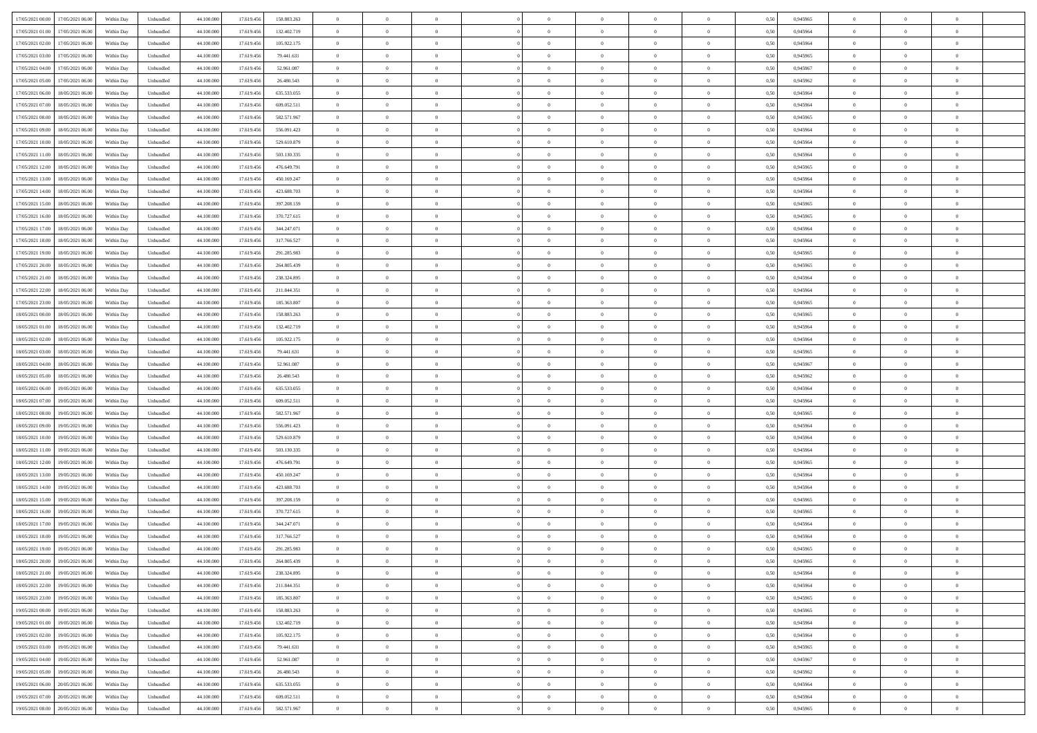| 17/05/2021 00:00 17/05/2021 06:00            | Within Day | Unbundled                   | 44.100.000 | 17.619.456 | 158.883.263   | $\overline{0}$ | $\overline{0}$ |                | $\overline{0}$ | $\theta$       |                | $\theta$       | 0,50 | 0,945965 | $\theta$       | $\theta$       | $\overline{0}$ |  |
|----------------------------------------------|------------|-----------------------------|------------|------------|---------------|----------------|----------------|----------------|----------------|----------------|----------------|----------------|------|----------|----------------|----------------|----------------|--|
| 17/05/2021 01:00<br>17/05/2021 06:00         | Within Day | Unbundled                   | 44.100.00  | 17.619.45  | 132.402.719   | $\bf{0}$       | $\overline{0}$ | $\bf{0}$       | $\overline{0}$ | $\bf{0}$       | $\overline{0}$ | $\bf{0}$       | 0,50 | 0,945964 | $\,$ 0 $\,$    | $\bf{0}$       | $\overline{0}$ |  |
| 17/05/2021 02:00<br>17/05/2021 06:00         | Within Day | Unbundled                   | 44,100,000 | 17.619.456 | 105.922.175   | $\overline{0}$ | $\bf{0}$       | $\overline{0}$ | $\bf{0}$       | $\bf{0}$       | $\overline{0}$ | $\bf{0}$       | 0.50 | 0.945964 | $\bf{0}$       | $\overline{0}$ | $\overline{0}$ |  |
| 17/05/2021 03:00<br>17/05/2021 06:00         | Within Day | Unbundled                   | 44.100.000 | 17.619.456 | 79.441.631    | $\overline{0}$ | $\overline{0}$ | $\overline{0}$ | $\theta$       | $\theta$       | $\overline{0}$ | $\bf{0}$       | 0,50 | 0,945965 | $\theta$       | $\theta$       | $\overline{0}$ |  |
| 17/05/2021 04:00<br>17/05/2021 06:00         | Within Day | Unbundled                   | 44.100.00  | 17.619.456 | 52.961.087    | $\bf{0}$       | $\theta$       | $\bf{0}$       | $\overline{0}$ | $\theta$       | $\overline{0}$ | $\bf{0}$       | 0,50 | 0,945967 | $\bf{0}$       | $\bf{0}$       | $\overline{0}$ |  |
|                                              |            |                             |            |            |               |                |                |                |                |                | $\theta$       |                |      |          |                |                |                |  |
| 17/05/2021 05:00<br>17/05/2021 06:00         | Within Day | Unbundled                   | 44,100,000 | 17.619.456 | 26,480.543    | $\overline{0}$ | $\overline{0}$ | $\overline{0}$ | $\overline{0}$ | $\overline{0}$ |                | $\bf{0}$       | 0.50 | 0.945962 | $\bf{0}$       | $\theta$       | $\overline{0}$ |  |
| 17/05/2021 06:00<br>18/05/2021 06:00         | Within Day | Unbundled                   | 44.100.000 | 17.619.456 | 635.533.055   | $\overline{0}$ | $\overline{0}$ | $\overline{0}$ | $\overline{0}$ | $\theta$       | $\overline{0}$ | $\bf{0}$       | 0,50 | 0,945964 | $\theta$       | $\theta$       | $\overline{0}$ |  |
| 17/05/2021 07:00<br>18/05/2021 06:00         | Within Day | Unbundled                   | 44.100.00  | 17.619.45  | 609.052.511   | $\bf{0}$       | $\overline{0}$ | $\overline{0}$ | $\overline{0}$ | $\theta$       | $\overline{0}$ | $\bf{0}$       | 0,50 | 0,945964 | $\,$ 0 $\,$    | $\bf{0}$       | $\overline{0}$ |  |
| 17/05/2021 08:00<br>18/05/2021 06:00         | Within Day | Unbundled                   | 44,100,00  | 17.619.456 | 582.571.967   | $\overline{0}$ | $\bf{0}$       | $\overline{0}$ | $\bf{0}$       | $\overline{0}$ | $\overline{0}$ | $\bf{0}$       | 0.50 | 0.945965 | $\bf{0}$       | $\theta$       | $\overline{0}$ |  |
| 17/05/2021 09:00<br>18/05/2021 06:00         | Within Day | Unbundled                   | 44.100.000 | 17.619.456 | 556.091.423   | $\bf{0}$       | $\bf{0}$       | $\overline{0}$ | $\overline{0}$ | $\theta$       | $\overline{0}$ | $\bf{0}$       | 0,50 | 0,945964 | $\,$ 0 $\,$    | $\theta$       | $\overline{0}$ |  |
| 17/05/2021 10:00<br>18/05/2021 06:00         | Within Day | Unbundled                   | 44.100.00  | 17.619.456 | 529.610.879   | $\bf{0}$       | $\overline{0}$ | $\bf{0}$       | $\bf{0}$       | $\bf{0}$       | $\overline{0}$ | $\bf{0}$       | 0,50 | 0,945964 | $\,$ 0 $\,$    | $\bf{0}$       | $\overline{0}$ |  |
| 17/05/2021 11:00<br>18/05/2021 06:00         | Within Day | Unbundled                   | 44,100,000 | 17.619.456 | 503.130.335   | $\overline{0}$ | $\bf{0}$       | $\overline{0}$ | $\bf{0}$       | $\bf{0}$       | $\overline{0}$ | $\bf{0}$       | 0.50 | 0.945964 | $\bf{0}$       | $\overline{0}$ | $\overline{0}$ |  |
| 17/05/2021 12:00<br>18/05/2021 06:00         | Within Day | Unbundled                   | 44.100.000 | 17.619.456 | 476.649.791   | $\overline{0}$ | $\overline{0}$ | $\overline{0}$ | $\overline{0}$ | $\theta$       | $\overline{0}$ | $\overline{0}$ | 0,50 | 0,945965 | $\,$ 0 $\,$    | $\theta$       | $\overline{0}$ |  |
|                                              |            |                             |            |            |               |                |                |                |                |                |                |                |      |          |                |                |                |  |
| 17/05/2021 13:00<br>18/05/2021 06:00         | Within Day | Unbundled                   | 44.100.00  | 17.619.45  | 450.169.247   | $\bf{0}$       | $\theta$       | $\bf{0}$       | $\overline{0}$ | $\theta$       | $\overline{0}$ | $\bf{0}$       | 0,50 | 0,945964 | $\bf{0}$       | $\bf{0}$       | $\overline{0}$ |  |
| 17/05/2021 14:00<br>18/05/2021 06:00         | Within Day | Unbundled                   | 44,100,00  | 17.619.456 | 423.688.703   | $\overline{0}$ | $\overline{0}$ | $\overline{0}$ | $\bf{0}$       | $\theta$       | $\theta$       | $\bf{0}$       | 0.50 | 0.945964 | $\theta$       | $\theta$       | $\overline{0}$ |  |
| 17/05/2021 15:00<br>18/05/2021 06:00         | Within Day | Unbundled                   | 44.100.000 | 17.619.456 | 397.208.159   | $\overline{0}$ | $\overline{0}$ | $\overline{0}$ | $\overline{0}$ | $\overline{0}$ | $\overline{0}$ | $\bf{0}$       | 0,50 | 0,945965 | $\theta$       | $\theta$       | $\overline{0}$ |  |
| 17/05/2021 16:00<br>18/05/2021 06:00         | Within Day | Unbundled                   | 44.100.00  | 17.619.456 | 370.727.615   | $\bf{0}$       | $\overline{0}$ | $\overline{0}$ | $\overline{0}$ | $\theta$       | $\overline{0}$ | $\bf{0}$       | 0,50 | 0,945965 | $\,$ 0 $\,$    | $\bf{0}$       | $\overline{0}$ |  |
| 17/05/2021 17:00<br>18/05/2021 06:00         | Within Day | Unbundled                   | 44,100,00  | 17.619.456 | 344.247.071   | $\overline{0}$ | $\bf{0}$       | $\overline{0}$ | $\bf{0}$       | $\overline{0}$ | $\overline{0}$ | $\bf{0}$       | 0.50 | 0.945964 | $\bf{0}$       | $\overline{0}$ | $\overline{0}$ |  |
| 17/05/2021 18:00<br>18/05/2021 06:00         | Within Day | Unbundled                   | 44.100.000 | 17.619.456 | 317.766.527   | $\bf{0}$       | $\overline{0}$ | $\overline{0}$ | $\overline{0}$ | $\theta$       | $\overline{0}$ | $\bf{0}$       | 0,50 | 0,945964 | $\,$ 0 $\,$    | $\theta$       | $\overline{0}$ |  |
| 17/05/2021 19:00<br>18/05/2021 06:00         | Within Day | Unbundled                   | 44.100.00  | 17.619.456 | 291.285.983   | $\bf{0}$       | $\overline{0}$ | $\bf{0}$       | $\bf{0}$       | $\overline{0}$ | $\overline{0}$ | $\bf{0}$       | 0,50 | 0,945965 | $\,$ 0 $\,$    | $\bf{0}$       | $\overline{0}$ |  |
|                                              |            |                             |            |            |               |                |                |                |                |                |                |                |      |          |                |                |                |  |
| 17/05/2021 20:00<br>18/05/2021 06:00         | Within Day | Unbundled                   | 44,100,000 | 17.619.456 | 264.805.439   | $\overline{0}$ | $\bf{0}$       | $\overline{0}$ | $\bf{0}$       | $\overline{0}$ | $\overline{0}$ | $\bf{0}$       | 0.50 | 0.945965 | $\bf{0}$       | $\overline{0}$ | $\overline{0}$ |  |
| 17/05/2021 21:00<br>18/05/2021 06:00         | Within Day | Unbundled                   | 44.100.000 | 17.619.456 | 238.324.895   | $\overline{0}$ | $\overline{0}$ | $\overline{0}$ | $\overline{0}$ | $\theta$       | $\overline{0}$ | $\bf{0}$       | 0,50 | 0,945964 | $\theta$       | $\theta$       | $\overline{0}$ |  |
| 17/05/2021 22:00<br>18/05/2021 06:00         | Within Day | Unbundled                   | 44.100.00  | 17.619.45  | 211.844.351   | $\bf{0}$       | $\overline{0}$ | $\bf{0}$       | $\bf{0}$       | $\bf{0}$       | $\overline{0}$ | $\bf{0}$       | 0,50 | 0,945964 | $\,$ 0 $\,$    | $\bf{0}$       | $\overline{0}$ |  |
| 17/05/2021 23:00<br>18/05/2021 06:00         | Within Day | Unbundled                   | 44,100,00  | 17.619.45  | 185, 363, 807 | $\overline{0}$ | $\overline{0}$ | $\overline{0}$ | $\overline{0}$ | $\overline{0}$ | $\Omega$       | $\bf{0}$       | 0.50 | 0.945965 | $\bf{0}$       | $\theta$       | $\overline{0}$ |  |
| 18/05/2021 00:00<br>18/05/2021 06:00         | Within Day | Unbundled                   | 44.100.000 | 17.619.456 | 158.883.263   | $\overline{0}$ | $\overline{0}$ | $\overline{0}$ | $\overline{0}$ | $\overline{0}$ | $\overline{0}$ | $\bf{0}$       | 0,50 | 0,945965 | $\theta$       | $\theta$       | $\overline{0}$ |  |
| 18/05/2021 01:00<br>18/05/2021 06:00         | Within Day | Unbundled                   | 44.100.00  | 17.619.45  | 132.402.719   | $\bf{0}$       | $\theta$       | $\bf{0}$       | $\overline{0}$ | $\theta$       | $\overline{0}$ | $\bf{0}$       | 0,50 | 0,945964 | $\,$ 0 $\,$    | $\bf{0}$       | $\overline{0}$ |  |
| 18/05/2021 02:00<br>18/05/2021 06:00         | Within Day | Unbundled                   | 44,100,00  | 17.619.456 | 105.922.175   | $\overline{0}$ | $\bf{0}$       | $\overline{0}$ | $\bf{0}$       | $\overline{0}$ | $\overline{0}$ | $\bf{0}$       | 0.50 | 0.945964 | $\bf{0}$       | $\overline{0}$ | $\overline{0}$ |  |
| 18/05/2021 03:00<br>18/05/2021 06:00         | Within Day | Unbundled                   | 44.100.000 | 17.619.456 | 79.441.631    | $\overline{0}$ | $\overline{0}$ | $\overline{0}$ | $\overline{0}$ | $\theta$       | $\overline{0}$ | $\bf{0}$       | 0,50 | 0,945965 | $\theta$       | $\theta$       | $\overline{0}$ |  |
|                                              |            |                             |            |            |               |                |                |                |                |                |                |                |      |          |                |                |                |  |
| 18/05/2021 04:00<br>18/05/2021 06:00         | Within Day | Unbundled                   | 44.100.00  | 17.619.456 | 52.961.087    | $\bf{0}$       | $\bf{0}$       | $\bf{0}$       | $\bf{0}$       | $\overline{0}$ | $\overline{0}$ | $\bf{0}$       | 0,50 | 0,945967 | $\,$ 0 $\,$    | $\bf{0}$       | $\overline{0}$ |  |
| 18/05/2021 05:00<br>18/05/2021 06:00         | Within Day | Unbundled                   | 44,100,000 | 17.619.456 | 26,480.543    | $\overline{0}$ | $\bf{0}$       | $\overline{0}$ | $\bf{0}$       | $\bf{0}$       | $\overline{0}$ | $\bf{0}$       | 0.50 | 0.945962 | $\bf{0}$       | $\overline{0}$ | $\overline{0}$ |  |
| 18/05/2021 06:00<br>19/05/2021 06:00         | Within Day | Unbundled                   | 44.100.000 | 17.619.456 | 635.533.055   | $\overline{0}$ | $\overline{0}$ | $\overline{0}$ | $\overline{0}$ | $\theta$       | $\overline{0}$ | $\bf{0}$       | 0.5( | 0.945964 | $\theta$       | $\theta$       | $\overline{0}$ |  |
| 18/05/2021 07:00<br>19/05/2021 06:00         | Within Day | Unbundled                   | 44.100.00  | 17.619.45  | 609.052.511   | $\bf{0}$       | $\overline{0}$ | $\bf{0}$       | $\overline{0}$ | $\overline{0}$ | $\overline{0}$ | $\bf{0}$       | 0,50 | 0,945964 | $\,$ 0 $\,$    | $\bf{0}$       | $\overline{0}$ |  |
| 18/05/2021 08:00<br>19/05/2021 06:00         | Within Day | Unbundled                   | 44,100,00  | 17.619.456 | 582.571.967   | $\overline{0}$ | $\overline{0}$ | $\overline{0}$ | $\bf{0}$       | $\bf{0}$       | $\Omega$       | $\bf{0}$       | 0.50 | 0.945965 | $\bf{0}$       | $\theta$       | $\overline{0}$ |  |
| 18/05/2021 09:00<br>19/05/2021 06:00         | Within Dav | Unbundled                   | 44.100.000 | 17.619.456 | 556.091.423   | $\overline{0}$ | $\overline{0}$ | $\overline{0}$ | $\overline{0}$ | $\overline{0}$ | $\overline{0}$ | $\overline{0}$ | 0.50 | 0,945964 | $\theta$       | $\theta$       | $\overline{0}$ |  |
| 18/05/2021 10:00<br>19/05/2021 06:00         | Within Day | Unbundled                   | 44.100.00  | 17.619.456 | 529.610.879   | $\bf{0}$       | $\overline{0}$ | $\bf{0}$       | $\overline{0}$ | $\bf{0}$       | $\overline{0}$ | $\bf{0}$       | 0,50 | 0,945964 | $\,$ 0 $\,$    | $\bf{0}$       | $\overline{0}$ |  |
| 18/05/2021 11:00<br>19/05/2021 06:00         | Within Day | Unbundled                   | 44,100,00  | 17.619.456 | 503.130.335   | $\overline{0}$ | $\bf{0}$       | $\overline{0}$ | $\bf{0}$       | $\overline{0}$ | $\overline{0}$ | $\bf{0}$       | 0.50 | 0.945964 | $\bf{0}$       | $\overline{0}$ | $\overline{0}$ |  |
| 18/05/2021 12:00<br>19/05/2021 06:00         | Within Dav | Unbundled                   | 44.100.000 | 17.619.456 | 476,649.791   | $\overline{0}$ | $\overline{0}$ | $\overline{0}$ | $\overline{0}$ | $\overline{0}$ | $\overline{0}$ | $\overline{0}$ | 0.50 | 0,945965 | $\theta$       | $\theta$       | $\overline{0}$ |  |
|                                              |            |                             |            |            |               |                |                |                |                |                |                |                |      |          |                |                |                |  |
| 18/05/2021 13:00<br>19/05/2021 06:00         | Within Day | Unbundled                   | 44.100.00  | 17.619.456 | 450.169.247   | $\bf{0}$       | $\bf{0}$       | $\bf{0}$       | $\bf{0}$       | $\overline{0}$ | $\overline{0}$ | $\bf{0}$       | 0,50 | 0,945964 | $\,$ 0 $\,$    | $\bf{0}$       | $\overline{0}$ |  |
| 18/05/2021 14:00<br>19/05/2021 06:00         | Within Day | Unbundled                   | 44,100,000 | 17.619.456 | 423.688.703   | $\overline{0}$ | $\bf{0}$       | $\overline{0}$ | $\bf{0}$       | $\bf{0}$       | $\overline{0}$ | $\bf{0}$       | 0.50 | 0.945964 | $\bf{0}$       | $\overline{0}$ | $\overline{0}$ |  |
| 18/05/2021 15:00<br>19/05/2021 06:00         | Within Dav | Unbundled                   | 44.100.000 | 17.619.456 | 397.208.159   | $\overline{0}$ | $\overline{0}$ | $\overline{0}$ | $\overline{0}$ | $\overline{0}$ | $\overline{0}$ | $\bf{0}$       | 0.50 | 0.945965 | $\theta$       | $\theta$       | $\overline{0}$ |  |
| 18/05/2021 16:00<br>19/05/2021 06:00         | Within Day | Unbundled                   | 44.100.00  | 17.619.456 | 370.727.615   | $\bf{0}$       | $\overline{0}$ | $\bf{0}$       | $\bf{0}$       | $\,$ 0 $\,$    | $\overline{0}$ | $\bf{0}$       | 0,50 | 0,945965 | $\,$ 0 $\,$    | $\bf{0}$       | $\overline{0}$ |  |
| 18/05/2021 17:00<br>19/05/2021 06:00         | Within Day | Unbundled                   | 44,100,00  | 17.619.456 | 344.247.071   | $\overline{0}$ | $\overline{0}$ | $\Omega$       | $\overline{0}$ | $\overline{0}$ | $\theta$       | $\bf{0}$       | 0.50 | 0.945964 | $\,$ 0 $\,$    | $\theta$       | $\overline{0}$ |  |
| 18/05/2021 18:00<br>19/05/2021 06:00         | Within Dav | Unbundled                   | 44.100.000 | 17.619.45  | 317.766.527   | $\overline{0}$ | $\overline{0}$ | $\Omega$       | $\overline{0}$ | $\theta$       | $\Omega$       | $\overline{0}$ | 0.5( | 0,945964 | $\theta$       | $\theta$       | $\overline{0}$ |  |
| 18/05/2021 19:00<br>19/05/2021 06:00         | Within Day | Unbundled                   | 44.100.000 | 17.619.456 | 291.285.983   | $\bf{0}$       | $\bf{0}$       | $\bf{0}$       | $\bf{0}$       | $\bf{0}$       | $\overline{0}$ | $\bf{0}$       | 0,50 | 0,945965 | $\,$ 0 $\,$    | $\bf{0}$       | $\overline{0}$ |  |
| $18/05/2021\ 20.00 \qquad 19/05/2021\ 06.00$ | Within Day | $\ensuremath{\mathsf{Unb}}$ | 44.100.000 | 17.619.456 | 264 805 439   | $\overline{0}$ | $\Omega$       |                | $\overline{0}$ |                |                |                | 0,50 | 0.945965 | $\theta$       | $\overline{0}$ |                |  |
| 18/05/2021 21:00 19/05/2021 06:00            |            |                             |            |            |               | $\overline{0}$ | $\theta$       | $\Omega$       |                | $\overline{0}$ |                |                |      |          | $\theta$       | $\theta$       | $\overline{0}$ |  |
|                                              | Within Day | Unbundled                   | 44.100.000 | 17.619.456 | 238.324.895   |                |                |                | $\theta$       |                | $\overline{0}$ | $\bf{0}$       | 0,50 | 0,945964 |                |                |                |  |
| 18/05/2021 22:00<br>19/05/2021 06:00         | Within Day | Unbundled                   | 44.100.00  | 17.619.456 | 211.844.351   | $\overline{0}$ | $\bf{0}$       | $\overline{0}$ | $\overline{0}$ | $\bf{0}$       | $\overline{0}$ | $\bf{0}$       | 0,50 | 0,945964 | $\bf{0}$       | $\overline{0}$ | $\bf{0}$       |  |
| 18/05/2021 23:00 19/05/2021 06:00            | Within Day | Unbundled                   | 44,100,000 | 17.619.456 | 185.363.807   | $\overline{0}$ | $\bf{0}$       | $\overline{0}$ | $\overline{0}$ | $\overline{0}$ | $\overline{0}$ | $\bf{0}$       | 0.50 | 0.945965 | $\mathbf{0}$   | $\bf{0}$       | $\,$ 0 $\,$    |  |
| 19/05/2021 00:00 19/05/2021 06:00            | Within Dav | Unbundled                   | 44.100.000 | 17.619.456 | 158.883.263   | $\overline{0}$ | $\overline{0}$ | $\overline{0}$ | $\overline{0}$ | $\overline{0}$ | $\overline{0}$ | $\bf{0}$       | 0,50 | 0,945965 | $\theta$       | $\theta$       | $\overline{0}$ |  |
| 19/05/2021 01:00<br>19/05/2021 06:00         | Within Day | Unbundled                   | 44.100.000 | 17.619.456 | 132.402.719   | $\overline{0}$ | $\bf{0}$       | $\overline{0}$ | $\bf{0}$       | $\overline{0}$ | $\overline{0}$ | $\bf{0}$       | 0,50 | 0,945964 | $\overline{0}$ | $\bf{0}$       | $\overline{0}$ |  |
| 19/05/2021 02:00<br>19/05/2021 06:00         | Within Day | Unbundled                   | 44,100,000 | 17.619.456 | 105.922.175   | $\overline{0}$ | $\bf{0}$       | $\overline{0}$ | $\overline{0}$ | $\overline{0}$ | $\overline{0}$ | $\bf{0}$       | 0.50 | 0.945964 | $\,$ 0 $\,$    | $\theta$       | $\overline{0}$ |  |
| 19/05/2021 03:00<br>19/05/2021 06:00         | Within Dav | Unbundled                   | 44.100.000 | 17.619.456 | 79.441.631    | $\overline{0}$ | $\overline{0}$ | $\overline{0}$ | $\overline{0}$ | $\overline{0}$ | $\overline{0}$ | $\bf{0}$       | 0.50 | 0,945965 | $\overline{0}$ | $\theta$       | $\overline{0}$ |  |
| 19/05/2021 04:00<br>19/05/2021 06:00         | Within Day | Unbundled                   | 44.100.00  | 17.619.456 | 52.961.087    | $\overline{0}$ | $\overline{0}$ | $\overline{0}$ | $\overline{0}$ | $\bf{0}$       | $\overline{0}$ | $\bf{0}$       | 0,50 | 0,945967 | $\bf{0}$       | $\overline{0}$ | $\overline{0}$ |  |
|                                              |            |                             |            |            |               |                |                |                |                |                |                |                |      |          |                |                |                |  |
| 19/05/2021 05:00<br>19/05/2021 06:00         | Within Day | Unbundled                   | 44,100,000 | 17.619.456 | 26,480,543    | $\overline{0}$ | $\overline{0}$ | $\overline{0}$ | $\overline{0}$ | $\bf{0}$       | $\overline{0}$ | $\bf{0}$       | 0.50 | 0.945962 | $\overline{0}$ | $\,$ 0 $\,$    | $\,$ 0         |  |
| 19/05/2021 06:00 20/05/2021 06:00            | Within Dav | Unbundled                   | 44.100.000 | 17.619.456 | 635.533.055   | $\overline{0}$ | $\overline{0}$ | $\overline{0}$ | $\overline{0}$ | $\overline{0}$ | $\overline{0}$ | $\bf{0}$       | 0,50 | 0,945964 | $\theta$       | $\theta$       | $\overline{0}$ |  |
| 19/05/2021 07:00<br>20/05/2021 06:00         | Within Day | Unbundled                   | 44.100.00  | 17.619.456 | 609.052.511   | $\overline{0}$ | $\bf{0}$       | $\overline{0}$ | $\bf{0}$       | $\overline{0}$ | $\bf{0}$       | $\bf{0}$       | 0,50 | 0,945964 | $\bf{0}$       | $\bf{0}$       | $\overline{0}$ |  |
| 19/05/2021 08:00 20/05/2021 06:00            | Within Day | Unbundled                   | 44.100.000 | 17.619.456 | 582.571.967   | $\overline{0}$ | $\bf{0}$       | $\overline{0}$ | $\overline{0}$ | $\,$ 0 $\,$    | $\overline{0}$ | $\bf{0}$       | 0,50 | 0,945965 | $\overline{0}$ | $\,$ 0 $\,$    | $\,$ 0 $\,$    |  |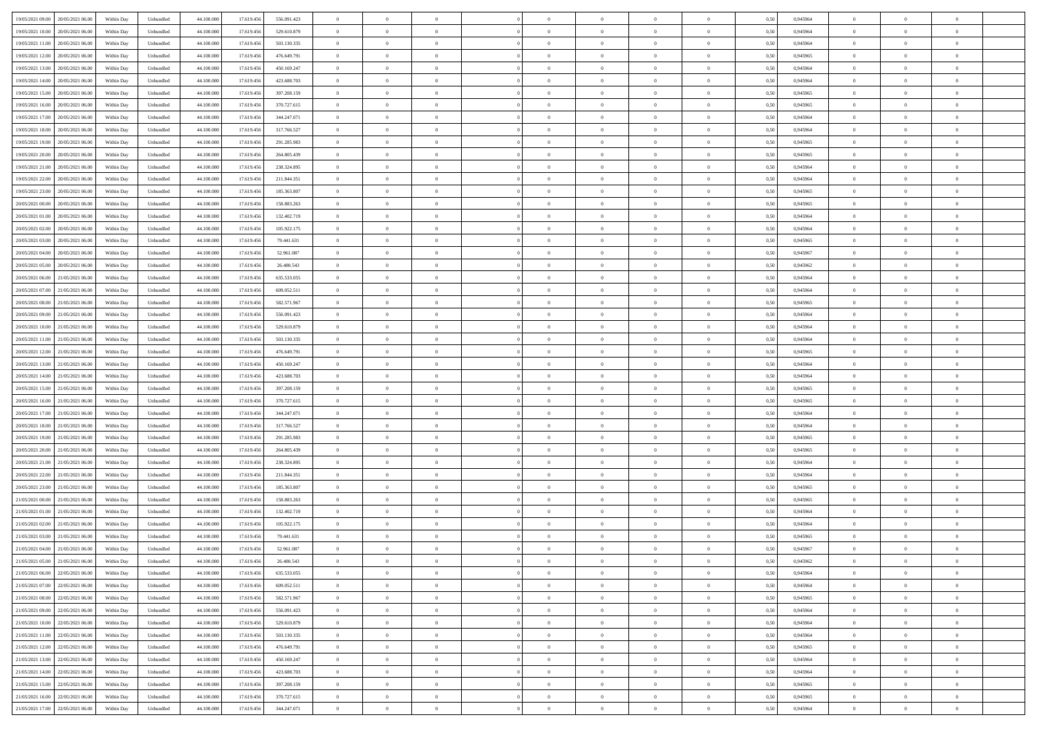| 19/05/2021 09:00 20/05/2021 06:00    | Within Day | Unbundled                   | 44.100.000 | 17.619.456 | 556.091.423 | $\overline{0}$ | $\theta$       |                | $\overline{0}$ | $\theta$       |                | $\theta$       | 0,50 | 0,945964 | $\theta$       | $\theta$       | $\overline{0}$ |  |
|--------------------------------------|------------|-----------------------------|------------|------------|-------------|----------------|----------------|----------------|----------------|----------------|----------------|----------------|------|----------|----------------|----------------|----------------|--|
| 19/05/2021 10:00<br>20/05/2021 06:00 | Within Day | Unbundled                   | 44.100.00  | 17.619.45  | 529.610.879 | $\bf{0}$       | $\overline{0}$ | $\bf{0}$       | $\overline{0}$ | $\bf{0}$       | $\overline{0}$ | $\bf{0}$       | 0,50 | 0,945964 | $\,$ 0 $\,$    | $\bf{0}$       | $\overline{0}$ |  |
| 19/05/2021 11:00<br>20/05/2021 06:00 | Within Day | Unbundled                   | 44,100,000 | 17.619.456 | 503.130.335 | $\overline{0}$ | $\bf{0}$       | $\overline{0}$ | $\bf{0}$       | $\bf{0}$       | $\overline{0}$ | $\bf{0}$       | 0.50 | 0.945964 | $\bf{0}$       | $\overline{0}$ | $\overline{0}$ |  |
| 19/05/2021 12:00<br>20/05/2021 06:00 | Within Day | Unbundled                   | 44.100.000 | 17.619.456 | 476.649.791 | $\overline{0}$ | $\overline{0}$ | $\overline{0}$ | $\theta$       | $\theta$       | $\overline{0}$ | $\bf{0}$       | 0,50 | 0,945965 | $\theta$       | $\theta$       | $\overline{0}$ |  |
|                                      |            |                             |            |            |             |                |                |                |                |                |                |                |      |          |                |                |                |  |
| 19/05/2021 13:00<br>20/05/2021 06:00 | Within Day | Unbundled                   | 44.100.00  | 17.619.45  | 450.169.247 | $\bf{0}$       | $\overline{0}$ | $\bf{0}$       | $\overline{0}$ | $\theta$       | $\overline{0}$ | $\bf{0}$       | 0,50 | 0,945964 | $\,$ 0 $\,$    | $\bf{0}$       | $\overline{0}$ |  |
| 19/05/2021 14:00<br>20/05/2021 06:00 | Within Day | Unbundled                   | 44,100,000 | 17.619.456 | 423.688.703 | $\overline{0}$ | $\overline{0}$ | $\overline{0}$ | $\overline{0}$ | $\overline{0}$ | $\theta$       | $\bf{0}$       | 0.50 | 0.945964 | $\bf{0}$       | $\theta$       | $\overline{0}$ |  |
| 19/05/2021 15:00<br>20/05/2021 06:00 | Within Day | Unbundled                   | 44.100.000 | 17.619.456 | 397.208.159 | $\overline{0}$ | $\overline{0}$ | $\overline{0}$ | $\overline{0}$ | $\overline{0}$ | $\overline{0}$ | $\bf{0}$       | 0,50 | 0,945965 | $\theta$       | $\theta$       | $\overline{0}$ |  |
| 19/05/2021 16:00<br>20/05/2021 06:00 | Within Day | Unbundled                   | 44.100.00  | 17.619.45  | 370.727.615 | $\bf{0}$       | $\overline{0}$ | $\overline{0}$ | $\overline{0}$ | $\overline{0}$ | $\overline{0}$ | $\bf{0}$       | 0,50 | 0,945965 | $\,$ 0 $\,$    | $\bf{0}$       | $\overline{0}$ |  |
|                                      |            |                             |            |            |             |                |                |                |                |                |                |                |      |          |                |                |                |  |
| 19/05/2021 17:00<br>20/05/2021 06:00 | Within Day | Unbundled                   | 44,100,000 | 17.619.456 | 344.247.071 | $\overline{0}$ | $\bf{0}$       | $\overline{0}$ | $\bf{0}$       | $\overline{0}$ | $\overline{0}$ | $\bf{0}$       | 0.50 | 0.945964 | $\bf{0}$       | $\overline{0}$ | $\overline{0}$ |  |
| 19/05/2021 18:00<br>20/05/2021 06:00 | Within Day | Unbundled                   | 44.100.000 | 17.619.456 | 317.766.527 | $\overline{0}$ | $\bf{0}$       | $\overline{0}$ | $\overline{0}$ | $\overline{0}$ | $\overline{0}$ | $\bf{0}$       | 0,50 | 0,945964 | $\,$ 0 $\,$    | $\theta$       | $\overline{0}$ |  |
| 19/05/2021 19:00<br>20/05/2021 06:00 | Within Day | Unbundled                   | 44.100.00  | 17.619.456 | 291.285.983 | $\bf{0}$       | $\overline{0}$ | $\bf{0}$       | $\bf{0}$       | $\bf{0}$       | $\overline{0}$ | $\bf{0}$       | 0,50 | 0,945965 | $\,$ 0 $\,$    | $\bf{0}$       | $\overline{0}$ |  |
| 19/05/2021 20:00<br>20/05/2021 06:00 | Within Day | Unbundled                   | 44,100,000 | 17.619.456 | 264.805.439 | $\overline{0}$ | $\bf{0}$       | $\overline{0}$ | $\bf{0}$       | $\bf{0}$       | $\overline{0}$ | $\bf{0}$       | 0.50 | 0.945965 | $\bf{0}$       | $\overline{0}$ | $\bf{0}$       |  |
| 19/05/2021 21:00<br>20/05/2021 06:00 | Within Day | Unbundled                   | 44.100.000 | 17.619.456 | 238.324.895 | $\overline{0}$ | $\overline{0}$ | $\overline{0}$ | $\overline{0}$ | $\theta$       | $\overline{0}$ | $\overline{0}$ | 0,50 | 0,945964 | $\theta$       | $\theta$       | $\overline{0}$ |  |
|                                      |            |                             |            |            |             |                |                |                |                |                |                |                |      |          |                |                |                |  |
| 19/05/2021 22.00<br>20/05/2021 06:00 | Within Day | Unbundled                   | 44.100.00  | 17.619.45  | 211.844.351 | $\bf{0}$       | $\overline{0}$ | $\bf{0}$       | $\overline{0}$ | $\theta$       | $\overline{0}$ | $\bf{0}$       | 0,50 | 0,945964 | $\,$ 0 $\,$    | $\bf{0}$       | $\overline{0}$ |  |
| 19/05/2021 23:00<br>20/05/2021 06:00 | Within Day | Unbundled                   | 44,100,000 | 17.619.456 | 185.363.807 | $\overline{0}$ | $\overline{0}$ | $\overline{0}$ | $\bf{0}$       | $\theta$       | $\Omega$       | $\bf{0}$       | 0.50 | 0.945965 | $\theta$       | $\theta$       | $\overline{0}$ |  |
| 20/05/2021 00:00<br>20/05/2021 06:00 | Within Day | Unbundled                   | 44.100.000 | 17.619.456 | 158.883.263 | $\overline{0}$ | $\overline{0}$ | $\overline{0}$ | $\overline{0}$ | $\overline{0}$ | $\overline{0}$ | $\bf{0}$       | 0,50 | 0,945965 | $\theta$       | $\theta$       | $\overline{0}$ |  |
| 20/05/2021 01:00<br>20/05/2021 06:00 | Within Day | Unbundled                   | 44.100.00  | 17.619.456 | 132.402.719 | $\bf{0}$       | $\overline{0}$ | $\overline{0}$ | $\overline{0}$ | $\theta$       | $\overline{0}$ | $\bf{0}$       | 0,50 | 0,945964 | $\,$ 0 $\,$    | $\bf{0}$       | $\overline{0}$ |  |
|                                      |            |                             |            |            |             |                |                |                |                |                |                |                |      |          |                |                |                |  |
| 20/05/2021 02:00<br>20/05/2021 06:00 | Within Day | Unbundled                   | 44,100,00  | 17.619.456 | 105.922.175 | $\overline{0}$ | $\bf{0}$       | $\overline{0}$ | $\bf{0}$       | $\overline{0}$ | $\overline{0}$ | $\bf{0}$       | 0.50 | 0.945964 | $\bf{0}$       | $\overline{0}$ | $\overline{0}$ |  |
| 20/05/2021 03:00<br>20/05/2021 06:00 | Within Day | Unbundled                   | 44.100.000 | 17.619.456 | 79.441.631  | $\overline{0}$ | $\overline{0}$ | $\overline{0}$ | $\overline{0}$ | $\overline{0}$ | $\overline{0}$ | $\bf{0}$       | 0,50 | 0,945965 | $\,$ 0 $\,$    | $\theta$       | $\overline{0}$ |  |
| 20/05/2021 04:00<br>20/05/2021 06:00 | Within Day | Unbundled                   | 44.100.00  | 17.619.456 | 52.961.087  | $\bf{0}$       | $\bf{0}$       | $\bf{0}$       | $\bf{0}$       | $\overline{0}$ | $\overline{0}$ | $\bf{0}$       | 0,50 | 0,945967 | $\,$ 0 $\,$    | $\bf{0}$       | $\overline{0}$ |  |
| 20/05/2021 05:00<br>20/05/2021 06:00 | Within Day | Unbundled                   | 44,100,000 | 17.619.456 | 26,480.543  | $\overline{0}$ | $\bf{0}$       | $\overline{0}$ | $\bf{0}$       | $\bf{0}$       | $\overline{0}$ | $\bf{0}$       | 0.50 | 0.945962 | $\bf{0}$       | $\overline{0}$ | $\overline{0}$ |  |
| 20/05/2021 06:00<br>21/05/2021 06:00 | Within Day | Unbundled                   | 44.100.000 | 17.619.456 | 635.533.055 | $\overline{0}$ | $\overline{0}$ | $\overline{0}$ | $\theta$       | $\theta$       | $\overline{0}$ | $\bf{0}$       | 0,50 | 0,945964 | $\theta$       | $\theta$       | $\overline{0}$ |  |
|                                      |            |                             |            |            |             |                |                |                |                |                |                |                |      |          |                |                |                |  |
| 20/05/2021 07:00<br>21/05/2021 06.00 | Within Day | Unbundled                   | 44.100.00  | 17.619.456 | 609.052.511 | $\bf{0}$       | $\overline{0}$ | $\bf{0}$       | $\bf{0}$       | $\bf{0}$       | $\overline{0}$ | $\bf{0}$       | 0,50 | 0,945964 | $\,$ 0 $\,$    | $\bf{0}$       | $\overline{0}$ |  |
| 20/05/2021 08:00<br>21/05/2021 06:00 | Within Day | Unbundled                   | 44,100,000 | 17.619.456 | 582.571.967 | $\overline{0}$ | $\overline{0}$ | $\overline{0}$ | $\overline{0}$ | $\overline{0}$ | $\Omega$       | $\bf{0}$       | 0.50 | 0.945965 | $\bf{0}$       | $\theta$       | $\overline{0}$ |  |
| 20/05/2021 09:00<br>21/05/2021 06:00 | Within Day | Unbundled                   | 44.100.000 | 17.619.456 | 556.091.423 | $\overline{0}$ | $\overline{0}$ | $\overline{0}$ | $\overline{0}$ | $\overline{0}$ | $\overline{0}$ | $\bf{0}$       | 0,50 | 0,945964 | $\theta$       | $\theta$       | $\overline{0}$ |  |
| 20/05/2021 10:00<br>21/05/2021 06.00 | Within Day | Unbundled                   | 44.100.00  | 17.619.45  | 529.610.879 | $\bf{0}$       | $\theta$       | $\bf{0}$       | $\overline{0}$ | $\bf{0}$       | $\overline{0}$ | $\bf{0}$       | 0,50 | 0,945964 | $\,$ 0 $\,$    | $\bf{0}$       | $\overline{0}$ |  |
| 20/05/2021 11:00<br>21/05/2021 06:00 | Within Day | Unbundled                   | 44,100,000 | 17.619.456 | 503.130.335 | $\overline{0}$ | $\bf{0}$       | $\overline{0}$ | $\bf{0}$       | $\overline{0}$ | $\overline{0}$ | $\bf{0}$       | 0.50 | 0.945964 | $\bf{0}$       | $\overline{0}$ | $\overline{0}$ |  |
| 20/05/2021 12:00<br>21/05/2021 06:00 | Within Day | Unbundled                   | 44.100.000 | 17.619.456 | 476.649.791 | $\overline{0}$ | $\overline{0}$ | $\overline{0}$ | $\overline{0}$ | $\overline{0}$ | $\overline{0}$ | $\bf{0}$       | 0,50 | 0,945965 | $\theta$       | $\theta$       | $\overline{0}$ |  |
|                                      |            |                             |            |            |             |                |                |                |                |                |                |                |      |          |                |                |                |  |
| 20/05/2021 13:00<br>21/05/2021 06.00 | Within Day | Unbundled                   | 44.100.00  | 17.619.456 | 450.169.247 | $\bf{0}$       | $\bf{0}$       | $\bf{0}$       | $\bf{0}$       | $\overline{0}$ | $\overline{0}$ | $\bf{0}$       | 0,50 | 0,945964 | $\,$ 0 $\,$    | $\bf{0}$       | $\overline{0}$ |  |
| 20/05/2021 14:00<br>21/05/2021 06:00 | Within Day | Unbundled                   | 44,100,000 | 17.619.456 | 423.688.703 | $\overline{0}$ | $\bf{0}$       | $\overline{0}$ | $\bf{0}$       | $\bf{0}$       | $\overline{0}$ | $\bf{0}$       | 0.50 | 0.945964 | $\bf{0}$       | $\overline{0}$ | $\overline{0}$ |  |
| 20/05/2021 15:00<br>21/05/2021 06:00 | Within Day | Unbundled                   | 44.100.000 | 17.619.456 | 397.208.159 | $\overline{0}$ | $\overline{0}$ | $\overline{0}$ | $\overline{0}$ | $\overline{0}$ | $\overline{0}$ | $\bf{0}$       | 0.5( | 0.945965 | $\theta$       | $\theta$       | $\overline{0}$ |  |
| 20/05/2021 16:00<br>21/05/2021 06.00 | Within Day | Unbundled                   | 44.100.00  | 17.619.456 | 370.727.615 | $\bf{0}$       | $\overline{0}$ | $\bf{0}$       | $\overline{0}$ | $\overline{0}$ | $\overline{0}$ | $\bf{0}$       | 0,50 | 0,945965 | $\,$ 0 $\,$    | $\bf{0}$       | $\overline{0}$ |  |
| 20/05/2021 17:00<br>21/05/2021 06:00 | Within Day | Unbundled                   | 44,100,000 | 17.619.456 | 344.247.071 | $\overline{0}$ | $\overline{0}$ | $\overline{0}$ | $\bf{0}$       | $\bf{0}$       | $\Omega$       | $\bf{0}$       | 0.50 | 0.945964 | $\,$ 0 $\,$    | $\theta$       | $\overline{0}$ |  |
|                                      |            |                             |            |            |             |                |                |                |                |                |                |                |      |          |                |                |                |  |
| 20/05/2021 18:00<br>21/05/2021 06:00 | Within Dav | Unbundled                   | 44.100.000 | 17.619.456 | 317.766.527 | $\overline{0}$ | $\overline{0}$ | $\overline{0}$ | $\overline{0}$ | $\overline{0}$ | $\overline{0}$ | $\overline{0}$ | 0.5( | 0,945964 | $\theta$       | $\theta$       | $\overline{0}$ |  |
| 20/05/2021 19:00<br>21/05/2021 06.00 | Within Day | Unbundled                   | 44.100.00  | 17.619.456 | 291.285.983 | $\bf{0}$       | $\overline{0}$ | $\bf{0}$       | $\bf{0}$       | $\bf{0}$       | $\overline{0}$ | $\bf{0}$       | 0,50 | 0,945965 | $\,$ 0 $\,$    | $\bf{0}$       | $\overline{0}$ |  |
| 20/05/2021 20:00<br>21/05/2021 06:00 | Within Day | Unbundled                   | 44,100,00  | 17.619.456 | 264.805.439 | $\overline{0}$ | $\bf{0}$       | $\overline{0}$ | $\bf{0}$       | $\overline{0}$ | $\overline{0}$ | $\bf{0}$       | 0.50 | 0.945965 | $\bf{0}$       | $\overline{0}$ | $\overline{0}$ |  |
| 20/05/2021 21:00<br>21/05/2021 06:00 | Within Dav | Unbundled                   | 44.100.000 | 17.619.456 | 238.324.895 | $\overline{0}$ | $\overline{0}$ | $\overline{0}$ | $\overline{0}$ | $\overline{0}$ | $\overline{0}$ | $\overline{0}$ | 0.50 | 0,945964 | $\theta$       | $\theta$       | $\overline{0}$ |  |
| 20/05/2021 22:00<br>21/05/2021 06.00 | Within Day | Unbundled                   | 44.100.00  | 17.619.456 | 211.844.351 | $\bf{0}$       | $\bf{0}$       | $\bf{0}$       | $\bf{0}$       | $\overline{0}$ | $\overline{0}$ | $\bf{0}$       | 0,50 | 0,945964 | $\,$ 0 $\,$    | $\bf{0}$       | $\overline{0}$ |  |
|                                      |            |                             |            |            |             |                |                |                |                |                |                |                |      |          |                |                |                |  |
| 20/05/2021 23:00<br>21/05/2021 06:00 | Within Day | Unbundled                   | 44,100,000 | 17.619.456 | 185.363.807 | $\overline{0}$ | $\bf{0}$       | $\overline{0}$ | $\bf{0}$       | $\bf{0}$       | $\overline{0}$ | $\bf{0}$       | 0.50 | 0.945965 | $\bf{0}$       | $\overline{0}$ | $\overline{0}$ |  |
| 21/05/2021 00:00<br>21/05/2021 06:00 | Within Dav | Unbundled                   | 44.100.000 | 17.619.456 | 158.883.263 | $\overline{0}$ | $\overline{0}$ | $\Omega$       | $\overline{0}$ | $\overline{0}$ | $\overline{0}$ | $\bf{0}$       | 0.50 | 0,945965 | $\theta$       | $\theta$       | $\overline{0}$ |  |
| 21/05/2021 01:00<br>21/05/2021 06.00 | Within Day | Unbundled                   | 44.100.00  | 17.619.456 | 132.402.719 | $\bf{0}$       | $\overline{0}$ | $\bf{0}$       | $\bf{0}$       | $\,$ 0 $\,$    | $\overline{0}$ | $\bf{0}$       | 0,50 | 0,945964 | $\,$ 0 $\,$    | $\bf{0}$       | $\overline{0}$ |  |
| 21/05/2021 02:00<br>21/05/2021 06:00 | Within Day | Unbundled                   | 44,100,00  | 17.619.45  | 105.922.175 | $\overline{0}$ | $\overline{0}$ | $\Omega$       | $\overline{0}$ | $\overline{0}$ | $\theta$       | $\bf{0}$       | 0.50 | 0.945964 | $\bf{0}$       | $\theta$       | $\overline{0}$ |  |
| 21/05/2021 03:00<br>21/05/2021 06:00 | Within Dav | Unbundled                   | 44.100.000 | 17.619.45  | 79.441.631  | $\overline{0}$ | $\overline{0}$ | $\Omega$       | $\overline{0}$ | $\theta$       | $\Omega$       | $\overline{0}$ | 0.5( | 0,945965 | $\theta$       | $\theta$       | $\overline{0}$ |  |
|                                      |            |                             |            |            |             | $\bf{0}$       | $\bf{0}$       |                | $\bf{0}$       | $\bf{0}$       | $\overline{0}$ |                |      |          | $\,$ 0 $\,$    | $\bf{0}$       | $\overline{0}$ |  |
| 21/05/2021 04:00<br>21/05/2021 06:00 | Within Day | Unbundled                   | 44.100.000 | 17.619.456 | 52.961.087  |                |                | $\bf{0}$       |                |                |                | $\bf{0}$       | 0,50 | 0,945967 |                |                |                |  |
| 21/05/2021 05:00 21/05/2021 06:00    | Within Day | $\ensuremath{\mathsf{Unb}}$ | 44.100.000 | 17.619.456 | 26.480.543  | $\overline{0}$ | $\Omega$       |                | $\overline{0}$ |                |                |                | 0,50 | 0.945962 | $\theta$       | $\bf{0}$       |                |  |
| 21/05/2021 06:00 22/05/2021 06:00    | Within Day | Unbundled                   | 44.100.000 | 17.619.456 | 635.533.055 | $\overline{0}$ | $\theta$       | $\Omega$       | $\theta$       | $\overline{0}$ | $\overline{0}$ | $\bf{0}$       | 0,50 | 0,945964 | $\theta$       | $\theta$       | $\overline{0}$ |  |
| 21/05/2021 07:00<br>22/05/2021 06:00 | Within Day | Unbundled                   | 44.100.00  | 17.619.456 | 609.052.511 | $\overline{0}$ | $\bf{0}$       | $\overline{0}$ | $\overline{0}$ | $\bf{0}$       | $\overline{0}$ | $\bf{0}$       | 0,50 | 0,945964 | $\bf{0}$       | $\overline{0}$ | $\bf{0}$       |  |
| 21/05/2021 08:00 22/05/2021 06:00    | Within Day | Unbundled                   | 44,100,000 | 17.619.456 | 582.571.967 | $\overline{0}$ | $\bf{0}$       | $\overline{0}$ | $\overline{0}$ | $\overline{0}$ | $\overline{0}$ | $\bf{0}$       | 0.50 | 0.945965 | $\mathbf{0}$   | $\bf{0}$       | $\,$ 0 $\,$    |  |
|                                      |            |                             |            |            |             |                |                |                |                |                |                |                |      |          |                |                |                |  |
| 21/05/2021 09:00 22/05/2021 06:00    | Within Dav | Unbundled                   | 44.100.000 | 17.619.456 | 556.091.423 | $\overline{0}$ | $\overline{0}$ | $\overline{0}$ | $\overline{0}$ | $\overline{0}$ | $\overline{0}$ | $\bf{0}$       | 0,50 | 0,945964 | $\theta$       | $\theta$       | $\overline{0}$ |  |
| 21/05/2021 10:00<br>22/05/2021 06:00 | Within Day | Unbundled                   | 44.100.000 | 17.619.456 | 529.610.879 | $\overline{0}$ | $\bf{0}$       | $\overline{0}$ | $\bf{0}$       | $\overline{0}$ | $\overline{0}$ | $\bf{0}$       | 0,50 | 0,945964 | $\overline{0}$ | $\bf{0}$       | $\overline{0}$ |  |
| 21/05/2021 11:00 22/05/2021 06:00    | Within Day | Unbundled                   | 44,100,000 | 17.619.456 | 503.130.335 | $\overline{0}$ | $\bf{0}$       | $\overline{0}$ | $\overline{0}$ | $\overline{0}$ | $\overline{0}$ | $\bf{0}$       | 0.50 | 0.945964 | $\,$ 0 $\,$    | $\theta$       | $\overline{0}$ |  |
| 21/05/2021 12:00<br>22/05/2021 06:00 | Within Dav | Unbundled                   | 44.100.000 | 17.619.456 | 476.649.791 | $\overline{0}$ | $\overline{0}$ | $\overline{0}$ | $\overline{0}$ | $\overline{0}$ | $\overline{0}$ | $\bf{0}$       | 0.50 | 0,945965 | $\overline{0}$ | $\theta$       | $\overline{0}$ |  |
| 21/05/2021 13:00<br>22/05/2021 06:00 | Within Day | Unbundled                   | 44.100.00  | 17.619.456 | 450.169.247 | $\overline{0}$ | $\overline{0}$ | $\overline{0}$ | $\overline{0}$ | $\bf{0}$       | $\overline{0}$ | $\bf{0}$       | 0,50 | 0,945964 | $\bf{0}$       | $\overline{0}$ | $\overline{0}$ |  |
|                                      |            |                             |            |            |             |                |                |                |                |                |                |                |      |          |                |                |                |  |
| 21/05/2021 14:00 22/05/2021 06:00    | Within Day | Unbundled                   | 44,100,000 | 17.619.456 | 423.688.703 | $\overline{0}$ | $\overline{0}$ | $\overline{0}$ | $\overline{0}$ | $\bf{0}$       | $\overline{0}$ | $\bf{0}$       | 0.50 | 0.945964 | $\overline{0}$ | $\,$ 0 $\,$    | $\,$ 0         |  |
| 21/05/2021 15:00 22/05/2021 06:00    | Within Dav | Unbundled                   | 44.100.000 | 17.619.456 | 397.208.159 | $\overline{0}$ | $\overline{0}$ | $\overline{0}$ | $\overline{0}$ | $\overline{0}$ | $\overline{0}$ | $\bf{0}$       | 0,50 | 0,945965 | $\overline{0}$ | $\theta$       | $\overline{0}$ |  |
| 21/05/2021 16:00<br>22/05/2021 06:00 | Within Day | Unbundled                   | 44.100.00  | 17.619.456 | 370.727.615 | $\overline{0}$ | $\bf{0}$       | $\overline{0}$ | $\bf{0}$       | $\overline{0}$ | $\overline{0}$ | $\bf{0}$       | 0,50 | 0,945965 | $\bf{0}$       | $\bf{0}$       | $\overline{0}$ |  |
| 21/05/2021 17:00 22/05/2021 06:00    | Within Day | Unbundled                   | 44.100.000 | 17.619.456 | 344.247.071 | $\overline{0}$ | $\bf{0}$       | $\overline{0}$ | $\overline{0}$ | $\,$ 0 $\,$    | $\overline{0}$ | $\bf{0}$       | 0,50 | 0,945964 | $\overline{0}$ | $\,$ 0 $\,$    | $\,$ 0 $\,$    |  |
|                                      |            |                             |            |            |             |                |                |                |                |                |                |                |      |          |                |                |                |  |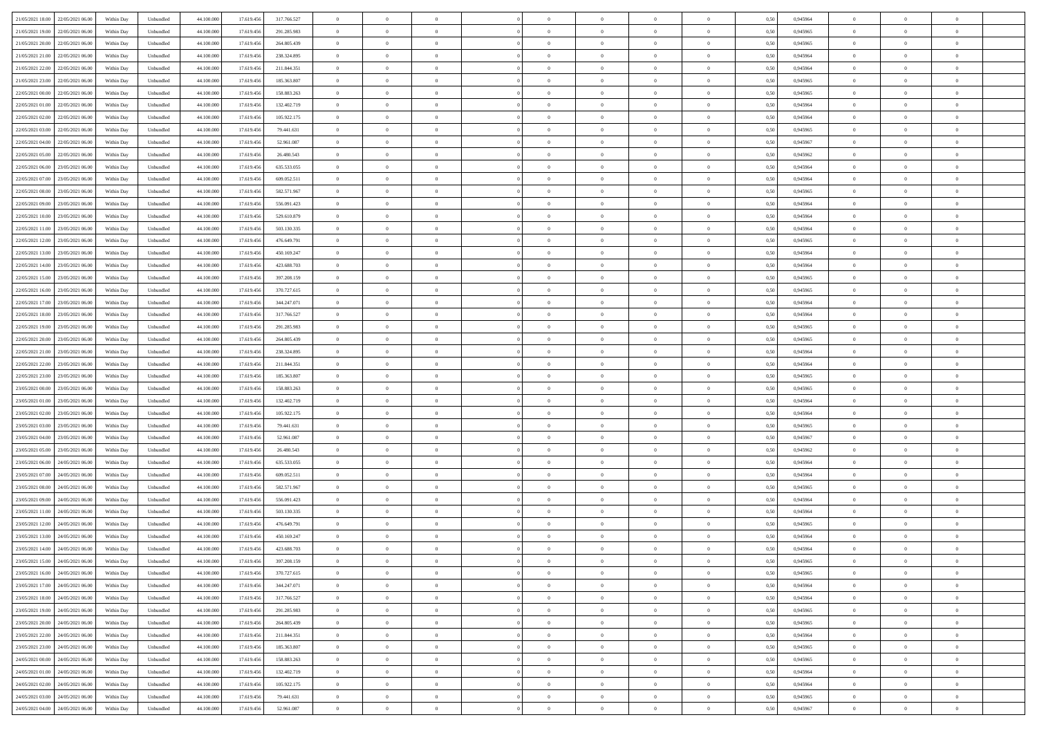|                                              |            |                             |            |            |               | $\overline{0}$ | $\theta$       |                | $\overline{0}$ | $\theta$       |                | $\theta$       |      |          | $\theta$       | $\theta$       | $\overline{0}$ |  |
|----------------------------------------------|------------|-----------------------------|------------|------------|---------------|----------------|----------------|----------------|----------------|----------------|----------------|----------------|------|----------|----------------|----------------|----------------|--|
| 21/05/2021 18:00 22/05/2021 06:00            | Within Day | Unbundled                   | 44.100.000 | 17.619.456 | 317.766.527   |                |                |                |                |                |                |                | 0,50 | 0,945964 |                |                |                |  |
| 21/05/2021 19:00<br>22/05/2021 06.00         | Within Day | Unbundled                   | 44.100.00  | 17.619.45  | 291.285.983   | $\bf{0}$       | $\overline{0}$ | $\bf{0}$       | $\overline{0}$ | $\bf{0}$       | $\overline{0}$ | $\bf{0}$       | 0,50 | 0,945965 | $\,$ 0 $\,$    | $\bf{0}$       | $\overline{0}$ |  |
| 21/05/2021 20:00<br>22/05/2021 06:00         | Within Day | Unbundled                   | 44,100,000 | 17.619.456 | 264.805.439   | $\overline{0}$ | $\bf{0}$       | $\overline{0}$ | $\bf{0}$       | $\bf{0}$       | $\overline{0}$ | $\bf{0}$       | 0.50 | 0.945965 | $\bf{0}$       | $\overline{0}$ | $\overline{0}$ |  |
| 21/05/2021 21:00<br>22/05/2021 06:00         | Within Day | Unbundled                   | 44.100.000 | 17.619.456 | 238.324.895   | $\overline{0}$ | $\overline{0}$ | $\overline{0}$ | $\theta$       | $\theta$       | $\overline{0}$ | $\bf{0}$       | 0,50 | 0,945964 | $\theta$       | $\theta$       | $\overline{0}$ |  |
| 21/05/2021 22:00<br>22/05/2021 06.00         | Within Day | Unbundled                   | 44.100.00  | 17.619.45  | 211.844.351   | $\bf{0}$       | $\overline{0}$ | $\bf{0}$       | $\overline{0}$ | $\theta$       | $\overline{0}$ | $\bf{0}$       | 0,50 | 0,945964 | $\,$ 0 $\,$    | $\bf{0}$       | $\overline{0}$ |  |
|                                              |            |                             |            |            |               |                |                |                |                |                |                |                |      |          |                |                |                |  |
| 21/05/2021 23:00<br>22/05/2021 06:00         | Within Day | Unbundled                   | 44,100,000 | 17.619.456 | 185.363.807   | $\overline{0}$ | $\overline{0}$ | $\overline{0}$ | $\bf{0}$       | $\overline{0}$ | $\theta$       | $\bf{0}$       | 0.50 | 0.945965 | $\bf{0}$       | $\theta$       | $\overline{0}$ |  |
| 22/05/2021 00:00<br>22/05/2021 06:00         | Within Day | Unbundled                   | 44.100.000 | 17.619.456 | 158.883.263   | $\overline{0}$ | $\overline{0}$ | $\overline{0}$ | $\overline{0}$ | $\overline{0}$ | $\overline{0}$ | $\bf{0}$       | 0,50 | 0,945965 | $\theta$       | $\theta$       | $\overline{0}$ |  |
| 22/05/2021 01:00<br>22/05/2021 06.00         | Within Day | Unbundled                   | 44.100.00  | 17.619.45  | 132.402.719   | $\bf{0}$       | $\overline{0}$ | $\overline{0}$ | $\overline{0}$ | $\bf{0}$       | $\overline{0}$ | $\bf{0}$       | 0,50 | 0,945964 | $\,$ 0 $\,$    | $\bf{0}$       | $\overline{0}$ |  |
| 22/05/2021 02:00<br>22/05/2021 06:00         | Within Day | Unbundled                   | 44,100,00  | 17.619.456 | 105.922.175   | $\overline{0}$ | $\bf{0}$       | $\overline{0}$ | $\bf{0}$       | $\overline{0}$ | $\overline{0}$ | $\bf{0}$       | 0.50 | 0.945964 | $\bf{0}$       | $\overline{0}$ | $\overline{0}$ |  |
| 22/05/2021 03:00<br>22/05/2021 06:00         | Within Day | Unbundled                   | 44.100.000 | 17.619.456 | 79.441.631    | $\overline{0}$ | $\bf{0}$       | $\overline{0}$ | $\overline{0}$ | $\overline{0}$ | $\overline{0}$ | $\bf{0}$       | 0,50 | 0,945965 | $\,$ 0 $\,$    | $\bf{0}$       | $\overline{0}$ |  |
| 22/05/2021 04:00<br>22/05/2021 06.00         | Within Day | Unbundled                   | 44.100.00  | 17.619.456 | 52.961.087    | $\bf{0}$       | $\overline{0}$ | $\bf{0}$       | $\bf{0}$       | $\bf{0}$       | $\overline{0}$ | $\bf{0}$       | 0,50 | 0,945967 | $\,$ 0 $\,$    | $\bf{0}$       | $\overline{0}$ |  |
| 22/05/2021 05:00<br>22/05/2021 06:00         | Within Day | Unbundled                   | 44,100,000 | 17.619.456 | 26,480.543    | $\overline{0}$ | $\bf{0}$       | $\overline{0}$ | $\bf{0}$       | $\bf{0}$       | $\overline{0}$ | $\bf{0}$       | 0.50 | 0.945962 | $\bf{0}$       | $\overline{0}$ | $\bf{0}$       |  |
|                                              |            |                             |            |            |               | $\overline{0}$ | $\overline{0}$ | $\overline{0}$ | $\overline{0}$ | $\theta$       | $\overline{0}$ | $\overline{0}$ |      |          | $\,$ 0 $\,$    | $\theta$       | $\overline{0}$ |  |
| 22/05/2021 06:00<br>23/05/2021 06:00         | Within Day | Unbundled                   | 44.100.000 | 17.619.456 | 635.533.055   |                |                |                |                |                |                |                | 0,50 | 0,945964 |                |                |                |  |
| 22/05/2021 07:00<br>23/05/2021 06.00         | Within Day | Unbundled                   | 44.100.00  | 17.619.45  | 609.052.511   | $\bf{0}$       | $\overline{0}$ | $\bf{0}$       | $\overline{0}$ | $\theta$       | $\overline{0}$ | $\bf{0}$       | 0,50 | 0,945964 | $\,$ 0 $\,$    | $\bf{0}$       | $\overline{0}$ |  |
| 22/05/2021 08:00<br>23/05/2021 06:00         | Within Day | Unbundled                   | 44,100,000 | 17.619.456 | 582.571.967   | $\overline{0}$ | $\overline{0}$ | $\overline{0}$ | $\bf{0}$       | $\overline{0}$ | $\theta$       | $\bf{0}$       | 0.50 | 0.945965 | $\,$ 0 $\,$    | $\theta$       | $\overline{0}$ |  |
| 22/05/2021 09:00<br>23/05/2021 06:00         | Within Day | Unbundled                   | 44.100.000 | 17.619.456 | 556.091.423   | $\overline{0}$ | $\overline{0}$ | $\overline{0}$ | $\overline{0}$ | $\overline{0}$ | $\overline{0}$ | $\bf{0}$       | 0,50 | 0,945964 | $\theta$       | $\theta$       | $\overline{0}$ |  |
| 22/05/2021 10:00<br>23/05/2021 06.00         | Within Day | Unbundled                   | 44.100.00  | 17.619.456 | 529.610.879   | $\bf{0}$       | $\overline{0}$ | $\overline{0}$ | $\overline{0}$ | $\bf{0}$       | $\overline{0}$ | $\bf{0}$       | 0,50 | 0,945964 | $\,$ 0 $\,$    | $\bf{0}$       | $\overline{0}$ |  |
| 22/05/2021 11:00<br>23/05/2021 06:00         | Within Day | Unbundled                   | 44,100,00  | 17.619.456 | 503.130.335   | $\overline{0}$ | $\bf{0}$       | $\overline{0}$ | $\bf{0}$       | $\overline{0}$ | $\overline{0}$ | $\bf{0}$       | 0.50 | 0.945964 | $\bf{0}$       | $\overline{0}$ | $\overline{0}$ |  |
| 22/05/2021 12:00<br>23/05/2021 06:00         | Within Day | Unbundled                   | 44.100.000 | 17.619.456 | 476.649.791   | $\overline{0}$ | $\overline{0}$ | $\overline{0}$ | $\overline{0}$ | $\overline{0}$ | $\overline{0}$ | $\bf{0}$       | 0,50 | 0,945965 | $\,$ 0 $\,$    | $\bf{0}$       | $\overline{0}$ |  |
|                                              |            |                             |            |            |               | $\bf{0}$       | $\overline{0}$ |                |                | $\overline{0}$ | $\overline{0}$ |                |      |          | $\,$ 0 $\,$    | $\bf{0}$       | $\overline{0}$ |  |
| 22/05/2021 13:00<br>23/05/2021 06.00         | Within Day | Unbundled                   | 44.100.00  | 17.619.456 | 450.169.247   |                |                | $\bf{0}$       | $\bf{0}$       |                |                | $\bf{0}$       | 0,50 | 0,945964 |                |                |                |  |
| 22/05/2021 14:00<br>23/05/2021 06:00         | Within Day | Unbundled                   | 44,100,000 | 17.619.456 | 423.688.703   | $\overline{0}$ | $\bf{0}$       | $\overline{0}$ | $\bf{0}$       | $\bf{0}$       | $\overline{0}$ | $\bf{0}$       | 0.50 | 0.945964 | $\bf{0}$       | $\overline{0}$ | $\overline{0}$ |  |
| 22/05/2021 15:00<br>23/05/2021 06:00         | Within Day | Unbundled                   | 44.100.000 | 17.619.456 | 397.208.159   | $\overline{0}$ | $\overline{0}$ | $\overline{0}$ | $\theta$       | $\theta$       | $\overline{0}$ | $\bf{0}$       | 0,50 | 0,945965 | $\theta$       | $\theta$       | $\overline{0}$ |  |
| 22/05/2021 16:00<br>23/05/2021 06.00         | Within Day | Unbundled                   | 44.100.00  | 17.619.456 | 370.727.615   | $\bf{0}$       | $\overline{0}$ | $\bf{0}$       | $\bf{0}$       | $\bf{0}$       | $\overline{0}$ | $\bf{0}$       | 0,50 | 0,945965 | $\,$ 0 $\,$    | $\bf{0}$       | $\overline{0}$ |  |
| 22/05/2021 17:00<br>23/05/2021 06:00         | Within Day | Unbundled                   | 44,100,000 | 17.619.456 | 344.247.071   | $\overline{0}$ | $\overline{0}$ | $\overline{0}$ | $\bf{0}$       | $\overline{0}$ | $\theta$       | $\bf{0}$       | 0.50 | 0.945964 | $\,$ 0 $\,$    | $\theta$       | $\overline{0}$ |  |
| 22/05/2021 18:00<br>23/05/2021 06:00         | Within Day | Unbundled                   | 44.100.000 | 17.619.456 | 317.766.527   | $\overline{0}$ | $\overline{0}$ | $\overline{0}$ | $\overline{0}$ | $\overline{0}$ | $\overline{0}$ | $\bf{0}$       | 0,50 | 0,945964 | $\theta$       | $\theta$       | $\overline{0}$ |  |
| 22/05/2021 19:00<br>23/05/2021 06.00         | Within Day | Unbundled                   | 44.100.00  | 17.619.45  | 291.285.983   | $\bf{0}$       | $\theta$       | $\bf{0}$       | $\overline{0}$ | $\bf{0}$       | $\overline{0}$ | $\bf{0}$       | 0,50 | 0,945965 | $\,$ 0 $\,$    | $\bf{0}$       | $\overline{0}$ |  |
| 22/05/2021 20:00<br>23/05/2021 06:00         | Within Day | Unbundled                   | 44,100,000 | 17.619.456 | 264.805.439   | $\overline{0}$ | $\bf{0}$       | $\overline{0}$ | $\bf{0}$       | $\overline{0}$ | $\overline{0}$ | $\bf{0}$       | 0.50 | 0.945965 | $\bf{0}$       | $\overline{0}$ | $\overline{0}$ |  |
| 22/05/2021 21:00<br>23/05/2021 06:00         | Within Day | Unbundled                   | 44.100.000 | 17.619.456 | 238.324.895   | $\overline{0}$ | $\overline{0}$ | $\overline{0}$ | $\overline{0}$ | $\overline{0}$ | $\overline{0}$ | $\bf{0}$       | 0,50 | 0,945964 | $\theta$       | $\theta$       | $\overline{0}$ |  |
|                                              |            |                             |            |            |               |                |                |                |                |                |                |                |      |          |                |                |                |  |
| 22/05/2021 22:00<br>23/05/2021 06.00         | Within Day | Unbundled                   | 44.100.00  | 17.619.456 | 211.844.351   | $\bf{0}$       | $\bf{0}$       | $\bf{0}$       | $\bf{0}$       | $\overline{0}$ | $\overline{0}$ | $\bf{0}$       | 0,50 | 0,945964 | $\,$ 0 $\,$    | $\bf{0}$       | $\overline{0}$ |  |
| 22/05/2021 23:00<br>23/05/2021 06:00         | Within Day | Unbundled                   | 44,100,000 | 17.619.456 | 185, 363, 807 | $\overline{0}$ | $\bf{0}$       | $\overline{0}$ | $\bf{0}$       | $\bf{0}$       | $\overline{0}$ | $\bf{0}$       | 0.50 | 0.945965 | $\bf{0}$       | $\overline{0}$ | $\overline{0}$ |  |
| 23/05/2021 00:00<br>23/05/2021 06:00         | Within Day | Unbundled                   | 44.100.000 | 17.619.456 | 158,883,263   | $\overline{0}$ | $\overline{0}$ | $\overline{0}$ | $\overline{0}$ | $\overline{0}$ | $\overline{0}$ | $\bf{0}$       | 0.5( | 0.945965 | $\theta$       | $\theta$       | $\overline{0}$ |  |
| 23/05/2021 01:00<br>23/05/2021 06.00         | Within Day | Unbundled                   | 44.100.00  | 17.619.45  | 132.402.719   | $\bf{0}$       | $\overline{0}$ | $\bf{0}$       | $\bf{0}$       | $\,$ 0 $\,$    | $\overline{0}$ | $\bf{0}$       | 0,50 | 0,945964 | $\,$ 0 $\,$    | $\bf{0}$       | $\overline{0}$ |  |
| 23/05/2021 02:00<br>23/05/2021 06:00         | Within Day | Unbundled                   | 44,100,000 | 17.619.456 | 105.922.175   | $\overline{0}$ | $\bf{0}$       | $\overline{0}$ | $\bf{0}$       | $\overline{0}$ | $\overline{0}$ | $\bf{0}$       | 0.50 | 0.945964 | $\,$ 0 $\,$    | $\theta$       | $\overline{0}$ |  |
| 23/05/2021 03:00<br>23/05/2021 06:00         | Within Dav | Unbundled                   | 44.100.000 | 17.619.456 | 79.441.631    | $\overline{0}$ | $\overline{0}$ | $\overline{0}$ | $\overline{0}$ | $\overline{0}$ | $\overline{0}$ | $\overline{0}$ | 0.50 | 0,945965 | $\theta$       | $\theta$       | $\overline{0}$ |  |
| 23/05/2021 04:00<br>23/05/2021 06:00         | Within Day | Unbundled                   | 44.100.00  | 17.619.456 | 52.961.087    | $\bf{0}$       | $\overline{0}$ | $\bf{0}$       | $\bf{0}$       | $\bf{0}$       | $\overline{0}$ | $\bf{0}$       | 0,50 | 0,945967 | $\,$ 0 $\,$    | $\bf{0}$       | $\overline{0}$ |  |
| 23/05/2021 05:00<br>23/05/2021 06:00         | Within Day | Unbundled                   | 44,100,00  | 17.619.45  | 26,480.543    | $\overline{0}$ | $\bf{0}$       | $\overline{0}$ | $\bf{0}$       | $\overline{0}$ | $\overline{0}$ | $\bf{0}$       | 0.50 | 0.945962 | $\bf{0}$       | $\overline{0}$ | $\overline{0}$ |  |
|                                              |            |                             |            |            |               |                |                |                |                |                |                |                |      |          |                |                |                |  |
| 23/05/2021 06:00<br>24/05/2021 06:00         | Within Dav | Unbundled                   | 44.100.000 | 17.619.456 | 635.533.055   | $\overline{0}$ | $\overline{0}$ | $\overline{0}$ | $\overline{0}$ | $\overline{0}$ | $\overline{0}$ | $\overline{0}$ | 0.50 | 0,945964 | $\theta$       | $\theta$       | $\overline{0}$ |  |
| 23/05/2021 07:00<br>24/05/2021 06.00         | Within Day | Unbundled                   | 44.100.00  | 17.619.456 | 609.052.511   | $\bf{0}$       | $\bf{0}$       | $\bf{0}$       | $\bf{0}$       | $\overline{0}$ | $\overline{0}$ | $\bf{0}$       | 0,50 | 0,945964 | $\,$ 0 $\,$    | $\bf{0}$       | $\overline{0}$ |  |
| 23/05/2021 08:00<br>24/05/2021 06.00         | Within Day | Unbundled                   | 44,100,000 | 17.619.456 | 582.571.967   | $\overline{0}$ | $\bf{0}$       | $\overline{0}$ | $\bf{0}$       | $\bf{0}$       | $\overline{0}$ | $\bf{0}$       | 0.50 | 0.945965 | $\bf{0}$       | $\overline{0}$ | $\overline{0}$ |  |
| 23/05/2021 09:00<br>24/05/2021 06:00         | Within Day | Unbundled                   | 44.100.000 | 17.619.456 | 556.091.423   | $\overline{0}$ | $\overline{0}$ | $\overline{0}$ | $\overline{0}$ | $\overline{0}$ | $\overline{0}$ | $\bf{0}$       | 0.50 | 0.945964 | $\theta$       | $\theta$       | $\overline{0}$ |  |
| 23/05/2021 11:00<br>24/05/2021 06.00         | Within Day | Unbundled                   | 44.100.00  | 17.619.456 | 503.130.335   | $\bf{0}$       | $\overline{0}$ | $\bf{0}$       | $\bf{0}$       | $\overline{0}$ | $\overline{0}$ | $\bf{0}$       | 0,50 | 0,945964 | $\,$ 0 $\,$    | $\bf{0}$       | $\overline{0}$ |  |
| 23/05/2021 12:00<br>24/05/2021 06.00         | Within Day | Unbundled                   | 44,100,00  | 17.619.45  | 476,649.791   | $\overline{0}$ | $\overline{0}$ | $\overline{0}$ | $\bf{0}$       | $\overline{0}$ | $\theta$       | $\bf{0}$       | 0.50 | 0.945965 | $\bf{0}$       | $\theta$       | $\overline{0}$ |  |
| 23/05/2021 13:00<br>24/05/2021 06:00         | Within Dav | Unbundled                   | 44.100.000 | 17.619.45  | 450.169.247   | $\overline{0}$ | $\overline{0}$ | $\Omega$       | $\overline{0}$ | $\theta$       | $\Omega$       | $\overline{0}$ | 0.5( | 0,945964 | $\theta$       | $\theta$       | $\overline{0}$ |  |
| 23/05/2021 14:00<br>24/05/2021 06:00         | Within Day | Unbundled                   | 44.100.000 | 17.619.456 | 423.688.703   | $\bf{0}$       | $\bf{0}$       | $\bf{0}$       | $\bf{0}$       | $\bf{0}$       | $\overline{0}$ | $\bf{0}$       | 0,50 | 0,945964 | $\,$ 0 $\,$    | $\bf{0}$       | $\overline{0}$ |  |
| $23/05/2021\ 15.00 \qquad 24/05/2021\ 06.00$ | Within Day | $\ensuremath{\mathsf{Unb}}$ | 44.100.000 | 17.619.456 | 397.208.159   | $\bf{0}$       | $\theta$       |                | $\overline{0}$ |                |                |                | 0,50 | 0.945965 | $\theta$       | $\overline{0}$ |                |  |
|                                              |            |                             |            |            |               |                |                |                |                |                |                |                |      |          |                |                |                |  |
| 23/05/2021 16:00 24/05/2021 06:00            | Within Day | Unbundled                   | 44.100.000 | 17.619.456 | 370.727.615   | $\overline{0}$ | $\theta$       | $\Omega$       | $\theta$       | $\overline{0}$ | $\overline{0}$ | $\bf{0}$       | 0,50 | 0,945965 | $\theta$       | $\theta$       | $\overline{0}$ |  |
| 23/05/2021 17:00<br>24/05/2021 06:00         | Within Day | Unbundled                   | 44.100.00  | 17.619.456 | 344.247.071   | $\overline{0}$ | $\bf{0}$       | $\overline{0}$ | $\overline{0}$ | $\bf{0}$       | $\overline{0}$ | $\bf{0}$       | 0,50 | 0,945964 | $\bf{0}$       | $\overline{0}$ | $\bf{0}$       |  |
| 23/05/2021 18:00 24/05/2021 06:00            | Within Day | Unbundled                   | 44,100,000 | 17.619.456 | 317.766.527   | $\overline{0}$ | $\bf{0}$       | $\overline{0}$ | $\overline{0}$ | $\overline{0}$ | $\overline{0}$ | $\bf{0}$       | 0.50 | 0.945964 | $\overline{0}$ | $\bf{0}$       | $\,$ 0 $\,$    |  |
| 23/05/2021 19:00 24/05/2021 06:00            | Within Dav | Unbundled                   | 44.100.000 | 17.619.456 | 291.285.983   | $\overline{0}$ | $\overline{0}$ | $\overline{0}$ | $\overline{0}$ | $\overline{0}$ | $\overline{0}$ | $\bf{0}$       | 0,50 | 0,945965 | $\theta$       | $\theta$       | $\overline{0}$ |  |
| 23/05/2021 20:00<br>24/05/2021 06:00         | Within Day | Unbundled                   | 44.100.000 | 17.619.456 | 264.805.439   | $\overline{0}$ | $\bf{0}$       | $\overline{0}$ | $\bf{0}$       | $\overline{0}$ | $\overline{0}$ | $\bf{0}$       | 0,50 | 0,945965 | $\overline{0}$ | $\bf{0}$       | $\overline{0}$ |  |
| 23/05/2021 22:00<br>24/05/2021 06:00         | Within Day | Unbundled                   | 44,100,000 | 17.619.456 | 211.844.351   | $\overline{0}$ | $\bf{0}$       | $\overline{0}$ | $\overline{0}$ | $\overline{0}$ | $\overline{0}$ | $\bf{0}$       | 0.50 | 0.945964 | $\,$ 0 $\,$    | $\theta$       | $\bf{0}$       |  |
| 23/05/2021 23:00 24/05/2021 06:00            | Within Dav | Unbundled                   | 44.100.000 | 17.619.456 | 185.363.807   | $\overline{0}$ | $\overline{0}$ | $\overline{0}$ | $\overline{0}$ | $\overline{0}$ | $\overline{0}$ | $\bf{0}$       | 0.50 | 0,945965 | $\overline{0}$ | $\theta$       | $\overline{0}$ |  |
|                                              |            |                             |            |            |               |                |                |                |                |                |                |                |      |          |                |                |                |  |
| 24/05/2021 00:00<br>24/05/2021 06:00         | Within Day | Unbundled                   | 44.100.00  | 17.619.456 | 158.883.263   | $\overline{0}$ | $\overline{0}$ | $\overline{0}$ | $\overline{0}$ | $\bf{0}$       | $\overline{0}$ | $\bf{0}$       | 0,50 | 0,945965 | $\bf{0}$       | $\overline{0}$ | $\overline{0}$ |  |
| 24/05/2021 01:00 24/05/2021 06:00            | Within Day | Unbundled                   | 44,100,000 | 17.619.456 | 132.402.719   | $\overline{0}$ | $\overline{0}$ | $\overline{0}$ | $\overline{0}$ | $\bf{0}$       | $\overline{0}$ | $\bf{0}$       | 0.50 | 0.945964 | $\overline{0}$ | $\,$ 0 $\,$    | $\,$ 0         |  |
| 24/05/2021 02:00 24/05/2021 06:00            | Within Dav | Unbundled                   | 44.100.000 | 17.619.456 | 105.922.175   | $\overline{0}$ | $\overline{0}$ | $\overline{0}$ | $\overline{0}$ | $\overline{0}$ | $\overline{0}$ | $\bf{0}$       | 0,50 | 0,945964 | $\overline{0}$ | $\theta$       | $\overline{0}$ |  |
| 24/05/2021 03:00<br>24/05/2021 06.00         | Within Day | Unbundled                   | 44.100.00  | 17.619.456 | 79.441.631    | $\overline{0}$ | $\bf{0}$       | $\overline{0}$ | $\bf{0}$       | $\overline{0}$ | $\overline{0}$ | $\bf{0}$       | 0,50 | 0,945965 | $\bf{0}$       | $\bf{0}$       | $\overline{0}$ |  |
| 24/05/2021 04:00 24/05/2021 06:00            | Within Day | Unbundled                   | 44.100.000 | 17.619.456 | 52.961.087    | $\overline{0}$ | $\bf{0}$       | $\overline{0}$ | $\overline{0}$ | $\,$ 0 $\,$    | $\overline{0}$ | $\bf{0}$       | 0,50 | 0,945967 | $\overline{0}$ | $\,$ 0 $\,$    | $\,$ 0 $\,$    |  |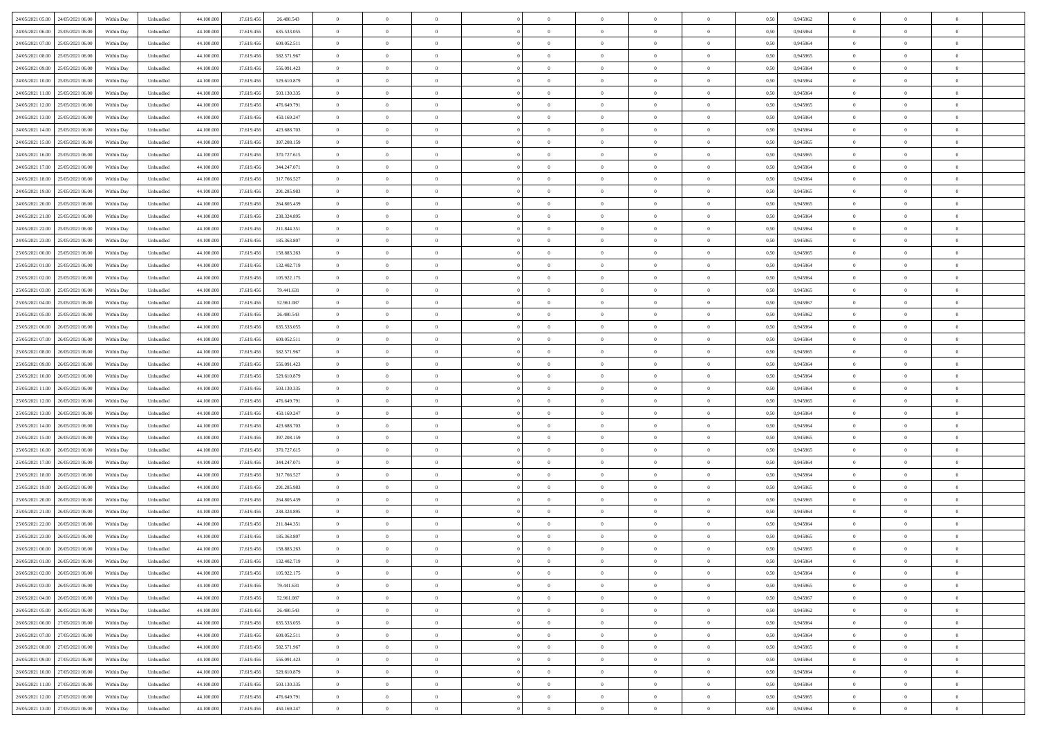| 24/05/2021 05:00 24/05/2021 06:00            | Within Day | Unbundled                   | 44.100.000 | 17.619.456 | 26.480.543    | $\overline{0}$ | $\theta$       |                | $\overline{0}$ | $\theta$       |                | $\bf{0}$       | 0,50 | 0,945962 | $\theta$       | $\theta$       | $\overline{0}$ |  |
|----------------------------------------------|------------|-----------------------------|------------|------------|---------------|----------------|----------------|----------------|----------------|----------------|----------------|----------------|------|----------|----------------|----------------|----------------|--|
| 24/05/2021 06:00<br>25/05/2021 06.00         | Within Day | Unbundled                   | 44.100.00  | 17.619.45  | 635.533.055   | $\bf{0}$       | $\overline{0}$ | $\bf{0}$       | $\overline{0}$ | $\bf{0}$       | $\overline{0}$ | $\bf{0}$       | 0,50 | 0,945964 | $\,$ 0 $\,$    | $\bf{0}$       | $\overline{0}$ |  |
| 24/05/2021 07:00<br>25/05/2021 06:00         | Within Day | Unbundled                   | 44,100,000 | 17.619.456 | 609.052.511   | $\overline{0}$ | $\bf{0}$       | $\overline{0}$ | $\bf{0}$       | $\bf{0}$       | $\overline{0}$ | $\bf{0}$       | 0.50 | 0.945964 | $\bf{0}$       | $\overline{0}$ | $\overline{0}$ |  |
| 24/05/2021 08:00<br>25/05/2021 06:00         | Within Day | Unbundled                   | 44.100.000 | 17.619.456 | 582.571.967   | $\overline{0}$ | $\overline{0}$ | $\overline{0}$ | $\theta$       | $\theta$       | $\overline{0}$ | $\bf{0}$       | 0,50 | 0,945965 | $\theta$       | $\theta$       | $\overline{0}$ |  |
|                                              |            |                             |            |            |               |                |                |                |                |                |                |                |      |          |                |                |                |  |
| 24/05/2021 09:00<br>25/05/2021 06.00         | Within Day | Unbundled                   | 44.100.00  | 17.619.456 | 556.091.423   | $\overline{0}$ | $\overline{0}$ | $\overline{0}$ | $\overline{0}$ | $\theta$       | $\overline{0}$ | $\bf{0}$       | 0,50 | 0,945964 | $\,$ 0 $\,$    | $\bf{0}$       | $\overline{0}$ |  |
| 24/05/2021 10:00<br>25/05/2021 06:00         | Within Day | Unbundled                   | 44,100,000 | 17.619.456 | 529.610.879   | $\overline{0}$ | $\overline{0}$ | $\overline{0}$ | $\bf{0}$       | $\overline{0}$ | $\theta$       | $\bf{0}$       | 0.50 | 0.945964 | $\bf{0}$       | $\theta$       | $\overline{0}$ |  |
| 24/05/2021 11:00<br>25/05/2021 06:00         | Within Day | Unbundled                   | 44.100.000 | 17.619.456 | 503.130.335   | $\overline{0}$ | $\overline{0}$ | $\overline{0}$ | $\overline{0}$ | $\overline{0}$ | $\overline{0}$ | $\bf{0}$       | 0,50 | 0,945964 | $\theta$       | $\theta$       | $\overline{0}$ |  |
| 24/05/2021 12:00<br>25/05/2021 06.00         | Within Day | Unbundled                   | 44.100.00  | 17.619.45  | 476.649.791   | $\bf{0}$       | $\overline{0}$ | $\overline{0}$ | $\overline{0}$ | $\theta$       | $\overline{0}$ | $\bf{0}$       | 0,50 | 0,945965 | $\,$ 0 $\,$    | $\bf{0}$       | $\overline{0}$ |  |
| 24/05/2021 13:00<br>25/05/2021 06:00         | Within Day | Unbundled                   | 44,100,00  | 17.619.456 | 450.169.247   | $\overline{0}$ | $\bf{0}$       | $\overline{0}$ | $\bf{0}$       | $\overline{0}$ | $\overline{0}$ | $\bf{0}$       | 0.50 | 0.945964 | $\bf{0}$       | $\theta$       | $\overline{0}$ |  |
| 24/05/2021 14:00<br>25/05/2021 06:00         | Within Day | Unbundled                   | 44.100.000 | 17.619.456 | 423.688.703   | $\overline{0}$ | $\bf{0}$       | $\overline{0}$ | $\overline{0}$ | $\theta$       | $\overline{0}$ | $\bf{0}$       | 0,50 | 0,945964 | $\,$ 0 $\,$    | $\theta$       | $\overline{0}$ |  |
|                                              |            |                             |            |            |               |                |                |                |                |                |                |                |      |          |                |                |                |  |
| 24/05/2021 15:00<br>25/05/2021 06.00         | Within Day | Unbundled                   | 44.100.00  | 17.619.456 | 397.208.159   | $\bf{0}$       | $\overline{0}$ | $\bf{0}$       | $\bf{0}$       | $\bf{0}$       | $\overline{0}$ | $\bf{0}$       | 0,50 | 0,945965 | $\,$ 0 $\,$    | $\bf{0}$       | $\overline{0}$ |  |
| 24/05/2021 16:00<br>25/05/2021 06:00         | Within Day | Unbundled                   | 44,100,000 | 17.619.456 | 370.727.615   | $\overline{0}$ | $\bf{0}$       | $\overline{0}$ | $\bf{0}$       | $\bf{0}$       | $\overline{0}$ | $\bf{0}$       | 0.50 | 0.945965 | $\bf{0}$       | $\overline{0}$ | $\overline{0}$ |  |
| 24/05/2021 17:00<br>25/05/2021 06:00         | Within Day | Unbundled                   | 44.100.000 | 17.619.456 | 344.247.071   | $\overline{0}$ | $\overline{0}$ | $\overline{0}$ | $\overline{0}$ | $\theta$       | $\overline{0}$ | $\overline{0}$ | 0,50 | 0,945964 | $\theta$       | $\theta$       | $\overline{0}$ |  |
| 24/05/2021 18:00<br>25/05/2021 06.00         | Within Day | Unbundled                   | 44.100.00  | 17.619.45  | 317.766.527   | $\bf{0}$       | $\theta$       | $\bf{0}$       | $\overline{0}$ | $\theta$       | $\overline{0}$ | $\bf{0}$       | 0,50 | 0,945964 | $\,$ 0 $\,$    | $\bf{0}$       | $\overline{0}$ |  |
| 24/05/2021 19:00<br>25/05/2021 06:00         | Within Day | Unbundled                   | 44,100,000 | 17.619.456 | 291.285.983   | $\overline{0}$ | $\overline{0}$ | $\overline{0}$ | $\bf{0}$       | $\theta$       | $\theta$       | $\bf{0}$       | 0.50 | 0.945965 | $\theta$       | $\theta$       | $\overline{0}$ |  |
| 24/05/2021 20:00<br>25/05/2021 06:00         | Within Day | Unbundled                   | 44.100.000 | 17.619.456 | 264.805.439   | $\overline{0}$ | $\overline{0}$ | $\overline{0}$ | $\overline{0}$ | $\overline{0}$ | $\overline{0}$ | $\bf{0}$       | 0,50 | 0,945965 | $\theta$       | $\theta$       | $\overline{0}$ |  |
|                                              |            |                             |            |            |               |                |                |                |                |                |                |                |      |          |                |                |                |  |
| 24/05/2021 21:00<br>25/05/2021 06.00         | Within Day | Unbundled                   | 44.100.00  | 17.619.45  | 238.324.895   | $\bf{0}$       | $\overline{0}$ | $\overline{0}$ | $\overline{0}$ | $\theta$       | $\overline{0}$ | $\bf{0}$       | 0,50 | 0,945964 | $\,$ 0 $\,$    | $\bf{0}$       | $\overline{0}$ |  |
| 24/05/2021 22.00<br>25/05/2021 06:00         | Within Day | Unbundled                   | 44,100,00  | 17.619.45  | 211.844.351   | $\overline{0}$ | $\bf{0}$       | $\overline{0}$ | $\bf{0}$       | $\overline{0}$ | $\overline{0}$ | $\bf{0}$       | 0.50 | 0.945964 | $\bf{0}$       | $\overline{0}$ | $\overline{0}$ |  |
| 24/05/2021 23:00<br>25/05/2021 06:00         | Within Day | Unbundled                   | 44.100.000 | 17.619.456 | 185.363.807   | $\overline{0}$ | $\overline{0}$ | $\overline{0}$ | $\overline{0}$ | $\overline{0}$ | $\overline{0}$ | $\bf{0}$       | 0,50 | 0,945965 | $\,$ 0 $\,$    | $\theta$       | $\overline{0}$ |  |
| 25/05/2021 00:00<br>25/05/2021 06.00         | Within Day | Unbundled                   | 44.100.00  | 17.619.456 | 158.883.263   | $\bf{0}$       | $\overline{0}$ | $\bf{0}$       | $\bf{0}$       | $\overline{0}$ | $\overline{0}$ | $\bf{0}$       | 0,50 | 0,945965 | $\,$ 0 $\,$    | $\bf{0}$       | $\overline{0}$ |  |
| 25/05/2021 01:00<br>25/05/2021 06:00         | Within Day | Unbundled                   | 44,100,000 | 17.619.456 | 132.402.719   | $\overline{0}$ | $\bf{0}$       | $\overline{0}$ | $\bf{0}$       | $\bf{0}$       | $\overline{0}$ | $\bf{0}$       | 0.50 | 0.945964 | $\bf{0}$       | $\overline{0}$ | $\overline{0}$ |  |
| 25/05/2021 02:00<br>25/05/2021 06:00         | Within Day | Unbundled                   | 44.100.000 | 17.619.456 | 105.922.175   | $\overline{0}$ | $\overline{0}$ | $\overline{0}$ | $\theta$       | $\theta$       | $\overline{0}$ | $\bf{0}$       | 0,50 | 0,945964 | $\theta$       | $\theta$       | $\overline{0}$ |  |
|                                              |            |                             |            |            |               |                |                |                |                |                |                |                |      |          |                |                |                |  |
| 25/05/2021 03:00<br>25/05/2021 06.00         | Within Day | Unbundled                   | 44.100.00  | 17.619.456 | 79.441.631    | $\bf{0}$       | $\overline{0}$ | $\bf{0}$       | $\bf{0}$       | $\bf{0}$       | $\overline{0}$ | $\bf{0}$       | 0,50 | 0,945965 | $\,$ 0 $\,$    | $\bf{0}$       | $\overline{0}$ |  |
| 25/05/2021 04:00<br>25/05/2021 06:00         | Within Day | Unbundled                   | 44,100,000 | 17.619.456 | 52,961,087    | $\overline{0}$ | $\overline{0}$ | $\overline{0}$ | $\overline{0}$ | $\overline{0}$ | $\Omega$       | $\bf{0}$       | 0.50 | 0.945967 | $\bf{0}$       | $\theta$       | $\overline{0}$ |  |
| 25/05/2021 05:00<br>25/05/2021 06:00         | Within Day | Unbundled                   | 44.100.000 | 17.619.456 | 26.480.543    | $\overline{0}$ | $\overline{0}$ | $\overline{0}$ | $\overline{0}$ | $\overline{0}$ | $\overline{0}$ | $\bf{0}$       | 0,50 | 0,945962 | $\theta$       | $\theta$       | $\overline{0}$ |  |
| 25/05/2021 06:00<br>26/05/2021 06.00         | Within Day | Unbundled                   | 44.100.00  | 17.619.456 | 635.533.055   | $\bf{0}$       | $\theta$       | $\bf{0}$       | $\overline{0}$ | $\theta$       | $\overline{0}$ | $\bf{0}$       | 0,50 | 0,945964 | $\,$ 0 $\,$    | $\bf{0}$       | $\overline{0}$ |  |
| 25/05/2021 07:00<br>26/05/2021 06:00         | Within Day | Unbundled                   | 44,100,000 | 17.619.456 | 609.052.511   | $\overline{0}$ | $\bf{0}$       | $\overline{0}$ | $\bf{0}$       | $\overline{0}$ | $\overline{0}$ | $\bf{0}$       | 0.50 | 0.945964 | $\bf{0}$       | $\overline{0}$ | $\overline{0}$ |  |
| 25/05/2021 08:00<br>26/05/2021 06:00         | Within Day | Unbundled                   | 44.100.000 | 17.619.456 | 582.571.967   | $\overline{0}$ | $\overline{0}$ | $\overline{0}$ | $\overline{0}$ | $\overline{0}$ | $\overline{0}$ | $\bf{0}$       | 0,50 | 0,945965 | $\theta$       | $\theta$       | $\overline{0}$ |  |
|                                              |            |                             |            |            |               |                |                |                |                |                |                |                |      |          |                |                |                |  |
| 25/05/2021 09:00<br>26/05/2021 06.00         | Within Day | Unbundled                   | 44.100.00  | 17.619.456 | 556.091.423   | $\bf{0}$       | $\bf{0}$       | $\bf{0}$       | $\bf{0}$       | $\overline{0}$ | $\overline{0}$ | $\bf{0}$       | 0,50 | 0,945964 | $\,$ 0 $\,$    | $\bf{0}$       | $\overline{0}$ |  |
| 25/05/2021 10:00<br>26/05/2021 06:00         | Within Day | Unbundled                   | 44,100,000 | 17.619.456 | 529.610.879   | $\overline{0}$ | $\bf{0}$       | $\overline{0}$ | $\bf{0}$       | $\bf{0}$       | $\overline{0}$ | $\bf{0}$       | 0.50 | 0.945964 | $\bf{0}$       | $\overline{0}$ | $\overline{0}$ |  |
| 25/05/2021 11:00<br>26/05/2021 06:00         | Within Day | Unbundled                   | 44.100.000 | 17.619.456 | 503.130.335   | $\overline{0}$ | $\overline{0}$ | $\overline{0}$ | $\overline{0}$ | $\overline{0}$ | $\overline{0}$ | $\bf{0}$       | 0.5( | 0.945964 | $\theta$       | $\theta$       | $\overline{0}$ |  |
| 25/05/2021 12:00<br>26/05/2021 06.00         | Within Day | Unbundled                   | 44.100.00  | 17.619.45  | 476.649.791   | $\bf{0}$       | $\overline{0}$ | $\bf{0}$       | $\overline{0}$ | $\overline{0}$ | $\overline{0}$ | $\bf{0}$       | 0,50 | 0,945965 | $\,$ 0 $\,$    | $\bf{0}$       | $\overline{0}$ |  |
| 25/05/2021 13:00<br>26/05/2021 06:00         | Within Day | Unbundled                   | 44,100,000 | 17.619.456 | 450.169.247   | $\overline{0}$ | $\overline{0}$ | $\overline{0}$ | $\bf{0}$       | $\bf{0}$       | $\Omega$       | $\bf{0}$       | 0.50 | 0.945964 | $\,$ 0 $\,$    | $\theta$       | $\overline{0}$ |  |
| 25/05/2021 14:00<br>26/05/2021 06:00         | Within Dav | Unbundled                   | 44.100.000 | 17.619.456 | 423.688.703   | $\overline{0}$ | $\overline{0}$ | $\Omega$       | $\overline{0}$ | $\overline{0}$ | $\overline{0}$ | $\overline{0}$ | 0.50 | 0,945964 | $\theta$       | $\theta$       | $\overline{0}$ |  |
| 25/05/2021 15:00<br>26/05/2021 06.00         | Within Day | Unbundled                   | 44.100.00  | 17.619.456 | 397.208.159   | $\bf{0}$       | $\overline{0}$ | $\bf{0}$       | $\bf{0}$       | $\bf{0}$       | $\overline{0}$ | $\bf{0}$       | 0,50 | 0,945965 | $\,$ 0 $\,$    | $\bf{0}$       | $\overline{0}$ |  |
| 25/05/2021 16:00<br>26/05/2021 06:00         | Within Day | Unbundled                   | 44,100,00  | 17.619.456 | 370.727.615   | $\overline{0}$ | $\bf{0}$       | $\overline{0}$ | $\bf{0}$       | $\overline{0}$ | $\overline{0}$ | $\bf{0}$       | 0.50 | 0.945965 | $\bf{0}$       | $\overline{0}$ | $\overline{0}$ |  |
|                                              |            |                             |            |            |               |                |                |                |                |                |                |                |      |          |                |                |                |  |
| 25/05/2021 17:00<br>26/05/2021 06:00         | Within Dav | Unbundled                   | 44.100.000 | 17.619.456 | 344.247.071   | $\overline{0}$ | $\overline{0}$ | $\overline{0}$ | $\overline{0}$ | $\overline{0}$ | $\overline{0}$ | $\overline{0}$ | 0.50 | 0,945964 | $\theta$       | $\theta$       | $\overline{0}$ |  |
| 25/05/2021 18:00<br>26/05/2021 06.00         | Within Day | Unbundled                   | 44.100.00  | 17.619.456 | 317.766.527   | $\bf{0}$       | $\bf{0}$       | $\bf{0}$       | $\bf{0}$       | $\overline{0}$ | $\overline{0}$ | $\bf{0}$       | 0,50 | 0,945964 | $\,$ 0 $\,$    | $\bf{0}$       | $\overline{0}$ |  |
| 25/05/2021 19:00<br>26/05/2021 06:00         | Within Day | Unbundled                   | 44,100,000 | 17.619.456 | 291.285.983   | $\overline{0}$ | $\bf{0}$       | $\overline{0}$ | $\bf{0}$       | $\bf{0}$       | $\overline{0}$ | $\bf{0}$       | 0.50 | 0.945965 | $\bf{0}$       | $\overline{0}$ | $\overline{0}$ |  |
| 25/05/2021 20:00<br>26/05/2021 06:00         | Within Dav | Unbundled                   | 44.100.000 | 17.619.456 | 264.805.439   | $\overline{0}$ | $\overline{0}$ | $\Omega$       | $\overline{0}$ | $\overline{0}$ | $\overline{0}$ | $\bf{0}$       | 0.50 | 0.945965 | $\theta$       | $\theta$       | $\overline{0}$ |  |
| 25/05/2021 21:00<br>26/05/2021 06.00         | Within Day | Unbundled                   | 44.100.00  | 17.619.456 | 238.324.895   | $\bf{0}$       | $\overline{0}$ | $\bf{0}$       | $\overline{0}$ | $\,$ 0 $\,$    | $\overline{0}$ | $\bf{0}$       | 0,50 | 0,945964 | $\,$ 0 $\,$    | $\bf{0}$       | $\overline{0}$ |  |
| 25/05/2021 22.00<br>26/05/2021 06.00         | Within Day | Unbundled                   | 44,100,00  | 17.619.45  | 211.844.351   | $\overline{0}$ | $\overline{0}$ | $\Omega$       | $\overline{0}$ | $\overline{0}$ | $\theta$       | $\bf{0}$       | 0.50 | 0.945964 | $\,$ 0 $\,$    | $\theta$       | $\overline{0}$ |  |
| 25/05/2021 23:00<br>26/05/2021 06:00         | Within Dav | Unbundled                   | 44.100.000 | 17.619.456 | 185, 363, 807 | $\overline{0}$ | $\overline{0}$ | $\Omega$       | $\overline{0}$ | $\theta$       | $\Omega$       | $\overline{0}$ | 0.5( | 0,945965 | $\theta$       | $\theta$       | $\overline{0}$ |  |
|                                              |            |                             |            |            |               |                |                |                |                |                |                |                |      |          |                |                |                |  |
| 26/05/2021 00:00<br>26/05/2021 06.00         | Within Day | Unbundled                   | 44.100.000 | 17.619.456 | 158.883.263   | $\bf{0}$       | $\bf{0}$       | $\bf{0}$       | $\overline{0}$ | $\bf{0}$       | $\overline{0}$ | $\bf{0}$       | 0,50 | 0,945965 | $\,$ 0 $\,$    | $\bf{0}$       | $\overline{0}$ |  |
| $26/05/2021\ 01.00 \qquad 26/05/2021\ 06.00$ | Within Day | $\ensuremath{\mathsf{Unb}}$ | 44.100.000 | 17.619.456 | 132.402.719   | $\overline{0}$ | $\Omega$       |                | $\overline{0}$ |                |                |                | 0,50 | 0.945964 | $\theta$       | $\overline{0}$ |                |  |
| 26/05/2021 02:00 26/05/2021 06:00            | Within Day | Unbundled                   | 44.100.000 | 17.619.456 | 105.922.175   | $\overline{0}$ | $\theta$       | $\Omega$       | $\theta$       | $\overline{0}$ | $\overline{0}$ | $\bf{0}$       | 0,50 | 0,945964 | $\theta$       | $\theta$       | $\overline{0}$ |  |
| 26/05/2021 03:00<br>26/05/2021 06.00         | Within Day | Unbundled                   | 44.100.00  | 17.619.456 | 79.441.631    | $\overline{0}$ | $\bf{0}$       | $\overline{0}$ | $\overline{0}$ | $\bf{0}$       | $\overline{0}$ | $\bf{0}$       | 0,50 | 0,945965 | $\bf{0}$       | $\overline{0}$ | $\bf{0}$       |  |
| 26/05/2021 04:00<br>26/05/2021 06:00         | Within Day | Unbundled                   | 44,100,000 | 17.619.456 | 52.961.087    | $\overline{0}$ | $\bf{0}$       | $\overline{0}$ | $\overline{0}$ | $\overline{0}$ | $\overline{0}$ | $\bf{0}$       | 0.50 | 0.945967 | $\mathbf{0}$   | $\bf{0}$       | $\,$ 0 $\,$    |  |
| 26/05/2021 05:00 26/05/2021 06:00            | Within Dav | Unbundled                   | 44.100.000 | 17.619.456 | 26.480.543    | $\overline{0}$ | $\overline{0}$ | $\overline{0}$ | $\overline{0}$ | $\overline{0}$ | $\overline{0}$ | $\bf{0}$       | 0,50 | 0,945962 | $\theta$       | $\theta$       | $\overline{0}$ |  |
| 26/05/2021 06:00<br>27/05/2021 06:00         | Within Day | Unbundled                   | 44.100.000 | 17.619.456 | 635.533.055   | $\overline{0}$ | $\bf{0}$       | $\overline{0}$ | $\bf{0}$       | $\overline{0}$ | $\bf{0}$       | $\bf{0}$       | 0,50 | 0,945964 | $\overline{0}$ | $\bf{0}$       | $\overline{0}$ |  |
|                                              |            |                             |            |            |               |                |                |                |                |                |                |                |      |          |                |                |                |  |
| 26/05/2021 07:00<br>27/05/2021 06:00         | Within Day | Unbundled                   | 44,100,000 | 17.619.456 | 609.052.511   | $\overline{0}$ | $\bf{0}$       | $\overline{0}$ | $\overline{0}$ | $\overline{0}$ | $\overline{0}$ | $\bf{0}$       | 0.50 | 0.945964 | $\,$ 0 $\,$    | $\theta$       | $\overline{0}$ |  |
| 26/05/2021 08:00<br>27/05/2021 06:00         | Within Dav | Unbundled                   | 44.100.000 | 17.619.456 | 582.571.967   | $\overline{0}$ | $\overline{0}$ | $\overline{0}$ | $\overline{0}$ | $\overline{0}$ | $\overline{0}$ | $\bf{0}$       | 0.50 | 0,945965 | $\overline{0}$ | $\theta$       | $\overline{0}$ |  |
| 26/05/2021 09:00<br>27/05/2021 06:00         | Within Day | Unbundled                   | 44.100.00  | 17.619.456 | 556.091.423   | $\overline{0}$ | $\overline{0}$ | $\overline{0}$ | $\overline{0}$ | $\bf{0}$       | $\overline{0}$ | $\bf{0}$       | 0,50 | 0,945964 | $\bf{0}$       | $\overline{0}$ | $\overline{0}$ |  |
| 26/05/2021 10:00 27/05/2021 06:00            | Within Day | Unbundled                   | 44,100,000 | 17.619.456 | 529.610.879   | $\overline{0}$ | $\overline{0}$ | $\overline{0}$ | $\overline{0}$ | $\bf{0}$       | $\overline{0}$ | $\bf{0}$       | 0.50 | 0.945964 | $\overline{0}$ | $\,$ 0 $\,$    | $\,$ 0         |  |
| 26/05/2021 11:00 27/05/2021 06:00            | Within Dav | Unbundled                   | 44.100.000 | 17.619.456 | 503.130.335   | $\overline{0}$ | $\overline{0}$ | $\overline{0}$ | $\overline{0}$ | $\overline{0}$ | $\overline{0}$ | $\bf{0}$       | 0,50 | 0,945964 | $\theta$       | $\theta$       | $\overline{0}$ |  |
| 26/05/2021 12:00<br>27/05/2021 06:00         | Within Day | Unbundled                   | 44.100.00  | 17.619.456 | 476.649.791   | $\overline{0}$ | $\bf{0}$       | $\overline{0}$ | $\bf{0}$       | $\overline{0}$ | $\bf{0}$       | $\bf{0}$       | 0,50 | 0,945965 | $\bf{0}$       | $\bf{0}$       | $\overline{0}$ |  |
|                                              |            |                             |            |            |               |                |                |                |                |                |                |                |      |          |                |                |                |  |
| 26/05/2021 13:00 27/05/2021 06:00            | Within Day | Unbundled                   | 44.100.000 | 17.619.456 | 450.169.247   | $\overline{0}$ | $\bf{0}$       | $\overline{0}$ | $\overline{0}$ | $\,$ 0 $\,$    | $\overline{0}$ | $\bf{0}$       | 0,50 | 0,945964 | $\overline{0}$ | $\,$ 0 $\,$    | $\,$ 0 $\,$    |  |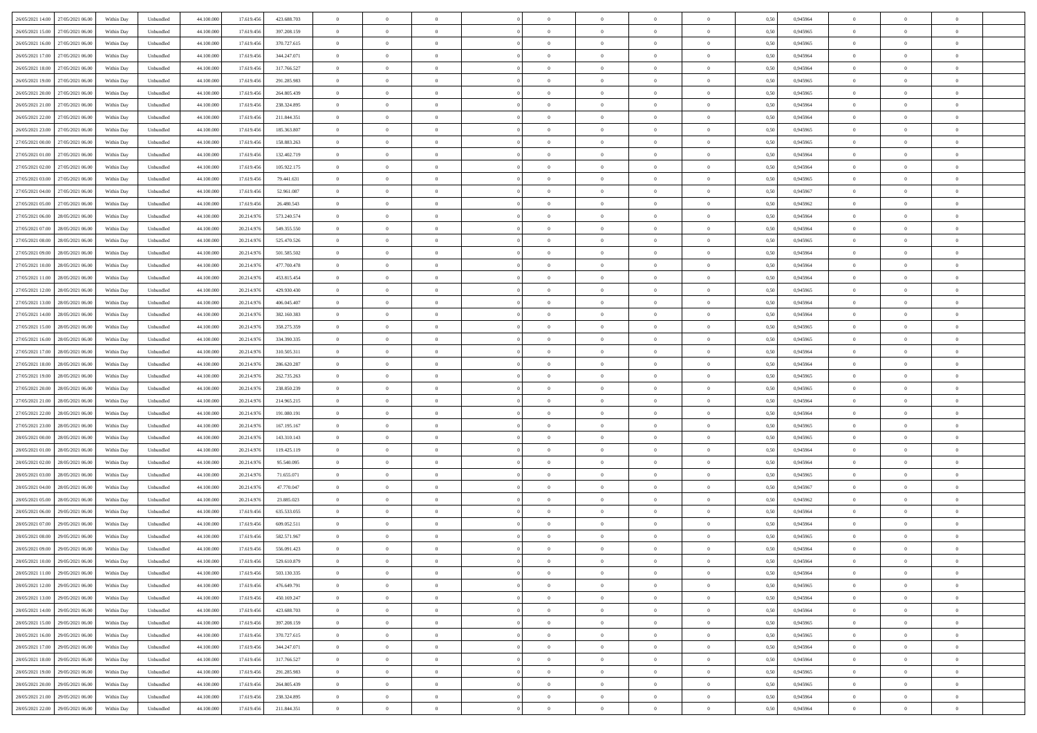| 26/05/2021 14:00 27/05/2021 06:00    | Within Day | Unbundled                   | 44.100.000 | 17.619.456 | 423.688.703 | $\overline{0}$ | $\theta$       |                | $\overline{0}$ | $\theta$       |                | $\theta$       | 0,50 | 0,945964 | $\theta$       | $\theta$       | $\overline{0}$ |  |
|--------------------------------------|------------|-----------------------------|------------|------------|-------------|----------------|----------------|----------------|----------------|----------------|----------------|----------------|------|----------|----------------|----------------|----------------|--|
| 26/05/2021 15:00<br>27/05/2021 06.00 | Within Day | Unbundled                   | 44.100.00  | 17.619.45  | 397.208.159 | $\bf{0}$       | $\overline{0}$ | $\bf{0}$       | $\overline{0}$ | $\bf{0}$       | $\overline{0}$ | $\bf{0}$       | 0,50 | 0,945965 | $\,$ 0 $\,$    | $\bf{0}$       | $\overline{0}$ |  |
| 26/05/2021 16:00<br>27/05/2021 06:00 | Within Day | Unbundled                   | 44,100,000 | 17.619.456 | 370.727.615 | $\overline{0}$ | $\bf{0}$       | $\overline{0}$ | $\bf{0}$       | $\bf{0}$       | $\overline{0}$ | $\bf{0}$       | 0.50 | 0.945965 | $\bf{0}$       | $\overline{0}$ | $\overline{0}$ |  |
| 26/05/2021 17:00<br>27/05/2021 06:00 |            |                             | 44.100.000 |            | 344.247.071 | $\overline{0}$ | $\overline{0}$ | $\overline{0}$ | $\theta$       | $\theta$       | $\overline{0}$ | $\bf{0}$       |      |          | $\theta$       | $\theta$       | $\overline{0}$ |  |
|                                      | Within Day | Unbundled                   |            | 17.619.456 |             |                |                |                |                |                |                |                | 0,50 | 0,945964 |                |                |                |  |
| 26/05/2021 18:00<br>27/05/2021 06.00 | Within Day | Unbundled                   | 44.100.00  | 17.619.456 | 317.766.527 | $\bf{0}$       | $\theta$       | $\bf{0}$       | $\overline{0}$ | $\theta$       | $\overline{0}$ | $\bf{0}$       | 0,50 | 0,945964 | $\,$ 0 $\,$    | $\bf{0}$       | $\overline{0}$ |  |
| 26/05/2021 19:00<br>27/05/2021 06:00 | Within Day | Unbundled                   | 44,100,000 | 17.619.456 | 291.285.983 | $\overline{0}$ | $\overline{0}$ | $\overline{0}$ | $\bf{0}$       | $\overline{0}$ | $\theta$       | $\bf{0}$       | 0.50 | 0.945965 | $\bf{0}$       | $\theta$       | $\overline{0}$ |  |
| 26/05/2021 20:00<br>27/05/2021 06:00 | Within Day | Unbundled                   | 44.100.000 | 17.619.456 | 264.805.439 | $\overline{0}$ | $\overline{0}$ | $\overline{0}$ | $\overline{0}$ | $\overline{0}$ | $\overline{0}$ | $\bf{0}$       | 0,50 | 0,945965 | $\theta$       | $\theta$       | $\overline{0}$ |  |
|                                      |            |                             |            |            |             |                |                |                |                |                |                |                |      |          |                |                |                |  |
| 26/05/2021 21:00<br>27/05/2021 06.00 | Within Day | Unbundled                   | 44.100.00  | 17.619.45  | 238.324.895 | $\bf{0}$       | $\overline{0}$ | $\overline{0}$ | $\overline{0}$ | $\theta$       | $\overline{0}$ | $\bf{0}$       | 0,50 | 0,945964 | $\,$ 0 $\,$    | $\bf{0}$       | $\overline{0}$ |  |
| 26/05/2021 22:00<br>27/05/2021 06:00 | Within Day | Unbundled                   | 44,100,00  | 17.619.456 | 211.844.351 | $\overline{0}$ | $\bf{0}$       | $\overline{0}$ | $\bf{0}$       | $\overline{0}$ | $\overline{0}$ | $\bf{0}$       | 0.50 | 0.945964 | $\bf{0}$       | $\overline{0}$ | $\overline{0}$ |  |
| 26/05/2021 23:00<br>27/05/2021 06:00 | Within Day | Unbundled                   | 44.100.000 | 17.619.456 | 185.363.807 | $\overline{0}$ | $\bf{0}$       | $\overline{0}$ | $\overline{0}$ | $\theta$       | $\overline{0}$ | $\bf{0}$       | 0,50 | 0,945965 | $\,$ 0 $\,$    | $\theta$       | $\overline{0}$ |  |
| 27/05/2021 00:00<br>27/05/2021 06.00 | Within Day | Unbundled                   | 44.100.00  | 17.619.456 | 158.883.263 | $\bf{0}$       | $\overline{0}$ | $\bf{0}$       | $\overline{0}$ | $\bf{0}$       | $\overline{0}$ | $\bf{0}$       | 0,50 | 0,945965 | $\,$ 0 $\,$    | $\bf{0}$       | $\overline{0}$ |  |
|                                      |            |                             |            |            |             |                |                |                |                |                |                |                |      |          |                |                |                |  |
| 27/05/2021 01:00<br>27/05/2021 06:00 | Within Day | Unbundled                   | 44,100,000 | 17.619.456 | 132.402.719 | $\overline{0}$ | $\bf{0}$       | $\overline{0}$ | $\bf{0}$       | $\bf{0}$       | $\overline{0}$ | $\bf{0}$       | 0.50 | 0.945964 | $\bf{0}$       | $\overline{0}$ | $\overline{0}$ |  |
| 27/05/2021 02:00<br>27/05/2021 06:00 | Within Day | Unbundled                   | 44.100.000 | 17.619.456 | 105.922.175 | $\overline{0}$ | $\overline{0}$ | $\overline{0}$ | $\overline{0}$ | $\theta$       | $\overline{0}$ | $\overline{0}$ | 0,50 | 0,945964 | $\,$ 0 $\,$    | $\theta$       | $\overline{0}$ |  |
| 27/05/2021 03:00<br>27/05/2021 06.00 | Within Day | Unbundled                   | 44.100.00  | 17.619.456 | 79.441.631  | $\bf{0}$       | $\theta$       | $\bf{0}$       | $\overline{0}$ | $\theta$       | $\overline{0}$ | $\bf{0}$       | 0,50 | 0,945965 | $\bf{0}$       | $\bf{0}$       | $\overline{0}$ |  |
| 27/05/2021 04:00<br>27/05/2021 06.00 | Within Day | Unbundled                   | 44,100,000 | 17.619.456 | 52,961,087  | $\overline{0}$ | $\overline{0}$ | $\overline{0}$ | $\bf{0}$       | $\bf{0}$       | $\Omega$       | $\bf{0}$       | 0.50 | 0.945967 | $\theta$       | $\theta$       | $\overline{0}$ |  |
|                                      |            |                             |            |            |             |                |                |                |                |                |                |                |      |          |                |                |                |  |
| 27/05/2021 05:00<br>27/05/2021 06:00 | Within Day | Unbundled                   | 44.100.000 | 17.619.456 | 26.480.543  | $\overline{0}$ | $\overline{0}$ | $\overline{0}$ | $\overline{0}$ | $\overline{0}$ | $\overline{0}$ | $\bf{0}$       | 0,50 | 0,945962 | $\theta$       | $\theta$       | $\overline{0}$ |  |
| 27/05/2021 06:00<br>28/05/2021 06:00 | Within Day | Unbundled                   | 44.100.00  | 20.214.976 | 573.240.574 | $\bf{0}$       | $\overline{0}$ | $\overline{0}$ | $\overline{0}$ | $\bf{0}$       | $\overline{0}$ | $\bf{0}$       | 0,50 | 0,945964 | $\,$ 0 $\,$    | $\bf{0}$       | $\overline{0}$ |  |
| 27/05/2021 07:00<br>28/05/2021 06:00 | Within Day | Unbundled                   | 44,100,00  | 20.214.97  | 549.355.550 | $\overline{0}$ | $\bf{0}$       | $\overline{0}$ | $\bf{0}$       | $\overline{0}$ | $\overline{0}$ | $\bf{0}$       | 0.50 | 0.945964 | $\bf{0}$       | $\overline{0}$ | $\overline{0}$ |  |
| 27/05/2021 08:00<br>28/05/2021 06:00 | Within Day | Unbundled                   | 44.100.000 | 20.214.976 | 525.470.526 | $\overline{0}$ | $\overline{0}$ | $\overline{0}$ | $\overline{0}$ | $\overline{0}$ | $\overline{0}$ | $\bf{0}$       | 0,50 | 0,945965 | $\,$ 0 $\,$    | $\theta$       | $\overline{0}$ |  |
|                                      |            |                             |            |            |             |                |                |                |                |                |                |                |      |          |                |                |                |  |
| 27/05/2021 09:00<br>28/05/2021 06:00 | Within Day | Unbundled                   | 44.100.00  | 20.214.976 | 501.585.502 | $\bf{0}$       | $\overline{0}$ | $\bf{0}$       | $\bf{0}$       | $\overline{0}$ | $\overline{0}$ | $\bf{0}$       | 0,50 | 0,945964 | $\,$ 0 $\,$    | $\bf{0}$       | $\overline{0}$ |  |
| 27/05/2021 10:00<br>28/05/2021 06:00 | Within Day | Unbundled                   | 44,100,000 | 20.214.976 | 477,700,478 | $\overline{0}$ | $\bf{0}$       | $\overline{0}$ | $\bf{0}$       | $\bf{0}$       | $\overline{0}$ | $\bf{0}$       | 0.50 | 0.945964 | $\bf{0}$       | $\overline{0}$ | $\overline{0}$ |  |
| 27/05/2021 11:00<br>28/05/2021 06:00 | Within Day | Unbundled                   | 44.100.000 | 20.214.976 | 453.815.454 | $\overline{0}$ | $\overline{0}$ | $\overline{0}$ | $\theta$       | $\theta$       | $\overline{0}$ | $\bf{0}$       | 0,50 | 0,945964 | $\theta$       | $\theta$       | $\overline{0}$ |  |
| 27/05/2021 12:00<br>28/05/2021 06:00 | Within Day | Unbundled                   | 44.100.00  | 20.214.97  | 429.930.430 | $\bf{0}$       | $\overline{0}$ | $\bf{0}$       | $\bf{0}$       | $\bf{0}$       | $\overline{0}$ | $\bf{0}$       | 0,50 | 0,945965 | $\,$ 0 $\,$    | $\bf{0}$       | $\overline{0}$ |  |
|                                      |            |                             |            |            |             |                |                |                |                |                |                |                |      |          |                |                |                |  |
| 27/05/2021 13:00<br>28/05/2021 06:00 | Within Day | Unbundled                   | 44,100,00  | 20.214.976 | 406.045.407 | $\overline{0}$ | $\overline{0}$ | $\overline{0}$ | $\overline{0}$ | $\overline{0}$ | $\Omega$       | $\bf{0}$       | 0.50 | 0.945964 | $\bf{0}$       | $\theta$       | $\overline{0}$ |  |
| 27/05/2021 14:00<br>28/05/2021 06:00 | Within Day | Unbundled                   | 44.100.000 | 20.214.976 | 382.160.383 | $\overline{0}$ | $\overline{0}$ | $\overline{0}$ | $\overline{0}$ | $\overline{0}$ | $\overline{0}$ | $\bf{0}$       | 0,50 | 0,945964 | $\theta$       | $\theta$       | $\overline{0}$ |  |
| 27/05/2021 15:00<br>28/05/2021 06:00 | Within Day | Unbundled                   | 44.100.00  | 20.214.97  | 358.275.359 | $\bf{0}$       | $\theta$       | $\bf{0}$       | $\overline{0}$ | $\bf{0}$       | $\overline{0}$ | $\bf{0}$       | 0,50 | 0,945965 | $\,$ 0 $\,$    | $\bf{0}$       | $\overline{0}$ |  |
| 27/05/2021 16:00<br>28/05/2021 06:00 | Within Day | Unbundled                   | 44,100,00  | 20.214.976 | 334.390.335 | $\overline{0}$ | $\bf{0}$       | $\overline{0}$ | $\bf{0}$       | $\overline{0}$ | $\overline{0}$ | $\bf{0}$       | 0.50 | 0.945965 | $\bf{0}$       | $\overline{0}$ | $\overline{0}$ |  |
| 27/05/2021 17:00<br>28/05/2021 06:00 |            |                             | 44.100.000 |            |             | $\overline{0}$ | $\overline{0}$ | $\overline{0}$ | $\overline{0}$ | $\overline{0}$ | $\overline{0}$ |                |      |          | $\theta$       | $\theta$       | $\overline{0}$ |  |
|                                      | Within Day | Unbundled                   |            | 20.214.976 | 310.505.311 |                |                |                |                |                |                | $\bf{0}$       | 0,50 | 0,945964 |                |                |                |  |
| 27/05/2021 18:00<br>28/05/2021 06:00 | Within Day | Unbundled                   | 44.100.00  | 20.214.976 | 286.620.287 | $\bf{0}$       | $\bf{0}$       | $\bf{0}$       | $\bf{0}$       | $\overline{0}$ | $\overline{0}$ | $\bf{0}$       | 0,50 | 0,945964 | $\,$ 0 $\,$    | $\bf{0}$       | $\overline{0}$ |  |
| 27/05/2021 19:00<br>28/05/2021 06:00 | Within Day | Unbundled                   | 44,100,000 | 20.214.976 | 262.735.263 | $\overline{0}$ | $\bf{0}$       | $\overline{0}$ | $\bf{0}$       | $\bf{0}$       | $\overline{0}$ | $\bf{0}$       | 0.50 | 0.945965 | $\bf{0}$       | $\overline{0}$ | $\overline{0}$ |  |
| 27/05/2021 20:00<br>28/05/2021 06:00 | Within Day | Unbundled                   | 44.100.000 | 20.214.976 | 238.850.239 | $\overline{0}$ | $\overline{0}$ | $\overline{0}$ | $\overline{0}$ | $\overline{0}$ | $\overline{0}$ | $\bf{0}$       | 0.5( | 0.945965 | $\theta$       | $\theta$       | $\overline{0}$ |  |
| 27/05/2021 21:00<br>28/05/2021 06:00 | Within Day | Unbundled                   | 44.100.00  | 20.214.97  | 214.965.215 | $\bf{0}$       | $\overline{0}$ | $\bf{0}$       | $\overline{0}$ | $\,$ 0 $\,$    | $\overline{0}$ | $\bf{0}$       | 0,50 | 0,945964 | $\,$ 0 $\,$    | $\bf{0}$       | $\overline{0}$ |  |
|                                      |            |                             |            |            |             |                |                |                |                |                |                |                |      |          |                |                |                |  |
| 27/05/2021 22.00<br>28/05/2021 06:00 | Within Day | Unbundled                   | 44,100,000 | 20.214.976 | 191.080.191 | $\overline{0}$ | $\overline{0}$ | $\overline{0}$ | $\bf{0}$       | $\bf{0}$       | $\Omega$       | $\bf{0}$       | 0.50 | 0.945964 | $\,$ 0 $\,$    | $\theta$       | $\overline{0}$ |  |
| 27/05/2021 23:00<br>28/05/2021 06:00 | Within Dav | Unbundled                   | 44.100.000 | 20.214.976 | 167.195.167 | $\overline{0}$ | $\overline{0}$ | $\Omega$       | $\overline{0}$ | $\overline{0}$ | $\overline{0}$ | $\overline{0}$ | 0.50 | 0,945965 | $\theta$       | $\theta$       | $\overline{0}$ |  |
| 28/05/2021 00:00<br>28/05/2021 06:00 | Within Day | Unbundled                   | 44.100.00  | 20.214.97  | 143.310.143 | $\bf{0}$       | $\overline{0}$ | $\bf{0}$       | $\bf{0}$       | $\bf{0}$       | $\overline{0}$ | $\bf{0}$       | 0,50 | 0,945965 | $\,$ 0 $\,$    | $\bf{0}$       | $\overline{0}$ |  |
| 28/05/2021 01:00<br>28/05/2021 06:00 | Within Day | Unbundled                   | 44,100,00  | 20.214.97  | 119.425.119 | $\overline{0}$ | $\bf{0}$       | $\overline{0}$ | $\bf{0}$       | $\overline{0}$ | $\overline{0}$ | $\bf{0}$       | 0.50 | 0.945964 | $\bf{0}$       | $\overline{0}$ | $\overline{0}$ |  |
|                                      |            |                             |            |            |             |                |                |                |                |                |                |                |      |          |                |                |                |  |
| 28/05/2021 02:00<br>28/05/2021 06:00 | Within Dav | Unbundled                   | 44.100.000 | 20.214.976 | 95.540.095  | $\overline{0}$ | $\overline{0}$ | $\overline{0}$ | $\overline{0}$ | $\overline{0}$ | $\overline{0}$ | $\overline{0}$ | 0.50 | 0,945964 | $\theta$       | $\theta$       | $\overline{0}$ |  |
| 28/05/2021 03:00<br>28/05/2021 06:00 | Within Day | Unbundled                   | 44.100.00  | 20.214.97  | 71.655.071  | $\bf{0}$       | $\bf{0}$       | $\bf{0}$       | $\bf{0}$       | $\overline{0}$ | $\overline{0}$ | $\bf{0}$       | 0,50 | 0,945965 | $\,$ 0 $\,$    | $\bf{0}$       | $\overline{0}$ |  |
| 28/05/2021 04:00<br>28/05/2021 06:00 | Within Day | Unbundled                   | 44,100,000 | 20.214.976 | 47.770.047  | $\overline{0}$ | $\bf{0}$       | $\overline{0}$ | $\bf{0}$       | $\bf{0}$       | $\overline{0}$ | $\bf{0}$       | 0.50 | 0.945967 | $\bf{0}$       | $\overline{0}$ | $\overline{0}$ |  |
| 28/05/2021 05:00<br>28/05/2021 06:00 | Within Day | Unbundled                   | 44.100.000 | 20.214.976 | 23.885.023  | $\overline{0}$ | $\overline{0}$ | $\overline{0}$ | $\overline{0}$ | $\overline{0}$ | $\overline{0}$ | $\bf{0}$       | 0.50 | 0,945962 | $\theta$       | $\theta$       | $\overline{0}$ |  |
| 28/05/2021 06:00<br>29/05/2021 06.00 | Within Day | Unbundled                   | 44.100.00  | 17.619.456 | 635.533.055 | $\bf{0}$       | $\overline{0}$ | $\bf{0}$       | $\overline{0}$ | $\overline{0}$ | $\overline{0}$ | $\bf{0}$       | 0,50 | 0,945964 | $\,$ 0 $\,$    | $\bf{0}$       | $\overline{0}$ |  |
|                                      |            |                             |            |            |             |                |                |                |                |                |                |                |      |          |                |                |                |  |
| 28/05/2021 07:00<br>29/05/2021 06.00 | Within Day | Unbundled                   | 44,100,00  | 17.619.45  | 609.052.511 | $\overline{0}$ | $\overline{0}$ | $\overline{0}$ | $\overline{0}$ | $\bf{0}$       | $\theta$       | $\bf{0}$       | 0.50 | 0.945964 | $\,$ 0 $\,$    | $\theta$       | $\overline{0}$ |  |
| 28/05/2021 08:00<br>29/05/2021 06:00 | Within Dav | Unbundled                   | 44.100.000 | 17.619.45  | 582.571.967 | $\overline{0}$ | $\overline{0}$ | $\Omega$       | $\overline{0}$ | $\theta$       | $\Omega$       | $\overline{0}$ | 0.5( | 0,945965 | $\theta$       | $\theta$       | $\overline{0}$ |  |
| 28/05/2021 09:00<br>29/05/2021 06.00 | Within Day | Unbundled                   | 44.100.000 | 17.619.456 | 556.091.423 | $\bf{0}$       | $\bf{0}$       | $\bf{0}$       | $\bf{0}$       | $\bf{0}$       | $\overline{0}$ | $\bf{0}$       | 0,50 | 0,945964 | $\,$ 0 $\,$    | $\bf{0}$       | $\overline{0}$ |  |
| 28/05/2021 10:00 29/05/2021 06:00    | Within Day | $\ensuremath{\mathsf{Unb}}$ | 44.100.000 | 17.619.456 | 529.610.879 | $\bf{0}$       | $\theta$       |                | $\overline{0}$ |                |                |                | 0,50 | 0.945964 | $\theta$       | $\overline{0}$ |                |  |
|                                      |            |                             |            |            |             |                |                |                |                |                |                |                |      |          |                |                |                |  |
| 28/05/2021 11:00 29/05/2021 06:00    | Within Day | Unbundled                   | 44.100.000 | 17.619.456 | 503.130.335 | $\overline{0}$ | $\theta$       | $\Omega$       | $\theta$       | $\overline{0}$ | $\overline{0}$ | $\bf{0}$       | 0,50 | 0,945964 | $\theta$       | $\theta$       | $\overline{0}$ |  |
| 28/05/2021 12:00<br>29/05/2021 06.00 | Within Day | Unbundled                   | 44.100.00  | 17.619.456 | 476.649.791 | $\overline{0}$ | $\bf{0}$       | $\overline{0}$ | $\overline{0}$ | $\bf{0}$       | $\overline{0}$ | $\bf{0}$       | 0,50 | 0,945965 | $\bf{0}$       | $\overline{0}$ | $\bf{0}$       |  |
| 28/05/2021 13:00 29/05/2021 06:00    | Within Day | Unbundled                   | 44,100,000 | 17.619.456 | 450.169.247 | $\overline{0}$ | $\bf{0}$       | $\overline{0}$ | $\overline{0}$ | $\overline{0}$ | $\overline{0}$ | $\bf{0}$       | 0.50 | 0.945964 | $\mathbf{0}$   | $\bf{0}$       | $\,$ 0 $\,$    |  |
| 28/05/2021 14:00 29/05/2021 06:00    | Within Day | Unbundled                   | 44.100.000 | 17.619.456 | 423.688.703 | $\overline{0}$ | $\overline{0}$ | $\overline{0}$ | $\overline{0}$ | $\overline{0}$ | $\overline{0}$ | $\bf{0}$       | 0,50 | 0,945964 | $\theta$       | $\theta$       | $\overline{0}$ |  |
|                                      |            |                             |            |            |             |                |                |                |                |                |                |                |      |          |                |                |                |  |
| 28/05/2021 15:00<br>29/05/2021 06.00 | Within Day | Unbundled                   | 44.100.000 | 17.619.456 | 397.208.159 | $\overline{0}$ | $\bf{0}$       | $\overline{0}$ | $\bf{0}$       | $\overline{0}$ | $\bf{0}$       | $\bf{0}$       | 0,50 | 0,945965 | $\overline{0}$ | $\bf{0}$       | $\overline{0}$ |  |
| 28/05/2021 16:00<br>29/05/2021 06:00 | Within Day | Unbundled                   | 44,100,000 | 17.619.456 | 370.727.615 | $\overline{0}$ | $\bf{0}$       | $\overline{0}$ | $\overline{0}$ | $\overline{0}$ | $\overline{0}$ | $\bf{0}$       | 0.50 | 0.945965 | $\,$ 0 $\,$    | $\theta$       | $\overline{0}$ |  |
| 28/05/2021 17:00<br>29/05/2021 06:00 | Within Dav | Unbundled                   | 44.100.000 | 17.619.456 | 344.247.071 | $\overline{0}$ | $\overline{0}$ | $\overline{0}$ | $\overline{0}$ | $\overline{0}$ | $\overline{0}$ | $\bf{0}$       | 0.50 | 0,945964 | $\overline{0}$ | $\theta$       | $\overline{0}$ |  |
| 28/05/2021 18:00<br>29/05/2021 06.00 | Within Day | Unbundled                   | 44.100.00  | 17.619.456 | 317.766.527 | $\overline{0}$ | $\overline{0}$ | $\overline{0}$ | $\overline{0}$ | $\bf{0}$       | $\overline{0}$ | $\bf{0}$       | 0,50 | 0,945964 | $\bf{0}$       | $\overline{0}$ | $\overline{0}$ |  |
| 29/05/2021 06:00<br>28/05/2021 19:00 |            | Unbundled                   | 44,100,000 | 17.619.456 | 291.285.983 | $\overline{0}$ | $\overline{0}$ | $\overline{0}$ |                | $\bf{0}$       | $\overline{0}$ |                | 0.50 | 0.945965 | $\overline{0}$ | $\,$ 0 $\,$    | $\,$ 0         |  |
|                                      | Within Day |                             |            |            |             |                |                |                | $\overline{0}$ |                |                | $\bf{0}$       |      |          |                |                |                |  |
| 28/05/2021 20:00 29/05/2021 06:00    | Within Dav | Unbundled                   | 44.100.000 | 17.619.456 | 264.805.439 | $\overline{0}$ | $\overline{0}$ | $\overline{0}$ | $\overline{0}$ | $\overline{0}$ | $\overline{0}$ | $\bf{0}$       | 0,50 | 0,945965 | $\theta$       | $\theta$       | $\overline{0}$ |  |
| 28/05/2021 21:00<br>29/05/2021 06.00 | Within Day | Unbundled                   | 44.100.00  | 17.619.456 | 238.324.895 | $\overline{0}$ | $\bf{0}$       | $\overline{0}$ | $\bf{0}$       | $\overline{0}$ | $\bf{0}$       | $\bf{0}$       | 0,50 | 0,945964 | $\bf{0}$       | $\bf{0}$       | $\overline{0}$ |  |
| 28/05/2021 22:00 29/05/2021 06:00    | Within Day | Unbundled                   | 44.100.000 | 17.619.456 | 211.844.351 | $\overline{0}$ | $\bf{0}$       | $\overline{0}$ | $\overline{0}$ | $\,$ 0 $\,$    | $\overline{0}$ | $\bf{0}$       | 0,50 | 0,945964 | $\overline{0}$ | $\,$ 0 $\,$    | $\,$ 0 $\,$    |  |
|                                      |            |                             |            |            |             |                |                |                |                |                |                |                |      |          |                |                |                |  |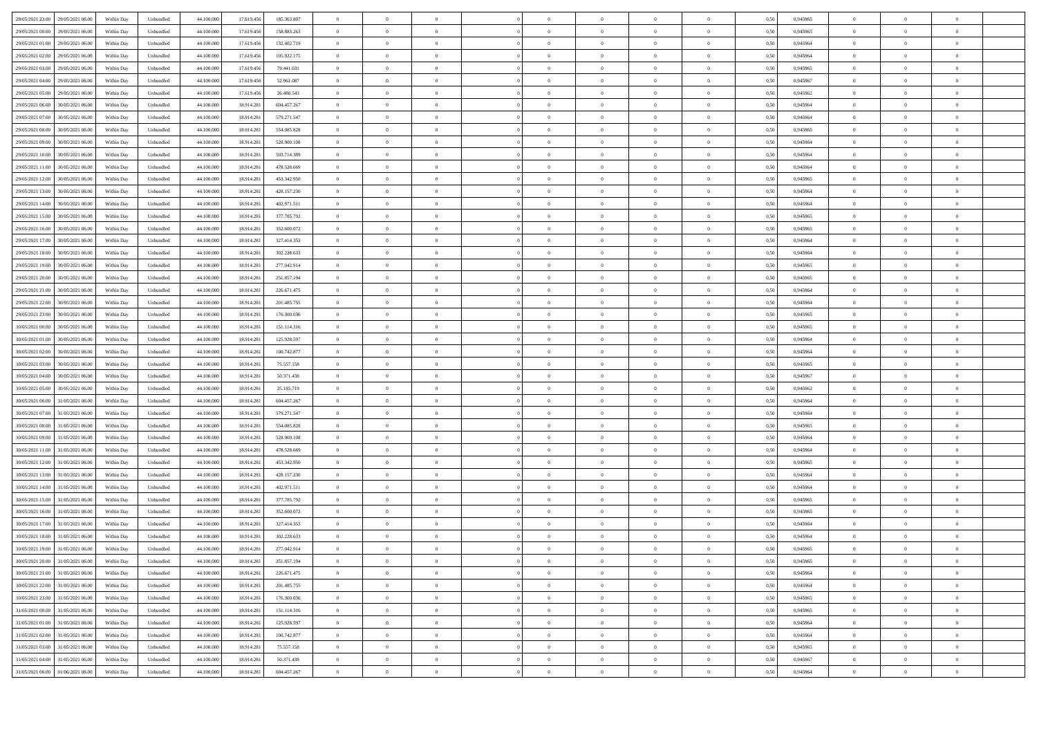| 28/05/2021 23:00<br>29/05/2021 06:00                     | Within Day | Unbundled | 44.100.000               | 17.619.456 | 185.363.807 |                                  |                                  |                            |                            |                |                                  |                            | 0,50 | 0,945965             | $\overline{0}$                   |                      |                |  |
|----------------------------------------------------------|------------|-----------|--------------------------|------------|-------------|----------------------------------|----------------------------------|----------------------------|----------------------------|----------------|----------------------------------|----------------------------|------|----------------------|----------------------------------|----------------------|----------------|--|
| 29/05/2021 00:00<br>29/05/2021 06.00                     | Within Day | Unbundled | 44.100.000               | 17.619.456 | 158.883.263 | $\overline{0}$                   | $\overline{0}$                   | $\overline{0}$             | $\overline{0}$             | $\bf{0}$       | $\overline{0}$                   | $\bf{0}$                   | 0,50 | 0,945965             | $\overline{0}$                   | $\overline{0}$       | $\bf{0}$       |  |
| 29/05/2021 01:00<br>29/05/2021 06:00                     | Within Day | Unbundled | 44,100,000               | 17.619.456 | 132.402.719 | $\overline{0}$                   | $\overline{0}$                   | $\theta$                   | $\Omega$                   | $\overline{0}$ | $\overline{0}$                   | $\theta$                   | 0.50 | 0.945964             | $\overline{0}$                   | $\Omega$             | $\mathbf{a}$   |  |
| 29/05/2021 02:00<br>29/05/2021 06:00                     | Within Day | Unbundled | 44.100.000               | 17.619.456 | 105.922.175 | $\overline{0}$                   | $\overline{0}$                   | $\overline{0}$             |                            | $\overline{0}$ | $\overline{0}$                   | $\overline{0}$             | 0,50 | 0,945964             | $\overline{0}$                   | $\overline{0}$       |                |  |
| 29/05/2021 03:00<br>29/05/2021 06:00                     | Within Day | Unbundled | 44.100.000               | 17.619.456 | 79.441.631  | $\overline{0}$                   | $\overline{0}$                   | $\overline{0}$             | $\overline{0}$             | $\bf{0}$       | $\overline{0}$                   | $\overline{0}$             | 0,50 | 0,945965             | $\overline{0}$                   | $\bf{0}$             | $\bf{0}$       |  |
| 29/05/2021 04:00<br>29/05/2021 06.00                     | Within Day | Unbundled | 44,100,000               | 17.619.456 | 52.961.087  | $\overline{0}$                   | $\overline{0}$                   | $\theta$                   | $^{\circ}$                 | $\overline{0}$ | $\overline{0}$                   | $\bf{0}$                   | 0.50 | 0,945967             | $\overline{0}$                   | $\overline{0}$       |                |  |
| 29/05/2021 05:00<br>29/05/2021 06:00                     | Within Day | Unbundled | 44.100.000               | 17.619.456 | 26.480.543  | $\overline{0}$                   | $\overline{0}$                   | $\overline{0}$             |                            | $\overline{0}$ | $\overline{0}$                   | $\overline{0}$             | 0,50 | 0,945962             | $\overline{0}$                   | $\overline{0}$       |                |  |
| 29/05/2021 06:00<br>30/05/2021 06:00                     | Within Day | Unbundled | 44.100.000               | 18.914.281 | 604.457.267 | $\overline{0}$                   | $\overline{0}$                   | $\overline{0}$             | $\overline{0}$             | $\bf{0}$       | $\overline{0}$                   | $\overline{0}$             | 0,50 | 0,945964             | $\overline{0}$                   | $\overline{0}$       | $\overline{0}$ |  |
| 29/05/2021 07:00<br>30/05/2021 06:00                     | Within Day | Unbundled | 44,100,000               | 18.914.281 | 579.271.547 | $\overline{0}$                   | $\overline{0}$                   | $\theta$                   | $\Omega$                   | $\overline{0}$ | $\overline{0}$                   | $\theta$                   | 0.50 | 0.945964             | $\overline{0}$                   | $\Omega$             | $\theta$       |  |
| 29/05/2021 08:00<br>30/05/2021 06:00                     | Within Day | Unbundled | 44.100.000               | 18.914.281 | 554.085.828 | $\overline{0}$                   | $\overline{0}$                   | $\overline{0}$             | $\overline{0}$             | $\overline{0}$ | $\overline{0}$                   | $\overline{0}$             | 0,50 | 0,945965             | $\overline{0}$                   | $\overline{0}$       |                |  |
| 29/05/2021 09:00<br>30/05/2021 06:00                     | Within Day | Unbundled | 44.100.000               | 18.914.281 | 528.900.108 | $\overline{0}$                   | $\overline{0}$                   | $\overline{0}$             | $\overline{0}$             | $\bf{0}$       | $\overline{0}$                   | $\overline{0}$             | 0,50 | 0,945964             | $\overline{0}$                   | $\bf{0}$             | $\bf{0}$       |  |
| 29/05/2021 10:00<br>30/05/2021 06:00                     | Within Day | Unbundled | 44,100,000               | 18.914.281 | 503.714.389 | $\overline{0}$                   | $\overline{0}$                   | $\theta$                   | $\Omega$                   | $\overline{0}$ | $\overline{0}$                   | $\bf{0}$                   | 0.50 | 0.945964             | $\overline{0}$                   | $\overline{0}$       | $\sqrt{ }$     |  |
| 29/05/2021 11:00<br>30/05/2021 06:00                     | Within Day | Unbundled | 44.100.000               | 18.914.281 | 478.528.669 | $\overline{0}$                   | $\overline{0}$                   | $\overline{0}$             |                            | $\overline{0}$ | $\overline{0}$                   | $\overline{0}$             | 0,50 | 0,945964             | $\overline{0}$                   | $\overline{0}$       |                |  |
|                                                          |            |           |                          |            |             |                                  |                                  |                            |                            | $\bf{0}$       |                                  |                            |      |                      |                                  |                      | $\bf{0}$       |  |
| 29/05/2021 12:00<br>30/05/2021 06:00<br>30/05/2021 06:00 | Within Day | Unbundled | 44.100.000<br>44,100,000 | 18.914.281 | 453.342.950 | $\overline{0}$<br>$\overline{0}$ | $\overline{0}$                   | $\overline{0}$<br>$\theta$ | $\overline{0}$<br>$\Omega$ | $\overline{0}$ | $\overline{0}$                   | $\overline{0}$<br>$\theta$ | 0,50 | 0,945965<br>0.945964 | $\overline{0}$<br>$\overline{0}$ | $\bf{0}$<br>$\Omega$ | $\sqrt{ }$     |  |
| 29/05/2021 13:00                                         | Within Day | Unbundled |                          | 18.914.281 | 428.157.230 | $\overline{0}$                   | $\overline{0}$<br>$\overline{0}$ | $\overline{0}$             |                            | $\overline{0}$ | $\overline{0}$<br>$\overline{0}$ | $\overline{0}$             | 0.50 |                      |                                  |                      |                |  |
| 29/05/2021 14:00<br>30/05/2021 06:00                     | Within Day | Unbundled | 44.100.000               | 18.914.281 | 402.971.511 |                                  |                                  |                            | $\overline{0}$             |                |                                  |                            | 0,50 | 0,945964             | $\overline{0}$                   | $\overline{0}$       |                |  |
| 29/05/2021 15:00<br>30/05/2021 06:00                     | Within Day | Unbundled | 44.100.000               | 18.914.281 | 377.785.792 | $\overline{0}$                   | $\overline{0}$                   | $\overline{0}$             | $\overline{0}$             | $\bf{0}$       | $\overline{0}$                   | $\overline{0}$             | 0,50 | 0,945965             | $\overline{0}$                   | $\overline{0}$       | $\overline{0}$ |  |
| 29/05/2021 16:00<br>30/05/2021 06:00                     | Within Day | Unbundled | 44,100,000               | 18.914.281 | 352.600.072 | $\overline{0}$                   | $\overline{0}$                   | $\Omega$                   | $\Omega$                   | $\overline{0}$ | $\overline{0}$                   | $\bf{0}$                   | 0.50 | 0.945965             | $\overline{0}$                   | $\overline{0}$       | $\theta$       |  |
| 29/05/2021 17:00<br>30/05/2021 06:00                     | Within Day | Unbundled | 44.100.000               | 18.914.281 | 327.414.353 | $\overline{0}$                   | $\overline{0}$                   | $\overline{0}$             |                            | $\overline{0}$ | $\overline{0}$                   | $\overline{0}$             | 0,50 | 0,945964             | $\overline{0}$                   | $\overline{0}$       |                |  |
| 29/05/2021 18:00<br>30/05/2021 06:00                     | Within Day | Unbundled | 44.100.000               | 18.914.281 | 302.228.633 | $\overline{0}$                   | $\overline{0}$                   | $\overline{0}$             | $\overline{0}$             | $\bf{0}$       | $\overline{0}$                   | $\overline{0}$             | 0,50 | 0,945964             | $\overline{0}$                   | $\bf{0}$             | $\overline{0}$ |  |
| 29/05/2021 19:00<br>30/05/2021 06:00                     | Within Day | Unbundled | 44,100,000               | 18.914.281 | 277.042.914 | $\overline{0}$                   | $\overline{0}$                   | $\theta$                   | $^{\circ}$                 | $\overline{0}$ | $\overline{0}$                   | $\bf{0}$                   | 0.50 | 0,945965             | $\overline{0}$                   | $\overline{0}$       |                |  |
| 29/05/2021 20:00<br>30/05/2021 06:00                     | Within Day | Unbundled | 44.100.000               | 18.914.281 | 251.857.194 | $\overline{0}$                   | $\overline{0}$                   | $\overline{0}$             |                            | $\overline{0}$ | $\overline{0}$                   | $\overline{0}$             | 0,50 | 0,945965             | $\overline{0}$                   | $\overline{0}$       |                |  |
| 29/05/2021 21:00<br>30/05/2021 06:00                     | Within Day | Unbundled | 44.100.000               | 18.914.281 | 226.671.475 | $\overline{0}$                   | $\overline{0}$                   | $\overline{0}$             | $\overline{0}$             | $\bf{0}$       | $\overline{0}$                   | $\overline{0}$             | 0,50 | 0,945964             | $\overline{0}$                   | $\overline{0}$       | $\overline{0}$ |  |
| 29/05/2021 22:00<br>30/05/2021 06:00                     | Within Day | Unbundled | 44,100,000               | 18.914.281 | 201.485.755 | $\overline{0}$                   | $\overline{0}$                   | $\theta$                   | $\Omega$                   | $\overline{0}$ | $\overline{0}$                   | $\theta$                   | 0.50 | 0.945964             | $\overline{0}$                   | $\Omega$             | $\theta$       |  |
| 29/05/2021 23:00<br>30/05/2021 06:00                     | Within Day | Unbundled | 44.100.000               | 18.914.281 | 176.300.036 | $\overline{0}$                   | $\overline{0}$                   | $\overline{0}$             | $\overline{0}$             | $\overline{0}$ | $\overline{0}$                   | $\overline{0}$             | 0,50 | 0,945965             | $\overline{0}$                   | $\overline{0}$       |                |  |
| 30/05/2021 00:00<br>30/05/2021 06:00                     | Within Day | Unbundled | 44.100.000               | 18.914.281 | 151.114.316 | $\overline{0}$                   | $\overline{0}$                   | $\overline{0}$             | $\overline{0}$             | $\bf{0}$       | $\overline{0}$                   | $\overline{0}$             | 0,50 | 0,945965             | $\overline{0}$                   | $\bf{0}$             | $\bf{0}$       |  |
| 30/05/2021 01:00<br>30/05/2021 06:00                     | Within Day | Unbundled | 44,100,000               | 18.914.281 | 125.928.597 | $\overline{0}$                   | $\overline{0}$                   | $\theta$                   | $\Omega$                   | $\overline{0}$ | $\overline{0}$                   | $\theta$                   | 0.50 | 0.945964             | $\overline{0}$                   | $\Omega$             |                |  |
| 30/05/2021 02:00<br>30/05/2021 06:00                     | Within Day | Unbundled | 44.100.000               | 18.914.281 | 100.742.877 | $\overline{0}$                   | $\overline{0}$                   | $\overline{0}$             | $\overline{0}$             | $\overline{0}$ | $\overline{0}$                   | $\overline{0}$             | 0,50 | 0,945964             | $\overline{0}$                   | $\overline{0}$       |                |  |
| 30/05/2021 03:00<br>30/05/2021 06:00                     | Within Day | Unbundled | 44.100.000               | 18.914.281 | 75.557.158  | $\overline{0}$                   | $\overline{0}$                   | $\overline{0}$             | $\overline{0}$             | $\bf{0}$       | $\overline{0}$                   | $\overline{0}$             | 0,50 | 0,945965             | $\overline{0}$                   | $\bf{0}$             | $\overline{0}$ |  |
| 30/05/2021 04:00<br>30/05/2021 06:00                     | Within Day | Unbundled | 44,100,00                | 18.914.281 | 50.371.438  | $\overline{0}$                   | $\overline{0}$                   | $\theta$                   | $\Omega$                   | $\overline{0}$ | $\overline{0}$                   | $\theta$                   | 0.50 | 0.945967             | $\overline{0}$                   | $\overline{0}$       | $\theta$       |  |
| 30/05/2021 05:00<br>30/05/2021 06:00                     | Within Dav | Unbundled | 44.100.000               | 18.914.281 | 25.185.719  | $\overline{0}$                   | $\overline{0}$                   | $\theta$                   | $^{\circ}$                 | $\overline{0}$ | $\theta$                         | $\theta$                   | 0.50 | 0,945962             | $\overline{0}$                   | $\Omega$             |                |  |
| 30/05/2021 06:00<br>31/05/2021 06:00                     | Within Day | Unbundled | 44.100.000               | 18.914.281 | 604.457.267 | $\overline{0}$                   | $\overline{0}$                   | $\overline{0}$             | $\overline{0}$             | $\bf{0}$       | $\overline{0}$                   | $\overline{0}$             | 0,50 | 0,945964             | $\overline{0}$                   | $\overline{0}$       | $\overline{0}$ |  |
| 30/05/2021 07:00<br>31/05/2021 06:00                     | Within Day | Unbundled | 44,100,000               | 18.914.281 | 579.271.547 | $\overline{0}$                   | $\overline{0}$                   | $\theta$                   | $\Omega$                   | $\overline{0}$ | $\overline{0}$                   | $\theta$                   | 0.50 | 0.945964             | $\overline{0}$                   | $\Omega$             | $\theta$       |  |
| 30/05/2021 08:00<br>31/05/2021 06:00                     | Within Dav | Unbundled | 44.100.000               | 18.914.281 | 554.085.828 | $\overline{0}$                   | $\overline{0}$                   | $\theta$                   | $\Omega$                   | $\overline{0}$ | $\overline{0}$                   | $\theta$                   | 0.50 | 0,945965             | $\overline{0}$                   | $\overline{0}$       | $\theta$       |  |
| 30/05/2021 09:00<br>31/05/2021 06:00                     | Within Day | Unbundled | 44.100.000               | 18.914.281 | 528.900.108 | $\overline{0}$                   | $\overline{0}$                   | $\overline{0}$             | $\overline{0}$             | $\bf{0}$       | $\overline{0}$                   | $\overline{0}$             | 0,50 | 0,945964             | $\overline{0}$                   | $\bf{0}$             | $\overline{0}$ |  |
| 30/05/2021 11:00<br>31/05/2021 06:00                     | Within Day | Unbundled | 44.100.000               | 18.914.281 | 478.528.669 | $\overline{0}$                   | $\overline{0}$                   | $\overline{0}$             | $\Omega$                   | $\bf{0}$       | $\overline{0}$                   | $\bf{0}$                   | 0,50 | 0,945964             | $\overline{0}$                   | $\overline{0}$       | $^{\circ}$     |  |
| 30/05/2021 12:00<br>31/05/2021 06:00                     | Within Dav | Unbundled | 44.100.000               | 18.914.281 | 453.342.950 | $\overline{0}$                   | $\overline{0}$                   | $\theta$                   | $^{\circ}$                 | $\overline{0}$ | $\theta$                         | $\theta$                   | 0.50 | 0,945965             | $\overline{0}$                   | $^{\circ}$           |                |  |
| 30/05/2021 13:00<br>31/05/2021 06:00                     | Within Day | Unbundled | 44.100.000               | 18.914.281 | 428.157.230 | $\overline{0}$                   | $\overline{0}$                   | $\overline{0}$             | $\overline{0}$             | $\bf{0}$       | $\overline{0}$                   | $\overline{0}$             | 0,50 | 0,945964             | $\overline{0}$                   | $\overline{0}$       | $\overline{0}$ |  |
| 30/05/2021 14:00<br>31/05/2021 06:00                     | Within Day | Unbundled | 44,100,000               | 18.914.281 | 402.971.511 | $\overline{0}$                   | $\overline{0}$                   | $\theta$                   | $\Omega$                   | $\overline{0}$ | $\overline{0}$                   | $\theta$                   | 0.50 | 0.945964             | $\overline{0}$                   | $\Omega$             | $\theta$       |  |
| 30/05/2021 15:00<br>31/05/2021 06:00                     | Within Dav | Unbundled | 44.100.000               | 18.914.281 | 377.785.792 | $\overline{0}$                   | $\overline{0}$                   | $\theta$                   | $^{\circ}$                 | $\overline{0}$ | $\theta$                         | $\theta$                   | 0.50 | 0,945965             | $\overline{0}$                   | $\overline{0}$       | $\theta$       |  |
| 30/05/2021 16:00<br>31/05/2021 06:00                     | Within Day | Unbundled | 44.100.000               | 18.914.281 | 352.600.072 | $\overline{0}$                   | $\overline{0}$                   | $\overline{0}$             | $\overline{0}$             | $\bf{0}$       | $\overline{0}$                   | $\overline{0}$             | 0,50 | 0,945965             | $\overline{0}$                   | $\bf{0}$             | $\overline{0}$ |  |
| 30/05/2021 17:00<br>31/05/2021 06:00                     | Within Day | Unbundled | 44,100,000               | 18.914.281 | 327.414.353 | $\overline{0}$                   | $\overline{0}$                   | $\theta$                   | $\Omega$                   | $\overline{0}$ | $\overline{0}$                   | $\theta$                   | 0.50 | 0.945964             | $\overline{0}$                   | $\overline{0}$       | $\mathbf{a}$   |  |
| 30/05/2021 18:00<br>31/05/2021 06:00                     | Within Dav | Unbundled | 44.100.000               | 18.914.281 | 302.228.633 | $\overline{0}$                   | $\overline{0}$                   | $\theta$                   | $^{\circ}$                 | $\overline{0}$ | $\Omega$                         | $\theta$                   | 0.50 | 0,945964             | $\overline{0}$                   | $\Omega$             |                |  |
| 30/05/2021 19:00<br>31/05/2021 06:00                     | Within Day | Unbundled | 44.100.000               | 18.914.281 | 277.042.914 | $\overline{0}$                   | $\overline{0}$                   | $\overline{0}$             | $\overline{0}$             | $\bf{0}$       | $\bf{0}$                         | $\overline{0}$             | 0,50 | 0.945965             | $\overline{0}$                   | $\overline{0}$       | $\overline{0}$ |  |
| 30/05/2021 20:00 31/05/2021 06:00                        | Within Day | Unbundled | 44.100.000               | 18.914.281 | 251.857.194 | $\Omega$                         | $\Omega$                         | $\theta$                   | $\sqrt{2}$                 | $\theta$       | $\Omega$                         |                            | 0,50 | 0.945965             | $\Omega$                         | $\Omega$             |                |  |
| 30/05/2021 21:00 31/05/2021 06:00                        | Within Day | Unbundled | 44.100.000               | 18.914.281 | 226.671.475 | $\overline{0}$                   | $\overline{0}$                   | $\overline{0}$             | $\Omega$                   | $\overline{0}$ | $\theta$                         | $\bf{0}$                   | 0,50 | 0,945964             | $\overline{0}$                   | $\overline{0}$       | $^{\circ}$     |  |
| 30/05/2021 22:00 31/05/2021 06:00                        | Within Day | Unbundled | 44.100.000               | 18.914.281 | 201.485.755 | $\overline{0}$                   | $\overline{0}$                   | $\overline{0}$             | $\overline{0}$             | $\mathbf{0}$   | $\hspace{0.1cm}0$                | $\overline{0}$             | 0,50 | 0,945964             | $\overline{0}$                   | $\overline{0}$       | $\overline{0}$ |  |
| 30/05/2021 23:00 31/05/2021 06:00                        | Within Day | Unbundled | 44.100.000               | 18.914.281 | 176.300.036 | $\overline{0}$                   | $\overline{0}$                   | $\overline{0}$             | $\overline{0}$             | $\overline{0}$ | $\overline{0}$                   | $\mathbf{0}$               | 0,50 | 0.945965             | $\overline{0}$                   | $\overline{0}$       | $\overline{0}$ |  |
| 31/05/2021 00:00 31/05/2021 06:00                        | Within Day | Unbundled | 44.100.000               | 18.914.281 | 151.114.316 | $\overline{0}$                   | $\overline{0}$                   | $\overline{0}$             | $\overline{0}$             | $\overline{0}$ | $\overline{0}$                   | $\overline{0}$             | 0,50 | 0,945965             | $\overline{0}$                   | $\overline{0}$       | $\overline{0}$ |  |
| 31/05/2021 01:00 31/05/2021 06:00                        | Within Day | Unbundled | 44.100.000               | 18.914.281 | 125.928.597 | $\overline{0}$                   | $\overline{0}$                   | $\overline{0}$             | $\overline{0}$             | $\mathbf{0}$   | $\hspace{0.1cm}0$                | $\overline{0}$             | 0,50 | 0,945964             | $\overline{0}$                   | $\overline{0}$       | $\overline{0}$ |  |
| 31/05/2021 02:00<br>31/05/2021 06:00                     | Within Day | Unbundled | 44.100.000               | 18.914.281 | 100.742.877 | $\overline{0}$                   | $\overline{0}$                   | $\overline{0}$             | $\overline{0}$             | $\bf{0}$       | $\overline{0}$                   | $\bf{0}$                   | 0,50 | 0,945964             | $\overline{0}$                   | $\overline{0}$       | $\bf{0}$       |  |
| 31/05/2021 03:00<br>31/05/2021 06:00                     | Within Day | Unbundled | 44.100.000               | 18.914.281 | 75.557.158  | $\overline{0}$                   | $\overline{0}$                   | $\overline{0}$             | $\overline{0}$             | $\overline{0}$ | $\overline{0}$                   | $\overline{0}$             | 0,50 | 0,945965             | $\overline{0}$                   | $\overline{0}$       | $\bf{0}$       |  |
| 31/05/2021 06:00<br>31/05/2021 04:00                     | Within Day | Unbundled | 44.100.000               | 18.914.281 | 50.371.438  | $\overline{0}$                   | $\overline{0}$                   | $\overline{0}$             | $\overline{0}$             | $\,$ 0 $\,$    | $\hspace{0.1cm}0$                | $\bf{0}$                   | 0,50 | 0,945967             | $\overline{0}$                   | $\overline{0}$       | $\overline{0}$ |  |
| 31/05/2021 06:00 01/06/2021 06:00                        | Within Day | Unbundled | 44.100.000               | 18.914.281 | 604.457.267 | $\overline{0}$                   | $\overline{0}$                   | $\overline{0}$             | $\theta$                   | $\overline{0}$ | $\overline{0}$                   | $\mathbf{0}$               | 0,50 | 0.945964             | $\overline{0}$                   | $\overline{0}$       | $\overline{0}$ |  |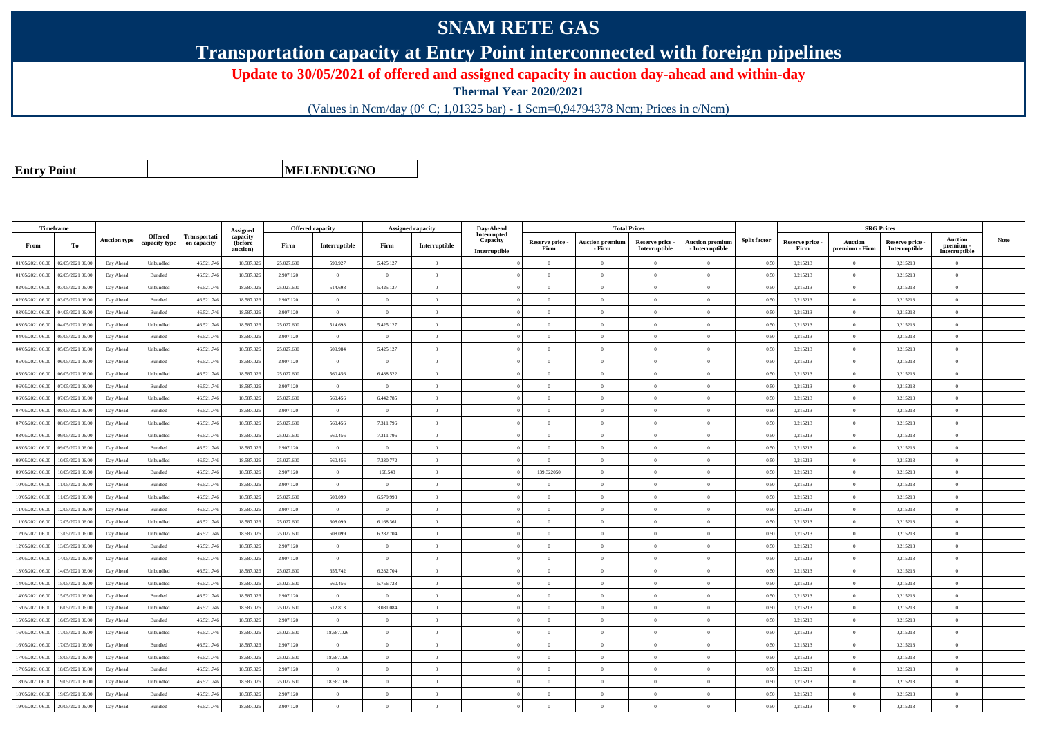## **SNAM RETE GAS**

**Transportation capacity at Entry Point interconnected with foreign pipelines**

**Update to 30/05/2021 of offered and assigned capacity in auction day-ahead and within-day**

**Thermal Year 2020/2021**

(Values in Ncm/day (0° C; 1,01325 bar) - 1 Scm=0,94794378 Ncm; Prices in c/Ncm)

**Entry Point**

**MELENDUGNO**

| Timeframe        |                  |                     |                                 |                             | Assigned                        | <b>Offered capacity</b> |                |                | Assigned capacity | Day-Ahead                                |                         | <b>Total Prices</b>              |                                  |                                           |                     |                         | <b>SRG</b> Prices                |                                  |                                              |             |
|------------------|------------------|---------------------|---------------------------------|-----------------------------|---------------------------------|-------------------------|----------------|----------------|-------------------|------------------------------------------|-------------------------|----------------------------------|----------------------------------|-------------------------------------------|---------------------|-------------------------|----------------------------------|----------------------------------|----------------------------------------------|-------------|
| From             | To               | <b>Auction type</b> | <b>Offered</b><br>capacity type | Transportati<br>on capacity | capacity<br>(before<br>auction) | Firm                    | Interruptible  | Firm           | Interruptible     | Interrupted<br>Capacity<br>Interruptible | Reserve price -<br>Firm | <b>Auction premium</b><br>- Firm | Reserve price -<br>Interruptible | <b>Auction premium</b><br>- Interruptible | <b>Split factor</b> | Reserve price -<br>Firm | <b>Auction</b><br>premium - Firm | Reserve price -<br>Interruptible | <b>Auction</b><br>premium -<br>Interruptible | <b>Note</b> |
| 01/05/2021 06:00 | 02/05/2021 06:00 | Day Ahead           | Unbundled                       | 46.521.74                   | 18.587.026                      | 25.027.600              | 590.927        | 5.425.127      | $\Omega$          |                                          | $\Omega$                | $\theta$                         | $\Omega$                         | $\theta$                                  | 0.50                | 0,215213                | $\theta$                         | 0,215213                         | $\theta$                                     |             |
| 01/05/2021 06:00 | 02/05/2021 06:00 | Day Ahead           | Bundled                         | 46.521.74                   | 18.587.026                      | 2.907.120               | $\overline{0}$ | $\theta$       | $\Omega$          |                                          | $\Omega$                | $\Omega$                         | $\theta$                         | $\theta$                                  | 0,50                | 0,215213                | $\overline{0}$                   | 0,215213                         | $\mathbf{0}$                                 |             |
| 02/05/2021 06:00 | 03/05/2021 06:00 | Day Ahead           | Unbundled                       | 46.521.746                  | 18.587.026                      | 25.027.600              | 514.698        | 5.425.127      | $\theta$          |                                          | $\theta$                | $\Omega$                         | $\theta$                         | $\theta$                                  | 0.50                | 0,215213                | $\overline{0}$                   | 0.215213                         | $\theta$                                     |             |
| 02/05/2021 06:00 | 03/05/2021 06:00 | Day Ahead           | Bundled                         | 46.521.746                  | 18,587,026                      | 2.907.120               | $\overline{0}$ | $\theta$       | $\overline{0}$    |                                          | $\overline{0}$          | $\overline{0}$                   | $\overline{0}$                   | $\overline{0}$                            | 0.50                | 0.215213                | $\overline{0}$                   | 0.215213                         | $\overline{0}$                               |             |
| 03/05/2021 06:00 | 04/05/2021 06.0  | Day Ahead           | Bundled                         | 46.521.74                   | 18.587.02                       | 2.907.120               | $\overline{0}$ | $\overline{0}$ | $\theta$          |                                          | $\theta$                | $\theta$                         | $\overline{0}$                   | $\overline{0}$                            | 0,50                | 0,215213                | $\overline{0}$                   | 0,215213                         | $\mathbf{0}$                                 |             |
| 03/05/2021 06:00 | 04/05/2021 06:00 | Day Ahead           | Unbundled                       | 46.521.746                  | 18.587.026                      | 25.027.600              | 514.698        | 5.425.127      | $\Omega$          |                                          | $\Omega$                | $\theta$                         | $\Omega$                         | $\overline{0}$                            | 0,50                | 0,215213                | $\overline{0}$                   | 0,215213                         | $\Omega$                                     |             |
| 04/05/2021 06:00 | 05/05/2021 06:00 | Day Ahead           | Bundled                         | 46.521.746                  | 18.587.026                      | 2.907.120               | $\theta$       | $\Omega$       | $\Omega$          |                                          | $\Omega$                | $\theta$                         | $\overline{0}$                   | $\Omega$                                  | 0,50                | 0,215213                | $\overline{0}$                   | 0,215213                         | $\Omega$                                     |             |
| 04/05/2021 06:00 | 05/05/2021 06:00 | Day Ahead           | Unbundled                       | 46.521.74                   | 18.587.026                      | 25.027.600              | 609.984        | 5.425.127      | $\Omega$          |                                          | $\Omega$                |                                  | $\Omega$                         | $\theta$                                  | 0,50                | 0,215213                | $\Omega$                         | 0,215213                         | $\theta$                                     |             |
| 05/05/2021 06:00 | 06/05/2021 06:00 | Day Ahead           | Bundled                         | 46.521.746                  | 18.587.026                      | 2.907.120               | $\overline{0}$ | $\overline{0}$ | $\theta$          |                                          | $\theta$                | $\Omega$                         | $\overline{0}$                   | $\theta$                                  | 0,50                | 0,215213                | $\overline{0}$                   | 0,215213                         | $\theta$                                     |             |
| 05/05/2021 06:00 | 06/05/2021 06:00 | Day Ahead           | Unbundled                       | 46.521.746                  | 18.587.026                      | 25.027.600              | 560.456        | 6.488.522      | $\theta$          |                                          | $\theta$                | $\theta$                         | $\theta$                         | $\theta$                                  | 0.50                | 0,215213                | $\theta$                         | 0,215213                         | $\theta$                                     |             |
| 06/05/2021 06:00 | 07/05/2021 06:00 | Day Ahead           | Bundled                         | 46.521.746                  | 18.587.026                      | 2.907.120               | $\overline{0}$ | $\Omega$       | $\theta$          |                                          | $\theta$                | $\theta$                         | $\overline{0}$                   | $\mathbf{0}$                              | 0.50                | 0.215213                | $\overline{0}$                   | 0.215213                         | $\theta$                                     |             |
| 06/05/2021 06:00 | 07/05/2021 06:00 | Day Ahead           | Unbundled                       | 46.521.74                   | 18.587.026                      | 25.027.600              | 560.456        | 6.442.785      | $\Omega$          |                                          | $\Omega$                | $\theta$                         | $\overline{0}$                   | $\overline{0}$                            | 0,50                | 0,215213                | $\overline{0}$                   | 0,215213                         | $\Omega$                                     |             |
| 07/05/2021 06:00 | 08/05/2021 06:00 | Day Ahead           | Bundled                         | 46.521.746                  | 18.587.026                      | 2.907.120               | $\overline{0}$ | $\theta$       | $\theta$          |                                          | $\Omega$                | $\theta$                         | $\overline{0}$                   | $\mathbf{0}$                              | 0,50                | 0,215213                | $\overline{0}$                   | 0,215213                         | $\theta$                                     |             |
| 07/05/2021 06:00 | 08/05/2021 06:00 | Day Ahead           | $\label{thm:undl} Unbundle$     | 46.521.746                  | 18.587.026                      | 25.027.600              | 560.456        | 7.311.796      | $\Omega$          |                                          | $\theta$                | $\theta$                         | $\Omega$                         | $\theta$                                  | 0.50                | 0,215213                | $\overline{0}$                   | 0,215213                         | $\theta$                                     |             |
| 08/05/2021 06:00 | 09/05/2021 06.0  | Day Ahead           | Unbundled                       | 46.521.74                   | 18.587.026                      | 25.027.600              | 560.456        | 7.311.796      | $\Omega$          |                                          | $\Omega$                | $\theta$                         | $\overline{0}$                   | $\mathbf{0}$                              | 0,50                | 0,215213                | $\overline{0}$                   | 0,215213                         | $\mathbf{0}$                                 |             |
| 08/05/2021 06:00 | 09/05/2021 06:00 | Day Ahead           | Bundled                         | 46.521.746                  | 18,587,026                      | 2.907.120               | $\overline{0}$ | $\theta$       | $\Omega$          |                                          | $\Omega$                | $\theta$                         | $\theta$                         | $\theta$                                  | 0.50                | 0,215213                | $\overline{0}$                   | 0.215213                         | $\theta$                                     |             |
| 09/05/2021 06:00 | 10/05/2021 06:00 | Day Ahead           | Unbundled                       | 46.521.746                  | 18,587,026                      | 25.027.600              | 560.456        | 7.330.772      | $\Omega$          |                                          | $\Omega$                | $\theta$                         | $\overline{0}$                   | $\theta$                                  | 0.50                | 0,215213                | $\overline{0}$                   | 0.215213                         | $\theta$                                     |             |
| 09/05/2021 06:00 | 10/05/2021 06.00 | Day Ahead           | Bundled                         | 46.521.74                   | 18.587.026                      | 2.907.120               | $\overline{0}$ | 168,548        | $\theta$          |                                          | 139,322050              | $\theta$                         | $\overline{0}$                   | $\mathbf{0}$                              | 0.50                | 0,215213                | $\overline{0}$                   | 0.215213                         | $\theta$                                     |             |
| 10/05/2021 06:00 | 11/05/2021 06:00 | Day Ahead           | Bundled                         | 46.521.746                  | 18.587.026                      | 2.907.120               | $\overline{0}$ | $\overline{0}$ | $\theta$          |                                          | $\Omega$                | $\theta$                         | $\overline{0}$                   | $\overline{0}$                            | 0,50                | 0,215213                | $\overline{0}$                   | 0,215213                         | $\Omega$                                     |             |
| 10/05/2021 06:00 | 11/05/2021 06:00 | Day Ahead           | Unbundled                       | 46.521.746                  | 18.587.026                      | 25.027.600              | 608.099        | 6.579.998      | $\Omega$          |                                          | $\Omega$                | $\theta$                         | $\overline{0}$                   | $\Omega$                                  | 0,50                | 0,215213                | $\overline{0}$                   | 0,215213                         | $\Omega$                                     |             |
| 11/05/2021 06:00 | 12/05/2021 06:00 | Day Ahead           | Bundled                         | 46.521.74                   | 18.587.026                      | 2.907.120               | $\Omega$       | $\theta$       | $\Omega$          |                                          | $\Omega$                |                                  | $\Omega$                         | $\theta$                                  | 0,50                | 0,215213                | $\Omega$                         | 0,215213                         | $\theta$                                     |             |
| 11/05/2021 06:00 | 12/05/2021 06:00 | Day Ahead           | Unbundled                       | 46.521.746                  | 18.587.026                      | 25.027.600              | 608.099        | 6.168.361      | $\theta$          |                                          | $\overline{0}$          | $\Omega$                         | $\overline{0}$                   | $\overline{0}$                            | 0,50                | 0,215213                | $\overline{0}$                   | 0,215213                         | $\mathbf{0}$                                 |             |
| 12/05/2021 06:00 | 13/05/2021 06:00 | Day Ahead           | Unbundled                       | 46.521.746                  | 18.587.026                      | 25.027.600              | 608.099        | 6.282.704      | $\theta$          |                                          | $\Omega$                | $\theta$                         | $\overline{0}$                   | $\overline{0}$                            | 0,50                | 0,215213                | $\overline{0}$                   | 0,215213                         | $\mathbf{0}$                                 |             |
| 12/05/2021 06:00 | 13/05/2021 06:00 | Day Ahead           | Bundled                         | 46.521.746                  | 18,587,026                      | 2.907.120               | $\Omega$       | $\Omega$       | $\Omega$          |                                          | $\Omega$                |                                  | $\Omega$                         | $\theta$                                  | 0.50                | 0.215213                | $\theta$                         | 0.215213                         | $\theta$                                     |             |
| 13/05/2021 06:00 | 14/05/2021 06.00 | Day Ahead           | Bundled                         | 46.521.74                   | 18.587.026                      | 2.907.120               | $\overline{0}$ | $\overline{0}$ | $\theta$          |                                          | $\Omega$                | $\theta$                         | $\overline{0}$                   | $\overline{0}$                            | 0.50                | 0,215213                | $\overline{0}$                   | 0,215213                         | $\Omega$                                     |             |
| 13/05/2021 06:00 | 14/05/2021 06.00 | Day Ahead           | Unbundled                       | 46.521.746                  | 18.587.026                      | 25.027.600              | 655.742        | 6.282.704      | $\theta$          |                                          | $\theta$                | $\theta$                         | $\overline{0}$                   | $\mathbf{0}$                              | 0,50                | 0,215213                | $\overline{0}$                   | 0,215213                         | $\mathbf{0}$                                 |             |
| 14/05/2021 06:00 | 15/05/2021 06:00 | Day Ahead           | Unbundled                       | 46.521.746                  | 18.587.026                      | 25.027.600              | 560.456        | 5.756.723      | $\Omega$          |                                          | $\Omega$                | $\theta$                         | $\Omega$                         | $\Omega$                                  | 0.50                | 0,215213                | $\overline{0}$                   | 0,215213                         | $\Omega$                                     |             |
| 14/05/2021 06:00 | 15/05/2021 06.0  | Day Ahead           | Bundled                         | 46.521.74                   | 18.587.026                      | 2.907.120               | $\overline{0}$ | $\overline{0}$ | $\theta$          |                                          | $\Omega$                | $\theta$                         | $\overline{0}$                   | $\mathbf{0}$                              | 0,50                | 0,215213                | $\overline{0}$                   | 0,215213                         | $\mathbf{0}$                                 |             |
| 15/05/2021 06:00 | 16/05/2021 06:00 | Day Ahead           | Unbundled                       | 46.521.746                  | 18.587.026                      | 25.027.600              | 512.813        | 3.081.084      | $\Omega$          |                                          | $\Omega$                | $\theta$                         | $\overline{0}$                   | $\overline{0}$                            | 0,50                | 0,215213                | $\overline{0}$                   | 0,215213                         | $\Omega$                                     |             |
| 15/05/2021 06:00 | 16/05/2021 06:00 | Day Ahead           | Bundled                         | 46.521.746                  | 18.587.026                      | 2.907.120               | $\overline{0}$ | $\Omega$       | $\theta$          |                                          | $\Omega$                | $\Omega$                         | $\theta$                         | $\theta$                                  | 0.50                | 0,215213                | $\overline{0}$                   | 0,215213                         | $\Omega$                                     |             |
| 16/05/2021 06:00 | 7/05/2021 06:00  | Day Ahead           | Unbundled                       | 46.521.74                   | 18.587.02                       | 25.027.600              | 18,587,026     | $\theta$       | $\theta$          |                                          | $\theta$                | $\theta$                         | $\theta$                         | $\theta$                                  | 0.50                | 0,215213                | $\theta$                         | 0.215213                         | $\theta$                                     |             |
| 16/05/2021 06:00 | 17/05/2021 06:00 | Day Ahead           | Bundled                         | 46.521.746                  | 18.587.026                      | 2.907.120               | $\overline{0}$ | $\overline{0}$ | $\theta$          |                                          | $\theta$                | $\theta$                         | $\overline{0}$                   | $\overline{0}$                            | 0,50                | 0,215213                | $\overline{0}$                   | 0,215213                         | $\mathbf{0}$                                 |             |
| 17/05/2021 06:00 | 18/05/2021 06:00 | Day Ahead           | Unbundled                       | 46.521.746                  | 18.587.026                      | 25.027.600              | 18.587.026     | $\Omega$       | $\Omega$          |                                          | $\Omega$                | $\theta$                         | $\overline{0}$                   | $\Omega$                                  | 0,50                | 0,215213                | $\overline{0}$                   | 0,215213                         | $\Omega$                                     |             |
| 17/05/2021 06:00 | 18/05/2021 06:00 | Day Ahead           | Bundled                         | 46.521.74                   | 18.587.026                      | 2.907.120               | $\Omega$       | $\Omega$       | $\theta$          |                                          | $\Omega$                |                                  | $\Omega$                         | $\theta$                                  | 0,50                | 0,215213                | $\Omega$                         | 0,215213                         | $\theta$                                     |             |
| 18/05/2021 06:00 | 19/05/2021 06.0  | Day Ahead           | Unbundled                       | 46.521.746                  | 18.587.026                      | 25.027.600              | 18.587.026     | $\theta$       | $\theta$          |                                          | $\Omega$                | $\theta$                         | $\overline{0}$                   | $\overline{0}$                            | 0,50                | 0,215213                | $\overline{0}$                   | 0,215213                         | $\overline{0}$                               |             |
| 18/05/2021 06:00 | 19/05/2021 06:00 | Day Ahead           | Bundled                         | 46.521.746                  | 18.587.026                      | 2.907.120               | $\overline{0}$ | $\theta$       | $\theta$          |                                          | $\Omega$                | $\theta$                         | $\overline{0}$                   | $\mathbf{0}$                              | 0,50                | 0,215213                | $\overline{0}$                   | 0,215213                         | $\mathbf{0}$                                 |             |
| 19/05/2021 06:00 | 20/05/2021 06:00 | Day Ahead           | Bundled                         | 46.521.746                  | 18,587,026                      | 2.907.120               | $\Omega$       |                |                   |                                          | $\Omega$                |                                  | $\Omega$                         |                                           | 0.50                | 0.215213                | $\theta$                         | 0.215213                         | $\theta$                                     |             |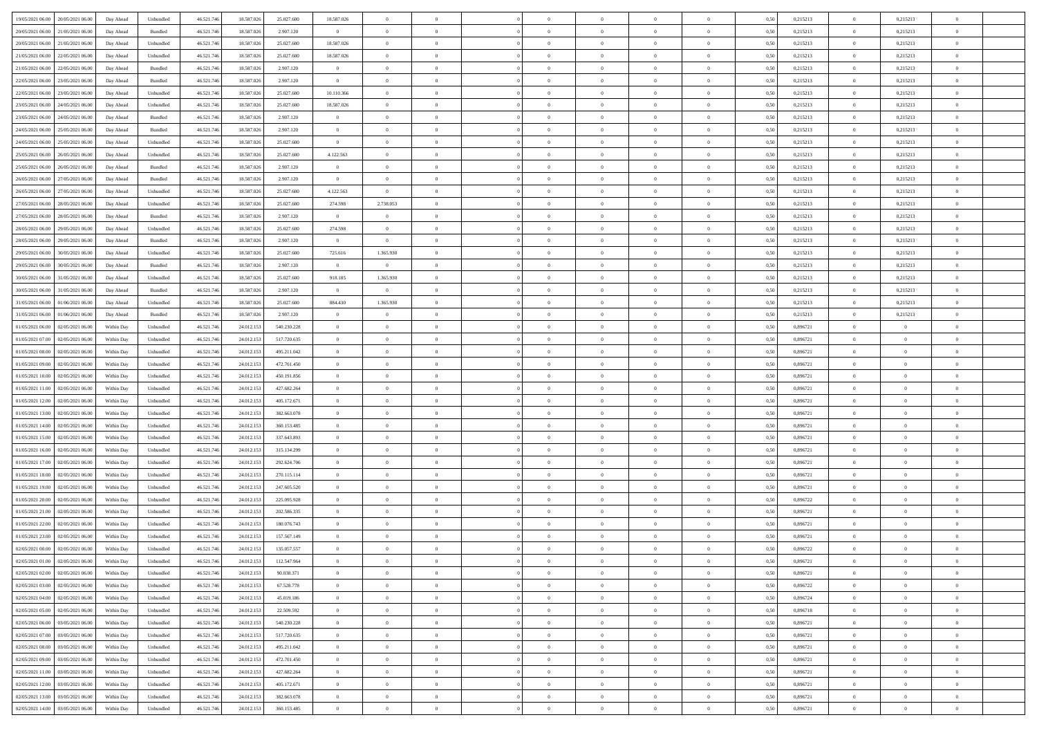| 19/05/2021 06:00                  | 20/05/2021 06:00 | Day Ahead  | Unbundled | 46.521.746 | 18.587.026 | 25.027.600  | 18.587.026     | $\overline{0}$ |                |                | $\overline{0}$ | $\overline{0}$ | $\overline{0}$ | 0,50 | 0,215213 | $\bf{0}$       | 0,215213       | $\overline{0}$ |  |
|-----------------------------------|------------------|------------|-----------|------------|------------|-------------|----------------|----------------|----------------|----------------|----------------|----------------|----------------|------|----------|----------------|----------------|----------------|--|
| 20/05/2021 06:00                  | 21/05/2021 06.00 | Day Ahead  | Bundled   | 46.521.746 | 18.587.026 | 2.907.120   | $\overline{0}$ | $\bf{0}$       | $\overline{0}$ | $\Omega$       | $\bf{0}$       | $\overline{0}$ | $\bf{0}$       | 0,50 | 0,215213 | $\bf{0}$       | 0,215213       | $\,$ 0         |  |
|                                   |                  |            |           |            |            |             |                |                |                |                |                |                |                |      |          |                |                |                |  |
| 20/05/2021 06:00                  | 21/05/2021 06:00 | Day Ahead  | Unbundled | 46.521.746 | 18.587.026 | 25.027.600  | 18.587.026     | $\overline{0}$ | $\overline{0}$ | $\overline{0}$ | $\bf{0}$       | $\overline{0}$ | $\mathbf{0}$   | 0.50 | 0,215213 | $\overline{0}$ | 0,215213       | $\bf{0}$       |  |
| 21/05/2021 06:00                  | 22/05/2021 06:00 | Day Ahead  | Unbundled | 46.521.746 | 18.587.026 | 25.027.600  | 18.587.026     | $\overline{0}$ | $\overline{0}$ | $\overline{0}$ | $\bf{0}$       | $\overline{0}$ | $\theta$       | 0,50 | 0,215213 | $\,0\,$        | 0,215213       | $\overline{0}$ |  |
| 21/05/2021 06:00                  | 22/05/2021 06.0  | Day Ahead  | Bundled   | 46.521.746 | 18.587.026 | 2.907.120   | $\overline{0}$ | $\overline{0}$ | $\overline{0}$ |                | $\bf{0}$       | $\overline{0}$ | $\bf{0}$       | 0,50 | 0,215213 | $\bf{0}$       | 0,215213       | $\overline{0}$ |  |
| 22/05/2021 06:00                  | 23/05/2021 06:00 | Day Ahead  | Bundled   | 46.521.746 | 18.587.026 | 2.907.120   | $\overline{0}$ | $\overline{0}$ | $\overline{0}$ | $\Omega$       | $\bf{0}$       | $\overline{0}$ | $\bf{0}$       | 0.50 | 0,215213 | $\,$ 0         | 0.215213       | $\bf{0}$       |  |
| 22/05/2021 06:00                  | 23/05/2021 06:00 | Day Ahead  | Unbundled | 46.521.746 | 18.587.026 | 25.027.600  | 10.110.366     | $\overline{0}$ | $\overline{0}$ | $\overline{0}$ | $\bf{0}$       | $\overline{0}$ | $\overline{0}$ | 0,50 | 0,215213 | $\,$ 0 $\,$    | 0,215213       | $\overline{0}$ |  |
| 23/05/2021 06:00                  | 24/05/2021 06.00 | Day Ahead  | Unbundled | 46.521.746 | 18.587.026 | 25.027.600  | 18.587.026     | $\overline{0}$ | $\overline{0}$ |                | $\bf{0}$       | $\overline{0}$ | $\bf{0}$       | 0,50 | 0,215213 | $\bf{0}$       | 0,215213       | $\bf{0}$       |  |
| 23/05/2021 06:00                  | 24/05/2021 06:00 | Day Ahead  | Bundled   | 46.521.746 | 18.587.026 | 2.907.120   | $\overline{0}$ | $\overline{0}$ | $\overline{0}$ | $\overline{0}$ | $\bf{0}$       | $\overline{0}$ | $\bf{0}$       | 0.50 | 0,215213 | $\bf{0}$       | 0.215213       | $\bf{0}$       |  |
| 24/05/2021 06:00                  | 25/05/2021 06:00 | Day Ahead  | Bundled   | 46.521.746 | 18.587.026 | 2.907.120   | $\overline{0}$ | $\overline{0}$ | $\overline{0}$ | $\overline{0}$ | $\bf{0}$       | $\overline{0}$ | $\overline{0}$ | 0,50 | 0,215213 | $\bf{0}$       | 0,215213       | $\overline{0}$ |  |
| 24/05/2021 06.00                  | 25/05/2021 06.00 | Day Ahead  | Unbundled | 46.521.746 | 18.587.026 | 25.027.600  | $\overline{0}$ | $\bf{0}$       | $\overline{0}$ |                | $\bf{0}$       | $\overline{0}$ | $\bf{0}$       | 0,50 | 0,215213 | $\bf{0}$       | 0,215213       | $\,$ 0         |  |
|                                   |                  |            |           |            |            |             |                |                |                |                |                |                |                |      |          |                |                |                |  |
| 25/05/2021 06:00                  | 26/05/2021 06:00 | Day Ahead  | Unbundled | 46.521.746 | 18.587.026 | 25.027.600  | 4.122.563      | $\overline{0}$ | $\overline{0}$ | $\overline{0}$ | $\bf{0}$       | $\overline{0}$ | $\mathbf{0}$   | 0.50 | 0,215213 | $\,$ 0 $\,$    | 0,215213       | $\bf{0}$       |  |
| 25/05/2021 06:00                  | 26/05/2021 06:00 | Day Ahead  | Bundled   | 46.521.746 | 18.587.026 | 2.907.120   | $\overline{0}$ | $\overline{0}$ | $\overline{0}$ | $\overline{0}$ | $\bf{0}$       | $\overline{0}$ | $\theta$       | 0,50 | 0,215213 | $\,$ 0 $\,$    | 0,215213       | $\overline{0}$ |  |
| 26/05/2021 06.00                  | 27/05/2021 06.00 | Day Ahead  | Bundled   | 46.521.746 | 18.587.026 | 2.907.120   | $\overline{0}$ | $\bf{0}$       | $\overline{0}$ |                | $\bf{0}$       | $\overline{0}$ | $\bf{0}$       | 0,50 | 0,215213 | $\bf{0}$       | 0,215213       | $\overline{0}$ |  |
| 26/05/2021 06:00                  | 27/05/2021 06:00 | Day Ahead  | Unbundled | 46.521.746 | 18.587.026 | 25.027.600  | 4.122.563      | $\overline{0}$ | $\overline{0}$ | $\Omega$       | $\bf{0}$       | $\overline{0}$ | $\theta$       | 0.50 | 0,215213 | $\bf{0}$       | 0.215213       | $\bf{0}$       |  |
| 27/05/2021 06:00                  | 28/05/2021 06:00 | Day Ahead  | Unbundled | 46.521.746 | 18.587.026 | 25.027.600  | 274.598        | 2.738.053      | $\overline{0}$ | $\overline{0}$ | $\bf{0}$       | $\overline{0}$ | $\theta$       | 0,50 | 0,215213 | $\overline{0}$ | 0,215213       | $\overline{0}$ |  |
| 27/05/2021 06:00                  | 28/05/2021 06.00 | Day Ahead  | Bundled   | 46.521.746 | 18.587.026 | 2.907.120   | $\overline{0}$ | $\overline{0}$ | $\overline{0}$ |                | $\bf{0}$       | $\overline{0}$ | $\bf{0}$       | 0,50 | 0,215213 | $\bf{0}$       | 0,215213       | $\,$ 0         |  |
| 28/05/2021 06:00                  | 29/05/2021 06:00 | Day Ahead  | Unbundled | 46.521.746 | 18.587.026 | 25.027.600  | 274.598        | $\overline{0}$ | $\overline{0}$ | $\overline{0}$ | $\bf{0}$       | $\overline{0}$ | $\bf{0}$       | 0.50 | 0,215213 | $\bf{0}$       | 0.215213       | $\bf{0}$       |  |
| 28/05/2021 06:00                  | 29/05/2021 06:00 | Day Ahead  | Bundled   | 46.521.746 | 18.587.026 | 2.907.120   | $\overline{0}$ | $\overline{0}$ | $\overline{0}$ | $\overline{0}$ | $\bf{0}$       | $\overline{0}$ | $\overline{0}$ | 0,50 | 0,215213 | $\,$ 0 $\,$    | 0,215213       | $\overline{0}$ |  |
| 29/05/2021 06:00                  | 30/05/2021 06.00 | Day Ahead  | Unbundled | 46.521.746 | 18.587.026 | 25.027.600  | 725.616        | 1.365.930      | $\overline{0}$ |                | $\bf{0}$       | $\overline{0}$ | $\bf{0}$       | 0,50 | 0,215213 | $\bf{0}$       | 0,215213       | $\,$ 0         |  |
|                                   |                  |            |           |            |            |             |                |                |                |                |                |                |                |      |          |                |                |                |  |
| 29/05/2021 06:00                  | 30/05/2021 06:00 | Day Ahead  | Bundled   | 46.521.746 | 18.587.026 | 2.907.120   | $\overline{0}$ | $\overline{0}$ | $\overline{0}$ | $\overline{0}$ | $\bf{0}$       | $\overline{0}$ | $\mathbf{0}$   | 0.50 | 0,215213 | $\bf{0}$       | 0.215213       | $\bf{0}$       |  |
| 30/05/2021 06:00                  | 31/05/2021 06:00 | Day Ahead  | Unbundled | 46.521.746 | 18.587.026 | 25.027.600  | 918.185        | 1.365.930      | $\overline{0}$ | $\overline{0}$ | $\bf{0}$       | $\overline{0}$ | $\theta$       | 0.50 | 0,215213 | $\,$ 0 $\,$    | 0,215213       | $\overline{0}$ |  |
| 30/05/2021 06:00                  | 31/05/2021 06.00 | Day Ahead  | Bundled   | 46.521.746 | 18.587.026 | 2.907.120   | $\overline{0}$ | $\overline{0}$ | $\overline{0}$ |                | $\bf{0}$       | $\overline{0}$ | $\bf{0}$       | 0,50 | 0,215213 | $\bf{0}$       | 0,215213       | $\bf{0}$       |  |
| 31/05/2021 06:00                  | 01/06/2021 06:00 | Day Ahead  | Unbundled | 46.521.746 | 18.587.026 | 25.027.600  | 884.430        | 1.365.930      | $\overline{0}$ | $\Omega$       | $\bf{0}$       | $\overline{0}$ | $\bf{0}$       | 0.50 | 0,215213 | $\,$ 0         | 0.215213       | $\bf{0}$       |  |
| 31/05/2021 06:00                  | 01/06/2021 06:00 | Day Ahead  | Bundled   | 46.521.746 | 18.587.026 | 2.907.120   | $\overline{0}$ | $\overline{0}$ | $\overline{0}$ | $\overline{0}$ | $\bf{0}$       | $\overline{0}$ | $\theta$       | 0,50 | 0,215213 | $\,$ 0 $\,$    | 0,215213       | $\overline{0}$ |  |
| 01/05/2021 06.00                  | 02/05/2021 06.00 | Within Day | Unbundled | 46.521.746 | 24.012.153 | 540.230.228 | $\overline{0}$ | $\bf{0}$       | $\overline{0}$ |                | $\bf{0}$       | $\overline{0}$ | $\bf{0}$       | 0,50 | 0,896721 | $\bf{0}$       | $\overline{0}$ | $\bf{0}$       |  |
| 01/05/2021 07:00                  | 02/05/2021 06:00 | Within Day | Unbundled | 46.521.746 | 24.012.153 | 517.720.635 | $\overline{0}$ | $\overline{0}$ | $\overline{0}$ | $\overline{0}$ | $\bf{0}$       | $\overline{0}$ | $\bf{0}$       | 0.50 | 0.896721 | $\bf{0}$       | $\overline{0}$ | $\bf{0}$       |  |
| 01/05/2021 08:00                  | 02/05/2021 06:00 | Within Day | Unbundled | 46.521.746 | 24.012.153 | 495.211.042 | $\overline{0}$ | $\overline{0}$ | $\overline{0}$ | $\overline{0}$ | $\bf{0}$       | $\overline{0}$ | $\overline{0}$ | 0,50 | 0,896721 | $\,$ 0 $\,$    | $\overline{0}$ | $\overline{0}$ |  |
| 01/05/2021 09:00                  | 02/05/2021 06.00 | Within Day | Unbundled | 46.521.746 | 24.012.153 | 472.701.450 | $\overline{0}$ | $\overline{0}$ | $\overline{0}$ | $\overline{0}$ | $\bf{0}$       | $\overline{0}$ | $\bf{0}$       | 0,50 | 0,896721 | $\bf{0}$       | $\bf{0}$       | $\bf{0}$       |  |
|                                   |                  |            |           |            |            |             |                |                |                |                |                |                |                |      |          |                |                |                |  |
| 01/05/2021 10:00                  | 02/05/2021 06:00 | Within Day | Unbundled | 46.521.746 | 24.012.153 | 450.191.856 | $\overline{0}$ | $\overline{0}$ | $\overline{0}$ | $\overline{0}$ | $\,$ 0         | $\overline{0}$ | $\overline{0}$ | 0.50 | 0.896721 | $\,0\,$        | $\bf{0}$       | $\bf{0}$       |  |
| 01/05/2021 11:00                  | 02/05/2021 06:00 | Within Dav | Unbundled | 46.521.746 | 24.012.15  | 427.682.264 | $\overline{0}$ | $\overline{0}$ | $\overline{0}$ | $\Omega$       | $\theta$       | $\overline{0}$ | $\overline{0}$ | 0,50 | 0,896721 | $\mathbf{0}$   | $\overline{0}$ | $\overline{0}$ |  |
| 01/05/2021 12:00                  | 02/05/2021 06.00 | Within Day | Unbundled | 46.521.746 | 24.012.153 | 405.172.671 | $\overline{0}$ | $\bf{0}$       | $\overline{0}$ |                | $\bf{0}$       | $\overline{0}$ | $\bf{0}$       | 0,50 | 0,896721 | $\bf{0}$       | $\overline{0}$ | $\,$ 0         |  |
| 01/05/2021 13:00                  | 02/05/2021 06:00 | Within Day | Unbundled | 46.521.746 | 24.012.153 | 382.663.078 | $\overline{0}$ | $\overline{0}$ | $\overline{0}$ | $\Omega$       | $\bf{0}$       | $\overline{0}$ | $\bf{0}$       | 0.50 | 0,896721 | $\bf{0}$       | $\overline{0}$ | $\bf{0}$       |  |
| 01/05/2021 14:00                  | 02/05/2021 06:00 | Within Dav | Unbundled | 46.521.746 | 24.012.153 | 360.153.485 | $\overline{0}$ | $\overline{0}$ | $\theta$       | $\Omega$       | $\theta$       | $\overline{0}$ | $\overline{0}$ | 0,50 | 0,896721 | $\mathbf{0}$   | $\theta$       | $\overline{0}$ |  |
| 01/05/2021 15:00                  | 02/05/2021 06.00 | Within Day | Unbundled | 46.521.746 | 24.012.153 | 337.643.893 | $\overline{0}$ | $\bf{0}$       | $\overline{0}$ |                | $\bf{0}$       | $\overline{0}$ | $\bf{0}$       | 0,50 | 0,896721 | $\bf{0}$       | $\overline{0}$ | $\bf{0}$       |  |
| 01/05/2021 16:00                  | 02/05/2021 06:00 | Within Day | Unbundled | 46.521.746 | 24.012.153 | 315.134.299 | $\overline{0}$ | $\overline{0}$ | $\overline{0}$ | $\overline{0}$ | $\bf{0}$       | $\overline{0}$ | $\bf{0}$       | 0.50 | 0.896721 | $\bf{0}$       | $\bf{0}$       | $\bf{0}$       |  |
| 01/05/2021 17:00                  | 02/05/2021 06:00 | Within Dav | Unbundled | 46.521.746 | 24.012.15  | 292.624.706 | $\overline{0}$ | $\overline{0}$ | $\overline{0}$ | $\Omega$       | $\overline{0}$ | $\overline{0}$ | $\overline{0}$ | 0,50 | 0,896721 | $\mathbf{0}$   | $\overline{0}$ | $\overline{0}$ |  |
| 01/05/2021 18:00                  | 02/05/2021 06.00 | Within Day | Unbundled | 46.521.746 | 24.012.153 | 270.115.114 | $\overline{0}$ | $\overline{0}$ | $\overline{0}$ | $\overline{0}$ | $\overline{0}$ | $\overline{0}$ | $\bf{0}$       | 0,50 | 0,896721 | $\bf{0}$       | $\overline{0}$ | $\bf{0}$       |  |
|                                   | 02/05/2021 06:00 |            |           |            |            | 247.605.520 |                | $\overline{0}$ | $\overline{0}$ |                |                |                |                | 0.50 | 0.896721 | $\,0\,$        |                |                |  |
| 01/05/2021 19:00                  |                  | Within Day | Unbundled | 46.521.746 | 24.012.153 |             | $\overline{0}$ |                |                | $\overline{0}$ | $\bf{0}$       | $\overline{0}$ | $\mathbf{0}$   |      |          |                | $\bf{0}$       | $\bf{0}$       |  |
| 01/05/2021 20:00                  | 02/05/2021 06:00 | Within Dav | Unbundled | 46.521.746 | 24.012.153 | 225.095.928 | $\overline{0}$ | $\overline{0}$ | $\theta$       | $\Omega$       | $\theta$       | $\overline{0}$ | $\overline{0}$ | 0,50 | 0,896722 | $\mathbf{0}$   | $\theta$       | $\overline{0}$ |  |
| 01/05/2021 21:00                  | 02/05/2021 06.00 | Within Day | Unbundled | 46.521.746 | 24.012.153 | 202.586.335 | $\overline{0}$ | $\overline{0}$ | $\overline{0}$ |                | $\bf{0}$       | $\overline{0}$ | $\bf{0}$       | 0,50 | 0,896721 | $\bf{0}$       | $\overline{0}$ | $\bf{0}$       |  |
| 01/05/2021 22.00                  | 02/05/2021 06:00 | Within Day | Unbundled | 46.521.746 | 24.012.153 | 180.076.743 | $\overline{0}$ | $\overline{0}$ | $\overline{0}$ | $\Omega$       | $\bf{0}$       | $\overline{0}$ | $\bf{0}$       | 0.50 | 0,896721 | $\bf{0}$       | $\overline{0}$ | $\bf{0}$       |  |
| 01/05/2021 23:00                  | 02/05/2021 06:00 | Within Dav | Unbundled | 46.521.746 | 24.012.15  | 157.567.149 | $\overline{0}$ | $\Omega$       | $\theta$       | $\Omega$       | $\overline{0}$ | $\overline{0}$ | $\theta$       | 0.50 | 0,896721 | $\mathbf{0}$   | $\overline{0}$ | $\overline{0}$ |  |
| 02/05/2021 00:00                  | 02/05/2021 06:00 | Within Day | Unbundled | 46.521.746 | 24.012.153 | 135.057.557 | $\overline{0}$ | $\bf{0}$       | $\overline{0}$ |                | $\bf{0}$       | $\overline{0}$ | $\bf{0}$       | 0,50 | 0,896722 | $\bf{0}$       | $\overline{0}$ | $\bf{0}$       |  |
| 02/05/2021 01:00                  | 02/05/2021 06:00 | Within Day | Unbundled | 46.521.746 | 24.012.153 | 112.547.964 | $\bf{0}$       | $\overline{0}$ |                |                |                |                |                | 0,50 | 0,896721 | $\Omega$       | $\Omega$       |                |  |
| 02/05/2021 02:00                  | 02/05/2021 06:00 | Within Day | Unbundled | 46.521.746 | 24.012.153 | 90.038.371  | $\theta$       | $\overline{0}$ | $\overline{0}$ | $\Omega$       | $\theta$       | $\overline{0}$ | $\mathbf{0}$   | 0,50 | 0,896721 | $\mathbf{0}$   | $\theta$       | $\bf{0}$       |  |
| 02/05/2021 03:00                  | 02/05/2021 06:00 | Within Day | Unbundled | 46.521.746 | 24.012.153 | 67.528.778  | $\overline{0}$ | $\overline{0}$ | $\overline{0}$ | $\overline{0}$ | $\bf{0}$       | $\overline{0}$ | $\bf{0}$       | 0,50 | 0,896722 | $\bf{0}$       | $\bf{0}$       | $\bf{0}$       |  |
| 02/05/2021 04:00                  | 02/05/2021 06:00 |            |           |            |            | 45.019.186  | $\overline{0}$ | $\overline{0}$ | $\overline{0}$ | $\overline{0}$ | $\,$ 0 $\,$    | $\overline{0}$ |                | 0.50 | 0.896724 | $\overline{0}$ | $\overline{0}$ | $\,$ 0 $\,$    |  |
|                                   |                  | Within Day | Unbundled | 46.521.746 | 24.012.153 |             |                |                |                |                |                |                | $\bf{0}$       |      |          |                |                |                |  |
| 02/05/2021 05:00                  | 02/05/2021 06:00 | Within Day | Unbundled | 46.521.746 | 24.012.153 | 22.509.592  | $\overline{0}$ | $\overline{0}$ | $\overline{0}$ | $\Omega$       | $\theta$       | $\overline{0}$ | $\overline{0}$ | 0,50 | 0,896718 | $\overline{0}$ | $\theta$       | $\bf{0}$       |  |
| 02/05/2021 06:00                  | 03/05/2021 06:00 | Within Day | Unbundled | 46.521.746 | 24.012.153 | 540.230.228 | $\overline{0}$ | $\overline{0}$ | $\overline{0}$ | $\overline{0}$ | $\bf{0}$       | $\overline{0}$ | $\bf{0}$       | 0,50 | 0,896721 | $\,$ 0 $\,$    | $\bf{0}$       | $\bf{0}$       |  |
| 02/05/2021 07:00                  | 03/05/2021 06:00 | Within Day | Unbundled | 46.521.746 | 24.012.153 | 517.720.635 | $\overline{0}$ | $\overline{0}$ | $\overline{0}$ | $\overline{0}$ | $\,$ 0         | $\overline{0}$ | $\mathbf{0}$   | 0.50 | 0,896721 | $\,0\,$        | $\overline{0}$ | $\bf{0}$       |  |
| 02/05/2021 08:00                  | 03/05/2021 06:00 | Within Day | Unbundled | 46.521.746 | 24.012.153 | 495.211.042 | $\overline{0}$ | $\overline{0}$ | $\overline{0}$ | $\overline{0}$ | $\overline{0}$ | $\overline{0}$ | $\overline{0}$ | 0,50 | 0,896721 | $\overline{0}$ | $\theta$       | $\bf{0}$       |  |
| 02/05/2021 09:00                  | 03/05/2021 06:00 | Within Day | Unbundled | 46.521.746 | 24.012.153 | 472.701.450 | $\overline{0}$ | $\,$ 0 $\,$    | $\overline{0}$ | $\overline{0}$ | $\,$ 0         | $\overline{0}$ | $\bf{0}$       | 0,50 | 0,896721 | $\,$ 0 $\,$    | $\overline{0}$ | $\bf{0}$       |  |
| 02/05/2021 11:00                  | 03/05/2021 06:00 | Within Day | Unbundled | 46.521.746 | 24.012.153 | 427.682.264 | $\overline{0}$ | $\overline{0}$ | $\overline{0}$ | $\overline{0}$ | $\,$ 0 $\,$    | $\overline{0}$ | $\mathbf{0}$   | 0.50 | 0.896721 | $\overline{0}$ | $\bf{0}$       | $\bf{0}$       |  |
| 02/05/2021 12:00                  | 03/05/2021 06:00 | Within Day | Unbundled | 46.521.746 | 24.012.153 | 405.172.671 | $\overline{0}$ | $\overline{0}$ | $\overline{0}$ | $\Omega$       | $\overline{0}$ | $\overline{0}$ | $\overline{0}$ | 0,50 | 0,896721 | $\overline{0}$ | $\theta$       | $\bf{0}$       |  |
| 02/05/2021 13:00                  | 03/05/2021 06.00 | Within Day | Unbundled | 46.521.746 | 24.012.153 | 382.663.078 | $\overline{0}$ | $\bf{0}$       | $\overline{0}$ | $\overline{0}$ | $\bf{0}$       | $\overline{0}$ | $\bf{0}$       | 0,50 | 0,896721 | $\bf{0}$       | $\bf{0}$       | $\bf{0}$       |  |
|                                   |                  |            |           |            |            |             |                |                |                |                |                |                |                |      |          |                |                |                |  |
| 02/05/2021 14:00 03/05/2021 06:00 |                  | Within Day | Unbundled | 46.521.746 | 24.012.153 | 360.153.485 | $\overline{0}$ | $\overline{0}$ | $\overline{0}$ | $\overline{0}$ | $\,$ 0 $\,$    | $\overline{0}$ | $\mathbf{0}$   | 0,50 | 0,896721 | $\,$ 0 $\,$    | $\,$ 0 $\,$    | $\bf{0}$       |  |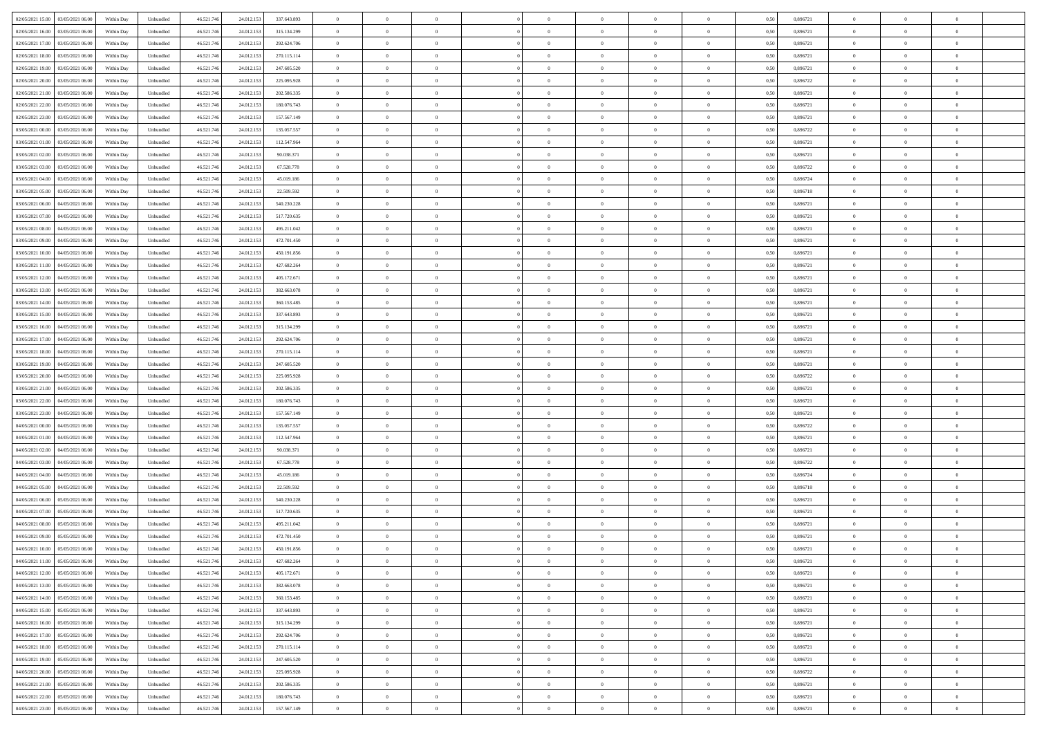|                                              |            |                             |            |            |             | $\overline{0}$ | $\theta$       |                | $\overline{0}$ | $\theta$       |                | $\theta$       |      |          | $\theta$       | $\theta$       | $\overline{0}$ |  |
|----------------------------------------------|------------|-----------------------------|------------|------------|-------------|----------------|----------------|----------------|----------------|----------------|----------------|----------------|------|----------|----------------|----------------|----------------|--|
| 02/05/2021 15:00 03/05/2021 06:00            | Within Day | Unbundled                   | 46.521.74  | 24.012.153 | 337.643.893 |                |                |                |                |                |                |                | 0,50 | 0,896721 |                |                |                |  |
| 02/05/2021 16:00<br>03/05/2021 06:00         | Within Day | Unbundled                   | 46.521.74  | 24.012.15  | 315.134.299 | $\bf{0}$       | $\overline{0}$ | $\bf{0}$       | $\overline{0}$ | $\bf{0}$       | $\overline{0}$ | $\bf{0}$       | 0,50 | 0,896721 | $\,$ 0 $\,$    | $\bf{0}$       | $\overline{0}$ |  |
| 02/05/2021 17:00<br>03/05/2021 06:00         | Within Day | Unbundled                   | 46.521.746 | 24.012.153 | 292.624.706 | $\overline{0}$ | $\bf{0}$       | $\overline{0}$ | $\bf{0}$       | $\bf{0}$       | $\overline{0}$ | $\bf{0}$       | 0.50 | 0.896721 | $\bf{0}$       | $\overline{0}$ | $\overline{0}$ |  |
| 02/05/2021 18:00<br>03/05/2021 06:00         | Within Day | Unbundled                   | 46.521.74  | 24.012.153 | 270.115.114 | $\overline{0}$ | $\overline{0}$ | $\overline{0}$ | $\theta$       | $\theta$       | $\overline{0}$ | $\overline{0}$ | 0,50 | 0,896721 | $\theta$       | $\theta$       | $\overline{0}$ |  |
| 02/05/2021 19:00<br>03/05/2021 06.00         | Within Day | Unbundled                   | 46.521.74  | 24.012.15  | 247.605.520 | $\overline{0}$ | $\overline{0}$ | $\overline{0}$ | $\overline{0}$ | $\theta$       | $\overline{0}$ | $\bf{0}$       | 0,50 | 0,896721 | $\,$ 0 $\,$    | $\bf{0}$       | $\overline{0}$ |  |
|                                              |            |                             |            |            |             |                |                |                |                |                |                |                |      |          |                |                |                |  |
| 02/05/2021 20:00<br>03/05/2021 06:00         | Within Day | Unbundled                   | 46.521.74  | 24.012.153 | 225.095.928 | $\overline{0}$ | $\overline{0}$ | $\overline{0}$ | $\overline{0}$ | $\overline{0}$ | $\Omega$       | $\bf{0}$       | 0.50 | 0.896722 | $\,$ 0 $\,$    | $\theta$       | $\overline{0}$ |  |
| 02/05/2021 21:00<br>03/05/2021 06:00         | Within Day | Unbundled                   | 46.521.74  | 24.012.153 | 202.586.335 | $\overline{0}$ | $\overline{0}$ | $\overline{0}$ | $\overline{0}$ | $\theta$       | $\overline{0}$ | $\bf{0}$       | 0,50 | 0,896721 | $\theta$       | $\theta$       | $\overline{0}$ |  |
| 02/05/2021 22:00<br>03/05/2021 06.00         | Within Day | Unbundled                   | 46.521.74  | 24.012.15  | 180.076.743 | $\bf{0}$       | $\overline{0}$ | $\overline{0}$ | $\overline{0}$ | $\theta$       | $\overline{0}$ | $\bf{0}$       | 0,50 | 0,896721 | $\,$ 0 $\,$    | $\bf{0}$       | $\overline{0}$ |  |
| 02/05/2021 23:00<br>03/05/2021 06:00         | Within Day | Unbundled                   | 46.521.74  | 24.012.153 | 157.567.149 | $\overline{0}$ | $\bf{0}$       | $\overline{0}$ | $\bf{0}$       | $\overline{0}$ | $\overline{0}$ | $\bf{0}$       | 0.50 | 0.896721 | $\bf{0}$       | $\overline{0}$ | $\overline{0}$ |  |
| 03/05/2021 00:00<br>03/05/2021 06:00         | Within Day | Unbundled                   | 46.521.74  | 24.012.153 | 135.057.557 | $\overline{0}$ | $\bf{0}$       | $\overline{0}$ | $\overline{0}$ | $\theta$       | $\overline{0}$ | $\bf{0}$       | 0,50 | 0,896722 | $\,$ 0 $\,$    | $\theta$       | $\overline{0}$ |  |
| 03/05/2021 01:00<br>03/05/2021 06.00         | Within Day | Unbundled                   | 46.521.74  | 24.012.15  | 112.547.964 | $\bf{0}$       | $\overline{0}$ | $\bf{0}$       | $\overline{0}$ | $\bf{0}$       | $\overline{0}$ | $\bf{0}$       | 0,50 | 0,896721 | $\,$ 0 $\,$    | $\bf{0}$       | $\overline{0}$ |  |
| 03/05/2021 02:00<br>03/05/2021 06:00         | Within Day | Unbundled                   | 46.521.746 | 24.012.153 | 90.038.371  | $\overline{0}$ | $\bf{0}$       | $\overline{0}$ | $\bf{0}$       | $\bf{0}$       | $\overline{0}$ | $\bf{0}$       | 0.50 | 0.896721 | $\bf{0}$       | $\overline{0}$ | $\bf{0}$       |  |
|                                              |            |                             |            |            |             |                |                |                |                |                |                |                |      |          |                |                |                |  |
| 03/05/2021 03:00<br>03/05/2021 06:00         | Within Day | Unbundled                   | 46.521.74  | 24.012.153 | 67.528.778  | $\overline{0}$ | $\overline{0}$ | $\overline{0}$ | $\overline{0}$ | $\theta$       | $\overline{0}$ | $\overline{0}$ | 0,50 | 0,896722 | $\theta$       | $\theta$       | $\overline{0}$ |  |
| 03/05/2021 04:00<br>03/05/2021 06.00         | Within Day | Unbundled                   | 46.521.74  | 24.012.15  | 45.019.186  | $\bf{0}$       | $\overline{0}$ | $\bf{0}$       | $\overline{0}$ | $\theta$       | $\overline{0}$ | $\bf{0}$       | 0,50 | 0,896724 | $\bf{0}$       | $\bf{0}$       | $\overline{0}$ |  |
| 03/05/2021 05:00<br>03/05/2021 06:00         | Within Day | Unbundled                   | 46.521.74  | 24.012.153 | 22.509.592  | $\overline{0}$ | $\overline{0}$ | $\overline{0}$ | $\bf{0}$       | $\theta$       | $\Omega$       | $\bf{0}$       | 0.50 | 0.896718 | $\theta$       | $\theta$       | $\overline{0}$ |  |
| 03/05/2021 06:00<br>04/05/2021 06:00         | Within Day | Unbundled                   | 46.521.74  | 24.012.153 | 540.230.228 | $\overline{0}$ | $\overline{0}$ | $\overline{0}$ | $\overline{0}$ | $\overline{0}$ | $\overline{0}$ | $\bf{0}$       | 0,50 | 0,896721 | $\theta$       | $\theta$       | $\overline{0}$ |  |
| 03/05/2021 07:00<br>04/05/2021 06.00         | Within Day | Unbundled                   | 46.521.74  | 24.012.15  | 517.720.635 | $\bf{0}$       | $\overline{0}$ | $\overline{0}$ | $\overline{0}$ | $\theta$       | $\overline{0}$ | $\bf{0}$       | 0,50 | 0,896721 | $\,$ 0 $\,$    | $\bf{0}$       | $\overline{0}$ |  |
| 03/05/2021 08:00<br>04/05/2021 06:00         | Within Day | Unbundled                   | 46.521.74  | 24.012.15  | 495.211.042 | $\overline{0}$ | $\bf{0}$       | $\overline{0}$ | $\bf{0}$       | $\overline{0}$ | $\overline{0}$ | $\bf{0}$       | 0.50 | 0.896721 | $\bf{0}$       | $\overline{0}$ | $\overline{0}$ |  |
| 03/05/2021 09:00<br>04/05/2021 06:00         | Within Day | Unbundled                   | 46.521.74  | 24.012.153 | 472.701.450 | $\overline{0}$ | $\overline{0}$ | $\overline{0}$ | $\overline{0}$ | $\theta$       | $\overline{0}$ | $\bf{0}$       | 0,50 | 0,896721 | $\,$ 0 $\,$    | $\theta$       | $\overline{0}$ |  |
|                                              |            |                             |            |            |             |                |                |                |                |                |                |                |      |          |                |                |                |  |
| 03/05/2021 10:00<br>04/05/2021 06.00         | Within Day | Unbundled                   | 46.521.74  | 24.012.15  | 450.191.856 | $\bf{0}$       | $\overline{0}$ | $\bf{0}$       | $\bf{0}$       | $\overline{0}$ | $\overline{0}$ | $\bf{0}$       | 0,50 | 0,896721 | $\,$ 0 $\,$    | $\bf{0}$       | $\overline{0}$ |  |
| 03/05/2021 11:00<br>04/05/2021 06:00         | Within Day | Unbundled                   | 46.521.746 | 24.012.153 | 427.682.264 | $\overline{0}$ | $\bf{0}$       | $\overline{0}$ | $\bf{0}$       | $\bf{0}$       | $\overline{0}$ | $\bf{0}$       | 0.50 | 0.896721 | $\bf{0}$       | $\overline{0}$ | $\bf{0}$       |  |
| 03/05/2021 12:00<br>04/05/2021 06:00         | Within Day | Unbundled                   | 46.521.74  | 24.012.153 | 405.172.671 | $\overline{0}$ | $\overline{0}$ | $\overline{0}$ | $\theta$       | $\theta$       | $\overline{0}$ | $\bf{0}$       | 0,50 | 0,896721 | $\theta$       | $\theta$       | $\overline{0}$ |  |
| 03/05/2021 13:00<br>04/05/2021 06.00         | Within Day | Unbundled                   | 46.521.74  | 24.012.15  | 382.663.078 | $\bf{0}$       | $\overline{0}$ | $\bf{0}$       | $\overline{0}$ | $\theta$       | $\overline{0}$ | $\bf{0}$       | 0,50 | 0,896721 | $\,$ 0 $\,$    | $\bf{0}$       | $\overline{0}$ |  |
| 03/05/2021 14:00<br>04/05/2021 06:00         | Within Day | Unbundled                   | 46.521.74  | 24.012.153 | 360.153.485 | $\overline{0}$ | $\overline{0}$ | $\overline{0}$ | $\overline{0}$ | $\overline{0}$ | $\Omega$       | $\bf{0}$       | 0.50 | 0.896721 | $\,$ 0 $\,$    | $\theta$       | $\overline{0}$ |  |
| 03/05/2021 15:00<br>04/05/2021 06:00         | Within Day | Unbundled                   | 46.521.74  | 24.012.153 | 337.643.893 | $\overline{0}$ | $\overline{0}$ | $\overline{0}$ | $\overline{0}$ | $\overline{0}$ | $\overline{0}$ | $\bf{0}$       | 0,50 | 0,896721 | $\theta$       | $\theta$       | $\overline{0}$ |  |
| 04/05/2021 06.00                             | Within Day | Unbundled                   | 46.521.74  | 24.012.15  | 315.134.299 | $\bf{0}$       | $\overline{0}$ | $\bf{0}$       | $\overline{0}$ | $\theta$       | $\overline{0}$ | $\bf{0}$       | 0,50 | 0,896721 | $\,$ 0 $\,$    | $\bf{0}$       | $\overline{0}$ |  |
| 03/05/2021 16:00                             |            |                             |            |            |             |                |                |                |                |                |                |                |      |          |                |                |                |  |
| 03/05/2021 17:00<br>04/05/2021 06:00         | Within Day | Unbundled                   | 46.521.74  | 24.012.153 | 292.624.706 | $\overline{0}$ | $\bf{0}$       | $\overline{0}$ | $\bf{0}$       | $\overline{0}$ | $\overline{0}$ | $\bf{0}$       | 0.50 | 0.896721 | $\bf{0}$       | $\overline{0}$ | $\overline{0}$ |  |
| 03/05/2021 18:00<br>04/05/2021 06:00         | Within Day | Unbundled                   | 46.521.74  | 24.012.153 | 270.115.114 | $\overline{0}$ | $\overline{0}$ | $\overline{0}$ | $\overline{0}$ | $\theta$       | $\overline{0}$ | $\bf{0}$       | 0,50 | 0,896721 | $\theta$       | $\theta$       | $\overline{0}$ |  |
| 03/05/2021 19:00<br>04/05/2021 06.00         | Within Day | Unbundled                   | 46.521.74  | 24.012.15  | 247.605.520 | $\bf{0}$       | $\bf{0}$       | $\bf{0}$       | $\bf{0}$       | $\overline{0}$ | $\overline{0}$ | $\bf{0}$       | 0,50 | 0,896721 | $\,$ 0 $\,$    | $\bf{0}$       | $\overline{0}$ |  |
| 03/05/2021 20:00<br>04/05/2021 06:00         | Within Day | Unbundled                   | 46.521.74  | 24.012.153 | 225.095.928 | $\overline{0}$ | $\bf{0}$       | $\overline{0}$ | $\bf{0}$       | $\bf{0}$       | $\overline{0}$ | $\bf{0}$       | 0.50 | 0.896722 | $\bf{0}$       | $\overline{0}$ | $\bf{0}$       |  |
| 03/05/2021 21:00<br>04/05/2021 06:00         | Within Day | Unbundled                   | 46.521.74  | 24.012.15  | 202.586.335 | $\overline{0}$ | $\overline{0}$ | $\overline{0}$ | $\overline{0}$ | $\theta$       | $\overline{0}$ | $\bf{0}$       | 0.5( | 0,896721 | $\theta$       | $\theta$       | $\overline{0}$ |  |
| 03/05/2021 22:00<br>04/05/2021 06.00         | Within Day | Unbundled                   | 46.521.74  | 24.012.15  | 180.076.743 | $\bf{0}$       | $\overline{0}$ | $\bf{0}$       | $\overline{0}$ | $\overline{0}$ | $\overline{0}$ | $\bf{0}$       | 0,50 | 0,896721 | $\,$ 0 $\,$    | $\bf{0}$       | $\overline{0}$ |  |
| 03/05/2021 23:00<br>04/05/2021 06:00         | Within Day | Unbundled                   | 46.521.74  | 24.012.153 | 157.567.149 | $\overline{0}$ | $\overline{0}$ | $\overline{0}$ | $\bf{0}$       | $\bf{0}$       | $\Omega$       | $\bf{0}$       | 0.50 | 0,896721 | $\,$ 0 $\,$    | $\theta$       | $\overline{0}$ |  |
|                                              |            |                             |            |            |             |                |                |                |                |                |                |                |      |          |                |                |                |  |
| 04/05/2021 00:00<br>04/05/2021 06:00         | Within Dav | Unbundled                   | 46.521.74  | 24.012.153 | 135.057.557 | $\overline{0}$ | $\overline{0}$ | $\Omega$       | $\overline{0}$ | $\overline{0}$ | $\overline{0}$ | $\overline{0}$ | 0.5( | 0,896722 | $\theta$       | $\theta$       | $\overline{0}$ |  |
| 04/05/2021 01:00<br>04/05/2021 06.00         | Within Day | Unbundled                   | 46.521.74  | 24.012.15  | 112.547.964 | $\bf{0}$       | $\overline{0}$ | $\bf{0}$       | $\overline{0}$ | $\bf{0}$       | $\overline{0}$ | $\bf{0}$       | 0,50 | 0,896721 | $\,$ 0 $\,$    | $\bf{0}$       | $\overline{0}$ |  |
| 04/05/2021 02:00<br>04/05/2021 06:00         | Within Day | Unbundled                   | 46.521.74  | 24.012.15  | 90.038.371  | $\overline{0}$ | $\bf{0}$       | $\overline{0}$ | $\bf{0}$       | $\overline{0}$ | $\overline{0}$ | $\bf{0}$       | 0.50 | 0.896721 | $\bf{0}$       | $\overline{0}$ | $\overline{0}$ |  |
| 04/05/2021 03:00<br>04/05/2021 06:00         | Within Dav | Unbundled                   | 46.521.74  | 24.012.153 | 67.528.778  | $\overline{0}$ | $\overline{0}$ | $\overline{0}$ | $\overline{0}$ | $\overline{0}$ | $\overline{0}$ | $\overline{0}$ | 0.50 | 0,896722 | $\theta$       | $\theta$       | $\overline{0}$ |  |
| 04/05/2021 04:00<br>04/05/2021 06.00         | Within Day | Unbundled                   | 46.521.74  | 24.012.15  | 45.019.186  | $\bf{0}$       | $\bf{0}$       | $\bf{0}$       | $\bf{0}$       | $\overline{0}$ | $\overline{0}$ | $\bf{0}$       | 0,50 | 0,896724 | $\,$ 0 $\,$    | $\bf{0}$       | $\overline{0}$ |  |
| 04/05/2021 05:00<br>04/05/2021 06:00         | Within Day | Unbundled                   | 46.521.746 | 24.012.153 | 22.509.592  | $\overline{0}$ | $\bf{0}$       | $\overline{0}$ | $\bf{0}$       | $\bf{0}$       | $\overline{0}$ | $\bf{0}$       | 0.50 | 0.896718 | $\bf{0}$       | $\overline{0}$ | $\overline{0}$ |  |
| 04/05/2021 06:00<br>05/05/2021 06:00         | Within Dav | Unbundled                   | 46.521.74  | 24.012.153 | 540.230.228 | $\overline{0}$ | $\overline{0}$ | $\Omega$       | $\overline{0}$ | $\overline{0}$ | $\overline{0}$ | $\bf{0}$       | 0.50 | 0,896721 | $\theta$       | $\theta$       | $\overline{0}$ |  |
| 04/05/2021 07:00<br>05/05/2021 06.00         | Within Day | Unbundled                   | 46.521.74  | 24.012.15  | 517.720.635 | $\bf{0}$       | $\overline{0}$ | $\bf{0}$       | $\overline{0}$ | $\,$ 0 $\,$    | $\overline{0}$ | $\bf{0}$       | 0,50 | 0,896721 | $\,$ 0 $\,$    | $\bf{0}$       | $\overline{0}$ |  |
| 04/05/2021 08:00<br>05/05/2021 06:00         |            | Unbundled                   | 46.521.74  | 24.012.15  | 495.211.042 | $\overline{0}$ | $\overline{0}$ | $\Omega$       | $\overline{0}$ | $\overline{0}$ | $\theta$       | $\bf{0}$       | 0.50 | 0,896721 | $\bf{0}$       | $\theta$       | $\overline{0}$ |  |
|                                              | Within Day |                             |            |            |             |                |                |                |                |                |                |                |      |          |                |                |                |  |
| 04/05/2021 09:00<br>05/05/2021 06:00         | Within Dav | Unbundled                   | 46.521.74  | 24.012.15  | 472.701.450 | $\overline{0}$ | $\overline{0}$ | $\Omega$       | $\overline{0}$ | $\theta$       | $\Omega$       | $\overline{0}$ | 0.5( | 0,896721 | $\theta$       | $\theta$       | $\overline{0}$ |  |
| 04/05/2021 10:00<br>05/05/2021 06:00         | Within Day | Unbundled                   | 46.521.74  | 24.012.15  | 450.191.856 | $\bf{0}$       | $\bf{0}$       | $\bf{0}$       | $\bf{0}$       | $\bf{0}$       | $\overline{0}$ | $\bf{0}$       | 0,50 | 0,896721 | $\,$ 0 $\,$    | $\bf{0}$       | $\overline{0}$ |  |
| $04/05/2021\ 11.00 \qquad 05/05/2021\ 06.00$ | Within Day | $\ensuremath{\mathsf{Unb}}$ | 46.521.746 | 24.012.153 | 427.682.264 | $\bf{0}$       | $\Omega$       |                | $\overline{0}$ |                |                |                | 0,50 | 0,896721 | $\theta$       | $\overline{0}$ |                |  |
| 04/05/2021 12:00 05/05/2021 06:00            | Within Day | Unbundled                   | 46.521.746 | 24.012.153 | 405.172.671 | $\overline{0}$ | $\theta$       | $\Omega$       | $\theta$       | $\overline{0}$ | $\overline{0}$ | $\bf{0}$       | 0,50 | 0,896721 | $\theta$       | $\theta$       | $\overline{0}$ |  |
| 04/05/2021 13:00<br>05/05/2021 06:00         | Within Day | Unbundled                   | 46.521.74  | 24.012.153 | 382.663.078 | $\overline{0}$ | $\bf{0}$       | $\overline{0}$ | $\overline{0}$ | $\bf{0}$       | $\overline{0}$ | $\bf{0}$       | 0,50 | 0,896721 | $\bf{0}$       | $\overline{0}$ | $\bf{0}$       |  |
| 04/05/2021 14:00 05/05/2021 06:00            | Within Day | Unbundled                   | 46.521.746 | 24.012.153 | 360.153.485 | $\overline{0}$ | $\bf{0}$       | $\overline{0}$ | $\overline{0}$ | $\overline{0}$ | $\overline{0}$ | $\bf{0}$       | 0.50 | 0.896721 | $\overline{0}$ | $\bf{0}$       | $\,$ 0 $\,$    |  |
| 04/05/2021 15:00  05/05/2021 06:00           | Within Day | Unbundled                   | 46.521.746 | 24.012.153 | 337.643.893 | $\overline{0}$ | $\overline{0}$ | $\overline{0}$ | $\overline{0}$ | $\overline{0}$ | $\overline{0}$ | $\bf{0}$       | 0,50 | 0,896721 | $\theta$       | $\theta$       | $\overline{0}$ |  |
|                                              |            |                             |            |            |             |                |                |                |                |                |                |                |      |          |                |                |                |  |
| 04/05/2021 16:00<br>05/05/2021 06:00         | Within Day | Unbundled                   | 46.521.74  | 24.012.153 | 315.134.299 | $\overline{0}$ | $\bf{0}$       | $\overline{0}$ | $\bf{0}$       | $\overline{0}$ | $\overline{0}$ | $\bf{0}$       | 0,50 | 0,896721 | $\overline{0}$ | $\bf{0}$       | $\overline{0}$ |  |
| 04/05/2021 17:00<br>05/05/2021 06:00         | Within Day | Unbundled                   | 46.521.746 | 24.012.153 | 292.624.706 | $\overline{0}$ | $\bf{0}$       | $\overline{0}$ | $\overline{0}$ | $\overline{0}$ | $\overline{0}$ | $\bf{0}$       | 0.50 | 0.896721 | $\,$ 0 $\,$    | $\theta$       | $\overline{0}$ |  |
| 04/05/2021 18:00<br>05/05/2021 06:00         | Within Dav | Unbundled                   | 46.521.746 | 24.012.153 | 270.115.114 | $\overline{0}$ | $\overline{0}$ | $\overline{0}$ | $\overline{0}$ | $\overline{0}$ | $\overline{0}$ | $\bf{0}$       | 0.50 | 0,896721 | $\overline{0}$ | $\theta$       | $\overline{0}$ |  |
| 04/05/2021 19:00<br>05/05/2021 06:00         | Within Day | Unbundled                   | 46.521.74  | 24.012.153 | 247.605.520 | $\overline{0}$ | $\overline{0}$ | $\overline{0}$ | $\overline{0}$ | $\bf{0}$       | $\overline{0}$ | $\bf{0}$       | 0,50 | 0,896721 | $\bf{0}$       | $\overline{0}$ | $\overline{0}$ |  |
| 05/05/2021 06:00<br>04/05/2021 20:00         | Within Day | Unbundled                   | 46.521.746 | 24.012.153 | 225.095.928 | $\overline{0}$ | $\overline{0}$ | $\overline{0}$ | $\overline{0}$ | $\bf{0}$       | $\overline{0}$ | $\bf{0}$       | 0.50 | 0.896722 | $\overline{0}$ | $\,$ 0 $\,$    | $\,$ 0         |  |
| 04/05/2021 21:00  05/05/2021 06:00           | Within Dav | Unbundled                   | 46.521.746 | 24.012.153 | 202.586.335 | $\overline{0}$ | $\overline{0}$ | $\overline{0}$ | $\overline{0}$ | $\overline{0}$ | $\overline{0}$ | $\bf{0}$       | 0,50 | 0,896721 | $\overline{0}$ | $\theta$       | $\overline{0}$ |  |
|                                              |            |                             |            |            |             |                | $\bf{0}$       |                | $\bf{0}$       | $\overline{0}$ |                |                |      |          | $\bf{0}$       | $\bf{0}$       | $\overline{0}$ |  |
| 04/05/2021 22:00<br>05/05/2021 06:00         | Within Day | Unbundled                   | 46.521.74  | 24.012.153 | 180.076.743 | $\overline{0}$ |                | $\overline{0}$ |                |                | $\overline{0}$ | $\bf{0}$       | 0,50 | 0,896721 |                |                |                |  |
| 04/05/2021 23:00 05/05/2021 06:00            | Within Day | Unbundled                   | 46.521.746 | 24.012.153 | 157.567.149 | $\overline{0}$ | $\bf{0}$       | $\overline{0}$ | $\overline{0}$ | $\,$ 0 $\,$    | $\overline{0}$ | $\bf{0}$       | 0,50 | 0,896721 | $\overline{0}$ | $\,$ 0 $\,$    | $\,$ 0 $\,$    |  |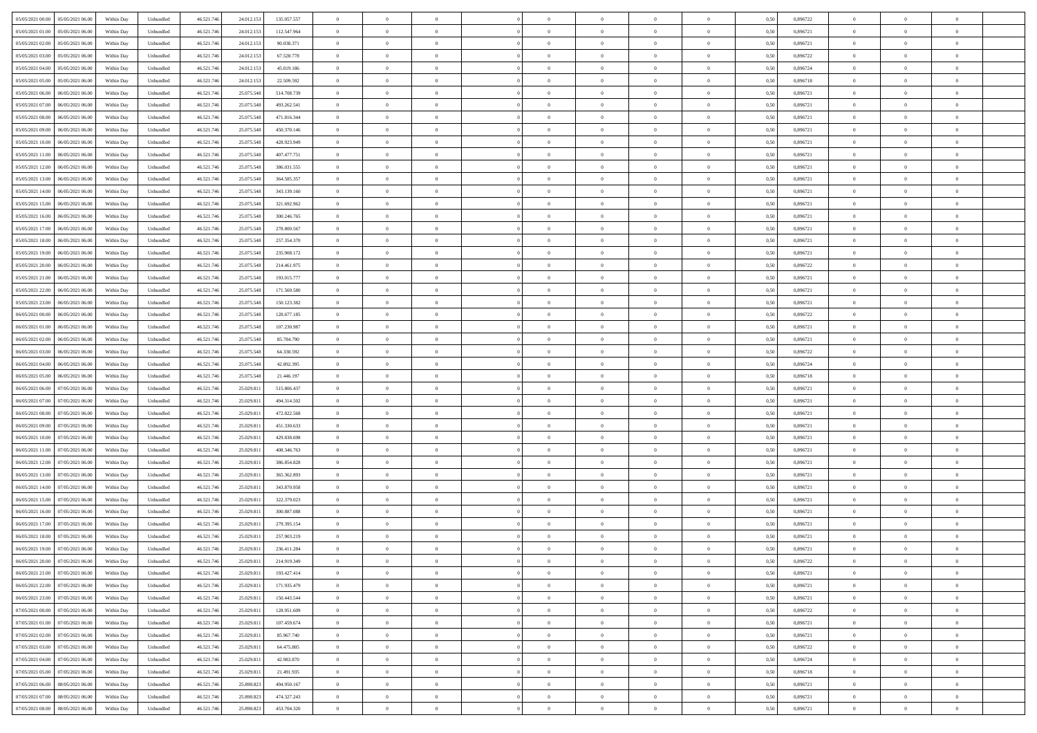| 05/05/2021 00:00 05/05/2021 06:00            | Within Day | Unbundled                   | 46.521.74  | 24.012.153 | 135.057.557 | $\overline{0}$ | $\theta$       |                | $\overline{0}$ | $\theta$       |                | $\bf{0}$       | 0,50 | 0,896722 | $\theta$       | $\theta$       | $\overline{0}$ |  |
|----------------------------------------------|------------|-----------------------------|------------|------------|-------------|----------------|----------------|----------------|----------------|----------------|----------------|----------------|------|----------|----------------|----------------|----------------|--|
| 05/05/2021 01:00<br>05/05/2021 06.00         | Within Day | Unbundled                   | 46.521.74  | 24.012.15  | 112.547.964 | $\bf{0}$       | $\overline{0}$ | $\overline{0}$ | $\overline{0}$ | $\theta$       | $\overline{0}$ | $\bf{0}$       | 0,50 | 0,896721 | $\,$ 0 $\,$    | $\bf{0}$       | $\overline{0}$ |  |
| 05/05/2021 02:00<br>05/05/2021 06:00         | Within Day | Unbundled                   | 46.521.746 | 24.012.153 | 90.038.371  | $\overline{0}$ | $\bf{0}$       | $\overline{0}$ | $\bf{0}$       | $\bf{0}$       | $\overline{0}$ | $\bf{0}$       | 0.50 | 0.896721 | $\bf{0}$       | $\overline{0}$ | $\overline{0}$ |  |
| 05/05/2021 03:00<br>05/05/2021 06:00         | Within Day | Unbundled                   | 46.521.74  | 24.012.153 | 67.528.778  | $\overline{0}$ | $\overline{0}$ | $\overline{0}$ | $\theta$       | $\theta$       | $\overline{0}$ | $\overline{0}$ | 0,50 | 0,896722 | $\theta$       | $\theta$       | $\overline{0}$ |  |
| 05/05/2021 04:00<br>05/05/2021 06.00         | Within Day | Unbundled                   | 46.521.74  | 24.012.15  | 45.019.186  | $\overline{0}$ | $\theta$       | $\overline{0}$ | $\overline{0}$ | $\theta$       | $\overline{0}$ | $\bf{0}$       | 0,50 | 0,896724 | $\,$ 0 $\,$    | $\theta$       | $\overline{0}$ |  |
|                                              |            |                             |            |            |             |                |                |                |                |                |                |                |      |          |                |                |                |  |
| 05/05/2021 05:00<br>05/05/2021 06:00         | Within Day | Unbundled                   | 46.521.74  | 24.012.153 | 22.509.592  | $\overline{0}$ | $\overline{0}$ | $\overline{0}$ | $\overline{0}$ | $\overline{0}$ | $\Omega$       | $\bf{0}$       | 0.50 | 0.896718 | $\bf{0}$       | $\theta$       | $\overline{0}$ |  |
| 05/05/2021 06:00<br>06/05/2021 06:00         | Within Day | Unbundled                   | 46.521.74  | 25.075.548 | 514.708.739 | $\overline{0}$ | $\overline{0}$ | $\overline{0}$ | $\overline{0}$ | $\overline{0}$ | $\overline{0}$ | $\bf{0}$       | 0,50 | 0,896721 | $\theta$       | $\theta$       | $\overline{0}$ |  |
| 05/05/2021 07:00<br>06/05/2021 06.00         | Within Day | Unbundled                   | 46.521.74  | 25.075.548 | 493.262.541 | $\overline{0}$ | $\overline{0}$ | $\overline{0}$ | $\overline{0}$ | $\theta$       | $\overline{0}$ | $\bf{0}$       | 0,50 | 0,896721 | $\,$ 0 $\,$    | $\bf{0}$       | $\overline{0}$ |  |
| 05/05/2021 08:00<br>06/05/2021 06:00         | Within Day | Unbundled                   | 46.521.74  | 25.075.548 | 471.816.344 | $\overline{0}$ | $\bf{0}$       | $\overline{0}$ | $\bf{0}$       | $\overline{0}$ | $\overline{0}$ | $\bf{0}$       | 0.50 | 0.896721 | $\bf{0}$       | $\theta$       | $\overline{0}$ |  |
| 05/05/2021 09:00<br>06/05/2021 06:00         | Within Day | Unbundled                   | 46.521.74  | 25.075.548 | 450.370.146 | $\overline{0}$ | $\bf{0}$       | $\overline{0}$ | $\overline{0}$ | $\theta$       | $\overline{0}$ | $\bf{0}$       | 0,50 | 0,896721 | $\,$ 0 $\,$    | $\theta$       | $\overline{0}$ |  |
| 05/05/2021 10:00<br>06/05/2021 06.00         | Within Day | Unbundled                   | 46.521.74  | 25.075.548 | 428.923.949 | $\bf{0}$       | $\overline{0}$ | $\bf{0}$       | $\overline{0}$ | $\bf{0}$       | $\overline{0}$ | $\bf{0}$       | 0,50 | 0,896721 | $\,$ 0 $\,$    | $\bf{0}$       | $\overline{0}$ |  |
| 05/05/2021 11:00<br>06/05/2021 06:00         |            | Unbundled                   | 46.521.746 | 25,075.548 |             |                | $\overline{0}$ | $\overline{0}$ |                | $\bf{0}$       | $\overline{0}$ |                | 0.50 | 0.896721 | $\bf{0}$       | $\overline{0}$ | $\overline{0}$ |  |
|                                              | Within Day |                             |            |            | 407.477.751 | $\overline{0}$ |                |                | $\bf{0}$       |                |                | $\bf{0}$       |      |          |                |                |                |  |
| 05/05/2021 12:00<br>06/05/2021 06:00         | Within Day | Unbundled                   | 46.521.74  | 25.075.548 | 386.031.555 | $\overline{0}$ | $\overline{0}$ | $\overline{0}$ | $\overline{0}$ | $\theta$       | $\overline{0}$ | $\overline{0}$ | 0,50 | 0,896721 | $\theta$       | $\theta$       | $\overline{0}$ |  |
| 05/05/2021 13:00<br>06/05/2021 06.00         | Within Day | Unbundled                   | 46.521.74  | 25.075.548 | 364.585.357 | $\bf{0}$       | $\theta$       | $\bf{0}$       | $\overline{0}$ | $\theta$       | $\overline{0}$ | $\bf{0}$       | 0,50 | 0,896721 | $\bf{0}$       | $\bf{0}$       | $\overline{0}$ |  |
| 05/05/2021 14:00<br>06/05/2021 06:00         | Within Day | Unbundled                   | 46.521.74  | 25,075.548 | 343.139.160 | $\overline{0}$ | $\overline{0}$ | $\overline{0}$ | $\bf{0}$       | $\theta$       | $\theta$       | $\bf{0}$       | 0.50 | 0.896721 | $\theta$       | $\theta$       | $\overline{0}$ |  |
| 05/05/2021 15:00<br>06/05/2021 06:00         | Within Day | Unbundled                   | 46.521.74  | 25.075.548 | 321.692.962 | $\overline{0}$ | $\overline{0}$ | $\overline{0}$ | $\overline{0}$ | $\overline{0}$ | $\overline{0}$ | $\bf{0}$       | 0,50 | 0,896721 | $\theta$       | $\theta$       | $\overline{0}$ |  |
| 05/05/2021 16:00<br>06/05/2021 06.00         | Within Day | Unbundled                   | 46.521.74  | 25.075.548 | 300.246.765 | $\bf{0}$       | $\overline{0}$ | $\overline{0}$ | $\overline{0}$ | $\theta$       | $\overline{0}$ | $\bf{0}$       | 0,50 | 0,896721 | $\,$ 0 $\,$    | $\bf{0}$       | $\overline{0}$ |  |
| 05/05/2021 17:00<br>06/05/2021 06:00         | Within Day | Unbundled                   | 46.521.74  | 25.075.548 | 278.800.567 | $\overline{0}$ | $\overline{0}$ | $\overline{0}$ | $\bf{0}$       | $\overline{0}$ | $\overline{0}$ | $\bf{0}$       | 0.50 | 0.896721 | $\bf{0}$       | $\overline{0}$ | $\overline{0}$ |  |
| 05/05/2021 18:00<br>06/05/2021 06:00         | Within Day | Unbundled                   | 46.521.74  | 25.075.548 | 257.354.370 | $\overline{0}$ | $\overline{0}$ | $\overline{0}$ | $\overline{0}$ | $\theta$       | $\overline{0}$ | $\bf{0}$       | 0,50 | 0,896721 | $\,$ 0 $\,$    | $\theta$       | $\overline{0}$ |  |
|                                              |            |                             |            |            |             |                |                |                |                |                |                |                |      |          |                |                |                |  |
| 05/05/2021 19:00<br>06/05/2021 06.00         | Within Day | Unbundled                   | 46.521.74  | 25.075.548 | 235.908.172 | $\bf{0}$       | $\overline{0}$ | $\bf{0}$       | $\bf{0}$       | $\overline{0}$ | $\overline{0}$ | $\bf{0}$       | 0,50 | 0,896721 | $\,$ 0 $\,$    | $\bf{0}$       | $\overline{0}$ |  |
| 05/05/2021 20:00<br>06/05/2021 06:00         | Within Day | Unbundled                   | 46.521.746 | 25.075.548 | 214.461.975 | $\overline{0}$ | $\bf{0}$       | $\overline{0}$ | $\bf{0}$       | $\bf{0}$       | $\overline{0}$ | $\bf{0}$       | 0.50 | 0.896722 | $\bf{0}$       | $\overline{0}$ | $\overline{0}$ |  |
| 05/05/2021 21:00<br>06/05/2021 06:00         | Within Day | Unbundled                   | 46.521.74  | 25.075.548 | 193.015.777 | $\overline{0}$ | $\overline{0}$ | $\overline{0}$ | $\overline{0}$ | $\theta$       | $\overline{0}$ | $\bf{0}$       | 0,50 | 0,896721 | $\theta$       | $\theta$       | $\overline{0}$ |  |
| 05/05/2021 22.00<br>06/05/2021 06.00         | Within Day | Unbundled                   | 46.521.74  | 25.075.548 | 171.569.580 | $\bf{0}$       | $\overline{0}$ | $\bf{0}$       | $\overline{0}$ | $\theta$       | $\overline{0}$ | $\bf{0}$       | 0,50 | 0,896721 | $\,$ 0 $\,$    | $\bf{0}$       | $\overline{0}$ |  |
| 05/05/2021 23:00<br>06/05/2021 06:00         | Within Day | Unbundled                   | 46.521.74  | 25.075.548 | 150.123.382 | $\overline{0}$ | $\overline{0}$ | $\overline{0}$ | $\overline{0}$ | $\overline{0}$ | $\Omega$       | $\bf{0}$       | 0.50 | 0.896721 | $\,$ 0 $\,$    | $\theta$       | $\overline{0}$ |  |
| 06/05/2021 00:00<br>06/05/2021 06:00         | Within Day | Unbundled                   | 46.521.74  | 25.075.548 | 128.677.185 | $\overline{0}$ | $\overline{0}$ | $\overline{0}$ | $\overline{0}$ | $\overline{0}$ | $\overline{0}$ | $\bf{0}$       | 0,50 | 0,896722 | $\theta$       | $\theta$       | $\overline{0}$ |  |
| 06/05/2021 01:00<br>06/05/2021 06.00         | Within Day | Unbundled                   | 46.521.74  | 25.075.548 | 107.230.987 | $\bf{0}$       | $\theta$       | $\overline{0}$ | $\overline{0}$ | $\theta$       | $\overline{0}$ | $\bf{0}$       | 0,50 | 0,896721 | $\,$ 0 $\,$    | $\bf{0}$       | $\overline{0}$ |  |
|                                              |            |                             |            |            |             |                |                |                |                |                |                |                |      |          |                |                |                |  |
| 06/05/2021 02:00<br>06/05/2021 06:00         | Within Day | Unbundled                   | 46.521.74  | 25.075.548 | 85,784,790  | $\overline{0}$ | $\bf{0}$       | $\overline{0}$ | $\bf{0}$       | $\overline{0}$ | $\overline{0}$ | $\bf{0}$       | 0.50 | 0.896721 | $\bf{0}$       | $\overline{0}$ | $\overline{0}$ |  |
| 06/05/2021 03:00<br>06/05/2021 06:00         | Within Day | Unbundled                   | 46.521.74  | 25.075.548 | 64.338.592  | $\overline{0}$ | $\overline{0}$ | $\overline{0}$ | $\overline{0}$ | $\theta$       | $\overline{0}$ | $\bf{0}$       | 0,50 | 0,896722 | $\theta$       | $\theta$       | $\overline{0}$ |  |
| 06/05/2021 04:00<br>06/05/2021 06.00         | Within Day | Unbundled                   | 46.521.74  | 25.075.548 | 42.892.395  | $\bf{0}$       | $\bf{0}$       | $\bf{0}$       | $\bf{0}$       | $\overline{0}$ | $\overline{0}$ | $\bf{0}$       | 0,50 | 0,896724 | $\,$ 0 $\,$    | $\bf{0}$       | $\overline{0}$ |  |
| 06/05/2021 05:00<br>06/05/2021 06:00         | Within Day | Unbundled                   | 46.521.74  | 25,075.548 | 21.446.197  | $\overline{0}$ | $\bf{0}$       | $\overline{0}$ | $\bf{0}$       | $\bf{0}$       | $\overline{0}$ | $\bf{0}$       | 0.50 | 0.896718 | $\bf{0}$       | $\overline{0}$ | $\overline{0}$ |  |
| 06/05/2021 06:00<br>07/05/2021 06:00         | Within Day | Unbundled                   | 46.521.74  | 25.029.81  | 515.806.437 | $\overline{0}$ | $\overline{0}$ | $\overline{0}$ | $\overline{0}$ | $\overline{0}$ | $\overline{0}$ | $\bf{0}$       | 0.5( | 0,896721 | $\theta$       | $\theta$       | $\overline{0}$ |  |
| 06/05/2021 07:00<br>07/05/2021 06.00         | Within Day | Unbundled                   | 46.521.74  | 25.029.81  | 494.314.502 | $\bf{0}$       | $\overline{0}$ | $\bf{0}$       | $\overline{0}$ | $\overline{0}$ | $\overline{0}$ | $\bf{0}$       | 0,50 | 0,896721 | $\,$ 0 $\,$    | $\bf{0}$       | $\overline{0}$ |  |
| 06/05/2021 08:00<br>07/05/2021 06.00         | Within Day | Unbundled                   | 46.521.74  | 25.029.811 | 472.822.568 | $\overline{0}$ | $\overline{0}$ | $\overline{0}$ | $\bf{0}$       | $\theta$       | $\Omega$       | $\bf{0}$       | 0.50 | 0,896721 | $\,$ 0 $\,$    | $\theta$       | $\overline{0}$ |  |
| 06/05/2021 09:00<br>07/05/2021 06:00         | Within Dav | Unbundled                   | 46.521.74  | 25.029.811 | 451.330.633 | $\overline{0}$ | $\overline{0}$ | $\Omega$       | $\overline{0}$ | $\theta$       | $\overline{0}$ | $\overline{0}$ | 0.5( | 0,896721 | $\theta$       | $\theta$       | $\overline{0}$ |  |
|                                              |            |                             |            |            |             |                | $\overline{0}$ |                |                |                | $\overline{0}$ |                |      |          |                |                | $\overline{0}$ |  |
| 06/05/2021 10:00<br>07/05/2021 06.00         | Within Day | Unbundled                   | 46.521.74  | 25.029.81  | 429.838.698 | $\bf{0}$       |                | $\bf{0}$       | $\overline{0}$ | $\bf{0}$       |                | $\bf{0}$       | 0,50 | 0,896721 | $\,$ 0 $\,$    | $\bf{0}$       |                |  |
| 06/05/2021 11:00<br>07/05/2021 06:00         | Within Day | Unbundled                   | 46.521.74  | 25.029.81  | 408.346.763 | $\overline{0}$ | $\overline{0}$ | $\overline{0}$ | $\bf{0}$       | $\overline{0}$ | $\overline{0}$ | $\bf{0}$       | 0.50 | 0.896721 | $\bf{0}$       | $\overline{0}$ | $\overline{0}$ |  |
| 06/05/2021 12:00<br>07/05/2021 06:00         | Within Dav | Unbundled                   | 46.521.74  | 25.029.811 | 386,854,828 | $\overline{0}$ | $\overline{0}$ | $\overline{0}$ | $\overline{0}$ | $\overline{0}$ | $\overline{0}$ | $\overline{0}$ | 0.5( | 0,896721 | $\theta$       | $\theta$       | $\overline{0}$ |  |
| 06/05/2021 13:00<br>07/05/2021 06.00         | Within Day | Unbundled                   | 46.521.74  | 25.029.81  | 365.362.893 | $\bf{0}$       | $\bf{0}$       | $\bf{0}$       | $\bf{0}$       | $\overline{0}$ | $\overline{0}$ | $\bf{0}$       | 0,50 | 0,896721 | $\,$ 0 $\,$    | $\bf{0}$       | $\overline{0}$ |  |
| 06/05/2021 14:00<br>07/05/2021 06:00         | Within Day | Unbundled                   | 46.521.746 | 25.029.811 | 343.870.958 | $\overline{0}$ | $\bf{0}$       | $\overline{0}$ | $\bf{0}$       | $\bf{0}$       | $\overline{0}$ | $\bf{0}$       | 0.50 | 0.896721 | $\bf{0}$       | $\overline{0}$ | $\overline{0}$ |  |
| 06/05/2021 15:00<br>07/05/2021 06:00         | Within Dav | Unbundled                   | 46.521.74  | 25.029.811 | 322.379.023 | $\overline{0}$ | $\overline{0}$ | $\Omega$       | $\overline{0}$ | $\overline{0}$ | $\overline{0}$ | $\bf{0}$       | 0.5( | 0,896721 | $\theta$       | $\theta$       | $\overline{0}$ |  |
| 06/05/2021 16:00<br>07/05/2021 06.00         | Within Day | Unbundled                   | 46.521.74  | 25.029.81  | 300.887.088 | $\bf{0}$       | $\overline{0}$ | $\bf{0}$       | $\overline{0}$ | $\,$ 0 $\,$    | $\overline{0}$ | $\bf{0}$       | 0,50 | 0,896721 | $\,$ 0 $\,$    | $\bf{0}$       | $\overline{0}$ |  |
| 06/05/2021 17:00<br>07/05/2021 06.00         | Within Day | Unbundled                   | 46.521.74  | 25.029.81  | 279.395.154 | $\overline{0}$ | $\overline{0}$ | $\Omega$       | $\overline{0}$ | $\theta$       | $\theta$       | $\bf{0}$       | 0.50 | 0,896721 | $\,$ 0 $\,$    | $\theta$       | $\overline{0}$ |  |
| 06/05/2021 18:00<br>07/05/2021 06:00         | Within Dav | Unbundled                   | 46.521.74  | 25.029.81  | 257.903.219 | $\overline{0}$ | $\overline{0}$ | $\Omega$       | $\overline{0}$ | $\theta$       | $\Omega$       | $\overline{0}$ | 0.5( | 0,896721 | $\theta$       | $\theta$       | $\overline{0}$ |  |
|                                              |            |                             |            |            |             |                |                |                |                |                |                |                |      |          |                |                |                |  |
| 06/05/2021 19:00<br>07/05/2021 06:00         | Within Day | Unbundled                   | 46.521.74  | 25.029.81  | 236.411.284 | $\bf{0}$       | $\bf{0}$       | $\overline{0}$ | $\bf{0}$       | $\bf{0}$       | $\overline{0}$ | $\bf{0}$       | 0,50 | 0,896721 | $\,$ 0 $\,$    | $\bf{0}$       | $\overline{0}$ |  |
| $06/05/2021\ 20.00 \qquad 07/05/2021\ 06.00$ | Within Day | $\ensuremath{\mathsf{Unb}}$ | 46.521.746 | 25.029.811 | 214 919 349 | $\overline{0}$ | $\Omega$       |                | $\Omega$       |                |                |                | 0,50 | 0,896722 | $\theta$       | $\overline{0}$ |                |  |
| 06/05/2021 21:00 07/05/2021 06:00            | Within Day | Unbundled                   | 46.521.746 | 25.029.811 | 193.427.414 | $\overline{0}$ | $\theta$       | $\Omega$       | $\theta$       | $\overline{0}$ | $\overline{0}$ | $\bf{0}$       | 0,50 | 0,896721 | $\theta$       | $\theta$       | $\overline{0}$ |  |
| 06/05/2021 22:00<br>07/05/2021 06:00         | Within Day | Unbundled                   | 46.521.74  | 25.029.811 | 171.935.479 | $\overline{0}$ | $\bf{0}$       | $\overline{0}$ | $\overline{0}$ | $\bf{0}$       | $\overline{0}$ | $\bf{0}$       | 0,50 | 0,896721 | $\bf{0}$       | $\overline{0}$ | $\bf{0}$       |  |
| 06/05/2021 23:00 07/05/2021 06:00            | Within Day | Unbundled                   | 46.521.746 | 25.029.811 | 150.443.544 | $\overline{0}$ | $\bf{0}$       | $\overline{0}$ | $\overline{0}$ | $\overline{0}$ | $\overline{0}$ | $\bf{0}$       | 0.50 | 0.896721 | $\overline{0}$ | $\bf{0}$       | $\,$ 0 $\,$    |  |
| 07/05/2021 00:00 07/05/2021 06:00            | Within Day | Unbundled                   | 46.521.746 | 25.029.811 | 128.951.609 | $\overline{0}$ | $\overline{0}$ | $\overline{0}$ | $\overline{0}$ | $\overline{0}$ | $\overline{0}$ | $\bf{0}$       | 0,50 | 0,896722 | $\theta$       | $\theta$       | $\overline{0}$ |  |
| 07/05/2021 01:00<br>07/05/2021 06:00         | Within Day | Unbundled                   | 46.521.74  | 25.029.811 | 107.459.674 | $\overline{0}$ | $\bf{0}$       | $\overline{0}$ | $\overline{0}$ | $\overline{0}$ | $\bf{0}$       | $\bf{0}$       | 0,50 | 0,896721 | $\bf{0}$       | $\bf{0}$       | $\overline{0}$ |  |
|                                              |            |                             |            |            |             |                |                |                |                |                |                |                |      |          |                |                |                |  |
| 07/05/2021 02:00<br>07/05/2021 06:00         | Within Day | Unbundled                   | 46.521.746 | 25.029.811 | 85,967,740  | $\overline{0}$ | $\bf{0}$       | $\overline{0}$ | $\overline{0}$ | $\overline{0}$ | $\overline{0}$ | $\bf{0}$       | 0.50 | 0,896721 | $\,$ 0 $\,$    | $\theta$       | $\overline{0}$ |  |
| 07/05/2021 03:00<br>07/05/2021 06:00         | Within Dav | Unbundled                   | 46.521.746 | 25.029.811 | 64.475.805  | $\overline{0}$ | $\overline{0}$ | $\overline{0}$ | $\overline{0}$ | $\overline{0}$ | $\overline{0}$ | $\bf{0}$       | 0.50 | 0,896722 | $\overline{0}$ | $\theta$       | $\overline{0}$ |  |
| 07/05/2021 04:00<br>07/05/2021 06:00         | Within Day | Unbundled                   | 46.521.74  | 25.029.811 | 42.983.870  | $\overline{0}$ | $\overline{0}$ | $\overline{0}$ | $\overline{0}$ | $\bf{0}$       | $\overline{0}$ | $\bf{0}$       | 0,50 | 0,896724 | $\bf{0}$       | $\overline{0}$ | $\overline{0}$ |  |
| 07/05/2021 05:00 07/05/2021 06:00            | Within Day | Unbundled                   | 46.521.746 | 25.029.811 | 21.491.935  | $\overline{0}$ | $\overline{0}$ | $\overline{0}$ | $\overline{0}$ | $\bf{0}$       | $\overline{0}$ | $\bf{0}$       | 0.50 | 0.896718 | $\overline{0}$ | $\,$ 0 $\,$    | $\,$ 0         |  |
| 07/05/2021 06:00 08/05/2021 06:00            | Within Dav | Unbundled                   | 46.521.746 | 25.898.823 | 494.950.167 | $\overline{0}$ | $\overline{0}$ | $\overline{0}$ | $\overline{0}$ | $\overline{0}$ | $\overline{0}$ | $\bf{0}$       | 0,50 | 0,896721 | $\overline{0}$ | $\theta$       | $\overline{0}$ |  |
| 07/05/2021 07:00<br>08/05/2021 06:00         | Within Day | Unbundled                   | 46.521.74  | 25.898.823 | 474.327.243 | $\overline{0}$ | $\bf{0}$       | $\overline{0}$ | $\bf{0}$       | $\overline{0}$ | $\bf{0}$       | $\bf{0}$       | 0,50 | 0,896721 | $\bf{0}$       | $\bf{0}$       | $\bf{0}$       |  |
| 07/05/2021 08:00 08/05/2021 06:00            | Within Day | Unbundled                   | 46.521.746 | 25.898.823 | 453.704.320 | $\overline{0}$ | $\bf{0}$       | $\overline{0}$ | $\overline{0}$ | $\,$ 0 $\,$    | $\overline{0}$ | $\bf{0}$       | 0,50 | 0,896721 | $\overline{0}$ | $\,$ 0 $\,$    | $\,$ 0 $\,$    |  |
|                                              |            |                             |            |            |             |                |                |                |                |                |                |                |      |          |                |                |                |  |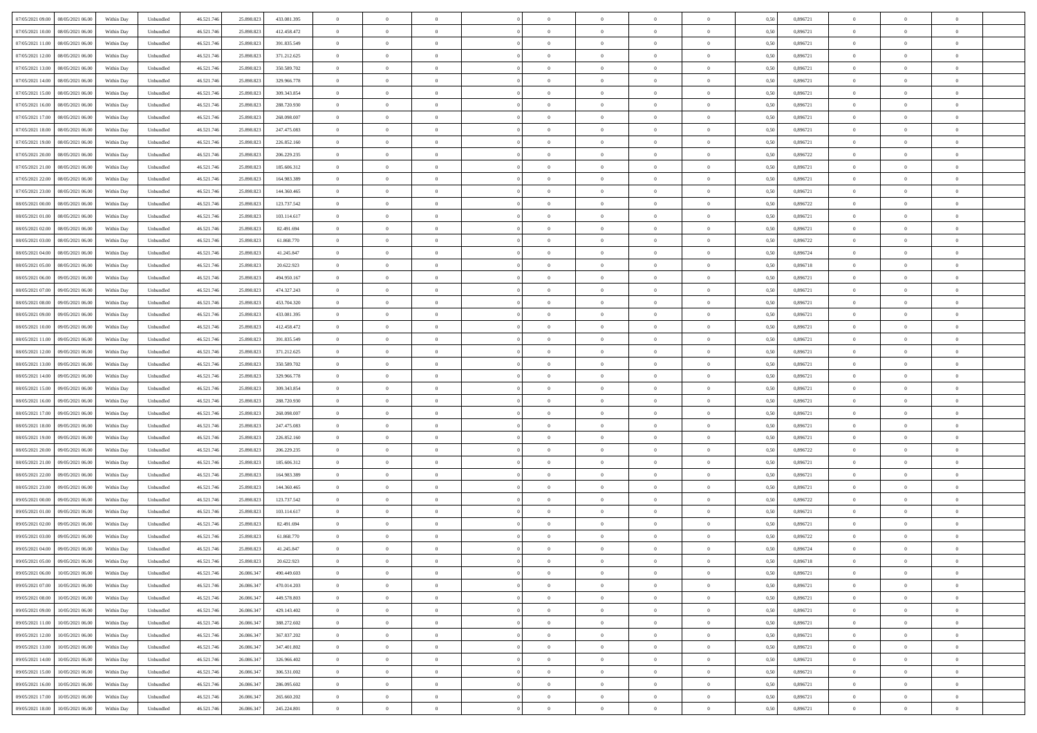| 07/05/2021 09:00   08/05/2021 06:00            | Within Day | Unbundled         | 46.521.74  | 25.898.823 | 433.081.395 | $\overline{0}$ | $\theta$       |                | $\overline{0}$ | $\theta$       |                | $\bf{0}$       | 0,50 | 0,896721 | $\theta$       | $\theta$       | $\overline{0}$ |  |
|------------------------------------------------|------------|-------------------|------------|------------|-------------|----------------|----------------|----------------|----------------|----------------|----------------|----------------|------|----------|----------------|----------------|----------------|--|
| 07/05/2021 10:00<br>08/05/2021 06:00           | Within Day | Unbundled         | 46.521.74  | 25.898.82  | 412.458.472 | $\bf{0}$       | $\overline{0}$ | $\overline{0}$ | $\overline{0}$ | $\theta$       | $\overline{0}$ | $\bf{0}$       | 0,50 | 0,896721 | $\,$ 0 $\,$    | $\bf{0}$       | $\overline{0}$ |  |
| 07/05/2021 11:00<br>08/05/2021 06:00           | Within Day | Unbundled         | 46.521.746 | 25.898.823 | 391.835.549 | $\overline{0}$ | $\bf{0}$       | $\overline{0}$ | $\bf{0}$       | $\bf{0}$       | $\overline{0}$ | $\bf{0}$       | 0.50 | 0.896721 | $\bf{0}$       | $\overline{0}$ | $\overline{0}$ |  |
| 07/05/2021 12:00<br>08/05/2021 06:00           |            |                   | 46.521.74  |            |             | $\overline{0}$ | $\overline{0}$ | $\overline{0}$ | $\theta$       | $\theta$       | $\overline{0}$ | $\overline{0}$ |      | 0,896721 | $\theta$       | $\theta$       | $\overline{0}$ |  |
|                                                | Within Day | Unbundled         |            | 25.898.823 | 371.212.625 |                |                |                |                |                |                |                | 0,50 |          |                |                |                |  |
| 07/05/2021 13:00<br>08/05/2021 06:00           | Within Day | Unbundled         | 46.521.74  | 25.898.823 | 350.589.702 | $\overline{0}$ | $\theta$       | $\overline{0}$ | $\overline{0}$ | $\theta$       | $\overline{0}$ | $\bf{0}$       | 0,50 | 0,896721 | $\,$ 0 $\,$    | $\bf{0}$       | $\overline{0}$ |  |
| 07/05/2021 14:00<br>08/05/2021 06:00           | Within Day | Unbundled         | 46.521.74  | 25.898.823 | 329.966.778 | $\overline{0}$ | $\overline{0}$ | $\overline{0}$ | $\overline{0}$ | $\overline{0}$ | $\Omega$       | $\bf{0}$       | 0.50 | 0.896721 | $\,$ 0 $\,$    | $\theta$       | $\overline{0}$ |  |
| 07/05/2021 15:00<br>08/05/2021 06:00           | Within Day | Unbundled         | 46.521.74  | 25.898.823 | 309.343.854 | $\overline{0}$ | $\overline{0}$ | $\overline{0}$ | $\overline{0}$ | $\theta$       | $\overline{0}$ | $\bf{0}$       | 0,50 | 0,896721 | $\theta$       | $\theta$       | $\overline{0}$ |  |
|                                                |            |                   |            |            |             |                |                |                |                |                |                |                |      |          |                |                |                |  |
| 07/05/2021 16:00<br>08/05/2021 06:00           | Within Day | Unbundled         | 46.521.74  | 25.898.82  | 288.720.930 | $\overline{0}$ | $\overline{0}$ | $\overline{0}$ | $\overline{0}$ | $\theta$       | $\overline{0}$ | $\bf{0}$       | 0,50 | 0,896721 | $\,$ 0 $\,$    | $\bf{0}$       | $\overline{0}$ |  |
| 07/05/2021 17:00<br>08/05/2021 06:00           | Within Day | Unbundled         | 46.521.74  | 25.898.82  | 268 098 007 | $\overline{0}$ | $\bf{0}$       | $\overline{0}$ | $\bf{0}$       | $\overline{0}$ | $\overline{0}$ | $\bf{0}$       | 0.50 | 0.896721 | $\bf{0}$       | $\theta$       | $\overline{0}$ |  |
| 07/05/2021 18:00<br>08/05/2021 06:00           | Within Day | Unbundled         | 46.521.74  | 25.898.823 | 247.475.083 | $\overline{0}$ | $\bf{0}$       | $\overline{0}$ | $\overline{0}$ | $\theta$       | $\overline{0}$ | $\bf{0}$       | 0,50 | 0,896721 | $\,$ 0 $\,$    | $\theta$       | $\overline{0}$ |  |
| 07/05/2021 19:00<br>08/05/2021 06:00           | Within Day | Unbundled         | 46.521.74  | 25.898.823 | 226.852.160 | $\bf{0}$       | $\overline{0}$ | $\bf{0}$       | $\overline{0}$ | $\bf{0}$       | $\overline{0}$ | $\bf{0}$       | 0,50 | 0,896721 | $\,$ 0 $\,$    | $\bf{0}$       | $\overline{0}$ |  |
|                                                |            |                   |            |            |             |                |                |                |                |                |                |                |      |          |                |                |                |  |
| 07/05/2021 20:00<br>08/05/2021 06:00           | Within Day | Unbundled         | 46.521.746 | 25.898.823 | 206.229.235 | $\overline{0}$ | $\bf{0}$       | $\overline{0}$ | $\bf{0}$       | $\bf{0}$       | $\overline{0}$ | $\bf{0}$       | 0.50 | 0.896722 | $\bf{0}$       | $\overline{0}$ | $\overline{0}$ |  |
| 07/05/2021 21:00<br>08/05/2021 06:00           | Within Day | Unbundled         | 46.521.74  | 25.898.823 | 185.606.312 | $\overline{0}$ | $\overline{0}$ | $\overline{0}$ | $\overline{0}$ | $\theta$       | $\overline{0}$ | $\overline{0}$ | 0,50 | 0,896721 | $\theta$       | $\theta$       | $\overline{0}$ |  |
| 07/05/2021 22.00<br>08/05/2021 06:00           | Within Day | Unbundled         | 46.521.74  | 25.898.82  | 164.983.389 | $\bf{0}$       | $\theta$       | $\bf{0}$       | $\overline{0}$ | $\theta$       | $\overline{0}$ | $\bf{0}$       | 0,50 | 0,896721 | $\bf{0}$       | $\bf{0}$       | $\overline{0}$ |  |
|                                                |            |                   |            |            |             |                |                |                |                |                |                |                |      |          |                |                |                |  |
| 07/05/2021 23:00<br>08/05/2021 06:00           | Within Day | Unbundled         | 46.521.74  | 25.898.823 | 144.360.465 | $\overline{0}$ | $\overline{0}$ | $\overline{0}$ | $\bf{0}$       | $\theta$       | $\theta$       | $\bf{0}$       | 0.50 | 0,896721 | $\bf{0}$       | $\theta$       | $\overline{0}$ |  |
| 08/05/2021 00:00<br>08/05/2021 06:00           | Within Day | Unbundled         | 46.521.74  | 25.898.823 | 123.737.542 | $\overline{0}$ | $\overline{0}$ | $\overline{0}$ | $\overline{0}$ | $\overline{0}$ | $\overline{0}$ | $\bf{0}$       | 0,50 | 0,896722 | $\theta$       | $\theta$       | $\overline{0}$ |  |
| 08/05/2021 01:00<br>08/05/2021 06:00           | Within Day | Unbundled         | 46.521.74  | 25.898.82  | 103.114.617 | $\overline{0}$ | $\overline{0}$ | $\overline{0}$ | $\overline{0}$ | $\theta$       | $\overline{0}$ | $\bf{0}$       | 0,50 | 0,896721 | $\,$ 0 $\,$    | $\bf{0}$       | $\overline{0}$ |  |
| 08/05/2021 02:00<br>08/05/2021 06:00           | Within Day | Unbundled         | 46.521.74  | 25.898.82  | 82.491.694  | $\overline{0}$ | $\overline{0}$ | $\overline{0}$ | $\bf{0}$       | $\overline{0}$ | $\overline{0}$ | $\bf{0}$       | 0.50 | 0.896721 | $\bf{0}$       | $\overline{0}$ | $\overline{0}$ |  |
|                                                |            |                   |            |            |             | $\overline{0}$ | $\overline{0}$ | $\overline{0}$ | $\overline{0}$ | $\theta$       | $\overline{0}$ |                |      |          | $\,$ 0 $\,$    | $\theta$       | $\overline{0}$ |  |
| 08/05/2021 03:00<br>08/05/2021 06:00           | Within Day | Unbundled         | 46.521.74  | 25.898.823 | 61.868.770  |                |                |                |                |                |                | $\bf{0}$       | 0,50 | 0,896722 |                |                |                |  |
| 08/05/2021 04:00<br>08/05/2021 06:00           | Within Day | Unbundled         | 46.521.74  | 25.898.82  | 41.245.847  | $\bf{0}$       | $\overline{0}$ | $\bf{0}$       | $\bf{0}$       | $\overline{0}$ | $\overline{0}$ | $\bf{0}$       | 0,50 | 0,896724 | $\,$ 0 $\,$    | $\bf{0}$       | $\overline{0}$ |  |
| 08/05/2021 05:00<br>08/05/2021 06:00           | Within Day | Unbundled         | 46.521.746 | 25.898.823 | 20.622.923  | $\overline{0}$ | $\bf{0}$       | $\overline{0}$ | $\bf{0}$       | $\bf{0}$       | $\overline{0}$ | $\bf{0}$       | 0.50 | 0.896718 | $\bf{0}$       | $\overline{0}$ | $\overline{0}$ |  |
| 08/05/2021 06:00<br>09/05/2021 06:00           | Within Day | Unbundled         | 46.521.74  | 25.898.823 | 494.950.167 | $\overline{0}$ | $\overline{0}$ | $\overline{0}$ | $\theta$       | $\theta$       | $\overline{0}$ | $\bf{0}$       | 0,50 | 0,896721 | $\theta$       | $\theta$       | $\overline{0}$ |  |
|                                                |            |                   |            |            |             |                | $\overline{0}$ |                | $\overline{0}$ | $\theta$       | $\overline{0}$ |                |      |          | $\,$ 0 $\,$    | $\bf{0}$       | $\overline{0}$ |  |
| 08/05/2021 07:00<br>09/05/2021 06.00           | Within Day | Unbundled         | 46.521.74  | 25.898.823 | 474.327.243 | $\bf{0}$       |                | $\bf{0}$       |                |                |                | $\bf{0}$       | 0,50 | 0,896721 |                |                |                |  |
| 08/05/2021 08:00<br>09/05/2021 06:00           | Within Day | Unbundled         | 46.521.74  | 25.898.82  | 453.704.320 | $\overline{0}$ | $\overline{0}$ | $\overline{0}$ | $\overline{0}$ | $\overline{0}$ | $\Omega$       | $\bf{0}$       | 0.50 | 0.896721 | $\,$ 0 $\,$    | $\theta$       | $\overline{0}$ |  |
| 08/05/2021 09:00<br>09/05/2021 06.00           | Within Day | Unbundled         | 46.521.74  | 25.898.823 | 433.081.395 | $\overline{0}$ | $\overline{0}$ | $\overline{0}$ | $\overline{0}$ | $\theta$       | $\overline{0}$ | $\bf{0}$       | 0,50 | 0,896721 | $\theta$       | $\theta$       | $\overline{0}$ |  |
| 08/05/2021 10:00<br>09/05/2021 06.00           | Within Day | Unbundled         | 46.521.74  | 25.898.82  | 412.458.472 | $\bf{0}$       | $\theta$       | $\overline{0}$ | $\overline{0}$ | $\theta$       | $\overline{0}$ | $\bf{0}$       | 0,50 | 0,896721 | $\,$ 0 $\,$    | $\bf{0}$       | $\overline{0}$ |  |
| 08/05/2021 11:00<br>09/05/2021 06:00           |            | Unbundled         | 46.521.74  | 25.898.82  | 391.835.549 |                | $\bf{0}$       | $\overline{0}$ |                | $\overline{0}$ | $\overline{0}$ |                | 0.50 | 0.896721 | $\bf{0}$       | $\theta$       | $\overline{0}$ |  |
|                                                | Within Day |                   |            |            |             | $\overline{0}$ |                |                | $\bf{0}$       |                |                | $\bf{0}$       |      |          |                |                |                |  |
| 08/05/2021 12:00<br>09/05/2021 06:00           | Within Day | Unbundled         | 46.521.74  | 25.898.823 | 371.212.625 | $\overline{0}$ | $\overline{0}$ | $\overline{0}$ | $\overline{0}$ | $\theta$       | $\overline{0}$ | $\bf{0}$       | 0,50 | 0,896721 | $\theta$       | $\theta$       | $\overline{0}$ |  |
| 08/05/2021 13:00<br>09/05/2021 06.00           | Within Day | Unbundled         | 46.521.74  | 25.898.823 | 350.589.702 | $\bf{0}$       | $\bf{0}$       | $\bf{0}$       | $\bf{0}$       | $\overline{0}$ | $\overline{0}$ | $\bf{0}$       | 0,50 | 0,896721 | $\,$ 0 $\,$    | $\bf{0}$       | $\overline{0}$ |  |
| 08/05/2021 14:00<br>09/05/2021 06:00           | Within Day | Unbundled         | 46.521.74  | 25.898.823 | 329.966.778 | $\overline{0}$ | $\bf{0}$       | $\overline{0}$ | $\bf{0}$       | $\bf{0}$       | $\overline{0}$ | $\bf{0}$       | 0.50 | 0.896721 | $\bf{0}$       | $\overline{0}$ | $\overline{0}$ |  |
| 08/05/2021 15:00<br>09/05/2021 06:00           | Within Day | Unbundled         | 46.521.74  | 25.898.823 | 309.343.854 | $\overline{0}$ | $\overline{0}$ | $\overline{0}$ | $\overline{0}$ | $\theta$       | $\overline{0}$ | $\bf{0}$       | 0.5( | 0,896721 | $\theta$       | $\theta$       | $\overline{0}$ |  |
|                                                |            |                   |            |            |             |                |                |                |                |                |                |                |      |          |                |                |                |  |
| 08/05/2021 16:00<br>09/05/2021 06.00           | Within Day | Unbundled         | 46.521.74  | 25.898.82  | 288.720.930 | $\bf{0}$       | $\overline{0}$ | $\bf{0}$       | $\overline{0}$ | $\overline{0}$ | $\overline{0}$ | $\bf{0}$       | 0,50 | 0,896721 | $\,$ 0 $\,$    | $\bf{0}$       | $\overline{0}$ |  |
| 08/05/2021 17:00<br>09/05/2021 06:00           | Within Day | Unbundled         | 46.521.74  | 25.898.82  | 268,098,007 | $\overline{0}$ | $\overline{0}$ | $\overline{0}$ | $\bf{0}$       | $\theta$       | $\Omega$       | $\bf{0}$       | 0.50 | 0,896721 | $\,$ 0 $\,$    | $\theta$       | $\overline{0}$ |  |
| 08/05/2021 18:00<br>09/05/2021 06:00           | Within Dav | Unbundled         | 46.521.74  | 25.898.823 | 247.475.083 | $\overline{0}$ | $\overline{0}$ | $\Omega$       | $\overline{0}$ | $\overline{0}$ | $\overline{0}$ | $\overline{0}$ | 0.5( | 0,896721 | $\theta$       | $\theta$       | $\overline{0}$ |  |
| 08/05/2021 19:00<br>09/05/2021 06.00           | Within Day | Unbundled         | 46.521.74  | 25.898.82  | 226.852.160 | $\bf{0}$       | $\overline{0}$ | $\bf{0}$       | $\overline{0}$ | $\bf{0}$       | $\overline{0}$ | $\bf{0}$       | 0,50 | 0,896721 | $\,$ 0 $\,$    | $\bf{0}$       | $\overline{0}$ |  |
|                                                |            |                   |            |            |             |                |                |                |                |                |                |                |      |          |                |                |                |  |
| 08/05/2021 20:00<br>09/05/2021 06:00           | Within Day | Unbundled         | 46.521.74  | 25.898.82  | 206.229.235 | $\overline{0}$ | $\bf{0}$       | $\overline{0}$ | $\bf{0}$       | $\overline{0}$ | $\overline{0}$ | $\bf{0}$       | 0.50 | 0.896722 | $\bf{0}$       | $\overline{0}$ | $\overline{0}$ |  |
| 08/05/2021 21:00<br>09/05/2021 06:00           | Within Dav | Unbundled         | 46.521.74  | 25.898.823 | 185,606,312 | $\overline{0}$ | $\overline{0}$ | $\overline{0}$ | $\overline{0}$ | $\overline{0}$ | $\overline{0}$ | $\overline{0}$ | 0.50 | 0,896721 | $\theta$       | $\theta$       | $\overline{0}$ |  |
| 08/05/2021 22:00<br>09/05/2021 06.00           | Within Day | Unbundled         | 46.521.74  | 25.898.82  | 164.983.389 | $\bf{0}$       | $\bf{0}$       | $\bf{0}$       | $\bf{0}$       | $\overline{0}$ | $\overline{0}$ | $\bf{0}$       | 0,50 | 0,896721 | $\,$ 0 $\,$    | $\bf{0}$       | $\overline{0}$ |  |
| 08/05/2021 23:00<br>09/05/2021 06:00           | Within Day | Unbundled         | 46.521.746 | 25.898.823 | 144,360,465 | $\overline{0}$ | $\bf{0}$       | $\overline{0}$ | $\bf{0}$       | $\bf{0}$       | $\overline{0}$ | $\bf{0}$       | 0.50 | 0.896721 | $\bf{0}$       | $\overline{0}$ | $\overline{0}$ |  |
|                                                |            |                   |            |            |             |                |                |                |                |                |                |                |      |          |                |                |                |  |
| 09/05/2021 00:00<br>09/05/2021 06:00           | Within Dav | Unbundled         | 46.521.74  | 25.898.823 | 123.737.542 | $\overline{0}$ | $\overline{0}$ | $\Omega$       | $\overline{0}$ | $\theta$       | $\overline{0}$ | $\bf{0}$       | 0.5( | 0,896722 | $\theta$       | $\theta$       | $\overline{0}$ |  |
| 09/05/2021 01:00<br>09/05/2021 06.00           | Within Day | Unbundled         | 46.521.74  | 25.898.823 | 103.114.617 | $\bf{0}$       | $\overline{0}$ | $\bf{0}$       | $\overline{0}$ | $\overline{0}$ | $\overline{0}$ | $\bf{0}$       | 0,50 | 0,896721 | $\,$ 0 $\,$    | $\bf{0}$       | $\overline{0}$ |  |
| 09/05/2021 02:00<br>09/05/2021 06.00           | Within Day | Unbundled         | 46.521.74  | 25.898.82  | 82.491.694  | $\overline{0}$ | $\overline{0}$ | $\Omega$       | $\overline{0}$ | $\theta$       | $\theta$       | $\bf{0}$       | 0.50 | 0,896721 | $\,$ 0 $\,$    | $\theta$       | $\overline{0}$ |  |
| 09/05/2021 03:00<br>09/05/2021 06:00           | Within Dav | Unbundled         | 46.521.74  | 25.898.823 | 61.868.770  | $\overline{0}$ | $\overline{0}$ | $\Omega$       | $\overline{0}$ | $\theta$       | $\Omega$       | $\overline{0}$ | 0.5( | 0,896722 | $\theta$       | $\theta$       | $\overline{0}$ |  |
| 09/05/2021 04:00                               |            |                   |            |            |             | $\bf{0}$       | $\bf{0}$       | $\overline{0}$ | $\bf{0}$       | $\bf{0}$       | $\overline{0}$ |                |      |          | $\,$ 0 $\,$    | $\bf{0}$       | $\overline{0}$ |  |
| 09/05/2021 06:00                               | Within Day | Unbundled         | 46.521.74  | 25.898.823 | 41.245.847  |                |                |                |                |                |                | $\bf{0}$       | 0,50 | 0,896724 |                |                |                |  |
| $09/05/2021\; 05.00 \qquad 09/05/2021\; 06.00$ | Within Day | ${\sf Unbundred}$ | 46.521.746 | 25.898.823 | 20.622.923  | $\overline{0}$ | $\Omega$       |                | $\Omega$       |                |                |                | 0,50 | 0.896718 | $\theta$       | $\overline{0}$ |                |  |
| 09/05/2021 06:00 10/05/2021 06:00              | Within Day | Unbundled         | 46.521.746 | 26.086.347 | 490.449.603 | $\overline{0}$ | $\theta$       | $\Omega$       | $\theta$       | $\overline{0}$ | $\overline{0}$ | $\bf{0}$       | 0,50 | 0,896721 | $\theta$       | $\theta$       | $\overline{0}$ |  |
| 09/05/2021 07:00<br>10/05/2021 06:00           | Within Day | Unbundled         | 46.521.74  | 26.086.347 | 470.014.203 | $\overline{0}$ | $\bf{0}$       | $\overline{0}$ | $\overline{0}$ | $\bf{0}$       | $\overline{0}$ | $\bf{0}$       | 0,50 | 0,896721 | $\bf{0}$       | $\overline{0}$ | $\bf{0}$       |  |
|                                                |            |                   |            |            | 449.578.803 |                |                |                |                |                | $\overline{0}$ |                | 0.50 | 0.896721 | $\overline{0}$ |                |                |  |
| 09/05/2021 08:00<br>10/05/2021 06:00           | Within Day | Unbundled         | 46.521.746 | 26.086.347 |             | $\overline{0}$ | $\bf{0}$       | $\overline{0}$ | $\overline{0}$ | $\overline{0}$ |                | $\,$ 0 $\,$    |      |          |                | $\bf{0}$       | $\,$ 0 $\,$    |  |
| 09/05/2021 09:00<br>10/05/2021 06:00           | Within Dav | Unbundled         | 46.521.746 | 26.086.347 | 429.143.402 | $\overline{0}$ | $\overline{0}$ | $\overline{0}$ | $\overline{0}$ | $\overline{0}$ | $\overline{0}$ | $\bf{0}$       | 0,50 | 0,896721 | $\theta$       | $\theta$       | $\overline{0}$ |  |
| 09/05/2021 11:00<br>10/05/2021 06:00           | Within Day | Unbundled         | 46.521.74  | 26.086.347 | 388.272.602 | $\overline{0}$ | $\bf{0}$       | $\overline{0}$ | $\bf{0}$       | $\overline{0}$ | $\overline{0}$ | $\bf{0}$       | 0,50 | 0,896721 | $\overline{0}$ | $\bf{0}$       | $\overline{0}$ |  |
| 09/05/2021 12:00<br>10/05/2021 06:00           | Within Day | Unbundled         | 46.521.746 | 26,086,347 | 367.837.202 | $\overline{0}$ | $\bf{0}$       | $\overline{0}$ | $\overline{0}$ | $\overline{0}$ | $\overline{0}$ | $\bf{0}$       | 0.50 | 0,896721 | $\,$ 0 $\,$    | $\theta$       | $\overline{0}$ |  |
|                                                |            |                   |            |            |             |                | $\overline{0}$ |                |                | $\overline{0}$ |                |                |      |          | $\overline{0}$ | $\theta$       | $\overline{0}$ |  |
| 09/05/2021 13:00<br>10/05/2021 06:00           | Within Dav | Unbundled         | 46.521.746 | 26.086.347 | 347.401.802 | $\overline{0}$ |                | $\overline{0}$ | $\overline{0}$ |                | $\overline{0}$ | $\bf{0}$       | 0.50 | 0,896721 |                |                |                |  |
| 09/05/2021 14:00<br>10/05/2021 06:00           | Within Day | Unbundled         | 46.521.74  | 26.086.347 | 326.966.402 | $\overline{0}$ | $\overline{0}$ | $\overline{0}$ | $\overline{0}$ | $\bf{0}$       | $\overline{0}$ | $\bf{0}$       | 0,50 | 0,896721 | $\bf{0}$       | $\bf{0}$       | $\overline{0}$ |  |
| 09/05/2021 15:00<br>10/05/2021 06:00           | Within Day | Unbundled         | 46.521.746 | 26,086,347 | 306.531.002 | $\overline{0}$ | $\overline{0}$ | $\overline{0}$ | $\overline{0}$ | $\bf{0}$       | $\overline{0}$ | $\bf{0}$       | 0.50 | 0.896721 | $\overline{0}$ | $\,$ 0 $\,$    | $\,$ 0         |  |
| 09/05/2021 16:00<br>10/05/2021 06:00           | Within Dav | Unbundled         | 46.521.746 | 26.086.347 | 286.095.602 | $\overline{0}$ | $\overline{0}$ | $\overline{0}$ | $\overline{0}$ | $\overline{0}$ | $\overline{0}$ | $\bf{0}$       | 0,50 | 0,896721 | $\overline{0}$ | $\theta$       | $\overline{0}$ |  |
|                                                |            |                   |            |            |             |                |                |                |                |                |                |                |      |          |                |                |                |  |
| 09/05/2021 17:00<br>10/05/2021 06:00           | Within Day | Unbundled         | 46.521.74  | 26.086.347 | 265.660.202 | $\overline{0}$ | $\bf{0}$       | $\overline{0}$ | $\bf{0}$       | $\overline{0}$ | $\overline{0}$ | $\bf{0}$       | 0,50 | 0,896721 | $\bf{0}$       | $\bf{0}$       | $\overline{0}$ |  |
| 09/05/2021 18:00 10/05/2021 06:00              | Within Day | Unbundled         | 46.521.746 | 26.086.347 | 245.224.801 | $\overline{0}$ | $\bf{0}$       | $\overline{0}$ | $\overline{0}$ | $\,$ 0 $\,$    | $\overline{0}$ | $\bf{0}$       | 0,50 | 0,896721 | $\overline{0}$ | $\,$ 0 $\,$    | $\,$ 0 $\,$    |  |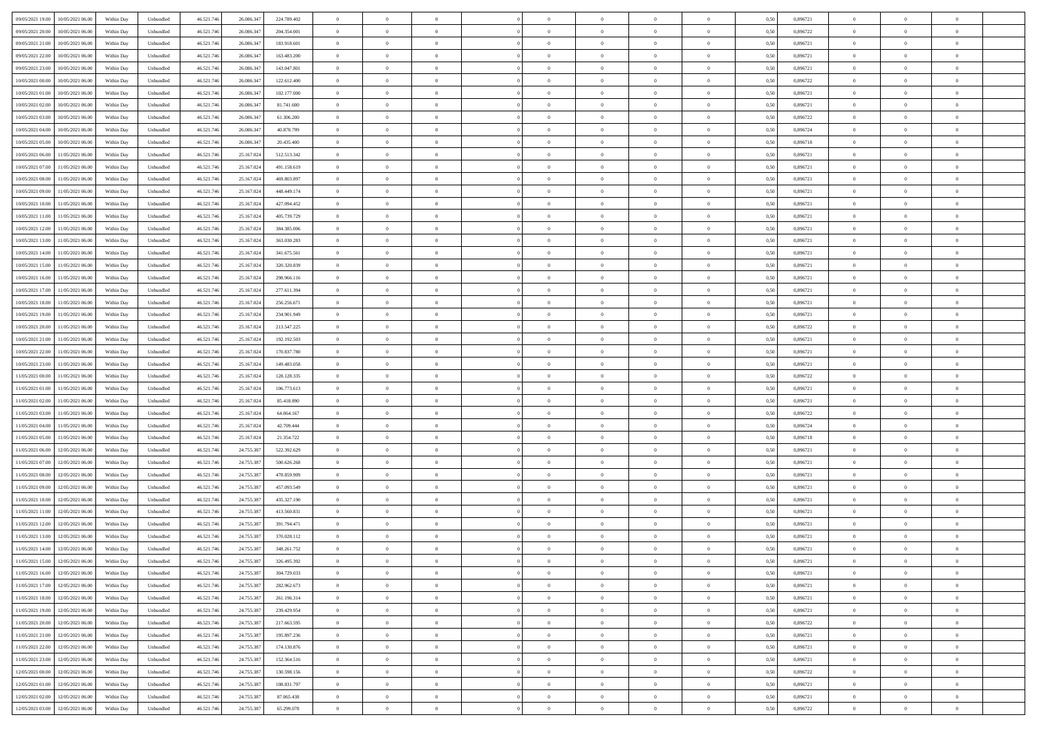| 09/05/2021 19:00<br>10/05/2021 06:00         | Within Day | Unbundled                   | 46.521.74  | 26.086.347 | 224.789.402 | $\overline{0}$ | $\theta$       |                | $\overline{0}$ | $\theta$       |                | $\theta$       | 0,50 | 0,896721 | $\theta$       | $\theta$       | $\overline{0}$ |  |
|----------------------------------------------|------------|-----------------------------|------------|------------|-------------|----------------|----------------|----------------|----------------|----------------|----------------|----------------|------|----------|----------------|----------------|----------------|--|
| 09/05/2021 20:00<br>10/05/2021 06:00         | Within Day | Unbundled                   | 46.521.74  | 26.086.34  | 204.354.001 | $\bf{0}$       | $\overline{0}$ | $\bf{0}$       | $\overline{0}$ | $\overline{0}$ | $\overline{0}$ | $\bf{0}$       | 0,50 | 0,896722 | $\,$ 0 $\,$    | $\bf{0}$       | $\overline{0}$ |  |
| 09/05/2021 21:00<br>10/05/2021 06:00         | Within Day | Unbundled                   | 46.521.746 | 26,086,347 | 183.918.601 | $\overline{0}$ | $\bf{0}$       | $\overline{0}$ | $\bf{0}$       | $\bf{0}$       | $\overline{0}$ | $\bf{0}$       | 0.50 | 0.896721 | $\bf{0}$       | $\overline{0}$ | $\overline{0}$ |  |
| 09/05/2021 22.00<br>10/05/2021 06:00         |            |                             |            |            |             | $\overline{0}$ | $\overline{0}$ | $\overline{0}$ | $\theta$       | $\theta$       | $\overline{0}$ | $\bf{0}$       |      | 0,896721 | $\theta$       | $\theta$       | $\overline{0}$ |  |
|                                              | Within Day | Unbundled                   | 46.521.74  | 26.086.347 | 163.483.200 |                |                |                |                |                |                |                | 0,50 |          |                |                |                |  |
| 09/05/2021 23:00<br>10/05/2021 06:00         | Within Day | Unbundled                   | 46.521.74  | 26.086.34  | 143.047.801 | $\bf{0}$       | $\overline{0}$ | $\bf{0}$       | $\overline{0}$ | $\theta$       | $\overline{0}$ | $\bf{0}$       | 0,50 | 0,896721 | $\,$ 0 $\,$    | $\bf{0}$       | $\overline{0}$ |  |
| 10/05/2021 00:00<br>10/05/2021 06:00         | Within Day | Unbundled                   | 46.521.74  | 26,086,347 | 122.612.400 | $\overline{0}$ | $\overline{0}$ | $\overline{0}$ | $\overline{0}$ | $\overline{0}$ | $\theta$       | $\bf{0}$       | 0.50 | 0.896722 | $\,$ 0 $\,$    | $\theta$       | $\overline{0}$ |  |
| 10/05/2021 01:00<br>10/05/2021 06:00         | Within Day | Unbundled                   | 46.521.74  | 26.086.347 | 102.177.000 | $\overline{0}$ | $\overline{0}$ | $\overline{0}$ | $\overline{0}$ | $\theta$       | $\overline{0}$ | $\bf{0}$       | 0,50 | 0,896721 | $\theta$       | $\theta$       | $\overline{0}$ |  |
|                                              |            |                             |            |            |             |                |                |                |                |                |                |                |      |          |                |                |                |  |
| 10/05/2021 02:00<br>10/05/2021 06:00         | Within Day | Unbundled                   | 46.521.74  | 26.086.34  | 81.741.600  | $\bf{0}$       | $\overline{0}$ | $\overline{0}$ | $\overline{0}$ | $\theta$       | $\overline{0}$ | $\bf{0}$       | 0,50 | 0,896721 | $\,$ 0 $\,$    | $\bf{0}$       | $\overline{0}$ |  |
| 10/05/2021 03:00<br>10/05/2021 06:00         | Within Day | Unbundled                   | 46.521.74  | 26,086,347 | 61.306.200  | $\overline{0}$ | $\bf{0}$       | $\overline{0}$ | $\bf{0}$       | $\overline{0}$ | $\overline{0}$ | $\bf{0}$       | 0.50 | 0.896722 | $\bf{0}$       | $\overline{0}$ | $\overline{0}$ |  |
| 10/05/2021 04:00<br>10/05/2021 06:00         | Within Day | Unbundled                   | 46.521.74  | 26.086.347 | 40.870.799  | $\overline{0}$ | $\bf{0}$       | $\overline{0}$ | $\overline{0}$ | $\overline{0}$ | $\overline{0}$ | $\bf{0}$       | 0,50 | 0,896724 | $\,$ 0 $\,$    | $\bf{0}$       | $\overline{0}$ |  |
| 10/05/2021 05:00<br>10/05/2021 06:00         | Within Day | Unbundled                   | 46.521.74  | 26.086.347 | 20.435.400  | $\bf{0}$       | $\overline{0}$ | $\bf{0}$       | $\overline{0}$ | $\bf{0}$       | $\overline{0}$ | $\bf{0}$       | 0,50 | 0,896718 | $\,$ 0 $\,$    | $\bf{0}$       | $\overline{0}$ |  |
|                                              |            |                             |            |            |             |                |                |                |                |                |                |                |      |          |                |                |                |  |
| 10/05/2021 06:00<br>11/05/2021 06:00         | Within Day | Unbundled                   | 46.521.746 | 25.167.024 | 512.513.342 | $\overline{0}$ | $\bf{0}$       | $\overline{0}$ | $\bf{0}$       | $\bf{0}$       | $\overline{0}$ | $\bf{0}$       | 0.50 | 0.896721 | $\bf{0}$       | $\overline{0}$ | $\bf{0}$       |  |
| 10/05/2021 07:00<br>11/05/2021 06:00         | Within Day | Unbundled                   | 46.521.74  | 25.167.024 | 491.158.619 | $\overline{0}$ | $\overline{0}$ | $\overline{0}$ | $\overline{0}$ | $\theta$       | $\overline{0}$ | $\overline{0}$ | 0,50 | 0,896721 | $\theta$       | $\theta$       | $\overline{0}$ |  |
| 10/05/2021 08:00<br>11/05/2021 06:00         | Within Day | Unbundled                   | 46.521.74  | 25.167.02  | 469.803.897 | $\bf{0}$       | $\overline{0}$ | $\bf{0}$       | $\overline{0}$ | $\theta$       | $\overline{0}$ | $\bf{0}$       | 0,50 | 0,896721 | $\bf{0}$       | $\bf{0}$       | $\overline{0}$ |  |
| 10/05/2021 09:00<br>11/05/2021 06:00         | Within Day | Unbundled                   | 46.521.74  | 25.167.02  | 448.449.174 | $\overline{0}$ | $\overline{0}$ | $\overline{0}$ | $\bf{0}$       | $\overline{0}$ | $\Omega$       | $\bf{0}$       | 0.50 | 0,896721 | $\bf{0}$       | $\theta$       | $\overline{0}$ |  |
| 10/05/2021 10:00<br>11/05/2021 06:00         | Within Day | Unbundled                   | 46.521.74  | 25.167.024 | 427.094.452 | $\overline{0}$ | $\overline{0}$ | $\overline{0}$ | $\overline{0}$ | $\overline{0}$ | $\overline{0}$ | $\bf{0}$       | 0,50 | 0,896721 | $\theta$       | $\theta$       | $\overline{0}$ |  |
|                                              |            |                             |            |            |             |                |                |                |                |                |                |                |      |          |                |                |                |  |
| 10/05/2021 11:00<br>11/05/2021 06:00         | Within Day | Unbundled                   | 46.521.74  | 25.167.02  | 405.739.729 | $\bf{0}$       | $\overline{0}$ | $\overline{0}$ | $\overline{0}$ | $\bf{0}$       | $\overline{0}$ | $\bf{0}$       | 0,50 | 0,896721 | $\,$ 0 $\,$    | $\bf{0}$       | $\overline{0}$ |  |
| 10/05/2021 12:00<br>11/05/2021 06:00         | Within Day | Unbundled                   | 46.521.74  | 25.167.02  | 384,385,006 | $\overline{0}$ | $\bf{0}$       | $\overline{0}$ | $\bf{0}$       | $\overline{0}$ | $\overline{0}$ | $\bf{0}$       | 0.50 | 0.896721 | $\bf{0}$       | $\overline{0}$ | $\overline{0}$ |  |
| 10/05/2021 13:00<br>11/05/2021 06:00         | Within Day | Unbundled                   | 46.521.74  | 25.167.024 | 363.030.283 | $\overline{0}$ | $\overline{0}$ | $\overline{0}$ | $\overline{0}$ | $\overline{0}$ | $\overline{0}$ | $\bf{0}$       | 0,50 | 0,896721 | $\,$ 0 $\,$    | $\theta$       | $\overline{0}$ |  |
| 10/05/2021 14:00<br>11/05/2021 06:00         | Within Day | Unbundled                   | 46.521.74  | 25.167.02  | 341.675.561 | $\bf{0}$       | $\bf{0}$       | $\bf{0}$       | $\bf{0}$       | $\overline{0}$ | $\overline{0}$ | $\bf{0}$       | 0,50 | 0,896721 | $\,$ 0 $\,$    | $\bf{0}$       | $\overline{0}$ |  |
|                                              |            |                             |            |            |             |                |                |                |                |                |                |                |      |          |                |                |                |  |
| 10/05/2021 15:00<br>11/05/2021 06:00         | Within Day | Unbundled                   | 46.521.746 | 25.167.024 | 320.320.839 | $\overline{0}$ | $\bf{0}$       | $\overline{0}$ | $\bf{0}$       | $\bf{0}$       | $\overline{0}$ | $\bf{0}$       | 0.50 | 0.896721 | $\bf{0}$       | $\overline{0}$ | $\bf{0}$       |  |
| 10/05/2021 16:00<br>11/05/2021 06:00         | Within Day | Unbundled                   | 46.521.74  | 25.167.024 | 298.966.116 | $\overline{0}$ | $\overline{0}$ | $\overline{0}$ | $\theta$       | $\theta$       | $\overline{0}$ | $\bf{0}$       | 0,50 | 0,896721 | $\theta$       | $\theta$       | $\overline{0}$ |  |
| 10/05/2021 17:00<br>11/05/2021 06:00         | Within Day | Unbundled                   | 46.521.74  | 25.167.02  | 277.611.394 | $\bf{0}$       | $\overline{0}$ | $\bf{0}$       | $\bf{0}$       | $\bf{0}$       | $\overline{0}$ | $\bf{0}$       | 0,50 | 0,896721 | $\,$ 0 $\,$    | $\bf{0}$       | $\overline{0}$ |  |
| 10/05/2021 18:00<br>11/05/2021 06:00         | Within Day | Unbundled                   | 46.521.74  | 25.167.02  | 256.256.671 | $\overline{0}$ | $\overline{0}$ | $\overline{0}$ | $\overline{0}$ | $\overline{0}$ | $\Omega$       | $\bf{0}$       | 0.50 | 0.896721 | $\,$ 0 $\,$    | $\theta$       | $\overline{0}$ |  |
| 10/05/2021 19:00<br>11/05/2021 06:00         | Within Day | Unbundled                   | 46.521.74  | 25.167.024 | 234.901.949 | $\overline{0}$ | $\overline{0}$ | $\overline{0}$ | $\overline{0}$ | $\overline{0}$ | $\overline{0}$ | $\bf{0}$       | 0,50 | 0,896721 | $\theta$       | $\theta$       | $\overline{0}$ |  |
|                                              |            |                             |            |            |             |                |                |                |                |                |                |                |      |          |                |                |                |  |
| 10/05/2021 20:00<br>11/05/2021 06:00         | Within Day | Unbundled                   | 46.521.74  | 25.167.024 | 213.547.225 | $\bf{0}$       | $\theta$       | $\bf{0}$       | $\overline{0}$ | $\theta$       | $\overline{0}$ | $\bf{0}$       | 0,50 | 0,896722 | $\,$ 0 $\,$    | $\bf{0}$       | $\overline{0}$ |  |
| 10/05/2021 21:00<br>11/05/2021 06:00         | Within Day | Unbundled                   | 46.521.74  | 25.167.02  | 192.192.503 | $\overline{0}$ | $\bf{0}$       | $\overline{0}$ | $\bf{0}$       | $\overline{0}$ | $\overline{0}$ | $\bf{0}$       | 0.50 | 0.896721 | $\bf{0}$       | $\overline{0}$ | $\overline{0}$ |  |
| 10/05/2021 22:00<br>11/05/2021 06:00         | Within Day | Unbundled                   | 46.521.74  | 25.167.024 | 170.837.780 | $\overline{0}$ | $\overline{0}$ | $\overline{0}$ | $\theta$       | $\overline{0}$ | $\overline{0}$ | $\bf{0}$       | 0,50 | 0,896721 | $\theta$       | $\theta$       | $\overline{0}$ |  |
| 10/05/2021 23:00<br>11/05/2021 06:00         | Within Day | Unbundled                   | 46.521.74  | 25.167.02  | 149.483.058 | $\bf{0}$       | $\bf{0}$       | $\bf{0}$       | $\bf{0}$       | $\overline{0}$ | $\overline{0}$ | $\bf{0}$       | 0,50 | 0,896721 | $\,$ 0 $\,$    | $\bf{0}$       | $\overline{0}$ |  |
|                                              |            |                             |            |            |             |                |                |                |                |                |                |                |      |          |                |                |                |  |
| 11/05/2021 00:00<br>11/05/2021 06:00         | Within Day | Unbundled                   | 46.521.746 | 25.167.02  | 128.128.335 | $\overline{0}$ | $\bf{0}$       | $\overline{0}$ | $\bf{0}$       | $\bf{0}$       | $\overline{0}$ | $\bf{0}$       | 0.50 | 0.896722 | $\bf{0}$       | $\overline{0}$ | $\bf{0}$       |  |
| 11/05/2021 01:00<br>11/05/2021 06:00         | Within Day | Unbundled                   | 46.521.74  | 25.167.02  | 106,773,613 | $\overline{0}$ | $\overline{0}$ | $\overline{0}$ | $\overline{0}$ | $\overline{0}$ | $\overline{0}$ | $\bf{0}$       | 0.5( | 0,896721 | $\theta$       | $\theta$       | $\overline{0}$ |  |
| 11/05/2021 02:00<br>11/05/2021 06:00         | Within Day | Unbundled                   | 46.521.74  | 25.167.024 | 85.418.890  | $\bf{0}$       | $\overline{0}$ | $\bf{0}$       | $\bf{0}$       | $\overline{0}$ | $\overline{0}$ | $\bf{0}$       | 0,50 | 0,896721 | $\,$ 0 $\,$    | $\bf{0}$       | $\overline{0}$ |  |
| 11/05/2021 03:00<br>11/05/2021 06:00         | Within Day | Unbundled                   | 46.521.74  | 25.167.02  | 64,064,167  | $\overline{0}$ | $\overline{0}$ | $\overline{0}$ | $\bf{0}$       | $\overline{0}$ | $\Omega$       | $\bf{0}$       | 0.50 | 0,896722 | $\,$ 0 $\,$    | $\theta$       | $\overline{0}$ |  |
| 11/05/2021 04:00<br>11/05/2021 06:00         | Within Dav | Unbundled                   | 46.521.74  | 25.167.024 | 42.709.444  | $\overline{0}$ | $\overline{0}$ | $\overline{0}$ | $\overline{0}$ | $\overline{0}$ | $\overline{0}$ | $\overline{0}$ | 0.5( | 0,896724 | $\theta$       | $\theta$       | $\overline{0}$ |  |
|                                              |            |                             |            |            |             |                |                |                |                |                |                |                |      |          |                |                |                |  |
| 11/05/2021 05:00<br>11/05/2021 06:00         | Within Day | Unbundled                   | 46.521.74  | 25.167.024 | 21.354.722  | $\bf{0}$       | $\overline{0}$ | $\bf{0}$       | $\overline{0}$ | $\bf{0}$       | $\overline{0}$ | $\bf{0}$       | 0,50 | 0,896718 | $\,$ 0 $\,$    | $\bf{0}$       | $\overline{0}$ |  |
| 11/05/2021 06:00<br>12/05/2021 06:00         | Within Day | Unbundled                   | 46.521.74  | 24.755.38  | 522.392.629 | $\overline{0}$ | $\bf{0}$       | $\overline{0}$ | $\bf{0}$       | $\overline{0}$ | $\overline{0}$ | $\bf{0}$       | 0.50 | 0.896721 | $\bf{0}$       | $\overline{0}$ | $\overline{0}$ |  |
| 11/05/2021 07:00<br>12/05/2021 06:00         | Within Dav | Unbundled                   | 46.521.74  | 24.755.387 | 500.626.268 | $\overline{0}$ | $\overline{0}$ | $\overline{0}$ | $\overline{0}$ | $\overline{0}$ | $\overline{0}$ | $\overline{0}$ | 0.50 | 0,896721 | $\theta$       | $\theta$       | $\overline{0}$ |  |
| 11/05/2021 08:00<br>12/05/2021 06:00         | Within Day | Unbundled                   | 46.521.74  | 24.755.38  | 478.859.909 | $\bf{0}$       | $\bf{0}$       | $\bf{0}$       | $\bf{0}$       | $\overline{0}$ | $\overline{0}$ | $\bf{0}$       | 0,50 | 0,896721 | $\,$ 0 $\,$    | $\bf{0}$       | $\overline{0}$ |  |
|                                              |            |                             |            |            | 457.093.549 |                |                |                |                |                | $\overline{0}$ |                |      | 0.896721 |                |                |                |  |
| 11/05/2021 09:00<br>12/05/2021 06:00         | Within Day | Unbundled                   | 46.521.746 | 24.755.387 |             | $\overline{0}$ | $\bf{0}$       | $\overline{0}$ | $\bf{0}$       | $\bf{0}$       |                | $\bf{0}$       | 0.50 |          | $\bf{0}$       | $\overline{0}$ | $\bf{0}$       |  |
| 11/05/2021 10:00<br>12/05/2021 06:00         | Within Dav | Unbundled                   | 46.521.74  | 24.755.387 | 435.327.190 | $\overline{0}$ | $\overline{0}$ | $\overline{0}$ | $\overline{0}$ | $\overline{0}$ | $\overline{0}$ | $\bf{0}$       | 0.50 | 0,896721 | $\theta$       | $\theta$       | $\overline{0}$ |  |
| 11/05/2021 11:00<br>12/05/2021 06:00         | Within Day | Unbundled                   | 46.521.74  | 24.755.38  | 413.560.831 | $\bf{0}$       | $\overline{0}$ | $\bf{0}$       | $\bf{0}$       | $\overline{0}$ | $\overline{0}$ | $\bf{0}$       | 0,50 | 0,896721 | $\,$ 0 $\,$    | $\bf{0}$       | $\overline{0}$ |  |
| 11/05/2021 12:00<br>12/05/2021 06:00         | Within Day | Unbundled                   | 46.521.74  | 24.755.38  | 391.794.471 | $\overline{0}$ | $\overline{0}$ | $\Omega$       | $\overline{0}$ | $\overline{0}$ | $\Omega$       | $\bf{0}$       | 0.50 | 0,896721 | $\bf{0}$       | $\theta$       | $\overline{0}$ |  |
| 11/05/2021 13:00<br>12/05/2021 06:00         | Within Dav | Unbundled                   | 46.521.74  | 24.755.387 | 370.028.112 | $\overline{0}$ | $\overline{0}$ | $\Omega$       | $\overline{0}$ | $\theta$       | $\Omega$       | $\overline{0}$ | 0.5( | 0,896721 | $\theta$       | $\theta$       | $\overline{0}$ |  |
|                                              |            |                             |            |            |             |                |                |                |                |                |                |                |      |          |                |                |                |  |
| 11/05/2021 14:00<br>12/05/2021 06:00         | Within Day | Unbundled                   | 46.521.74  | 24.755.387 | 348.261.752 | $\bf{0}$       | $\bf{0}$       | $\bf{0}$       | $\bf{0}$       | $\bf{0}$       | $\overline{0}$ | $\bf{0}$       | 0,50 | 0,896721 | $\,$ 0 $\,$    | $\bf{0}$       | $\overline{0}$ |  |
| $11/05/2021\ 15.00 \qquad 12/05/2021\ 06.00$ | Within Day | $\ensuremath{\mathsf{Unb}}$ | 46.521.746 | 24.755.387 | 326.495.392 | $\bf{0}$       | $\theta$       |                | $\Omega$       |                |                |                | 0,50 | 0.896721 | $\theta$       | $\overline{0}$ |                |  |
| 11/05/2021 16:00 12/05/2021 06:00            | Within Day | Unbundled                   | 46.521.746 | 24.755.387 | 304.729.033 | $\overline{0}$ | $\theta$       | $\Omega$       | $\theta$       | $\overline{0}$ | $\overline{0}$ | $\bf{0}$       | 0,50 | 0,896721 | $\theta$       | $\theta$       | $\overline{0}$ |  |
| 11/05/2021 17:00<br>12/05/2021 06:00         | Within Day | Unbundled                   | 46.521.74  | 24.755.387 | 282.962.673 | $\overline{0}$ | $\bf{0}$       | $\overline{0}$ | $\overline{0}$ | $\bf{0}$       | $\overline{0}$ | $\bf{0}$       | 0,50 | 0,896721 | $\bf{0}$       | $\overline{0}$ | $\bf{0}$       |  |
|                                              |            |                             |            |            |             |                |                |                |                |                | $\overline{0}$ |                | 0.50 | 0.896721 | $\overline{0}$ |                |                |  |
| 11/05/2021 18:00 12/05/2021 06:00            | Within Day | Unbundled                   | 46.521.746 | 24.755.387 | 261.196.314 | $\overline{0}$ | $\bf{0}$       | $\overline{0}$ | $\overline{0}$ | $\mathbf{0}$   |                | $\,$ 0 $\,$    |      |          |                | $\bf{0}$       | $\,$ 0 $\,$    |  |
| 11/05/2021 19:00 12/05/2021 06:00            | Within Day | Unbundled                   | 46.521.746 | 24.755.387 | 239.429.954 | $\overline{0}$ | $\overline{0}$ | $\overline{0}$ | $\overline{0}$ | $\overline{0}$ | $\overline{0}$ | $\bf{0}$       | 0,50 | 0,896721 | $\theta$       | $\theta$       | $\overline{0}$ |  |
| 11/05/2021 20:00<br>12/05/2021 06:00         | Within Day | Unbundled                   | 46.521.74  | 24.755.387 | 217.663.595 | $\overline{0}$ | $\bf{0}$       | $\overline{0}$ | $\bf{0}$       | $\overline{0}$ | $\bf{0}$       | $\bf{0}$       | 0,50 | 0,896722 | $\bf{0}$       | $\overline{0}$ | $\overline{0}$ |  |
| 11/05/2021 21:00<br>12/05/2021 06:00         | Within Day | Unbundled                   | 46.521.746 | 24.755.387 | 195.897.236 | $\overline{0}$ | $\bf{0}$       | $\overline{0}$ | $\overline{0}$ | $\overline{0}$ | $\overline{0}$ | $\bf{0}$       | 0.50 | 0,896721 | $\,$ 0 $\,$    | $\theta$       | $\,$ 0         |  |
| 11/05/2021 22:00<br>12/05/2021 06:00         | Within Dav | Unbundled                   | 46.521.746 | 24.755.387 | 174.130.876 | $\overline{0}$ | $\overline{0}$ | $\overline{0}$ | $\overline{0}$ | $\overline{0}$ | $\overline{0}$ | $\bf{0}$       | 0.50 | 0,896721 | $\overline{0}$ | $\theta$       | $\overline{0}$ |  |
|                                              |            |                             |            |            |             |                |                |                |                |                |                |                |      |          |                |                |                |  |
| 11/05/2021 23:00<br>12/05/2021 06:00         | Within Day | Unbundled                   | 46.521.74  | 24.755.387 | 152.364.516 | $\overline{0}$ | $\overline{0}$ | $\overline{0}$ | $\overline{0}$ | $\overline{0}$ | $\overline{0}$ | $\bf{0}$       | 0,50 | 0,896721 | $\bf{0}$       | $\overline{0}$ | $\overline{0}$ |  |
| 12/05/2021 00:00<br>12/05/2021 06:00         | Within Day | Unbundled                   | 46.521.746 | 24.755.387 | 130,598,156 | $\overline{0}$ | $\overline{0}$ | $\overline{0}$ | $\overline{0}$ | $\bf{0}$       | $\overline{0}$ | $\bf{0}$       | 0.50 | 0.896722 | $\mathbf{0}$   | $\bf{0}$       | $\,$ 0         |  |
| 12/05/2021 01:00 12/05/2021 06:00            | Within Dav | Unbundled                   | 46.521.746 | 24.755.387 | 108.831.797 | $\overline{0}$ | $\overline{0}$ | $\overline{0}$ | $\overline{0}$ | $\overline{0}$ | $\overline{0}$ | $\bf{0}$       | 0,50 | 0,896721 | $\overline{0}$ | $\theta$       | $\overline{0}$ |  |
| 12/05/2021 02:00<br>12/05/2021 06:00         | Within Day | Unbundled                   | 46.521.74  | 24.755.387 | 87.065.438  | $\overline{0}$ | $\bf{0}$       | $\overline{0}$ | $\bf{0}$       | $\overline{0}$ | $\bf{0}$       | $\bf{0}$       | 0,50 | 0,896721 | $\bf{0}$       | $\bf{0}$       | $\overline{0}$ |  |
|                                              |            |                             |            |            |             |                |                |                |                |                |                |                |      |          |                |                |                |  |
| 12/05/2021 03:00 12/05/2021 06:00            | Within Day | Unbundled                   | 46.521.746 | 24.755.387 | 65.299.078  | $\overline{0}$ | $\bf{0}$       | $\overline{0}$ | $\overline{0}$ | $\,$ 0 $\,$    | $\overline{0}$ | $\bf{0}$       | 0,50 | 0,896722 | $\overline{0}$ | $\,$ 0 $\,$    | $\,$ 0 $\,$    |  |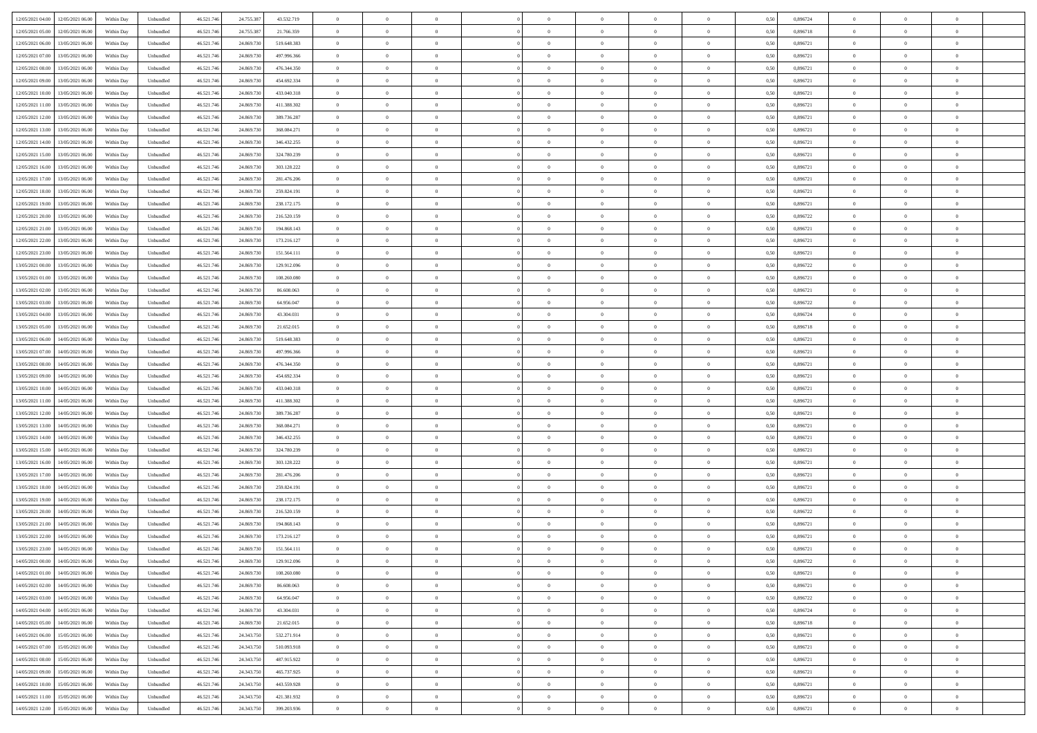| 12/05/2021 04:00<br>12/05/2021 06:00         | Within Day | Unbundled         | 46.521.74  | 24.755.387   | 43.532.719  | $\overline{0}$ | $\theta$       |                | $\overline{0}$ | $\theta$       |                | $\theta$       | 0,50 | 0,896724 | $\theta$       | $\theta$       | $\overline{0}$ |  |
|----------------------------------------------|------------|-------------------|------------|--------------|-------------|----------------|----------------|----------------|----------------|----------------|----------------|----------------|------|----------|----------------|----------------|----------------|--|
| 12/05/2021 05:00<br>12/05/2021 06:00         | Within Day | Unbundled         | 46.521.74  | 24.755.38    | 21.766.359  | $\bf{0}$       | $\overline{0}$ | $\bf{0}$       | $\overline{0}$ | $\bf{0}$       | $\overline{0}$ | $\bf{0}$       | 0,50 | 0,896718 | $\,$ 0 $\,$    | $\bf{0}$       | $\overline{0}$ |  |
| 12/05/2021 06:00<br>13/05/2021 06:00         | Within Day | Unbundled         | 46.521.746 | 24.869.730   | 519.648.383 | $\overline{0}$ | $\bf{0}$       | $\overline{0}$ | $\bf{0}$       | $\bf{0}$       | $\overline{0}$ | $\bf{0}$       | 0.50 | 0.896721 | $\bf{0}$       | $\overline{0}$ | $\overline{0}$ |  |
|                                              |            |                   |            |              |             | $\overline{0}$ |                |                |                |                |                |                |      |          | $\theta$       | $\theta$       |                |  |
| 12/05/2021 07:00<br>13/05/2021 06:00         | Within Day | Unbundled         | 46.521.74  | 24.869.730   | 497.996.366 |                | $\overline{0}$ | $\overline{0}$ | $\theta$       | $\theta$       | $\overline{0}$ | $\bf{0}$       | 0,50 | 0,896721 |                |                | $\overline{0}$ |  |
| 12/05/2021 08:00<br>13/05/2021 06:00         | Within Day | Unbundled         | 46.521.74  | 24.869.73    | 476.344.350 | $\overline{0}$ | $\theta$       | $\bf{0}$       | $\overline{0}$ | $\theta$       | $\overline{0}$ | $\bf{0}$       | 0,50 | 0,896721 | $\,$ 0 $\,$    | $\bf{0}$       | $\overline{0}$ |  |
| 12/05/2021 09:00<br>13/05/2021 06:00         | Within Day | Unbundled         | 46.521.74  | 24,869,730   | 454.692.334 | $\overline{0}$ | $\overline{0}$ | $\overline{0}$ | $\bf{0}$       | $\overline{0}$ | $\theta$       | $\bf{0}$       | 0.50 | 0,896721 | $\,$ 0 $\,$    | $\theta$       | $\overline{0}$ |  |
| 12/05/2021 10:00<br>13/05/2021 06:00         | Within Day | Unbundled         | 46.521.74  | 24.869.730   | 433.040.318 | $\overline{0}$ | $\overline{0}$ | $\overline{0}$ | $\overline{0}$ | $\theta$       | $\overline{0}$ | $\bf{0}$       | 0,50 | 0,896721 | $\theta$       | $\theta$       | $\overline{0}$ |  |
|                                              |            |                   |            |              |             |                | $\overline{0}$ |                | $\overline{0}$ | $\bf{0}$       | $\overline{0}$ |                |      |          | $\,$ 0 $\,$    | $\bf{0}$       | $\overline{0}$ |  |
| 12/05/2021 11:00<br>13/05/2021 06:00         | Within Day | Unbundled         | 46.521.74  | 24.869.73    | 411.388.302 | $\bf{0}$       |                | $\bf{0}$       |                |                |                | $\bf{0}$       | 0,50 | 0,896721 |                |                |                |  |
| 12/05/2021 12:00<br>13/05/2021 06:00         | Within Day | Unbundled         | 46.521.74  | 24,869.73    | 389.736.287 | $\overline{0}$ | $\bf{0}$       | $\overline{0}$ | $\bf{0}$       | $\overline{0}$ | $\overline{0}$ | $\bf{0}$       | 0.50 | 0.896721 | $\bf{0}$       | $\overline{0}$ | $\overline{0}$ |  |
| 12/05/2021 13:00<br>13/05/2021 06:00         | Within Day | Unbundled         | 46.521.74  | 24.869.730   | 368.084.271 | $\bf{0}$       | $\bf{0}$       | $\overline{0}$ | $\overline{0}$ | $\overline{0}$ | $\overline{0}$ | $\bf{0}$       | 0,50 | 0,896721 | $\,$ 0 $\,$    | $\bf{0}$       | $\overline{0}$ |  |
| 12/05/2021 14:00<br>13/05/2021 06:00         | Within Day | Unbundled         | 46.521.74  | 24.869.73    | 346.432.255 | $\bf{0}$       | $\overline{0}$ | $\bf{0}$       | $\bf{0}$       | $\bf{0}$       | $\overline{0}$ | $\bf{0}$       | 0,50 | 0,896721 | $\,$ 0 $\,$    | $\bf{0}$       | $\overline{0}$ |  |
| 12/05/2021 15:00<br>13/05/2021 06:00         | Within Day | Unbundled         | 46.521.746 | 24.869.730   | 324.780.239 | $\overline{0}$ | $\bf{0}$       | $\overline{0}$ | $\bf{0}$       | $\bf{0}$       | $\overline{0}$ | $\bf{0}$       | 0.50 | 0.896721 | $\bf{0}$       | $\overline{0}$ | $\bf{0}$       |  |
|                                              |            |                   |            |              |             |                |                |                |                |                |                |                |      |          |                |                |                |  |
| 12/05/2021 16:00<br>13/05/2021 06:00         | Within Day | Unbundled         | 46.521.74  | 24.869.730   | 303.128.222 | $\overline{0}$ | $\overline{0}$ | $\overline{0}$ | $\overline{0}$ | $\theta$       | $\overline{0}$ | $\bf{0}$       | 0,50 | 0,896721 | $\,$ 0 $\,$    | $\theta$       | $\overline{0}$ |  |
| 12/05/2021 17:00<br>13/05/2021 06:00         | Within Day | Unbundled         | 46.521.74  | 24.869.73    | 281.476.206 | $\bf{0}$       | $\theta$       | $\bf{0}$       | $\overline{0}$ | $\theta$       | $\overline{0}$ | $\bf{0}$       | 0,50 | 0,896721 | $\bf{0}$       | $\bf{0}$       | $\overline{0}$ |  |
| 12/05/2021 18:00<br>13/05/2021 06:00         | Within Day | Unbundled         | 46.521.74  | 24.869.73    | 259.824.191 | $\overline{0}$ | $\overline{0}$ | $\overline{0}$ | $\bf{0}$       | $\bf{0}$       | $\Omega$       | $\bf{0}$       | 0.50 | 0,896721 | $\,$ 0 $\,$    | $\theta$       | $\overline{0}$ |  |
| 12/05/2021 19:00<br>13/05/2021 06:00         | Within Day | Unbundled         | 46.521.74  | 24.869.730   | 238.172.175 | $\overline{0}$ | $\overline{0}$ | $\overline{0}$ | $\overline{0}$ | $\overline{0}$ | $\overline{0}$ | $\bf{0}$       | 0,50 | 0,896721 | $\theta$       | $\theta$       | $\overline{0}$ |  |
| 12/05/2021 20:00<br>13/05/2021 06:00         | Within Day | Unbundled         | 46.521.74  | 24.869.73    | 216.520.159 | $\bf{0}$       | $\overline{0}$ | $\overline{0}$ | $\overline{0}$ | $\bf{0}$       | $\overline{0}$ | $\bf{0}$       | 0,50 | 0,896722 | $\,$ 0 $\,$    | $\bf{0}$       | $\overline{0}$ |  |
|                                              |            |                   |            |              |             |                |                |                |                |                |                |                |      |          |                |                |                |  |
| 12/05/2021 21:00<br>13/05/2021 06:00         | Within Day | Unbundled         | 46.521.74  | 24,869.73    | 194,868,143 | $\overline{0}$ | $\bf{0}$       | $\overline{0}$ | $\bf{0}$       | $\overline{0}$ | $\overline{0}$ | $\bf{0}$       | 0.50 | 0.896721 | $\bf{0}$       | $\overline{0}$ | $\overline{0}$ |  |
| 12/05/2021 22:00<br>13/05/2021 06:00         | Within Day | Unbundled         | 46.521.74  | 24.869.730   | 173.216.127 | $\overline{0}$ | $\bf{0}$       | $\overline{0}$ | $\overline{0}$ | $\overline{0}$ | $\overline{0}$ | $\bf{0}$       | 0,50 | 0,896721 | $\,$ 0 $\,$    | $\bf{0}$       | $\overline{0}$ |  |
| 12/05/2021 23:00<br>13/05/2021 06:00         | Within Day | Unbundled         | 46.521.74  | 24.869.73    | 151.564.111 | $\bf{0}$       | $\bf{0}$       | $\bf{0}$       | $\bf{0}$       | $\overline{0}$ | $\overline{0}$ | $\bf{0}$       | 0,50 | 0,896721 | $\,$ 0 $\,$    | $\bf{0}$       | $\overline{0}$ |  |
| 13/05/2021 00:00<br>13/05/2021 06:00         | Within Day | Unbundled         | 46.521.746 | 24.869.730   | 129.912.096 | $\overline{0}$ | $\bf{0}$       | $\overline{0}$ | $\bf{0}$       | $\bf{0}$       | $\overline{0}$ | $\bf{0}$       | 0.50 | 0.896722 | $\bf{0}$       | $\overline{0}$ | $\overline{0}$ |  |
| 13/05/2021 01:00<br>13/05/2021 06:00         | Within Day | Unbundled         | 46.521.74  | 24.869.730   | 108.260.080 | $\overline{0}$ | $\overline{0}$ | $\overline{0}$ | $\theta$       | $\theta$       | $\overline{0}$ | $\bf{0}$       | 0,50 | 0,896721 | $\theta$       | $\theta$       | $\overline{0}$ |  |
|                                              |            |                   |            |              |             |                | $\overline{0}$ |                |                | $\bf{0}$       | $\overline{0}$ |                |      |          | $\,$ 0 $\,$    | $\bf{0}$       | $\overline{0}$ |  |
| 13/05/2021 02:00<br>13/05/2021 06:00         | Within Day | Unbundled         | 46.521.74  | 24.869.73    | 86.608.063  | $\bf{0}$       |                | $\bf{0}$       | $\bf{0}$       |                |                | $\bf{0}$       | 0,50 | 0,896721 |                |                |                |  |
| 13/05/2021 03:00<br>13/05/2021 06:00         | Within Day | Unbundled         | 46.521.74  | 24,869.73    | 64.956.047  | $\overline{0}$ | $\overline{0}$ | $\overline{0}$ | $\overline{0}$ | $\overline{0}$ | $\Omega$       | $\bf{0}$       | 0.50 | 0,896722 | $\,$ 0 $\,$    | $\theta$       | $\overline{0}$ |  |
| 13/05/2021 04:00<br>13/05/2021 06:00         | Within Day | Unbundled         | 46.521.74  | 24.869.730   | 43.304.031  | $\overline{0}$ | $\overline{0}$ | $\overline{0}$ | $\overline{0}$ | $\overline{0}$ | $\overline{0}$ | $\bf{0}$       | 0,50 | 0,896724 | $\theta$       | $\theta$       | $\overline{0}$ |  |
| 13/05/2021 05:00<br>13/05/2021 06:00         | Within Day | Unbundled         | 46.521.74  | 24.869.73    | 21.652.015  | $\bf{0}$       | $\theta$       | $\bf{0}$       | $\overline{0}$ | $\bf{0}$       | $\overline{0}$ | $\bf{0}$       | 0,50 | 0,896718 | $\,$ 0 $\,$    | $\bf{0}$       | $\overline{0}$ |  |
| 13/05/2021 06:00<br>14/05/2021 06:00         | Within Day | Unbundled         | 46.521.74  | 24,869,730   | 519.648.383 | $\overline{0}$ | $\bf{0}$       | $\overline{0}$ | $\bf{0}$       | $\overline{0}$ | $\overline{0}$ | $\bf{0}$       | 0.50 | 0.896721 | $\bf{0}$       | $\overline{0}$ | $\overline{0}$ |  |
| 13/05/2021 07:00<br>14/05/2021 06:00         | Within Day | Unbundled         | 46.521.74  | 24.869.730   | 497.996.366 | $\overline{0}$ | $\overline{0}$ | $\overline{0}$ | $\overline{0}$ | $\overline{0}$ | $\overline{0}$ | $\bf{0}$       | 0,50 | 0,896721 | $\theta$       | $\theta$       | $\overline{0}$ |  |
| 14/05/2021 06.00                             | Within Day | Unbundled         | 46.521.74  | 24.869.73    | 476.344.350 | $\bf{0}$       | $\bf{0}$       | $\bf{0}$       | $\bf{0}$       | $\overline{0}$ | $\overline{0}$ | $\bf{0}$       | 0,50 | 0,896721 | $\,$ 0 $\,$    | $\bf{0}$       | $\overline{0}$ |  |
| 13/05/2021 08:00                             |            |                   |            |              |             |                |                |                |                |                |                |                |      |          |                |                |                |  |
| 13/05/2021 09:00<br>14/05/2021 06:00         | Within Day | Unbundled         | 46.521.746 | 24,869,730   | 454.692.334 | $\overline{0}$ | $\bf{0}$       | $\overline{0}$ | $\bf{0}$       | $\bf{0}$       | $\overline{0}$ | $\bf{0}$       | 0.50 | 0.896721 | $\bf{0}$       | $\overline{0}$ | $\overline{0}$ |  |
| 13/05/2021 10:00<br>14/05/2021 06:00         | Within Day | Unbundled         | 46.521.74  | 24,869,730   | 433.040.318 | $\overline{0}$ | $\overline{0}$ | $\overline{0}$ | $\overline{0}$ | $\overline{0}$ | $\overline{0}$ | $\bf{0}$       | 0.5( | 0,896721 | $\theta$       | $\theta$       | $\overline{0}$ |  |
| 13/05/2021 11:00<br>14/05/2021 06.00         | Within Day | Unbundled         | 46.521.74  | 24.869.73    | 411.388.302 | $\bf{0}$       | $\overline{0}$ | $\bf{0}$       | $\bf{0}$       | $\,$ 0 $\,$    | $\overline{0}$ | $\bf{0}$       | 0,50 | 0,896721 | $\,$ 0 $\,$    | $\bf{0}$       | $\overline{0}$ |  |
| 13/05/2021 12:00<br>14/05/2021 06:00         | Within Day | Unbundled         | 46.521.74  | 24.869.73    | 389.736.287 | $\overline{0}$ | $\overline{0}$ | $\overline{0}$ | $\bf{0}$       | $\overline{0}$ | $\Omega$       | $\bf{0}$       | 0.50 | 0,896721 | $\,$ 0 $\,$    | $\theta$       | $\overline{0}$ |  |
| 13/05/2021 13:00<br>14/05/2021 06:00         | Within Dav | Unbundled         | 46.521.74  | 24.869.730   | 368.084.271 | $\overline{0}$ | $\overline{0}$ | $\overline{0}$ | $\overline{0}$ | $\overline{0}$ | $\overline{0}$ | $\overline{0}$ | 0.5( | 0,896721 | $\theta$       | $\theta$       | $\overline{0}$ |  |
| 14/05/2021 06.00                             | Within Day | Unbundled         | 46.521.74  | 24.869.73    | 346.432.255 | $\bf{0}$       | $\overline{0}$ | $\bf{0}$       | $\overline{0}$ | $\bf{0}$       | $\overline{0}$ | $\bf{0}$       | 0,50 | 0,896721 | $\,$ 0 $\,$    | $\bf{0}$       | $\overline{0}$ |  |
| 13/05/2021 14:00                             |            |                   |            |              |             |                |                |                |                |                |                |                |      |          |                |                |                |  |
| 13/05/2021 15:00<br>14/05/2021 06:00         | Within Day | Unbundled         | 46.521.74  | 24,869.73    | 324.780.239 | $\overline{0}$ | $\bf{0}$       | $\overline{0}$ | $\bf{0}$       | $\overline{0}$ | $\overline{0}$ | $\bf{0}$       | 0.50 | 0.896721 | $\bf{0}$       | $\overline{0}$ | $\overline{0}$ |  |
| 13/05/2021 16:00<br>14/05/2021 06:00         | Within Dav | Unbundled         | 46.521.74  | 24,869,730   | 303.128.222 | $\overline{0}$ | $\overline{0}$ | $\overline{0}$ | $\overline{0}$ | $\overline{0}$ | $\overline{0}$ | $\overline{0}$ | 0.50 | 0,896721 | $\theta$       | $\theta$       | $\overline{0}$ |  |
| 13/05/2021 17:00<br>14/05/2021 06.00         | Within Day | Unbundled         | 46.521.74  | 24.869.73    | 281.476.206 | $\bf{0}$       | $\bf{0}$       | $\bf{0}$       | $\bf{0}$       | $\overline{0}$ | $\overline{0}$ | $\bf{0}$       | 0,50 | 0,896721 | $\,$ 0 $\,$    | $\bf{0}$       | $\overline{0}$ |  |
| 13/05/2021 18:00<br>14/05/2021 06:00         | Within Day | Unbundled         | 46.521.746 | 24.869.730   | 259.824.191 | $\overline{0}$ | $\bf{0}$       | $\overline{0}$ | $\bf{0}$       | $\bf{0}$       | $\overline{0}$ | $\bf{0}$       | 0.50 | 0.896721 | $\bf{0}$       | $\overline{0}$ | $\overline{0}$ |  |
| 13/05/2021 19:00<br>14/05/2021 06:00         | Within Dav | Unbundled         | 46.521.74  | 24.869.730   | 238.172.175 | $\overline{0}$ | $\overline{0}$ | $\overline{0}$ | $\overline{0}$ | $\theta$       | $\overline{0}$ | $\bf{0}$       | 0.50 | 0,896721 | $\theta$       | $\theta$       | $\overline{0}$ |  |
|                                              |            |                   |            |              |             |                |                |                |                |                |                |                |      |          |                |                |                |  |
| 13/05/2021 20:00<br>14/05/2021 06.00         | Within Day | Unbundled         | 46.521.74  | 24.869.73    | 216.520.159 | $\bf{0}$       | $\overline{0}$ | $\bf{0}$       | $\bf{0}$       | $\overline{0}$ | $\overline{0}$ | $\bf{0}$       | 0,50 | 0,896722 | $\,$ 0 $\,$    | $\bf{0}$       | $\overline{0}$ |  |
| 13/05/2021 21:00<br>14/05/2021 06:00         | Within Day | Unbundled         | 46.521.74  | 24.869.73    | 194.868.143 | $\overline{0}$ | $\overline{0}$ | $\Omega$       | $\overline{0}$ | $\overline{0}$ | $\Omega$       | $\bf{0}$       | 0.50 | 0,896721 | $\bf{0}$       | $\theta$       | $\overline{0}$ |  |
| 13/05/2021 22:00<br>14/05/2021 06:00         | Within Dav | Unbundled         | 46.521.74  | 24,869.73    | 173.216.127 | $\overline{0}$ | $\overline{0}$ | $\Omega$       | $\overline{0}$ | $\theta$       | $\overline{0}$ | $\overline{0}$ | 0.5( | 0,896721 | $\theta$       | $\theta$       | $\overline{0}$ |  |
| 13/05/2021 23:00<br>14/05/2021 06:00         | Within Day | Unbundled         | 46.521.74  | 24.869.73    | 151.564.111 | $\bf{0}$       | $\bf{0}$       | $\bf{0}$       | $\bf{0}$       | $\bf{0}$       | $\overline{0}$ | $\bf{0}$       | 0,50 | 0,896721 | $\,$ 0 $\,$    | $\bf{0}$       | $\overline{0}$ |  |
| $14/05/2021\ 00.00 \qquad 14/05/2021\ 06.00$ | Within Day | ${\sf Unbundred}$ | 46.521.746 | 24.869.730   | 129.912.096 | $\overline{0}$ | $\theta$       |                | $\Omega$       |                |                |                | 0,50 | 0,896722 | $\theta$       | $\overline{0}$ |                |  |
| 14/05/2021 01:00 14/05/2021 06:00            | Within Day | Unbundled         | 46.521.746 | 24.869.730   | 108.260.080 | $\overline{0}$ | $\theta$       | $\Omega$       | $\theta$       | $\overline{0}$ | $\overline{0}$ | $\bf{0}$       | 0,50 | 0,896721 | $\theta$       | $\theta$       | $\overline{0}$ |  |
|                                              |            |                   |            |              |             |                |                |                |                |                |                |                |      |          |                |                |                |  |
| 14/05/2021 02:00<br>14/05/2021 06:00         | Within Day | Unbundled         | 46.521.74  | 24.869.73    | 86.608.063  | $\overline{0}$ | $\bf{0}$       | $\overline{0}$ | $\overline{0}$ | $\bf{0}$       | $\overline{0}$ | $\bf{0}$       | 0,50 | 0,896721 | $\bf{0}$       | $\overline{0}$ | $\bf{0}$       |  |
| 14/05/2021 03:00 14/05/2021 06:00            | Within Day | Unbundled         | 46.521.746 | 24.869.730   | 64,956,047  | $\overline{0}$ | $\bf{0}$       | $\overline{0}$ | $\overline{0}$ | $\overline{0}$ | $\overline{0}$ | $\bf{0}$       | 0.50 | 0,896722 | $\overline{0}$ | $\bf{0}$       | $\,$ 0 $\,$    |  |
| 14/05/2021 04:00 14/05/2021 06:00            | Within Day | Unbundled         | 46.521.746 | 24.869.730   | 43.304.031  | $\overline{0}$ | $\overline{0}$ | $\overline{0}$ | $\overline{0}$ | $\overline{0}$ | $\overline{0}$ | $\bf{0}$       | 0,50 | 0,896724 | $\theta$       | $\theta$       | $\overline{0}$ |  |
| 14/05/2021 05:00<br>14/05/2021 06:00         | Within Day | Unbundled         | 46.521.74  | 24.869.730   | 21.652.015  | $\overline{0}$ | $\bf{0}$       | $\overline{0}$ | $\bf{0}$       | $\overline{0}$ | $\overline{0}$ | $\bf{0}$       | 0,50 | 0,896718 | $\bf{0}$       | $\bf{0}$       | $\overline{0}$ |  |
| 14/05/2021 06:00<br>15/05/2021 06:00         | Within Day | Unbundled         | 46.521.746 | 24.343.750   | 532.271.914 | $\overline{0}$ | $\bf{0}$       | $\overline{0}$ | $\overline{0}$ | $\overline{0}$ | $\overline{0}$ | $\bf{0}$       | 0.50 | 0,896721 | $\,$ 0 $\,$    | $\theta$       | $\overline{0}$ |  |
|                                              |            |                   |            |              |             |                |                |                |                |                |                |                |      |          |                |                |                |  |
| 14/05/2021 07:00<br>15/05/2021 06:00         | Within Dav | Unbundled         | 46.521.746 | 24.343.750   | 510.093.918 | $\overline{0}$ | $\overline{0}$ | $\overline{0}$ | $\overline{0}$ | $\overline{0}$ | $\overline{0}$ | $\bf{0}$       | 0.50 | 0,896721 | $\overline{0}$ | $\theta$       | $\overline{0}$ |  |
| 14/05/2021 08:00<br>15/05/2021 06:00         | Within Day | Unbundled         | 46.521.74  | 24.343.75    | 487.915.922 | $\overline{0}$ | $\overline{0}$ | $\overline{0}$ | $\overline{0}$ | $\bf{0}$       | $\overline{0}$ | $\bf{0}$       | 0,50 | 0,896721 | $\bf{0}$       | $\overline{0}$ | $\overline{0}$ |  |
| 14/05/2021 09:00<br>15/05/2021 06:00         | Within Day | Unbundled         | 46.521.746 | 24, 343, 750 | 465.737.925 | $\overline{0}$ | $\overline{0}$ | $\overline{0}$ | $\overline{0}$ | $\bf{0}$       | $\overline{0}$ | $\bf{0}$       | 0.50 | 0.896721 | $\overline{0}$ | $\,$ 0 $\,$    | $\,$ 0         |  |
| 14/05/2021 10:00<br>15/05/2021 06:00         | Within Dav | Unbundled         | 46.521.746 | 24.343.750   | 443.559.928 | $\overline{0}$ | $\overline{0}$ | $\overline{0}$ | $\overline{0}$ | $\overline{0}$ | $\overline{0}$ | $\bf{0}$       | 0,50 | 0,896721 | $\overline{0}$ | $\theta$       | $\overline{0}$ |  |
| 14/05/2021 11:00<br>15/05/2021 06:00         | Within Day | Unbundled         | 46.521.74  | 24.343.75    | 421.381.932 | $\overline{0}$ | $\bf{0}$       | $\overline{0}$ | $\bf{0}$       | $\overline{0}$ | $\overline{0}$ | $\bf{0}$       | 0,50 | 0,896721 | $\bf{0}$       | $\bf{0}$       | $\overline{0}$ |  |
|                                              |            |                   |            |              |             |                |                |                |                |                |                |                |      |          |                |                |                |  |
| 14/05/2021 12:00 15/05/2021 06:00            | Within Day | Unbundled         | 46.521.746 | 24.343.750   | 399.203.936 | $\overline{0}$ | $\bf{0}$       | $\overline{0}$ | $\overline{0}$ | $\,$ 0 $\,$    | $\overline{0}$ | $\bf{0}$       | 0,50 | 0,896721 | $\overline{0}$ | $\,$ 0 $\,$    | $\,$ 0 $\,$    |  |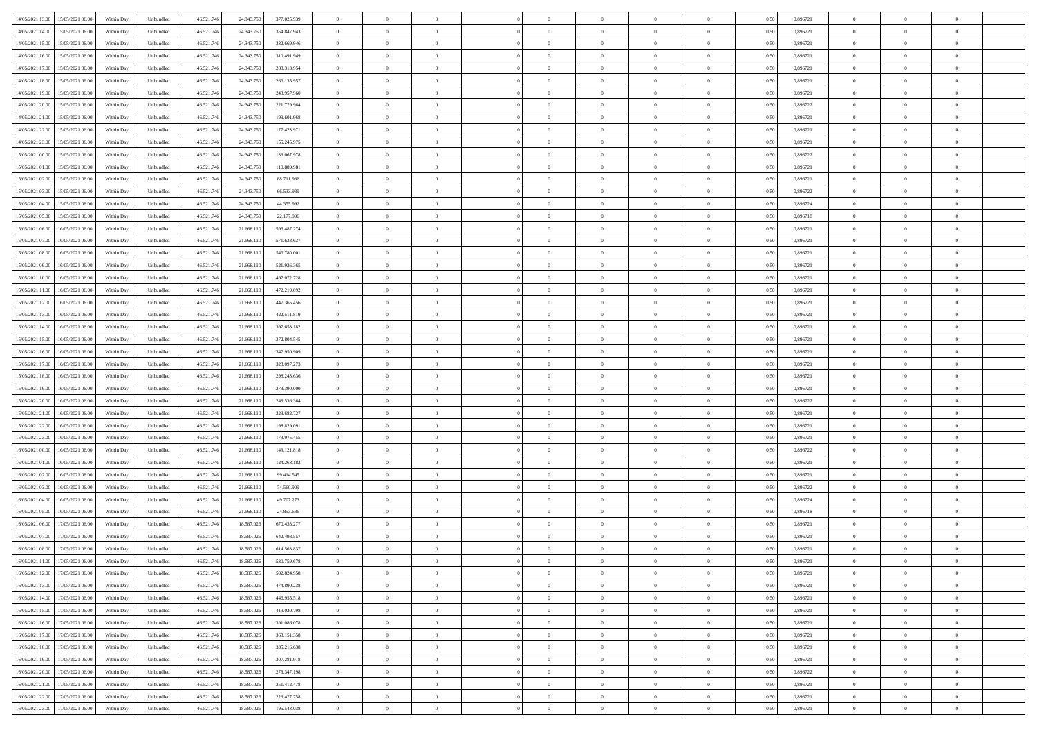|                                              |            |                   |            |             |             | $\overline{0}$ | $\overline{0}$ |                | $\overline{0}$ | $\theta$       |                | $\theta$       |      |          | $\theta$       | $\theta$       | $\overline{0}$ |  |
|----------------------------------------------|------------|-------------------|------------|-------------|-------------|----------------|----------------|----------------|----------------|----------------|----------------|----------------|------|----------|----------------|----------------|----------------|--|
| 14/05/2021 13:00 15/05/2021 06:00            | Within Day | Unbundled         | 46.521.74  | 24.343.750  | 377.025.939 |                |                |                |                |                |                |                | 0,50 | 0,896721 |                |                |                |  |
| 14/05/2021 14:00<br>15/05/2021 06:00         | Within Day | Unbundled         | 46.521.74  | 24.343.75   | 354.847.943 | $\bf{0}$       | $\overline{0}$ | $\bf{0}$       | $\overline{0}$ | $\bf{0}$       | $\overline{0}$ | $\bf{0}$       | 0,50 | 0,896721 | $\,$ 0 $\,$    | $\bf{0}$       | $\overline{0}$ |  |
| 14/05/2021 15:00<br>15/05/2021 06:00         | Within Day | Unbundled         | 46.521.746 | 24.343.750  | 332.669.946 | $\overline{0}$ | $\bf{0}$       | $\overline{0}$ | $\bf{0}$       | $\bf{0}$       | $\overline{0}$ | $\bf{0}$       | 0.50 | 0.896721 | $\bf{0}$       | $\overline{0}$ | $\overline{0}$ |  |
| 14/05/2021 16:00<br>15/05/2021 06:00         |            |                   | 46.521.74  |             |             | $\overline{0}$ | $\overline{0}$ | $\overline{0}$ | $\theta$       | $\theta$       | $\overline{0}$ | $\bf{0}$       |      | 0,896721 | $\theta$       | $\theta$       | $\overline{0}$ |  |
|                                              | Within Day | Unbundled         |            | 24.343.750  | 310.491.949 |                |                |                |                |                |                |                | 0,50 |          |                |                |                |  |
| 14/05/2021 17:00<br>15/05/2021 06:00         | Within Day | Unbundled         | 46.521.74  | 24.343.75   | 288.313.954 | $\overline{0}$ | $\theta$       | $\bf{0}$       | $\overline{0}$ | $\theta$       | $\overline{0}$ | $\bf{0}$       | 0,50 | 0,896721 | $\,$ 0 $\,$    | $\bf{0}$       | $\overline{0}$ |  |
| 14/05/2021 18:00<br>15/05/2021 06:00         | Within Day | Unbundled         | 46.521.74  | 24, 343, 75 | 266.135.957 | $\overline{0}$ | $\overline{0}$ | $\overline{0}$ | $\overline{0}$ | $\overline{0}$ | $\theta$       | $\bf{0}$       | 0.50 | 0,896721 | $\,$ 0 $\,$    | $\theta$       | $\overline{0}$ |  |
| 14/05/2021 19:00<br>15/05/2021 06:00         | Within Day | Unbundled         | 46.521.74  | 24.343.750  | 243.957.960 | $\overline{0}$ | $\overline{0}$ | $\overline{0}$ | $\overline{0}$ | $\theta$       | $\overline{0}$ | $\bf{0}$       | 0,50 | 0,896721 | $\theta$       | $\theta$       | $\overline{0}$ |  |
|                                              |            |                   |            |             |             |                |                |                |                |                |                |                |      |          |                |                |                |  |
| 14/05/2021 20:00<br>15/05/2021 06:00         | Within Day | Unbundled         | 46.521.74  | 24.343.75   | 221.779.964 | $\bf{0}$       | $\overline{0}$ | $\overline{0}$ | $\overline{0}$ | $\theta$       | $\overline{0}$ | $\bf{0}$       | 0,50 | 0,896722 | $\,$ 0 $\,$    | $\bf{0}$       | $\overline{0}$ |  |
| 14/05/2021 21:00<br>15/05/2021 06:00         | Within Day | Unbundled         | 46.521.74  | 24.343.75   | 199.601.968 | $\overline{0}$ | $\bf{0}$       | $\overline{0}$ | $\bf{0}$       | $\overline{0}$ | $\overline{0}$ | $\bf{0}$       | 0.50 | 0.896721 | $\bf{0}$       | $\theta$       | $\overline{0}$ |  |
| 14/05/2021 22:00<br>15/05/2021 06:00         | Within Day | Unbundled         | 46.521.74  | 24.343.750  | 177.423.971 | $\overline{0}$ | $\bf{0}$       | $\overline{0}$ | $\overline{0}$ | $\theta$       | $\overline{0}$ | $\bf{0}$       | 0,50 | 0,896721 | $\,$ 0 $\,$    | $\theta$       | $\overline{0}$ |  |
|                                              |            |                   |            |             |             |                |                |                |                |                |                |                |      |          |                |                |                |  |
| 14/05/2021 23:00<br>15/05/2021 06:00         | Within Day | Unbundled         | 46.521.74  | 24.343.75   | 155.245.975 | $\bf{0}$       | $\overline{0}$ | $\bf{0}$       | $\overline{0}$ | $\bf{0}$       | $\overline{0}$ | $\bf{0}$       | 0,50 | 0,896721 | $\,$ 0 $\,$    | $\bf{0}$       | $\overline{0}$ |  |
| 15/05/2021 00:00<br>15/05/2021 06:00         | Within Day | Unbundled         | 46.521.746 | 24, 343, 75 | 133,067,978 | $\overline{0}$ | $\bf{0}$       | $\overline{0}$ | $\bf{0}$       | $\bf{0}$       | $\overline{0}$ | $\bf{0}$       | 0.50 | 0.896722 | $\bf{0}$       | $\overline{0}$ | $\overline{0}$ |  |
| 15/05/2021 01:00<br>15/05/2021 06:00         | Within Day | Unbundled         | 46.521.74  | 24.343.750  | 110.889.981 | $\overline{0}$ | $\overline{0}$ | $\overline{0}$ | $\overline{0}$ | $\theta$       | $\overline{0}$ | $\overline{0}$ | 0,50 | 0,896721 | $\,$ 0 $\,$    | $\theta$       | $\overline{0}$ |  |
| 15/05/2021 02:00<br>15/05/2021 06:00         | Within Day | Unbundled         | 46.521.74  | 24.343.75   | 88.711.986  | $\bf{0}$       | $\theta$       | $\bf{0}$       | $\overline{0}$ | $\theta$       | $\overline{0}$ | $\bf{0}$       | 0,50 | 0,896721 | $\bf{0}$       | $\bf{0}$       | $\overline{0}$ |  |
|                                              |            |                   |            |             |             |                |                |                |                |                |                |                |      |          |                |                |                |  |
| 15/05/2021 03:00<br>15/05/2021 06:00         | Within Day | Unbundled         | 46.521.74  | 24, 343, 75 | 66.533.989  | $\overline{0}$ | $\overline{0}$ | $\overline{0}$ | $\bf{0}$       | $\theta$       | $\Omega$       | $\bf{0}$       | 0.50 | 0,896722 | $\bf{0}$       | $\theta$       | $\overline{0}$ |  |
| 15/05/2021 04:00<br>15/05/2021 06:00         | Within Day | Unbundled         | 46.521.74  | 24.343.750  | 44.355.992  | $\overline{0}$ | $\overline{0}$ | $\overline{0}$ | $\overline{0}$ | $\overline{0}$ | $\overline{0}$ | $\bf{0}$       | 0,50 | 0,896724 | $\theta$       | $\theta$       | $\overline{0}$ |  |
| 15/05/2021 05:00<br>15/05/2021 06:00         | Within Day | Unbundled         | 46.521.74  | 24.343.75   | 22.177.996  | $\bf{0}$       | $\overline{0}$ | $\overline{0}$ | $\overline{0}$ | $\bf{0}$       | $\overline{0}$ | $\bf{0}$       | 0,50 | 0,896718 | $\,$ 0 $\,$    | $\bf{0}$       | $\overline{0}$ |  |
| 15/05/2021 06:00<br>16/05/2021 06:00         | Within Day | Unbundled         | 46.521.74  | 21.668.11   | 596.487.274 | $\overline{0}$ | $\bf{0}$       | $\overline{0}$ | $\bf{0}$       | $\overline{0}$ | $\overline{0}$ | $\bf{0}$       | 0.50 | 0.896721 | $\bf{0}$       | $\overline{0}$ | $\overline{0}$ |  |
|                                              |            |                   |            |             |             |                |                |                |                |                |                |                |      |          |                |                |                |  |
| 15/05/2021 07:00<br>16/05/2021 06:00         | Within Day | Unbundled         | 46.521.74  | 21.668.110  | 571.633.637 | $\overline{0}$ | $\overline{0}$ | $\overline{0}$ | $\overline{0}$ | $\overline{0}$ | $\overline{0}$ | $\bf{0}$       | 0,50 | 0,896721 | $\,$ 0 $\,$    | $\theta$       | $\overline{0}$ |  |
| 15/05/2021 08:00<br>16/05/2021 06:00         | Within Day | Unbundled         | 46.521.74  | 21.668.11   | 546.780.001 | $\bf{0}$       | $\overline{0}$ | $\bf{0}$       | $\bf{0}$       | $\overline{0}$ | $\overline{0}$ | $\bf{0}$       | 0,50 | 0,896721 | $\,$ 0 $\,$    | $\bf{0}$       | $\overline{0}$ |  |
| 15/05/2021 09:00<br>16/05/2021 06:00         | Within Day | Unbundled         | 46.521.746 | 21.668.110  | 521.926.365 | $\overline{0}$ | $\bf{0}$       | $\overline{0}$ | $\bf{0}$       | $\bf{0}$       | $\overline{0}$ | $\bf{0}$       | 0.50 | 0.896721 | $\bf{0}$       | $\overline{0}$ | $\overline{0}$ |  |
| 15/05/2021 10:00<br>16/05/2021 06:00         | Within Day | Unbundled         | 46.521.74  | 21.668.11   | 497.072.728 | $\overline{0}$ | $\overline{0}$ | $\overline{0}$ | $\theta$       | $\theta$       | $\overline{0}$ | $\bf{0}$       | 0,50 | 0,896721 | $\theta$       | $\theta$       | $\overline{0}$ |  |
|                                              |            |                   |            |             |             |                |                |                |                |                |                |                |      |          |                |                |                |  |
| 15/05/2021 11:00<br>16/05/2021 06:00         | Within Day | Unbundled         | 46.521.74  | 21.668.11   | 472.219.092 | $\bf{0}$       | $\overline{0}$ | $\bf{0}$       | $\bf{0}$       | $\bf{0}$       | $\overline{0}$ | $\bf{0}$       | 0,50 | 0,896721 | $\,$ 0 $\,$    | $\bf{0}$       | $\overline{0}$ |  |
| 15/05/2021 12:00<br>16/05/2021 06:00         | Within Day | Unbundled         | 46.521.74  | 21.668.11   | 447.365.456 | $\overline{0}$ | $\overline{0}$ | $\overline{0}$ | $\overline{0}$ | $\overline{0}$ | $\Omega$       | $\bf{0}$       | 0.50 | 0,896721 | $\,$ 0 $\,$    | $\theta$       | $\overline{0}$ |  |
| 15/05/2021 13:00<br>16/05/2021 06:00         | Within Day | Unbundled         | 46.521.74  | 21.668.11   | 422.511.819 | $\overline{0}$ | $\overline{0}$ | $\overline{0}$ | $\overline{0}$ | $\overline{0}$ | $\overline{0}$ | $\bf{0}$       | 0,50 | 0,896721 | $\theta$       | $\theta$       | $\overline{0}$ |  |
| 15/05/2021 14:00<br>16/05/2021 06:00         | Within Day | Unbundled         | 46.521.74  | 21.668.11   | 397.658.182 | $\bf{0}$       | $\theta$       | $\bf{0}$       | $\overline{0}$ | $\theta$       | $\overline{0}$ | $\bf{0}$       | 0,50 | 0,896721 | $\,$ 0 $\,$    | $\bf{0}$       | $\overline{0}$ |  |
|                                              |            |                   |            |             |             |                |                |                |                |                |                |                |      |          |                |                |                |  |
| 15/05/2021 15:00<br>16/05/2021 06:00         | Within Day | Unbundled         | 46.521.74  | 21.668.11   | 372.804.545 | $\overline{0}$ | $\bf{0}$       | $\overline{0}$ | $\bf{0}$       | $\overline{0}$ | $\overline{0}$ | $\bf{0}$       | 0.50 | 0.896721 | $\bf{0}$       | $\overline{0}$ | $\overline{0}$ |  |
| 15/05/2021 16:00<br>16/05/2021 06:00         | Within Day | Unbundled         | 46.521.74  | 21.668.110  | 347.950.909 | $\overline{0}$ | $\overline{0}$ | $\overline{0}$ | $\overline{0}$ | $\overline{0}$ | $\overline{0}$ | $\bf{0}$       | 0,50 | 0,896721 | $\theta$       | $\theta$       | $\overline{0}$ |  |
| 15/05/2021 17:00<br>16/05/2021 06:00         | Within Day | Unbundled         | 46.521.74  | 21.668.11   | 323.097.273 | $\bf{0}$       | $\bf{0}$       | $\bf{0}$       | $\bf{0}$       | $\overline{0}$ | $\overline{0}$ | $\bf{0}$       | 0,50 | 0,896721 | $\,$ 0 $\,$    | $\bf{0}$       | $\overline{0}$ |  |
| 15/05/2021 18:00<br>16/05/2021 06:00         | Within Day | Unbundled         | 46.521.74  | 21.668.11   | 298.243.636 | $\overline{0}$ | $\bf{0}$       | $\overline{0}$ | $\bf{0}$       | $\bf{0}$       | $\overline{0}$ | $\bf{0}$       | 0.50 | 0.896721 | $\bf{0}$       | $\overline{0}$ | $\overline{0}$ |  |
|                                              |            |                   |            |             |             |                |                |                |                |                |                |                |      |          |                |                |                |  |
| 15/05/2021 19:00<br>16/05/2021 06:00         | Within Day | Unbundled         | 46.521.74  | 21.668.11   | 273,390,000 | $\overline{0}$ | $\overline{0}$ | $\overline{0}$ | $\overline{0}$ | $\overline{0}$ | $\overline{0}$ | $\bf{0}$       | 0.5( | 0,896721 | $\theta$       | $\theta$       | $\overline{0}$ |  |
| 15/05/2021 20:00<br>16/05/2021 06:00         | Within Day | Unbundled         | 46.521.74  | 21.668.11   | 248.536.364 | $\bf{0}$       | $\overline{0}$ | $\bf{0}$       | $\overline{0}$ | $\overline{0}$ | $\overline{0}$ | $\bf{0}$       | 0,50 | 0,896722 | $\,$ 0 $\,$    | $\bf{0}$       | $\overline{0}$ |  |
| 15/05/2021 21:00<br>16/05/2021 06:00         | Within Day | Unbundled         | 46.521.74  | 21.668.11   | 223.682.727 | $\overline{0}$ | $\overline{0}$ | $\overline{0}$ | $\bf{0}$       | $\bf{0}$       | $\Omega$       | $\bf{0}$       | 0.50 | 0,896721 | $\,$ 0 $\,$    | $\theta$       | $\overline{0}$ |  |
| 15/05/2021 22:00<br>16/05/2021 06:00         | Within Dav | Unbundled         | 46.521.74  | 21.668.110  | 198.829.091 | $\overline{0}$ | $\overline{0}$ | $\overline{0}$ | $\overline{0}$ | $\overline{0}$ | $\overline{0}$ | $\overline{0}$ | 0.5( | 0,896721 | $\theta$       | $\theta$       | $\overline{0}$ |  |
|                                              |            |                   |            |             |             |                |                |                |                |                |                |                |      |          |                |                |                |  |
| 15/05/2021 23:00<br>16/05/2021 06:00         | Within Day | Unbundled         | 46.521.74  | 21.668.11   | 173.975.455 | $\bf{0}$       | $\overline{0}$ | $\bf{0}$       | $\overline{0}$ | $\bf{0}$       | $\overline{0}$ | $\bf{0}$       | 0,50 | 0,896721 | $\,$ 0 $\,$    | $\bf{0}$       | $\overline{0}$ |  |
| 16/05/2021 00:00<br>16/05/2021 06:00         | Within Day | Unbundled         | 46.521.74  | 21.668.11   | 149.121.818 | $\overline{0}$ | $\bf{0}$       | $\overline{0}$ | $\bf{0}$       | $\overline{0}$ | $\overline{0}$ | $\bf{0}$       | 0.50 | 0.896722 | $\bf{0}$       | $\overline{0}$ | $\overline{0}$ |  |
| 16/05/2021 01:00<br>16/05/2021 06:00         | Within Dav | Unbundled         | 46.521.74  | 21.668.11   | 124.268.182 | $\overline{0}$ | $\overline{0}$ | $\overline{0}$ | $\overline{0}$ | $\overline{0}$ | $\overline{0}$ | $\overline{0}$ | 0.50 | 0,896721 | $\theta$       | $\theta$       | $\overline{0}$ |  |
| 16/05/2021 02:00<br>16/05/2021 06:00         | Within Day | Unbundled         | 46.521.74  | 21.668.11   | 99.414.545  | $\bf{0}$       | $\bf{0}$       | $\bf{0}$       | $\bf{0}$       | $\overline{0}$ | $\overline{0}$ | $\bf{0}$       | 0,50 | 0,896721 | $\,$ 0 $\,$    | $\bf{0}$       | $\overline{0}$ |  |
|                                              |            |                   |            |             |             |                |                |                |                |                |                |                |      |          |                |                |                |  |
| 16/05/2021 03:00<br>16/05/2021 06:00         | Within Day | Unbundled         | 46.521.746 | 21.668.110  | 74.560.909  | $\overline{0}$ | $\bf{0}$       | $\overline{0}$ | $\bf{0}$       | $\bf{0}$       | $\overline{0}$ | $\bf{0}$       | 0.50 | 0.896722 | $\bf{0}$       | $\overline{0}$ | $\overline{0}$ |  |
| 16/05/2021 04:00<br>16/05/2021 06:00         | Within Dav | Unbundled         | 46.521.74  | 21.668.11   | 49.707.273  | $\overline{0}$ | $\overline{0}$ | $\overline{0}$ | $\overline{0}$ | $\theta$       | $\overline{0}$ | $\bf{0}$       | 0.50 | 0,896724 | $\theta$       | $\theta$       | $\overline{0}$ |  |
| 16/05/2021 05:00<br>16/05/2021 06:00         | Within Day | Unbundled         | 46.521.74  | 21.668.11   | 24.853.636  | $\bf{0}$       | $\overline{0}$ | $\bf{0}$       | $\bf{0}$       | $\overline{0}$ | $\overline{0}$ | $\bf{0}$       | 0,50 | 0,896718 | $\,$ 0 $\,$    | $\bf{0}$       | $\overline{0}$ |  |
| 16/05/2021 06:00<br>17/05/2021 06.00         | Within Day | Unbundled         | 46.521.74  | 18.587.02   | 670.433.277 | $\overline{0}$ | $\overline{0}$ | $\Omega$       | $\overline{0}$ | $\overline{0}$ | $\theta$       | $\bf{0}$       | 0.50 | 0,896721 | $\bf{0}$       | $\theta$       | $\overline{0}$ |  |
|                                              |            |                   |            |             |             |                |                |                |                |                |                |                |      |          |                |                |                |  |
| 16/05/2021 07:00<br>17/05/2021 06:00         | Within Dav | Unbundled         | 46.521.74  | 18.587.026  | 642.498.557 | $\overline{0}$ | $\overline{0}$ | $\Omega$       | $\overline{0}$ | $\theta$       | $\Omega$       | $\overline{0}$ | 0.5( | 0,896721 | $\theta$       | $\theta$       | $\overline{0}$ |  |
| 16/05/2021 08:00<br>17/05/2021 06:00         | Within Day | Unbundled         | 46.521.74  | 18.587.02   | 614.563.837 | $\bf{0}$       | $\bf{0}$       | $\bf{0}$       | $\bf{0}$       | $\bf{0}$       | $\overline{0}$ | $\bf{0}$       | 0,50 | 0,896721 | $\,$ 0 $\,$    | $\bf{0}$       | $\overline{0}$ |  |
| $16/05/2021\ 11.00 \qquad 17/05/2021\ 06.00$ | Within Day | ${\sf Unbundred}$ | 46.521.746 | 18.587.026  | 530.759.678 | $\overline{0}$ | $\theta$       |                | $\overline{0}$ |                |                |                | 0,50 | 0,896721 | $\theta$       | $\overline{0}$ |                |  |
| 16/05/2021 12:00 17/05/2021 06:00            | Within Day | Unbundled         | 46.521.746 | 18.587.026  | 502.824.958 | $\overline{0}$ | $\theta$       | $\overline{0}$ | $\theta$       | $\overline{0}$ | $\overline{0}$ | $\bf{0}$       | 0,50 | 0,896721 | $\theta$       | $\theta$       | $\overline{0}$ |  |
|                                              |            |                   |            |             |             |                |                |                |                |                |                |                |      |          |                |                |                |  |
| 16/05/2021 13:00<br>17/05/2021 06:00         | Within Day | Unbundled         | 46.521.74  | 18.587.02   | 474.890.238 | $\overline{0}$ | $\bf{0}$       | $\overline{0}$ | $\overline{0}$ | $\bf{0}$       | $\overline{0}$ | $\bf{0}$       | 0,50 | 0,896721 | $\bf{0}$       | $\overline{0}$ | $\bf{0}$       |  |
| 16/05/2021 14:00 17/05/2021 06:00            | Within Day | Unbundled         | 46.521.746 | 18,587,026  | 446.955.518 | $\overline{0}$ | $\bf{0}$       | $\overline{0}$ | $\overline{0}$ | $\overline{0}$ | $\overline{0}$ | $\bf{0}$       | 0.50 | 0.896721 | $\overline{0}$ | $\bf{0}$       | $\,$ 0 $\,$    |  |
| 16/05/2021 15:00 17/05/2021 06:00            | Within Day | Unbundled         | 46.521.746 | 18.587.026  | 419.020.798 | $\overline{0}$ | $\overline{0}$ | $\overline{0}$ | $\overline{0}$ | $\overline{0}$ | $\overline{0}$ | $\bf{0}$       | 0,50 | 0,896721 | $\theta$       | $\theta$       | $\overline{0}$ |  |
| 16/05/2021 16:00<br>17/05/2021 06:00         | Within Day | Unbundled         | 46.521.74  | 18.587.026  | 391.086.078 | $\overline{0}$ | $\bf{0}$       | $\overline{0}$ | $\bf{0}$       | $\overline{0}$ | $\bf{0}$       | $\bf{0}$       | 0,50 | 0,896721 | $\bf{0}$       | $\bf{0}$       | $\overline{0}$ |  |
|                                              |            |                   |            |             |             |                |                |                |                |                |                |                |      |          |                |                |                |  |
| 16/05/2021 17:00<br>17/05/2021 06:00         | Within Day | Unbundled         | 46.521.746 | 18,587,026  | 363.151.358 | $\overline{0}$ | $\bf{0}$       | $\overline{0}$ | $\overline{0}$ | $\overline{0}$ | $\overline{0}$ | $\bf{0}$       | 0.50 | 0,896721 | $\,$ 0 $\,$    | $\theta$       | $\overline{0}$ |  |
| 16/05/2021 18:00<br>17/05/2021 06:00         | Within Dav | Unbundled         | 46.521.746 | 18.587.026  | 335.216.638 | $\overline{0}$ | $\overline{0}$ | $\overline{0}$ | $\overline{0}$ | $\overline{0}$ | $\overline{0}$ | $\bf{0}$       | 0.50 | 0,896721 | $\overline{0}$ | $\theta$       | $\overline{0}$ |  |
| 16/05/2021 19:00<br>17/05/2021 06:00         | Within Day | Unbundled         | 46.521.74  | 18.587.026  | 307.281.918 | $\overline{0}$ | $\overline{0}$ | $\overline{0}$ | $\overline{0}$ | $\bf{0}$       | $\overline{0}$ | $\bf{0}$       | 0,50 | 0,896721 | $\bf{0}$       | $\overline{0}$ | $\overline{0}$ |  |
| 16/05/2021 20:00<br>17/05/2021 06:00         |            | Unbundled         |            | 18,587,026  | 279.347.198 | $\overline{0}$ | $\overline{0}$ | $\overline{0}$ |                | $\bf{0}$       | $\overline{0}$ |                | 0.50 | 0.896722 | $\overline{0}$ | $\,$ 0 $\,$    | $\,$ 0         |  |
|                                              | Within Day |                   | 46.521.746 |             |             |                |                |                | $\overline{0}$ |                |                | $\bf{0}$       |      |          |                |                |                |  |
| 16/05/2021 21:00<br>17/05/2021 06:00         | Within Dav | Unbundled         | 46.521.746 | 18.587.026  | 251.412.478 | $\overline{0}$ | $\overline{0}$ | $\overline{0}$ | $\overline{0}$ | $\overline{0}$ | $\overline{0}$ | $\bf{0}$       | 0,50 | 0,896721 | $\overline{0}$ | $\theta$       | $\overline{0}$ |  |
| 16/05/2021 22:00<br>17/05/2021 06:00         | Within Day | Unbundled         | 46.521.74  | 18.587.026  | 223.477.758 | $\overline{0}$ | $\bf{0}$       | $\overline{0}$ | $\bf{0}$       | $\overline{0}$ | $\bf{0}$       | $\bf{0}$       | 0,50 | 0,896721 | $\bf{0}$       | $\bf{0}$       | $\bf{0}$       |  |
| 16/05/2021 23:00 17/05/2021 06:00            | Within Day | Unbundled         | 46.521.746 | 18.587.026  | 195.543.038 | $\overline{0}$ | $\bf{0}$       | $\overline{0}$ | $\overline{0}$ | $\,$ 0 $\,$    | $\overline{0}$ | $\bf{0}$       | 0,50 | 0,896721 | $\overline{0}$ | $\,$ 0 $\,$    | $\,$ 0 $\,$    |  |
|                                              |            |                   |            |             |             |                |                |                |                |                |                |                |      |          |                |                |                |  |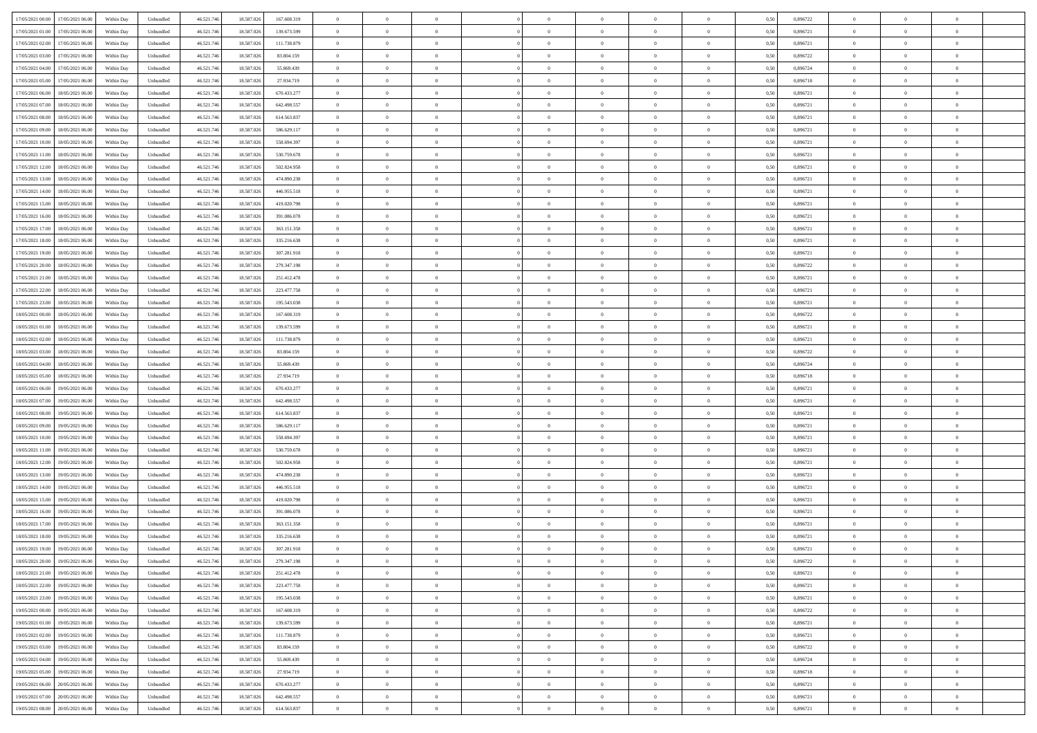| 17/05/2021 00:00 17/05/2021 06:00            | Within Day | Unbundled                   | 46.521.74  | 18.587.026 | 167.608.319 | $\overline{0}$ | $\theta$       |                | $\overline{0}$ | $\theta$       |                | $\theta$       | 0,50 | 0,896722 | $\theta$       | $\theta$       | $\overline{0}$ |  |
|----------------------------------------------|------------|-----------------------------|------------|------------|-------------|----------------|----------------|----------------|----------------|----------------|----------------|----------------|------|----------|----------------|----------------|----------------|--|
| 17/05/2021 01:00<br>17/05/2021 06:00         | Within Day | Unbundled                   | 46.521.74  | 18.587.02  | 139.673.599 | $\bf{0}$       | $\overline{0}$ | $\overline{0}$ | $\overline{0}$ | $\bf{0}$       | $\overline{0}$ | $\bf{0}$       | 0,50 | 0,896721 | $\,$ 0 $\,$    | $\bf{0}$       | $\overline{0}$ |  |
| 17/05/2021 02:00<br>17/05/2021 06:00         | Within Day | Unbundled                   | 46.521.746 | 18,587,026 | 111.738.879 | $\overline{0}$ | $\bf{0}$       | $\overline{0}$ | $\bf{0}$       | $\bf{0}$       | $\overline{0}$ | $\bf{0}$       | 0.50 | 0.896721 | $\bf{0}$       | $\overline{0}$ | $\overline{0}$ |  |
| 17/05/2021 03:00<br>17/05/2021 06:00         |            |                             | 46.521.74  |            |             | $\overline{0}$ | $\overline{0}$ | $\overline{0}$ | $\theta$       | $\theta$       | $\overline{0}$ | $\overline{0}$ |      | 0,896722 | $\theta$       | $\theta$       | $\overline{0}$ |  |
|                                              | Within Day | Unbundled                   |            | 18.587.026 | 83.804.159  |                |                |                |                |                |                |                | 0,50 |          |                |                |                |  |
| 17/05/2021 04:00<br>17/05/2021 06:00         | Within Day | Unbundled                   | 46.521.74  | 18.587.02  | 55.869.439  | $\overline{0}$ | $\theta$       | $\overline{0}$ | $\overline{0}$ | $\theta$       | $\overline{0}$ | $\bf{0}$       | 0,50 | 0,896724 | $\,$ 0 $\,$    | $\bf{0}$       | $\overline{0}$ |  |
| 17/05/2021 05:00<br>17/05/2021 06:00         | Within Day | Unbundled                   | 46.521.746 | 18.587.026 | 27.934.719  | $\overline{0}$ | $\overline{0}$ | $\overline{0}$ | $\overline{0}$ | $\overline{0}$ | $\Omega$       | $\bf{0}$       | 0.50 | 0.896718 | $\bf{0}$       | $\theta$       | $\overline{0}$ |  |
| 17/05/2021 06:00<br>18/05/2021 06:00         | Within Day | Unbundled                   | 46.521.74  | 18.587.026 | 670.433.277 | $\overline{0}$ | $\overline{0}$ | $\overline{0}$ | $\overline{0}$ | $\theta$       | $\overline{0}$ | $\bf{0}$       | 0,50 | 0,896721 | $\theta$       | $\theta$       | $\overline{0}$ |  |
|                                              |            |                             |            |            |             |                |                |                |                |                |                |                |      |          |                |                |                |  |
| 17/05/2021 07:00<br>18/05/2021 06:00         | Within Day | Unbundled                   | 46.521.74  | 18.587.02  | 642.498.557 | $\overline{0}$ | $\overline{0}$ | $\overline{0}$ | $\overline{0}$ | $\theta$       | $\overline{0}$ | $\bf{0}$       | 0,50 | 0,896721 | $\,$ 0 $\,$    | $\bf{0}$       | $\overline{0}$ |  |
| 17/05/2021 08:00<br>18/05/2021 06:00         | Within Day | Unbundled                   | 46.521.74  | 18.587.026 | 614.563.837 | $\overline{0}$ | $\bf{0}$       | $\overline{0}$ | $\bf{0}$       | $\overline{0}$ | $\overline{0}$ | $\bf{0}$       | 0.50 | 0.896721 | $\bf{0}$       | $\theta$       | $\overline{0}$ |  |
| 17/05/2021 09:00<br>18/05/2021 06:00         | Within Day | Unbundled                   | 46.521.746 | 18.587.026 | 586.629.117 | $\overline{0}$ | $\bf{0}$       | $\overline{0}$ | $\overline{0}$ | $\theta$       | $\overline{0}$ | $\bf{0}$       | 0,50 | 0,896721 | $\,$ 0 $\,$    | $\theta$       | $\overline{0}$ |  |
| 17/05/2021 10:00<br>18/05/2021 06:00         | Within Day | Unbundled                   | 46.521.74  | 18.587.026 | 558.694.397 | $\bf{0}$       | $\overline{0}$ | $\bf{0}$       | $\overline{0}$ | $\bf{0}$       | $\overline{0}$ | $\bf{0}$       | 0,50 | 0,896721 | $\,$ 0 $\,$    | $\bf{0}$       | $\overline{0}$ |  |
|                                              |            |                             |            |            |             |                |                |                |                |                |                |                |      |          |                |                |                |  |
| 17/05/2021 11:00<br>18/05/2021 06:00         | Within Day | Unbundled                   | 46.521.746 | 18,587,026 | 530.759.678 | $\overline{0}$ | $\overline{0}$ | $\overline{0}$ | $\bf{0}$       | $\bf{0}$       | $\overline{0}$ | $\bf{0}$       | 0.50 | 0.896721 | $\bf{0}$       | $\overline{0}$ | $\overline{0}$ |  |
| 17/05/2021 12:00<br>18/05/2021 06:00         | Within Day | Unbundled                   | 46.521.74  | 18.587.026 | 502.824.958 | $\overline{0}$ | $\overline{0}$ | $\overline{0}$ | $\overline{0}$ | $\theta$       | $\overline{0}$ | $\overline{0}$ | 0,50 | 0,896721 | $\theta$       | $\theta$       | $\overline{0}$ |  |
| 17/05/2021 13:00<br>18/05/2021 06:00         | Within Day | Unbundled                   | 46.521.74  | 18.587.02  | 474.890.238 | $\bf{0}$       | $\theta$       | $\bf{0}$       | $\overline{0}$ | $\theta$       | $\overline{0}$ | $\bf{0}$       | 0,50 | 0,896721 | $\bf{0}$       | $\bf{0}$       | $\overline{0}$ |  |
| 17/05/2021 14:00<br>18/05/2021 06:00         | Within Day | Unbundled                   | 46.521.746 | 18.587.026 | 446.955.518 | $\overline{0}$ | $\overline{0}$ | $\overline{0}$ | $\bf{0}$       | $\theta$       | $\theta$       | $\bf{0}$       | 0.50 | 0,896721 | $\theta$       | $\overline{0}$ | $\overline{0}$ |  |
|                                              |            |                             |            |            |             |                |                |                |                |                |                |                |      |          |                |                |                |  |
| 17/05/2021 15:00<br>18/05/2021 06:00         | Within Day | Unbundled                   | 46.521.74  | 18.587.026 | 419.020.798 | $\overline{0}$ | $\overline{0}$ | $\overline{0}$ | $\overline{0}$ | $\overline{0}$ | $\overline{0}$ | $\bf{0}$       | 0,50 | 0,896721 | $\theta$       | $\theta$       | $\overline{0}$ |  |
| 17/05/2021 16:00<br>18/05/2021 06:00         | Within Day | Unbundled                   | 46.521.74  | 18.587.02  | 391.086.078 | $\bf{0}$       | $\overline{0}$ | $\overline{0}$ | $\overline{0}$ | $\theta$       | $\overline{0}$ | $\bf{0}$       | 0,50 | 0,896721 | $\,$ 0 $\,$    | $\bf{0}$       | $\overline{0}$ |  |
| 17/05/2021 17:00<br>18/05/2021 06:00         | Within Day | Unbundled                   | 46.521.74  | 18.587.02  | 363.151.358 | $\overline{0}$ | $\overline{0}$ | $\overline{0}$ | $\bf{0}$       | $\overline{0}$ | $\overline{0}$ | $\bf{0}$       | 0.50 | 0.896721 | $\bf{0}$       | $\overline{0}$ | $\overline{0}$ |  |
| 17/05/2021 18:00<br>18/05/2021 06:00         | Within Day | Unbundled                   | 46.521.74  | 18.587.026 | 335.216.638 | $\overline{0}$ | $\overline{0}$ | $\overline{0}$ | $\overline{0}$ | $\theta$       | $\overline{0}$ | $\bf{0}$       | 0,50 | 0,896721 | $\,$ 0 $\,$    | $\theta$       | $\overline{0}$ |  |
|                                              |            |                             |            |            |             |                |                |                |                |                |                |                |      |          |                |                |                |  |
| 17/05/2021 19:00<br>18/05/2021 06:00         | Within Day | Unbundled                   | 46.521.74  | 18.587.02  | 307.281.918 | $\bf{0}$       | $\overline{0}$ | $\bf{0}$       | $\bf{0}$       | $\overline{0}$ | $\overline{0}$ | $\bf{0}$       | 0,50 | 0,896721 | $\,$ 0 $\,$    | $\bf{0}$       | $\overline{0}$ |  |
| 17/05/2021 20:00<br>18/05/2021 06:00         | Within Day | Unbundled                   | 46.521.746 | 18,587,026 | 279.347.198 | $\overline{0}$ | $\bf{0}$       | $\overline{0}$ | $\bf{0}$       | $\overline{0}$ | $\overline{0}$ | $\bf{0}$       | 0.50 | 0.896722 | $\bf{0}$       | $\overline{0}$ | $\overline{0}$ |  |
| 17/05/2021 21:00<br>18/05/2021 06:00         | Within Day | Unbundled                   | 46.521.74  | 18.587.026 | 251.412.478 | $\overline{0}$ | $\overline{0}$ | $\overline{0}$ | $\overline{0}$ | $\theta$       | $\overline{0}$ | $\bf{0}$       | 0,50 | 0,896721 | $\theta$       | $\theta$       | $\overline{0}$ |  |
| 17/05/2021 22:00<br>18/05/2021 06:00         | Within Day | Unbundled                   | 46.521.74  | 18.587.02  | 223.477.758 | $\bf{0}$       | $\overline{0}$ | $\bf{0}$       | $\overline{0}$ | $\theta$       | $\overline{0}$ | $\bf{0}$       | 0,50 | 0,896721 | $\,$ 0 $\,$    | $\bf{0}$       | $\overline{0}$ |  |
| 17/05/2021 23:00                             |            |                             |            | 18.587.02  | 195.543.038 |                | $\overline{0}$ | $\overline{0}$ | $\overline{0}$ | $\overline{0}$ | $\Omega$       |                | 0.50 |          |                | $\theta$       | $\overline{0}$ |  |
| 18/05/2021 06:00                             | Within Day | Unbundled                   | 46.521.74  |            |             | $\overline{0}$ |                |                |                |                |                | $\bf{0}$       |      | 0,896721 | $\bf{0}$       |                |                |  |
| 18/05/2021 00:00<br>18/05/2021 06:00         | Within Day | Unbundled                   | 46.521.74  | 18.587.026 | 167.608.319 | $\overline{0}$ | $\overline{0}$ | $\overline{0}$ | $\overline{0}$ | $\theta$       | $\overline{0}$ | $\bf{0}$       | 0,50 | 0,896722 | $\theta$       | $\theta$       | $\overline{0}$ |  |
| 18/05/2021 01:00<br>18/05/2021 06:00         | Within Day | Unbundled                   | 46.521.74  | 18.587.02  | 139.673.599 | $\bf{0}$       | $\theta$       | $\overline{0}$ | $\overline{0}$ | $\theta$       | $\overline{0}$ | $\bf{0}$       | 0,50 | 0,896721 | $\,$ 0 $\,$    | $\bf{0}$       | $\overline{0}$ |  |
| 18/05/2021 02:00<br>18/05/2021 06:00         | Within Day | Unbundled                   | 46.521.74  | 18,587,026 | 111.738.879 | $\overline{0}$ | $\overline{0}$ | $\overline{0}$ | $\bf{0}$       | $\overline{0}$ | $\overline{0}$ | $\bf{0}$       | 0.50 | 0.896721 | $\bf{0}$       | $\overline{0}$ | $\overline{0}$ |  |
| 18/05/2021 03:00<br>18/05/2021 06:00         | Within Day | Unbundled                   | 46.521.74  | 18.587.026 | 83.804.159  | $\overline{0}$ | $\overline{0}$ | $\overline{0}$ | $\overline{0}$ | $\theta$       | $\overline{0}$ | $\bf{0}$       | 0,50 | 0,896722 | $\theta$       | $\theta$       | $\overline{0}$ |  |
|                                              |            |                             |            |            |             |                |                |                |                |                |                |                |      |          |                |                |                |  |
| 18/05/2021 04:00<br>18/05/2021 06:00         | Within Day | Unbundled                   | 46.521.74  | 18.587.02  | 55.869.439  | $\bf{0}$       | $\bf{0}$       | $\bf{0}$       | $\bf{0}$       | $\overline{0}$ | $\overline{0}$ | $\bf{0}$       | 0,50 | 0,896724 | $\,$ 0 $\,$    | $\bf{0}$       | $\overline{0}$ |  |
| 18/05/2021 05:00<br>18/05/2021 06:00         | Within Day | Unbundled                   | 46.521.746 | 18.587.026 | 27.934.719  | $\overline{0}$ | $\bf{0}$       | $\overline{0}$ | $\bf{0}$       | $\bf{0}$       | $\overline{0}$ | $\bf{0}$       | 0.50 | 0.896718 | $\bf{0}$       | $\overline{0}$ | $\overline{0}$ |  |
| 18/05/2021 06:00<br>19/05/2021 06:00         | Within Day | Unbundled                   | 46.521.74  | 18.587.026 | 670.433.277 | $\overline{0}$ | $\overline{0}$ | $\overline{0}$ | $\overline{0}$ | $\theta$       | $\overline{0}$ | $\bf{0}$       | 0.5( | 0,896721 | $\theta$       | $\theta$       | $\overline{0}$ |  |
| 18/05/2021 07:00<br>19/05/2021 06:00         | Within Day | Unbundled                   | 46.521.74  | 18.587.02  | 642.498.557 | $\bf{0}$       | $\overline{0}$ | $\bf{0}$       | $\overline{0}$ | $\overline{0}$ | $\overline{0}$ | $\bf{0}$       | 0,50 | 0,896721 | $\,$ 0 $\,$    | $\bf{0}$       | $\overline{0}$ |  |
|                                              |            |                             |            |            |             |                |                |                |                |                |                |                |      |          |                |                |                |  |
| 18/05/2021 08:00<br>19/05/2021 06:00         | Within Day | Unbundled                   | 46.521.746 | 18.587.026 | 614.563.837 | $\overline{0}$ | $\overline{0}$ | $\overline{0}$ | $\bf{0}$       | $\theta$       | $\Omega$       | $\bf{0}$       | 0.50 | 0,896721 | $\bf{0}$       | $\overline{0}$ | $\overline{0}$ |  |
| 18/05/2021 09:00<br>19/05/2021 06:00         | Within Dav | Unbundled                   | 46.521.74  | 18.587.026 | 586.629.117 | $\overline{0}$ | $\theta$       | $\Omega$       | $\overline{0}$ | $\overline{0}$ | $\overline{0}$ | $\overline{0}$ | 0.5( | 0,896721 | $\theta$       | $\theta$       | $\overline{0}$ |  |
| 18/05/2021 10:00<br>19/05/2021 06:00         | Within Day | Unbundled                   | 46.521.74  | 18.587.02  | 558.694.397 | $\bf{0}$       | $\overline{0}$ | $\bf{0}$       | $\overline{0}$ | $\bf{0}$       | $\overline{0}$ | $\bf{0}$       | 0,50 | 0,896721 | $\,$ 0 $\,$    | $\bf{0}$       | $\overline{0}$ |  |
| 18/05/2021 11:00<br>19/05/2021 06:00         | Within Day | Unbundled                   | 46.521.74  | 18.587.02  | 530.759.678 | $\overline{0}$ | $\overline{0}$ | $\overline{0}$ | $\bf{0}$       | $\overline{0}$ | $\overline{0}$ | $\bf{0}$       | 0.50 | 0.896721 | $\bf{0}$       | $\overline{0}$ | $\overline{0}$ |  |
| 18/05/2021 12:00<br>19/05/2021 06:00         | Within Dav | Unbundled                   | 46.521.74  | 18.587.026 | 502.824.958 | $\overline{0}$ | $\overline{0}$ | $\overline{0}$ | $\overline{0}$ | $\overline{0}$ | $\overline{0}$ | $\overline{0}$ | 0.50 | 0,896721 | $\theta$       | $\theta$       | $\overline{0}$ |  |
|                                              |            |                             |            |            |             |                |                |                |                |                |                |                |      |          |                |                |                |  |
| 18/05/2021 13:00<br>19/05/2021 06:00         | Within Day | Unbundled                   | 46.521.74  | 18.587.02  | 474.890.238 | $\bf{0}$       | $\bf{0}$       | $\bf{0}$       | $\bf{0}$       | $\overline{0}$ | $\overline{0}$ | $\bf{0}$       | 0,50 | 0,896721 | $\,$ 0 $\,$    | $\bf{0}$       | $\overline{0}$ |  |
| 18/05/2021 14:00<br>19/05/2021 06:00         | Within Day | Unbundled                   | 46.521.746 | 18,587,026 | 446.955.518 | $\overline{0}$ | $\bf{0}$       | $\overline{0}$ | $\bf{0}$       | $\bf{0}$       | $\overline{0}$ | $\bf{0}$       | 0.50 | 0.896721 | $\bf{0}$       | $\overline{0}$ | $\overline{0}$ |  |
| 18/05/2021 15:00<br>19/05/2021 06:00         | Within Dav | Unbundled                   | 46.521.74  | 18.587.026 | 419.020.798 | $\overline{0}$ | $\overline{0}$ | $\Omega$       | $\overline{0}$ | $\theta$       | $\overline{0}$ | $\bf{0}$       | 0.50 | 0,896721 | $\theta$       | $\theta$       | $\overline{0}$ |  |
| 18/05/2021 16:00<br>19/05/2021 06:00         | Within Day | Unbundled                   | 46.521.74  | 18.587.02  | 391.086.078 | $\bf{0}$       | $\overline{0}$ | $\bf{0}$       | $\overline{0}$ | $\overline{0}$ | $\overline{0}$ | $\bf{0}$       | 0,50 | 0,896721 | $\,$ 0 $\,$    | $\bf{0}$       | $\overline{0}$ |  |
|                                              |            |                             |            |            |             |                |                |                |                |                |                |                |      |          |                |                |                |  |
| 18/05/2021 17:00<br>19/05/2021 06:00         | Within Day | Unbundled                   | 46.521.74  | 18.587.02  | 363.151.358 | $\overline{0}$ | $\overline{0}$ | $\Omega$       | $\overline{0}$ | $\theta$       | $\theta$       | $\bf{0}$       | 0.50 | 0,896721 | $\,$ 0 $\,$    | $\overline{0}$ | $\overline{0}$ |  |
| 18/05/2021 18:00<br>19/05/2021 06:00         | Within Dav | Unbundled                   | 46.521.74  | 18.587.026 | 335.216.638 | $\overline{0}$ | $\overline{0}$ | $\Omega$       | $\overline{0}$ | $\theta$       | $\Omega$       | $\overline{0}$ | 0.5( | 0,896721 | $\theta$       | $\theta$       | $\overline{0}$ |  |
| 18/05/2021 19:00<br>19/05/2021 06:00         | Within Day | Unbundled                   | 46.521.74  | 18.587.02  | 307.281.918 | $\bf{0}$       | $\bf{0}$       | $\overline{0}$ | $\bf{0}$       | $\bf{0}$       | $\overline{0}$ | $\bf{0}$       | 0,50 | 0,896721 | $\,$ 0 $\,$    | $\bf{0}$       | $\overline{0}$ |  |
| $18/05/2021\ 20.00 \qquad 19/05/2021\ 06.00$ | Within Day | $\ensuremath{\mathsf{Unb}}$ | 46.521.746 | 18.587.026 | 279.347.198 | $\overline{0}$ | $\Omega$       |                | $\overline{0}$ |                |                |                | 0,50 | 0,896722 | $\theta$       | $\overline{0}$ |                |  |
|                                              |            |                             |            |            |             |                |                |                |                |                |                |                |      |          |                |                |                |  |
| 18/05/2021 21:00 19/05/2021 06:00            | Within Day | Unbundled                   | 46.521.746 | 18.587.026 | 251.412.478 | $\overline{0}$ | $\theta$       | $\Omega$       | $\theta$       | $\overline{0}$ | $\overline{0}$ | $\bf{0}$       | 0,50 | 0,896721 | $\theta$       | $\theta$       | $\overline{0}$ |  |
| 18/05/2021 22:00<br>19/05/2021 06:00         | Within Day | Unbundled                   | 46.521.74  | 18.587.02  | 223.477.758 | $\overline{0}$ | $\bf{0}$       | $\overline{0}$ | $\overline{0}$ | $\bf{0}$       | $\overline{0}$ | $\bf{0}$       | 0,50 | 0,896721 | $\bf{0}$       | $\overline{0}$ | $\bf{0}$       |  |
| 18/05/2021 23:00 19/05/2021 06:00            | Within Day | Unbundled                   | 46.521.746 | 18,587,026 | 195.543.038 | $\overline{0}$ | $\bf{0}$       | $\overline{0}$ | $\overline{0}$ | $\overline{0}$ | $\overline{0}$ | $\bf{0}$       | 0.50 | 0.896721 | $\overline{0}$ | $\bf{0}$       | $\,$ 0 $\,$    |  |
| 19/05/2021 00:00 19/05/2021 06:00            | Within Day | Unbundled                   | 46.521.746 | 18.587.026 | 167.608.319 | $\overline{0}$ | $\overline{0}$ | $\overline{0}$ | $\overline{0}$ | $\overline{0}$ | $\overline{0}$ | $\bf{0}$       | 0,50 | 0,896722 | $\theta$       | $\theta$       | $\overline{0}$ |  |
|                                              |            |                             |            |            |             |                | $\bf{0}$       |                | $\bf{0}$       | $\overline{0}$ |                |                |      |          | $\bf{0}$       | $\bf{0}$       | $\overline{0}$ |  |
| 19/05/2021 01:00<br>19/05/2021 06:00         | Within Day | Unbundled                   | 46.521.74  | 18.587.026 | 139.673.599 | $\overline{0}$ |                | $\overline{0}$ |                |                | $\bf{0}$       | $\bf{0}$       | 0,50 | 0,896721 |                |                |                |  |
| 19/05/2021 02:00<br>19/05/2021 06:00         | Within Day | Unbundled                   | 46.521.746 | 18,587,026 | 111.738.879 | $\overline{0}$ | $\bf{0}$       | $\overline{0}$ | $\overline{0}$ | $\overline{0}$ | $\overline{0}$ | $\bf{0}$       | 0.50 | 0,896721 | $\,$ 0 $\,$    | $\theta$       | $\overline{0}$ |  |
| 19/05/2021 03:00<br>19/05/2021 06:00         | Within Dav | Unbundled                   | 46.521.746 | 18.587.026 | 83.804.159  | $\overline{0}$ | $\overline{0}$ | $\overline{0}$ | $\overline{0}$ | $\overline{0}$ | $\overline{0}$ | $\bf{0}$       | 0.50 | 0,896722 | $\overline{0}$ | $\theta$       | $\overline{0}$ |  |
| 19/05/2021 04:00<br>19/05/2021 06:00         | Within Day | Unbundled                   | 46.521.74  | 18.587.02  | 55.869.439  | $\overline{0}$ | $\overline{0}$ | $\overline{0}$ | $\overline{0}$ | $\bf{0}$       | $\overline{0}$ | $\bf{0}$       | 0,50 | 0,896724 | $\bf{0}$       | $\overline{0}$ | $\overline{0}$ |  |
| 19/05/2021 05:00<br>19/05/2021 06:00         |            | Unbundled                   |            | 18,587,026 | 27.934.719  | $\overline{0}$ | $\overline{0}$ | $\overline{0}$ |                | $\bf{0}$       | $\overline{0}$ |                | 0.50 | 0.896718 | $\overline{0}$ | $\,$ 0 $\,$    | $\,$ 0         |  |
|                                              | Within Day |                             | 46.521.746 |            |             |                |                |                | $\overline{0}$ |                |                | $\bf{0}$       |      |          |                |                |                |  |
| 19/05/2021 06:00 20/05/2021 06:00            | Within Dav | Unbundled                   | 46.521.746 | 18.587.026 | 670.433.277 | $\overline{0}$ | $\overline{0}$ | $\overline{0}$ | $\overline{0}$ | $\overline{0}$ | $\overline{0}$ | $\bf{0}$       | 0,50 | 0,896721 | $\overline{0}$ | $\theta$       | $\overline{0}$ |  |
| 19/05/2021 07:00<br>20/05/2021 06:00         | Within Day | Unbundled                   | 46.521.74  | 18.587.02  | 642.498.557 | $\overline{0}$ | $\bf{0}$       | $\overline{0}$ | $\bf{0}$       | $\overline{0}$ | $\overline{0}$ | $\bf{0}$       | 0,50 | 0,896721 | $\bf{0}$       | $\bf{0}$       | $\overline{0}$ |  |
| 19/05/2021 08:00 20/05/2021 06:00            | Within Day | Unbundled                   | 46.521.746 | 18.587.026 | 614.563.837 | $\overline{0}$ | $\bf{0}$       | $\overline{0}$ | $\overline{0}$ | $\,$ 0 $\,$    | $\overline{0}$ | $\bf{0}$       | 0,50 | 0,896721 | $\overline{0}$ | $\,$ 0 $\,$    | $\,$ 0 $\,$    |  |
|                                              |            |                             |            |            |             |                |                |                |                |                |                |                |      |          |                |                |                |  |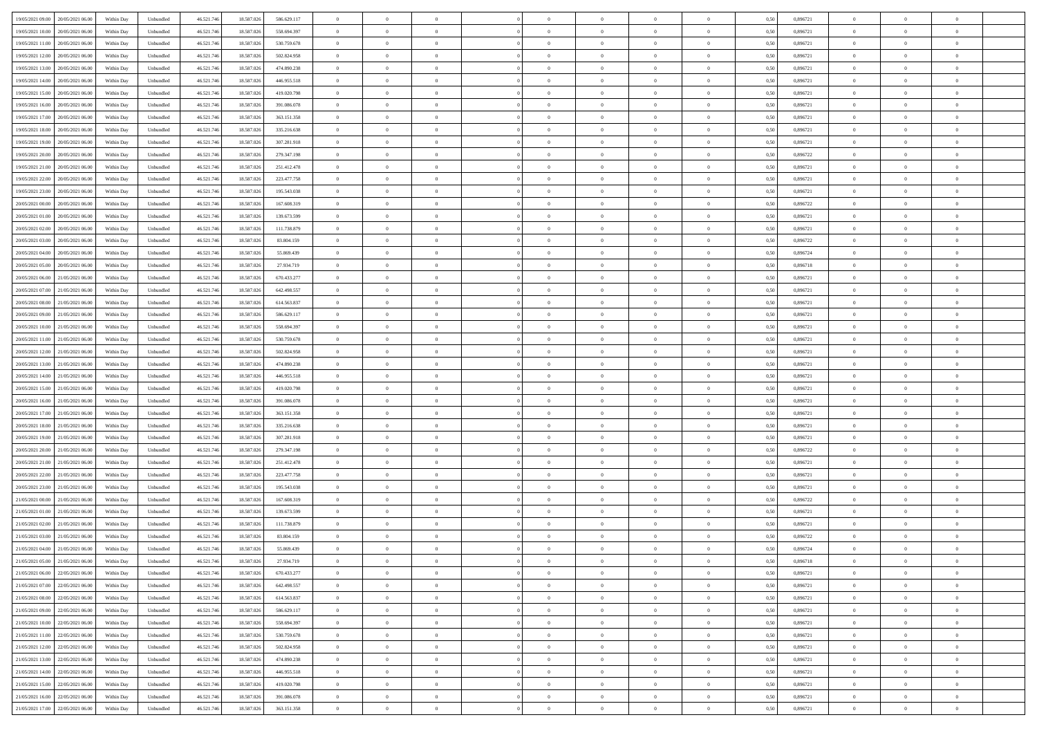|                                      |            |                             |            |            |             | $\overline{0}$ | $\theta$       |                | $\overline{0}$ | $\theta$       |                | $\theta$       |      |          | $\theta$       | $\theta$       | $\overline{0}$ |  |
|--------------------------------------|------------|-----------------------------|------------|------------|-------------|----------------|----------------|----------------|----------------|----------------|----------------|----------------|------|----------|----------------|----------------|----------------|--|
| 19/05/2021 09:00 20/05/2021 06:00    | Within Day | Unbundled                   | 46.521.74  | 18.587.026 | 586.629.117 |                |                |                |                |                |                |                | 0,50 | 0,896721 |                |                |                |  |
| 19/05/2021 10:00<br>20/05/2021 06:00 | Within Day | Unbundled                   | 46.521.74  | 18.587.02  | 558.694.397 | $\bf{0}$       | $\overline{0}$ | $\bf{0}$       | $\overline{0}$ | $\bf{0}$       | $\overline{0}$ | $\bf{0}$       | 0,50 | 0,896721 | $\,$ 0 $\,$    | $\bf{0}$       | $\overline{0}$ |  |
| 19/05/2021 11:00<br>20/05/2021 06:00 | Within Day | Unbundled                   | 46.521.746 | 18,587,026 | 530.759.678 | $\overline{0}$ | $\bf{0}$       | $\overline{0}$ | $\bf{0}$       | $\bf{0}$       | $\overline{0}$ | $\bf{0}$       | 0.50 | 0.896721 | $\bf{0}$       | $\overline{0}$ | $\overline{0}$ |  |
| 19/05/2021 12:00<br>20/05/2021 06:00 | Within Day | Unbundled                   | 46.521.74  | 18.587.026 | 502.824.958 | $\overline{0}$ | $\overline{0}$ | $\overline{0}$ | $\theta$       | $\theta$       | $\overline{0}$ | $\overline{0}$ | 0,50 | 0,896721 | $\theta$       | $\theta$       | $\overline{0}$ |  |
|                                      |            |                             |            |            |             |                |                |                |                |                |                |                |      |          |                |                |                |  |
| 19/05/2021 13:00<br>20/05/2021 06:00 | Within Day | Unbundled                   | 46.521.74  | 18.587.02  | 474.890.238 | $\overline{0}$ | $\overline{0}$ | $\overline{0}$ | $\overline{0}$ | $\theta$       | $\overline{0}$ | $\bf{0}$       | 0,50 | 0,896721 | $\,$ 0 $\,$    | $\bf{0}$       | $\overline{0}$ |  |
| 19/05/2021 14:00<br>20/05/2021 06:00 | Within Day | Unbundled                   | 46.521.74  | 18.587.026 | 446.955.518 | $\overline{0}$ | $\overline{0}$ | $\overline{0}$ | $\overline{0}$ | $\overline{0}$ | $\Omega$       | $\bf{0}$       | 0.50 | 0.896721 | $\,$ 0 $\,$    | $\theta$       | $\overline{0}$ |  |
| 19/05/2021 15:00<br>20/05/2021 06:00 | Within Day | Unbundled                   | 46.521.74  | 18.587.026 | 419.020.798 | $\overline{0}$ | $\overline{0}$ | $\overline{0}$ | $\overline{0}$ | $\overline{0}$ | $\overline{0}$ | $\bf{0}$       | 0,50 | 0,896721 | $\theta$       | $\theta$       | $\overline{0}$ |  |
| 19/05/2021 16:00<br>20/05/2021 06:00 | Within Day | Unbundled                   | 46.521.74  | 18.587.02  | 391.086.078 | $\overline{0}$ | $\overline{0}$ | $\overline{0}$ | $\overline{0}$ | $\theta$       | $\overline{0}$ | $\bf{0}$       | 0,50 | 0,896721 | $\,$ 0 $\,$    | $\bf{0}$       | $\overline{0}$ |  |
|                                      |            |                             |            |            |             |                |                |                |                |                |                |                |      |          |                |                |                |  |
| 19/05/2021 17:00<br>20/05/2021 06:00 | Within Day | Unbundled                   | 46.521.74  | 18.587.026 | 363.151.358 | $\overline{0}$ | $\bf{0}$       | $\overline{0}$ | $\bf{0}$       | $\overline{0}$ | $\overline{0}$ | $\bf{0}$       | 0.50 | 0.896721 | $\bf{0}$       | $\overline{0}$ | $\overline{0}$ |  |
| 19/05/2021 18:00<br>20/05/2021 06:00 | Within Day | Unbundled                   | 46.521.746 | 18.587.026 | 335.216.638 | $\overline{0}$ | $\bf{0}$       | $\overline{0}$ | $\overline{0}$ | $\theta$       | $\overline{0}$ | $\bf{0}$       | 0,50 | 0,896721 | $\,$ 0 $\,$    | $\theta$       | $\overline{0}$ |  |
| 19/05/2021 19:00<br>20/05/2021 06:00 | Within Day | Unbundled                   | 46.521.74  | 18.587.026 | 307.281.918 | $\bf{0}$       | $\overline{0}$ | $\bf{0}$       | $\overline{0}$ | $\bf{0}$       | $\overline{0}$ | $\bf{0}$       | 0,50 | 0,896721 | $\,$ 0 $\,$    | $\bf{0}$       | $\overline{0}$ |  |
| 19/05/2021 20:00<br>20/05/2021 06:00 | Within Day | Unbundled                   | 46.521.746 | 18.587.026 | 279.347.198 | $\overline{0}$ | $\bf{0}$       | $\overline{0}$ | $\bf{0}$       | $\bf{0}$       | $\overline{0}$ | $\bf{0}$       | 0.50 | 0.896722 | $\bf{0}$       | $\overline{0}$ | $\bf{0}$       |  |
| 19/05/2021 21:00<br>20/05/2021 06:00 | Within Day | Unbundled                   | 46.521.74  | 18.587.026 | 251.412.478 | $\overline{0}$ | $\overline{0}$ | $\overline{0}$ | $\overline{0}$ | $\theta$       | $\overline{0}$ | $\overline{0}$ | 0,50 | 0,896721 | $\theta$       | $\theta$       | $\overline{0}$ |  |
|                                      |            |                             |            |            |             |                |                |                |                |                |                |                |      |          |                |                |                |  |
| 19/05/2021 22.00<br>20/05/2021 06:00 | Within Day | Unbundled                   | 46.521.74  | 18.587.02  | 223.477.758 | $\bf{0}$       | $\overline{0}$ | $\bf{0}$       | $\overline{0}$ | $\theta$       | $\overline{0}$ | $\bf{0}$       | 0,50 | 0,896721 | $\,$ 0 $\,$    | $\bf{0}$       | $\overline{0}$ |  |
| 19/05/2021 23:00<br>20/05/2021 06:00 | Within Day | Unbundled                   | 46.521.746 | 18.587.026 | 195.543.038 | $\overline{0}$ | $\overline{0}$ | $\overline{0}$ | $\bf{0}$       | $\theta$       | $\Omega$       | $\bf{0}$       | 0.50 | 0,896721 | $\theta$       | $\theta$       | $\overline{0}$ |  |
| 20/05/2021 00:00<br>20/05/2021 06:00 | Within Day | Unbundled                   | 46.521.74  | 18.587.026 | 167.608.319 | $\overline{0}$ | $\overline{0}$ | $\overline{0}$ | $\overline{0}$ | $\overline{0}$ | $\overline{0}$ | $\bf{0}$       | 0,50 | 0,896722 | $\theta$       | $\theta$       | $\overline{0}$ |  |
| 20/05/2021 01:00<br>20/05/2021 06:00 | Within Day | Unbundled                   | 46.521.74  | 18.587.02  | 139.673.599 | $\bf{0}$       | $\overline{0}$ | $\overline{0}$ | $\overline{0}$ | $\theta$       | $\overline{0}$ | $\bf{0}$       | 0,50 | 0,896721 | $\,$ 0 $\,$    | $\bf{0}$       | $\overline{0}$ |  |
| 20/05/2021 02:00<br>20/05/2021 06:00 |            |                             | 46.521.74  |            | 111.738.879 |                |                |                |                |                | $\overline{0}$ |                |      | 0.896721 |                | $\overline{0}$ |                |  |
|                                      | Within Day | Unbundled                   |            | 18.587.02  |             | $\overline{0}$ | $\bf{0}$       | $\overline{0}$ | $\bf{0}$       | $\overline{0}$ |                | $\bf{0}$       | 0.50 |          | $\bf{0}$       |                | $\overline{0}$ |  |
| 20/05/2021 03:00<br>20/05/2021 06:00 | Within Day | Unbundled                   | 46.521.74  | 18.587.026 | 83.804.159  | $\overline{0}$ | $\overline{0}$ | $\overline{0}$ | $\overline{0}$ | $\overline{0}$ | $\overline{0}$ | $\bf{0}$       | 0,50 | 0,896722 | $\,$ 0 $\,$    | $\theta$       | $\overline{0}$ |  |
| 20/05/2021 04:00<br>20/05/2021 06:00 | Within Day | Unbundled                   | 46.521.74  | 18.587.02  | 55.869.439  | $\bf{0}$       | $\overline{0}$ | $\bf{0}$       | $\bf{0}$       | $\overline{0}$ | $\overline{0}$ | $\bf{0}$       | 0,50 | 0,896724 | $\,$ 0 $\,$    | $\bf{0}$       | $\overline{0}$ |  |
| 20/05/2021 05:00<br>20/05/2021 06:00 | Within Day | Unbundled                   | 46.521.746 | 18,587,026 | 27.934.719  | $\overline{0}$ | $\bf{0}$       | $\overline{0}$ | $\bf{0}$       | $\bf{0}$       | $\overline{0}$ | $\bf{0}$       | 0.50 | 0.896718 | $\bf{0}$       | $\overline{0}$ | $\bf{0}$       |  |
| 20/05/2021 06:00<br>21/05/2021 06:00 | Within Day | Unbundled                   | 46.521.74  | 18.587.026 | 670.433.277 | $\overline{0}$ | $\overline{0}$ | $\overline{0}$ | $\theta$       | $\theta$       | $\overline{0}$ | $\bf{0}$       | 0,50 | 0,896721 | $\theta$       | $\theta$       | $\overline{0}$ |  |
|                                      |            |                             |            |            |             |                | $\overline{0}$ |                |                | $\theta$       | $\overline{0}$ |                |      |          | $\,$ 0 $\,$    | $\bf{0}$       | $\overline{0}$ |  |
| 20/05/2021 07:00<br>21/05/2021 06.00 | Within Day | Unbundled                   | 46.521.74  | 18.587.02  | 642.498.557 | $\bf{0}$       |                | $\bf{0}$       | $\bf{0}$       |                |                | $\bf{0}$       | 0,50 | 0,896721 |                |                |                |  |
| 20/05/2021 08:00<br>21/05/2021 06:00 | Within Day | Unbundled                   | 46.521.74  | 18.587.02  | 614.563.837 | $\overline{0}$ | $\overline{0}$ | $\overline{0}$ | $\overline{0}$ | $\overline{0}$ | $\Omega$       | $\bf{0}$       | 0.50 | 0.896721 | $\,$ 0 $\,$    | $\theta$       | $\overline{0}$ |  |
| 20/05/2021 09:00<br>21/05/2021 06:00 | Within Day | Unbundled                   | 46.521.74  | 18.587.026 | 586.629.117 | $\overline{0}$ | $\overline{0}$ | $\overline{0}$ | $\overline{0}$ | $\overline{0}$ | $\overline{0}$ | $\bf{0}$       | 0,50 | 0,896721 | $\theta$       | $\theta$       | $\overline{0}$ |  |
| 20/05/2021 10:00<br>21/05/2021 06.00 | Within Day | Unbundled                   | 46.521.74  | 18.587.02  | 558.694.397 | $\bf{0}$       | $\theta$       | $\bf{0}$       | $\overline{0}$ | $\theta$       | $\overline{0}$ | $\bf{0}$       | 0,50 | 0,896721 | $\,$ 0 $\,$    | $\bf{0}$       | $\overline{0}$ |  |
| 20/05/2021 11:00<br>21/05/2021 06:00 | Within Day | Unbundled                   | 46.521.74  | 18,587,026 | 530.759.678 | $\overline{0}$ | $\bf{0}$       | $\overline{0}$ | $\bf{0}$       | $\overline{0}$ | $\overline{0}$ | $\bf{0}$       | 0.50 | 0.896721 | $\bf{0}$       | $\overline{0}$ | $\overline{0}$ |  |
| 20/05/2021 12:00<br>21/05/2021 06:00 |            |                             | 46.521.746 |            |             | $\overline{0}$ | $\overline{0}$ | $\overline{0}$ | $\overline{0}$ | $\overline{0}$ | $\overline{0}$ |                |      |          | $\theta$       | $\theta$       | $\overline{0}$ |  |
|                                      | Within Day | Unbundled                   |            | 18.587.026 | 502.824.958 |                |                |                |                |                |                | $\bf{0}$       | 0,50 | 0,896721 |                |                |                |  |
| 20/05/2021 13:00<br>21/05/2021 06.00 | Within Day | Unbundled                   | 46.521.74  | 18.587.02  | 474.890.238 | $\bf{0}$       | $\bf{0}$       | $\bf{0}$       | $\bf{0}$       | $\overline{0}$ | $\overline{0}$ | $\bf{0}$       | 0,50 | 0,896721 | $\,$ 0 $\,$    | $\bf{0}$       | $\overline{0}$ |  |
| 20/05/2021 14:00<br>21/05/2021 06:00 | Within Day | Unbundled                   | 46.521.74  | 18.587.026 | 446.955.518 | $\overline{0}$ | $\bf{0}$       | $\overline{0}$ | $\bf{0}$       | $\bf{0}$       | $\overline{0}$ | $\bf{0}$       | 0.50 | 0.896721 | $\bf{0}$       | $\overline{0}$ | $\bf{0}$       |  |
| 20/05/2021 15:00<br>21/05/2021 06:00 | Within Day | Unbundled                   | 46.521.74  | 18.587.026 | 419.020.798 | $\overline{0}$ | $\overline{0}$ | $\overline{0}$ | $\overline{0}$ | $\overline{0}$ | $\overline{0}$ | $\bf{0}$       | 0.5( | 0,896721 | $\theta$       | $\theta$       | $\overline{0}$ |  |
| 20/05/2021 16:00<br>21/05/2021 06.00 | Within Day | Unbundled                   | 46.521.74  | 18.587.02  | 391.086.078 | $\bf{0}$       | $\overline{0}$ | $\bf{0}$       | $\overline{0}$ | $\overline{0}$ | $\overline{0}$ | $\bf{0}$       | 0,50 | 0,896721 | $\,$ 0 $\,$    | $\bf{0}$       | $\overline{0}$ |  |
|                                      |            |                             |            | 18.587.026 |             |                |                |                |                | $\theta$       | $\Omega$       |                |      |          |                | $\theta$       | $\overline{0}$ |  |
| 20/05/2021 17:00<br>21/05/2021 06:00 | Within Day | Unbundled                   | 46.521.746 |            | 363.151.358 | $\overline{0}$ | $\overline{0}$ | $\overline{0}$ | $\bf{0}$       |                |                | $\bf{0}$       | 0.50 | 0,896721 | $\,$ 0 $\,$    |                |                |  |
| 20/05/2021 18:00<br>21/05/2021 06:00 | Within Dav | Unbundled                   | 46.521.74  | 18.587.026 | 335.216.638 | $\overline{0}$ | $\overline{0}$ | $\overline{0}$ | $\overline{0}$ | $\overline{0}$ | $\overline{0}$ | $\overline{0}$ | 0.5( | 0,896721 | $\theta$       | $\theta$       | $\overline{0}$ |  |
| 20/05/2021 19:00<br>21/05/2021 06.00 | Within Day | Unbundled                   | 46.521.74  | 18.587.02  | 307.281.918 | $\bf{0}$       | $\overline{0}$ | $\bf{0}$       | $\overline{0}$ | $\bf{0}$       | $\overline{0}$ | $\bf{0}$       | 0,50 | 0,896721 | $\,$ 0 $\,$    | $\bf{0}$       | $\overline{0}$ |  |
| 20/05/2021 20:00<br>21/05/2021 06:00 | Within Day | Unbundled                   | 46.521.74  | 18.587.02  | 279.347.198 | $\overline{0}$ | $\bf{0}$       | $\overline{0}$ | $\bf{0}$       | $\overline{0}$ | $\overline{0}$ | $\bf{0}$       | 0.50 | 0.896722 | $\bf{0}$       | $\overline{0}$ | $\overline{0}$ |  |
| 20/05/2021 21:00<br>21/05/2021 06:00 | Within Dav | Unbundled                   | 46.521.74  | 18.587.026 | 251.412.478 | $\overline{0}$ | $\overline{0}$ | $\overline{0}$ | $\overline{0}$ | $\overline{0}$ | $\overline{0}$ | $\overline{0}$ | 0.50 | 0,896721 | $\theta$       | $\theta$       | $\overline{0}$ |  |
| 20/05/2021 22:00<br>21/05/2021 06.00 | Within Day | Unbundled                   | 46.521.74  | 18.587.02  | 223.477.758 | $\bf{0}$       | $\bf{0}$       | $\bf{0}$       | $\bf{0}$       | $\overline{0}$ | $\overline{0}$ | $\bf{0}$       | 0,50 | 0,896721 | $\,$ 0 $\,$    | $\bf{0}$       | $\overline{0}$ |  |
|                                      |            |                             |            |            |             |                |                |                |                |                |                |                |      |          |                |                |                |  |
| 20/05/2021 23:00<br>21/05/2021 06:00 | Within Day | Unbundled                   | 46.521.746 | 18,587,026 | 195.543.038 | $\overline{0}$ | $\bf{0}$       | $\overline{0}$ | $\bf{0}$       | $\bf{0}$       | $\overline{0}$ | $\bf{0}$       | 0.50 | 0.896721 | $\bf{0}$       | $\overline{0}$ | $\overline{0}$ |  |
| 21/05/2021 00:00<br>21/05/2021 06:00 | Within Dav | Unbundled                   | 46.521.74  | 18.587.026 | 167.608.319 | $\overline{0}$ | $\overline{0}$ | $\Omega$       | $\overline{0}$ | $\overline{0}$ | $\overline{0}$ | $\overline{0}$ | 0.5( | 0,896722 | $\theta$       | $\theta$       | $\overline{0}$ |  |
| 21/05/2021 01:00<br>21/05/2021 06.00 | Within Day | Unbundled                   | 46.521.74  | 18.587.02  | 139.673.599 | $\bf{0}$       | $\overline{0}$ | $\bf{0}$       | $\overline{0}$ | $\,$ 0 $\,$    | $\overline{0}$ | $\bf{0}$       | 0,50 | 0,896721 | $\,$ 0 $\,$    | $\bf{0}$       | $\overline{0}$ |  |
| 21/05/2021 02:00<br>21/05/2021 06:00 | Within Day | Unbundled                   | 46.521.74  | 18.587.02  | 111.738.879 | $\overline{0}$ | $\overline{0}$ | $\Omega$       | $\overline{0}$ | $\overline{0}$ | $\theta$       | $\bf{0}$       | 0.50 | 0,896721 | $\bf{0}$       | $\theta$       | $\overline{0}$ |  |
| 21/05/2021 03:00<br>21/05/2021 06:00 | Within Dav | Unbundled                   | 46.521.74  | 18.587.026 | 83.804.159  | $\overline{0}$ | $\overline{0}$ | $\Omega$       | $\overline{0}$ | $\theta$       | $\Omega$       | $\overline{0}$ | 0.5( | 0,896722 | $\theta$       | $\theta$       | $\overline{0}$ |  |
|                                      |            |                             |            |            |             |                |                |                |                |                |                |                |      |          |                |                |                |  |
| 21/05/2021 04:00<br>21/05/2021 06:00 | Within Day | Unbundled                   | 46.521.74  | 18.587.02  | 55.869.439  | $\bf{0}$       | $\bf{0}$       | $\bf{0}$       | $\bf{0}$       | $\bf{0}$       | $\overline{0}$ | $\bf{0}$       | 0,50 | 0,896724 | $\,$ 0 $\,$    | $\bf{0}$       | $\overline{0}$ |  |
| 21/05/2021 05:00 21/05/2021 06:00    | Within Day | $\ensuremath{\mathsf{Unb}}$ | 46.521.746 | 18.587.026 | 27.934.719  | $\bf{0}$       | $\Omega$       |                | $\overline{0}$ |                |                |                | 0,50 | 0.896718 | $\bf{0}$       | $\bf{0}$       |                |  |
| 21/05/2021 06:00 22/05/2021 06:00    | Within Day | Unbundled                   | 46.521.746 | 18.587.026 | 670.433.277 | $\overline{0}$ | $\theta$       | $\Omega$       | $\theta$       | $\overline{0}$ | $\overline{0}$ | $\bf{0}$       | 0,50 | 0,896721 | $\theta$       | $\theta$       | $\overline{0}$ |  |
| 21/05/2021 07:00<br>22/05/2021 06:00 | Within Day | Unbundled                   | 46.521.74  | 18.587.02  | 642.498.557 | $\overline{0}$ | $\bf{0}$       | $\overline{0}$ | $\overline{0}$ | $\bf{0}$       | $\overline{0}$ | $\bf{0}$       | 0,50 | 0,896721 | $\bf{0}$       | $\overline{0}$ | $\bf{0}$       |  |
| 21/05/2021 08:00 22/05/2021 06:00    | Within Day | Unbundled                   | 46.521.746 | 18,587,026 | 614.563.837 | $\overline{0}$ | $\bf{0}$       | $\overline{0}$ | $\overline{0}$ | $\overline{0}$ | $\overline{0}$ | $\bf{0}$       | 0.50 | 0.896721 | $\overline{0}$ | $\bf{0}$       | $\,$ 0 $\,$    |  |
|                                      |            |                             |            |            |             |                |                |                |                |                |                |                |      |          |                |                |                |  |
| 21/05/2021 09:00 22/05/2021 06:00    | Within Dav | Unbundled                   | 46.521.746 | 18.587.026 | 586.629.117 | $\overline{0}$ | $\overline{0}$ | $\overline{0}$ | $\overline{0}$ | $\overline{0}$ | $\overline{0}$ | $\bf{0}$       | 0,50 | 0,896721 | $\theta$       | $\theta$       | $\overline{0}$ |  |
| 21/05/2021 10:00<br>22/05/2021 06:00 | Within Day | Unbundled                   | 46.521.74  | 18.587.026 | 558.694.397 | $\overline{0}$ | $\bf{0}$       | $\overline{0}$ | $\bf{0}$       | $\overline{0}$ | $\bf{0}$       | $\bf{0}$       | 0,50 | 0,896721 | $\bf{0}$       | $\bf{0}$       | $\overline{0}$ |  |
| 21/05/2021 11:00 22/05/2021 06:00    | Within Day | Unbundled                   | 46.521.746 | 18,587,026 | 530,759,678 | $\overline{0}$ | $\bf{0}$       | $\overline{0}$ | $\overline{0}$ | $\overline{0}$ | $\overline{0}$ | $\bf{0}$       | 0.50 | 0,896721 | $\,$ 0 $\,$    | $\theta$       | $\overline{0}$ |  |
| 21/05/2021 12:00<br>22/05/2021 06:00 | Within Dav | Unbundled                   | 46.521.746 | 18.587.026 | 502.824.958 | $\overline{0}$ | $\overline{0}$ | $\overline{0}$ | $\overline{0}$ | $\overline{0}$ | $\overline{0}$ | $\bf{0}$       | 0.50 | 0,896721 | $\overline{0}$ | $\theta$       | $\overline{0}$ |  |
| 21/05/2021 13:00<br>22/05/2021 06:00 | Within Day | Unbundled                   | 46.521.74  | 18.587.026 | 474.890.238 | $\overline{0}$ | $\overline{0}$ | $\overline{0}$ | $\overline{0}$ | $\bf{0}$       | $\overline{0}$ | $\bf{0}$       | 0,50 | 0,896721 | $\bf{0}$       | $\bf{0}$       | $\overline{0}$ |  |
|                                      |            |                             |            |            |             |                |                |                |                |                |                |                |      |          |                |                |                |  |
| 21/05/2021 14:00 22/05/2021 06:00    | Within Day | Unbundled                   | 46.521.746 | 18,587,026 | 446.955.518 | $\overline{0}$ | $\overline{0}$ | $\overline{0}$ | $\overline{0}$ | $\bf{0}$       | $\overline{0}$ | $\bf{0}$       | 0.50 | 0.896721 | $\overline{0}$ | $\,$ 0 $\,$    | $\,$ 0         |  |
| 21/05/2021 15:00 22/05/2021 06:00    | Within Dav | Unbundled                   | 46.521.746 | 18.587.026 | 419.020.798 | $\overline{0}$ | $\overline{0}$ | $\overline{0}$ | $\overline{0}$ | $\overline{0}$ | $\overline{0}$ | $\bf{0}$       | 0,50 | 0,896721 | $\overline{0}$ | $\theta$       | $\overline{0}$ |  |
| 21/05/2021 16:00<br>22/05/2021 06:00 | Within Day | Unbundled                   | 46.521.74  | 18.587.026 | 391.086.078 | $\overline{0}$ | $\bf{0}$       | $\overline{0}$ | $\bf{0}$       | $\overline{0}$ | $\bf{0}$       | $\bf{0}$       | 0,50 | 0,896721 | $\bf{0}$       | $\bf{0}$       | $\overline{0}$ |  |
| 21/05/2021 17:00 22/05/2021 06:00    | Within Day | Unbundled                   | 46.521.746 | 18.587.026 | 363.151.358 | $\overline{0}$ | $\bf{0}$       | $\overline{0}$ | $\overline{0}$ | $\,$ 0 $\,$    | $\overline{0}$ | $\bf{0}$       | 0,50 | 0,896721 | $\overline{0}$ | $\,$ 0 $\,$    | $\,$ 0 $\,$    |  |
|                                      |            |                             |            |            |             |                |                |                |                |                |                |                |      |          |                |                |                |  |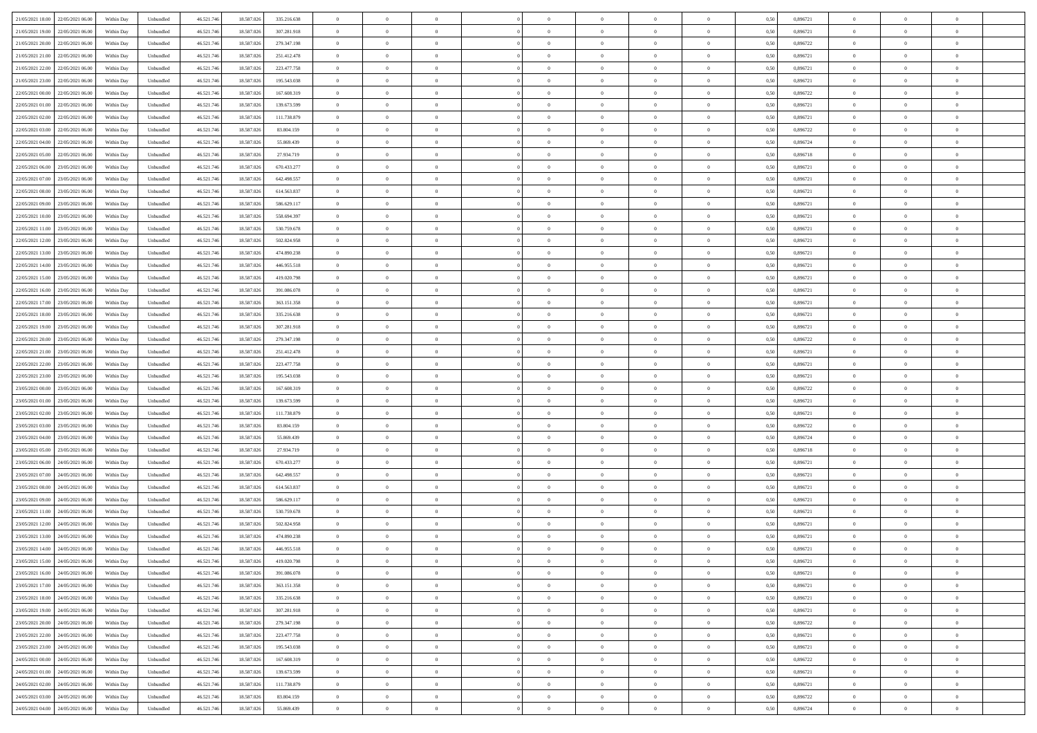|                                              |            |                   |            |            |             | $\overline{0}$ | $\theta$       |                | $\overline{0}$ | $\theta$       |                | $\theta$       |      |          | $\theta$       | $\theta$       | $\overline{0}$ |  |
|----------------------------------------------|------------|-------------------|------------|------------|-------------|----------------|----------------|----------------|----------------|----------------|----------------|----------------|------|----------|----------------|----------------|----------------|--|
| 21/05/2021 18:00 22/05/2021 06:00            | Within Day | Unbundled         | 46.521.74  | 18.587.026 | 335.216.638 |                |                |                |                |                |                |                | 0,50 | 0,896721 |                |                |                |  |
| 21/05/2021 19:00<br>22/05/2021 06.00         | Within Day | Unbundled         | 46.521.74  | 18.587.02  | 307.281.918 | $\bf{0}$       | $\overline{0}$ | $\bf{0}$       | $\overline{0}$ | $\overline{0}$ | $\overline{0}$ | $\bf{0}$       | 0,50 | 0,896721 | $\,$ 0 $\,$    | $\bf{0}$       | $\overline{0}$ |  |
| 21/05/2021 20:00<br>22/05/2021 06:00         | Within Day | Unbundled         | 46.521.746 | 18,587,026 | 279.347.198 | $\overline{0}$ | $\bf{0}$       | $\overline{0}$ | $\bf{0}$       | $\bf{0}$       | $\overline{0}$ | $\bf{0}$       | 0.50 | 0.896722 | $\bf{0}$       | $\overline{0}$ | $\overline{0}$ |  |
| 21/05/2021 21:00<br>22/05/2021 06:00         | Within Day | Unbundled         | 46.521.74  | 18.587.026 | 251.412.478 | $\overline{0}$ | $\overline{0}$ | $\overline{0}$ | $\theta$       | $\theta$       | $\overline{0}$ | $\bf{0}$       | 0,50 | 0,896721 | $\theta$       | $\theta$       | $\overline{0}$ |  |
| 21/05/2021 22:00<br>22/05/2021 06.00         | Within Day | Unbundled         | 46.521.74  | 18.587.02  | 223.477.758 | $\bf{0}$       | $\overline{0}$ | $\bf{0}$       | $\overline{0}$ | $\theta$       | $\overline{0}$ | $\bf{0}$       | 0,50 | 0,896721 | $\,$ 0 $\,$    | $\bf{0}$       | $\overline{0}$ |  |
|                                              |            |                   |            |            |             |                |                |                |                |                |                |                |      |          |                |                |                |  |
| 21/05/2021 23:00<br>22/05/2021 06:00         | Within Day | Unbundled         | 46.521.746 | 18.587.026 | 195.543.038 | $\overline{0}$ | $\overline{0}$ | $\overline{0}$ | $\overline{0}$ | $\overline{0}$ | $\theta$       | $\bf{0}$       | 0.50 | 0.896721 | $\,$ 0 $\,$    | $\theta$       | $\overline{0}$ |  |
| 22/05/2021 00:00<br>22/05/2021 06:00         | Within Day | Unbundled         | 46.521.74  | 18.587.026 | 167.608.319 | $\overline{0}$ | $\overline{0}$ | $\overline{0}$ | $\overline{0}$ | $\overline{0}$ | $\overline{0}$ | $\bf{0}$       | 0,50 | 0,896722 | $\theta$       | $\theta$       | $\overline{0}$ |  |
| 22/05/2021 01:00<br>22/05/2021 06.00         | Within Day | Unbundled         | 46.521.74  | 18.587.02  | 139.673.599 | $\bf{0}$       | $\overline{0}$ | $\overline{0}$ | $\overline{0}$ | $\theta$       | $\overline{0}$ | $\bf{0}$       | 0,50 | 0,896721 | $\,$ 0 $\,$    | $\bf{0}$       | $\overline{0}$ |  |
| 22/05/2021 02:00<br>22/05/2021 06:00         | Within Day | Unbundled         | 46.521.74  | 18.587.026 | 111.738.879 | $\overline{0}$ | $\bf{0}$       | $\overline{0}$ | $\bf{0}$       | $\overline{0}$ | $\overline{0}$ | $\bf{0}$       | 0.50 | 0.896721 | $\bf{0}$       | $\overline{0}$ | $\overline{0}$ |  |
| 22/05/2021 03:00<br>22/05/2021 06:00         | Within Day | Unbundled         | 46.521.746 | 18.587.026 | 83.804.159  | $\overline{0}$ | $\bf{0}$       | $\overline{0}$ | $\overline{0}$ | $\overline{0}$ | $\overline{0}$ | $\bf{0}$       | 0,50 | 0,896722 | $\,$ 0 $\,$    | $\theta$       | $\overline{0}$ |  |
| 22/05/2021 04:00<br>22/05/2021 06.00         | Within Day | Unbundled         | 46.521.74  | 18.587.026 | 55.869.439  | $\bf{0}$       | $\overline{0}$ | $\bf{0}$       | $\overline{0}$ | $\bf{0}$       | $\overline{0}$ | $\bf{0}$       | 0,50 | 0,896724 | $\,$ 0 $\,$    | $\bf{0}$       | $\overline{0}$ |  |
| 22/05/2021 05:00<br>22/05/2021 06:00         | Within Day | Unbundled         | 46.521.746 | 18,587,026 | 27.934.719  | $\overline{0}$ | $\bf{0}$       | $\overline{0}$ | $\bf{0}$       | $\bf{0}$       | $\overline{0}$ | $\bf{0}$       | 0.50 | 0.896718 | $\bf{0}$       | $\overline{0}$ | $\bf{0}$       |  |
|                                              |            |                   |            |            |             | $\overline{0}$ | $\overline{0}$ | $\overline{0}$ | $\overline{0}$ | $\theta$       | $\overline{0}$ | $\overline{0}$ |      |          | $\theta$       | $\theta$       | $\overline{0}$ |  |
| 22/05/2021 06:00<br>23/05/2021 06:00         | Within Day | Unbundled         | 46.521.74  | 18.587.026 | 670.433.277 |                |                |                |                |                |                |                | 0,50 | 0,896721 |                |                |                |  |
| 22/05/2021 07:00<br>23/05/2021 06.00         | Within Day | Unbundled         | 46.521.74  | 18.587.02  | 642.498.557 | $\bf{0}$       | $\overline{0}$ | $\bf{0}$       | $\overline{0}$ | $\theta$       | $\overline{0}$ | $\bf{0}$       | 0,50 | 0,896721 | $\bf{0}$       | $\bf{0}$       | $\overline{0}$ |  |
| 22/05/2021 08:00<br>23/05/2021 06:00         | Within Day | Unbundled         | 46.521.746 | 18.587.026 | 614.563.837 | $\overline{0}$ | $\overline{0}$ | $\overline{0}$ | $\bf{0}$       | $\overline{0}$ | $\Omega$       | $\bf{0}$       | 0.50 | 0,896721 | $\,$ 0 $\,$    | $\theta$       | $\overline{0}$ |  |
| 22/05/2021 09:00<br>23/05/2021 06:00         | Within Day | Unbundled         | 46.521.74  | 18.587.026 | 586.629.117 | $\overline{0}$ | $\overline{0}$ | $\overline{0}$ | $\overline{0}$ | $\overline{0}$ | $\overline{0}$ | $\bf{0}$       | 0,50 | 0,896721 | $\theta$       | $\theta$       | $\overline{0}$ |  |
| 22/05/2021 10:00<br>23/05/2021 06.00         | Within Day | Unbundled         | 46.521.74  | 18.587.02  | 558.694.397 | $\bf{0}$       | $\overline{0}$ | $\overline{0}$ | $\overline{0}$ | $\bf{0}$       | $\overline{0}$ | $\bf{0}$       | 0,50 | 0,896721 | $\,$ 0 $\,$    | $\bf{0}$       | $\overline{0}$ |  |
| 22/05/2021 11:00<br>23/05/2021 06:00         | Within Day | Unbundled         | 46.521.74  | 18.587.02  | 530.759.678 | $\overline{0}$ | $\bf{0}$       | $\overline{0}$ | $\bf{0}$       | $\overline{0}$ | $\overline{0}$ | $\bf{0}$       | 0.50 | 0.896721 | $\bf{0}$       | $\overline{0}$ | $\overline{0}$ |  |
| 22/05/2021 12:00<br>23/05/2021 06:00         | Within Day | Unbundled         | 46.521.74  | 18.587.026 | 502.824.958 | $\overline{0}$ | $\overline{0}$ | $\overline{0}$ | $\overline{0}$ | $\overline{0}$ | $\overline{0}$ | $\bf{0}$       | 0,50 | 0,896721 | $\,$ 0 $\,$    | $\theta$       | $\overline{0}$ |  |
|                                              |            |                   |            |            |             | $\bf{0}$       | $\overline{0}$ |                |                | $\overline{0}$ | $\overline{0}$ |                |      |          | $\,$ 0 $\,$    | $\bf{0}$       | $\overline{0}$ |  |
| 22/05/2021 13:00<br>23/05/2021 06.00         | Within Day | Unbundled         | 46.521.74  | 18.587.02  | 474.890.238 |                |                | $\bf{0}$       | $\bf{0}$       |                |                | $\bf{0}$       | 0,50 | 0,896721 |                |                |                |  |
| 22/05/2021 14:00<br>23/05/2021 06:00         | Within Day | Unbundled         | 46.521.746 | 18,587,026 | 446.955.518 | $\overline{0}$ | $\bf{0}$       | $\overline{0}$ | $\bf{0}$       | $\bf{0}$       | $\overline{0}$ | $\bf{0}$       | 0.50 | 0.896721 | $\bf{0}$       | $\overline{0}$ | $\bf{0}$       |  |
| 22/05/2021 15:00<br>23/05/2021 06:00         | Within Day | Unbundled         | 46.521.74  | 18.587.026 | 419.020.798 | $\overline{0}$ | $\overline{0}$ | $\overline{0}$ | $\theta$       | $\theta$       | $\overline{0}$ | $\bf{0}$       | 0,50 | 0,896721 | $\theta$       | $\theta$       | $\overline{0}$ |  |
| 22/05/2021 16:00<br>23/05/2021 06.00         | Within Day | Unbundled         | 46.521.74  | 18.587.02  | 391.086.078 | $\bf{0}$       | $\overline{0}$ | $\bf{0}$       | $\bf{0}$       | $\bf{0}$       | $\overline{0}$ | $\bf{0}$       | 0,50 | 0,896721 | $\,$ 0 $\,$    | $\bf{0}$       | $\overline{0}$ |  |
| 22/05/2021 17:00<br>23/05/2021 06:00         | Within Day | Unbundled         | 46.521.746 | 18.587.02  | 363.151.358 | $\overline{0}$ | $\overline{0}$ | $\overline{0}$ | $\overline{0}$ | $\overline{0}$ | $\Omega$       | $\bf{0}$       | 0.50 | 0.896721 | $\,$ 0 $\,$    | $\theta$       | $\overline{0}$ |  |
| 22/05/2021 18:00<br>23/05/2021 06:00         | Within Day | Unbundled         | 46.521.74  | 18.587.026 | 335.216.638 | $\overline{0}$ | $\overline{0}$ | $\overline{0}$ | $\overline{0}$ | $\overline{0}$ | $\overline{0}$ | $\bf{0}$       | 0,50 | 0,896721 | $\theta$       | $\theta$       | $\overline{0}$ |  |
| 22/05/2021 19:00<br>23/05/2021 06.00         | Within Day | Unbundled         | 46.521.74  | 18.587.02  | 307.281.918 | $\bf{0}$       | $\theta$       | $\bf{0}$       | $\overline{0}$ | $\bf{0}$       | $\overline{0}$ | $\bf{0}$       | 0,50 | 0,896721 | $\,$ 0 $\,$    | $\bf{0}$       | $\overline{0}$ |  |
| 22/05/2021 20:00<br>23/05/2021 06:00         | Within Day | Unbundled         | 46.521.74  | 18.587.026 | 279.347.198 | $\overline{0}$ | $\bf{0}$       | $\overline{0}$ | $\bf{0}$       | $\overline{0}$ | $\overline{0}$ | $\bf{0}$       | 0.50 | 0.896722 | $\bf{0}$       | $\overline{0}$ | $\overline{0}$ |  |
| 22/05/2021 21:00<br>23/05/2021 06:00         |            |                   | 46.521.74  |            |             | $\overline{0}$ | $\overline{0}$ | $\overline{0}$ | $\overline{0}$ | $\overline{0}$ | $\overline{0}$ |                |      |          | $\theta$       | $\theta$       | $\overline{0}$ |  |
|                                              | Within Day | Unbundled         |            | 18.587.026 | 251.412.478 |                |                |                |                |                |                | $\bf{0}$       | 0,50 | 0,896721 |                |                |                |  |
| 22/05/2021 22:00<br>23/05/2021 06.00         | Within Day | Unbundled         | 46.521.74  | 18.587.02  | 223.477.758 | $\bf{0}$       | $\bf{0}$       | $\bf{0}$       | $\bf{0}$       | $\overline{0}$ | $\overline{0}$ | $\bf{0}$       | 0,50 | 0,896721 | $\,$ 0 $\,$    | $\bf{0}$       | $\overline{0}$ |  |
| 22/05/2021 23:00<br>23/05/2021 06:00         | Within Day | Unbundled         | 46.521.746 | 18.587.026 | 195.543.038 | $\overline{0}$ | $\bf{0}$       | $\overline{0}$ | $\bf{0}$       | $\bf{0}$       | $\overline{0}$ | $\bf{0}$       | 0.50 | 0.896721 | $\bf{0}$       | $\overline{0}$ | $\bf{0}$       |  |
| 23/05/2021 00:00<br>23/05/2021 06:00         | Within Day | Unbundled         | 46.521.74  | 18.587.026 | 167,608,319 | $\overline{0}$ | $\overline{0}$ | $\overline{0}$ | $\overline{0}$ | $\overline{0}$ | $\overline{0}$ | $\bf{0}$       | 0.5( | 0,896722 | $\theta$       | $\theta$       | $\overline{0}$ |  |
| 23/05/2021 01:00<br>23/05/2021 06.00         | Within Day | Unbundled         | 46.521.74  | 18.587.02  | 139.673.599 | $\bf{0}$       | $\overline{0}$ | $\bf{0}$       | $\overline{0}$ | $\overline{0}$ | $\overline{0}$ | $\bf{0}$       | 0,50 | 0,896721 | $\,$ 0 $\,$    | $\bf{0}$       | $\overline{0}$ |  |
| 23/05/2021 02:00<br>23/05/2021 06:00         | Within Day | Unbundled         | 46.521.746 | 18.587.026 | 111.738.879 | $\overline{0}$ | $\overline{0}$ | $\overline{0}$ | $\bf{0}$       | $\overline{0}$ | $\Omega$       | $\bf{0}$       | 0.50 | 0,896721 | $\,$ 0 $\,$    | $\theta$       | $\overline{0}$ |  |
| 23/05/2021 03:00<br>23/05/2021 06:00         | Within Dav | Unbundled         | 46.521.74  | 18.587.026 | 83.804.159  | $\overline{0}$ | $\overline{0}$ | $\overline{0}$ | $\overline{0}$ | $\overline{0}$ | $\overline{0}$ | $\overline{0}$ | 0.5( | 0,896722 | $\theta$       | $\theta$       | $\overline{0}$ |  |
| 23/05/2021 04:00<br>23/05/2021 06:00         | Within Day | Unbundled         | 46.521.74  | 18.587.02  | 55.869.439  | $\bf{0}$       | $\overline{0}$ | $\bf{0}$       | $\overline{0}$ | $\bf{0}$       | $\overline{0}$ | $\bf{0}$       | 0,50 | 0,896724 | $\,$ 0 $\,$    | $\bf{0}$       | $\overline{0}$ |  |
| 23/05/2021 05:00<br>23/05/2021 06:00         | Within Day | Unbundled         | 46.521.74  | 18.587.02  | 27.934.719  | $\overline{0}$ | $\bf{0}$       | $\overline{0}$ | $\bf{0}$       | $\overline{0}$ | $\overline{0}$ | $\bf{0}$       | 0.50 | 0.896718 | $\bf{0}$       | $\overline{0}$ | $\overline{0}$ |  |
|                                              |            |                   |            |            |             |                |                |                |                |                |                |                |      |          |                |                |                |  |
| 23/05/2021 06:00<br>24/05/2021 06:00         | Within Dav | Unbundled         | 46.521.74  | 18.587.026 | 670.433.277 | $\overline{0}$ | $\overline{0}$ | $\overline{0}$ | $\overline{0}$ | $\overline{0}$ | $\overline{0}$ | $\overline{0}$ | 0.50 | 0,896721 | $\theta$       | $\theta$       | $\overline{0}$ |  |
| 23/05/2021 07:00<br>24/05/2021 06.00         | Within Day | Unbundled         | 46.521.74  | 18.587.02  | 642.498.557 | $\bf{0}$       | $\bf{0}$       | $\bf{0}$       | $\bf{0}$       | $\overline{0}$ | $\overline{0}$ | $\bf{0}$       | 0,50 | 0,896721 | $\,$ 0 $\,$    | $\bf{0}$       | $\overline{0}$ |  |
| 23/05/2021 08:00<br>24/05/2021 06.00         | Within Day | Unbundled         | 46.521.746 | 18,587,026 | 614.563.837 | $\overline{0}$ | $\bf{0}$       | $\overline{0}$ | $\bf{0}$       | $\bf{0}$       | $\overline{0}$ | $\bf{0}$       | 0.50 | 0.896721 | $\bf{0}$       | $\overline{0}$ | $\overline{0}$ |  |
| 23/05/2021 09:00<br>24/05/2021 06:00         | Within Day | Unbundled         | 46.521.74  | 18.587.026 | 586.629.117 | $\overline{0}$ | $\overline{0}$ | $\overline{0}$ | $\overline{0}$ | $\overline{0}$ | $\overline{0}$ | $\bf{0}$       | 0.50 | 0,896721 | $\theta$       | $\theta$       | $\overline{0}$ |  |
| 23/05/2021 11:00<br>24/05/2021 06.00         | Within Day | Unbundled         | 46.521.74  | 18.587.02  | 530.759.678 | $\bf{0}$       | $\overline{0}$ | $\bf{0}$       | $\bf{0}$       | $\overline{0}$ | $\overline{0}$ | $\bf{0}$       | 0,50 | 0,896721 | $\,$ 0 $\,$    | $\bf{0}$       | $\overline{0}$ |  |
| 23/05/2021 12:00<br>24/05/2021 06.00         | Within Day | Unbundled         | 46.521.746 | 18.587.02  | 502.824.958 | $\overline{0}$ | $\overline{0}$ | $\overline{0}$ | $\overline{0}$ | $\bf{0}$       | $\Omega$       | $\bf{0}$       | 0.50 | 0,896721 | $\bf{0}$       | $\theta$       | $\overline{0}$ |  |
| 23/05/2021 13:00<br>24/05/2021 06:00         | Within Dav | Unbundled         | 46.521.74  | 18.587.026 | 474.890.238 | $\overline{0}$ | $\overline{0}$ | $\Omega$       | $\overline{0}$ | $\theta$       | $\Omega$       | $\overline{0}$ | 0.5( | 0,896721 | $\theta$       | $\theta$       | $\overline{0}$ |  |
| 23/05/2021 14:00<br>24/05/2021 06:00         | Within Day | Unbundled         | 46.521.74  | 18.587.02  | 446.955.518 | $\bf{0}$       | $\bf{0}$       | $\overline{0}$ | $\bf{0}$       | $\bf{0}$       | $\overline{0}$ | $\bf{0}$       | 0,50 | 0,896721 | $\,$ 0 $\,$    | $\bf{0}$       | $\overline{0}$ |  |
| $23/05/2021\ 15.00 \qquad 24/05/2021\ 06.00$ | Within Day | ${\sf Unbundred}$ | 46.521.746 | 18.587.026 | 419.020.798 |                | $\theta$       |                | $\overline{0}$ |                |                |                |      | 0,896721 |                |                |                |  |
|                                              |            |                   |            |            |             | $\bf{0}$       |                |                |                |                |                |                | 0,50 |          | $\bf{0}$       | $\bf{0}$       |                |  |
| 23/05/2021 16:00 24/05/2021 06:00            | Within Day | Unbundled         | 46.521.746 | 18.587.026 | 391.086.078 | $\overline{0}$ | $\theta$       | $\Omega$       | $\theta$       | $\overline{0}$ | $\overline{0}$ | $\bf{0}$       | 0,50 | 0,896721 | $\theta$       | $\theta$       | $\overline{0}$ |  |
| 23/05/2021 17:00<br>24/05/2021 06:00         | Within Day | Unbundled         | 46.521.74  | 18.587.02  | 363.151.358 | $\overline{0}$ | $\bf{0}$       | $\overline{0}$ | $\overline{0}$ | $\bf{0}$       | $\overline{0}$ | $\bf{0}$       | 0,50 | 0,896721 | $\bf{0}$       | $\overline{0}$ | $\bf{0}$       |  |
| 23/05/2021 18:00 24/05/2021 06:00            | Within Day | Unbundled         | 46.521.746 | 18,587,026 | 335.216.638 | $\overline{0}$ | $\bf{0}$       | $\overline{0}$ | $\overline{0}$ | $\overline{0}$ | $\overline{0}$ | $\bf{0}$       | 0.50 | 0.896721 | $\overline{0}$ | $\bf{0}$       | $\,$ 0 $\,$    |  |
| 23/05/2021 19:00 24/05/2021 06:00            | Within Day | Unbundled         | 46.521.746 | 18.587.026 | 307.281.918 | $\overline{0}$ | $\overline{0}$ | $\overline{0}$ | $\overline{0}$ | $\overline{0}$ | $\overline{0}$ | $\bf{0}$       | 0,50 | 0,896721 | $\theta$       | $\theta$       | $\overline{0}$ |  |
| 23/05/2021 20:00<br>24/05/2021 06:00         | Within Day | Unbundled         | 46.521.74  | 18.587.026 | 279.347.198 | $\overline{0}$ | $\bf{0}$       | $\overline{0}$ | $\bf{0}$       | $\overline{0}$ | $\overline{0}$ | $\bf{0}$       | 0,50 | 0,896722 | $\bf{0}$       | $\bf{0}$       | $\overline{0}$ |  |
| 23/05/2021 22:00<br>24/05/2021 06:00         | Within Day | Unbundled         | 46.521.746 | 18,587,026 | 223.477.758 | $\overline{0}$ | $\bf{0}$       | $\overline{0}$ | $\overline{0}$ | $\overline{0}$ | $\overline{0}$ | $\bf{0}$       | 0.50 | 0.896721 | $\,$ 0 $\,$    | $\theta$       | $\,$ 0         |  |
| 23/05/2021 23:00 24/05/2021 06:00            | Within Day | Unbundled         | 46.521.746 | 18.587.026 | 195.543.038 | $\overline{0}$ | $\overline{0}$ | $\overline{0}$ | $\overline{0}$ | $\overline{0}$ | $\overline{0}$ | $\bf{0}$       | 0.50 | 0,896721 | $\overline{0}$ | $\theta$       | $\overline{0}$ |  |
|                                              |            |                   |            |            |             |                |                |                |                |                |                |                |      |          |                |                |                |  |
| 24/05/2021 00:00<br>24/05/2021 06:00         | Within Day | Unbundled         | 46.521.74  | 18.587.026 | 167.608.319 | $\overline{0}$ | $\overline{0}$ | $\overline{0}$ | $\overline{0}$ | $\bf{0}$       | $\overline{0}$ | $\bf{0}$       | 0,50 | 0,896722 | $\bf{0}$       | $\overline{0}$ | $\overline{0}$ |  |
| 24/05/2021 01:00 24/05/2021 06:00            | Within Day | Unbundled         | 46.521.746 | 18,587,026 | 139.673.599 | $\overline{0}$ | $\overline{0}$ | $\overline{0}$ | $\overline{0}$ | $\bf{0}$       | $\overline{0}$ | $\bf{0}$       | 0.50 | 0.896721 | $\overline{0}$ | $\bf{0}$       | $\,$ 0         |  |
| 24/05/2021 02:00 24/05/2021 06:00            | Within Dav | Unbundled         | 46.521.746 | 18.587.026 | 111.738.879 | $\overline{0}$ | $\overline{0}$ | $\overline{0}$ | $\overline{0}$ | $\overline{0}$ | $\overline{0}$ | $\bf{0}$       | 0,50 | 0,896721 | $\overline{0}$ | $\theta$       | $\overline{0}$ |  |
| 24/05/2021 03:00<br>24/05/2021 06.00         | Within Day | Unbundled         | 46.521.74  | 18.587.026 | 83.804.159  | $\overline{0}$ | $\bf{0}$       | $\overline{0}$ | $\bf{0}$       | $\overline{0}$ | $\overline{0}$ | $\bf{0}$       | 0,50 | 0,896722 | $\bf{0}$       | $\bf{0}$       | $\overline{0}$ |  |
| 24/05/2021 04:00 24/05/2021 06:00            | Within Day | Unbundled         | 46.521.746 | 18.587.026 | 55.869.439  | $\overline{0}$ | $\bf{0}$       | $\overline{0}$ | $\overline{0}$ | $\,$ 0 $\,$    | $\overline{0}$ | $\bf{0}$       | 0,50 | 0,896724 | $\overline{0}$ | $\,$ 0 $\,$    | $\,$ 0 $\,$    |  |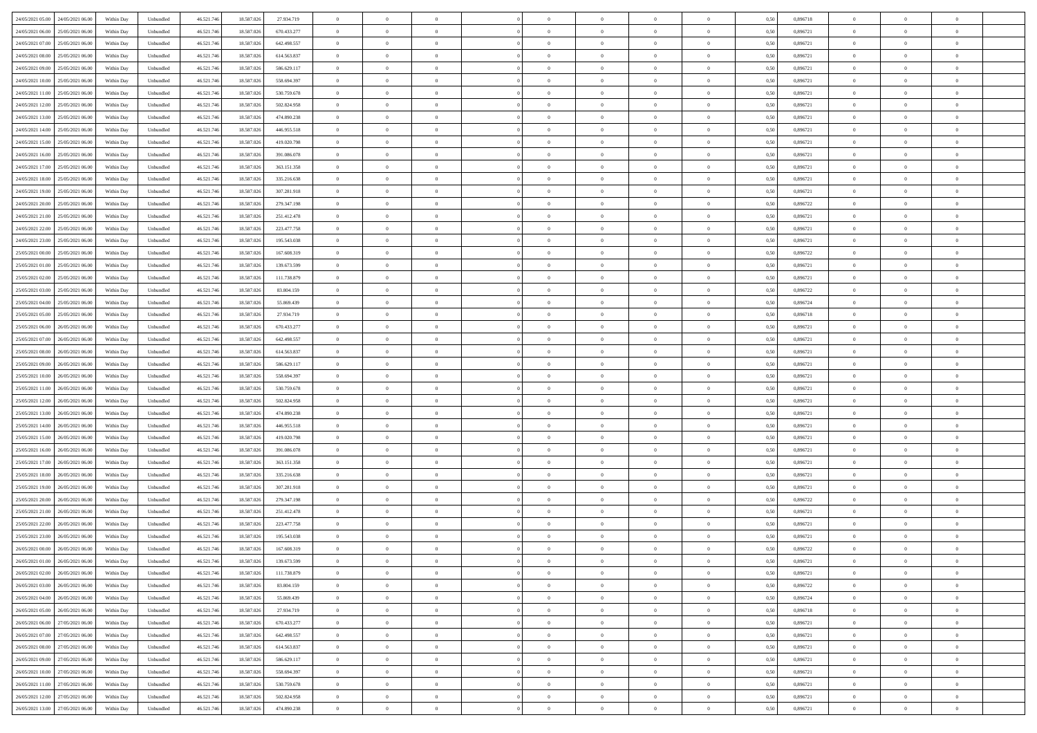| 24/05/2021 05:00 24/05/2021 06:00            | Within Day | Unbundled         | 46.521.74  | 18.587.026 | 27.934.719  | $\overline{0}$ | $\theta$       |                | $\overline{0}$ | $\theta$       |                | $\bf{0}$       | 0,50 | 0,896718 | $\theta$       | $\theta$       | $\overline{0}$ |  |
|----------------------------------------------|------------|-------------------|------------|------------|-------------|----------------|----------------|----------------|----------------|----------------|----------------|----------------|------|----------|----------------|----------------|----------------|--|
| 24/05/2021 06:00<br>25/05/2021 06.00         | Within Day | Unbundled         | 46.521.74  | 18.587.02  | 670.433.277 | $\bf{0}$       | $\overline{0}$ | $\bf{0}$       | $\overline{0}$ | $\theta$       | $\overline{0}$ | $\bf{0}$       | 0,50 | 0,896721 | $\,$ 0 $\,$    | $\bf{0}$       | $\overline{0}$ |  |
| 24/05/2021 07:00<br>25/05/2021 06:00         | Within Day | Unbundled         | 46.521.746 | 18.587.026 | 642.498.557 | $\overline{0}$ | $\overline{0}$ | $\overline{0}$ | $\bf{0}$       | $\bf{0}$       | $\overline{0}$ | $\bf{0}$       | 0.50 | 0.896721 | $\bf{0}$       | $\overline{0}$ | $\overline{0}$ |  |
| 24/05/2021 08:00<br>25/05/2021 06:00         |            |                   | 46.521.74  |            |             | $\overline{0}$ | $\overline{0}$ | $\overline{0}$ | $\theta$       | $\theta$       | $\overline{0}$ | $\overline{0}$ |      | 0,896721 | $\theta$       | $\theta$       | $\overline{0}$ |  |
|                                              | Within Day | Unbundled         |            | 18.587.026 | 614.563.837 |                |                |                |                |                |                |                | 0,50 |          |                |                |                |  |
| 24/05/2021 09:00<br>25/05/2021 06.00         | Within Day | Unbundled         | 46.521.74  | 18.587.02  | 586.629.117 | $\overline{0}$ | $\theta$       | $\overline{0}$ | $\overline{0}$ | $\theta$       | $\overline{0}$ | $\bf{0}$       | 0,50 | 0,896721 | $\,$ 0 $\,$    | $\bf{0}$       | $\overline{0}$ |  |
| 24/05/2021 10:00<br>25/05/2021 06:00         | Within Day | Unbundled         | 46.521.746 | 18.587.026 | 558.694.397 | $\overline{0}$ | $\overline{0}$ | $\overline{0}$ | $\overline{0}$ | $\overline{0}$ | $\Omega$       | $\bf{0}$       | 0.50 | 0.896721 | $\,$ 0 $\,$    | $\theta$       | $\overline{0}$ |  |
| 24/05/2021 11:00<br>25/05/2021 06:00         | Within Day | Unbundled         | 46.521.74  | 18.587.026 | 530.759.678 | $\overline{0}$ | $\overline{0}$ | $\overline{0}$ | $\overline{0}$ | $\overline{0}$ | $\overline{0}$ | $\bf{0}$       | 0,50 | 0,896721 | $\theta$       | $\theta$       | $\overline{0}$ |  |
|                                              |            |                   |            |            |             |                |                |                |                |                |                |                |      |          |                |                |                |  |
| 24/05/2021 12:00<br>25/05/2021 06.00         | Within Day | Unbundled         | 46.521.74  | 18.587.02  | 502.824.958 | $\overline{0}$ | $\overline{0}$ | $\overline{0}$ | $\overline{0}$ | $\theta$       | $\overline{0}$ | $\bf{0}$       | 0,50 | 0,896721 | $\,$ 0 $\,$    | $\bf{0}$       | $\overline{0}$ |  |
| 24/05/2021 13:00<br>25/05/2021 06:00         | Within Day | Unbundled         | 46.521.74  | 18.587.026 | 474.890.238 | $\overline{0}$ | $\bf{0}$       | $\overline{0}$ | $\bf{0}$       | $\overline{0}$ | $\overline{0}$ | $\bf{0}$       | 0.50 | 0.896721 | $\bf{0}$       | $\theta$       | $\overline{0}$ |  |
| 24/05/2021 14:00<br>25/05/2021 06:00         | Within Day | Unbundled         | 46.521.746 | 18.587.026 | 446.955.518 | $\overline{0}$ | $\bf{0}$       | $\overline{0}$ | $\overline{0}$ | $\theta$       | $\overline{0}$ | $\bf{0}$       | 0,50 | 0,896721 | $\,$ 0 $\,$    | $\theta$       | $\overline{0}$ |  |
| 24/05/2021 15:00<br>25/05/2021 06.00         | Within Day | Unbundled         | 46.521.74  | 18.587.02  | 419.020.798 | $\bf{0}$       | $\overline{0}$ | $\bf{0}$       | $\overline{0}$ | $\bf{0}$       | $\overline{0}$ | $\bf{0}$       | 0,50 | 0,896721 | $\,$ 0 $\,$    | $\bf{0}$       | $\overline{0}$ |  |
|                                              |            |                   |            |            |             |                |                |                |                |                |                |                |      |          |                |                |                |  |
| 24/05/2021 16:00<br>25/05/2021 06:00         | Within Day | Unbundled         | 46.521.746 | 18.587.026 | 391.086.078 | $\overline{0}$ | $\overline{0}$ | $\overline{0}$ | $\bf{0}$       | $\bf{0}$       | $\overline{0}$ | $\bf{0}$       | 0.50 | 0.896721 | $\bf{0}$       | $\overline{0}$ | $\overline{0}$ |  |
| 24/05/2021 17:00<br>25/05/2021 06:00         | Within Day | Unbundled         | 46.521.74  | 18.587.026 | 363.151.358 | $\overline{0}$ | $\overline{0}$ | $\overline{0}$ | $\overline{0}$ | $\theta$       | $\overline{0}$ | $\overline{0}$ | 0,50 | 0,896721 | $\theta$       | $\theta$       | $\overline{0}$ |  |
| 24/05/2021 18:00<br>25/05/2021 06.00         | Within Day | Unbundled         | 46.521.74  | 18.587.02  | 335.216.638 | $\bf{0}$       | $\theta$       | $\bf{0}$       | $\overline{0}$ | $\theta$       | $\overline{0}$ | $\bf{0}$       | 0,50 | 0,896721 | $\bf{0}$       | $\bf{0}$       | $\overline{0}$ |  |
|                                              |            |                   |            |            |             |                |                |                |                |                |                |                |      |          |                |                |                |  |
| 24/05/2021 19:00<br>25/05/2021 06:00         | Within Day | Unbundled         | 46.521.746 | 18,587,026 | 307.281.918 | $\overline{0}$ | $\overline{0}$ | $\overline{0}$ | $\bf{0}$       | $\theta$       | $\theta$       | $\bf{0}$       | 0.50 | 0,896721 | $\bf{0}$       | $\theta$       | $\overline{0}$ |  |
| 24/05/2021 20:00<br>25/05/2021 06:00         | Within Day | Unbundled         | 46.521.74  | 18.587.026 | 279.347.198 | $\overline{0}$ | $\overline{0}$ | $\overline{0}$ | $\overline{0}$ | $\overline{0}$ | $\overline{0}$ | $\bf{0}$       | 0,50 | 0,896722 | $\theta$       | $\theta$       | $\overline{0}$ |  |
| 24/05/2021 21:00<br>25/05/2021 06.00         | Within Day | Unbundled         | 46.521.74  | 18.587.02  | 251.412.478 | $\bf{0}$       | $\overline{0}$ | $\overline{0}$ | $\overline{0}$ | $\theta$       | $\overline{0}$ | $\bf{0}$       | 0,50 | 0,896721 | $\,$ 0 $\,$    | $\bf{0}$       | $\overline{0}$ |  |
| 24/05/2021 22.00<br>25/05/2021 06:00         | Within Day | Unbundled         | 46.521.74  | 18.587.02  | 223.477.758 | $\overline{0}$ | $\overline{0}$ | $\overline{0}$ | $\bf{0}$       | $\overline{0}$ | $\overline{0}$ | $\bf{0}$       | 0.50 | 0.896721 | $\bf{0}$       | $\overline{0}$ | $\overline{0}$ |  |
| 24/05/2021 23:00<br>25/05/2021 06:00         |            |                   |            |            |             | $\overline{0}$ | $\overline{0}$ | $\overline{0}$ | $\overline{0}$ | $\theta$       | $\overline{0}$ | $\bf{0}$       |      |          | $\,$ 0 $\,$    | $\theta$       | $\overline{0}$ |  |
|                                              | Within Day | Unbundled         | 46.521.74  | 18.587.026 | 195.543.038 |                |                |                |                |                |                |                | 0,50 | 0,896721 |                |                |                |  |
| 25/05/2021 00:00<br>25/05/2021 06.00         | Within Day | Unbundled         | 46.521.74  | 18.587.02  | 167.608.319 | $\bf{0}$       | $\overline{0}$ | $\bf{0}$       | $\bf{0}$       | $\overline{0}$ | $\overline{0}$ | $\bf{0}$       | 0,50 | 0,896722 | $\,$ 0 $\,$    | $\bf{0}$       | $\overline{0}$ |  |
| 25/05/2021 01:00<br>25/05/2021 06:00         | Within Day | Unbundled         | 46.521.746 | 18,587,026 | 139.673.599 | $\overline{0}$ | $\bf{0}$       | $\overline{0}$ | $\bf{0}$       | $\overline{0}$ | $\overline{0}$ | $\bf{0}$       | 0.50 | 0.896721 | $\bf{0}$       | $\overline{0}$ | $\overline{0}$ |  |
| 25/05/2021 02:00<br>25/05/2021 06:00         | Within Day | Unbundled         | 46.521.74  | 18.587.026 | 111.738.879 | $\overline{0}$ | $\overline{0}$ | $\overline{0}$ | $\overline{0}$ | $\theta$       | $\overline{0}$ | $\bf{0}$       | 0,50 | 0,896721 | $\theta$       | $\theta$       | $\overline{0}$ |  |
|                                              |            |                   |            |            |             |                | $\overline{0}$ |                | $\overline{0}$ | $\theta$       | $\overline{0}$ |                |      |          | $\,$ 0 $\,$    | $\bf{0}$       | $\overline{0}$ |  |
| 25/05/2021 03:00<br>25/05/2021 06.00         | Within Day | Unbundled         | 46.521.74  | 18.587.02  | 83.804.159  | $\bf{0}$       |                | $\bf{0}$       |                |                |                | $\bf{0}$       | 0,50 | 0,896722 |                |                |                |  |
| 25/05/2021 04:00<br>25/05/2021 06:00         | Within Day | Unbundled         | 46.521.746 | 18.587.02  | 55.869.439  | $\overline{0}$ | $\overline{0}$ | $\overline{0}$ | $\overline{0}$ | $\overline{0}$ | $\Omega$       | $\bf{0}$       | 0.50 | 0.896724 | $\,$ 0 $\,$    | $\theta$       | $\overline{0}$ |  |
| 25/05/2021 05:00<br>25/05/2021 06:00         | Within Day | Unbundled         | 46.521.74  | 18.587.026 | 27.934.719  | $\overline{0}$ | $\overline{0}$ | $\overline{0}$ | $\overline{0}$ | $\overline{0}$ | $\overline{0}$ | $\bf{0}$       | 0,50 | 0,896718 | $\theta$       | $\theta$       | $\overline{0}$ |  |
| 25/05/2021 06:00<br>26/05/2021 06.00         | Within Day | Unbundled         | 46.521.74  | 18.587.02  | 670.433.277 | $\bf{0}$       | $\theta$       | $\overline{0}$ | $\overline{0}$ | $\theta$       | $\overline{0}$ | $\bf{0}$       | 0,50 | 0,896721 | $\,$ 0 $\,$    | $\bf{0}$       | $\overline{0}$ |  |
| 25/05/2021 07:00<br>26/05/2021 06:00         | Within Day | Unbundled         | 46.521.74  | 18.587.026 | 642.498.557 | $\overline{0}$ | $\bf{0}$       | $\overline{0}$ | $\bf{0}$       | $\overline{0}$ | $\overline{0}$ | $\bf{0}$       | 0.50 | 0.896721 | $\bf{0}$       | $\theta$       | $\overline{0}$ |  |
|                                              |            |                   |            |            |             |                |                |                |                |                |                |                |      |          |                |                |                |  |
| 25/05/2021 08:00<br>26/05/2021 06:00         | Within Day | Unbundled         | 46.521.746 | 18.587.026 | 614.563.837 | $\overline{0}$ | $\overline{0}$ | $\overline{0}$ | $\overline{0}$ | $\theta$       | $\overline{0}$ | $\bf{0}$       | 0,50 | 0,896721 | $\theta$       | $\theta$       | $\overline{0}$ |  |
| 25/05/2021 09:00<br>26/05/2021 06.00         | Within Day | Unbundled         | 46.521.74  | 18.587.02  | 586.629.117 | $\bf{0}$       | $\bf{0}$       | $\bf{0}$       | $\bf{0}$       | $\overline{0}$ | $\overline{0}$ | $\bf{0}$       | 0,50 | 0,896721 | $\,$ 0 $\,$    | $\bf{0}$       | $\overline{0}$ |  |
| 25/05/2021 10:00<br>26/05/2021 06:00         | Within Day | Unbundled         | 46.521.746 | 18.587.026 | 558.694.397 | $\overline{0}$ | $\bf{0}$       | $\overline{0}$ | $\bf{0}$       | $\bf{0}$       | $\overline{0}$ | $\bf{0}$       | 0.50 | 0.896721 | $\bf{0}$       | $\overline{0}$ | $\overline{0}$ |  |
| 25/05/2021 11:00<br>26/05/2021 06:00         | Within Day | Unbundled         | 46.521.74  | 18.587.026 | 530.759.678 | $\overline{0}$ | $\overline{0}$ | $\overline{0}$ | $\overline{0}$ | $\overline{0}$ | $\overline{0}$ | $\bf{0}$       | 0.5( | 0,896721 | $\theta$       | $\theta$       | $\overline{0}$ |  |
|                                              |            |                   |            |            |             |                |                |                |                |                |                |                |      |          |                |                |                |  |
| 25/05/2021 12:00<br>26/05/2021 06.00         | Within Day | Unbundled         | 46.521.74  | 18.587.02  | 502.824.958 | $\bf{0}$       | $\overline{0}$ | $\bf{0}$       | $\overline{0}$ | $\overline{0}$ | $\overline{0}$ | $\bf{0}$       | 0,50 | 0,896721 | $\,$ 0 $\,$    | $\bf{0}$       | $\overline{0}$ |  |
| 25/05/2021 13:00<br>26/05/2021 06:00         | Within Day | Unbundled         | 46.521.746 | 18.587.026 | 474.890.238 | $\overline{0}$ | $\overline{0}$ | $\overline{0}$ | $\bf{0}$       | $\theta$       | $\Omega$       | $\bf{0}$       | 0.50 | 0,896721 | $\,$ 0 $\,$    | $\theta$       | $\overline{0}$ |  |
| 25/05/2021 14:00<br>26/05/2021 06:00         | Within Dav | Unbundled         | 46.521.74  | 18.587.026 | 446.955.518 | $\overline{0}$ | $\theta$       | $\Omega$       | $\overline{0}$ | $\theta$       | $\overline{0}$ | $\overline{0}$ | 0.5( | 0,896721 | $\theta$       | $\theta$       | $\overline{0}$ |  |
| 25/05/2021 15:00<br>26/05/2021 06.00         | Within Day | Unbundled         | 46.521.74  | 18.587.02  | 419.020.798 | $\bf{0}$       | $\overline{0}$ | $\overline{0}$ | $\overline{0}$ | $\bf{0}$       | $\overline{0}$ | $\bf{0}$       | 0,50 | 0,896721 | $\,$ 0 $\,$    | $\bf{0}$       | $\overline{0}$ |  |
| 25/05/2021 16:00<br>26/05/2021 06:00         |            | Unbundled         | 46.521.74  | 18.587.02  | 391.086.078 |                | $\overline{0}$ | $\overline{0}$ |                | $\overline{0}$ | $\overline{0}$ |                | 0.50 | 0.896721 | $\bf{0}$       | $\overline{0}$ | $\overline{0}$ |  |
|                                              | Within Day |                   |            |            |             | $\overline{0}$ |                |                | $\bf{0}$       |                |                | $\bf{0}$       |      |          |                |                |                |  |
| 25/05/2021 17:00<br>26/05/2021 06:00         | Within Dav | Unbundled         | 46.521.74  | 18.587.026 | 363.151.358 | $\overline{0}$ | $\overline{0}$ | $\overline{0}$ | $\overline{0}$ | $\overline{0}$ | $\overline{0}$ | $\overline{0}$ | 0.50 | 0,896721 | $\theta$       | $\theta$       | $\overline{0}$ |  |
| 25/05/2021 18:00<br>26/05/2021 06.00         | Within Day | Unbundled         | 46.521.74  | 18.587.026 | 335.216.638 | $\bf{0}$       | $\bf{0}$       | $\bf{0}$       | $\bf{0}$       | $\overline{0}$ | $\overline{0}$ | $\bf{0}$       | 0,50 | 0,896721 | $\,$ 0 $\,$    | $\bf{0}$       | $\overline{0}$ |  |
| 25/05/2021 19:00<br>26/05/2021 06:00         | Within Day | Unbundled         | 46.521.746 | 18,587,026 | 307.281.918 | $\overline{0}$ | $\bf{0}$       | $\overline{0}$ | $\bf{0}$       | $\bf{0}$       | $\overline{0}$ | $\bf{0}$       | 0.50 | 0.896721 | $\bf{0}$       | $\overline{0}$ | $\overline{0}$ |  |
| 25/05/2021 20:00<br>26/05/2021 06:00         | Within Dav | Unbundled         | 46.521.74  | 18.587.026 | 279.347.198 | $\overline{0}$ | $\overline{0}$ | $\Omega$       | $\overline{0}$ | $\overline{0}$ | $\overline{0}$ | $\bf{0}$       | 0.5( | 0,896722 | $\theta$       | $\theta$       | $\overline{0}$ |  |
|                                              |            |                   |            |            |             |                |                |                |                |                |                |                |      |          |                |                |                |  |
| 25/05/2021 21:00<br>26/05/2021 06.00         | Within Day | Unbundled         | 46.521.74  | 18.587.02  | 251.412.478 | $\bf{0}$       | $\overline{0}$ | $\bf{0}$       | $\overline{0}$ | $\,$ 0 $\,$    | $\overline{0}$ | $\bf{0}$       | 0,50 | 0,896721 | $\,$ 0 $\,$    | $\bf{0}$       | $\overline{0}$ |  |
| 25/05/2021 22.00<br>26/05/2021 06.00         | Within Day | Unbundled         | 46.521.746 | 18.587.02  | 223.477.758 | $\overline{0}$ | $\overline{0}$ | $\Omega$       | $\overline{0}$ | $\theta$       | $\theta$       | $\bf{0}$       | 0.50 | 0,896721 | $\bf{0}$       | $\theta$       | $\overline{0}$ |  |
| 25/05/2021 23:00<br>26/05/2021 06:00         | Within Dav | Unbundled         | 46.521.74  | 18.587.026 | 195.543.038 | $\overline{0}$ | $\overline{0}$ | $\Omega$       | $\overline{0}$ | $\theta$       | $\Omega$       | $\overline{0}$ | 0.5( | 0,896721 | $\theta$       | $\theta$       | $\overline{0}$ |  |
| 26/05/2021 00:00<br>26/05/2021 06:00         | Within Day | Unbundled         | 46.521.74  | 18.587.02  | 167.608.319 | $\bf{0}$       | $\bf{0}$       | $\overline{0}$ | $\bf{0}$       | $\bf{0}$       | $\overline{0}$ | $\bf{0}$       | 0,50 | 0,896722 | $\,$ 0 $\,$    | $\bf{0}$       | $\overline{0}$ |  |
| $26/05/2021\ 01.00 \qquad 26/05/2021\ 06.00$ |            |                   |            |            | 139.673.599 |                |                |                |                |                |                |                |      |          |                |                |                |  |
|                                              | Within Day | ${\sf Unbundred}$ | 46.521.746 | 18.587.026 |             | $\bf{0}$       | $\Omega$       |                | $\overline{0}$ |                |                |                | 0,50 | 0,896721 | $\theta$       | $\overline{0}$ |                |  |
| 26/05/2021 02:00 26/05/2021 06:00            | Within Day | Unbundled         | 46.521.746 | 18.587.026 | 111.738.879 | $\overline{0}$ | $\theta$       | $\Omega$       | $\theta$       | $\overline{0}$ | $\overline{0}$ | $\bf{0}$       | 0,50 | 0,896721 | $\theta$       | $\theta$       | $\overline{0}$ |  |
| 26/05/2021 03:00<br>26/05/2021 06:00         | Within Day | Unbundled         | 46.521.74  | 18.587.02  | 83.804.159  | $\overline{0}$ | $\bf{0}$       | $\overline{0}$ | $\overline{0}$ | $\bf{0}$       | $\overline{0}$ | $\bf{0}$       | 0,50 | 0,896722 | $\bf{0}$       | $\overline{0}$ | $\bf{0}$       |  |
| 26/05/2021 04:00<br>26/05/2021 06:00         | Within Day | Unbundled         | 46.521.746 | 18,587,026 | 55,869,439  | $\overline{0}$ | $\bf{0}$       | $\overline{0}$ | $\overline{0}$ | $\overline{0}$ | $\overline{0}$ | $\bf{0}$       | 0.50 | 0.896724 | $\overline{0}$ | $\bf{0}$       | $\,$ 0 $\,$    |  |
|                                              |            |                   |            |            |             |                |                |                |                |                |                |                |      |          |                |                |                |  |
| 26/05/2021 05:00 26/05/2021 06:00            | Within Dav | Unbundled         | 46.521.746 | 18.587.026 | 27.934.719  | $\overline{0}$ | $\overline{0}$ | $\overline{0}$ | $\overline{0}$ | $\overline{0}$ | $\overline{0}$ | $\bf{0}$       | 0,50 | 0,896718 | $\theta$       | $\theta$       | $\overline{0}$ |  |
| 26/05/2021 06:00<br>27/05/2021 06:00         | Within Day | Unbundled         | 46.521.74  | 18.587.026 | 670.433.277 | $\overline{0}$ | $\bf{0}$       | $\overline{0}$ | $\bf{0}$       | $\overline{0}$ | $\bf{0}$       | $\bf{0}$       | 0,50 | 0,896721 | $\bf{0}$       | $\bf{0}$       | $\overline{0}$ |  |
| 26/05/2021 07:00<br>27/05/2021 06:00         | Within Day | Unbundled         | 46.521.746 | 18,587,026 | 642.498.557 | $\overline{0}$ | $\bf{0}$       | $\overline{0}$ | $\overline{0}$ | $\overline{0}$ | $\overline{0}$ | $\bf{0}$       | 0.50 | 0,896721 | $\,$ 0 $\,$    | $\theta$       | $\overline{0}$ |  |
| 26/05/2021 08:00<br>27/05/2021 06:00         | Within Dav | Unbundled         | 46.521.746 | 18.587.026 | 614.563.837 | $\overline{0}$ | $\overline{0}$ | $\overline{0}$ | $\overline{0}$ | $\overline{0}$ | $\overline{0}$ | $\bf{0}$       | 0.50 | 0,896721 | $\overline{0}$ | $\theta$       | $\overline{0}$ |  |
|                                              |            |                   |            |            |             |                |                |                |                |                |                |                |      |          |                |                |                |  |
| 26/05/2021 09:00<br>27/05/2021 06:00         | Within Day | Unbundled         | 46.521.74  | 18.587.026 | 586.629.117 | $\overline{0}$ | $\overline{0}$ | $\overline{0}$ | $\overline{0}$ | $\bf{0}$       | $\overline{0}$ | $\bf{0}$       | 0,50 | 0,896721 | $\bf{0}$       | $\overline{0}$ | $\overline{0}$ |  |
| 26/05/2021 10:00 27/05/2021 06:00            | Within Day | Unbundled         | 46.521.746 | 18,587,026 | 558.694.397 | $\overline{0}$ | $\overline{0}$ | $\overline{0}$ | $\overline{0}$ | $\bf{0}$       | $\overline{0}$ | $\bf{0}$       | 0.50 | 0.896721 | $\overline{0}$ | $\,$ 0 $\,$    | $\,$ 0         |  |
| 26/05/2021 11:00 27/05/2021 06:00            | Within Dav | Unbundled         | 46.521.746 | 18.587.026 | 530.759.678 | $\overline{0}$ | $\overline{0}$ | $\overline{0}$ | $\overline{0}$ | $\overline{0}$ | $\overline{0}$ | $\bf{0}$       | 0,50 | 0,896721 | $\overline{0}$ | $\theta$       | $\overline{0}$ |  |
| 26/05/2021 12:00<br>27/05/2021 06:00         | Within Day | Unbundled         | 46.521.74  | 18.587.026 | 502.824.958 | $\overline{0}$ | $\bf{0}$       | $\overline{0}$ | $\bf{0}$       | $\overline{0}$ | $\bf{0}$       | $\bf{0}$       | 0,50 | 0,896721 | $\bf{0}$       | $\bf{0}$       | $\overline{0}$ |  |
|                                              |            |                   |            |            |             |                |                |                |                |                |                |                |      |          |                |                |                |  |
| 26/05/2021 13:00 27/05/2021 06:00            | Within Day | Unbundled         | 46.521.746 | 18.587.026 | 474.890.238 | $\overline{0}$ | $\bf{0}$       | $\overline{0}$ | $\overline{0}$ | $\,$ 0 $\,$    | $\overline{0}$ | $\bf{0}$       | 0,50 | 0,896721 | $\overline{0}$ | $\,$ 0 $\,$    | $\,$ 0 $\,$    |  |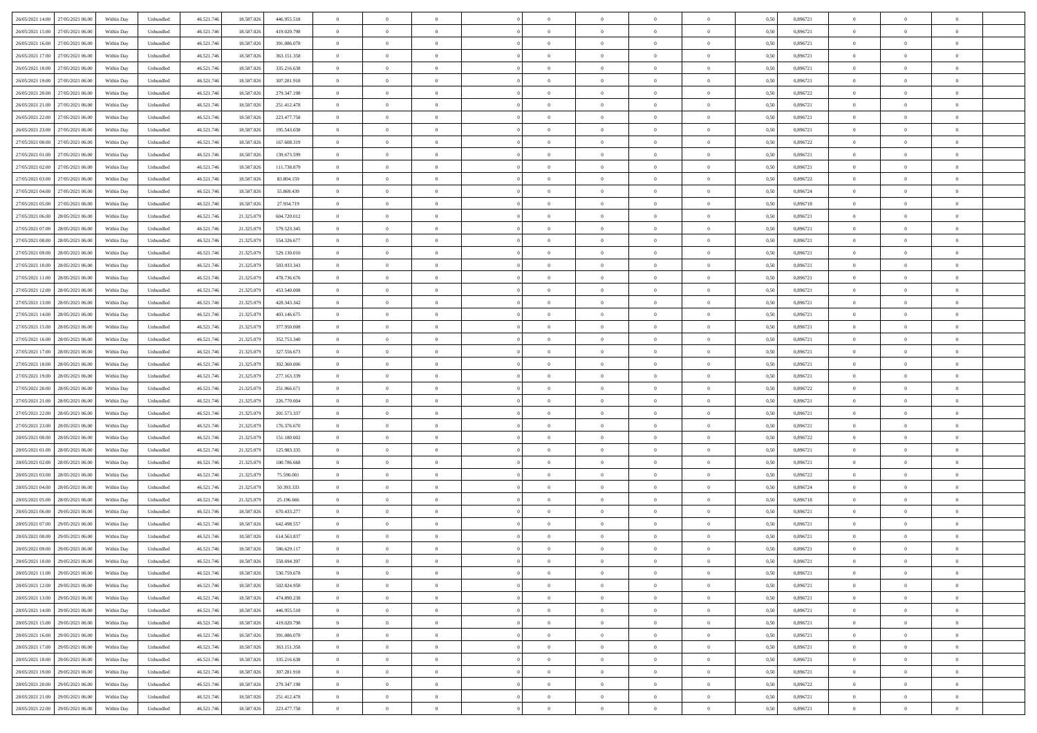| 26/05/2021 14:00 27/05/2021 06:00    | Within Day | Unbundled         | 46.521.74  | 18.587.026 | 446.955.518 | $\overline{0}$ | $\theta$       |                | $\overline{0}$ | $\theta$       |                | $\bf{0}$       | 0,50 | 0,896721 | $\theta$       | $\theta$       | $\overline{0}$ |  |
|--------------------------------------|------------|-------------------|------------|------------|-------------|----------------|----------------|----------------|----------------|----------------|----------------|----------------|------|----------|----------------|----------------|----------------|--|
| 26/05/2021 15:00<br>27/05/2021 06.00 | Within Day | Unbundled         | 46.521.74  | 18.587.02  | 419.020.798 | $\bf{0}$       | $\overline{0}$ | $\bf{0}$       | $\overline{0}$ | $\bf{0}$       | $\overline{0}$ | $\bf{0}$       | 0,50 | 0,896721 | $\,$ 0 $\,$    | $\bf{0}$       | $\overline{0}$ |  |
| 26/05/2021 16:00<br>27/05/2021 06:00 | Within Day | Unbundled         | 46.521.746 | 18.587.026 | 391.086.078 | $\overline{0}$ | $\overline{0}$ | $\overline{0}$ | $\bf{0}$       | $\bf{0}$       | $\overline{0}$ | $\bf{0}$       | 0.50 | 0.896721 | $\bf{0}$       | $\overline{0}$ | $\overline{0}$ |  |
| 26/05/2021 17:00<br>27/05/2021 06:00 |            |                   | 46.521.74  |            |             | $\overline{0}$ | $\overline{0}$ | $\overline{0}$ | $\theta$       | $\theta$       | $\overline{0}$ | $\overline{0}$ |      | 0,896721 | $\theta$       | $\theta$       | $\overline{0}$ |  |
|                                      | Within Day | Unbundled         |            | 18.587.026 | 363.151.358 |                |                |                |                |                |                |                | 0,50 |          |                |                |                |  |
| 26/05/2021 18:00<br>27/05/2021 06.00 | Within Day | Unbundled         | 46.521.74  | 18.587.02  | 335.216.638 | $\overline{0}$ | $\theta$       | $\overline{0}$ | $\overline{0}$ | $\theta$       | $\overline{0}$ | $\bf{0}$       | 0,50 | 0,896721 | $\,$ 0 $\,$    | $\bf{0}$       | $\overline{0}$ |  |
| 26/05/2021 19:00<br>27/05/2021 06:00 | Within Day | Unbundled         | 46.521.746 | 18.587.026 | 307.281.918 | $\overline{0}$ | $\overline{0}$ | $\overline{0}$ | $\overline{0}$ | $\overline{0}$ | $\Omega$       | $\bf{0}$       | 0.50 | 0,896721 | $\bf{0}$       | $\theta$       | $\overline{0}$ |  |
| 26/05/2021 20:00<br>27/05/2021 06:00 | Within Day | Unbundled         | 46.521.74  | 18.587.026 | 279.347.198 | $\overline{0}$ | $\overline{0}$ | $\overline{0}$ | $\overline{0}$ | $\overline{0}$ | $\overline{0}$ | $\bf{0}$       | 0,50 | 0,896722 | $\theta$       | $\theta$       | $\overline{0}$ |  |
|                                      |            |                   |            |            |             |                |                |                |                |                |                |                |      |          |                |                |                |  |
| 26/05/2021 21:00<br>27/05/2021 06.00 | Within Day | Unbundled         | 46.521.74  | 18.587.02  | 251.412.478 | $\bf{0}$       | $\overline{0}$ | $\overline{0}$ | $\overline{0}$ | $\theta$       | $\overline{0}$ | $\bf{0}$       | 0,50 | 0,896721 | $\,$ 0 $\,$    | $\bf{0}$       | $\overline{0}$ |  |
| 26/05/2021 22:00<br>27/05/2021 06:00 | Within Day | Unbundled         | 46.521.74  | 18.587.026 | 223.477.758 | $\overline{0}$ | $\overline{0}$ | $\overline{0}$ | $\bf{0}$       | $\overline{0}$ | $\overline{0}$ | $\bf{0}$       | 0.50 | 0.896721 | $\bf{0}$       | $\theta$       | $\overline{0}$ |  |
| 26/05/2021 23:00<br>27/05/2021 06:00 | Within Day | Unbundled         | 46.521.746 | 18.587.026 | 195.543.038 | $\overline{0}$ | $\bf{0}$       | $\overline{0}$ | $\overline{0}$ | $\theta$       | $\overline{0}$ | $\bf{0}$       | 0,50 | 0,896721 | $\,$ 0 $\,$    | $\theta$       | $\overline{0}$ |  |
| 27/05/2021 00:00<br>27/05/2021 06.00 | Within Day | Unbundled         | 46.521.74  | 18.587.026 | 167.608.319 | $\bf{0}$       | $\overline{0}$ | $\bf{0}$       | $\overline{0}$ | $\bf{0}$       | $\overline{0}$ | $\bf{0}$       | 0,50 | 0,896722 | $\,$ 0 $\,$    | $\bf{0}$       | $\overline{0}$ |  |
|                                      |            |                   |            |            |             |                |                |                |                |                |                |                |      |          |                |                |                |  |
| 27/05/2021 01:00<br>27/05/2021 06:00 | Within Day | Unbundled         | 46.521.746 | 18,587,026 | 139.673.599 | $\overline{0}$ | $\overline{0}$ | $\overline{0}$ | $\bf{0}$       | $\bf{0}$       | $\overline{0}$ | $\bf{0}$       | 0.50 | 0.896721 | $\bf{0}$       | $\overline{0}$ | $\overline{0}$ |  |
| 27/05/2021 02:00<br>27/05/2021 06:00 | Within Day | Unbundled         | 46.521.74  | 18.587.026 | 111.738.879 | $\overline{0}$ | $\overline{0}$ | $\overline{0}$ | $\overline{0}$ | $\theta$       | $\overline{0}$ | $\overline{0}$ | 0,50 | 0,896721 | $\theta$       | $\theta$       | $\overline{0}$ |  |
| 27/05/2021 03:00<br>27/05/2021 06.00 | Within Day | Unbundled         | 46.521.74  | 18.587.02  | 83.804.159  | $\bf{0}$       | $\theta$       | $\bf{0}$       | $\overline{0}$ | $\theta$       | $\overline{0}$ | $\bf{0}$       | 0,50 | 0,896722 | $\bf{0}$       | $\bf{0}$       | $\overline{0}$ |  |
| 27/05/2021 04:00<br>27/05/2021 06.00 | Within Day | Unbundled         | 46.521.746 | 18.587.026 | 55.869.439  | $\overline{0}$ | $\overline{0}$ | $\overline{0}$ | $\bf{0}$       | $\theta$       | $\theta$       | $\bf{0}$       | 0.50 | 0.896724 | $\bf{0}$       | $\overline{0}$ | $\overline{0}$ |  |
| 27/05/2021 05:00<br>27/05/2021 06:00 |            |                   |            |            |             | $\overline{0}$ | $\overline{0}$ | $\overline{0}$ | $\overline{0}$ | $\overline{0}$ | $\overline{0}$ |                |      |          | $\theta$       | $\theta$       | $\overline{0}$ |  |
|                                      | Within Day | Unbundled         | 46.521.74  | 18.587.026 | 27.934.719  |                |                |                |                |                |                | $\bf{0}$       | 0,50 | 0,896718 |                |                |                |  |
| 27/05/2021 06:00<br>28/05/2021 06:00 | Within Day | Unbundled         | 46.521.74  | 21.325.079 | 604.720.012 | $\bf{0}$       | $\overline{0}$ | $\overline{0}$ | $\overline{0}$ | $\theta$       | $\overline{0}$ | $\bf{0}$       | 0,50 | 0,896721 | $\,$ 0 $\,$    | $\bf{0}$       | $\overline{0}$ |  |
| 27/05/2021 07:00<br>28/05/2021 06:00 | Within Day | Unbundled         | 46.521.74  | 21.325.079 | 579.523.345 | $\overline{0}$ | $\overline{0}$ | $\overline{0}$ | $\bf{0}$       | $\overline{0}$ | $\overline{0}$ | $\bf{0}$       | 0.50 | 0.896721 | $\bf{0}$       | $\overline{0}$ | $\overline{0}$ |  |
| 27/05/2021 08:00<br>28/05/2021 06:00 | Within Day | Unbundled         | 46.521.74  | 21.325.079 | 554.326.677 | $\overline{0}$ | $\overline{0}$ | $\overline{0}$ | $\overline{0}$ | $\theta$       | $\overline{0}$ | $\bf{0}$       | 0,50 | 0,896721 | $\,$ 0 $\,$    | $\theta$       | $\overline{0}$ |  |
| 28/05/2021 06:00                     | Within Day | Unbundled         | 46.521.74  | 21.325.07  | 529.130.010 | $\bf{0}$       | $\overline{0}$ | $\bf{0}$       | $\bf{0}$       | $\overline{0}$ | $\overline{0}$ | $\bf{0}$       | 0,50 | 0,896721 | $\,$ 0 $\,$    | $\bf{0}$       | $\overline{0}$ |  |
| 27/05/2021 09:00                     |            |                   |            |            |             |                |                |                |                |                |                |                |      |          |                |                |                |  |
| 27/05/2021 10:00<br>28/05/2021 06:00 | Within Day | Unbundled         | 46.521.746 | 21.325.079 | 503.933.343 | $\overline{0}$ | $\bf{0}$       | $\overline{0}$ | $\bf{0}$       | $\bf{0}$       | $\overline{0}$ | $\bf{0}$       | 0.50 | 0.896721 | $\bf{0}$       | $\overline{0}$ | $\overline{0}$ |  |
| 27/05/2021 11:00<br>28/05/2021 06:00 | Within Day | Unbundled         | 46.521.74  | 21.325.079 | 478.736.676 | $\overline{0}$ | $\overline{0}$ | $\overline{0}$ | $\overline{0}$ | $\theta$       | $\overline{0}$ | $\bf{0}$       | 0,50 | 0,896721 | $\theta$       | $\theta$       | $\overline{0}$ |  |
| 27/05/2021 12:00<br>28/05/2021 06:00 | Within Day | Unbundled         | 46.521.74  | 21.325.07  | 453.540.008 | $\bf{0}$       | $\overline{0}$ | $\bf{0}$       | $\bf{0}$       | $\theta$       | $\overline{0}$ | $\bf{0}$       | 0,50 | 0,896721 | $\,$ 0 $\,$    | $\bf{0}$       | $\overline{0}$ |  |
| 27/05/2021 13:00<br>28/05/2021 06:00 | Within Day | Unbundled         | 46.521.74  | 21.325.079 | 428.343.342 | $\overline{0}$ | $\overline{0}$ | $\overline{0}$ | $\overline{0}$ | $\overline{0}$ | $\Omega$       | $\bf{0}$       | 0.50 | 0.896721 | $\,$ 0 $\,$    | $\theta$       | $\overline{0}$ |  |
|                                      |            |                   |            |            |             |                |                |                |                |                |                |                |      |          |                |                |                |  |
| 27/05/2021 14:00<br>28/05/2021 06:00 | Within Day | Unbundled         | 46.521.74  | 21.325.079 | 403.146.675 | $\overline{0}$ | $\overline{0}$ | $\overline{0}$ | $\overline{0}$ | $\overline{0}$ | $\overline{0}$ | $\bf{0}$       | 0,50 | 0,896721 | $\theta$       | $\theta$       | $\overline{0}$ |  |
| 27/05/2021 15:00<br>28/05/2021 06:00 | Within Day | Unbundled         | 46.521.74  | 21.325.07  | 377.950.008 | $\bf{0}$       | $\theta$       | $\bf{0}$       | $\overline{0}$ | $\theta$       | $\overline{0}$ | $\bf{0}$       | 0,50 | 0,896721 | $\,$ 0 $\,$    | $\bf{0}$       | $\overline{0}$ |  |
| 27/05/2021 16:00<br>28/05/2021 06:00 | Within Day | Unbundled         | 46.521.74  | 21.325.079 | 352,753,340 | $\overline{0}$ | $\overline{0}$ | $\overline{0}$ | $\bf{0}$       | $\overline{0}$ | $\overline{0}$ | $\bf{0}$       | 0.50 | 0.896721 | $\bf{0}$       | $\overline{0}$ | $\overline{0}$ |  |
| 27/05/2021 17:00<br>28/05/2021 06:00 | Within Day | Unbundled         | 46.521.74  | 21.325.079 | 327.556.673 | $\overline{0}$ | $\overline{0}$ | $\overline{0}$ | $\overline{0}$ | $\overline{0}$ | $\overline{0}$ | $\bf{0}$       | 0,50 | 0,896721 | $\theta$       | $\theta$       | $\overline{0}$ |  |
|                                      |            |                   |            |            |             |                |                |                |                |                |                |                |      |          |                |                |                |  |
| 27/05/2021 18:00<br>28/05/2021 06:00 | Within Day | Unbundled         | 46.521.74  | 21.325.079 | 302.360.006 | $\bf{0}$       | $\bf{0}$       | $\bf{0}$       | $\bf{0}$       | $\overline{0}$ | $\overline{0}$ | $\bf{0}$       | 0,50 | 0,896721 | $\,$ 0 $\,$    | $\bf{0}$       | $\overline{0}$ |  |
| 27/05/2021 19:00<br>28/05/2021 06:00 | Within Day | Unbundled         | 46.521.74  | 21.325.079 | 277.163.339 | $\overline{0}$ | $\bf{0}$       | $\overline{0}$ | $\bf{0}$       | $\bf{0}$       | $\overline{0}$ | $\bf{0}$       | 0.50 | 0.896721 | $\bf{0}$       | $\overline{0}$ | $\overline{0}$ |  |
| 27/05/2021 20:00<br>28/05/2021 06:00 | Within Day | Unbundled         | 46.521.74  | 21.325.079 | 251.966.671 | $\overline{0}$ | $\overline{0}$ | $\overline{0}$ | $\overline{0}$ | $\overline{0}$ | $\overline{0}$ | $\bf{0}$       | 0.5( | 0,896722 | $\theta$       | $\theta$       | $\overline{0}$ |  |
| 27/05/2021 21:00<br>28/05/2021 06:00 | Within Day | Unbundled         | 46.521.74  | 21.325.07  | 226.770.004 | $\bf{0}$       | $\overline{0}$ | $\bf{0}$       | $\overline{0}$ | $\overline{0}$ | $\overline{0}$ | $\bf{0}$       | 0,50 | 0,896721 | $\,$ 0 $\,$    | $\bf{0}$       | $\overline{0}$ |  |
| 27/05/2021 22.00<br>28/05/2021 06:00 | Within Day | Unbundled         | 46.521.74  | 21.325.079 | 201.573.337 | $\overline{0}$ | $\overline{0}$ | $\overline{0}$ | $\bf{0}$       | $\bf{0}$       | $\Omega$       | $\bf{0}$       | 0.50 | 0,896721 | $\,$ 0 $\,$    | $\overline{0}$ | $\overline{0}$ |  |
|                                      |            |                   |            |            |             |                |                |                |                |                |                |                |      |          |                |                |                |  |
| 27/05/2021 23:00<br>28/05/2021 06:00 | Within Dav | Unbundled         | 46.521.74  | 21.325.079 | 176.376.670 | $\overline{0}$ | $\theta$       | $\Omega$       | $\overline{0}$ | $\theta$       | $\overline{0}$ | $\overline{0}$ | 0.5( | 0,896721 | $\theta$       | $\theta$       | $\overline{0}$ |  |
| 28/05/2021 00:00<br>28/05/2021 06:00 | Within Day | Unbundled         | 46.521.74  | 21.325.07  | 151.180.002 | $\bf{0}$       | $\overline{0}$ | $\bf{0}$       | $\overline{0}$ | $\bf{0}$       | $\overline{0}$ | $\bf{0}$       | 0,50 | 0,896722 | $\,$ 0 $\,$    | $\bf{0}$       | $\overline{0}$ |  |
| 28/05/2021 01:00<br>28/05/2021 06:00 | Within Day | Unbundled         | 46.521.74  | 21.325.079 | 125.983.335 | $\overline{0}$ | $\bf{0}$       | $\overline{0}$ | $\bf{0}$       | $\overline{0}$ | $\overline{0}$ | $\bf{0}$       | 0.50 | 0.896721 | $\bf{0}$       | $\overline{0}$ | $\overline{0}$ |  |
| 28/05/2021 02:00<br>28/05/2021 06:00 | Within Dav | Unbundled         | 46.521.74  | 21.325.079 | 100.786.668 | $\overline{0}$ | $\overline{0}$ | $\overline{0}$ | $\overline{0}$ | $\overline{0}$ | $\overline{0}$ | $\overline{0}$ | 0.50 | 0,896721 | $\theta$       | $\theta$       | $\overline{0}$ |  |
|                                      |            |                   |            |            |             |                |                |                |                |                |                |                |      |          |                |                |                |  |
| 28/05/2021 03:00<br>28/05/2021 06:00 | Within Day | Unbundled         | 46.521.74  | 21.325.07  | 75.590.001  | $\bf{0}$       | $\bf{0}$       | $\bf{0}$       | $\bf{0}$       | $\overline{0}$ | $\overline{0}$ | $\bf{0}$       | 0,50 | 0,896722 | $\,$ 0 $\,$    | $\bf{0}$       | $\overline{0}$ |  |
| 28/05/2021 04:00<br>28/05/2021 06:00 | Within Day | Unbundled         | 46.521.746 | 21.325.079 | 50.393.333  | $\overline{0}$ | $\bf{0}$       | $\overline{0}$ | $\bf{0}$       | $\bf{0}$       | $\overline{0}$ | $\bf{0}$       | 0.50 | 0.896724 | $\bf{0}$       | $\overline{0}$ | $\overline{0}$ |  |
| 28/05/2021 05:00<br>28/05/2021 06:00 | Within Day | Unbundled         | 46.521.74  | 21.325.079 | 25.196.666  | $\overline{0}$ | $\overline{0}$ | $\Omega$       | $\overline{0}$ | $\overline{0}$ | $\overline{0}$ | $\bf{0}$       | 0.50 | 0,896718 | $\theta$       | $\theta$       | $\overline{0}$ |  |
| 28/05/2021 06:00<br>29/05/2021 06.00 | Within Day | Unbundled         | 46.521.74  | 18.587.02  | 670.433.277 | $\bf{0}$       | $\overline{0}$ | $\bf{0}$       | $\overline{0}$ | $\,$ 0 $\,$    | $\overline{0}$ | $\bf{0}$       | 0,50 | 0,896721 | $\,$ 0 $\,$    | $\bf{0}$       | $\overline{0}$ |  |
| 28/05/2021 07:00<br>29/05/2021 06.00 | Within Day | Unbundled         | 46.521.746 | 18.587.02  | 642.498.557 | $\overline{0}$ | $\overline{0}$ | $\Omega$       | $\overline{0}$ | $\overline{0}$ | $\theta$       | $\bf{0}$       | 0.50 | 0,896721 | $\bf{0}$       | $\overline{0}$ | $\overline{0}$ |  |
|                                      |            |                   |            |            |             |                |                |                |                |                |                |                |      |          |                |                |                |  |
| 28/05/2021 08:00<br>29/05/2021 06:00 | Within Dav | Unbundled         | 46.521.74  | 18.587.026 | 614.563.837 | $\overline{0}$ | $\overline{0}$ | $\Omega$       | $\overline{0}$ | $\theta$       | $\Omega$       | $\overline{0}$ | 0.5( | 0,896721 | $\theta$       | $\theta$       | $\overline{0}$ |  |
| 28/05/2021 09:00<br>29/05/2021 06.00 | Within Day | Unbundled         | 46.521.74  | 18.587.02  | 586.629.117 | $\bf{0}$       | $\bf{0}$       | $\bf{0}$       | $\bf{0}$       | $\bf{0}$       | $\overline{0}$ | $\bf{0}$       | 0,50 | 0,896721 | $\,$ 0 $\,$    | $\bf{0}$       | $\overline{0}$ |  |
| 28/05/2021 10:00 29/05/2021 06:00    | Within Day | ${\sf Unbundred}$ | 46.521.746 | 18.587.026 | 558 694 397 | $\bf{0}$       | $\Omega$       |                | $\overline{0}$ |                |                |                | 0,50 | 0.896721 | $\theta$       | $\overline{0}$ |                |  |
| 28/05/2021 11:00 29/05/2021 06:00    | Within Day | Unbundled         | 46.521.746 | 18.587.026 | 530.759.678 | $\overline{0}$ | $\theta$       | $\Omega$       | $\theta$       | $\overline{0}$ | $\overline{0}$ | $\bf{0}$       | 0,50 | 0,896721 | $\theta$       | $\theta$       | $\overline{0}$ |  |
| 28/05/2021 12:00<br>29/05/2021 06.00 | Within Day | Unbundled         | 46.521.74  | 18.587.02  | 502.824.958 | $\overline{0}$ | $\bf{0}$       | $\overline{0}$ | $\overline{0}$ | $\bf{0}$       | $\overline{0}$ | $\bf{0}$       | 0,50 | 0,896721 | $\bf{0}$       | $\overline{0}$ | $\bf{0}$       |  |
|                                      |            |                   |            |            |             |                |                |                |                |                |                |                |      |          |                |                |                |  |
| 28/05/2021 13:00 29/05/2021 06:00    | Within Day | Unbundled         | 46.521.746 | 18,587,026 | 474.890.238 | $\overline{0}$ | $\bf{0}$       | $\overline{0}$ | $\overline{0}$ | $\overline{0}$ | $\overline{0}$ | $\bf{0}$       | 0.50 | 0.896721 | $\overline{0}$ | $\bf{0}$       | $\,$ 0 $\,$    |  |
| 28/05/2021 14:00 29/05/2021 06:00    | Within Day | Unbundled         | 46.521.746 | 18.587.026 | 446.955.518 | $\overline{0}$ | $\overline{0}$ | $\overline{0}$ | $\overline{0}$ | $\overline{0}$ | $\overline{0}$ | $\bf{0}$       | 0,50 | 0,896721 | $\theta$       | $\theta$       | $\overline{0}$ |  |
| 28/05/2021 15:00<br>29/05/2021 06.00 | Within Day | Unbundled         | 46.521.74  | 18.587.026 | 419.020.798 | $\overline{0}$ | $\bf{0}$       | $\overline{0}$ | $\bf{0}$       | $\overline{0}$ | $\overline{0}$ | $\bf{0}$       | 0,50 | 0,896721 | $\bf{0}$       | $\bf{0}$       | $\overline{0}$ |  |
| 28/05/2021 16:00<br>29/05/2021 06:00 | Within Day | Unbundled         | 46.521.746 | 18,587,026 | 391.086.078 | $\overline{0}$ | $\bf{0}$       | $\overline{0}$ | $\overline{0}$ | $\overline{0}$ | $\overline{0}$ | $\bf{0}$       | 0.50 | 0,896721 | $\,$ 0 $\,$    | $\theta$       | $\overline{0}$ |  |
|                                      |            |                   |            |            |             |                |                |                |                |                |                |                |      |          |                |                |                |  |
| 28/05/2021 17:00<br>29/05/2021 06:00 | Within Dav | Unbundled         | 46.521.746 | 18.587.026 | 363.151.358 | $\overline{0}$ | $\overline{0}$ | $\overline{0}$ | $\overline{0}$ | $\overline{0}$ | $\overline{0}$ | $\bf{0}$       | 0.50 | 0,896721 | $\overline{0}$ | $\theta$       | $\overline{0}$ |  |
| 28/05/2021 18:00<br>29/05/2021 06.00 | Within Day | Unbundled         | 46.521.74  | 18.587.026 | 335.216.638 | $\overline{0}$ | $\overline{0}$ | $\overline{0}$ | $\overline{0}$ | $\bf{0}$       | $\overline{0}$ | $\bf{0}$       | 0,50 | 0,896721 | $\bf{0}$       | $\bf{0}$       | $\overline{0}$ |  |
| 29/05/2021 06:00<br>28/05/2021 19:00 | Within Day | Unbundled         | 46.521.746 | 18,587,026 | 307.281.918 | $\overline{0}$ | $\overline{0}$ | $\overline{0}$ | $\overline{0}$ | $\bf{0}$       | $\overline{0}$ | $\bf{0}$       | 0.50 | 0.896721 | $\overline{0}$ | $\,$ 0 $\,$    | $\,$ 0         |  |
| 28/05/2021 20:00 29/05/2021 06:00    | Within Dav | Unbundled         | 46.521.746 | 18.587.026 | 279.347.198 | $\overline{0}$ | $\overline{0}$ | $\overline{0}$ | $\overline{0}$ | $\overline{0}$ | $\overline{0}$ | $\bf{0}$       | 0,50 | 0,896722 | $\overline{0}$ | $\theta$       | $\overline{0}$ |  |
|                                      |            |                   |            |            |             |                |                |                |                |                |                |                |      |          |                |                |                |  |
| 28/05/2021 21:00<br>29/05/2021 06.00 | Within Day | Unbundled         | 46.521.74  | 18.587.026 | 251.412.478 | $\overline{0}$ | $\bf{0}$       | $\overline{0}$ | $\bf{0}$       | $\overline{0}$ | $\overline{0}$ | $\bf{0}$       | 0,50 | 0,896721 | $\bf{0}$       | $\bf{0}$       | $\overline{0}$ |  |
| 28/05/2021 22:00 29/05/2021 06:00    | Within Day | Unbundled         | 46.521.746 | 18.587.026 | 223.477.758 | $\overline{0}$ | $\bf{0}$       | $\overline{0}$ | $\overline{0}$ | $\,$ 0 $\,$    | $\overline{0}$ | $\bf{0}$       | 0,50 | 0,896721 | $\overline{0}$ | $\,$ 0 $\,$    | $\,$ 0 $\,$    |  |